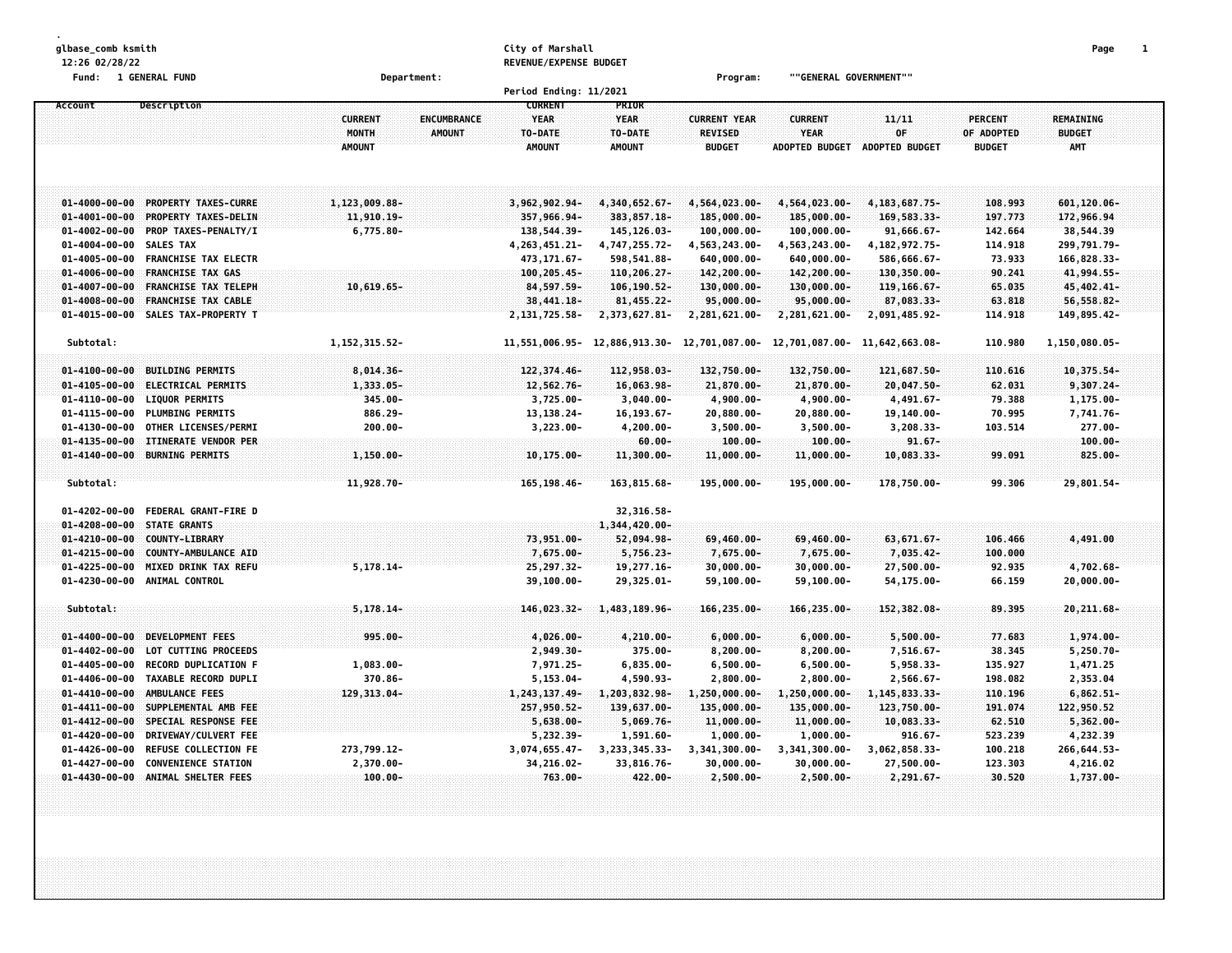**glbase\_comb ksmith City of Marshall Page 1 12:26 02/28/22 REVENUE/EXPENSE BUDGET Fund: 1 GENERAL FUND Department: Program: ""GENERAL GOVERNMENT"" Period Ending: 11/2021 Account Description CURRENT PRIOR CURRENT ENCUMBRANCE YEAR YEAR CURRENT YEAR CURRENT 11/11 PERCENT REMAINING MONTH AMOUNT TO-DATE TO-DATE REVISED YEAR OF OF ADOPTED BUDGET AMOUNT AMOUNT AMOUNT BUDGET ADOPTED BUDGET ADOPTED BUDGET BUDGET AMT** 01-4000-00-00-00-00-000-PROPERTY TAXES-CURRE 1,123,009.88- 3,962,902.94- 4,340,652.67- 4,564,023.00- 4,564,023.00- 4,183,687.75- 108.993 601,120.06-01-4001-00-00 PROPERTY TAXES-DELIN 11,910.19- 357,966.94- 383,857.18- 185,000.00- 185,000.00- 169,583.33- 197.773 172,966.94 01-4002-00-00 PROP TAXES-PENALTY/I 6,775.80- 138,544.39- 145,126.03- 100,000.00- 100,000.00- 91,666.67- 142.664 38,544.39 01-4004-00-00 SALES TAX 4,263,451.21- 4,747,255.72- 4,563,243.00- 4,563,243.00- 4,182,972.75- 114.918 299,791.79-**01-4005-00-00 FRANCHISE TAX ELECTR 473,171.67- 598,541.88- 640,000.00- 640,000.00- 586,666.67- 73.933 166,828.33-** 01-4006-00-00 FRANCHISE TAX GAS 100,205.45- 110,206.27- 142,200.00- 142,200.00- 130,350.00- 90.241 41,994.55-01-4007-00-00 FRANCHISE TAX TELEPH 130,000.00- 130,000.00- 130,000.00- 119,166.67- 65.035 45,402.41--56,558.82 1998-00-00 FRANCHISE TAX CABLE \$5,599 1998.02 1.18 28,441.18 28,441.18 29,000.00 29,000.00 25,000.00 01-4015-00-00 SALES TAX-PROPERTY T 2,131,725.58- 2,373,627.81- 2,281,621.00- 2,281,621.00- 2,091,485.92- 114.918 149,895.42-Subtotal: 3. 10.980 1.150.080.05 1.152.315.52 1.152.315.52 1.551.006.95 12.886.913.30 12.701.087.00 12.701.087.00 12.701.087.00 11.642.663.08 1.0980 1.150.080.05 01-4100-00-00 BUILDING PERMITS 8.014.36- 8.014.36- 122.374.46- 122.958.03- 132.750.00- 132.750.00- 121.687.50- 110.616 10.375.54-01-4105-00-00 ELECTRICAL PERMITS 1,333.05- 12,562.76- 16,063.98- 21,870.00- 21,870.00- 20,047.50- 62.031 9,307.24-01-4110-00-00 LIQUOR PERMITS 345.00- 3,725.00- 3,040.00- 4,900.00- 4,900.00- 4,491.67- 79.388 1,175.00-01-4115-00-00 PLUMBING PERMITS 886.29- 13,138.24- 16,193.67- 20,880.00- 20,880.00- 19,140.00- 70.995 7,741.76-01-4130-00-00 OTHER LICENSES/PERMI 200.00- 3,223.00- 4,200.00- 3,500.00- 3,500.00- 3,208.33- 103.514 277.00-**01-4135-00-00 ITINERATE VENDOR PER 60.00- 100.00- 100.00- 91.67- 100.00-**  $1.150.00 - 10.175.00 - 11.300.00 - 11.300.00 - 11.000.00 - 11.000.00 - 11.000.00 - 11.000.00 - 11.000.00 - 10.003.33 - 99.091 - 825.00 - 11.000.00 - 10.003.33 - 10.004.03 - 10.005.00 - 11.000.00 - 11.000.00 - 11.000.00 - 11.000.00 - 11.000.$ **Subtotal: 11,928.70- 165,198.46- 163,815.68- 195,000.00- 195,000.00- 178,750.00- 99.306 29,801.54- 01-4202-00-00 FEDERAL GRANT-FIRE D 32,316.58- 01-4208-00-00 STATE GRANTS 1,344,420.00- 01-4210-00-00 COUNTY-LIBRARY 73,951.00- 52,094.98- 69,460.00- 69,460.00- 63,671.67- 106.466 4,491.00 01-4215-00-00 COUNTY-AMBULANCE AID 7,675.00- 5,756.23- 7,675.00- 7,675.00- 7,035.42- 100.000 01-4225-00-00 MIXED DRINK TAX REFU 5,178.14- 25,297.32- 19,277.16- 30,000.00- 30,000.00- 27,500.00- 92.935 4,702.68- 01-4230-00-00 ANIMAL CONTROL 39,100.00- 29,325.01- 59,100.00- 59,100.00- 54,175.00- 66.159 20,000.00- Subtotal: 5,178.14- 146,023.32- 1,483,189.96- 166,235.00- 166,235.00- 152,382.08- 89.395 20,211.68- 01-4400-00-00 DEVELOPMENT FEES 995.00- 4,026.00- 4,210.00- 6,000.00- 6,000.00- 5,500.00- 77.683 1,974.00-** 01-4402-00-00 LOT CUTTING PROCEEDS 2,949.30- 375.00- 8,200.00- 8,200.00- 7,516.67- 38.345 5,250.70-01-4405-00-00 RECORD DUPLICATION F 1,083.00- 7,971.25- 6,835.00- 6,500.00- 6,500.00- 5,958.33- 135.927 1,471.25 01-4406-00-00 TAXABLE RECORD DUPLI 370.86- 5,153.04- 4,590.93- 2,800.00- 2,800.00- 2,566.67- 198.082 2,353.04 **01-4410-00-00 AMBULANCE FEES 129,313.04- 1,243,137.49- 1,203,832.98- 1,250,000.00- 1,250,000.00- 1,145,833.33- 110.196 6,862.51-** 01-4411-00-00 SUPPLEMENTAL AMB FEE 22.950.52 257.950.52 257.950.52 139.637.00- 135.000.00- 135.000.00- 123.750.00- 123.750.00- 191.074 122.950.52 **01-4412-00-00 SPECIAL RESPONSE FEE 5,638.00- 5,069.76- 11,000.00- 11,000.00- 10,083.33- 62.510 5,362.00- 01-4420-00-00 DRIVEWAY/CULVERT FEE 5,232.39- 1,591.60- 1,000.00- 1,000.00- 916.67- 523.239 4,232.39** 01-4426-00-00 REFUSE COLLECTION FE 273,799.12- 3,074,655.47- 3,233,345.33- 3,341,300.00- 3,341,300.00- 3,062,858.33- 100.218 266,644.53-01-4427-00-00 CONVENIENCE STATION 2,370.00- 34,216.02- 33,816.76- 30,000.00- 30,000.00- 27,500.00- 123.303 4,216.02 **01-4430-00-00 ANIMAL SHELTER FEES 100.00- 763.00- 422.00- 2,500.00- 2,500.00- 2,291.67- 30.520 1,737.00-**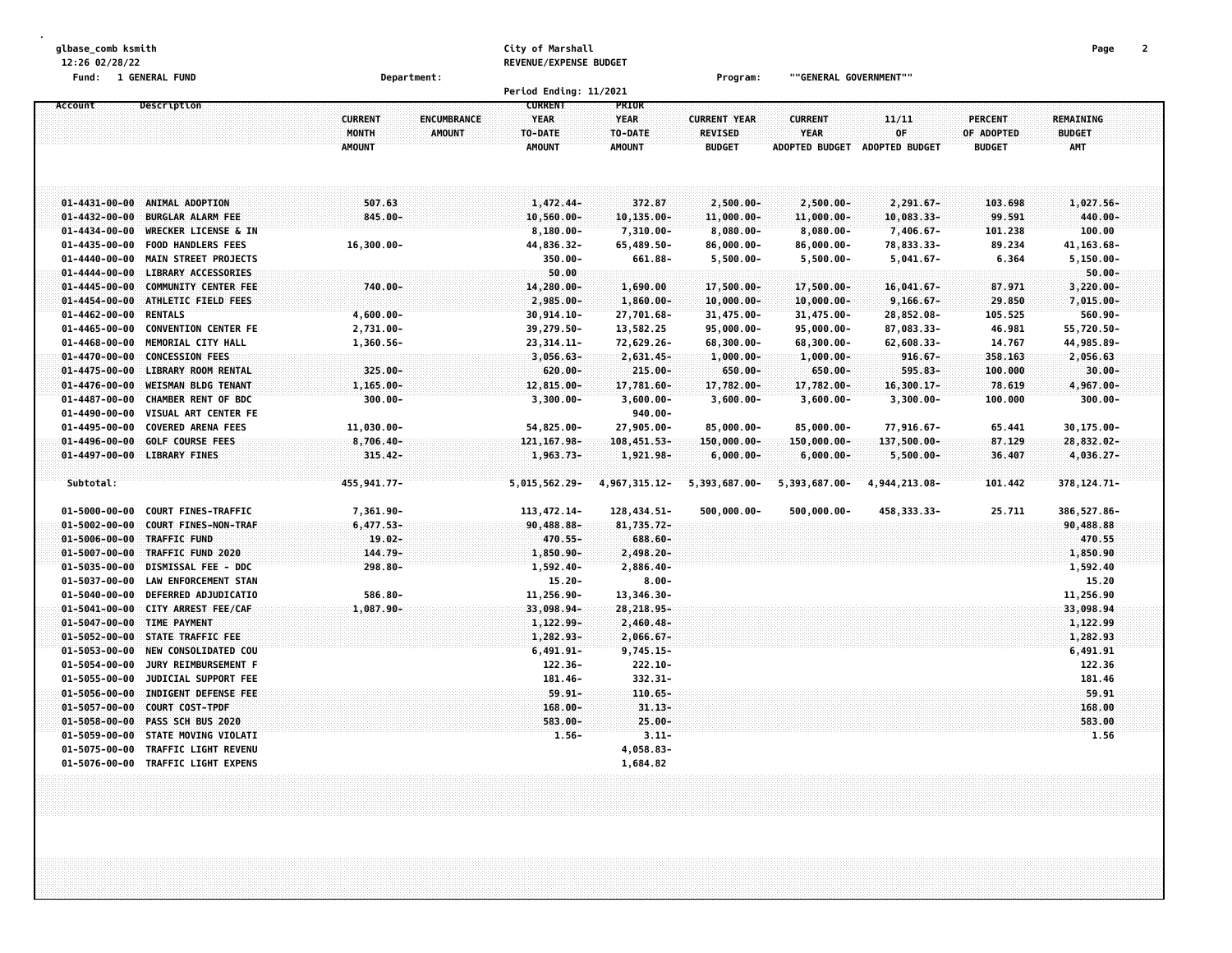| glbase_comb ksmith                                       |                                      | City of Marshall       |                 |                     |                        |                |                | Page          | 2 |
|----------------------------------------------------------|--------------------------------------|------------------------|-----------------|---------------------|------------------------|----------------|----------------|---------------|---|
| 12:26 02/28/22                                           |                                      | REVENUE/EXPENSE BUDGET |                 |                     |                        |                |                |               |   |
| Fund: 1 GENERAL FUND                                     | Department:                          |                        |                 | Program:            | ""GENERAL GOVERNMENT"" |                |                |               |   |
|                                                          |                                      | Period Ending: 11/2021 |                 |                     |                        |                |                |               |   |
| Description<br>Account                                   |                                      | <b>CURRENT</b>         | PRIOR           |                     |                        |                |                |               |   |
|                                                          | <b>CURRENT</b><br><b>ENCUMBRANCE</b> | <b>YEAR</b>            | <b>YEAR</b>     | <b>CURRENT YEAR</b> | <b>CURRENT</b>         | 11/11          | <b>PERCENT</b> | REMAINING     |   |
|                                                          | MONTH<br><b>AMOUNT</b>               | TO-DATE                | TO-DATE         | REVISED             | <b>YEAR</b>            | OF             | OF ADOPTED     | <b>BUDGET</b> |   |
|                                                          | <b>AMOUNT</b>                        | <b>AMOUNT</b>          | <b>AMOUNT</b>   | <b>BUDGET</b>       | <b>ADOPTED BUDGET</b>  | ADOPTED BUDGET | <b>BUDGET</b>  | <b>AMT</b>    |   |
|                                                          |                                      |                        |                 |                     |                        |                |                |               |   |
|                                                          |                                      |                        |                 |                     |                        |                |                |               |   |
| $01 - 4431 - 00 - 00$<br>ANIMAL ADOPTION                 | 507.63                               | 1,472,44-              | 372.87          | $2,500.00 -$        | $2,500.00 -$           | 2,291.67-      | 103.698        | 1,027.56-     |   |
| $01 - 4432 - 00 - 00$<br><b>BURGLAR ALARM FEE</b>        | 845.00-                              | $10,560.00 -$          | 10,135.00-      | 11,000.00-          | $11,000.00 -$          | 10,083.33-     | 99.591         | 440.00-       |   |
| $01 - 4434 - 00 - 00$<br><b>WRECKER LICENSE &amp; IN</b> |                                      | $8,180.00 -$           | $7,310.00 -$    | $8,080.00 -$        | $8,080.00 -$           | $7,406.67 -$   | 101.238        | 100.00        |   |
| $01 - 4435 - 00 - 00$<br><b>FOOD HANDLERS FEES</b>       | $16,300.00 -$                        | 44,836.32-             | 65,489.50-      | $86,000.00 -$       | $86,000.00 -$          | 78,833.33-     | 89.234         | 41, 163.68-   |   |
| $01 - 4440 - 00 - 00$<br><b>MAIN STREET PROJECTS</b>     |                                      | $350.00 -$             | 661.88-         | $5,500.00 -$        | $5,500.00 -$           | $5,041.67 -$   | 6.364          | $5, 150.00 -$ |   |
| $01 - 4444 - 00 - 00$<br><b>LIBRARY ACCESSORIES</b>      |                                      | 50.00                  |                 |                     |                        |                |                | $50.00 -$     |   |
| $01 - 4445 - 00 - 00$<br><b>COMMUNITY CENTER FEE</b>     | 740.00-                              | 14,280.00-             | 1,690.00        | 17,500.00-          | 17,500.00-             | $16,041.67 -$  | 87.971         | 3,220.00-     |   |
| $01 - 4454 - 00 - 00$<br><b>ATHLETIC FIELD FEES</b>      |                                      | 2,985.00-              | $1,860.00 -$    | $10,000.00 -$       | $10,000.00 -$          | $9,166.67 -$   | 29.850         | $7,015.00 -$  |   |
| <b>RENTALS</b><br>$01 - 4462 - 00 - 00$                  | $4,600.00 -$                         | $30, 914.10 -$         | 27,701.68-      | 31,475.00-          | 31,475.00-             | 28,852.08-     | 105.525        | $560.90 -$    |   |
| <b>CONVENTION CENTER FE</b><br>$01 - 4465 - 00 - 00$     | 2,731.00-                            | 39,279.50-             | 13,582.25       | 95,000.00-          | 95,000.00-             | 87,083.33-     | 46.981         | 55,720.50-    |   |
| $01 - 4468 - 00 - 00$<br>MEMORIAL CITY HALL              | 1,360.56-                            | 23, 314. 11-           | 72,629.26-      | 68,300.00-          | 68,300.00-             | 62,608.33-     | 14.767         | 44,985.89-    |   |
| <b>CONCESSION FEES</b><br>$01 - 4470 - 00 - 00$          |                                      | $3,056.63-$            | 2,631.45-       | $1,000.00 -$        | $1,000.00 -$           | $916.67 -$     | 358.163        | 2,056.63      |   |
| $01 - 4475 - 00 - 00$<br><b>LIBRARY ROOM RENTAL</b>      | 325.00-                              | $620.00 -$             | $215.00 -$      | $650.00 -$          | $650.00 -$             | $595.83 -$     | 100.000        | $30.00 -$     |   |
| <b>WEISMAN BLDG TENANT</b><br>$01 - 4476 - 00 - 00$      | 1,165.00-                            | 12,815.00-             | 17,781.60-      | 17,782.00-          | 17,782.00-             | $16,300.17-$   | 78.619         | 4,967.00-     |   |
| <b>CHAMBER RENT OF BDC</b><br>$01 - 4487 - 00 - 00$      | $300.00 -$                           | $3,300.00 -$           | $3,600.00 -$    | $3,600.00 -$        | $3,600.00 -$           | $3,300.00 -$   | 100.000        | $300.00 -$    |   |
| $01 - 4490 - 00 - 00$<br>VISUAL ART CENTER FE            |                                      |                        | $940.00 -$      |                     |                        |                |                |               |   |
| $01 - 4495 - 00 - 00$<br><b>COVERED ARENA FEES</b>       | 11,030.00-                           | 54,825.00-             | 27,905.00-      | 85,000.00-          | 85,000.00-             | 77,916.67-     | 65.441         | 30,175.00-    |   |
| $01 - 4496 - 00 - 00$<br><b>GOLF COURSE FEES</b>         | $8,706.40 -$                         | 121, 167.98-           | $108,451.53-$   | $150,000.00 -$      | $150,000.00 -$         | 137,500.00-    | 87.129         | 28,832.02-    |   |
| $01 - 4497 - 00 - 00$<br><b>LIBRARY FINES</b>            | $315.42 -$                           | 1,963.73-              | 1,921.98-       | $6,000.00-$         | $6,000.00-$            | $5,500.00 -$   | 36.407         | 4,036.27-     |   |
| Subtotal:                                                | 455,941.77-                          |                        |                 |                     |                        |                |                |               |   |
|                                                          |                                      | 5,015,562.29-          | 4, 967, 315.12- | 5,393,687.00-       | 5,393,687.00-          | 4,944,213.08-  | 101.442        | 378, 124. 71- |   |
| $01 - 5000 - 00 - 00$<br>COURT FINES-TRAFFIC             | 7,361.90-                            | 113, 472. 14-          | 128,434.51-     | $500,000.00 -$      | $500,000.00$ -         | 458, 333. 33-  | 25.711         | 386, 527.86-  |   |
| $01 - 5002 - 00 - 00$<br>COURT FINES-NON-TRAF            | $6,477.53-$                          | 90,488.88-             | 81,735.72-      |                     |                        |                |                | 90,488.88     |   |
| $01 - 5006 - 00 - 00$<br>TRAFFIC FUND                    | $19.02 -$                            | 470.55-                | 688.60-         |                     |                        |                |                | 470.55        |   |
| $01 - 5007 - 00 - 00$<br>TRAFFIC FUND 2020               | 144.79-                              | 1,850.90-              | 2,498.20-       |                     |                        |                |                | 1,850.90      |   |
| $01 - 5035 - 00 - 00$<br><b>DISMISSAL FEE - DDC</b>      | $298.80 -$                           | $1,592.40 -$           | 2,886.40-       |                     |                        |                |                | 1,592.40      |   |
| $01 - 5037 - 00 - 00$<br><b>LAW ENFORCEMENT STAN</b>     |                                      | $15.20 -$              | $8.00 -$        |                     |                        |                |                | 15.20         |   |
| DEFERRED ADJUDICATIO<br>$01 - 5040 - 00 - 00$            | 586.80-                              | 11,256.90-             | 13,346.30-      |                     |                        |                |                | 11,256.90     |   |
| CITY ARREST FEE/CAF<br>$01 - 5041 - 00 - 00$             | $1,087.90 -$                         | 33,098.94-             | 28,218.95-      |                     |                        |                |                | 33,098.94     |   |
| TIME PAYMENT<br>$01 - 5047 - 00 - 00$                    |                                      | 1,122.99-              | $2,460.48-$     |                     |                        |                |                | 1,122.99      |   |
| $01 - 5052 - 00 - 00$<br>STATE TRAFFIC FEE               |                                      | 1,282.93-              | $2,066.67 -$    |                     |                        |                |                | 1,282.93      |   |
| $01 - 5053 - 00 - 00$<br><b>NEW CONSOLIDATED COU</b>     |                                      | $6,491.91-$            | $9,745.15-$     |                     |                        |                |                | 6,491.91      |   |
| $01 - 5054 - 00 - 00$<br>JURY REIMBURSEMENT F            |                                      | 122.36-                | $222.10 -$      |                     |                        |                |                | 122.36        |   |
| $01 - 5055 - 00 - 00$<br>JUDICIAL SUPPORT FEE            |                                      | 181.46-                | 332.31-         |                     |                        |                |                | 181.46        |   |
| INDIGENT DEFENSE FEE<br>$01 - 5056 - 00 - 00$            |                                      | $59.91 -$              | $110.65 -$      |                     |                        |                |                | 59.91         |   |
| 01-5057-00-00<br><b>COURT COST-TPDF</b>                  |                                      | $168,00 -$             | $31.13 -$       |                     |                        |                |                | 168.00        |   |
| $01 - 5058 - 00 - 00$<br>PASS SCH BUS 2020               |                                      | 583.00-                | $25.00 -$       |                     |                        |                |                | 583.00        |   |
| $01 - 5059 - 00 - 00$<br>STATE MOVING VIOLATI            |                                      | $1.56 -$               | $3.11 -$        |                     |                        |                |                | 1.56          |   |
| TRAFFIC LIGHT REVENU<br>$01 - 5075 - 00 - 00$            |                                      |                        | 4,058.83-       |                     |                        |                |                |               |   |
| $01 - 5076 - 00 - 00$<br>TRAFFIC LIGHT EXPENS            |                                      |                        | 1,684.82        |                     |                        |                |                |               |   |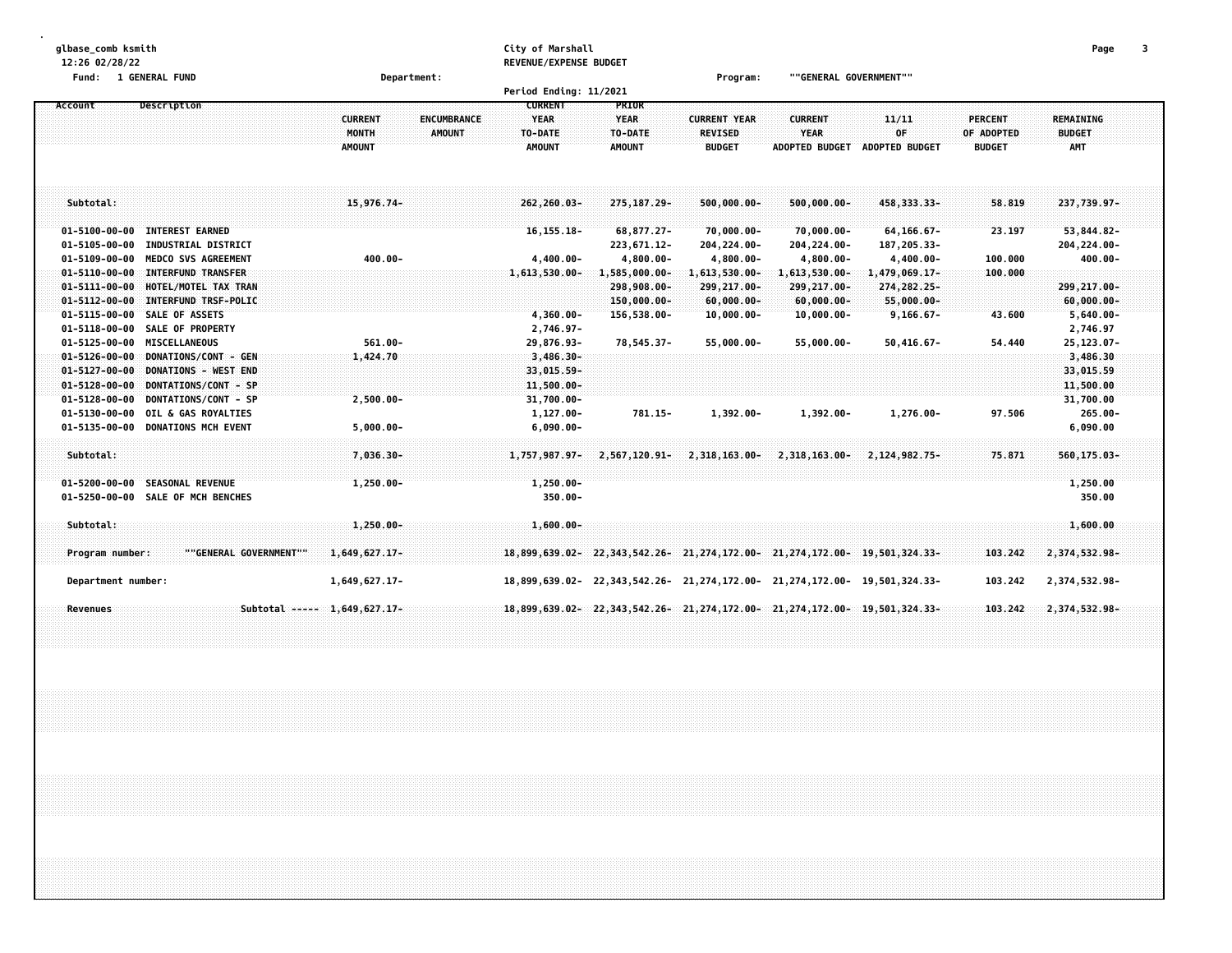| glbase_comb ksmith<br>12:26 02/28/22          |                                      | City of Marshall<br>REVENUE/EXPENSE BUDGET |                                                                        |                                 |                        |                       |                | Page             |  |
|-----------------------------------------------|--------------------------------------|--------------------------------------------|------------------------------------------------------------------------|---------------------------------|------------------------|-----------------------|----------------|------------------|--|
| Fund: 1 GENERAL FUND                          | Department:                          |                                            |                                                                        | Program:                        | ""GENERAL GOVERNMENT"" |                       |                |                  |  |
|                                               |                                      | Period Ending: 11/2021<br><b>CURRENT</b>   | PRIOR                                                                  |                                 |                        |                       |                |                  |  |
| Account<br>Description                        | <b>CURRENT</b><br><b>ENCUMBRANCE</b> | <b>YEAR</b>                                | <b>YEAR</b>                                                            | <b>CURRENT YEAR</b>             | <b>CURRENT</b>         | 11/11                 | <b>PERCENT</b> | <b>REMAINING</b> |  |
|                                               | MONTH<br><b>AMOUNT</b>               | TO-DATE                                    | TO-DATE                                                                | <b>REVISED</b>                  | YEAR                   | 0F                    | OF ADOPTED     | <b>BUDGET</b>    |  |
|                                               | <b>AMOUNT</b>                        | <b>AMOUNT</b>                              | <b>AMOUNT</b>                                                          | <b>BUDGET</b>                   | <b>ADOPTED BUDGET</b>  | <b>ADOPTED BUDGET</b> | <b>BUDGET</b>  | <b>AMT</b>       |  |
|                                               |                                      |                                            |                                                                        |                                 |                        |                       |                |                  |  |
| Subtotal:                                     | 15,976.74-                           | 262,260.03-                                | 275, 187, 29-                                                          | $500,000.00 -$                  | $500,000.00 -$         | 458, 333. 33-         | 58.819         | 237,739.97-      |  |
| 01-5100-00-00 INTEREST EARNED                 |                                      | $16, 155.18 -$                             | 68,877.27-                                                             | $70,000.00 -$                   | 70,000.00-             | 64, 166.67-           | 23.197         | 53,844.82-       |  |
| 01-5105-00-00 INDUSTRIAL DISTRICT             |                                      |                                            | 223,671.12-                                                            | 204, 224.00-                    | 204,224.00-            | 187, 205.33-          |                | 204, 224.00-     |  |
| 01-5109-00-00 MEDCO SVS AGREEMENT             | $400.00 -$                           | $4,400.00 -$                               | $4,800.00 -$                                                           | $4,800.00 -$                    | $4,800.00 -$           | $4,400.00 -$          | 100.000        | 400.00-          |  |
| 01-5110-00-00 INTERFUND TRANSFER              |                                      | 1,613,530.00-                              | 1,585,000.00-                                                          | 1,613,530.00-                   | $1,613,530.00 -$       | 1,479,069.17-         | 100.000        |                  |  |
| 01-5111-00-00 HOTEL/MOTEL TAX TRAN            |                                      |                                            | 298,908.00-                                                            | 299, 217.00-                    | 299,217.00-            | 274, 282. 25-         |                | 299,217.00-      |  |
| 01-5112-00-00 INTERFUND TRSF-POLIC            |                                      |                                            | 150,000.00-                                                            | $60,000.00 -$                   | $60,000,00 -$          | 55,000.00-            |                | $60,000.00 -$    |  |
| 01-5115-00-00 SALE OF ASSETS                  |                                      | 4,360.00-                                  | 156,538.00-                                                            | $10,000.00 -$                   | $10,000.00 -$          | $9,166.67 -$          | 43.600         | $5,640.00 -$     |  |
| 01-5118-00-00 SALE OF PROPERTY                |                                      | 2,746.97-                                  |                                                                        |                                 |                        |                       |                | 2,746.97         |  |
| 01-5125-00-00 MISCELLANEOUS                   | $561.00 -$                           | 29,876.93-                                 | 78,545.37-                                                             | 55,000.00-                      | $55,000.00 -$          | $50,416.67 -$         | 54.440         | 25,123.07-       |  |
| 01-5126-00-00 DONATIONS/CONT - GEN            | 1,424.70                             | $3,486,30-$                                |                                                                        |                                 |                        |                       |                | 3,486.30         |  |
| 01-5127-00-00 DONATIONS - WEST END            |                                      | $33,015.59 -$                              |                                                                        |                                 |                        |                       |                | 33,015.59        |  |
| DONTATIONS/CONT - SP<br>$01 - 5128 - 00 - 00$ |                                      | $11,500.00 -$                              |                                                                        |                                 |                        |                       |                | 11,500.00        |  |
| 01-5128-00-00 DONTATIONS/CONT - SP            | $2,500.00 -$                         | 31,700.00-                                 |                                                                        |                                 |                        |                       |                | 31,700.00        |  |
| 01-5130-00-00 OIL & GAS ROYALTIES             |                                      | 1,127.00-                                  | 781.15-                                                                | $1,392.00 -$                    | 1,392.00-              | 1,276.00-             | 97.506         | $265.00 -$       |  |
| 01-5135-00-00 DONATIONS MCH EVENT             | $5,000.00 -$                         | $6,090.00 -$                               |                                                                        |                                 |                        |                       |                | 6,090.00         |  |
| Subtotal:                                     | 7,036.30-                            | 1,757,987.97-                              |                                                                        | $2,567,120.91 - 2,318,163.00 -$ | 2,318,163.00-          | 2,124,982,75-         | 75.871         | 560,175.03-      |  |
| 01-5200-00-00 SEASONAL REVENUE                | 1,250.00-                            | $1,250.00 -$                               |                                                                        |                                 |                        |                       |                | 1,250.00         |  |
| 01-5250-00-00 SALE OF MCH BENCHES             |                                      | $350.00 -$                                 |                                                                        |                                 |                        |                       |                | 350.00           |  |
| Subtotal:                                     | $1,250.00 -$                         | $1,600.00 -$                               |                                                                        |                                 |                        |                       |                | 1,600.00         |  |
| Program number:<br>""GENERAL GOVERNMENT""     | 1,649,627.17-                        |                                            | 18,899,639,02-22,343,542,26-21,274,172,00-21,274,172,00-19,501,324,33- |                                 |                        |                       | 103.242        | 2,374,532.98-    |  |
| Department number:                            | 1,649,627.17-                        |                                            | 18,899,639.02-22,343,542.26-21,274,172.00-21,274,172.00-19,501,324.33- |                                 |                        |                       | 103.242        | 2,374,532.98-    |  |
| Revenues                                      | Subtotal ----- 1,649,627.17-         |                                            | 18,899,639.02-22,343,542.26-21,274,172.00-21,274,172.00-19,501,324.33- |                                 |                        |                       | 103.242        | 2,374,532.98-    |  |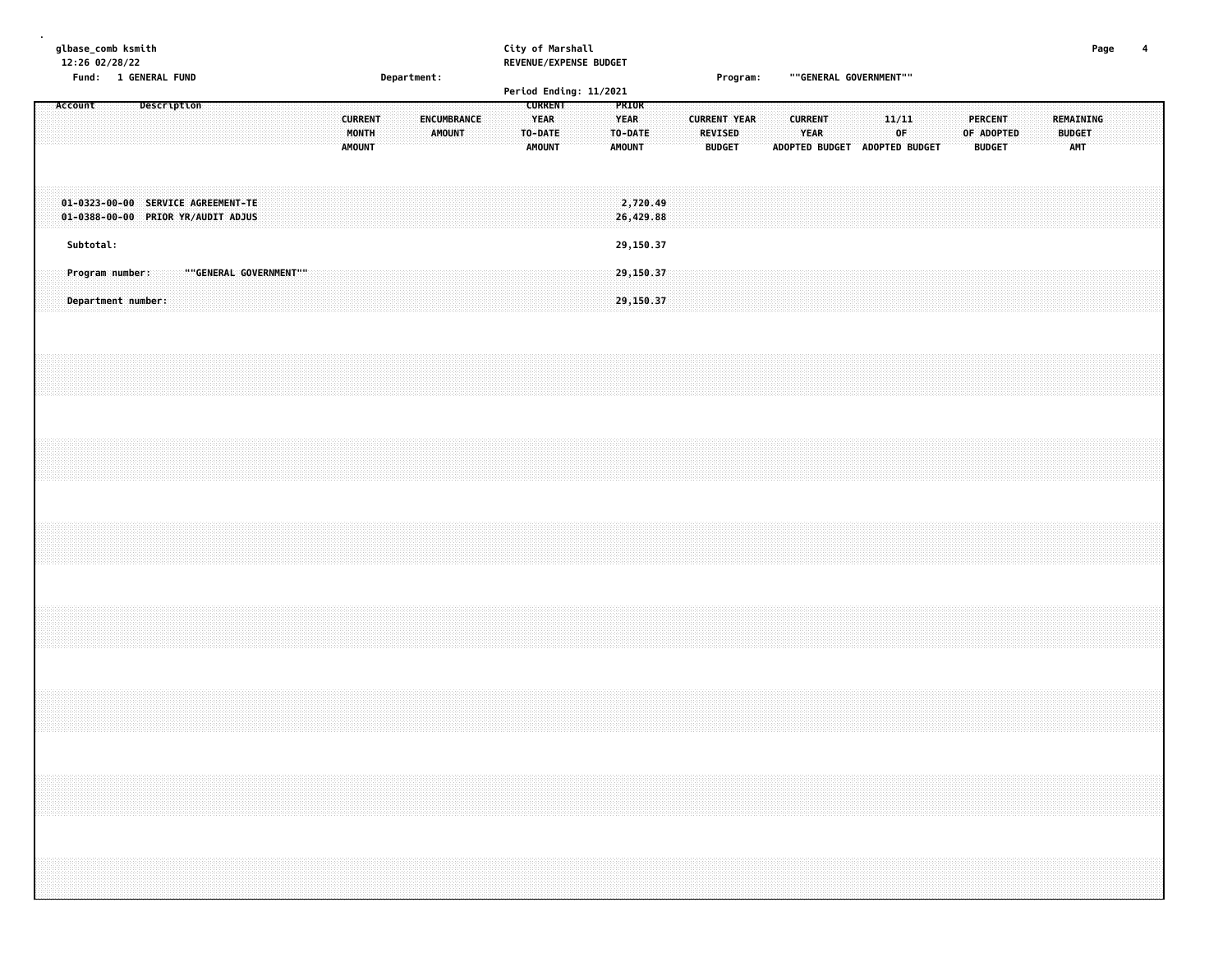|         |           | glbase_comb ksmith<br>12:26 02/28/22<br>Fund: 1 GENERAL FUND |             |                                                                          |  |  |  |  |               |                         | Department: |                                     |  |                                                           | City of Marshall | REVENUE/EXPENSE BUDGET |                                                  |                        |  |                                                        | Program: |  | ""GENERAL GOVERNMENT""                                         |  |              |  |                                                                                                                                                                      |  |                                          | Page | 4 |
|---------|-----------|--------------------------------------------------------------|-------------|--------------------------------------------------------------------------|--|--|--|--|---------------|-------------------------|-------------|-------------------------------------|--|-----------------------------------------------------------|------------------|------------------------|--------------------------------------------------|------------------------|--|--------------------------------------------------------|----------|--|----------------------------------------------------------------|--|--------------|--|----------------------------------------------------------------------------------------------------------------------------------------------------------------------|--|------------------------------------------|------|---|
|         |           |                                                              |             |                                                                          |  |  |  |  |               |                         |             |                                     |  |                                                           |                  | Period Ending: 11/2021 |                                                  |                        |  |                                                        |          |  |                                                                |  |              |  |                                                                                                                                                                      |  |                                          |      |   |
| Account |           |                                                              | Description |                                                                          |  |  |  |  | <b>AMOUNT</b> | <b>CURRENT</b><br>MONTH |             | <b>ENCUMBRANCE</b><br><b>AMOUNT</b> |  | <b>CURRENT</b><br><b>YEAR</b><br>TO-DATE<br><b>AMOUNT</b> |                  |                        | PRIOR<br><b>YEAR</b><br>TO-DATE<br><b>AMOUNT</b> |                        |  | <b>CURRENT YEAR</b><br><b>REVISED</b><br><b>BUDGET</b> |          |  | <b>CURRENT</b><br><b>YEAR</b><br>ADOPTED BUDGET ADOPTED BUDGET |  | 11/11<br>0F. |  | PERCENT<br>OF ADOPTED<br><b>BUDGET</b>                                                                                                                               |  | REMAINING<br><b>BUDGET</b><br><b>AMT</b> |      |   |
|         |           |                                                              |             | 01-0323-00-00 SERVICE AGREEMENT-TE<br>01-0388-00-00 PRIOR YR/AUDIT ADJUS |  |  |  |  |               |                         |             |                                     |  |                                                           |                  |                        |                                                  | 2,720.49<br>26,429.88  |  |                                                        |          |  |                                                                |  |              |  |                                                                                                                                                                      |  |                                          |      |   |
|         | Subtotal: |                                                              |             |                                                                          |  |  |  |  |               |                         |             |                                     |  |                                                           |                  |                        |                                                  | 29,150.37              |  |                                                        |          |  |                                                                |  |              |  |                                                                                                                                                                      |  |                                          |      |   |
|         |           | Program number:<br>Department number:                        |             | ""GENERAL GOVERNMENT""                                                   |  |  |  |  |               |                         |             |                                     |  |                                                           |                  |                        |                                                  | 29,150.37<br>29,150.37 |  |                                                        |          |  |                                                                |  |              |  |                                                                                                                                                                      |  |                                          |      |   |
|         |           |                                                              |             |                                                                          |  |  |  |  |               |                         |             |                                     |  |                                                           |                  |                        |                                                  |                        |  |                                                        |          |  |                                                                |  |              |  |                                                                                                                                                                      |  |                                          |      |   |
|         |           |                                                              |             |                                                                          |  |  |  |  |               |                         |             |                                     |  |                                                           |                  |                        |                                                  |                        |  |                                                        |          |  |                                                                |  |              |  |                                                                                                                                                                      |  |                                          |      |   |
|         |           |                                                              |             |                                                                          |  |  |  |  |               |                         |             |                                     |  |                                                           |                  |                        |                                                  |                        |  |                                                        |          |  |                                                                |  |              |  |                                                                                                                                                                      |  |                                          |      |   |
|         |           |                                                              |             |                                                                          |  |  |  |  |               |                         |             |                                     |  |                                                           |                  |                        |                                                  |                        |  |                                                        |          |  |                                                                |  |              |  |                                                                                                                                                                      |  |                                          |      |   |
|         |           |                                                              |             |                                                                          |  |  |  |  |               |                         |             |                                     |  |                                                           |                  |                        |                                                  |                        |  |                                                        |          |  |                                                                |  |              |  |                                                                                                                                                                      |  |                                          |      |   |
|         |           |                                                              |             |                                                                          |  |  |  |  |               |                         |             |                                     |  |                                                           |                  |                        |                                                  |                        |  |                                                        |          |  |                                                                |  |              |  | ,我们就会在这里,我们就会在这里,我们就会在这里,我们就会在这里,我们就会在这里,我们就会在这里,我们就会在这里,我们就会在这里,我们就会在这里,我们就会在这里<br>第一章 一个人的话,我们就会在这里,我们就会在这里,我们就会在这里,我们就会在这里,我们就会在这里,我们就会在这里,我们就会在这里,我们就会在这里,我们就会在这 |  |                                          |      |   |
|         |           |                                                              |             |                                                                          |  |  |  |  |               |                         |             |                                     |  |                                                           |                  |                        |                                                  |                        |  |                                                        |          |  |                                                                |  |              |  |                                                                                                                                                                      |  |                                          |      |   |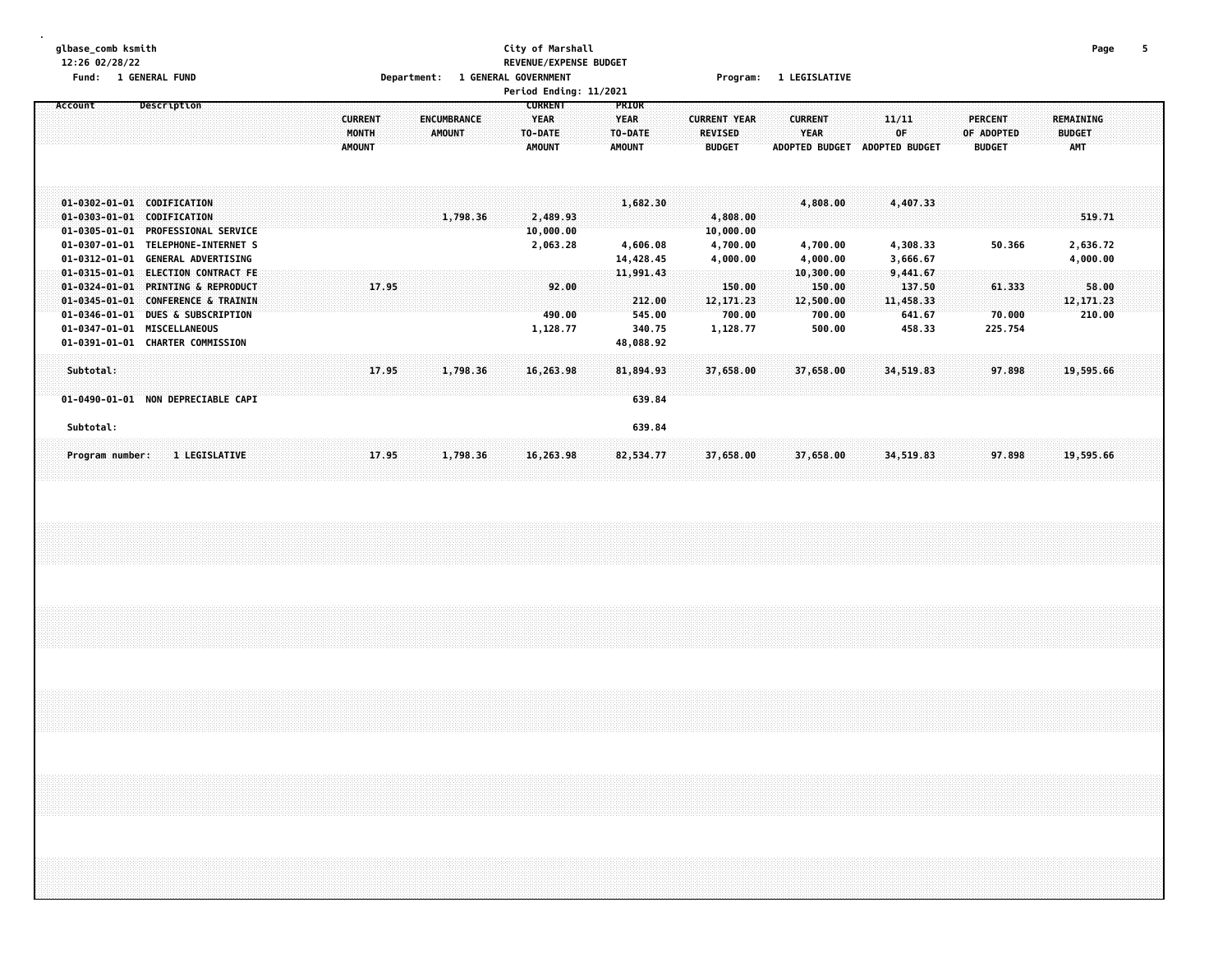#### **glbase\_comb ksmith City of Marshall Page 5 12:26 02/28/22 REVENUE/EXPENSE BUDGET Fund: 1 GENERAL FUND Department: 1 GENERAL GOVERNMENT Program: 1 LEGISLATIVE**

|                                                                                                  |                                                                                                                                 |                                                 |                              | Period Ending: 11/2021                             |                                                  |                                                        |                                                        |                                             |                                        |                                          |  |
|--------------------------------------------------------------------------------------------------|---------------------------------------------------------------------------------------------------------------------------------|-------------------------------------------------|------------------------------|----------------------------------------------------|--------------------------------------------------|--------------------------------------------------------|--------------------------------------------------------|---------------------------------------------|----------------------------------------|------------------------------------------|--|
| Account                                                                                          | Description                                                                                                                     | <b>CURRENT</b><br><b>MONTH</b><br><b>AMOUNT</b> | ENCUMBRANCE<br><b>AMOUNT</b> | <b>CURRENT</b><br>YEAR<br>TO-DATE<br><b>AMOUNT</b> | <b>PRIOR</b><br>YEAR<br>TO-DATE<br><b>AMOUNT</b> | <b>CURRENT YEAR</b><br><b>REVISED</b><br><b>BUDGET</b> | <b>CURRENT</b><br><b>YEAR</b><br><b>ADOPTED BUDGET</b> | 11/11<br>0F.<br>ADOPTED BUDGET              | PERCENT<br>OF ADOPTED<br><b>BUDGET</b> | REMAINING<br><b>BUDGET</b><br><b>AMT</b> |  |
| $01 - 0303 - 01 - 01$<br>$01 - 0305 - 01 - 01$<br>$01 - 0307 - 01 - 01$                          | 01-0302-01-01 CODIFICATION<br>CODIFICATION<br><b>PROFESSIONAL SERVICE</b><br>TELEPHONE-INTERNET S                               |                                                 | 1,798.36                     | 2,489.93<br>10,000.00<br>2,063.28                  | 1,682.30<br>4,606.08                             | 4,808.00<br>10,000.00<br>4,700.00                      | 4,808.00<br>4,700.00                                   | 4,407.33<br>4,308.33                        | 50.366                                 | 519.71<br>2,636.72                       |  |
| $01 - 0312 - 01 - 01$<br>$01 - 0315 - 01 - 01$<br>$01 - 0324 - 01 - 01$<br>$01 - 0345 - 01 - 01$ | <b>GENERAL ADVERTISING</b><br><b>ELECTION CONTRACT FE</b><br><b>PRINTING &amp; REPRODUCT</b><br><b>CONFERENCE &amp; TRAININ</b> |                                                 | 17.95                        | 92.00                                              | 14,428.45<br>11,991.43<br>212.00                 | 4,000.00<br>150.00<br>12, 171, 23                      | 4,000.00<br>10, 300.00<br>150.00<br>12,500.00          | 3,666.67<br>9,441.67<br>137.50<br>11,458.33 | 61.333                                 | 4,000.00<br>58.00<br>12, 171, 23         |  |
| $01 - 0346 - 01 - 01$<br>$01 - 0347 - 01 - 01$<br>$01 - 0391 - 01 - 01$                          | <b>DUES &amp; SUBSCRIPTION</b><br><b>MISCELLANEOUS</b><br><b>CHARTER COMMISSION</b>                                             |                                                 |                              | 490.00<br>1,128.77                                 | 545.00<br>340.75<br>48,088.92                    | 700.00<br>1,128.77                                     | 700.00<br>500.00                                       | 641.67<br>458.33                            | 70.000<br>225.754                      | 210.00                                   |  |
| Subtotal:<br>Subtotal:                                                                           | 01-0490-01-01 NON DEPRECIABLE CAPI                                                                                              |                                                 | 17.95<br>1,798.36            | 16,263.98                                          | 81,894.93<br>639.84<br>639.84                    | 37,658.00                                              | 37,658.00                                              | 34,519.83                                   | 97.898                                 | 19,595.66                                |  |
| Program number:                                                                                  | <b>1 LEGISLATIVE</b>                                                                                                            |                                                 | 17.95<br>1,798.36            | 16,263.98                                          | 82,534.77                                        | 37,658.00                                              | 37,658.00                                              | 34,519.83                                   | 97.898                                 | 19,595.66                                |  |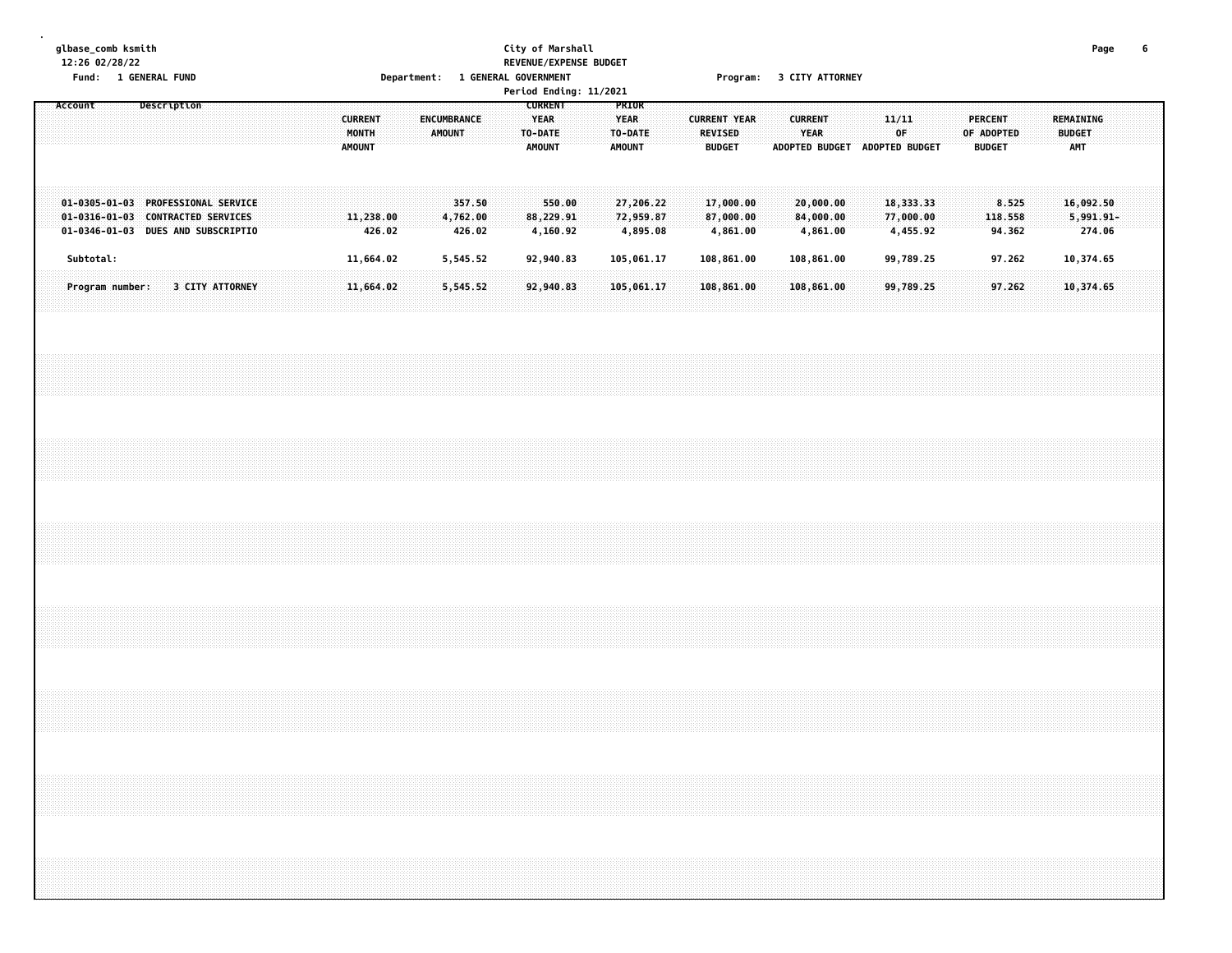#### **glbase\_comb ksmith City of Marshall Page 6 12:26 02/28/22 REVENUE/EXPENSE BUDGET** Fund: 1 GENERAL FUND CONTENT DEPARTMENT: 1 GENERAL GOVERNMENT COMPROMISE THE PROGRAM PROGRAM STATTORNEY

|                                                                         |           |                 | Description |                        |  |  |                         |        |                       |                    |        |  | <b>CURRENT</b>         |                       | Period Ending: 11/2021 |                                 |  |                                       |  |                |                        |                               |                        |  |                              |                  |  |                            |        |  |
|-------------------------------------------------------------------------|-----------|-----------------|-------------|------------------------|--|--|-------------------------|--------|-----------------------|--------------------|--------|--|------------------------|-----------------------|------------------------|---------------------------------|--|---------------------------------------|--|----------------|------------------------|-------------------------------|------------------------|--|------------------------------|------------------|--|----------------------------|--------|--|
| Account                                                                 |           |                 |             |                        |  |  | <b>CURRENT</b><br>MONTH |        | ENCUMBRANCE<br>AMOUNT |                    |        |  | <b>YEAR</b><br>TO-DATE |                       |                        | PRIOR<br><b>YEAR</b><br>TO-DATE |  | <b>CURRENT YEAR</b><br><b>REVISED</b> |  | <b>CURRENT</b> | <b>YEAR</b>            |                               | 11/11<br>OF            |  | <b>PERCENT</b><br>OF ADOPTED |                  |  | REMAINING<br><b>BUDGET</b> |        |  |
|                                                                         |           |                 |             |                        |  |  | <b>AMOUNT</b>           |        |                       |                    |        |  | <b>AMOUNT</b>          |                       |                        | <b>AMOUNT</b>                   |  | <b>BUDGET</b>                         |  |                |                        | ADOPTED BUDGET ADOPTED BUDGET |                        |  | <b>BUDGET</b>                |                  |  | <b>AMT</b>                 |        |  |
| 01-0305-01-03 PROFESSIONAL SERVICE<br>01-0316-01-03 CONTRACTED SERVICES |           |                 |             |                        |  |  | 11,238.00               |        |                       | 4,762.00           | 357.50 |  |                        | 550.00<br>88,229.91   |                        | 27,206.22<br>72,959.87          |  | 17,000.00<br>87,000.00                |  |                | 20,000.00<br>84,000.00 |                               | 18,333.33<br>77,000.00 |  |                              | 8.525<br>118.558 |  | 16,092.50<br>$5,991.91 -$  |        |  |
| 01-0346-01-03 DUES AND SUBSCRIPTIO                                      | Subtotal: |                 |             |                        |  |  | 11,664.02               | 426.02 |                       | 426.02<br>5,545.52 |        |  |                        | 4,160.92<br>92,940.83 |                        | 4,895.08<br>105,061.17          |  | 4,861.00<br>108,861.00                |  |                | 4,861.00<br>108,861.00 |                               | 4,455.92<br>99,789.25  |  |                              | 94.362<br>97.262 |  | 10,374.65                  | 274.06 |  |
|                                                                         |           | Program number: |             | <b>3 CITY ATTORNEY</b> |  |  | 11,664.02               |        |                       | 5,545.52           |        |  |                        | 92,940.83             |                        | 105,061.17                      |  | 108,861.00                            |  |                | 108,861.00             |                               | 99,789.25              |  |                              | 97.262           |  | 10,374.65                  |        |  |
|                                                                         |           |                 |             |                        |  |  |                         |        |                       |                    |        |  |                        |                       |                        |                                 |  |                                       |  |                |                        |                               |                        |  |                              |                  |  |                            |        |  |
|                                                                         |           |                 |             |                        |  |  |                         |        |                       |                    |        |  |                        |                       |                        |                                 |  |                                       |  |                |                        |                               |                        |  |                              |                  |  |                            |        |  |
|                                                                         |           |                 |             |                        |  |  |                         |        |                       |                    |        |  |                        |                       |                        |                                 |  |                                       |  |                |                        |                               |                        |  |                              |                  |  |                            |        |  |
|                                                                         |           |                 |             |                        |  |  |                         |        |                       |                    |        |  |                        |                       |                        |                                 |  |                                       |  |                |                        |                               |                        |  |                              |                  |  |                            |        |  |
|                                                                         |           |                 |             |                        |  |  |                         |        |                       |                    |        |  |                        |                       |                        |                                 |  |                                       |  |                |                        |                               |                        |  |                              |                  |  |                            |        |  |
|                                                                         |           |                 |             |                        |  |  |                         |        |                       |                    |        |  |                        |                       |                        |                                 |  |                                       |  |                |                        |                               |                        |  |                              |                  |  |                            |        |  |
|                                                                         |           |                 |             |                        |  |  |                         |        |                       |                    |        |  |                        |                       |                        |                                 |  |                                       |  |                |                        |                               |                        |  |                              |                  |  |                            |        |  |
|                                                                         |           |                 |             |                        |  |  |                         |        |                       |                    |        |  |                        |                       |                        |                                 |  |                                       |  |                |                        |                               |                        |  |                              |                  |  |                            |        |  |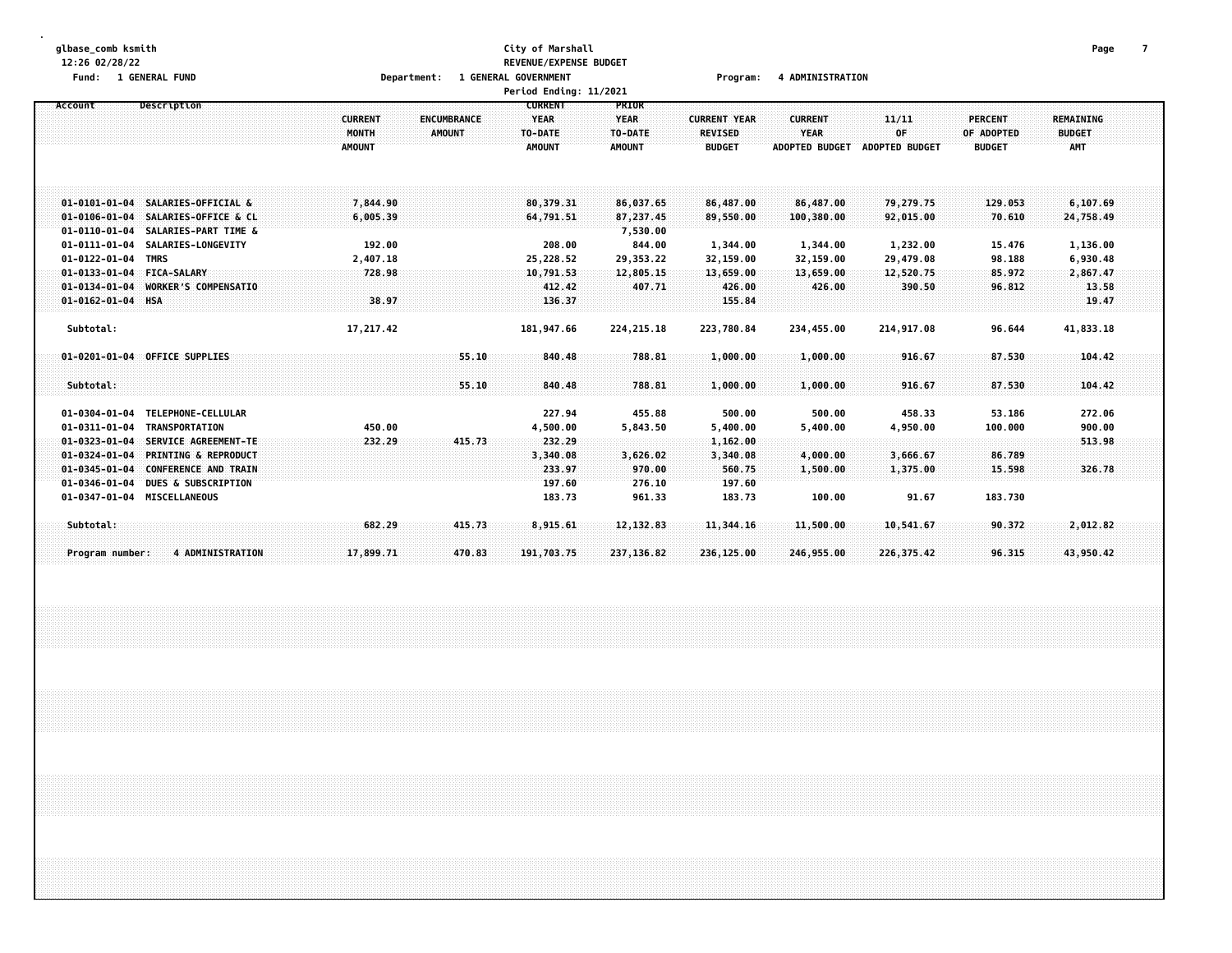#### **glbase\_comb ksmith City of Marshall Page 7 12:26 02/28/22 REVENUE/EXPENSE BUDGET Fund: 1 GENERAL FUND Department: 1 GENERAL GOVERNMENT Program: 4 ADMINISTRATION**

|                                                          |                                      | Period Ending: 11/2021 |              |                     |                       |                       |                |                  |  |
|----------------------------------------------------------|--------------------------------------|------------------------|--------------|---------------------|-----------------------|-----------------------|----------------|------------------|--|
| Description<br>Account                                   |                                      | <b>CURRENT</b>         | PRIOR        |                     |                       |                       |                |                  |  |
|                                                          | <b>CURRENT</b><br><b>ENCUMBRANCE</b> | <b>YEAR</b>            | <b>YEAR</b>  | <b>CURRENT YEAR</b> | <b>CURRENT</b>        | 11/11                 | <b>PERCENT</b> | <b>REMAINING</b> |  |
|                                                          | MONTH<br>AMOUNT                      | TO-DATE                | TO-DATE      | <b>REVISED</b>      | <b>YEAR</b>           | 0F                    | OF ADOPTED     | <b>BUDGET</b>    |  |
|                                                          | <b>AMOUNT</b>                        | <b>AMOUNT</b>          | AMOUNT       | <b>BUDGET</b>       | <b>ADOPTED BUDGET</b> | <b>ADOPTED BUDGET</b> | <b>BUDGET</b>  | <b>AMT</b>       |  |
|                                                          |                                      |                        |              |                     |                       |                       |                |                  |  |
|                                                          |                                      |                        |              |                     |                       |                       |                |                  |  |
|                                                          |                                      |                        |              |                     |                       |                       |                |                  |  |
| 01-0101-01-04 SALARIES-OFFICIAL &                        | 7,844.90                             | 80,379,31              | 86,037.65    | 86,487.00           | 86,487.00             | 79,279.75             | 129.053        | 6,107.69         |  |
| 01-0106-01-04 SALARIES-OFFICE & CL                       | 6,005.39                             | 64,791.51              | 87,237.45    | 89,550.00           | 100,380.00            | 92,015.00             | 70.610         | 24,758.49        |  |
| 01-0110-01-04 SALARIES-PART TIME &                       |                                      |                        | 7,530.00     |                     |                       |                       |                |                  |  |
| 01-0111-01-04 SALARIES-LONGEVITY                         | 192.00                               | 208.00                 | 844.00       | 1,344.00            | 1,344.00              | 1,232.00              | 15.476         | 1,136.00         |  |
| 01-0122-01-04 TMRS                                       | 2,407.18                             | 25,228.52              | 29,353.22    | 32,159.00           | 32,159.00             | 29,479.08             | 98.188         | 6,930.48         |  |
| 01-0133-01-04 FICA-SALARY                                | 728.98                               | 10,791.53              | 12,805.15    | 13,659.00           | 13,659.00             | 12,520.75             | 85.972         | 2,867.47         |  |
| $01 - 0134 - 01 - 04$<br>WORKER'S COMPENSATIO            |                                      | 412.42                 | 407.71       | 426.00              | 426.00                | 390.50                | 96.812         | 13.58            |  |
| 01-0162-01-04 HSA                                        | 38.97                                | 136.37                 |              | 155.84              |                       |                       |                | 19.47            |  |
|                                                          |                                      |                        |              |                     |                       |                       |                |                  |  |
| Subtotal:                                                | 17,217.42                            | 181,947.66             | 224, 215. 18 | 223,780.84          | 234,455.00            | 214,917.08            | 96.644         | 41,833.18        |  |
|                                                          |                                      |                        |              |                     |                       |                       |                |                  |  |
| 01-0201-01-04 OFFICE SUPPLIES                            | 55.10                                | 840,48                 | 788.81       | 1,000.00            | 1,000.00              | 916.67                | 87.530         | 104.42           |  |
|                                                          |                                      |                        |              |                     |                       |                       |                |                  |  |
| Subtotal:                                                | 55.10                                | 840.48                 | 788.81       | 1,000.00            | 1,000.00              | 916.67                | 87.530         | 104.42           |  |
|                                                          |                                      |                        |              |                     |                       |                       |                |                  |  |
| 01-0304-01-04 TELEPHONE-CELLULAR                         |                                      | 227.94                 | 455.88       | 500.00              | 500.00                | 458.33                | 53.186         | 272.06           |  |
| 01-0311-01-04<br>TRANSPORTATION                          | 450.00                               | 4,500.00               | 5,843.50     | 5,400.00            | 5,400.00              | 4,950.00              | 100.000        | 900.00           |  |
| $01 - 0323 - 01 - 04$<br>SERVICE AGREEMENT-TE            | 232.29<br>415.73                     | 232.29                 |              | 1,162.00            |                       |                       |                | 513.98           |  |
| $01 - 0324 - 01 - 04$<br><b>PRINTING &amp; REPRODUCT</b> |                                      | 3,340.08               | 3,626.02     | 3,340.08            | 4.000.00              | 3,666.67              | 86.789         |                  |  |
| $01 - 0345 - 01 - 04$<br><b>CONFERENCE AND TRAIN</b>     |                                      | 233.97                 | 970.00       |                     |                       |                       |                | 326.78           |  |
|                                                          |                                      |                        |              | 560.75              | 1,500.00              | 1,375.00              | 15.598         |                  |  |
| <b>DUES &amp; SUBSCRIPTION</b><br>$01 - 0346 - 01 - 04$  |                                      | 197.60                 | 276.10       | 197.60              |                       |                       |                |                  |  |
| 01-0347-01-04 MISCELLANEOUS                              |                                      | 183.73                 | 961.33       | 183.73              | 100.00                | 91.67                 | 183.730        |                  |  |
|                                                          |                                      |                        |              |                     |                       |                       |                |                  |  |
| Subtotal:                                                | 682.29<br>415.73                     | 8,915.61               | 12, 132.83   | 11,344.16           | 11,500.00             | 10,541.67             | 90.372         | 2,012.82         |  |
|                                                          |                                      |                        |              |                     |                       |                       |                |                  |  |
| <b>4 ADMINISTRATION</b><br>Program number:               | 17,899.71<br>470.83                  | 191,703.75             | 237,136.82   | 236,125.00          | 246,955.00            | 226, 375.42           | 96.315         | 43,950.42        |  |
|                                                          |                                      |                        |              |                     |                       |                       |                |                  |  |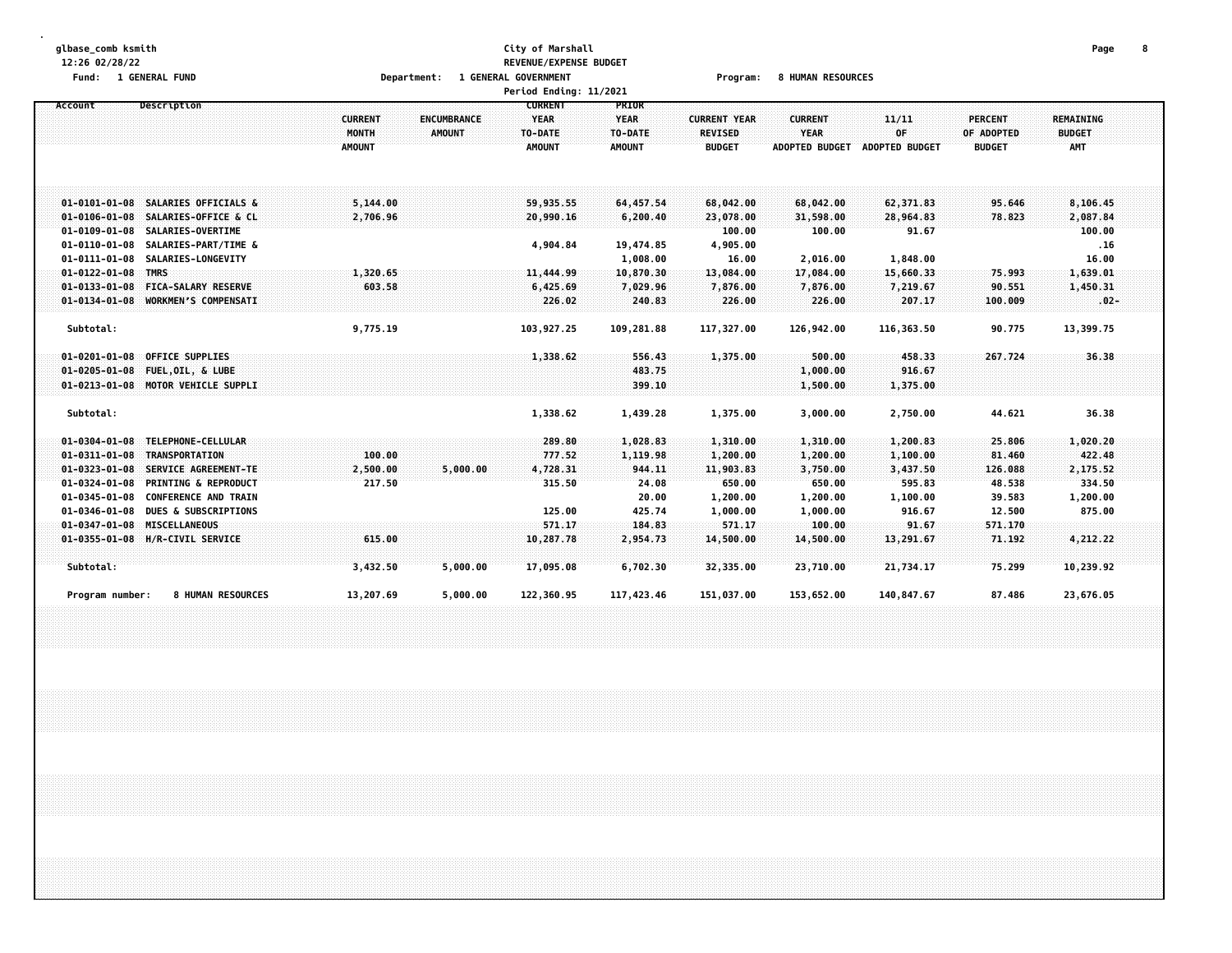#### **glbase\_comb ksmith City of Marshall Page 8 12:26 02/28/22 REVENUE/EXPENSE BUDGET Fund: 1 GENERAL FUND Department: 1 GENERAL GOVERNMENT Program: 8 HUMAN RESOURCES**

|                                                          |                |                    | Period Ending: 11/2021 |               |                     |                       |                |                |               |  |
|----------------------------------------------------------|----------------|--------------------|------------------------|---------------|---------------------|-----------------------|----------------|----------------|---------------|--|
| Description<br>Account                                   |                |                    | <b>CURRENT</b>         | PRIOR         |                     |                       |                |                |               |  |
|                                                          | <b>CURRENT</b> | <b>ENCUMBRANCE</b> | <b>YEAR</b>            | <b>YEAR</b>   | <b>CURRENT YEAR</b> | <b>CURRENT</b>        | 11/11          | <b>PERCENT</b> | REMAINING     |  |
|                                                          | MONTH          | <b>AMOUNT</b>      | TO-DATE                | TO-DATE       | <b>REVISED</b>      | <b>YEAR</b>           | 0F             | OF ADOPTED     | <b>BUDGET</b> |  |
|                                                          | <b>AMOUNT</b>  |                    | <b>AMOUNT</b>          | <b>AMOUNT</b> | <b>BUDGET</b>       | <b>ADOPTED BUDGET</b> | ADOPTED BUDGET | <b>BUDGET</b>  | <b>AMT</b>    |  |
|                                                          |                |                    |                        |               |                     |                       |                |                |               |  |
|                                                          |                |                    |                        |               |                     |                       |                |                |               |  |
|                                                          |                |                    |                        |               |                     |                       |                |                |               |  |
| 01-0101-01-08 SALARIES OFFICIALS &                       | 5,144.00       |                    | 59,935.55              | 64,457.54     | 68,042.00           | 68,042.00             | 62,371.83      | 95.646         | 8,106.45      |  |
| 01-0106-01-08 SALARIES-OFFICE & CL                       | 2,706.96       |                    | 20,990.16              | 6,200.40      | 23,078.00           | 31,598.00             | 28,964.83      | 78.823         | 2,087.84      |  |
| 01-0109-01-08 SALARIES-OVERTIME                          |                |                    |                        |               | 100.00              | 100.00                | 91.67          |                | 100.00        |  |
| $01 - 0110 - 01 - 08$<br>SALARIES-PART/TIME &            |                |                    | 4,904.84               | 19,474.85     | 4,905.00            |                       |                |                | .16           |  |
| $01 - 0111 - 01 - 08$<br><b>SALARIES-LONGEVITY</b>       |                |                    |                        | 1,008.00      | 16.00               | 2,016.00              | 1,848.00       |                | 16.00         |  |
| $01 - 0122 - 01 - 08$ TMRS                               | 1,320.65       |                    | 11,444.99              | 10,870.30     | 13,084.00           | 17,084.00             | 15,660.33      | 75.993         | 1,639.01      |  |
| 01-0133-01-08 FICA-SALARY RESERVE                        | 603.58         |                    | 6,425.69               | 7,029.96      | 7,876.00            | 7,876.00              | 7,219.67       | 90.551         | 1,450.31      |  |
| 01-0134-01-08 WORKMEN'S COMPENSATI                       |                |                    | 226.02                 | 240.83        | 226.00              | 226.00                | 207.17         | 100.009        | $.02 -$       |  |
|                                                          |                |                    |                        |               |                     |                       |                |                |               |  |
| Subtotal:                                                | 9,775.19       |                    | 103,927.25             | 109,281.88    | 117,327.00          | 126,942.00            | 116,363.50     | 90.775         | 13,399.75     |  |
|                                                          |                |                    |                        |               |                     |                       |                |                |               |  |
| $01 - 0201 - 01 - 08$<br><b>OFFICE SUPPLIES</b>          |                |                    | 1,338,62               | 556.43        | 1,375.00            | 500.00                | 458.33         | 267.724        | 36.38         |  |
| $01 - 0205 - 01 - 08$<br>FUEL, OIL, & LUBE               |                |                    |                        | 483.75        |                     | 1,000.00              | 916.67         |                |               |  |
| 01-0213-01-08 MOTOR VEHICLE SUPPLI                       |                |                    |                        | 399.10        |                     | 1,500.00              | 1,375.00       |                |               |  |
|                                                          |                |                    |                        |               |                     |                       |                |                |               |  |
| Subtotal:                                                |                |                    | 1,338.62               | 1,439.28      | 1,375.00            | 3,000.00              | 2,750.00       | 44.621         | 36.38         |  |
|                                                          |                |                    |                        |               |                     |                       |                |                |               |  |
| TELEPHONE-CELLULAR<br>$01 - 0304 - 01 - 08$              |                |                    | 289.80                 | 1,028.83      | 1,310.00            | 1,310.00              | 1,200.83       | 25.806         | 1,020.20      |  |
| $01 - 0311 - 01 - 08$<br><b>TRANSPORTATION</b>           | 100.00         |                    | 777.52                 | 1,119.98      | 1,200.00            | 1,200.00              | 1,100.00       | 81.460         | 422,48        |  |
| $01 - 0323 - 01 - 08$<br>SERVICE AGREEMENT-TE            | 2,500.00       | 5,000.00           | 4,728.31               | 944.11        | 11,903.83           | 3,750.00              | 3,437.50       | 126.088        | 2,175.52      |  |
| $01 - 0324 - 01 - 08$<br><b>PRINTING &amp; REPRODUCT</b> | 217.50         |                    | 315.50                 | 24.08         | 650.00              | 650.00                | 595.83         | 48.538         | 334.50        |  |
| <b>CONFERENCE AND TRAIN</b><br>$01 - 0345 - 01 - 08$     |                |                    |                        | 20.00         | 1,200.00            | 1,200.00              | 1,100.00       | 39.583         | 1,200.00      |  |
| $01 - 0346 - 01 - 08$<br><b>DUES &amp; SUBSCRIPTIONS</b> |                |                    | 125.00                 | 425.74        | 1,000.00            | 1,000.00              | 916.67         | 12.500         | 875.00        |  |
| $01 - 0347 - 01 - 08$<br>MISCELLANEOUS                   |                |                    | 571.17                 | 184.83        | 571.17              | 100.00                | 91.67          | 571.170        |               |  |
| 01-0355-01-08 H/R-CIVIL SERVICE                          | 615.00         |                    | 10,287.78              | 2,954.73      | 14,500.00           | 14,500.00             | 13,291.67      | 71.192         | 4,212.22      |  |
|                                                          |                |                    |                        |               |                     |                       |                |                |               |  |
| Subtotal:                                                | 3,432.50       | 5,000.00           | 17,095.08              | 6,702.30      | 32,335.00           | 23,710.00             | 21,734.17      | 75.299         | 10,239.92     |  |
|                                                          |                |                    |                        |               |                     |                       |                |                |               |  |
| <b>8 HUMAN RESOURCES</b><br>Program number:              | 13,207.69      | 5,000.00           | 122,360.95             | 117,423.46    | 151,037.00          | 153,652.00            | 140,847.67     | 87.486         | 23,676.05     |  |
|                                                          |                |                    |                        |               |                     |                       |                |                |               |  |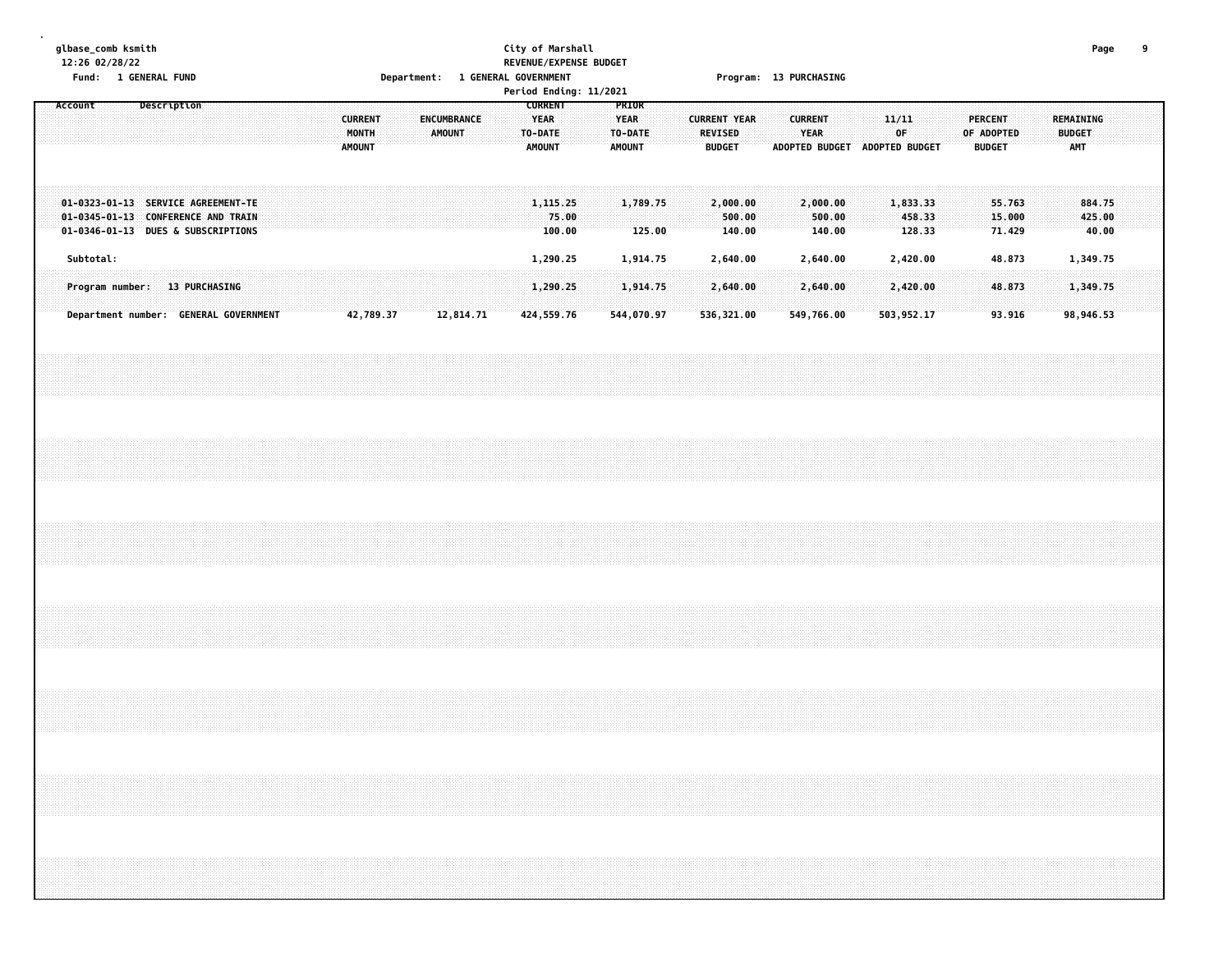# **glbase\_comb ksmith City of Marshall Page 9 12:26 02/28/22 REVENUE/EXPENSE BUDGET Fund: 1 GENERAL FUND Department: 1 GENERAL GOVERNMENT Program: 13 PURCHASING**

|                                                                                                                |                                       |  |             |  |  |  |                                          |           |  |                       |  |                                                           |                 | Period Ending: 11/2021 |                                                  |                    |                     |                          |                  |  |                        |                               |  |             |                  |  |                                               |  |                      |                           |  |  |
|----------------------------------------------------------------------------------------------------------------|---------------------------------------|--|-------------|--|--|--|------------------------------------------|-----------|--|-----------------------|--|-----------------------------------------------------------|-----------------|------------------------|--------------------------------------------------|--------------------|---------------------|--------------------------|------------------|--|------------------------|-------------------------------|--|-------------|------------------|--|-----------------------------------------------|--|----------------------|---------------------------|--|--|
| Account                                                                                                        |                                       |  | Description |  |  |  | <b>CURRENT</b><br>MONTH<br><b>AMOUNT</b> |           |  | ENCUMBRANCE<br>AMOUNT |  | <b>CURRENT</b><br><b>YEAR</b><br>TO-DATE<br><b>AMOUNT</b> |                 |                        | PRIOR<br><b>YEAR</b><br>TO-DATE<br><b>AMOUNT</b> |                    | <b>CURRENT YEAR</b> | REVISED<br><b>BUDGET</b> |                  |  | <b>CURRENT</b><br>YEAR | ADOPTED BUDGET ADOPTED BUDGET |  | 11/11<br>OF |                  |  | <b>PERCENT</b><br>OF ADOPTED<br><b>BUDGET</b> |  | <b>BUDGET</b><br>AMT | REMAINING                 |  |  |
| 01-0323-01-13 SERVICE AGREEMENT-TE<br>01-0345-01-13 CONFERENCE AND TRAIN<br>01-0346-01-13 DUES & SUBSCRIPTIONS |                                       |  |             |  |  |  |                                          |           |  |                       |  | 1, 115, 25                                                | 75.00<br>100.00 |                        |                                                  | 1,789.75<br>125.00 |                     | 2,000.00                 | 500.00<br>140.00 |  |                        | 2,000.00<br>500.00<br>140.00  |  | 1,833.33    | 458.33<br>128.33 |  | 55.763<br>15.000<br>71.429                    |  |                      | 884.75<br>425.00<br>40.00 |  |  |
|                                                                                                                | Subtotal:                             |  |             |  |  |  |                                          |           |  |                       |  | 1,290.25                                                  |                 |                        |                                                  | 1,914.75           |                     | 2,640.00                 |                  |  |                        | 2,640.00                      |  | 2,420.00    |                  |  | 48.873                                        |  |                      | 1,349.75                  |  |  |
| Program number: 13 PURCHASING                                                                                  |                                       |  |             |  |  |  |                                          |           |  |                       |  | 1,290.25                                                  |                 |                        |                                                  | 1,914.75           |                     | 2,640.00                 |                  |  |                        | 2,640.00                      |  | 2,420.00    |                  |  | 48.873                                        |  |                      | 1,349.75                  |  |  |
|                                                                                                                | Department number: GENERAL GOVERNMENT |  |             |  |  |  |                                          | 42,789.37 |  | 12,814.71             |  | 424,559.76                                                |                 |                        |                                                  | 544,070.97         |                     | 536,321.00               |                  |  |                        | 549,766.00                    |  | 503,952.17  |                  |  | 93.916                                        |  |                      | 98,946.53                 |  |  |
|                                                                                                                |                                       |  |             |  |  |  |                                          |           |  |                       |  |                                                           |                 |                        |                                                  |                    |                     |                          |                  |  |                        |                               |  |             |                  |  |                                               |  |                      |                           |  |  |
|                                                                                                                |                                       |  |             |  |  |  |                                          |           |  |                       |  |                                                           |                 |                        |                                                  |                    |                     |                          |                  |  |                        |                               |  |             |                  |  |                                               |  |                      |                           |  |  |
|                                                                                                                |                                       |  |             |  |  |  |                                          |           |  |                       |  |                                                           |                 |                        |                                                  |                    |                     |                          |                  |  |                        |                               |  |             |                  |  |                                               |  |                      |                           |  |  |
|                                                                                                                |                                       |  |             |  |  |  |                                          |           |  |                       |  |                                                           |                 |                        |                                                  |                    |                     |                          |                  |  |                        |                               |  |             |                  |  |                                               |  |                      |                           |  |  |
|                                                                                                                |                                       |  |             |  |  |  |                                          |           |  |                       |  |                                                           |                 |                        |                                                  |                    |                     |                          |                  |  |                        |                               |  |             |                  |  |                                               |  |                      |                           |  |  |
|                                                                                                                |                                       |  |             |  |  |  |                                          |           |  |                       |  |                                                           |                 |                        |                                                  |                    |                     |                          |                  |  |                        |                               |  |             |                  |  |                                               |  |                      |                           |  |  |
|                                                                                                                |                                       |  |             |  |  |  |                                          |           |  |                       |  |                                                           |                 |                        |                                                  |                    |                     |                          |                  |  |                        |                               |  |             |                  |  |                                               |  |                      |                           |  |  |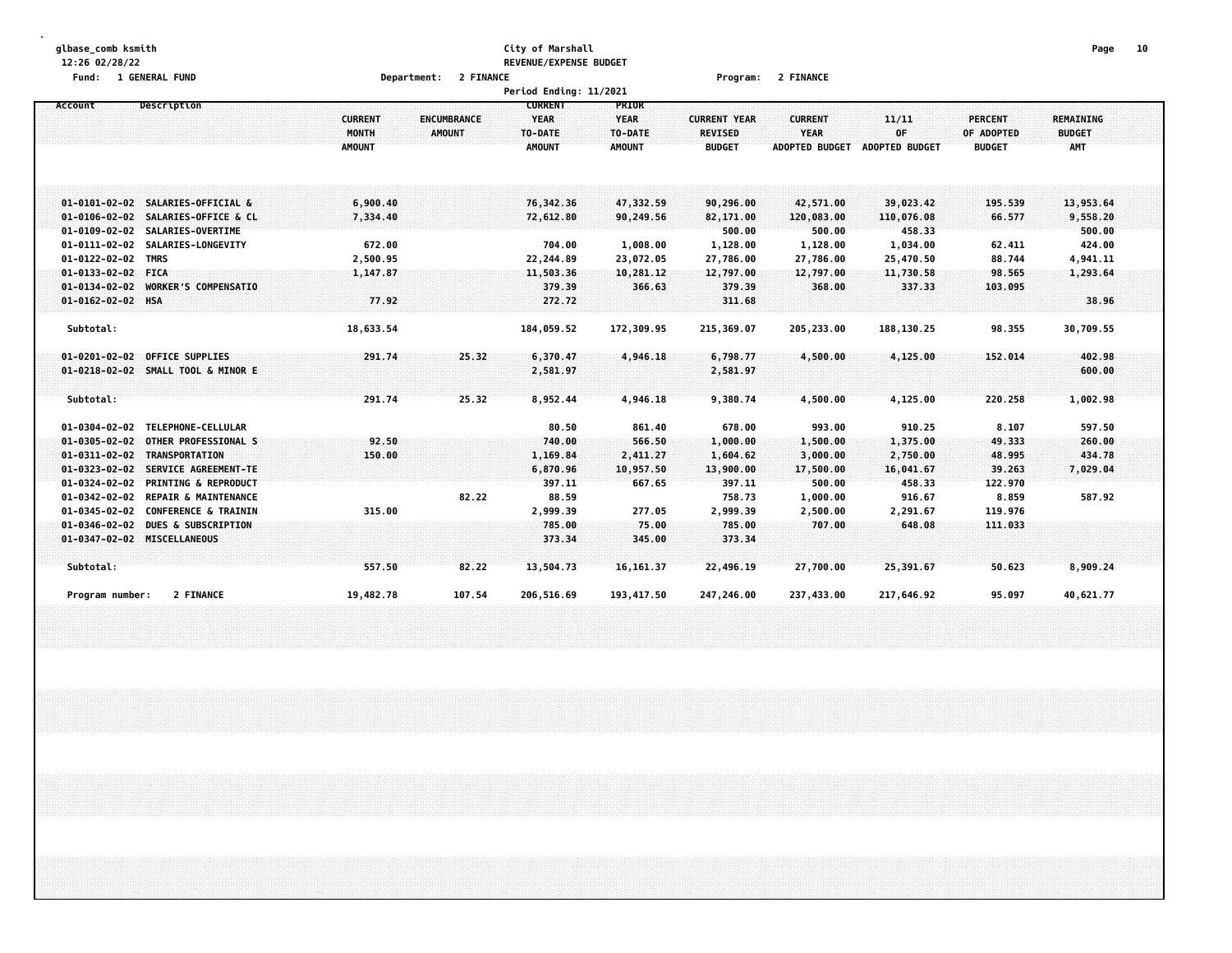#### **glbase\_comb ksmith City of Marshall Page 10 12:26 02/28/22 REVENUE/EXPENSE BUDGET Fund: 1 GENERAL FUND Department: 2 FINANCE Program: 2 FINANCE**

|                                                                                                                                                                                                                                                                                                                                                                                                                                     |                                                                 |                                     | Period Ending: 11/2021                                                           |                                                                        |                                                                                            |                                                                                         |                                                                                       |                                                                               |                                                                            |  |
|-------------------------------------------------------------------------------------------------------------------------------------------------------------------------------------------------------------------------------------------------------------------------------------------------------------------------------------------------------------------------------------------------------------------------------------|-----------------------------------------------------------------|-------------------------------------|----------------------------------------------------------------------------------|------------------------------------------------------------------------|--------------------------------------------------------------------------------------------|-----------------------------------------------------------------------------------------|---------------------------------------------------------------------------------------|-------------------------------------------------------------------------------|----------------------------------------------------------------------------|--|
| Description<br>Account                                                                                                                                                                                                                                                                                                                                                                                                              | <b>CURRENT</b><br>MONTH<br><b>AMOUNT</b>                        | <b>ENCUMBRANCE</b><br><b>AMOUNT</b> | <b>CURRENT</b><br>YEAR<br>TO-DATE<br><b>AMOUNT</b>                               | <b>PRIOR</b><br><b>YEAR</b><br>TO-DATE<br><b>AMOUNT</b>                | <b>CURRENT YEAR</b><br><b>REVISED</b><br><b>BUDGET</b>                                     | <b>CURRENT</b><br>YEAR<br><b>ADOPTED BUDGET</b>                                         | 11/11<br>OF<br>ADOPTED BUDGET                                                         | <b>PERCENT</b><br>OF ADOPTED<br><b>BUDGET</b>                                 | <b>REMAINING</b><br><b>BUDGET</b><br><b>AMT</b>                            |  |
| 01-0101-02-02 SALARIES-OFFICIAL &<br>$01 - 0106 - 02 - 02$<br>SALARIES-OFFICE & CL<br>01-0109-02-02 SALARIES-OVERTIME<br>$01 - 0111 - 02 - 02$<br>SALARIES-LONGEVITY<br>01-0122-02-02 TMRS<br>$01 - 0133 - 02 - 02$ FICA<br>$01 - 0134 - 02 - 02$<br><b>WORKER'S COMPENSATIO</b><br>01-0162-02-02 HSA                                                                                                                               | 6,900.40<br>7,334.40<br>672.00<br>2,500.95<br>1,147.87<br>77.92 |                                     | 76,342.36<br>72,612.80<br>704.00<br>22,244.89<br>11,503.36<br>379.39<br>272.72   | 47,332.59<br>90,249.56<br>1,008.00<br>23,072.05<br>10,281.12<br>366.63 | 90,296.00<br>82,171.00<br>500.00<br>1,128.00<br>27,786.00<br>12,797.00<br>379.39<br>311.68 | 42,571.00<br>120,083.00<br>500.00<br>1,128.00<br>27,786.00<br>12,797.00<br>368.00       | 39,023.42<br>110,076.08<br>458.33<br>1,034.00<br>25,470.50<br>11,730.58<br>337.33     | 195.539<br>66.577<br>62.411<br>88.744<br>98.565<br>103.095                    | 13,953.64<br>9,558.20<br>500.00<br>424.00<br>4,941.11<br>1,293.64<br>38.96 |  |
| Subtotal:                                                                                                                                                                                                                                                                                                                                                                                                                           | 18,633.54                                                       |                                     | 184,059.52                                                                       | 172,309.95                                                             | 215,369.07                                                                                 | 205,233.00                                                                              | 188,130.25                                                                            | 98.355                                                                        | 30,709.55                                                                  |  |
| 01-0201-02-02 OFFICE SUPPLIES<br>01-0218-02-02 SMALL TOOL & MINOR E<br>Subtotal:                                                                                                                                                                                                                                                                                                                                                    | 291.74<br>291.74                                                | 25.32<br>25.32                      | 6,370.47<br>2,581.97<br>8,952.44                                                 | 4,946,18<br>4,946.18                                                   | 6,798.77<br>2,581.97<br>9,380.74                                                           | 4,500.00<br>4,500.00                                                                    | 4,125.00<br>4,125.00                                                                  | 152.014<br>220.258                                                            | 402.98<br>600.00<br>1,002.98                                               |  |
| TELEPHONE-CELLULAR<br>$01 - 0304 - 02 - 02$<br>$01 - 0305 - 02 - 02$<br>OTHER PROFESSIONAL S<br>$01 - 0311 - 02 - 02$<br><b>TRANSPORTATION</b><br>$01 - 0323 - 02 - 02$<br>SERVICE AGREEMENT-TE<br>$01 - 0324 - 02 - 02$<br><b>PRINTING &amp; REPRODUCT</b><br>$01 - 0342 - 02 - 02$<br><b>REPAIR &amp; MAINTENANCE</b><br>$01 - 0345 - 02 - 02$<br><b>CONFERENCE &amp; TRAININ</b><br>$01 - 0346 - 02 - 02$<br>DUES & SUBSCRIPTION | 92.50<br>150.00<br>315.00                                       | 82.22                               | 80.50<br>740.00<br>1,169.84<br>6,870.96<br>397.11<br>88.59<br>2,999.39<br>785.00 | 861.40<br>566.50<br>2,411.27<br>10,957.50<br>667.65<br>277.05<br>75.00 | 678.00<br>1,000.00<br>1,604.62<br>13,900.00<br>397.11<br>758.73<br>2,999.39<br>785.00      | 993.00<br>1,500.00<br>3,000.00<br>17,500.00<br>500.00<br>1,000.00<br>2,500.00<br>707.00 | 910.25<br>1,375.00<br>2,750.00<br>16,041.67<br>458.33<br>916.67<br>2,291.67<br>648.08 | 8.107<br>49.333<br>48.995<br>39.263<br>122.970<br>8.859<br>119.976<br>111.033 | 597.50<br>260.00<br>434,78<br>7,029.04<br>587.92                           |  |
| 01-0347-02-02 MISCELLANEOUS<br>Subtotal:<br>2 FINANCE<br>Program number:                                                                                                                                                                                                                                                                                                                                                            | 557.50<br>19,482.78                                             | 82.22<br>107.54                     | 373.34<br>13,504.73<br>206,516.69                                                | 345.00<br>16, 161.37<br>193,417.50                                     | 373.34<br>22,496.19<br>247,246.00                                                          | 27,700.00<br>237,433.00                                                                 | 25,391.67<br>217,646.92                                                               | 50.623<br>95.097                                                              | 8,909.24<br>40,621.77                                                      |  |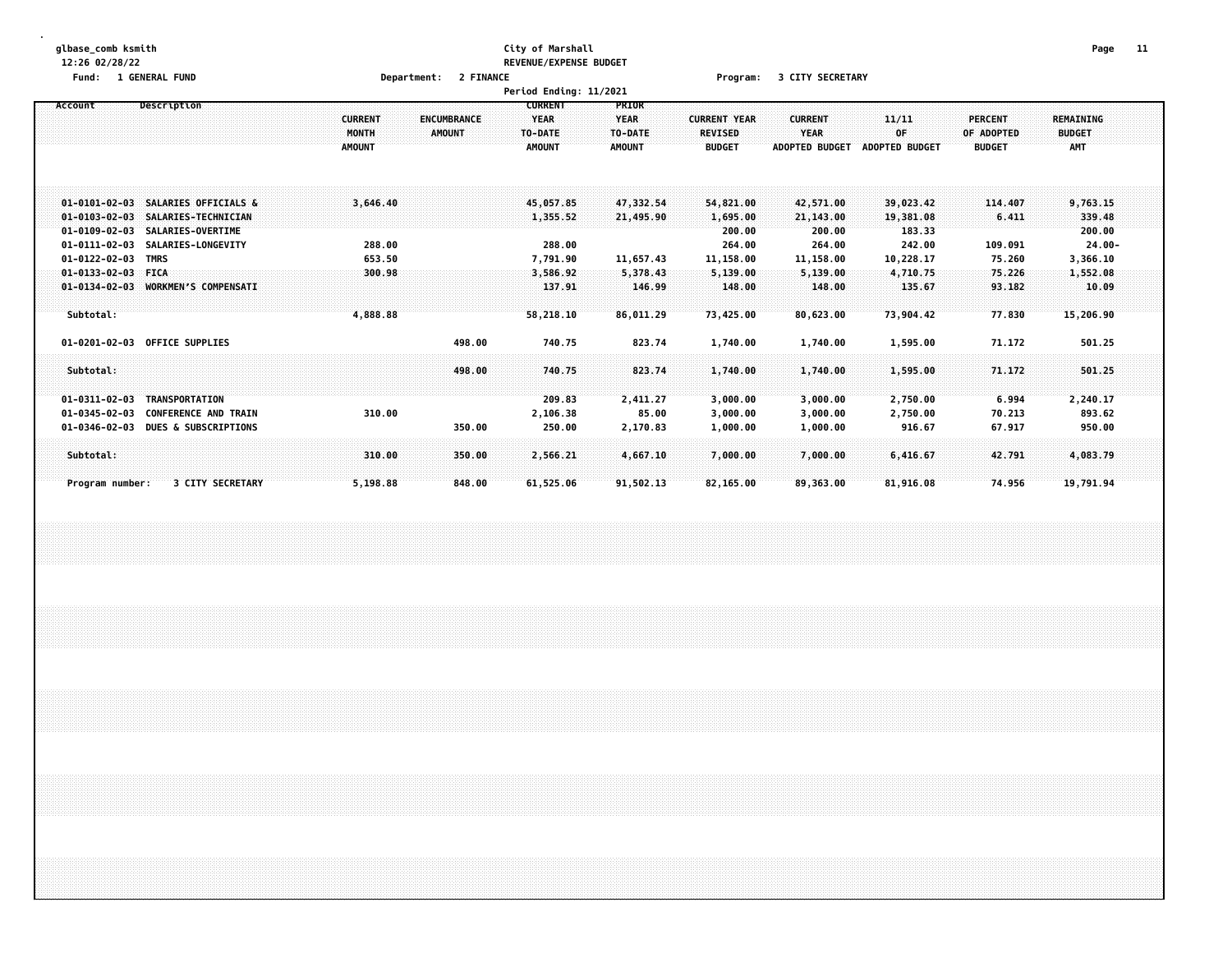# **glbase\_comb ksmith City of Marshall Page 11 12:26 02/28/22 REVENUE/EXPENSE BUDGET**

**Fund: 1 GENERAL FUND Department: 2 FINANCE Program: 3 CITY SECRETARY**

|                                                                                                                            |                                                                                 | Period Ending: 11/2021                                                                                         |                                                                                                            |                                                                                    |                                                 |
|----------------------------------------------------------------------------------------------------------------------------|---------------------------------------------------------------------------------|----------------------------------------------------------------------------------------------------------------|------------------------------------------------------------------------------------------------------------|------------------------------------------------------------------------------------|-------------------------------------------------|
| Account<br>Description                                                                                                     | <b>CURRENT</b><br><b>ENCUMBRANCE</b><br>MONTH<br><b>AMOUNT</b><br><b>AMOUNT</b> | <b>CURRENT</b><br>PRIOR<br><b>YEAR</b><br><b>YEAR</b><br>TO-DATE<br>TO-DATE:<br><b>AMOUNT</b><br><b>AMOUNT</b> | <b>CURRENT</b><br><b>CURRENT YEAR</b><br>REVISED<br>YEAR<br><b>BUDGET</b><br>ADOPTED BUDGET ADOPTED BUDGET | 11/11<br><b>PERCENT</b><br>OF<br>OF ADOPTED<br><b>BUDGET</b>                       | <b>REMAINING</b><br><b>BUDGET</b><br><b>AMT</b> |
| 01-0101-02-03 SALARIES OFFICIALS &<br>01-0103-02-03 SALARIES-TECHNICIAN<br>01-0109-02-03 SALARIES-OVERTIME                 | 3,646.40                                                                        | 45,057.85<br>47,332.54<br>1,355.52<br>21,495.90                                                                | 54,821.00<br>42,571.00<br>1,695.00<br>21,143.00<br>200.00<br>200.00                                        | 39,023.42<br>114.407<br>19,381.08<br>6.411<br>183.33                               | 9,763.15<br>339.48<br>200.00                    |
| 01-0111-02-03 SALARIES-LONGEVITY<br>01-0122-02-03 TMRS<br>$01 - 0133 - 02 - 03$ FICA<br>01-0134-02-03 WORKMEN'S COMPENSATI | 288.00<br>653.50<br>300.98                                                      | 288.00<br>7,791.90<br>11,657.43<br>5,378.43<br>3,586.92<br>137.91<br>146.99                                    | 264.00<br>264.00<br>11,158.00<br>11,158.00<br>5,139.00<br>5,139.00<br>148.00<br>148.00                     | 242.00<br>109.091<br>10,228.17<br>75.260<br>4,710.75<br>75.226<br>135.67<br>93.182 | $24.00 -$<br>3,366.10<br>1,552.08<br>10.09      |
| Subtotal:<br>01-0201-02-03 OFFICE SUPPLIES                                                                                 | 4,888.88<br>498.00                                                              | 58,218.10<br>86,011.29<br>740.75<br>823.74                                                                     | 73,425.00<br>80,623.00<br>1,740.00<br>1,740.00                                                             | 73,904.42<br>77.830<br>1,595.00<br>71.172                                          | 15,206.90<br>501.25                             |
| Subtotal:<br>$01 - 0311 - 02 - 03$<br>TRANSPORTATION<br>$01 - 0345 - 02 - 03$<br><b>CONFERENCE AND TRAIN</b>               | 498.00<br>310.00                                                                | 740.75<br>823.74<br>209.83<br>2,411.27<br>85.00                                                                | 1,740.00<br>1,740.00<br>3,000.00<br>3,000.00<br>3,000.00                                                   | 1,595.00<br>71.172<br>2,750.00<br>6.994                                            | 501.25<br>2,240.17<br>893.62                    |
| $01 - 0346 - 02 - 03$<br><b>DUES &amp; SUBSCRIPTIONS</b><br>Subtotal:                                                      | 350.00<br>310.00<br>350.00                                                      | 2,106.38<br>250.00<br>2,170.83<br>2,566.21<br>4,667.10                                                         | 3,000.00<br>1,000.00<br>1,000.00<br>7,000.00<br>7,000.00                                                   | 2,750.00<br>70.213<br>916.67<br>67.917<br>42.791<br>6,416.67                       | 950.00<br>4,083.79                              |
| Program number:<br><b>3 CITY SECRETARY</b>                                                                                 | 5,198.88<br>848.00                                                              | 61,525.06<br>91,502.13                                                                                         | 82,165.00<br>89,363.00                                                                                     | 74.956<br>81,916.08                                                                | 19,791.94                                       |
|                                                                                                                            |                                                                                 |                                                                                                                |                                                                                                            |                                                                                    |                                                 |
|                                                                                                                            |                                                                                 |                                                                                                                |                                                                                                            |                                                                                    |                                                 |
|                                                                                                                            |                                                                                 |                                                                                                                |                                                                                                            |                                                                                    |                                                 |
|                                                                                                                            |                                                                                 |                                                                                                                |                                                                                                            |                                                                                    |                                                 |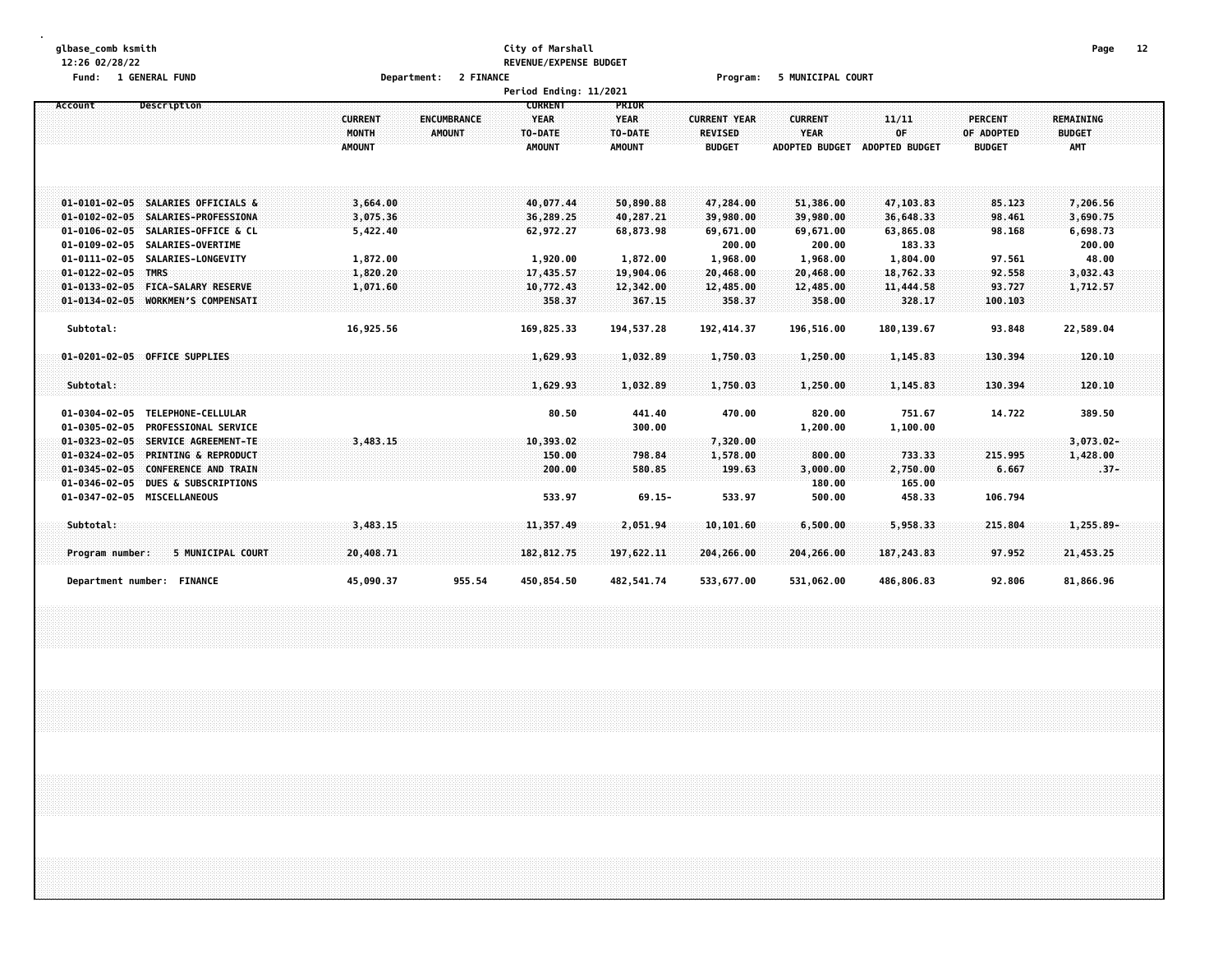# **glbase\_comb ksmith City of Marshall Page 12 12:26 02/28/22 REVENUE/EXPENSE BUDGET**

**Fund: 1 GENERAL FUND Department: 2 FINANCE Program: 5 MUNICIPAL COURT**

|                                                                         |                               | Period Ending: 11/2021 |                     |                     |                       |                       |                  |                  |  |
|-------------------------------------------------------------------------|-------------------------------|------------------------|---------------------|---------------------|-----------------------|-----------------------|------------------|------------------|--|
| Description<br>Account                                                  |                               | <b>CURRENT</b>         | PRIOR               |                     |                       |                       |                  |                  |  |
|                                                                         | <b>CURRENT</b><br>ENCUMBRANCE | <b>YEAR</b>            | <b>YEAR</b>         | <b>CURRENT YEAR</b> | <b>CURRENT</b>        | 11/11                 | <b>PERCENT</b>   | <b>REMAINING</b> |  |
|                                                                         | MONTH<br>AMOUNT               | TO-DATE                | TO-DATE             | <b>REVISED</b>      | <b>YEAR</b>           | OF                    | OF ADOPTED       | <b>BUDGET</b>    |  |
|                                                                         | <b>AMOUNT</b>                 | <b>AMOUNT</b>          | <b>AMOUNT</b>       | <b>BUDGET</b>       | <b>ADOPTED BUDGET</b> | <b>ADOPTED BUDGET</b> | <b>BUDGET</b>    | <b>AMT</b>       |  |
|                                                                         |                               |                        |                     |                     |                       |                       |                  |                  |  |
|                                                                         |                               |                        |                     |                     |                       |                       |                  |                  |  |
|                                                                         |                               |                        |                     |                     |                       |                       |                  |                  |  |
| 01-0101-02-05 SALARIES OFFICIALS &                                      | 3,664.00                      | 40,077.44              | 50,890.88           | 47,284.00           | 51,386.00             | 47,103.83             | 85.123           | 7,206.56         |  |
| 01-0102-02-05 SALARIES-PROFESSIONA                                      | 3,075.36                      | 36,289.25              | 40,287.21           | 39,980.00           | 39,980.00             | 36,648.33             | 98.461           | 3,690.75         |  |
| 01-0106-02-05 SALARIES-OFFICE & CL                                      | 5,422.40                      | 62,972.27              | 68,873.98           | 69,671.00           | 69,671.00             | 63,865.08             | 98.168           | 6,698.73         |  |
| $01 - 0109 - 02 - 05$<br><b>SALARIES-OVERTIME</b>                       |                               |                        |                     | 200.00              | 200.00                | 183.33                |                  | 200.00           |  |
| $01 - 0111 - 02 - 05$<br><b>SALARIES-LONGEVITY</b>                      | 1,872.00                      | 1,920.00               | 1,872.00            | 1,968.00            | 1,968.00              | 1,804.00              | 97.561           | 48.00            |  |
| $01 - 0122 - 02 - 05$ TMRS                                              | 1,820.20                      | 17,435.57              | 19,904.06           | 20,468.00           | 20,468.00             | 18,762.33             | 92.558<br>93.727 | 3,032.43         |  |
| 01-0133-02-05 FICA-SALARY RESERVE<br>01-0134-02-05 WORKMEN'S COMPENSATI | 1,071.60                      | 10,772.43<br>358.37    | 12,342.00<br>367.15 | 12,485.00<br>358.37 | 12,485.00<br>358.00   | 11,444.58<br>328.17   | 100.103          | 1,712.57         |  |
|                                                                         |                               |                        |                     |                     |                       |                       |                  |                  |  |
| Subtotal:                                                               | 16,925.56                     | 169.825.33             | 194.537.28          | 192, 414, 37        | 196.516.00            | 180, 139.67           | 93.848           | 22,589.04        |  |
|                                                                         |                               |                        |                     |                     |                       |                       |                  |                  |  |
| 01-0201-02-05 OFFICE SUPPLIES                                           |                               | 1,629.93               | 1,032.89            | 1,750.03            | 1,250.00              | 1,145.83              | 130,394          | 120.10           |  |
|                                                                         |                               |                        |                     |                     |                       |                       |                  |                  |  |
| Subtotal:                                                               |                               | 1,629.93               | 1,032.89            | 1,750.03            | 1,250.00              | 1,145.83              | 130.394          | 120.10           |  |
|                                                                         |                               |                        |                     |                     |                       |                       |                  |                  |  |
| $01 - 0304 - 02 - 05$<br>TELEPHONE-CELLULAR                             |                               | 80.50                  | 441.40              | 470.00              | 820.00                | 751.67                | 14.722           | 389.50           |  |
| $01 - 0305 - 02 - 05$<br><b>PROFESSIONAL SERVICE</b>                    |                               |                        | 300.00              |                     | 1,200.00              | 1,100.00              |                  |                  |  |
| 01-0323-02-05 SERVICE AGREEMENT-TE                                      | 3,483.15                      | 10,393.02              |                     | 7,320.00            |                       |                       |                  | $3,073.02 -$     |  |
| 01-0324-02-05 PRINTING & REPRODUCT                                      |                               | 150.00                 | 798.84              | 1,578.00            | 800.00                | 733.33                | 215.995          | 1,428,00         |  |
| 01-0345-02-05 CONFERENCE AND TRAIN                                      |                               | 200.00                 | 580.85              | 199.63              | 3,000.00              | 2,750.00              | 6.667            | $.37 -$          |  |
| $01 - 0346 - 02 - 05$<br><b>DUES &amp; SUBSCRIPTIONS</b>                |                               |                        |                     |                     | 180.00                | 165.00                |                  |                  |  |
| 01-0347-02-05 MISCELLANEOUS                                             |                               | 533.97                 | $69.15 -$           | 533.97              | 500.00                | 458.33                | 106.794          |                  |  |
|                                                                         |                               |                        |                     |                     |                       |                       |                  |                  |  |
| Subtotal:                                                               | 3.483.15                      | 11,357.49              | 2,051.94            | 10, 101.60          | 6,500.00              | 5,958.33              | 215.804          | $1,255.89 -$     |  |
|                                                                         |                               |                        |                     |                     |                       |                       |                  |                  |  |
| 5 MUNICIPAL COURT<br>Program number:                                    | 20,408.71                     | 182, 812, 75           | 197,622.11          | 204,266.00          | 204,266.00            | 187, 243.83           | 97.952           | 21,453.25        |  |
|                                                                         |                               |                        |                     |                     |                       |                       |                  |                  |  |
| Department number: FINANCE                                              | 955.54<br>45,090.37           | 450,854.50             | 482,541.74          | 533,677.00          | 531,062.00            | 486,806.83            | 92.806           | 81,866.96        |  |
|                                                                         |                               |                        |                     |                     |                       |                       |                  |                  |  |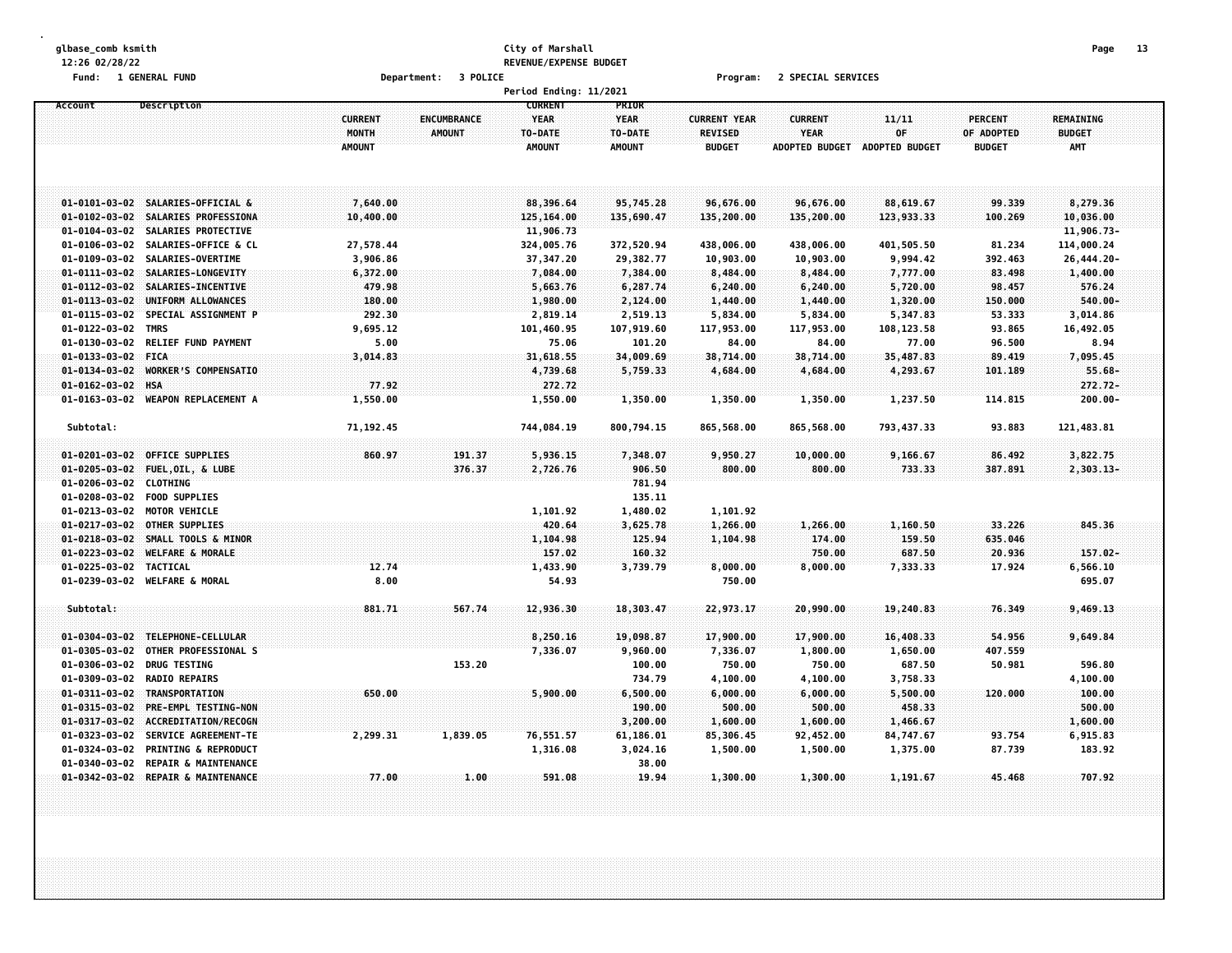# **glbase\_comb ksmith City of Marshall Page 13 12:26 02/28/22 REVENUE/EXPENSE BUDGET**

**Fund: 1 GENERAL FUND Department: 3 POLICE Program: 2 SPECIAL SERVICES**

|                        |                                    |                |                    | Period Ending: 11/2021 |               |                     |                       |                       |                |                  |  |
|------------------------|------------------------------------|----------------|--------------------|------------------------|---------------|---------------------|-----------------------|-----------------------|----------------|------------------|--|
| Account                | Description                        |                |                    | <b>CURRENT</b>         | PRIOR         |                     |                       |                       |                |                  |  |
|                        |                                    | <b>CURRENT</b> | <b>ENCUMBRANCE</b> | <b>YEAR</b>            | <b>YEAR</b>   | <b>CURRENT YEAR</b> | <b>CURRENT</b>        | 11/11                 | <b>PERCENT</b> | <b>REMAINING</b> |  |
|                        |                                    | MONTH          | <b>AMOUNT</b>      | TO-DATE                | TO-DATE       | <b>REVISED</b>      | <b>YEAR</b>           | OF                    | OF ADOPTED     | <b>BUDGET</b>    |  |
|                        |                                    | <b>AMOUNT</b>  |                    | <b>AMOUNT</b>          | <b>AMOUNT</b> | <b>BUDGET</b>       | <b>ADOPTED BUDGET</b> | <b>ADOPTED BUDGET</b> | <b>BUDGET</b>  | <b>AMT</b>       |  |
|                        |                                    |                |                    |                        |               |                     |                       |                       |                |                  |  |
|                        |                                    |                |                    |                        |               |                     |                       |                       |                |                  |  |
|                        |                                    |                |                    |                        |               |                     |                       |                       |                |                  |  |
|                        | 01-0101-03-02 SALARIES-OFFICIAL &  | 7,640.00       |                    | 88,396.64              | 95,745.28     | 96,676.00           | 96,676.00             | 88,619.67             | 99.339         | 8,279.36         |  |
|                        | 01-0102-03-02 SALARIES PROFESSIONA | 10,400.00      |                    | 125,164.00             | 135,690.47    | 135,200.00          | 135,200.00            | 123,933.33            | 100.269        | 10,036.00        |  |
| $01 - 0104 - 03 - 02$  | SALARIES PROTECTIVE                |                |                    | 11,906.73              |               |                     |                       |                       |                | 11,906.73-       |  |
| $01 - 0106 - 03 - 02$  | SALARIES-OFFICE & CL               | 27,578.44      |                    | 324,005.76             | 372,520.94    | 438,006.00          | 438,006.00            | 401,505.50            | 81.234         | 114,000.24       |  |
|                        | 01-0109-03-02 SALARIES-OVERTIME    |                |                    |                        |               |                     |                       |                       |                |                  |  |
|                        |                                    | 3,906.86       |                    | 37,347.20              | 29,382.77     | 10,903.00           | 10,903.00             | 9,994.42              | 392.463        | 26,444.20-       |  |
| $01 - 0111 - 03 - 02$  | <b>SALARIES-LONGEVITY</b>          | 6,372.00       |                    | 7,084.00               | 7,384.00      | 8,484.00            | 8,484.00              | 7,777.00              | 83.498         | 1,400.00         |  |
| $01 - 0112 - 03 - 02$  | SALARIES-INCENTIVE                 | 479.98         |                    | 5,663.76               | 6,287.74      | 6,240.00            | 6,240.00              | 5,720.00              | 98.457         | 576.24           |  |
| $01 - 0113 - 03 - 02$  | UNIFORM ALLOWANCES                 | 180.00         |                    | 1,980.00               | 2,124.00      | 1,440.00            | 1,440.00              | 1,320.00              | 150.000        | 540.00-          |  |
|                        | 01-0115-03-02 SPECIAL ASSIGNMENT P | 292.30         |                    | 2,819.14               | 2,519.13      | 5,834.00            | 5,834.00              | 5,347.83              | 53.333         | 3,014.86         |  |
| $01 - 0122 - 03 - 02$  | <b>TMRS</b>                        | 9,695.12       |                    | 101,460.95             | 107,919.60    | 117,953.00          | 117,953.00            | 108,123.58            | 93.865         | 16,492.05        |  |
| $01 - 0130 - 03 - 02$  | <b>RELIEF FUND PAYMENT</b>         | 5.00           |                    | 75.06                  | 101.20        | 84.00               | 84.00                 | 77.00                 | 96.500         | 8.94             |  |
| 01-0133-03-02 FICA     |                                    | 3,014.83       |                    | 31,618.55              | 34,009.69     | 38,714.00           | 38,714.00             | 35,487.83             | 89.419         | 7,095.45         |  |
| $01 - 0134 - 03 - 02$  | <b>WORKER'S COMPENSATIO</b>        |                |                    | 4,739.68               | 5,759.33      | 4,684.00            | 4,684.00              | 4,293.67              | 101.189        | $55.68 -$        |  |
| 01-0162-03-02 HSA      |                                    | 77.92          |                    | 272.72                 |               |                     |                       |                       |                | $272.72 -$       |  |
| $01 - 0163 - 03 - 02$  | <b>WEAPON REPLACEMENT A</b>        | 1,550.00       |                    | 1,550.00               | 1,350.00      | 1,350.00            | 1,350.00              | 1,237.50              | 114.815        | $200.00 -$       |  |
|                        |                                    |                |                    |                        |               |                     |                       |                       |                |                  |  |
| Subtotal:              |                                    | 71,192.45      |                    | 744,084.19             | 800,794.15    | 865,568.00          | 865,568.00            | 793, 437.33           | 93.883         | 121,483.81       |  |
|                        |                                    |                |                    |                        |               |                     |                       |                       |                |                  |  |
|                        | 01-0201-03-02 OFFICE SUPPLIES      | 860.97         | 191.37             | 5,936.15               | 7,348.07      | 9,950.27            | 10,000.00             | 9,166.67              | 86.492         | 3,822,75         |  |
| $01 - 0205 - 03 - 02$  | FUEL, OIL, & LUBE                  |                | 376.37             | 2,726.76               | 906.50        | 800.00              | 800.00                | 733.33                | 387.891        | 2,303.13-        |  |
| $01 - 0206 - 03 - 02$  | <b>CLOTHING</b>                    |                |                    |                        | 781.94        |                     |                       |                       |                |                  |  |
| $01 - 0208 - 03 - 02$  | <b>FOOD SUPPLIES</b>               |                |                    |                        | 135.11        |                     |                       |                       |                |                  |  |
| 01-0213-03-02          | <b>MOTOR VEHICLE</b>               |                |                    | 1,101.92               | 1,480.02      | 1,101.92            |                       |                       |                |                  |  |
|                        |                                    |                |                    |                        |               |                     |                       |                       |                |                  |  |
| $01 - 0217 - 03 - 02$  | OTHER SUPPLIES                     |                |                    | 420.64                 | 3,625.78      | 1,266.00            | 1,266.00              | 1,160.50              | 33.226         | 845.36           |  |
| $01 - 0218 - 03 - 02$  | SMALL TOOLS & MINOR                |                |                    | 1,104.98               | 125.94        | 1,104.98            | 174.00                | 159.50                | 635.046        |                  |  |
| $01 - 0223 - 03 - 02$  | <b>WELFARE &amp; MORALE</b>        |                |                    | 157.02                 | 160.32        |                     | 750.00                | 687.50                | 20.936         | $157.02 -$       |  |
| 01-0225-03-02 TACTICAL |                                    | 12.74          |                    | 1,433.90               | 3,739.79      | 8,000.00            | 8,000.00              | 7,333.33              | 17.924         | 6,566.10         |  |
|                        | 01-0239-03-02 WELFARE & MORAL      | 8.00           |                    | 54.93                  |               | 750.00              |                       |                       |                | 695.07           |  |
|                        |                                    |                |                    |                        |               |                     |                       |                       |                |                  |  |
| Subtotal:              |                                    | 881.71         | 567.74             | 12,936.30              | 18,303.47     | 22,973.17           | 20,990.00             | 19,240.83             | 76.349         | 9,469.13         |  |
|                        |                                    |                |                    |                        |               |                     |                       |                       |                |                  |  |
| $01 - 0304 - 03 - 02$  | TELEPHONE-CELLULAR                 |                |                    | 8,250.16               | 19,098.87     | 17,900.00           | 17,900.00             | 16,408.33             | 54.956         | 9,649.84         |  |
| $01 - 0305 - 03 - 02$  | OTHER PROFESSIONAL S               |                |                    | 7,336.07               | 9,960.00      | 7,336.07            | 1,800.00              | 1,650.00              | 407.559        |                  |  |
| $01 - 0306 - 03 - 02$  | <b>DRUG TESTING</b>                |                | 153.20             |                        | 100.00        | 750.00              | 750.00                | 687.50                | 50.981         | 596.80           |  |
|                        | 01-0309-03-02 RADIO REPAIRS        |                |                    |                        | 734.79        | 4,100.00            | 4,100.00              | 3,758.33              |                | 4,100.00         |  |
| $01 - 0311 - 03 - 02$  | TRANSPORTATION                     | 650.00         |                    | 5,900.00               | 6,500.00      | 6,000.00            | 6,000.00              | 5,500.00              | 120.000        | 100.00           |  |
| $01 - 0315 - 03 - 02$  | PRE-EMPL TESTING-NON               |                |                    |                        | 190.00        | 500.00              | 500.00                | 458.33                |                | 500.00           |  |
| $01 - 0317 - 03 - 02$  | ACCREDITATION/RECOGN               |                |                    |                        | 3,200.00      | 1,600.00            | 1,600.00              | 1,466.67              |                | 1,600.00         |  |
| 01-0323-03-02          | <b>SERVICE AGREEMENT-TE</b>        | 2,299.31       | 1,839.05           | 76,551.57              | 61,186.01     | 85,306.45           | 92,452.00             | 84,747.67             | 93.754         | 6,915.83         |  |
| 01-0324-03-02          | <b>PRINTING &amp; REPRODUCT</b>    |                |                    | 1,316.08               | 3,024.16      | 1,500.00            | 1,500.00              | 1,375.00              | 87.739         | 183.92           |  |
| 01-0340-03-02          | <b>REPAIR &amp; MAINTENANCE</b>    |                |                    |                        | 38.00         |                     |                       |                       |                |                  |  |
|                        | 01-0342-03-02 REPAIR & MAINTENANCE | 77.00          | 1.00               | 591.08                 | 19.94         | 1,300.00            | 1,300.00              | 1,191.67              | 45.468         | 707.92           |  |
|                        |                                    |                |                    |                        |               |                     |                       |                       |                |                  |  |
|                        |                                    |                |                    |                        |               |                     |                       |                       |                |                  |  |
|                        |                                    |                |                    |                        |               |                     |                       |                       |                |                  |  |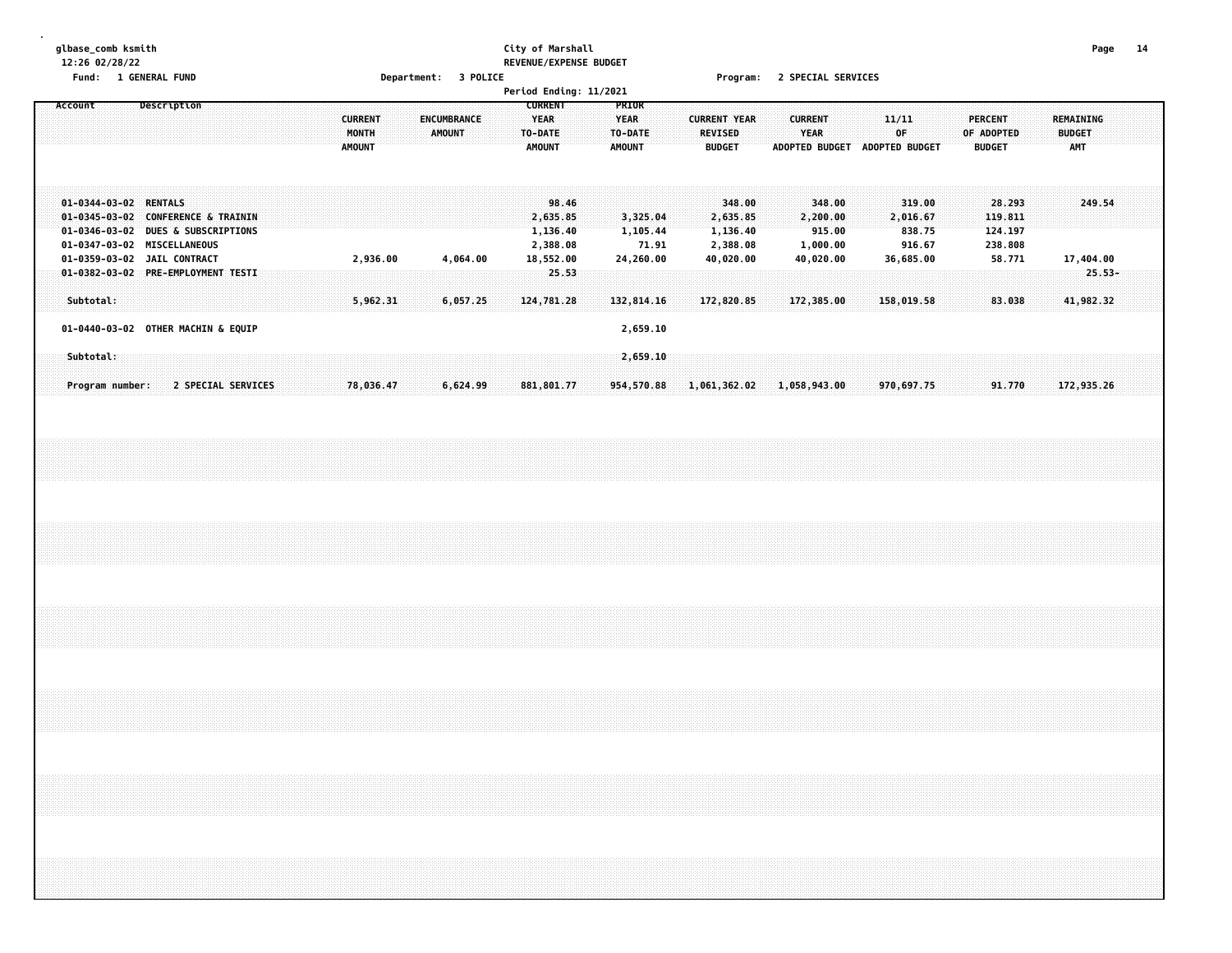#### **glbase\_comb ksmith City of Marshall Page 14 12:26 02/28/22 REVENUE/EXPENSE BUDGET Fund: 1 GENERAL FUND Department: 3 POLICE Program: 2 SPECIAL SERVICES**

| . u.u.                       | <b>T AFTERNE LAB</b>                                                                                                                   | pepar circult.                           | -------                      | Period Ending: 11/2021                                    |                                                  |                                                         | $11091$ and $211011$ and $311011013$                    |                                                     |                                                   |                                                 |
|------------------------------|----------------------------------------------------------------------------------------------------------------------------------------|------------------------------------------|------------------------------|-----------------------------------------------------------|--------------------------------------------------|---------------------------------------------------------|---------------------------------------------------------|-----------------------------------------------------|---------------------------------------------------|-------------------------------------------------|
| Account                      | Description                                                                                                                            | <b>CURRENT</b><br>MONTH<br><b>AMOUNT</b> | ENCUMBRANCE<br><b>AMOUNT</b> | <b>CURRENT</b><br><b>YEAR</b><br>TO-DATE<br><b>AMOUNT</b> | PRIOR<br><b>YEAR</b><br>TO-DATE<br><b>AMOUNT</b> | <b>CURRENT YEAR</b><br>REVISED<br><b>BUDGET</b>         | <b>CURRENT</b><br>YEAR<br>ADOPTED BUDGET ADOPTED BUDGET | 11/11<br>0F                                         | <b>PERCENT</b><br>OF ADOPTED<br><b>BUDGET</b>     | <b>REMAINING</b><br><b>BUDGET</b><br><b>AMT</b> |
| 01-0344-03-02 RENTALS        | 01-0345-03-02 CONFERENCE & TRAININ<br>01-0346-03-02 DUES & SUBSCRIPTIONS<br>01-0347-03-02 MISCELLANEOUS<br>01-0359-03-02 JAIL CONTRACT | 2,936.00                                 | 4,064.00                     | 98.46<br>2,635.85<br>1,136.40<br>2,388.08<br>18,552.00    | 3,325.04<br>1,105.44<br>71.91<br>24,260.00       | 348.00<br>2,635.85<br>1,136.40<br>2,388.08<br>40,020.00 | 348.00<br>2,200.00<br>915.00<br>1,000.00<br>40,020.00   | 319.00<br>2,016.67<br>838.75<br>916.67<br>36,685.00 | 28.293<br>119.811<br>124.197<br>238.808<br>58.771 | 249.54<br>17,404.00                             |
| Subtotal:                    | 01-0382-03-02 PRE-EMPLOYMENT TESTI                                                                                                     | 5,962.31                                 | 6,057.25                     | 25.53<br>124,781.28                                       | 132,814.16                                       | 172,820.85                                              | 172,385.00                                              | 158,019.58                                          | 83.038                                            | $25.53-$<br>41,982.32                           |
|                              | 01-0440-03-02 OTHER MACHIN & EQUIP                                                                                                     |                                          |                              |                                                           | 2,659.10                                         |                                                         |                                                         |                                                     |                                                   |                                                 |
| Subtotal:<br>Program number: | 2 SPECIAL SERVICES                                                                                                                     | 78,036.47                                | 6,624.99                     | 881,801.77                                                | 2,659.10<br>954,570.88                           | 1,061,362.02                                            | 1,058,943.00                                            | 970,697.75                                          | 91.770                                            | 172,935.26                                      |
|                              |                                                                                                                                        |                                          |                              |                                                           |                                                  |                                                         |                                                         |                                                     |                                                   |                                                 |
|                              |                                                                                                                                        |                                          |                              |                                                           |                                                  |                                                         |                                                         |                                                     |                                                   |                                                 |
|                              |                                                                                                                                        |                                          |                              |                                                           |                                                  |                                                         |                                                         |                                                     |                                                   |                                                 |
|                              |                                                                                                                                        |                                          |                              |                                                           |                                                  |                                                         |                                                         |                                                     |                                                   |                                                 |
|                              |                                                                                                                                        |                                          |                              |                                                           |                                                  |                                                         |                                                         |                                                     |                                                   |                                                 |
|                              |                                                                                                                                        |                                          |                              |                                                           |                                                  |                                                         |                                                         |                                                     |                                                   |                                                 |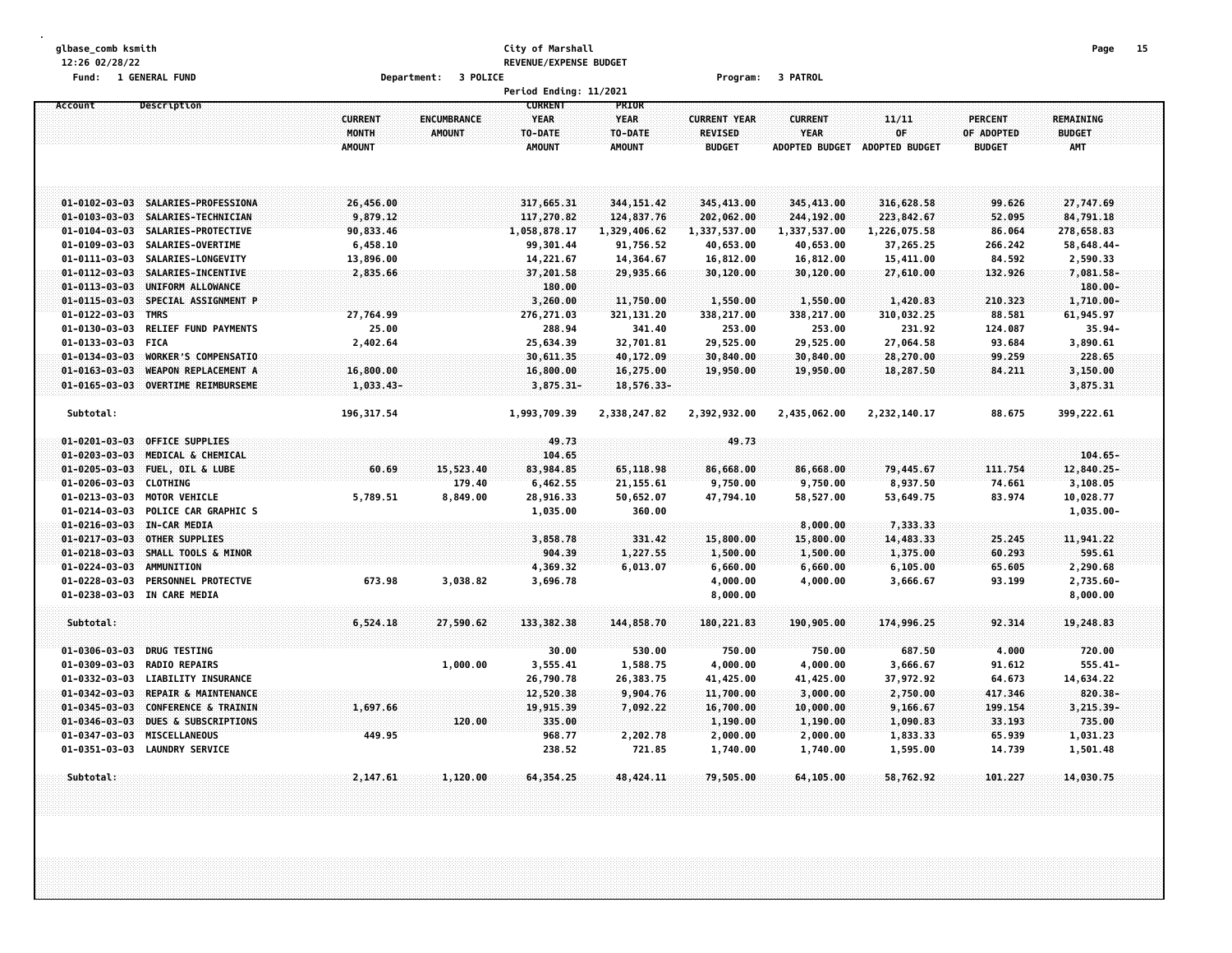#### **glbase\_comb ksmith City of Marshall Page 15 12:26 02/28/22 REVENUE/EXPENSE BUDGET Fund: 1 GENERAL FUND Department: 3 POLICE Program: 3 PATROL**

|                       |                                 |                |                    | Period Ending: 11/2021 |               |                     |                       |                |                |               |  |
|-----------------------|---------------------------------|----------------|--------------------|------------------------|---------------|---------------------|-----------------------|----------------|----------------|---------------|--|
| Account               | Description                     |                |                    | <b>CURRENT</b>         | PRIOR         |                     |                       |                |                |               |  |
|                       |                                 | <b>CURRENT</b> | <b>ENCUMBRANCE</b> | <b>YEAR</b>            | <b>YEAR</b>   | <b>CURRENT YEAR</b> | <b>CURRENT</b>        | 11/11          | <b>PERCENT</b> | REMAINING     |  |
|                       |                                 | MONTH          | <b>AMOUNT</b>      | TO-DATE                | TO-DATE       | <b>REVISED</b>      | YEAR                  | OF             | OF ADOPTED     | <b>BUDGET</b> |  |
|                       |                                 | <b>AMOUNT</b>  |                    | <b>AMOUNT</b>          | <b>AMOUNT</b> | <b>BUDGET</b>       | <b>ADOPTED BUDGET</b> | ADOPTED BUDGET | <b>BUDGET</b>  | <b>AMT</b>    |  |
|                       |                                 |                |                    |                        |               |                     |                       |                |                |               |  |
|                       |                                 |                |                    |                        |               |                     |                       |                |                |               |  |
|                       |                                 |                |                    |                        |               |                     |                       |                |                |               |  |
| $01 - 0102 - 03 - 03$ | SALARIES-PROFESSIONA            | 26,456.00      |                    | 317,665.31             | 344, 151.42   | 345,413.00          | 345,413.00            | 316,628.58     | 99.626         | 27,747.69     |  |
| $01 - 0103 - 03 - 03$ | SALARIES-TECHNICIAN             | 9,879.12       |                    | 117,270.82             | 124,837.76    | 202,062.00          | 244,192.00            | 223,842.67     | 52.095         | 84,791.18     |  |
| $01 - 0104 - 03 - 03$ | SALARIES-PROTECTIVE             | 90,833.46      |                    | 1,058,878.17           | 1,329,406.62  | 1,337,537.00        | 1,337,537.00          | 1,226,075.58   | 86.064         | 278,658.83    |  |
| $01 - 0109 - 03 - 03$ | SALARIES-OVERTIME               | 6,458.10       |                    | 99,301.44              | 91,756.52     | 40,653.00           | 40,653.00             | 37,265.25      | 266.242        | 58,648.44-    |  |
| $01 - 0111 - 03 - 03$ | SALARIES-LONGEVITY              | 13,896.00      |                    | 14,221.67              | 14,364.67     | 16,812.00           | 16,812.00             | 15,411.00      | 84.592         | 2,590.33      |  |
| $01 - 0112 - 03 - 03$ | SALARIES-INCENTIVE              | 2,835.66       |                    | 37,201.58              | 29,935.66     | 30,120.00           | 30,120.00             | 27,610.00      | 132.926        | 7,081.58-     |  |
| $01 - 0113 - 03 - 03$ | UNIFORM ALLOWANCE               |                |                    | 180.00                 |               |                     |                       |                |                | $180.00 -$    |  |
| $01 - 0115 - 03 - 03$ | SPECIAL ASSIGNMENT P            |                |                    | 3,260.00               | 11,750.00     | 1,550.00            | 1,550.00              | 1,420.83       | 210.323        | 1,710.00-     |  |
| $01 - 0122 - 03 - 03$ | <b>TMRS</b>                     | 27,764.99      |                    | 276, 271.03            | 321, 131.20   | 338,217.00          | 338,217.00            | 310,032.25     | 88.581         | 61,945.97     |  |
| $01 - 0130 - 03 - 03$ | <b>RELIEF FUND PAYMENTS</b>     | 25.00          |                    | 288.94                 | 341.40        | 253.00              | 253.00                | 231.92         | 124.087        | $35.94 -$     |  |
| $01 - 0133 - 03 - 03$ | <b>FICA</b>                     | 2,402.64       |                    | 25,634.39              | 32,701.81     | 29,525.00           | 29,525.00             | 27,064.58      | 93.684         | 3,890.61      |  |
| $01 - 0134 - 03 - 03$ | WORKER'S COMPENSATIO            |                |                    | 30,611.35              | 40,172.09     | 30,840.00           | 30,840.00             | 28,270.00      | 99.259         | 228.65        |  |
| $01 - 0163 - 03 - 03$ | <b>WEAPON REPLACEMENT A</b>     | 16,800.00      |                    | 16,800.00              | 16,275.00     | 19,950.00           | 19,950.00             | 18,287.50      | 84.211         | 3,150.00      |  |
| $01 - 0165 - 03 - 03$ | <b>OVERTIME REIMBURSEME</b>     | 1,033.43-      |                    | $3,875.31 -$           | 18,576.33-    |                     |                       |                |                | 3,875.31      |  |
|                       |                                 |                |                    |                        |               |                     |                       |                |                |               |  |
| Subtotal:             |                                 | 196, 317.54    |                    | 1,993,709.39           | 2,338,247.82  | 2,392,932.00        | 2,435,062.00          | 2,232,140.17   | 88.675         | 399,222.61    |  |
|                       |                                 |                |                    |                        |               |                     |                       |                |                |               |  |
| $01 - 0201 - 03 - 03$ | OFFICE SUPPLIES                 |                |                    | 49.73                  |               | 49.73               |                       |                |                |               |  |
| $01 - 0203 - 03 - 03$ | MEDICAL & CHEMICAL              |                |                    | 104.65                 |               |                     |                       |                |                | $104.65 -$    |  |
| $01 - 0205 - 03 - 03$ | FUEL, OIL & LUBE                | 60.69          | 15,523.40          | 83,984.85              | 65,118.98     | 86,668.00           | 86,668.00             | 79,445.67      | 111.754        | 12,840.25-    |  |
| $01 - 0206 - 03 - 03$ | <b>CLOTHING</b>                 |                | 179.40             | 6,462.55               | 21, 155.61    | 9,750.00            | 9,750.00              | 8,937.50       | 74.661         | 3,108.05      |  |
| 01-0213-03-03         | <b>MOTOR VEHICLE</b>            | 5,789.51       | 8,849.00           | 28,916.33              | 50,652.07     | 47,794.10           | 58,527.00             | 53,649.75      | 83.974         | 10,028.77     |  |
| $01 - 0214 - 03 - 03$ | POLICE CAR GRAPHIC S            |                |                    | 1,035.00               | 360.00        |                     |                       |                |                | $1,035.00 -$  |  |
| $01 - 0216 - 03 - 03$ | <b>IN-CAR MEDIA</b>             |                |                    |                        |               |                     | 8,000.00              | 7,333.33       |                |               |  |
| $01 - 0217 - 03 - 03$ | OTHER SUPPLIES                  |                |                    | 3,858.78               | 331.42        | 15,800.00           | 15,800.00             | 14,483.33      | 25.245         | 11,941.22     |  |
| $01 - 0218 - 03 - 03$ | SMALL TOOLS & MINOR             |                |                    | 904,39                 | 1,227.55      | 1,500.00            | 1,500.00              | 1,375.00       | 60.293         | 595.61        |  |
| $01 - 0224 - 03 - 03$ | AMMUNITION                      |                |                    | 4,369.32               | 6,013.07      | 6,660.00            | 6,660.00              | 6,105.00       | 65.605         | 2,290.68      |  |
| 01-0228-03-03         | PERSONNEL PROTECTVE             | 673.98         | 3,038.82           | 3,696.78               |               | 4,000.00            | 4,000.00              | 3,666.67       | 93.199         | 2,735.60-     |  |
| $01 - 0238 - 03 - 03$ | IN CARE MEDIA                   |                |                    |                        |               | 8,000.00            |                       |                |                | 8,000.00      |  |
|                       |                                 |                |                    |                        |               |                     |                       |                |                |               |  |
| Subtotal:             |                                 | 6,524.18       | 27,590.62          | 133,382.38             | 144,858.70    | 180, 221.83         | 190,905.00            | 174,996.25     | 92.314         | 19,248.83     |  |
|                       |                                 |                |                    |                        |               |                     |                       |                |                |               |  |
| $01 - 0306 - 03 - 03$ | <b>DRUG TESTING</b>             |                |                    | 30.00                  | 530.00        | 750.00              | 750.00                | 687.50         | 4.000          | 720.00        |  |
| 01-0309-03-03         | <b>RADIO REPAIRS</b>            |                | 1,000.00           | 3,555.41               | 1,588.75      | 4,000.00            | 4,000.00              | 3,666.67       | 91.612         | $555.41 -$    |  |
| 01-0332-03-03         | <b>LIABILITY INSURANCE</b>      |                |                    | 26,790.78              | 26,383.75     | 41,425.00           | 41,425.00             | 37,972.92      | 64.673         | 14,634.22     |  |
| $01 - 0342 - 03 - 03$ | REPAIR & MAINTENANCE            |                |                    | 12,520.38              | 9,904.76      | 11,700.00           | 3,000.00              | 2,750.00       | 417.346        | 820.38-       |  |
| $01 - 0345 - 03 - 03$ | <b>CONFERENCE &amp; TRAININ</b> | 1,697.66       |                    | 19,915.39              | 7,092.22      | 16,700.00           | 10,000.00             | 9,166.67       | 199,154        | 3,215.39-     |  |
| $01 - 0346 - 03 - 03$ | DUES & SUBSCRIPTIONS            |                | 120.00             | 335.00                 |               | 1,190.00            | 1,190.00              | 1,090.83       | 33.193         | 735.00        |  |
| $01 - 0347 - 03 - 03$ | <b>MISCELLANEOUS</b>            | 449.95         |                    | 968.77                 | 2,202.78      | 2,000.00            | 2,000.00              | 1,833.33       | 65.939         | 1,031.23      |  |
| 01-0351-03-03         | <b>LAUNDRY SERVICE</b>          |                |                    | 238.52                 | 721.85        | 1,740.00            | 1,740.00              | 1,595.00       | 14.739         | 1,501.48      |  |
|                       |                                 |                |                    |                        |               |                     |                       |                |                |               |  |
| Subtotal:             |                                 | 2,147.61       | 1,120.00           | 64,354.25              | 48, 424.11    | 79,505.00           | 64,105.00             | 58,762.92      | 101.227        | 14,030.75     |  |
|                       |                                 |                |                    |                        |               |                     |                       |                |                |               |  |
|                       |                                 |                |                    |                        |               |                     |                       |                |                |               |  |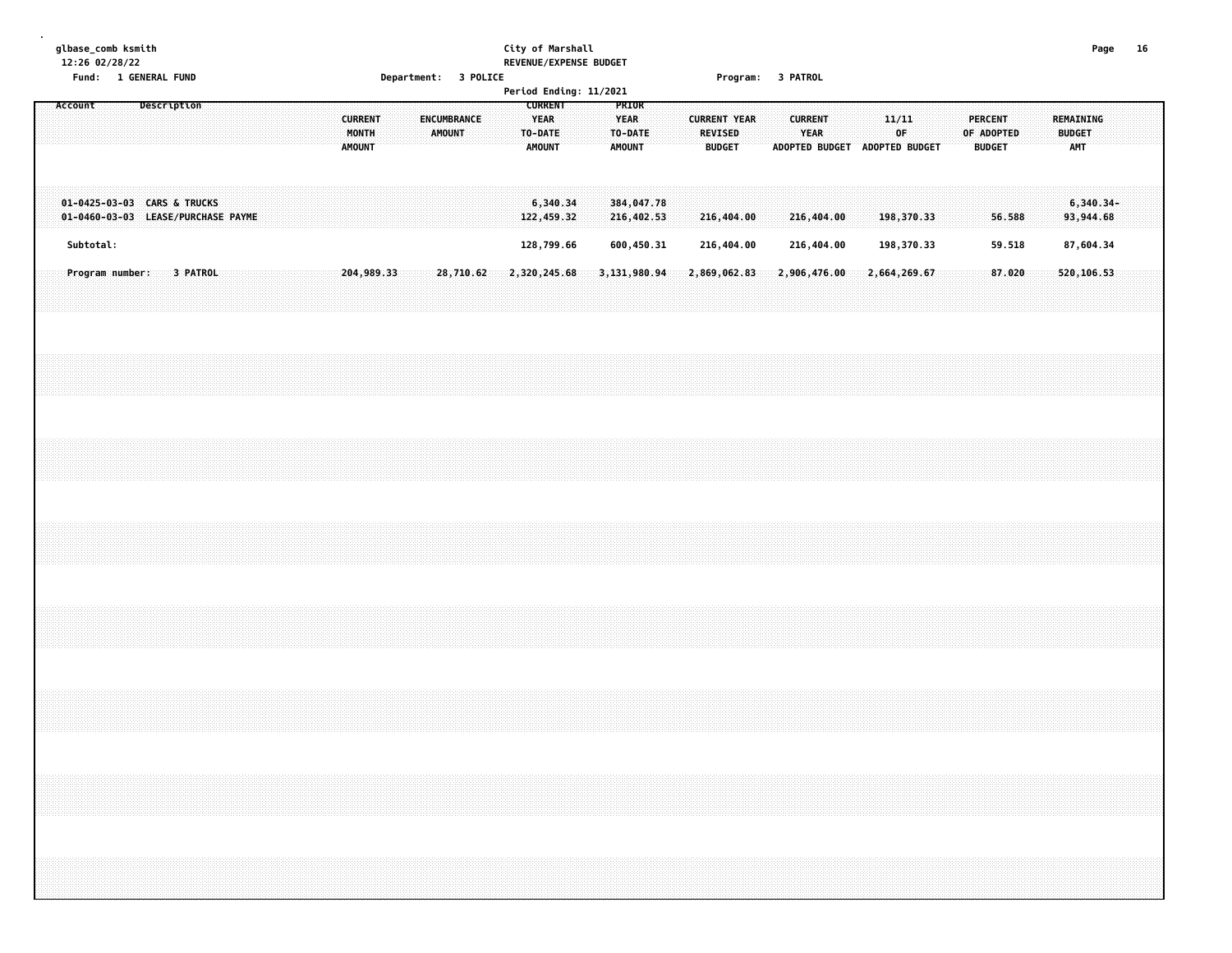#### **glbase\_comb ksmith City of Marshall Page 16 12:26 02/28/22 REVENUE/EXPENSE BUDGET Fund: 1 GENERAL FUND Department: 3 POLICE Program: 3 PATROL**

| $\cdots$                                                          | <b>THE ALL AND LAND</b> |             |          |  |  |  |                                          |  |                              | pepartments a reference |  |                                                           | Period Ending: 11/2021 |                                                  |  |                                                        | i i ogi ulli video u nimo u |                |              |  |                         |                               |  |                                 |            |  |                                   |                          |  |
|-------------------------------------------------------------------|-------------------------|-------------|----------|--|--|--|------------------------------------------|--|------------------------------|-------------------------|--|-----------------------------------------------------------|------------------------|--------------------------------------------------|--|--------------------------------------------------------|-----------------------------|----------------|--------------|--|-------------------------|-------------------------------|--|---------------------------------|------------|--|-----------------------------------|--------------------------|--|
| Account                                                           |                         | Description |          |  |  |  | <b>CURRENT</b><br>MONTH<br><b>AMOUNT</b> |  | <b>ENCUMBRANCE</b><br>AMOUNT |                         |  | <b>CURRENT</b><br><b>YEAR</b><br>TO-DATE<br><b>AMOUNT</b> |                        | PRIOR<br><b>YEAR</b><br>TO-DATE<br><b>AMOUNT</b> |  | <b>CURRENT YEAR</b><br><b>REVISED</b><br><b>BUDGET</b> |                             | <b>CURRENT</b> | YEAR         |  | 11/11<br>0 <sup>F</sup> | ADOPTED BUDGET ADOPTED BUDGET |  | <b>PERCENT</b><br><b>BUDGET</b> | OF ADOPTED |  | REMAINING<br><b>BUDGET</b><br>AMT |                          |  |
| 01-0425-03-03 CARS & TRUCKS<br>01-0460-03-03 LEASE/PURCHASE PAYME |                         |             |          |  |  |  |                                          |  |                              |                         |  | 6,340.34<br>122,459.32                                    |                        | 384,047.78<br>216,402.53                         |  | 216,404.00                                             |                             |                | 216,404.00   |  |                         | 198,370.33                    |  |                                 | 56.588     |  |                                   | $6,340.34-$<br>93,944.68 |  |
| Subtotal:                                                         |                         |             |          |  |  |  |                                          |  |                              |                         |  | 128,799.66                                                |                        | 600,450.31                                       |  | 216,404.00                                             |                             |                | 216,404.00   |  |                         | 198,370.33                    |  |                                 | 59.518     |  |                                   | 87,604.34                |  |
| Program number:                                                   |                         |             | 3 PATROL |  |  |  | 204,989.33                               |  | 28,710.62                    |                         |  | 2,320,245.68                                              |                        | 3,131,980.94                                     |  | 2,869,062.83                                           |                             |                | 2,906,476.00 |  |                         | 2,664,269.67                  |  |                                 | 87.020     |  |                                   | 520,106.53               |  |
|                                                                   |                         |             |          |  |  |  |                                          |  |                              |                         |  |                                                           |                        |                                                  |  |                                                        |                             |                |              |  |                         |                               |  |                                 |            |  |                                   |                          |  |
|                                                                   |                         |             |          |  |  |  |                                          |  |                              |                         |  |                                                           |                        |                                                  |  |                                                        |                             |                |              |  |                         |                               |  |                                 |            |  |                                   |                          |  |
|                                                                   |                         |             |          |  |  |  |                                          |  |                              |                         |  |                                                           |                        |                                                  |  |                                                        |                             |                |              |  |                         |                               |  |                                 |            |  |                                   |                          |  |
|                                                                   |                         |             |          |  |  |  |                                          |  |                              |                         |  |                                                           |                        |                                                  |  |                                                        |                             |                |              |  |                         |                               |  |                                 |            |  |                                   |                          |  |
|                                                                   |                         |             |          |  |  |  |                                          |  |                              |                         |  |                                                           |                        |                                                  |  |                                                        |                             |                |              |  |                         |                               |  |                                 |            |  |                                   |                          |  |
|                                                                   |                         |             |          |  |  |  |                                          |  |                              |                         |  |                                                           |                        |                                                  |  |                                                        |                             |                |              |  |                         |                               |  |                                 |            |  |                                   |                          |  |
|                                                                   |                         |             |          |  |  |  |                                          |  |                              |                         |  |                                                           |                        |                                                  |  |                                                        |                             |                |              |  |                         |                               |  |                                 |            |  |                                   |                          |  |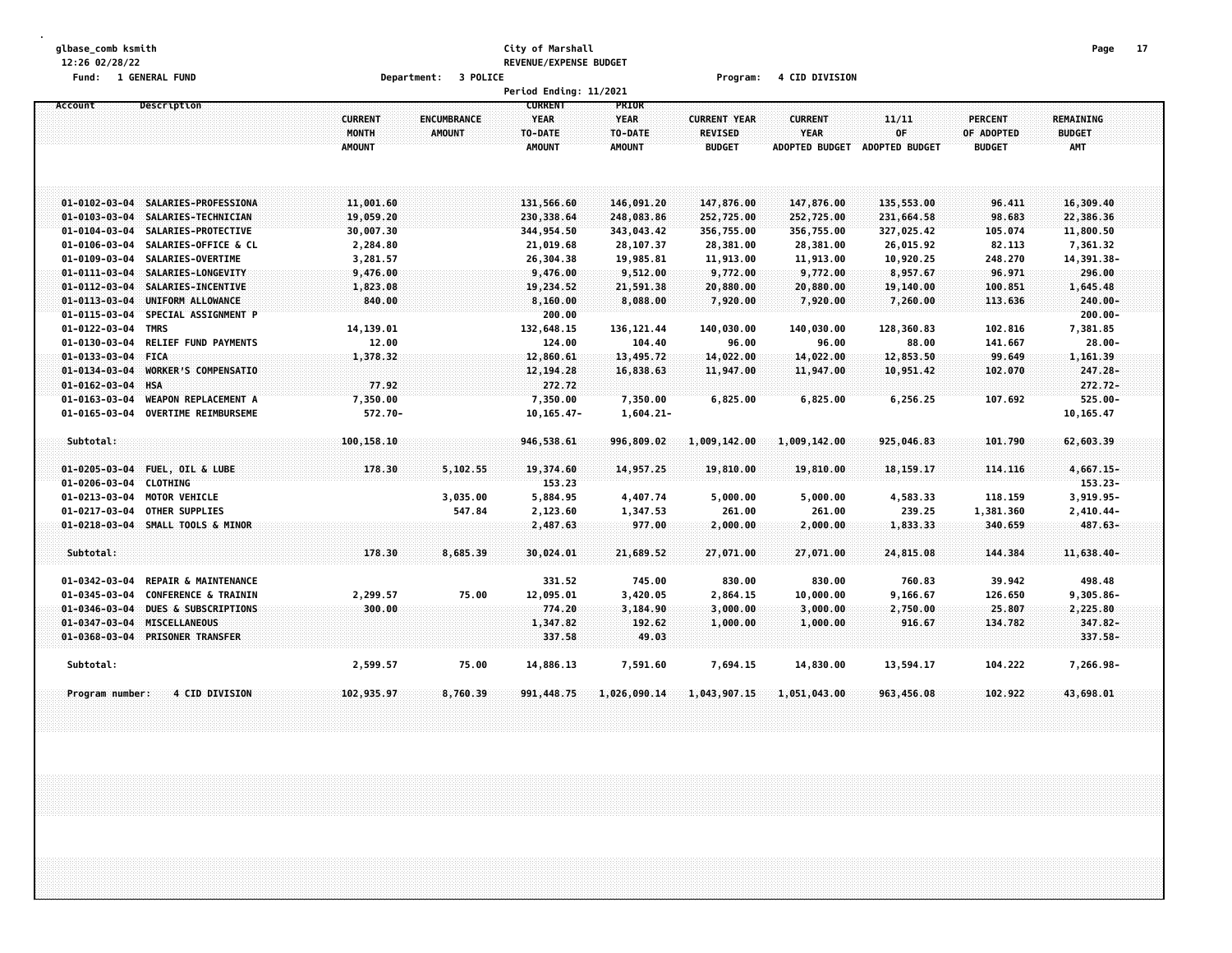#### **glbase\_comb ksmith City of Marshall Page 17 12:26 02/28/22 REVENUE/EXPENSE BUDGET Fund: 1 GENERAL FUND Department: 3 POLICE Program: 4 CID DIVISION**

|                                                                         |                                          |                              | Period Ending: 11/2021                             |                                                  |                                                        |                                                        |                               |                                               |                                   |  |
|-------------------------------------------------------------------------|------------------------------------------|------------------------------|----------------------------------------------------|--------------------------------------------------|--------------------------------------------------------|--------------------------------------------------------|-------------------------------|-----------------------------------------------|-----------------------------------|--|
| Account<br>Description                                                  | <b>CURRENT</b><br>MONTH<br><b>AMOUNT</b> | ENCUMBRANCE<br><b>AMOUNT</b> | <b>CURRENT</b><br>YEAR<br>TO-DATE<br><b>AMOUNT</b> | PRIOR<br><b>YEAR</b><br>TO-DATE<br><b>AMOUNT</b> | <b>CURRENT YEAR</b><br><b>REVISED</b><br><b>BUDGET</b> | <b>CURRENT</b><br><b>YEAR</b><br><b>ADOPTED BUDGET</b> | 11/11<br>0F<br>ADOPTED BUDGET | <b>PERCENT</b><br>OF ADOPTED<br><b>BUDGET</b> | REMAINING<br><b>BUDGET</b><br>AMT |  |
| SALARIES-PROFESSIONA<br>$01 - 0102 - 03 - 04$                           | 11,001.60                                |                              | 131,566.60                                         | 146,091.20                                       | 147,876.00                                             | 147,876.00                                             | 135,553.00                    | 96.411                                        | 16,309.40                         |  |
| SALARIES-TECHNICIAN<br>$01 - 0103 - 03 - 04$                            | 19,059.20                                |                              | 230,338.64                                         | 248,083.86                                       | 252,725.00                                             | 252,725.00                                             | 231,664.58                    | 98.683                                        | 22,386.36                         |  |
| $01 - 0104 - 03 - 04$<br>SALARIES-PROTECTIVE                            | 30,007.30                                |                              | 344,954.50                                         | 343,043.42                                       | 356,755.00                                             | 356,755.00                                             | 327,025.42                    | 105.074                                       | 11,800.50                         |  |
| $01 - 0106 - 03 - 04$<br>SALARIES-OFFICE & CL                           | 2,284.80                                 |                              | 21,019.68                                          | 28,107.37                                        | 28,381.00                                              | 28,381.00                                              | 26,015.92                     | 82.113                                        | 7,361.32                          |  |
| SALARIES-OVERTIME<br>$01 - 0109 - 03 - 04$                              | 3,281.57                                 |                              | 26,304.38                                          | 19,985.81                                        | 11,913.00                                              | 11,913.00                                              | 10,920.25                     | 248.270                                       | 14,391.38-                        |  |
| $01 - 0111 - 03 - 04$<br>SALARIES-LONGEVITY                             | 9,476.00                                 |                              | 9,476.00                                           | 9,512.00                                         | 9,772.00                                               | 9,772.00                                               | 8,957.67                      | 96.971                                        | 296.00                            |  |
| $01 - 0112 - 03 - 04$<br>SALARIES-INCENTIVE                             | 1,823.08                                 |                              | 19,234.52                                          | 21,591.38                                        | 20,880.00                                              | 20,880.00                                              | 19,140.00                     | 100.851                                       | 1,645.48                          |  |
| $01 - 0113 - 03 - 04$<br>UNIFORM ALLOWANCE                              | 840.00                                   |                              | 8,160.00                                           | 8,088.00                                         | 7,920.00                                               | 7,920.00                                               | 7,260.00                      | 113.636                                       | 240.00-                           |  |
| $01 - 0115 - 03 - 04$<br>SPECIAL ASSIGNMENT P                           |                                          |                              | 200.00                                             |                                                  |                                                        |                                                        |                               |                                               | $200.00 -$                        |  |
| 01-0122-03-04<br><b>TMRS</b>                                            | 14,139.01                                |                              | 132,648.15                                         | 136, 121.44                                      | 140,030.00                                             | 140,030.00                                             | 128,360.83                    | 102.816                                       | 7,381.85                          |  |
| 01-0130-03-04<br><b>RELIEF FUND PAYMENTS</b>                            | 12.00                                    |                              | 124.00                                             | 104.40                                           | 96.00                                                  | 96.00                                                  | 88.00                         | 141.667                                       | $28.00 -$                         |  |
| 01-0133-03-04 FICA                                                      | 1,378.32                                 |                              | 12,860.61                                          | 13,495.72                                        | 14,022.00                                              | 14,022.00                                              | 12,853.50                     | 99.649                                        | 1,161.39                          |  |
| $01 - 0134 - 03 - 04$<br>WORKER'S COMPENSATIO                           |                                          |                              | 12, 194. 28                                        | 16,838.63                                        | 11,947.00                                              | 11,947.00                                              | 10,951.42                     | 102.070                                       | $247.28 -$                        |  |
| $01 - 0162 - 03 - 04$<br><b>HSA</b>                                     | 77.92                                    |                              | 272.72                                             |                                                  |                                                        |                                                        |                               |                                               | $272.72 -$                        |  |
| $01 - 0163 - 03 - 04$<br><b>WEAPON REPLACEMENT A</b>                    | 7,350.00                                 |                              | 7,350.00                                           | 7,350.00                                         | 6,825.00                                               | 6,825.00                                               | 6,256.25                      | 107.692                                       | $525.00 -$                        |  |
| 01-0165-03-04<br><b>OVERTIME REIMBURSEME</b>                            | 572.70-                                  |                              | $10, 165.47 -$                                     | $1,604.21-$                                      |                                                        |                                                        |                               |                                               | 10, 165.47                        |  |
| Subtotal:                                                               | 100,158.10                               |                              | 946,538.61                                         | 996,809.02                                       | 1,009,142.00                                           | 1,009,142.00                                           | 925,046.83                    | 101.790                                       | 62,603.39                         |  |
|                                                                         |                                          |                              |                                                    |                                                  |                                                        |                                                        |                               |                                               |                                   |  |
| <b>FUEL, OIL &amp; LUBE</b><br>$01 - 0205 - 03 - 04$<br><b>CLOTHING</b> | 178.30                                   | 5,102.55                     | 19,374.60<br>153.23                                | 14,957.25                                        | 19,810.00                                              | 19,810.00                                              | 18, 159. 17                   | 114.116                                       | $4,667.15-$<br>$153.23 -$         |  |
| $01 - 0206 - 03 - 04$<br>$01 - 0213 - 03 - 04$<br><b>MOTOR VEHICLE</b>  |                                          |                              | 5,884.95                                           |                                                  |                                                        |                                                        |                               | 118.159                                       | 3,919.95-                         |  |
| 01-0217-03-04<br><b>OTHER SUPPLIES</b>                                  |                                          | 3,035.00<br>547.84           | 2,123.60                                           | 4,407.74<br>1,347.53                             | 5,000.00<br>261.00                                     | 5,000.00<br>261.00                                     | 4,583.33<br>239.25            | 1,381.360                                     | $2,410.44-$                       |  |
| $01 - 0218 - 03 - 04$<br>SMALL TOOLS & MINOR                            |                                          |                              | 2,487.63                                           | 977.00                                           | 2,000.00                                               | 2,000.00                                               | 1,833.33                      | 340.659                                       | $487.63 -$                        |  |
|                                                                         |                                          |                              |                                                    |                                                  |                                                        |                                                        |                               |                                               |                                   |  |
| Subtotal:                                                               | 178.30                                   | 8,685.39                     | 30,024.01                                          | 21,689.52                                        | 27,071.00                                              | 27,071.00                                              | 24,815.08                     | 144,384                                       | 11,638.40-                        |  |
| <b>REPAIR &amp; MAINTENANCE</b><br>01-0342-03-04                        |                                          |                              | 331.52                                             | 745.00                                           | 830.00                                                 | 830.00                                                 | 760.83                        | 39.942                                        | 498.48                            |  |
| 01-0345-03-04<br><b>CONFERENCE &amp; TRAININ</b>                        | 2,299.57                                 | 75.00                        | 12,095.01                                          | 3,420.05                                         | 2,864.15                                               | 10,000.00                                              | 9,166.67                      | 126.650                                       | $9,305.86 -$                      |  |
| $01 - 0346 - 03 - 04$<br>DUES & SUBSCRIPTIONS                           | 300.00                                   |                              | 774.20                                             | 3,184.90                                         | 3,000,00                                               | 3,000.00                                               | 2,750.00                      | 25.807                                        | 2,225.80                          |  |
| $01 - 0347 - 03 - 04$<br><b>MISCELLANEOUS</b>                           |                                          |                              | 1,347.82                                           | 192.62                                           | 1,000.00                                               | 1,000.00                                               | 916.67                        | 134.782                                       | $347.82 -$                        |  |
| $01 - 0368 - 03 - 04$<br><b>PRISONER TRANSFER</b>                       |                                          |                              | 337.58                                             | 49.03                                            |                                                        |                                                        |                               |                                               | 337.58-                           |  |
| Subtotal:                                                               | 2,599.57                                 | 75.00                        | 14,886.13                                          | 7,591.60                                         | 7,694.15                                               | 14,830.00                                              | 13,594.17                     | 104.222                                       | 7,266.98-                         |  |
| <b>4 CID DIVISION</b><br>Program number:                                | 102,935.97                               | 8,760.39                     | 991,448.75                                         | 1,026,090.14                                     | 1,043,907.15                                           | 1,051,043.00                                           | 963,456.08                    | 102.922                                       | 43,698.01                         |  |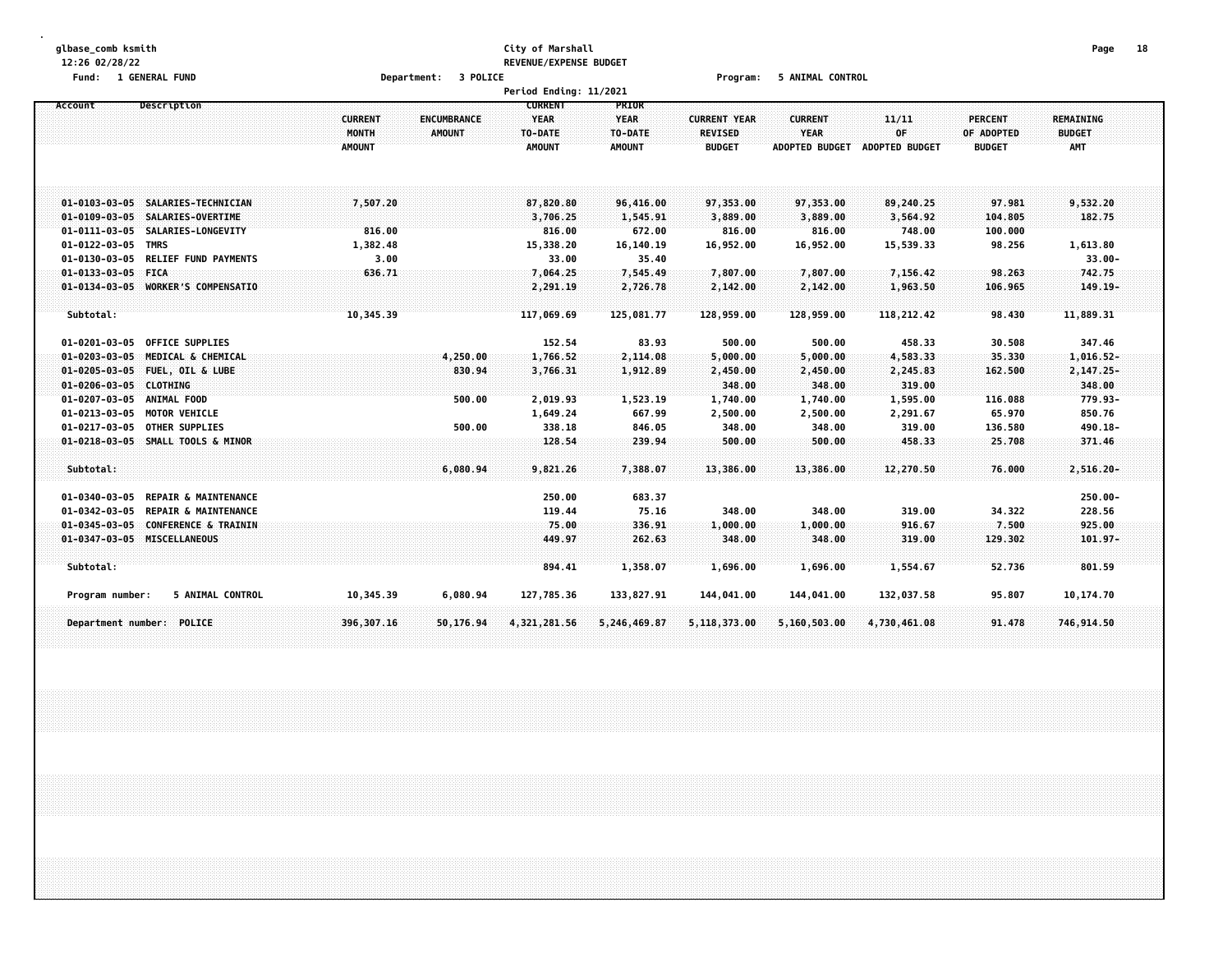#### **glbase\_comb ksmith City of Marshall Page 18 12:26 02/28/22 REVENUE/EXPENSE BUDGET Fund: 1 GENERAL FUND Department: 3 POLICE Program: 5 ANIMAL CONTROL**

|                                                          |                         |                              | Period Ending: 11/2021                                    |                                 |                                       |                               |                       |                              |                                          |  |
|----------------------------------------------------------|-------------------------|------------------------------|-----------------------------------------------------------|---------------------------------|---------------------------------------|-------------------------------|-----------------------|------------------------------|------------------------------------------|--|
| <b>Description</b><br>Account                            | <b>CURRENT</b><br>MONTH | ENCUMBRANCE<br><b>AMOUNT</b> | <b>CURRENT</b><br><b>YEAR</b><br>TO-DATE<br><b>AMOUNT</b> | PRIOR<br><b>YEAR</b><br>TO-DATE | <b>CURRENT YEAR</b><br><b>REVISED</b> | <b>CURRENT</b><br><b>YEAR</b> | 11/11<br>0F           | <b>PERCENT</b><br>OF ADOPTED | REMAINING<br><b>BUDGET</b><br><b>AMT</b> |  |
|                                                          | <b>AMOUNT</b>           |                              |                                                           | <b>AMOUNT</b>                   | <b>BUDGET</b>                         | <b>ADOPTED BUDGET</b>         | <b>ADOPTED BUDGET</b> | <b>BUDGET</b>                |                                          |  |
| 01-0103-03-05 SALARIES-TECHNICIAN                        | 7,507.20                |                              | 87,820,80                                                 | 96,416.00                       | 97,353.00                             | 97,353.00                     | 89,240.25             | 97.981                       | 9,532.20                                 |  |
| 01-0109-03-05 SALARIES-OVERTIME                          |                         |                              | 3,706.25                                                  | 1,545.91                        | 3,889.00                              | 3,889.00                      | 3,564.92              | 104.805                      | 182.75                                   |  |
| 01-0111-03-05 SALARIES-LONGEVITY                         | 816.00                  |                              | 816.00                                                    | 672.00                          | 816.00                                | 816.00                        | 748.00                | 100.000                      |                                          |  |
| 01-0122-03-05 TMRS                                       | 1,382.48                |                              | 15,338.20                                                 | 16,140.19                       | 16,952.00                             | 16,952.00                     | 15,539.33             | 98.256                       | 1,613.80                                 |  |
| $01 - 0130 - 03 - 05$<br><b>RELIEF FUND PAYMENTS</b>     | 3.00                    |                              | 33.00                                                     | 35.40                           |                                       |                               |                       |                              | $33.00 -$                                |  |
| <b>FICA</b><br>$01 - 0133 - 03 - 05$                     | 636.71                  |                              | 7,064.25                                                  | 7,545.49                        | 7,807.00                              | 7,807.00                      | 7,156.42              | 98.263                       | 742.75                                   |  |
| 01-0134-03-05 WORKER'S COMPENSATIO                       |                         |                              | 2,291.19                                                  | 2,726.78                        | 2,142.00                              | 2,142.00                      | 1,963.50              | 106.965                      | $149.19 -$                               |  |
|                                                          |                         |                              |                                                           |                                 |                                       |                               |                       |                              |                                          |  |
| Subtotal:                                                | 10,345.39               |                              | 117,069.69                                                | 125,081.77                      | 128,959.00                            | 128,959.00                    | 118,212.42            | 98.430                       | 11,889.31                                |  |
| <b>OFFICE SUPPLIES</b><br>01-0201-03-05                  |                         |                              | 152.54                                                    | 83.93                           | 500.00                                | 500.00                        | 458.33                | 30.508                       | 347.46                                   |  |
| $01 - 0203 - 03 - 05$<br>MEDICAL & CHEMICAL              |                         | 4,250.00                     | 1,766.52                                                  | 2,114.08                        | 5,000.00                              | 5,000.00                      | 4,583.33              | 35.330                       | 1,016.52-                                |  |
| $01 - 0205 - 03 - 05$<br>FUEL, OIL & LUBE                |                         | 830.94                       | 3,766.31                                                  | 1,912.89                        | 2,450.00                              | 2,450.00                      | 2,245.83              | 162.500                      | 2,147.25-                                |  |
| $01 - 0206 - 03 - 05$<br><b>CLOTHING</b>                 |                         |                              |                                                           |                                 | 348.00                                | 348.00                        | 319.00                |                              | 348.00                                   |  |
| 01-0207-03-05 ANIMAL FOOD                                |                         | 500.00                       | 2,019.93                                                  | 1,523.19                        | 1,740.00                              | 1,740.00                      | 1,595.00              | 116.088                      | 779.93-                                  |  |
| $01 - 0213 - 03 - 05$<br><b>MOTOR VEHICLE</b>            |                         |                              | 1,649.24                                                  | 667.99                          | 2,500.00                              | 2,500.00                      | 2,291.67              | 65.970                       | 850.76                                   |  |
| 01-0217-03-05<br><b>OTHER SUPPLIES</b>                   |                         | 500.00                       | 338.18                                                    | 846.05                          | 348.00                                | 348.00                        | 319.00                | 136.580                      | 490.18-                                  |  |
| 01-0218-03-05 SMALL TOOLS & MINOR                        |                         |                              | 128.54                                                    | 239.94                          | 500.00                                | 500.00                        | 458.33                | 25.708                       | 371.46                                   |  |
| Subtotal:                                                |                         | 6,080.94                     | 9,821.26                                                  | 7,388.07                        | 13,386.00                             | 13,386.00                     | 12,270.50             | 76.000                       | 2,516.20-                                |  |
| <b>REPAIR &amp; MAINTENANCE</b><br>01-0340-03-05         |                         |                              | 250.00                                                    | 683.37                          |                                       |                               |                       |                              | $250.00 -$                               |  |
| REPAIR & MAINTENANCE<br>$01 - 0342 - 03 - 05$            |                         |                              | 119.44                                                    | 75.16                           | 348.00                                | 348.00                        | 319.00                | 34.322                       | 228.56                                   |  |
| <b>CONFERENCE &amp; TRAININ</b><br>$01 - 0345 - 03 - 05$ |                         |                              | 75.00                                                     | 336.91                          | 1,000.00                              | 1,000.00                      | 916.67                | 7.500                        | 925.00                                   |  |
| 01-0347-03-05 MISCELLANEOUS                              |                         |                              | 449.97                                                    | 262.63                          | 348.00                                | 348.00                        | 319.00                | 129.302                      | $101.97 -$                               |  |
| Subtotal:                                                |                         |                              | 894.41                                                    | 1,358.07                        | 1,696.00                              | 1,696.00                      | 1,554.67              | 52.736                       | 801.59                                   |  |
|                                                          |                         |                              |                                                           |                                 |                                       |                               |                       |                              |                                          |  |
| 5 ANIMAL CONTROL<br>Program number:                      | 10,345.39               | 6,080.94                     | 127,785.36                                                | 133,827.91                      | 144,041.00                            | 144,041.00                    | 132,037.58            | 95.807                       | 10,174.70                                |  |
| Department number: POLICE                                | 396,307.16              | 50,176.94                    | 4,321,281.56                                              | 5,246,469.87                    | 5,118,373.00                          | 5,160,503.00                  | 4,730,461.08          | 91.478                       | 746,914.50                               |  |
|                                                          |                         |                              |                                                           |                                 |                                       |                               |                       |                              |                                          |  |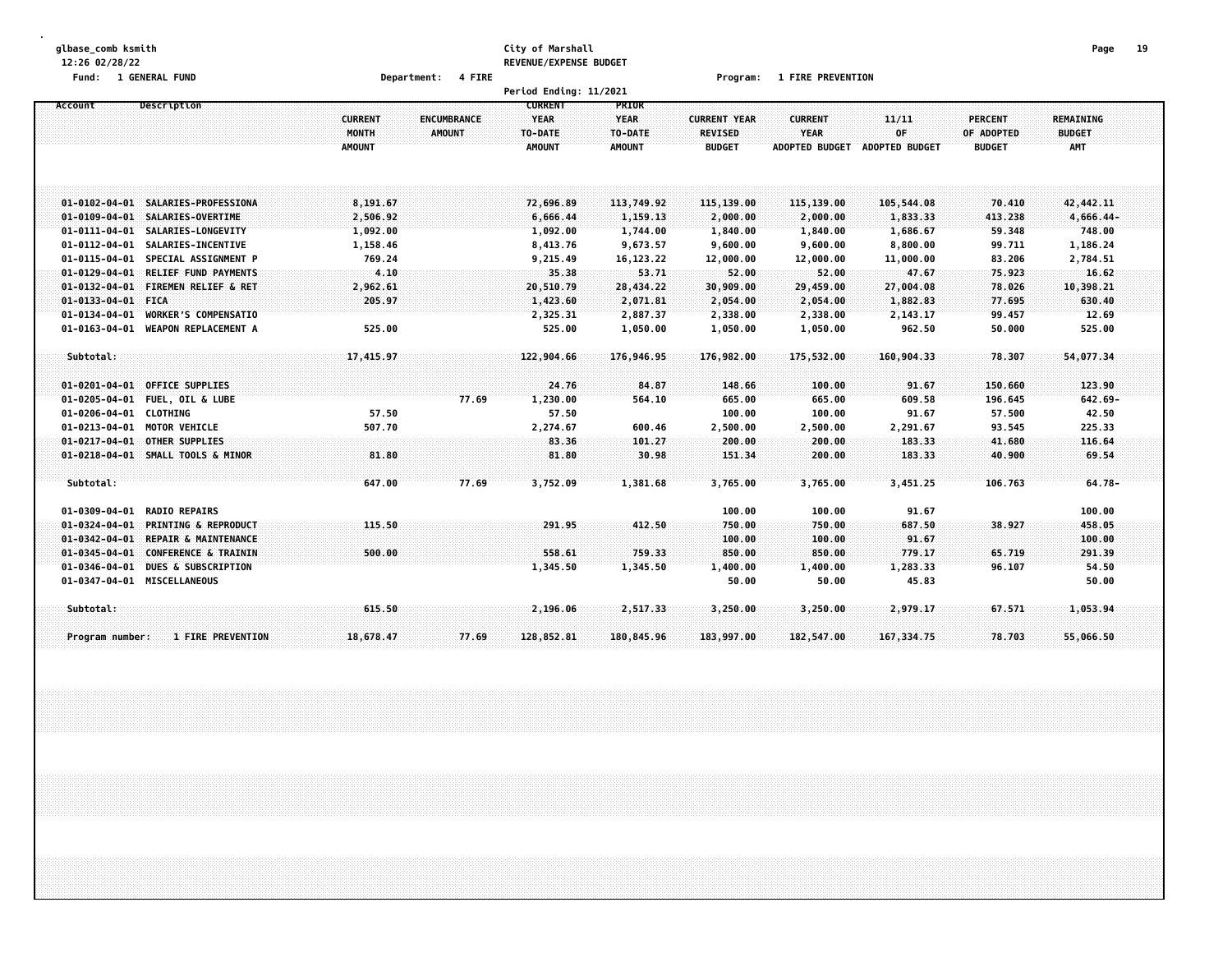#### **glbase\_comb ksmith City of Marshall Page 19 12:26 02/28/22 REVENUE/EXPENSE BUDGET**

**Fund: 1 GENERAL FUND Department: 4 FIRE Program: 1 FIRE PREVENTION**

|                                                          |                |               | Period Ending: 11/2021 |               |                     |                       |                |                |                  |  |
|----------------------------------------------------------|----------------|---------------|------------------------|---------------|---------------------|-----------------------|----------------|----------------|------------------|--|
| Description<br>Account                                   |                |               | <b>CURRENT</b>         | PRIOR         |                     |                       |                |                |                  |  |
|                                                          | <b>CURRENT</b> | ENCUMBRANCE   | <b>YEAR</b>            | <b>YEAR</b>   | <b>CURRENT YEAR</b> | <b>CURRENT</b>        | 11/11          | <b>PERCENT</b> | <b>REMAINING</b> |  |
|                                                          | MONTH          | <b>AMOUNT</b> | TO-DATE                | TO-DATE       | <b>REVISED</b>      | <b>YEAR</b>           | OF             | OF ADOPTED     | <b>BUDGET</b>    |  |
|                                                          | <b>AMOUNT</b>  |               | <b>AMOUNT</b>          | <b>AMOUNT</b> | <b>BUDGET</b>       | <b>ADOPTED BUDGET</b> | ADOPTED BUDGET | <b>BUDGET</b>  | AMT              |  |
|                                                          |                |               |                        |               |                     |                       |                |                |                  |  |
|                                                          |                |               |                        |               |                     |                       |                |                |                  |  |
|                                                          |                |               |                        |               |                     |                       |                |                |                  |  |
| 01-0102-04-01 SALARIES-PROFESSIONA                       | 8,191.67       |               | 72,696.89              | 113,749.92    | 115,139.00          | 115,139.00            | 105,544.08     | 70.410         | 42, 442.11       |  |
| 01-0109-04-01 SALARIES-OVERTIME                          | 2,506.92       |               | 6,666.44               | 1,159.13      | 2,000.00            | 2,000.00              | 1,833.33       | 413.238        | 4,666.44-        |  |
| 01-0111-04-01 SALARIES-LONGEVITY                         | 1,092.00       |               | 1,092.00               | 1,744.00      | 1,840.00            | 1,840.00              | 1,686.67       | 59.348         | 748.00           |  |
| SALARIES-INCENTIVE<br>$01 - 0112 - 04 - 01$              | 1,158.46       |               | 8,413.76               | 9,673.57      | 9,600.00            | 9,600.00              | 8,800.00       | 99.711         | 1,186.24         |  |
| $01 - 0115 - 04 - 01$<br>SPECIAL ASSIGNMENT P            | 769.24         |               | 9,215.49               | 16,123.22     | 12,000.00           | 12,000.00             | 11,000.00      | 83.206         | 2,784.51         |  |
| $01 - 0129 - 04 - 01$<br><b>RELIEF FUND PAYMENTS</b>     | 4.10           |               | 35.38                  | 53.71         | 52.00               | 52.00                 | 47.67          | 75.923         | 16.62            |  |
| 01-0132-04-01 FIREMEN RELIEF & RET                       | 2,962.61       |               | 20,510.79              | 28,434.22     | 30,909.00           | 29,459.00             | 27,004.08      | 78.026         | 10,398.21        |  |
| 01-0133-04-01 FICA                                       | 205.97         |               | 1,423.60               | 2,071.81      | 2,054.00            | 2,054.00              | 1,882.83       | 77.695         | 630,40           |  |
| $01 - 0134 - 04 - 01$<br><b>WORKER'S COMPENSATIO</b>     |                |               | 2,325.31               | 2,887.37      | 2,338.00            | 2,338.00              | 2,143.17       | 99.457         | 12.69            |  |
| <b>WEAPON REPLACEMENT A</b><br>$01 - 0163 - 04 - 01$     | 525.00         |               | 525.00                 | 1,050.00      | 1,050.00            | 1,050.00              | 962.50         | 50.000         | 525.00           |  |
|                                                          |                |               |                        |               |                     |                       |                |                |                  |  |
| Subtotal:                                                | 17,415.97      |               | 122,904.66             | 176,946.95    | 176,982.00          | 175,532.00            | 160,904.33     | 78.307         | 54,077.34        |  |
|                                                          |                |               |                        |               |                     |                       |                |                |                  |  |
| $01 - 0201 - 04 - 01$<br><b>OFFICE SUPPLIES</b>          |                |               | 24.76                  | 84.87         | 148.66              | 100.00                | 91.67          | 150.660        | 123.90           |  |
| $01 - 0205 - 04 - 01$<br><b>FUEL, OIL &amp; LUBE</b>     |                | 77.69         | 1,230.00               | 564.10        | 665.00              | 665.00                | 609.58         | 196.645        | $642.69 -$       |  |
| 01-0206-04-01 CLOTHING                                   | 57.50          |               | 57.50                  |               | 100.00              | 100.00                | 91.67          | 57.500         | 42.50            |  |
| $01 - 0213 - 04 - 01$<br><b>MOTOR VEHICLE</b>            | 507.70         |               | 2,274.67               | 600.46        | 2,500.00            | 2,500.00              | 2,291.67       | 93.545         | 225.33           |  |
| <b>OTHER SUPPLIES</b><br>$01 - 0217 - 04 - 01$           |                |               | 83.36                  | 101.27        | 200.00              | 200.00                | 183.33         | 41.680         | 116.64           |  |
| 01-0218-04-01 SMALL TOOLS & MINOR                        | 81.80          |               | 81.80                  | 30.98         | 151.34              | 200.00                | 183.33         | 40.900         | 69.54            |  |
|                                                          |                |               |                        |               |                     |                       |                |                |                  |  |
| Subtotal:                                                | 647.00         | 77.69         | 3,752.09               | 1,381.68      | 3,765.00            | 3,765.00              | 3,451.25       | 106.763        | $64.78 -$        |  |
|                                                          |                |               |                        |               |                     |                       |                |                |                  |  |
| $01 - 0309 - 04 - 01$<br><b>RADIO REPAIRS</b>            |                |               |                        |               | 100.00              | 100.00                | 91.67          |                | 100.00           |  |
| $01 - 0324 - 04 - 01$<br><b>PRINTING &amp; REPRODUCT</b> | 115.50         |               | 291.95                 | 412.50        | 750.00              | 750.00                | 687.50         | 38.927         | 458.05           |  |
| $01 - 0342 - 04 - 01$<br><b>REPAIR &amp; MAINTENANCE</b> |                |               |                        |               | 100.00              | 100.00                | 91.67          |                | 100.00           |  |
| 01-0345-04-01 CONFERENCE & TRAININ                       | 500.00         |               | 558,61                 | 759.33        | 850.00              | 850.00                | 779.17         | 65.719         | 291.39           |  |
| 01-0346-04-01 DUES & SUBSCRIPTION                        |                |               | 1,345.50               | 1,345.50      | 1,400.00            | 1,400.00              | 1,283.33       | 96.107         | 54.50            |  |
| 01-0347-04-01 MISCELLANEOUS                              |                |               |                        |               | 50.00               | 50.00                 | 45.83          |                | 50.00            |  |
|                                                          |                |               |                        |               |                     |                       |                |                |                  |  |
| Subtotal:                                                | 615.50         |               | 2,196.06               | 2,517.33      | 3,250.00            | 3,250.00              | 2,979.17       | 67.571         | 1,053.94         |  |
|                                                          |                |               |                        |               |                     |                       |                |                |                  |  |
| <b>1 FIRE PREVENTION</b><br>Program number:              | 18,678.47      | 77.69         | 128,852.81             | 180,845.96    | 183,997.00          | 182,547.00            | 167, 334, 75   | 78.703         | 55,066.50        |  |
|                                                          |                |               |                        |               |                     |                       |                |                |                  |  |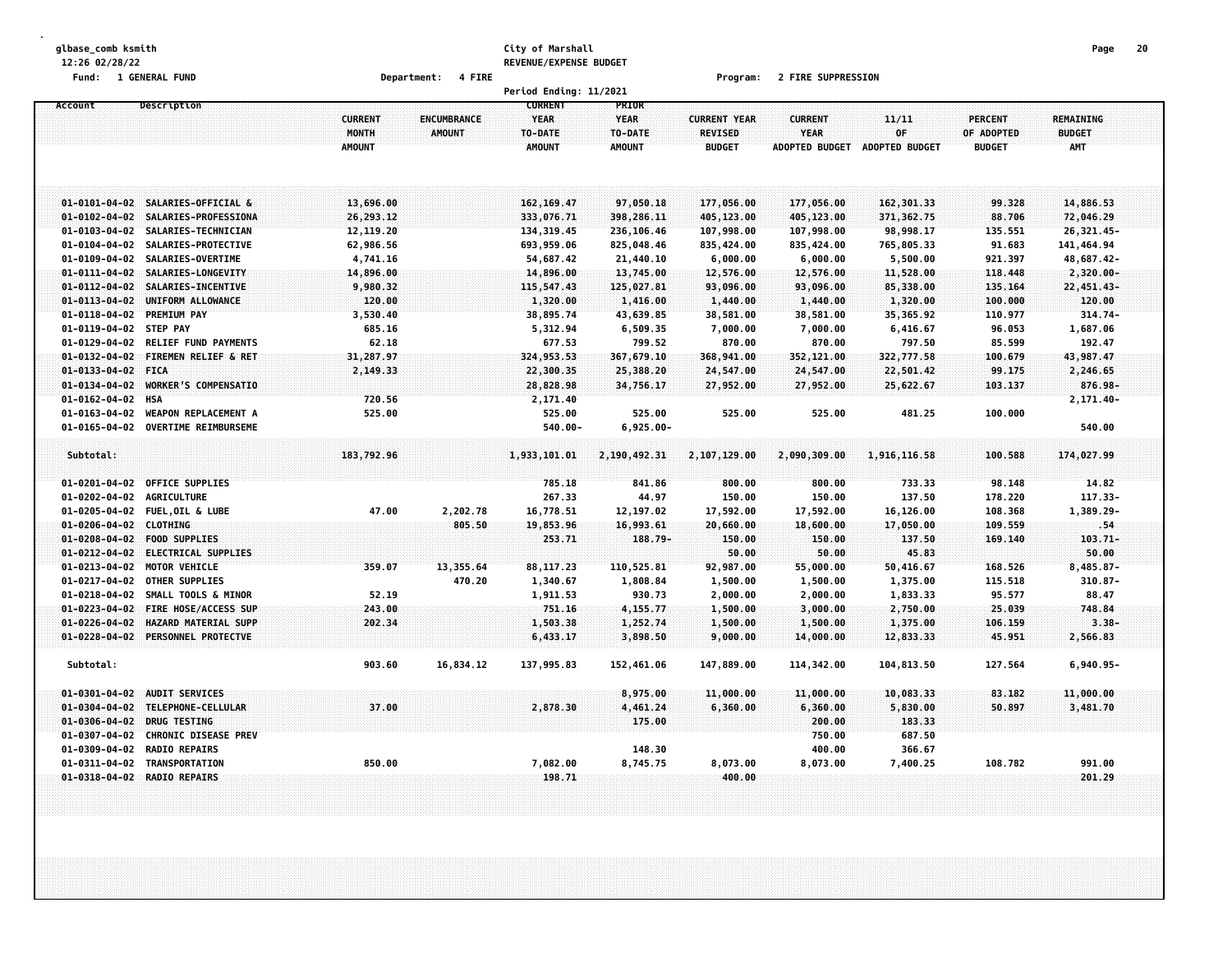# **glbase\_comb ksmith City of Marshall Page 20 12:26 02/28/22 REVENUE/EXPENSE BUDGET**

**Fund: 1 GENERAL FUND Department: 4 FIRE Program: 2 FIRE SUPPRESSION**

|                                                |                                            |                       |                    | Period Ending: 11/2021  |                         |                        |                        |                        |                   |                          |  |
|------------------------------------------------|--------------------------------------------|-----------------------|--------------------|-------------------------|-------------------------|------------------------|------------------------|------------------------|-------------------|--------------------------|--|
| Account                                        | Description                                |                       |                    | <b>CURRENT</b>          | PRIOR                   |                        |                        |                        |                   |                          |  |
|                                                |                                            | <b>CURRENT</b>        | <b>ENCUMBRANCE</b> | <b>YEAR</b>             | YEAR                    | <b>CURRENT YEAR</b>    | <b>CURRENT</b>         | 11/11                  | <b>PERCENT</b>    | <b>REMAINING</b>         |  |
|                                                |                                            | MONTH                 | <b>AMOUNT</b>      | TO-DATE                 | TO-DATE                 | <b>REVISED</b>         | <b>YEAR</b>            | OF                     | OF ADOPTED        | <b>BUDGET</b>            |  |
|                                                |                                            | <b>AMOUNT</b>         |                    | <b>AMOUNT</b>           | <b>AMOUNT</b>           | <b>BUDGET</b>          | <b>ADOPTED BUDGET</b>  | ADOPTED BUDGET         | <b>BUDGET</b>     | <b>AMT</b>               |  |
|                                                |                                            |                       |                    |                         |                         |                        |                        |                        |                   |                          |  |
|                                                |                                            |                       |                    |                         |                         |                        |                        |                        |                   |                          |  |
|                                                |                                            |                       |                    |                         |                         |                        |                        |                        |                   |                          |  |
|                                                | 01-0101-04-02 SALARIES-OFFICIAL &          | 13,696.00             |                    | 162, 169, 47            | 97,050.18               | 177,056.00             | 177,056.00             | 162,301.33             | 99.328            | 14,886.53                |  |
|                                                | 01-0102-04-02 SALARIES-PROFESSIONA         | 26,293.12             |                    | 333,076.71              | 398,286.11              | 405,123.00             | 405,123.00             | 371, 362.75            | 88.706            | 72,046.29                |  |
| $01 - 0103 - 04 - 02$<br>$01 - 0104 - 04 - 02$ | SALARIES-TECHNICIAN<br>SALARIES-PROTECTIVE | 12,119.20             |                    | 134, 319.45             | 236,106.46              | 107,998.00             | 107,998.00             | 98,998.17              | 135.551           | 26,321.45-               |  |
| $01 - 0109 - 04 - 02$                          | SALARIES-OVERTIME                          | 62,986.56<br>4,741.16 |                    | 693,959.06<br>54,687.42 | 825,048.46<br>21,440.10 | 835,424.00<br>6,000.00 | 835,424.00<br>6,000.00 | 765,805.33<br>5,500.00 | 91.683<br>921.397 | 141,464.94<br>48,687.42- |  |
| $01 - 0111 - 04 - 02$                          | SALARIES-LONGEVITY                         | 14,896.00             |                    | 14,896.00               | 13,745.00               | 12,576.00              | 12,576.00              | 11,528.00              | 118.448           | $2,320.00 -$             |  |
| $01 - 0112 - 04 - 02$                          | SALARIES-INCENTIVE                         | 9,980.32              |                    | 115,547.43              | 125,027.81              | 93,096.00              | 93,096.00              | 85,338.00              | 135.164           | 22,451.43-               |  |
| $01 - 0113 - 04 - 02$                          | UNIFORM ALLOWANCE                          | 120.00                |                    | 1,320.00                | 1,416.00                | 1,440.00               | 1,440.00               | 1,320.00               | 100.000           | 120.00                   |  |
| $01 - 0118 - 04 - 02$                          | <b>PREMIUM PAY</b>                         | 3,530.40              |                    | 38,895.74               | 43,639.85               | 38,581.00              | 38,581.00              | 35,365.92              | 110.977           | 314.74-                  |  |
| 01-0119-04-02 STEP PAY                         |                                            | 685.16                |                    | 5,312.94                | 6,509.35                | 7,000.00               | 7,000.00               | 6,416.67               | 96.053            | 1,687.06                 |  |
| $01 - 0129 - 04 - 02$                          | <b>RELIEF FUND PAYMENTS</b>                | 62.18                 |                    | 677.53                  | 799.52                  | 870.00                 | 870.00                 | 797.50                 | 85.599            | 192.47                   |  |
| $01 - 0132 - 04 - 02$                          | <b>FIREMEN RELIEF &amp; RET</b>            | 31,287.97             |                    | 324,953.53              | 367,679.10              | 368,941.00             | 352,121.00             | 322,777.58             | 100.679           | 43,987.47                |  |
| 01-0133-04-02 FICA                             |                                            | 2,149.33              |                    | 22,300.35               | 25,388.20               | 24,547.00              | 24,547.00              | 22,501.42              | 99.175            | 2,246.65                 |  |
| $01 - 0134 - 04 - 02$                          | <b>WORKER'S COMPENSATIO</b>                |                       |                    | 28,828.98               | 34,756.17               | 27,952.00              | 27,952.00              | 25,622.67              | 103.137           | 876.98-                  |  |
| 01-0162-04-02 HSA                              |                                            | 720.56                |                    | 2,171.40                |                         |                        |                        |                        |                   | $2, 171.40 -$            |  |
| $01 - 0163 - 04 - 02$                          | <b>WEAPON REPLACEMENT A</b>                | 525.00                |                    | 525.00                  | 525.00                  | 525.00                 | 525.00                 | 481.25                 | 100.000           |                          |  |
| $01 - 0165 - 04 - 02$                          | <b>OVERTIME REIMBURSEME</b>                |                       |                    | $540.00 -$              | $6,925.00 -$            |                        |                        |                        |                   | 540.00                   |  |
|                                                |                                            |                       |                    |                         |                         |                        |                        |                        |                   |                          |  |
| Subtotal:                                      |                                            | 183,792.96            |                    | 1,933,101.01            | 2,190,492.31            | 2,107,129.00           | 2,090,309.00           | 1,916,116.58           | 100.588           | 174,027.99               |  |
|                                                |                                            |                       |                    |                         |                         |                        |                        |                        |                   |                          |  |
| $01 - 0201 - 04 - 02$                          | <b>OFFICE SUPPLIES</b>                     |                       |                    | 785.18                  | 841.86                  | 800.00                 | 800.00                 | 733.33                 | 98.148            | 14.82                    |  |
| $01 - 0202 - 04 - 02$                          | <b>AGRICULTURE</b>                         |                       |                    | 267.33                  | 44.97                   | 150.00                 | 150.00                 | 137.50                 | 178.220           | 117.33-                  |  |
| $01 - 0205 - 04 - 02$                          | <b>FUEL, OIL &amp; LUBE</b>                | 47.00                 | 2,202.78           | 16,778.51               | 12,197.02               | 17,592.00              | 17,592.00              | 16,126.00              | 108.368           | 1,389.29-                |  |
| 01-0206-04-02 CLOTHING                         |                                            |                       | 805.50             | 19,853.96               | 16,993.61               | 20,660.00              | 18,600.00              | 17,050.00              | 109.559           | .54                      |  |
|                                                | 01-0208-04-02 FOOD SUPPLIES                |                       |                    | 253.71                  | 188.79-                 | 150.00                 | 150.00                 | 137.50                 | 169.140           | $103.71 -$               |  |
| $01 - 0212 - 04 - 02$                          | <b>ELECTRICAL SUPPLIES</b>                 |                       |                    |                         |                         | 50.00                  | 50.00                  | 45.83                  |                   | 50.00                    |  |
| $01 - 0213 - 04 - 02$                          | MOTOR VEHICLE                              | 359.07                | 13,355.64          | 88,117.23               | 110,525.81              | 92,987.00              | 55,000.00              | 50,416.67              | 168.526           | $8,485.87-$              |  |
| $01 - 0217 - 04 - 02$                          | OTHER SUPPLIES                             |                       | 470.20             | 1,340.67                | 1,808.84                | 1,500.00               | 1,500.00               | 1,375.00               | 115.518           | $310.87 -$               |  |
| $01 - 0218 - 04 - 02$                          | SMALL TOOLS & MINOR                        | 52.19                 |                    | 1,911.53                | 930.73                  | 2,000.00               | 2,000.00               | 1,833.33               | 95.577            | 88.47                    |  |
| $01 - 0223 - 04 - 02$                          | FIRE HOSE/ACCESS SUP                       | 243.00                |                    | 751.16                  | 4,155.77                | 1,500.00               | 3,000.00               | 2,750.00               | 25.039            | 748,84                   |  |
| $01 - 0226 - 04 - 02$                          | HAZARD MATERIAL SUPP                       | 202.34                |                    | 1,503.38                | 1,252.74                | 1,500.00               | 1,500.00               | 1,375.00               | 106.159           | $3.38 -$                 |  |
|                                                | 01-0228-04-02 PERSONNEL PROTECTVE          |                       |                    | 6,433.17                | 3,898.50                | 9,000.00               | 14,000.00              | 12,833.33              | 45.951            | 2,566.83                 |  |
|                                                |                                            |                       |                    |                         |                         |                        |                        |                        |                   |                          |  |
| Subtotal:                                      |                                            | 903.60                | 16,834.12          | 137,995.83              | 152,461.06              | 147,889.00             | 114,342.00             | 104,813.50             | 127.564           | $6,940.95 -$             |  |
|                                                |                                            |                       |                    |                         |                         |                        |                        |                        |                   |                          |  |
| $01 - 0301 - 04 - 02$                          | <b>AUDIT SERVICES</b>                      |                       |                    |                         | 8,975.00                | 11,000.00              | 11,000.00              | 10,083.33              | 83.182            | 11,000.00                |  |
| $01 - 0304 - 04 - 02$                          | TELEPHONE-CELLULAR                         | 37.00                 |                    | 2,878.30                | 4,461.24                | 6,360.00               | 6,360.00               | 5,830.00               | 50.897            | 3,481.70                 |  |
| $01 - 0306 - 04 - 02$                          | <b>DRUG TESTING</b>                        |                       |                    |                         | 175.00                  |                        | 200.00                 | 183.33                 |                   |                          |  |
| $01 - 0307 - 04 - 02$                          | <b>CHRONIC DISEASE PREV</b>                |                       |                    |                         |                         |                        | 750.00                 | 687.50                 |                   |                          |  |
| 01-0309-04-02                                  | <b>RADIO REPAIRS</b>                       |                       |                    |                         | 148.30                  |                        | 400.00                 | 366.67                 |                   |                          |  |
| $01 - 0311 - 04 - 02$                          | TRANSPORTATION                             | 850.00                |                    | 7,082.00                | 8,745.75                | 8,073.00<br>400.00     | 8,073.00               | 7,400.25               | 108.782           | 991.00                   |  |
|                                                | 01-0318-04-02 RADIO REPAIRS                |                       |                    | 198.71                  |                         |                        |                        |                        |                   | 201.29                   |  |
|                                                |                                            |                       |                    |                         |                         |                        |                        |                        |                   |                          |  |
|                                                |                                            |                       |                    |                         |                         |                        |                        |                        |                   |                          |  |
|                                                |                                            |                       |                    |                         |                         |                        |                        |                        |                   |                          |  |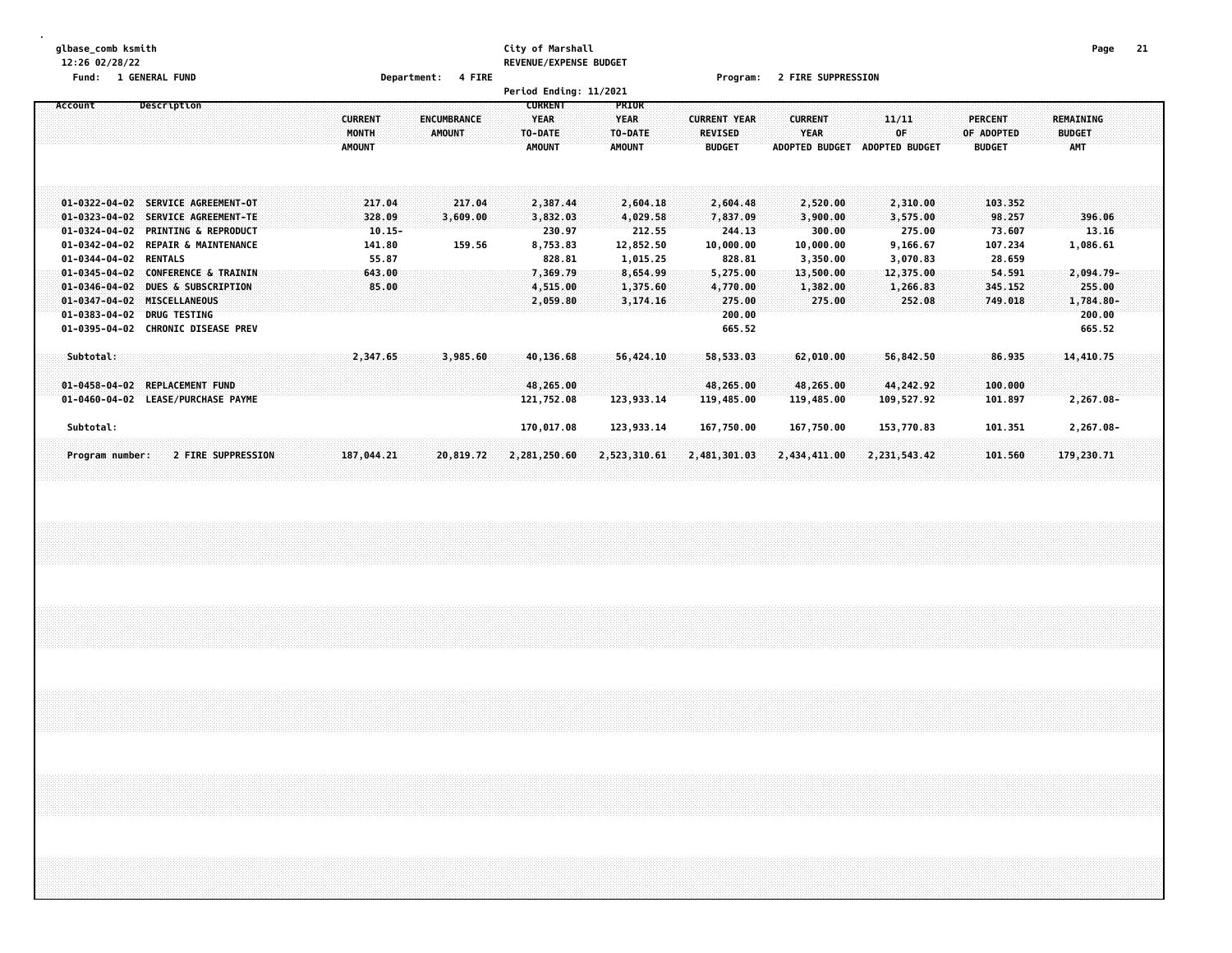#### **glbase\_comb ksmith City of Marshall Page 21 12:26 02/28/22 REVENUE/EXPENSE BUDGET**

**Fund: 1 GENERAL FUND Department: 4 FIRE Program: 2 FIRE SUPPRESSION**

|                       |                                    |                | Period Ending: 11/2021            |               |                     |                       |                       |                |               |  |
|-----------------------|------------------------------------|----------------|-----------------------------------|---------------|---------------------|-----------------------|-----------------------|----------------|---------------|--|
| Account               | Description                        |                | <b>CURRENT</b>                    | PRIOR         |                     |                       |                       |                |               |  |
|                       |                                    | <b>CURRENT</b> | <b>YEAR</b><br><b>ENCUMBRANCE</b> | <b>YEAR</b>   | <b>CURRENT YEAR</b> | <b>CURRENT</b>        | 11/11                 | <b>PERCENT</b> | REMAINING     |  |
|                       |                                    | MONTH          | AMOUNT<br>TO-DATE                 | TO-DATE       | <b>REVISED</b>      | YEAR                  | 0F                    | OF ADOPTED     | <b>BUDGET</b> |  |
|                       |                                    | <b>AMOUNT</b>  | <b>AMOUNT</b>                     | <b>AMOUNT</b> | <b>BUDGET</b>       | <b>ADOPTED BUDGET</b> | <b>ADOPTED BUDGET</b> | <b>BUDGET</b>  | <b>AMT</b>    |  |
|                       |                                    |                |                                   |               |                     |                       |                       |                |               |  |
|                       |                                    |                |                                   |               |                     |                       |                       |                |               |  |
|                       | 01-0322-04-02 SERVICE AGREEMENT-OT | 217.04         | 217.04<br>2,387.44                | 2,604.18      | 2,604.48            | 2,520.00              | 2,310.00              | 103, 352       |               |  |
|                       | 01-0323-04-02 SERVICE AGREEMENT-TE | 328.09         | 3,609.00<br>3,832.03              | 4,029.58      | 7,837.09            | 3,900.00              | 3,575.00              | 98.257         | 396.06        |  |
|                       | 01-0324-04-02 PRINTING & REPRODUCT | $10.15 -$      | 230.97                            | 212.55        | 244.13              | 300.00                | 275.00                | 73.607         | 13.16         |  |
|                       | 01-0342-04-02 REPAIR & MAINTENANCE | 141.80         | 159.56<br>8,753.83                | 12,852.50     | 10,000.00           | 10,000.00             | 9,166.67              | 107.234        | 1,086.61      |  |
| 01-0344-04-02 RENTALS |                                    | 55.87          | 828.81                            | 1,015.25      | 828.81              | 3,350.00              | 3,070.83              | 28.659         |               |  |
|                       | 01-0345-04-02 CONFERENCE & TRAININ | 643.00         | 7,369.79                          | 8,654.99      | 5,275.00            | 13,500.00             | 12,375.00             | 54.591         | 2,094.79-     |  |
| $01 - 0346 - 04 - 02$ | <b>DUES &amp; SUBSCRIPTION</b>     | 85.00          | 4,515.00                          | 1,375.60      | 4,770.00            | 1,382.00              | 1,266.83              | 345.152        | 255.00        |  |
| $01 - 0347 - 04 - 02$ | MISCELLANEOUS                      |                | 2,059.80                          | 3,174.16      | 275.00              | 275.00                | 252.08                | 749.018        | 1,784.80-     |  |
| $01 - 0383 - 04 - 02$ | <b>DRUG TESTING</b>                |                |                                   |               | 200.00              |                       |                       |                | 200.00        |  |
|                       | 01-0395-04-02 CHRONIC DISEASE PREV |                |                                   |               | 665.52              |                       |                       |                | 665.52        |  |
|                       |                                    |                |                                   |               |                     |                       |                       |                |               |  |
| Subtotal:             |                                    | 2,347.65       | 3,985.60<br>40,136.68             | 56,424,10     | 58,533.03           | 62,010.00             | 56,842.50             | 86.935         | 14,410.75     |  |
|                       |                                    |                |                                   |               |                     |                       |                       |                |               |  |
|                       | 01-0458-04-02 REPLACEMENT FUND     |                | 48,265.00                         |               | 48,265.00           | 48,265.00             | 44,242.92             | 100.000        |               |  |
|                       | 01-0460-04-02 LEASE/PURCHASE PAYME |                | 121,752.08                        | 123,933.14    | 119,485.00          | 119,485.00            | 109,527.92            | 101.897        | 2,267.08-     |  |
|                       |                                    |                |                                   |               |                     |                       |                       |                |               |  |
| Subtotal:             |                                    |                | 170,017.08                        | 123,933.14    | 167,750.00          | 167,750.00            | 153,770.83            | 101.351        | 2,267.08-     |  |
| Program number:       | 2 FIRE SUPPRESSION                 | 187,044.21     | 20,819.72<br>2,281,250.60         | 2,523,310.61  | 2,481,301.03        | 2,434,411.00          | 2, 231, 543.42        | 101.560        | 179,230.71    |  |
|                       |                                    |                |                                   |               |                     |                       |                       |                |               |  |
|                       |                                    |                |                                   |               |                     |                       |                       |                |               |  |
|                       |                                    |                |                                   |               |                     |                       |                       |                |               |  |
|                       |                                    |                |                                   |               |                     |                       |                       |                |               |  |
|                       |                                    |                |                                   |               |                     |                       |                       |                |               |  |
|                       |                                    |                |                                   |               |                     |                       |                       |                |               |  |
|                       |                                    |                |                                   |               |                     |                       |                       |                |               |  |
|                       |                                    |                |                                   |               |                     |                       |                       |                |               |  |
|                       |                                    |                |                                   |               |                     |                       |                       |                |               |  |
|                       |                                    |                |                                   |               |                     |                       |                       |                |               |  |
|                       |                                    |                |                                   |               |                     |                       |                       |                |               |  |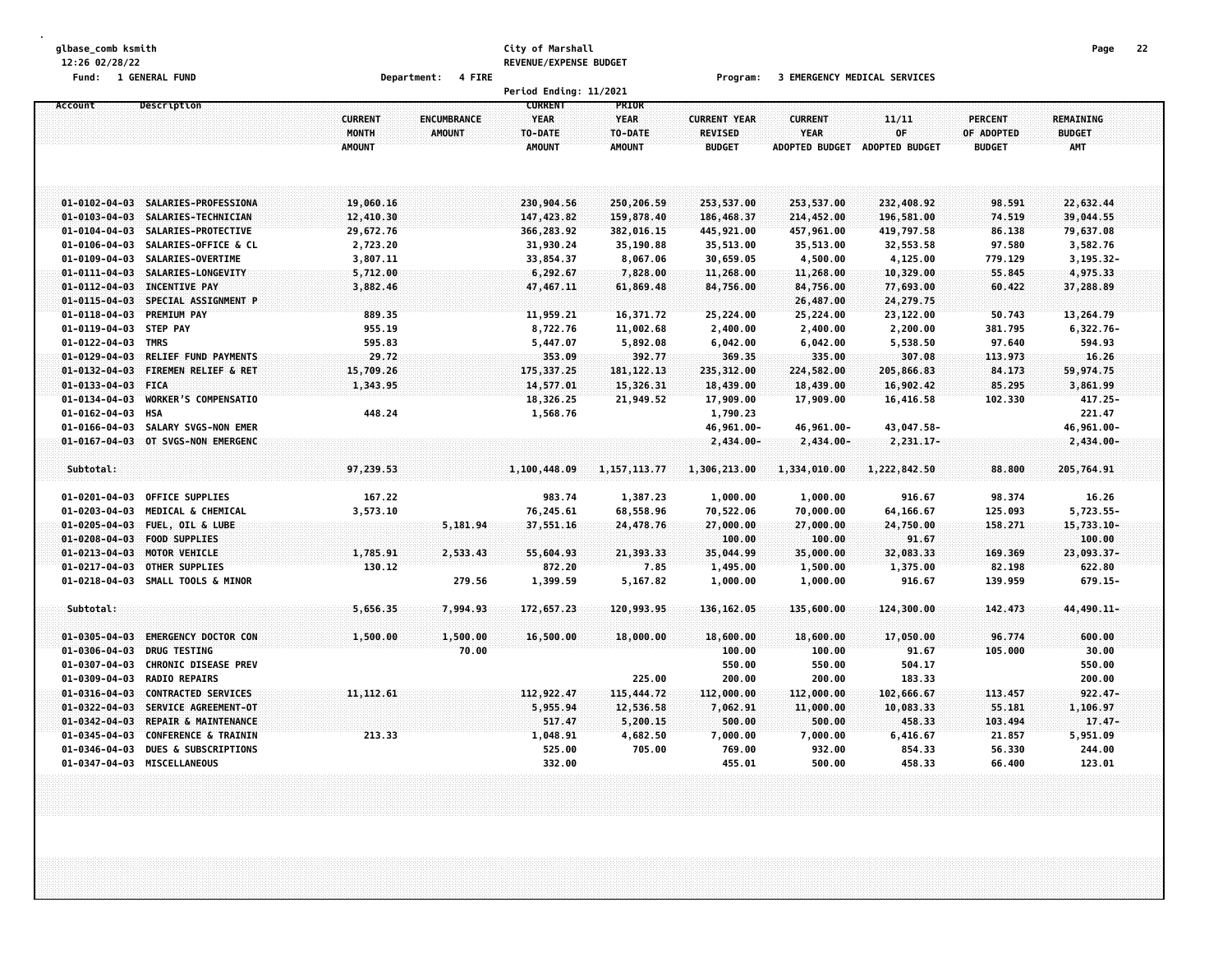#### **glbase\_comb ksmith City of Marshall Page 22 12:26 02/28/22 REVENUE/EXPENSE BUDGET**

**Fund: 1 GENERAL FUND Department: 4 FIRE Program: 3 EMERGENCY MEDICAL SERVICES**

|                        |                                    |                |             | Period Ending: 11/2021        |                      |                     |                       |                |                |               |  |
|------------------------|------------------------------------|----------------|-------------|-------------------------------|----------------------|---------------------|-----------------------|----------------|----------------|---------------|--|
| Account                | Description                        | <b>CURRENT</b> | ENCUMBRANCE | <b>CURRENT</b><br><b>YEAR</b> | PRIOR<br><b>YEAR</b> | <b>CURRENT YEAR</b> | <b>CURRENT</b>        | 11/11          | <b>PERCENT</b> | REMAINING     |  |
|                        |                                    | MONTH          | AMOUNT      | TO-DATE                       | TO-DATE              | REVISED             | <b>YEAR</b>           | OF             | OF ADOPTED     | <b>BUDGET</b> |  |
|                        |                                    | <b>AMOUNT</b>  |             | <b>AMOUNT</b>                 | <b>AMOUNT</b>        | <b>BUDGET</b>       | <b>ADOPTED BUDGET</b> | ADOPTED BUDGET | <b>BUDGET</b>  | <b>AMT</b>    |  |
|                        |                                    |                |             |                               |                      |                     |                       |                |                |               |  |
|                        | 01-0102-04-03 SALARIES-PROFESSIONA | 19,060.16      |             | 230,904.56                    | 250,206.59           | 253,537.00          | 253,537.00            | 232,408.92     | 98.591         | 22,632.44     |  |
|                        | 01-0103-04-03 SALARIES-TECHNICIAN  | 12,410.30      |             | 147,423.82                    | 159,878.40           | 186,468.37          | 214,452.00            | 196,581.00     | 74.519         | 39,044.55     |  |
| $01 - 0104 - 04 - 03$  | SALARIES-PROTECTIVE                | 29,672.76      |             | 366,283.92                    | 382,016.15           | 445,921.00          | 457,961.00            | 419,797.58     | 86.138         | 79,637.08     |  |
| $01 - 0106 - 04 - 03$  | SALARIES-OFFICE & CL               | 2,723.20       |             | 31,930.24                     | 35,190.88            | 35,513.00           | 35,513.00             | 32,553.58      | 97.580         | 3,582.76      |  |
| $01 - 0109 - 04 - 03$  | SALARIES-OVERTIME                  | 3,807.11       |             | 33,854.37                     | 8,067.06             | 30,659.05           | 4,500.00              | 4,125.00       | 779.129        | $3, 195.32 -$ |  |
|                        | 01-0111-04-03 SALARIES-LONGEVITY   | 5,712.00       |             | 6, 292.67                     | 7,828.00             | 11,268.00           | 11,268.00             | 10,329.00      | 55.845         | 4,975.33      |  |
| $01 - 0112 - 04 - 03$  | <b>INCENTIVE PAY</b>               | 3,882.46       |             | 47,467.11                     | 61,869.48            | 84,756.00           | 84,756.00             | 77,693.00      | 60.422         | 37,288.89     |  |
| $01 - 0115 - 04 - 03$  | SPECIAL ASSIGNMENT P               |                |             |                               |                      |                     | 26,487.00             | 24, 279.75     |                |               |  |
| $01 - 0118 - 04 - 03$  | <b>PREMIUM PAY</b>                 | 889.35         |             | 11,959.21                     | 16,371.72            | 25,224.00           | 25,224.00             | 23,122.00      | 50.743         | 13,264.79     |  |
| 01-0119-04-03 STEP PAY |                                    | 955.19         |             | 8,722.76                      | 11,002.68            | 2,400.00            | 2,400.00              | 2,200.00       | 381.795        | 6,322.76-     |  |
| 01-0122-04-03 TMRS     |                                    | 595.83         |             | 5,447.07                      | 5,892.08             | 6,042.00            | 6,042.00              | 5,538.50       | 97.640         | 594.93        |  |
| $01 - 0129 - 04 - 03$  | RELIEF FUND PAYMENTS               | 29.72          |             | 353.09                        | 392.77               | 369.35              | 335.00                | 307.08         | 113.973        | 16.26         |  |
| $01 - 0132 - 04 - 03$  | FIREMEN RELIEF & RET               | 15,709.26      |             | 175, 337.25                   | 181, 122. 13         | 235,312.00          | 224,582.00            | 205,866.83     | 84.173         | 59,974.75     |  |
| 01-0133-04-03 FICA     |                                    | 1,343.95       |             | 14,577.01                     | 15,326.31            | 18,439.00           | 18,439.00             | 16,902.42      | 85.295         | 3,861.99      |  |
| $01 - 0134 - 04 - 03$  | <b>WORKER'S COMPENSATIO</b>        |                |             | 18,326.25                     | 21,949.52            | 17,909.00           | 17,909.00             | 16,416.58      | 102.330        | 417.25-       |  |
| $01 - 0162 - 04 - 03$  | <b>HSA</b>                         | 448.24         |             | 1,568.76                      |                      | 1,790.23            |                       |                |                | 221.47        |  |
| $01 - 0166 - 04 - 03$  | SALARY SVGS-NON EMER               |                |             |                               |                      | 46,961.00-          | 46,961.00-            | 43,047.58-     |                | 46,961.00-    |  |
| $01 - 0167 - 04 - 03$  | OT SVGS-NON EMERGENC               |                |             |                               |                      | $2,434.00 -$        | $2,434.00 -$          | 2,231.17-      |                | 2,434.00-     |  |
| Subtotal:              |                                    | 97,239.53      |             | 1,100,448.09                  | 1, 157, 113.77       | 1,306,213.00        | 1,334,010.00          | 1,222,842.50   | 88.800         | 205,764.91    |  |
|                        |                                    |                |             |                               |                      |                     |                       |                |                |               |  |
| $01 - 0201 - 04 - 03$  | <b>OFFICE SUPPLIES</b>             | 167.22         |             | 983.74                        | 1,387.23             | 1,000.00            | 1,000.00              | 916.67         | 98.374         | 16.26         |  |
| $01 - 0203 - 04 - 03$  | MEDICAL & CHEMICAL                 | 3,573.10       |             | 76,245.61                     | 68,558.96            | 70,522.06           | 70,000.00             | 64,166.67      | 125.093        | 5,723.55-     |  |
| $01 - 0205 - 04 - 03$  | FUEL, OIL & LUBE                   |                | 5,181.94    | 37,551.16                     | 24,478.76            | 27,000.00           | 27,000.00             | 24,750.00      | 158.271        | $15,733.10 -$ |  |
| $01 - 0208 - 04 - 03$  | <b>FOOD SUPPLIES</b>               |                |             |                               |                      | 100.00              | 100.00                | 91.67          |                | 100.00        |  |
| $01 - 0213 - 04 - 03$  | MOTOR VEHICLE                      | 1,785.91       | 2,533.43    | 55,604.93                     | 21,393.33            | 35,044.99           | 35,000.00             | 32,083.33      | 169,369        | 23,093.37-    |  |
| $01 - 0217 - 04 - 03$  | <b>OTHER SUPPLIES</b>              | 130.12         |             | 872.20                        | 7.85                 | 1,495.00            | 1,500.00              | 1,375.00       | 82.198         | 622.80        |  |
|                        | 01-0218-04-03 SMALL TOOLS & MINOR  |                | 279.56      | 1,399.59                      | 5,167.82             | 1,000.00            | 1,000.00              | 916.67         | 139.959        | 679.15-       |  |
| Subtotal:              |                                    | 5,656.35       | 7,994.93    | 172,657.23                    | 120,993.95           | 136, 162, 05        | 135,600.00            | 124,300.00     | 142,473        | 44,490.11-    |  |
| $01 - 0305 - 04 - 03$  | <b>EMERGENCY DOCTOR CON</b>        | 1,500.00       | 1,500.00    |                               | 18,000.00            | 18,600.00           | 18,600.00             | 17,050.00      | 96.774         | 600.00        |  |
| $01 - 0306 - 04 - 03$  | <b>DRUG TESTING</b>                |                | 70.00       | 16,500.00                     |                      | 100.00              | 100.00                | 91.67          | 105.000        | 30.00         |  |
| $01 - 0307 - 04 - 03$  | <b>CHRONIC DISEASE PREV</b>        |                |             |                               |                      | 550.00              | 550.00                | 504.17         |                | 550.00        |  |
| $01 - 0309 - 04 - 03$  | <b>RADIO REPAIRS</b>               |                |             |                               | 225.00               | 200.00              | 200.00                | 183.33         |                | 200.00        |  |
| $01 - 0316 - 04 - 03$  | <b>CONTRACTED SERVICES</b>         | 11, 112.61     |             | 112,922.47                    | 115,444.72           | 112,000.00          | 112,000.00            | 102,666.67     | 113.457        | $922.47 -$    |  |
| $01 - 0322 - 04 - 03$  | SERVICE AGREEMENT-OT               |                |             | 5,955.94                      | 12,536.58            | 7,062.91            | 11,000.00             | 10,083.33      | 55,181         | 1,106.97      |  |
| $01 - 0342 - 04 - 03$  | REPAIR & MAINTENANCE               |                |             | 517.47                        | 5,200.15             | 500.00              | 500.00                | 458.33         | 103.494        | $17.47 -$     |  |
| $01 - 0345 - 04 - 03$  | <b>CONFERENCE &amp; TRAININ</b>    | 213.33         |             | 1,048.91                      | 4,682.50             | 7,000.00            | 7,000.00              | 6,416.67       | 21.857         | 5,951.09      |  |
| $01 - 0346 - 04 - 03$  | <b>DUES &amp; SUBSCRIPTIONS</b>    |                |             | 525.00                        | 705.00               | 769.00              | 932.00                | 854.33         | 56.330         | 244.00        |  |
|                        | 01-0347-04-03 MISCELLANEOUS        |                |             | 332.00                        |                      | 455.01              | 500.00                | 458.33         | 66.400         | 123.01        |  |
|                        |                                    |                |             |                               |                      |                     |                       |                |                |               |  |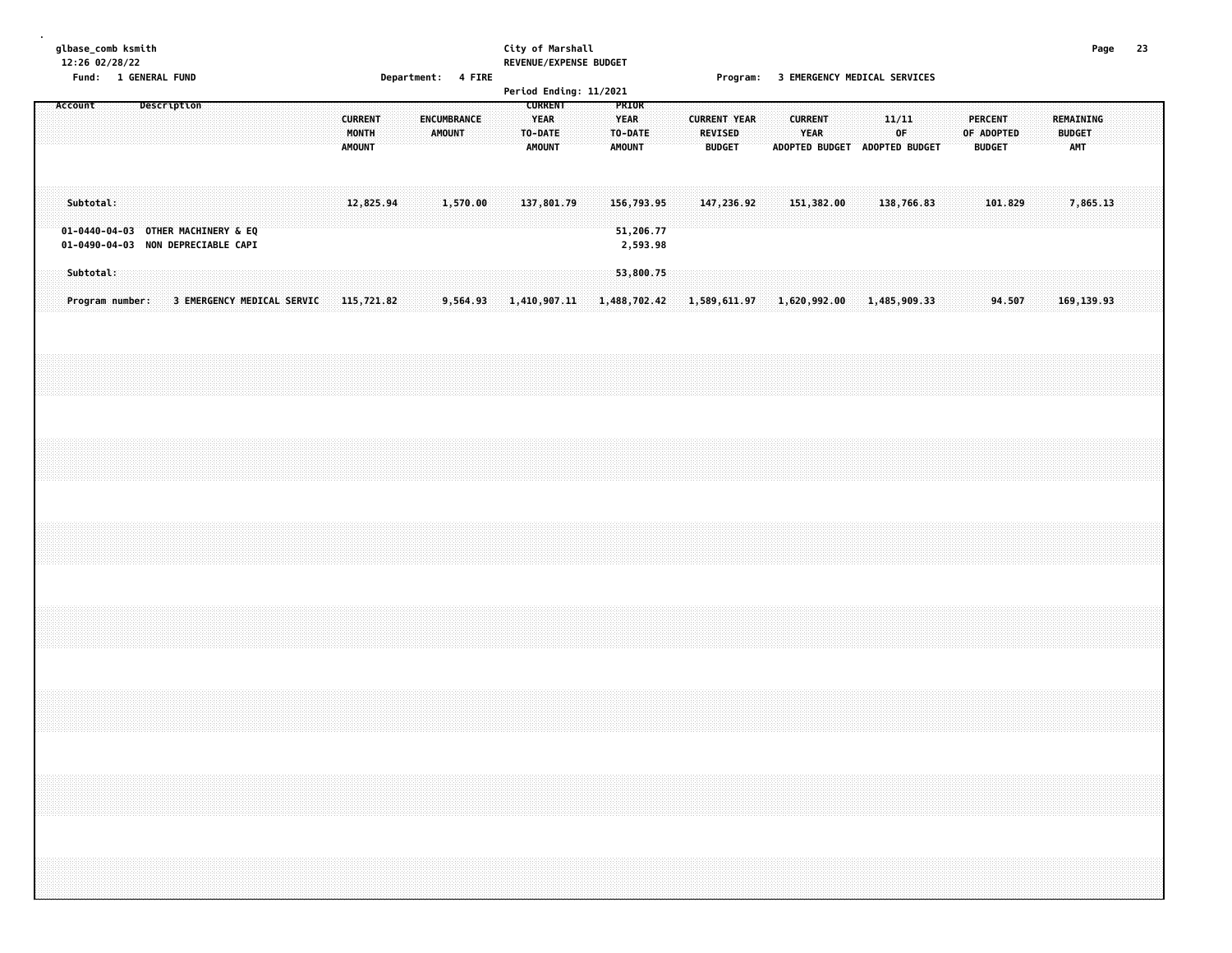#### **glbase\_comb ksmith City of Marshall Page 23 12:26 02/28/22 REVENUE/EXPENSE BUDGET**

**Fund: 1 GENERAL FUND Department: 4 FIRE Program: 3 EMERGENCY MEDICAL SERVICES**

|         |           |                 |             |                                    |                            |  |                                          |           | ------------- |        |             |  |                                                           |  | Period Ending: 11/2021 |                                                  |  |                                 | .                   |  |                                                         |  |             |  |                                               |  |                            |             |  |  |
|---------|-----------|-----------------|-------------|------------------------------------|----------------------------|--|------------------------------------------|-----------|---------------|--------|-------------|--|-----------------------------------------------------------|--|------------------------|--------------------------------------------------|--|---------------------------------|---------------------|--|---------------------------------------------------------|--|-------------|--|-----------------------------------------------|--|----------------------------|-------------|--|--|
| Account |           |                 | Description |                                    |                            |  | <b>CURRENT</b><br>MONTH<br><b>AMOUNT</b> |           |               | AMOUNT | ENCUMBRANCE |  | <b>CURRENT</b><br><b>YEAR</b><br>TO-DATE<br><b>AMOUNT</b> |  |                        | PRIOR<br><b>YEAR</b><br>TO-DATE<br><b>AMOUNT</b> |  | <b>REVISED</b><br><b>BUDGET</b> | <b>CURRENT YEAR</b> |  | <b>CURRENT</b><br>YEAR<br>ADOPTED BUDGET ADOPTED BUDGET |  | 11/11<br>0F |  | <b>PERCENT</b><br>OF ADOPTED<br><b>BUDGET</b> |  | REMAINING<br><b>BUDGET</b> | <b>AMT</b>  |  |  |
|         | Subtotal: |                 |             | 01-0440-04-03 OTHER MACHINERY & EQ |                            |  |                                          | 12,825.94 |               |        | 1,570.00    |  | 137,801.79                                                |  |                        | 156,793.95<br>51,206.77                          |  |                                 | 147,236.92          |  | 151,382.00                                              |  | 138,766.83  |  | 101.829                                       |  |                            | 7,865.13    |  |  |
|         | Subtotal: |                 |             | 01-0490-04-03 NON DEPRECIABLE CAPI |                            |  |                                          |           |               |        |             |  |                                                           |  |                        | 2,593.98<br>53,800.75                            |  |                                 |                     |  |                                                         |  |             |  |                                               |  |                            |             |  |  |
|         |           | Program number: |             |                                    | 3 EMERGENCY MEDICAL SERVIC |  | 115,721.82                               |           |               |        |             |  | $9,564.93$ 1,410,907.11                                   |  | 1,488,702.42           |                                                  |  |                                 |                     |  | 1,589,611.97 1,620,992.00 1,485,909.33                  |  |             |  | 94.507                                        |  |                            | 169, 139.93 |  |  |
|         |           |                 |             |                                    |                            |  |                                          |           |               |        |             |  |                                                           |  |                        |                                                  |  |                                 |                     |  |                                                         |  |             |  |                                               |  |                            |             |  |  |
|         |           |                 |             |                                    |                            |  |                                          |           |               |        |             |  |                                                           |  |                        |                                                  |  |                                 |                     |  |                                                         |  |             |  |                                               |  |                            |             |  |  |
|         |           |                 |             |                                    |                            |  |                                          |           |               |        |             |  |                                                           |  |                        |                                                  |  |                                 |                     |  |                                                         |  |             |  |                                               |  |                            |             |  |  |
|         |           |                 |             |                                    |                            |  |                                          |           |               |        |             |  |                                                           |  |                        |                                                  |  |                                 |                     |  |                                                         |  |             |  |                                               |  |                            |             |  |  |
|         |           |                 |             |                                    |                            |  |                                          |           |               |        |             |  |                                                           |  |                        |                                                  |  |                                 |                     |  |                                                         |  |             |  |                                               |  |                            |             |  |  |
|         |           |                 |             |                                    |                            |  |                                          |           |               |        |             |  |                                                           |  |                        |                                                  |  |                                 |                     |  |                                                         |  |             |  |                                               |  |                            |             |  |  |
|         |           |                 |             |                                    |                            |  |                                          |           |               |        |             |  |                                                           |  |                        |                                                  |  |                                 |                     |  |                                                         |  |             |  |                                               |  |                            |             |  |  |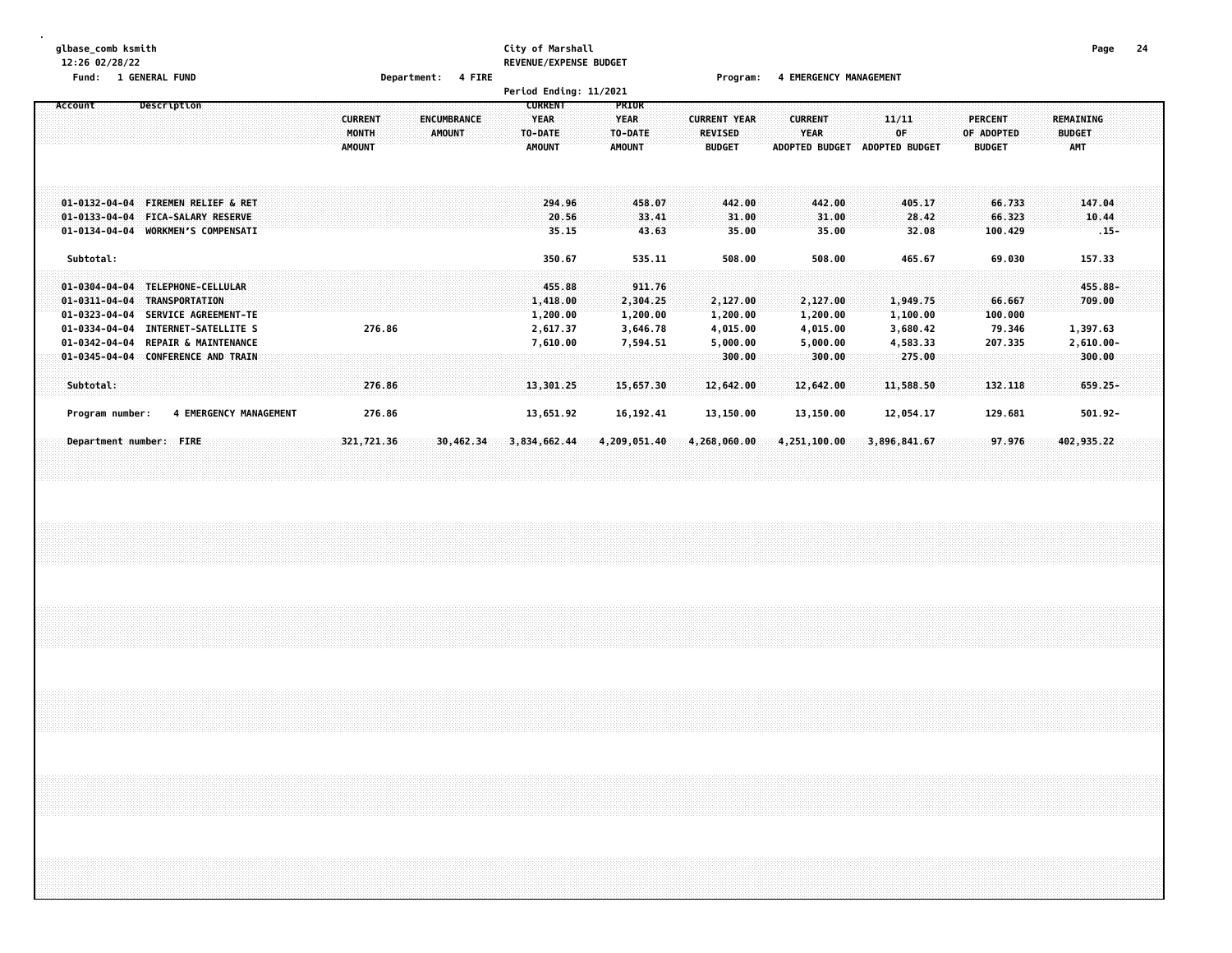# **glbase\_comb ksmith City of Marshall Page 24 12:26 02/28/22 REVENUE/EXPENSE BUDGET**

**Fund: 1 GENERAL FUND Department: 4 FIRE Program: 4 EMERGENCY MANAGEMENT**

|                                                                         |                                                                                              |                                          | Period Ending: 11/2021                                                                    |                                                  |                                                        |                                                        |                                      |                                        |                                                 |  |
|-------------------------------------------------------------------------|----------------------------------------------------------------------------------------------|------------------------------------------|-------------------------------------------------------------------------------------------|--------------------------------------------------|--------------------------------------------------------|--------------------------------------------------------|--------------------------------------|----------------------------------------|-------------------------------------------------|--|
| Account                                                                 | Description                                                                                  | <b>CURRENT</b><br>MONTH<br><b>AMOUNT</b> | <b>CURRENT</b><br><b>ENCUMBRANCE</b><br>YEAR<br><b>AMOUNT</b><br>TO-DATE<br><b>AMOUNT</b> | <b>PRIOR</b><br>YEAR<br>TO-DATE<br><b>AMOUNT</b> | <b>CURRENT YEAR</b><br><b>REVISED</b><br><b>BUDGET</b> | <b>CURRENT</b><br><b>YEAR</b><br><b>ADOPTED BUDGET</b> | 11/11<br>0F<br><b>ADOPTED BUDGET</b> | PERCENT<br>OF ADOPTED<br><b>BUDGET</b> | <b>REMAINING</b><br><b>BUDGET</b><br><b>AMT</b> |  |
| $01 - 0132 - 04 - 04$<br>$01 - 0133 - 04 - 04$<br>$01 - 0134 - 04 - 04$ | <b>FIREMEN RELIEF &amp; RET</b><br><b>FICA-SALARY RESERVE</b><br><b>WORKMEN'S COMPENSATI</b> |                                          | 294.96<br>20.56<br>35.15                                                                  | 458.07<br>33.41<br>43.63                         | 442.00<br>31.00<br>35.00                               | 442.00<br>31.00<br>35.00                               | 405.17<br>28.42<br>32.08             | 66.733<br>66.323<br>100.429            | 147.04<br>10.44<br>$.15 -$                      |  |
| Subtotal:                                                               |                                                                                              |                                          | 350.67                                                                                    | 535.11                                           | 508.00                                                 | 508.00                                                 | 465.67                               | 69.030                                 | 157.33                                          |  |
| $01 - 0304 - 04 - 04$<br>$01 - 0311 - 04 - 04$<br>$01 - 0323 - 04 - 04$ | TELEPHONE-CELLULAR<br>TRANSPORTATION<br>SERVICE AGREEMENT-TE                                 |                                          | 455.88<br>1,418.00<br>1,200.00                                                            | 911.76<br>2,304.25<br>1,200.00                   | 2,127.00<br>1,200.00                                   | 2,127.00<br>1,200.00                                   | 1,949.75<br>1,100.00                 | 66.667<br>100.000                      | 455.88-<br>709.00                               |  |
| $01 - 0334 - 04 - 04$<br>$01 - 0342 - 04 - 04$                          | INTERNET-SATELLITE S<br><b>REPAIR &amp; MAINTENANCE</b>                                      | 276.86                                   | 2,617.37<br>7,610.00                                                                      | 3,646.78<br>7,594.51                             | 4,015.00<br>5,000.00                                   | 4,015.00<br>5,000.00                                   | 3,680.42<br>4,583.33                 | 79.346<br>207.335                      | 1,397.63<br>$2,610.00 -$                        |  |
| $01 - 0345 - 04 - 04$                                                   | <b>CONFERENCE AND TRAIN</b>                                                                  |                                          |                                                                                           |                                                  | 300.00                                                 | 300.00                                                 | 275.00                               |                                        | 300.00                                          |  |
| Subtotal:                                                               |                                                                                              | 276.86                                   | 13,301.25                                                                                 | 15,657.30                                        | 12,642.00                                              | 12,642.00                                              | 11,588.50                            | 132.118                                | $659.25 -$                                      |  |
| Program number:                                                         | 4 EMERGENCY MANAGEMENT                                                                       | 276.86                                   | 13,651.92                                                                                 | 16, 192.41                                       | 13,150.00                                              | 13,150.00                                              | 12,054.17                            | 129.681                                | $501.92 -$                                      |  |
| Department number: FIRE                                                 |                                                                                              | 321,721.36                               | 30,462.34<br>3,834,662.44                                                                 | 4,209,051.40                                     | 4,268,060.00                                           | 4,251,100.00                                           | 3,896,841.67                         | 97.976                                 | 402,935.22                                      |  |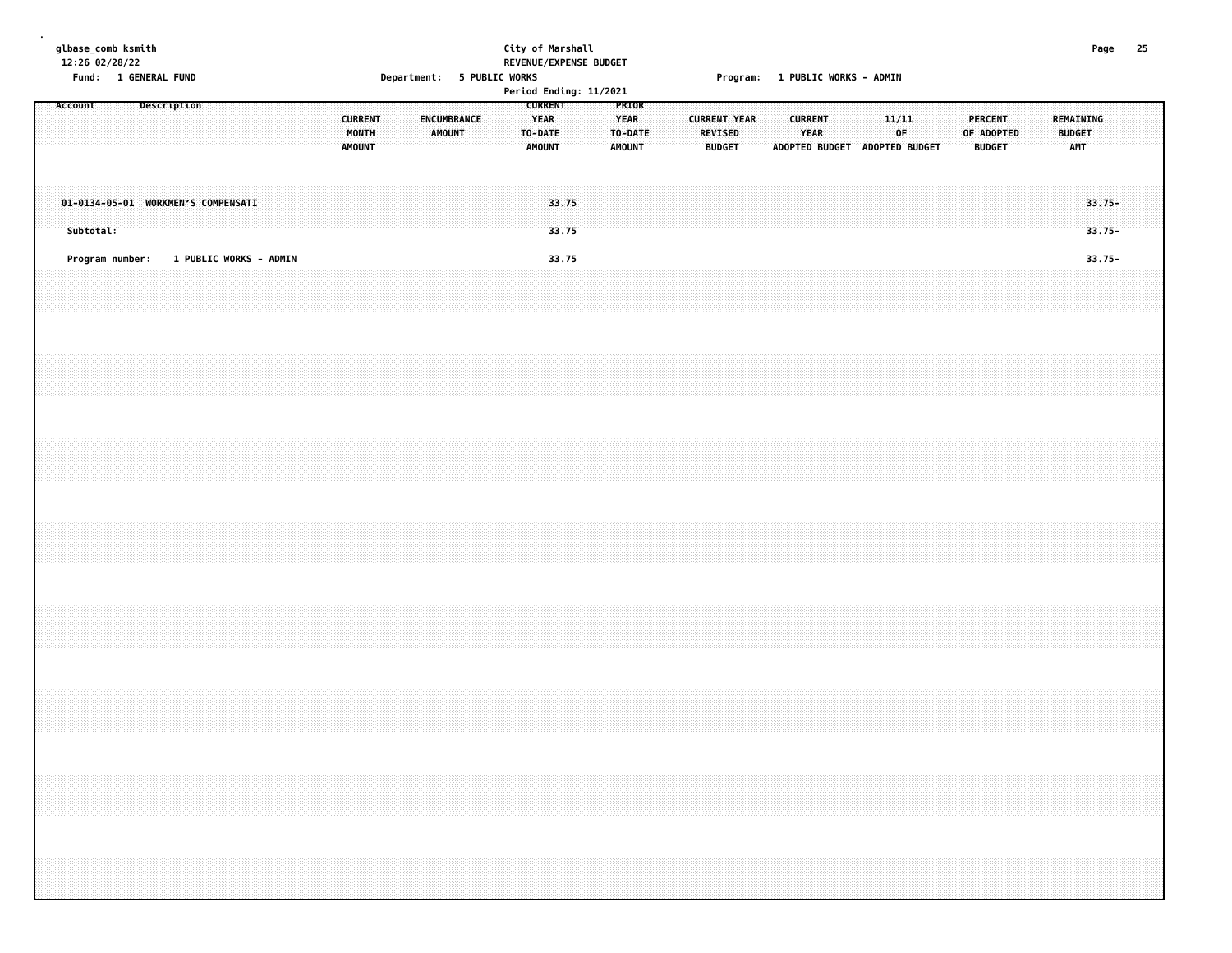|         | glbase_comb ksmith<br>12:26 02/28/22                                             |                               |  |  |  |                                          |  |                            |  | REVENUE/EXPENSE BUDGET                                    | City of Marshall |  |                                                  |  |                |                                      |                                 |                        |                               |             |  |                                               |  |                                          |                        | Page 25 |  |
|---------|----------------------------------------------------------------------------------|-------------------------------|--|--|--|------------------------------------------|--|----------------------------|--|-----------------------------------------------------------|------------------|--|--------------------------------------------------|--|----------------|--------------------------------------|---------------------------------|------------------------|-------------------------------|-------------|--|-----------------------------------------------|--|------------------------------------------|------------------------|---------|--|
|         | Fund: 1 GENERAL FUND                                                             |                               |  |  |  |                                          |  | Department: 5 PUBLIC WORKS |  | Period Ending: 11/2021                                    |                  |  |                                                  |  |                |                                      | Program: 1 PUBLIC WORKS - ADMIN |                        |                               |             |  |                                               |  |                                          |                        |         |  |
| Account |                                                                                  | Description                   |  |  |  | <b>CURRENT</b><br>MONTH<br><b>AMOUNT</b> |  | ENCUMBRANCE<br>AMOUNT      |  | <b>CURRENT</b><br><b>YEAR</b><br>TO-DATE<br><b>AMOUNT</b> |                  |  | PRIOR<br><b>YEAR</b><br>TO-DATE<br><b>AMOUNT</b> |  | <b>REVISED</b> | <b>CURRENT YEAR</b><br><b>BUDGET</b> |                                 | <b>CURRENT</b><br>YEAR | ADOPTED BUDGET ADOPTED BUDGET | 11/11<br>0F |  | <b>PERCENT</b><br>OF ADOPTED<br><b>BUDGET</b> |  | REMAINING<br><b>BUDGET</b><br><b>AMT</b> |                        |         |  |
|         | 01-0134-05-01 WORKMEN'S COMPENSATI<br>Subtotal:                                  |                               |  |  |  |                                          |  |                            |  |                                                           | 33.75<br>33.75   |  |                                                  |  |                |                                      |                                 |                        |                               |             |  |                                               |  |                                          | $33.75 -$<br>$33.75 -$ |         |  |
|         | Program number:                                                                  | <b>1 PUBLIC WORKS - ADMIN</b> |  |  |  |                                          |  |                            |  |                                                           | 33.75            |  |                                                  |  |                |                                      |                                 |                        |                               |             |  |                                               |  |                                          | $33.75 -$              |         |  |
|         |                                                                                  |                               |  |  |  |                                          |  |                            |  |                                                           |                  |  |                                                  |  |                |                                      |                                 |                        |                               |             |  |                                               |  |                                          |                        |         |  |
|         |                                                                                  |                               |  |  |  |                                          |  |                            |  |                                                           |                  |  |                                                  |  |                |                                      |                                 |                        |                               |             |  |                                               |  |                                          |                        |         |  |
|         |                                                                                  |                               |  |  |  |                                          |  |                            |  |                                                           |                  |  |                                                  |  |                |                                      |                                 |                        |                               |             |  |                                               |  |                                          |                        |         |  |
|         |                                                                                  |                               |  |  |  |                                          |  |                            |  |                                                           |                  |  |                                                  |  |                |                                      |                                 |                        |                               |             |  |                                               |  |                                          |                        |         |  |
|         |                                                                                  |                               |  |  |  |                                          |  |                            |  |                                                           |                  |  |                                                  |  |                |                                      |                                 |                        |                               |             |  |                                               |  |                                          |                        |         |  |
|         |                                                                                  |                               |  |  |  |                                          |  |                            |  |                                                           |                  |  |                                                  |  |                |                                      |                                 |                        |                               |             |  |                                               |  |                                          |                        |         |  |
|         | ,我们就会在这里的时候,我们就会在这里的时候,我们就会在这里的时候,我们就会在这里的时候,我们就会在这里的时候,我们就会在这里的时候,我们就会在这里的时候,我们 |                               |  |  |  |                                          |  |                            |  |                                                           |                  |  |                                                  |  |                |                                      |                                 |                        |                               |             |  |                                               |  |                                          |                        |         |  |
|         |                                                                                  |                               |  |  |  |                                          |  |                            |  |                                                           |                  |  |                                                  |  |                |                                      |                                 |                        |                               |             |  |                                               |  |                                          |                        |         |  |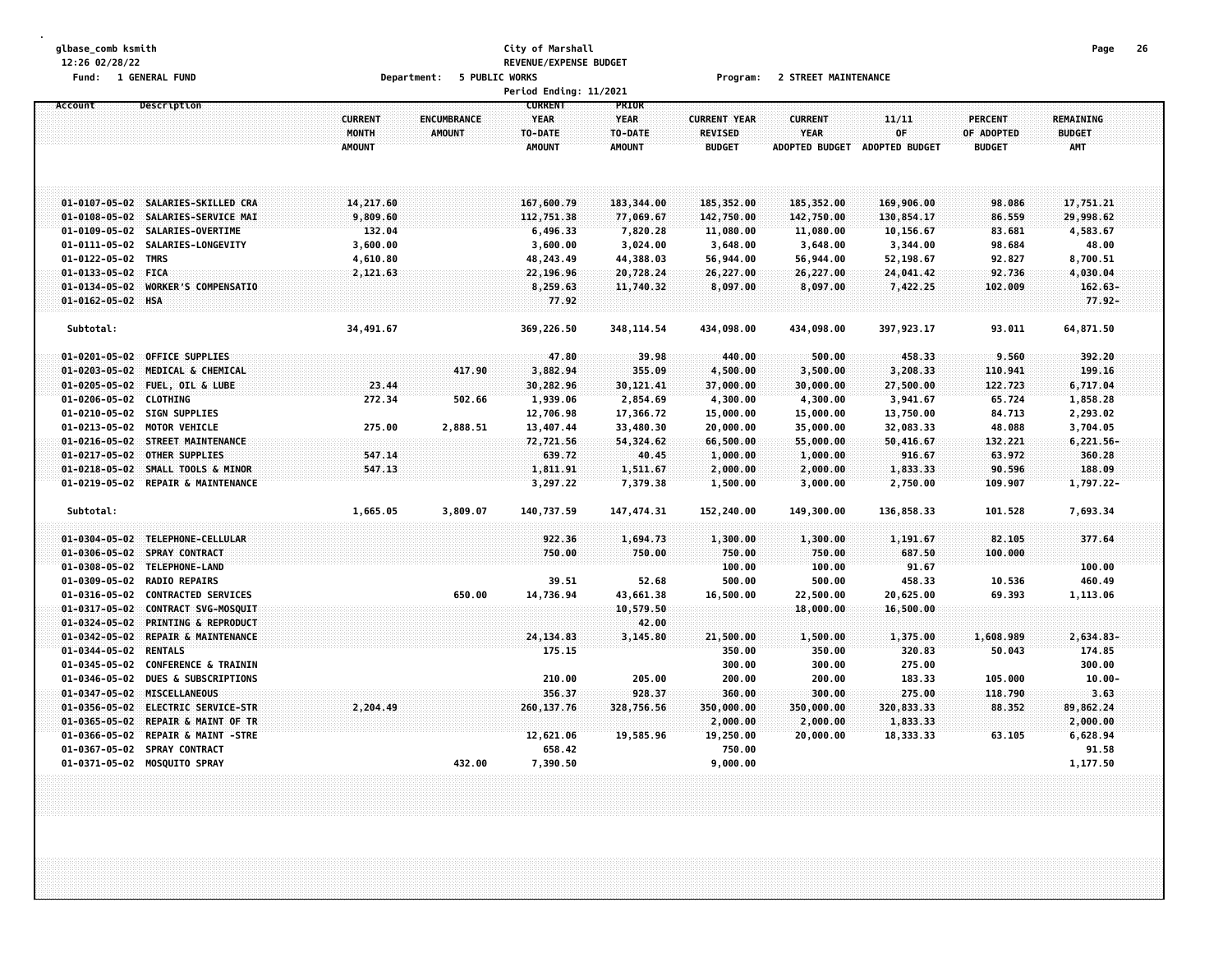#### **glbase\_comb ksmith City of Marshall Page 26 12:26 02/28/22 REVENUE/EXPENSE BUDGET Fund: 1 GENERAL FUND Department: 5 PUBLIC WORKS Program: 2 STREET MAINTENANCE**

|                       |                                    |                |                    | Period Ending: 11/2021 |               |                     |                       |                       |                |               |  |
|-----------------------|------------------------------------|----------------|--------------------|------------------------|---------------|---------------------|-----------------------|-----------------------|----------------|---------------|--|
| Account               | Description                        |                |                    | <b>CURRENT</b>         | PRIOR         |                     |                       |                       |                |               |  |
|                       |                                    | <b>CURRENT</b> | <b>ENCUMBRANCE</b> | <b>YEAR</b>            | <b>YEAR</b>   | <b>CURRENT YEAR</b> | <b>CURRENT</b>        | 11/11                 | <b>PERCENT</b> | REMAINING     |  |
|                       |                                    | MONTH          | <b>AMOUNT</b>      | TO-DATE                | TO-DATE       | <b>REVISED</b>      | <b>YEAR</b>           | OF                    | OF ADOPTED     | <b>BUDGET</b> |  |
|                       |                                    | <b>AMOUNT</b>  |                    | <b>AMOUNT</b>          | <b>AMOUNT</b> | <b>BUDGET</b>       | <b>ADOPTED BUDGET</b> | <b>ADOPTED BUDGET</b> | <b>BUDGET</b>  | <b>AMT</b>    |  |
|                       |                                    |                |                    |                        |               |                     |                       |                       |                |               |  |
|                       |                                    |                |                    |                        |               |                     |                       |                       |                |               |  |
|                       | 01-0107-05-02 SALARIES-SKILLED CRA | 14,217.60      |                    | 167,600.79             | 183,344.00    | 185,352.00          | 185,352.00            | 169,906.00            | 98.086         | 17,751.21     |  |
| $01 - 0108 - 05 - 02$ | SALARIES-SERVICE MAI               | 9,809.60       |                    | 112,751.38             | 77,069.67     | 142,750.00          | 142,750.00            | 130,854.17            | 86.559         | 29,998.62     |  |
| $01 - 0109 - 05 - 02$ | SALARIES-OVERTIME                  | 132.04         |                    | 6,496.33               | 7,820.28      | 11,080.00           | 11,080.00             | 10,156.67             | 83.681         | 4,583.67      |  |
| $01 - 0111 - 05 - 02$ | SALARIES-LONGEVITY                 | 3,600.00       |                    | 3,600.00               | 3,024.00      | 3,648.00            | 3,648.00              | 3,344.00              | 98.684         | 48.00         |  |
| $01 - 0122 - 05 - 02$ | <b>TMRS</b>                        | 4,610.80       |                    | 48,243.49              | 44,388.03     | 56,944.00           | 56,944.00             | 52,198.67             | 92.827         | 8,700.51      |  |
| $01 - 0133 - 05 - 02$ | <b>FICA</b>                        | 2,121.63       |                    | 22,196.96              | 20,728.24     | 26,227.00           | 26,227.00             | 24,041.42             | 92.736         | 4,030.04      |  |
| $01 - 0134 - 05 - 02$ | WORKER'S COMPENSATIO               |                |                    | 8,259.63               | 11,740.32     | 8,097.00            | 8,097.00              | 7,422.25              | 102.009        | $162.63 -$    |  |
| 01-0162-05-02 HSA     |                                    |                |                    | 77.92                  |               |                     |                       |                       |                | $77.92 -$     |  |
|                       |                                    |                |                    |                        |               |                     |                       |                       |                |               |  |
| Subtotal:             |                                    | 34,491.67      |                    | 369,226.50             | 348, 114.54   | 434,098.00          | 434,098.00            | 397, 923.17           | 93.011         | 64,871.50     |  |
|                       |                                    |                |                    |                        |               |                     |                       |                       |                |               |  |
| $01 - 0201 - 05 - 02$ | <b>OFFICE SUPPLIES</b>             |                |                    | 47.80                  | 39.98         | 440.00              | 500.00                | 458.33                | 9.560          | 392.20        |  |
| $01 - 0203 - 05 - 02$ | MEDICAL & CHEMICAL                 |                | 417.90             | 3,882.94               | 355.09        | 4,500.00            | 3,500.00              | 3,208.33              | 110.941        | 199.16        |  |
| $01 - 0205 - 05 - 02$ | FUEL, OIL & LUBE                   | 23.44          |                    | 30,282.96              | 30, 121.41    | 37,000.00           | 30,000.00             | 27,500.00             | 122.723        | 6,717.04      |  |
| $01 - 0206 - 05 - 02$ | <b>CLOTHING</b>                    | 272.34         | 502.66             | 1,939.06               | 2,854.69      | 4,300.00            | 4,300.00              | 3,941.67              | 65.724         | 1,858.28      |  |
|                       | 01-0210-05-02 SIGN SUPPLIES        |                |                    | 12,706.98              | 17,366.72     | 15,000.00           | 15,000.00             | 13,750.00             | 84.713         | 2,293.02      |  |
| $01 - 0213 - 05 - 02$ | <b>MOTOR VEHICLE</b>               | 275.00         | 2,888.51           | 13,407.44              | 33,480.30     | 20,000.00           | 35,000.00             | 32,083.33             | 48.088         | 3,704.05      |  |
|                       | 01-0216-05-02 STREET MAINTENANCE   |                |                    | 72,721.56              | 54,324.62     | 66,500.00           | 55,000.00             | 50,416.67             | 132.221        | $6,221.56-$   |  |
| $01 - 0217 - 05 - 02$ | <b>OTHER SUPPLIES</b>              | 547.14         |                    | 639.72                 | 40.45         | 1,000.00            | 1,000.00              | 916.67                | 63.972         | 360.28        |  |
| $01 - 0218 - 05 - 02$ | SMALL TOOLS & MINOR                | 547.13         |                    | 1,811.91               | 1,511.67      | 2,000.00            | 2,000.00              | 1,833.33              | 90.596         | 188.09        |  |
|                       | 01-0219-05-02 REPAIR & MAINTENANCE |                |                    | 3,297.22               | 7,379.38      | 1,500.00            | 3,000.00              | 2,750.00              | 109.907        | 1,797.22-     |  |
| Subtotal:             |                                    | 1,665.05       | 3,809.07           | 140,737.59             | 147, 474.31   | 152,240.00          | 149,300.00            | 136,858.33            | 101.528        | 7,693.34      |  |
|                       |                                    |                |                    |                        |               |                     |                       |                       |                |               |  |
|                       | 01-0304-05-02 TELEPHONE-CELLULAR   |                |                    | 922.36                 | 1,694.73      | 1,300.00            | 1,300.00              | 1,191.67              | 82.105         | 377.64        |  |
| $01 - 0306 - 05 - 02$ | <b>SPRAY CONTRACT</b>              |                |                    | 750.00                 | 750.00        | 750.00              | 750.00                | 687.50                | 100,000        |               |  |
| $01 - 0308 - 05 - 02$ | TELEPHONE-LAND                     |                |                    |                        |               | 100.00              | 100.00                | 91.67                 |                | 100.00        |  |
| $01 - 0309 - 05 - 02$ | <b>RADIO REPAIRS</b>               |                |                    | 39.51                  | 52.68         | 500.00              | 500.00                | 458.33                | 10.536         | 460.49        |  |
| $01 - 0316 - 05 - 02$ | <b>CONTRACTED SERVICES</b>         |                | 650.00             | 14,736.94              | 43,661.38     | 16,500.00           | 22,500.00             | 20,625.00             | 69.393         | 1,113.06      |  |
| $01 - 0317 - 05 - 02$ | CONTRACT SVG-MOSQUIT               |                |                    |                        | 10,579.50     |                     | 18,000.00             | 16,500.00             |                |               |  |
| $01 - 0324 - 05 - 02$ | PRINTING & REPRODUCT               |                |                    |                        | 42.00         |                     |                       |                       |                |               |  |
| $01 - 0342 - 05 - 02$ | REPAIR & MAINTENANCE               |                |                    | 24, 134.83             | 3,145.80      | 21,500.00           | 1,500.00              | 1,375.00              | 1,608.989      | 2,634.83-     |  |
| $01 - 0344 - 05 - 02$ | <b>RENTALS</b>                     |                |                    | 175.15                 |               | 350.00              | 350.00                | 320.83                | 50.043         | 174.85        |  |
| $01 - 0345 - 05 - 02$ | <b>CONFERENCE &amp; TRAININ</b>    |                |                    |                        |               | 300.00              | 300.00                | 275.00                |                | 300.00        |  |
| $01 - 0346 - 05 - 02$ | <b>DUES &amp; SUBSCRIPTIONS</b>    |                |                    | 210.00                 | 205.00        | 200.00              | 200.00                | 183.33                | 105.000        | $10.00 -$     |  |
| $01 - 0347 - 05 - 02$ | <b>MISCELLANEOUS</b>               |                |                    | 356.37                 | 928.37        | 360.00              | 300.00                | 275.00                | 118.790        | 3.63          |  |
| $01 - 0356 - 05 - 02$ | <b>ELECTRIC SERVICE-STR</b>        | 2,204.49       |                    | 260, 137.76            | 328,756.56    | 350,000.00          | 350,000.00            | 320,833.33            | 88.352         | 89,862.24     |  |
| $01 - 0365 - 05 - 02$ | REPAIR & MAINT OF TR               |                |                    |                        |               | 2,000.00            | 2,000.00              | 1,833.33              |                | 2,000.00      |  |
| 01-0366-05-02         | <b>REPAIR &amp; MAINT -STRE</b>    |                |                    | 12,621.06              | 19,585.96     | 19,250.00           | 20,000.00             | 18,333.33             | 63.105         | 6,628.94      |  |
| $01 - 0367 - 05 - 02$ | <b>SPRAY CONTRACT</b>              |                |                    | 658.42                 |               | 750.00              |                       |                       |                | 91.58         |  |
| 01-0371-05-02         | <b>MOSQUITO SPRAY</b>              |                | 432.00             | 7,390.50               |               | 9,000.00            |                       |                       |                | 1,177.50      |  |
|                       |                                    |                |                    |                        |               |                     |                       |                       |                |               |  |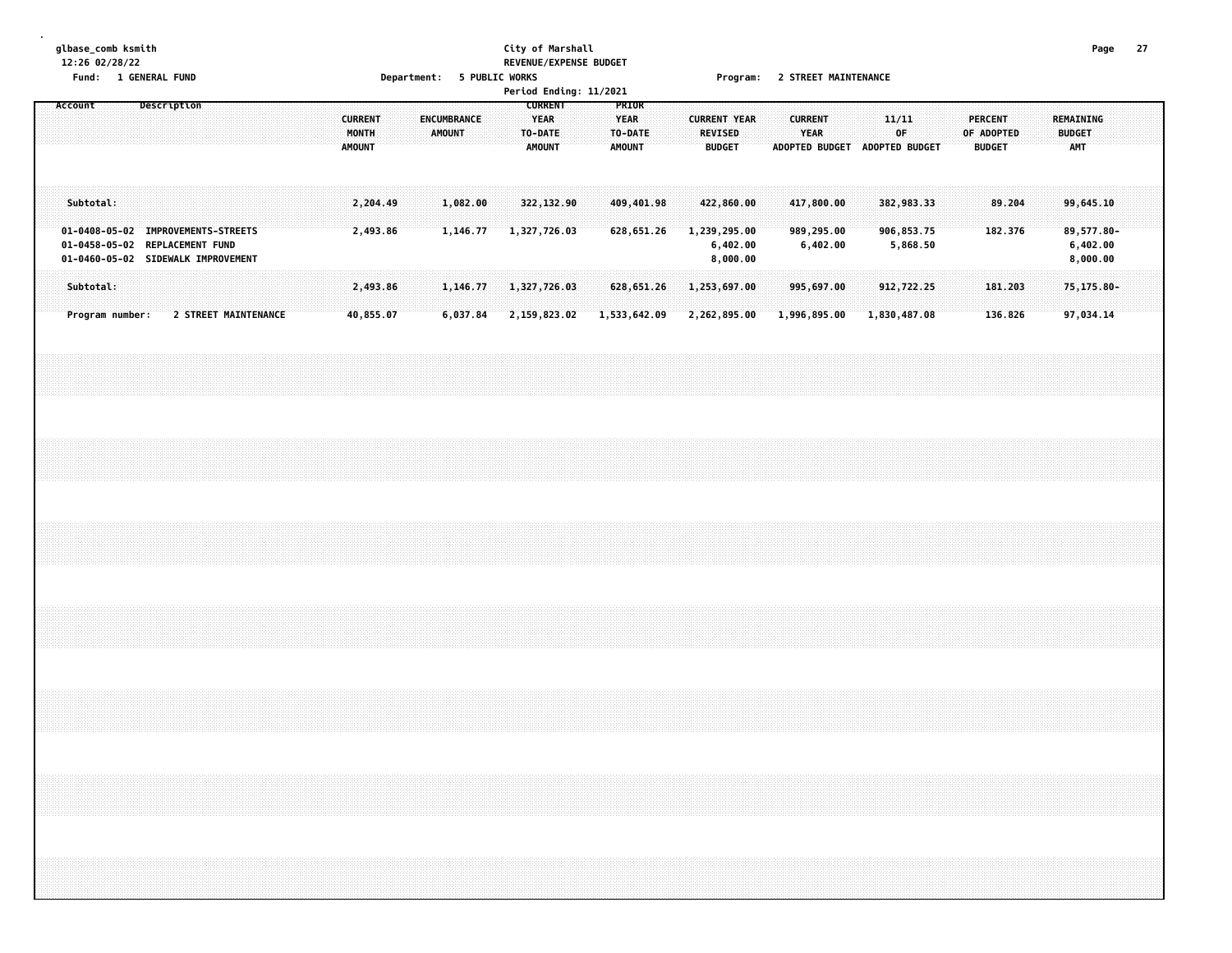#### **glbase\_comb ksmith City of Marshall Page 27 12:26 02/28/22 REVENUE/EXPENSE BUDGET Fund: 1 GENERAL FUND Department: 5 PUBLIC WORKS Program: 2 STREET MAINTENANCE**

|         | .         |                 | <b>T AFIATINIE I AIAN</b>                                                                                  |                      |  |  |                                          |                      | pepar calcules |               |                      | , LANFIC MANAG |  |                                                           |                              | Period Ending: 11/2021 |                                                  |  |                                 | Trogram. <i>E</i> STREET TIMENTERANCE              |  |                               |                                      |                               |              |                                      |  |            |                                 |  |                                          |                                                 |  |
|---------|-----------|-----------------|------------------------------------------------------------------------------------------------------------|----------------------|--|--|------------------------------------------|----------------------|----------------|---------------|----------------------|----------------|--|-----------------------------------------------------------|------------------------------|------------------------|--------------------------------------------------|--|---------------------------------|----------------------------------------------------|--|-------------------------------|--------------------------------------|-------------------------------|--------------|--------------------------------------|--|------------|---------------------------------|--|------------------------------------------|-------------------------------------------------|--|
| Account |           |                 | Description                                                                                                |                      |  |  | <b>CURRENT</b><br>MONTH<br><b>AMOUNT</b> |                      |                | <b>AMOUNT</b> | <b>ENCUMBRANCE</b>   |                |  | <b>CURRENT</b><br><b>YEAR</b><br>TO-DATE<br><b>AMOUNT</b> |                              |                        | PRIOR<br><b>YEAR</b><br>TO-DATE<br><b>AMOUNT</b> |  | <b>REVISED</b><br><b>BUDGET</b> | <b>CURRENT YEAR</b>                                |  | <b>CURRENT</b><br><b>YEAR</b> |                                      | ADOPTED BUDGET ADOPTED BUDGET |              | 11/11<br>OF                          |  | OF ADOPTED | <b>PERCENT</b><br><b>BUDGET</b> |  | REMAINING<br><b>BUDGET</b><br><b>AMT</b> |                                                 |  |
|         | Subtotal: |                 | 01-0408-05-02 IMPROVEMENTS-STREETS<br>01-0458-05-02 REPLACEMENT FUND<br>01-0460-05-02 SIDEWALK IMPROVEMENT |                      |  |  |                                          | 2,204.49<br>2,493.86 |                |               | 1,082.00<br>1,146.77 |                |  |                                                           | 322,132.90<br>1,327,726.03   |                        | 409,401.98<br>628,651.26                         |  |                                 | 422,860.00<br>1,239,295.00<br>6,402.00<br>8,000.00 |  |                               | 417,800.00<br>989,295.00<br>6,402.00 |                               |              | 382,983.33<br>906,853.75<br>5,868.50 |  |            | 89.204<br>182.376               |  |                                          | 99,645.10<br>89,577.80-<br>6,402.00<br>8,000.00 |  |
|         | Subtotal: | Program number: |                                                                                                            | 2 STREET MAINTENANCE |  |  | 40,855.07                                | 2,493.86             |                |               | 1,146.77<br>6,037.84 |                |  |                                                           | 1,327,726.03<br>2,159,823.02 |                        | 628,651.26<br>1,533,642.09                       |  |                                 | 1,253,697.00<br>2,262,895.00                       |  |                               | 995,697.00<br>1,996,895.00           |                               | 1,830,487.08 | 912,722.25                           |  |            | 181.203<br>136.826              |  |                                          | 75,175.80-<br>97,034.14                         |  |
|         |           |                 |                                                                                                            |                      |  |  |                                          |                      |                |               |                      |                |  |                                                           |                              |                        |                                                  |  |                                 |                                                    |  |                               |                                      |                               |              |                                      |  |            |                                 |  |                                          |                                                 |  |
|         |           |                 |                                                                                                            |                      |  |  |                                          |                      |                |               |                      |                |  |                                                           |                              |                        |                                                  |  |                                 |                                                    |  |                               |                                      |                               |              |                                      |  |            |                                 |  |                                          |                                                 |  |
|         |           |                 |                                                                                                            |                      |  |  |                                          |                      |                |               |                      |                |  |                                                           |                              |                        |                                                  |  |                                 |                                                    |  |                               |                                      |                               |              |                                      |  |            |                                 |  |                                          |                                                 |  |
|         |           |                 |                                                                                                            |                      |  |  |                                          |                      |                |               |                      |                |  |                                                           |                              |                        |                                                  |  |                                 |                                                    |  |                               |                                      |                               |              |                                      |  |            |                                 |  |                                          |                                                 |  |
|         |           |                 |                                                                                                            |                      |  |  |                                          |                      |                |               |                      |                |  |                                                           |                              |                        |                                                  |  |                                 |                                                    |  |                               |                                      |                               |              |                                      |  |            |                                 |  |                                          |                                                 |  |
|         |           |                 |                                                                                                            |                      |  |  |                                          |                      |                |               |                      |                |  |                                                           |                              |                        |                                                  |  |                                 |                                                    |  |                               |                                      |                               |              |                                      |  |            |                                 |  |                                          |                                                 |  |
|         |           |                 |                                                                                                            |                      |  |  |                                          |                      |                |               |                      |                |  |                                                           |                              |                        |                                                  |  |                                 |                                                    |  |                               |                                      |                               |              |                                      |  |            |                                 |  |                                          |                                                 |  |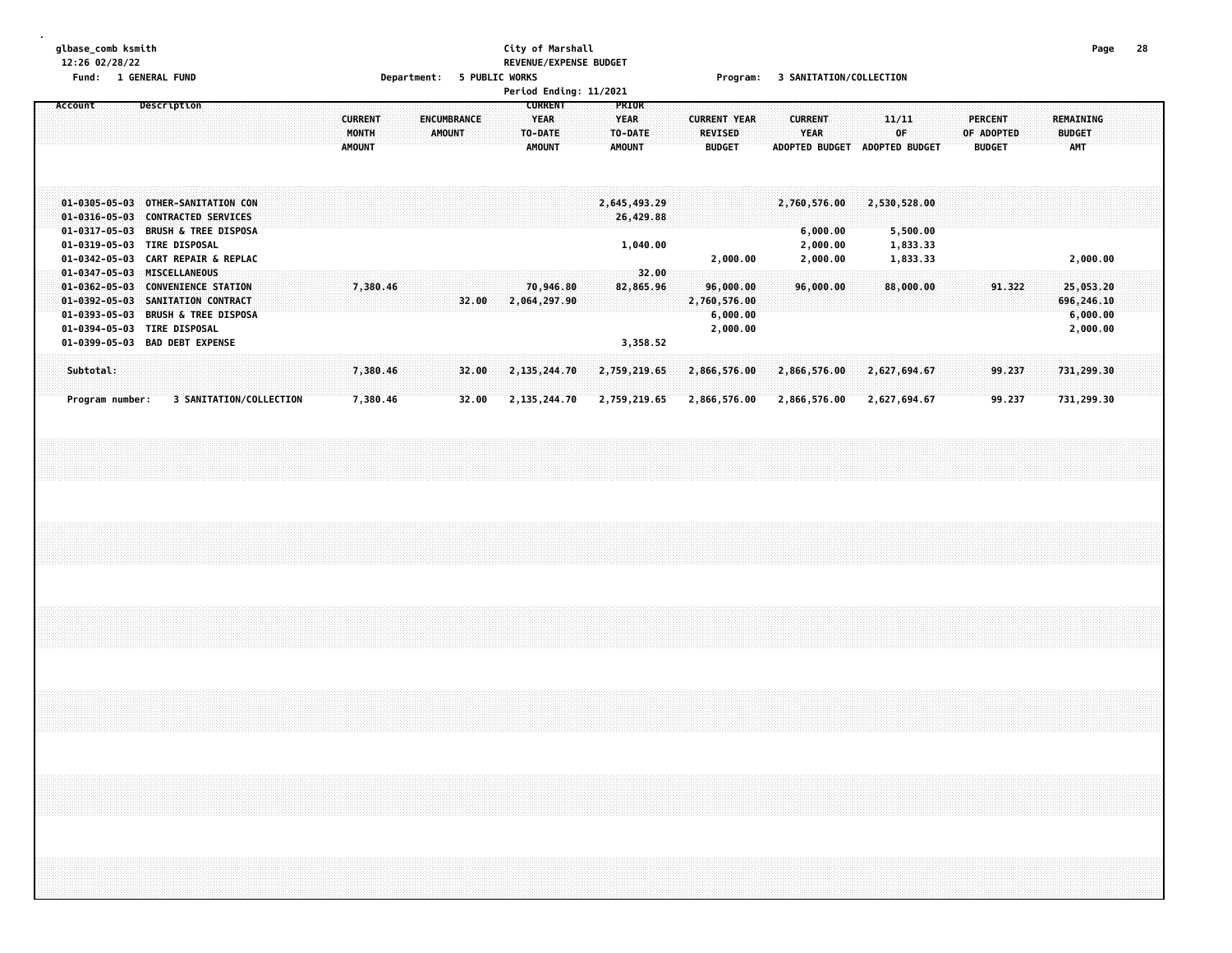#### **glbase\_comb ksmith City of Marshall Page 28 12:26 02/28/22 REVENUE/EXPENSE BUDGET Fund: 1 GENERAL FUND Department: 5 PUBLIC WORKS Program: 3 SANITATION/COLLECTION**

|                                                                                                                                    |                                                                                                                                                                 |                                                                          | Period Ending: 11/2021                                                                                        |                                                                                                           |                                                                                       |                                                 |
|------------------------------------------------------------------------------------------------------------------------------------|-----------------------------------------------------------------------------------------------------------------------------------------------------------------|--------------------------------------------------------------------------|---------------------------------------------------------------------------------------------------------------|-----------------------------------------------------------------------------------------------------------|---------------------------------------------------------------------------------------|-------------------------------------------------|
| Account                                                                                                                            | Description                                                                                                                                                     | <b>CURRENT</b><br><b>ENCUMBRANCE</b><br>MONTH<br>AMOUNT<br><b>AMOUNT</b> | <b>CURRENT</b><br><b>PRIOR</b><br><b>YEAR</b><br><b>YEAR</b><br>TO-DATE<br>TO-DATE<br><b>AMOUNT</b><br>AMOUNT | <b>CURRENT YEAR</b><br><b>CURRENT</b><br>YEAR<br><b>REVISED</b><br><b>ADOPTED BUDGET</b><br><b>BUDGET</b> | 11/11<br><b>PERCENT</b><br>OF<br>OF ADOPTED<br><b>ADOPTED BUDGET</b><br><b>BUDGET</b> | REMAINING<br><b>BUDGET</b><br><b>AMT</b>        |
| $01 - 0305 - 05 - 03$<br>$01 - 0316 - 05 - 03$<br>$01 - 0317 - 05 - 03$<br>01-0319-05-03<br>01-0342-05-03                          | OTHER-SANITATION CON<br><b>CONTRACTED SERVICES</b><br><b>BRUSH &amp; TREE DISPOSA</b><br><b>TIRE DISPOSAL</b><br><b>CART REPAIR &amp; REPLAC</b>                |                                                                          | 2,645,493.29<br>26,429.88<br>1,040.00                                                                         | 2,760,576.00<br>6,000.00<br>2,000.00<br>2,000.00<br>2,000.00                                              | 2,530,528.00<br>5,500.00<br>1,833.33<br>1,833.33                                      | 2,000.00                                        |
| $01 - 0347 - 05 - 03$<br>$01 - 0362 - 05 - 03$<br>$01 - 0392 - 05 - 03$<br>$01 - 0393 - 05 - 03$<br>01-0394-05-03<br>01-0399-05-03 | <b>MISCELLANEOUS</b><br><b>CONVENIENCE STATION</b><br>SANITATION CONTRACT<br><b>BRUSH &amp; TREE DISPOSA</b><br><b>TIRE DISPOSAL</b><br><b>BAD DEBT EXPENSE</b> | 7,380.46<br>32.00                                                        | 32.00<br>82,865.96<br>70,946.80<br>2,064,297.90<br>3,358.52                                                   | 96,000.00<br>96,000.00<br>2,760,576.00<br>6,000.00<br>2,000.00                                            | 88,000.00<br>91.322                                                                   | 25,053.20<br>696,246.10<br>6,000.00<br>2,000.00 |
| Subtotal:<br>Program number:                                                                                                       | 3 SANITATION/COLLECTION                                                                                                                                         | 7,380.46<br>32.00<br>7,380.46<br>32.00                                   | 2,135,244.70<br>2,759,219.65<br>2,135,244.70<br>2,759,219.65                                                  | 2,866,576.00<br>2,866,576.00<br>2,866,576.00<br>2,866,576.00                                              | 2,627,694.67<br>99.237<br>2,627,694.67<br>99.237                                      | 731,299.30<br>731,299.30                        |
|                                                                                                                                    |                                                                                                                                                                 |                                                                          |                                                                                                               |                                                                                                           |                                                                                       |                                                 |
|                                                                                                                                    |                                                                                                                                                                 |                                                                          |                                                                                                               |                                                                                                           |                                                                                       |                                                 |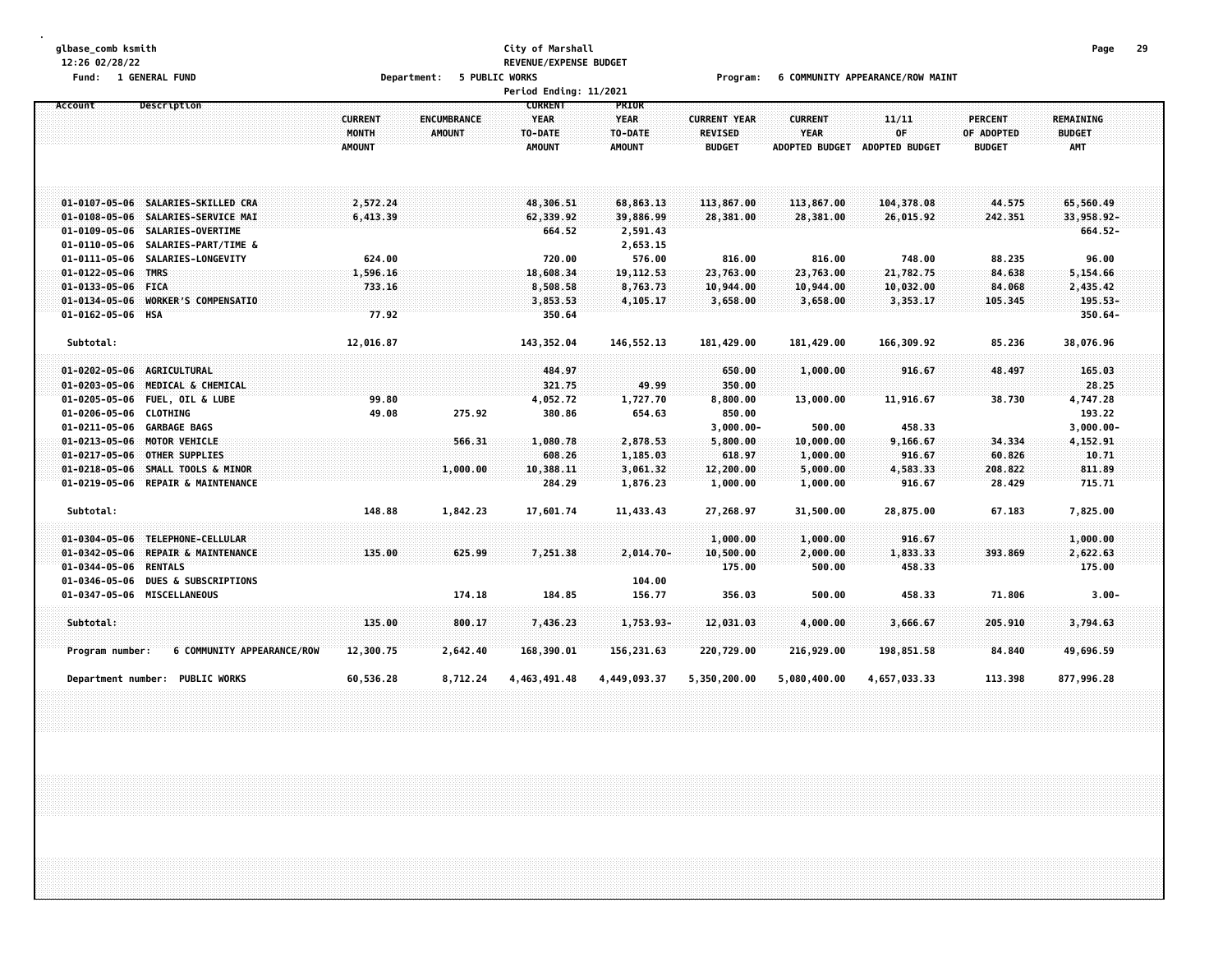# **glbase\_comb ksmith City of Marshall Page 29 12:26 02/28/22 REVENUE/EXPENSE BUDGET**

Fund: 1 GENERAL FUND CONDUCTION OPERATOR DEPARTMENT: 5 PUBLIC WORKS COMPOSITY APPEARANCE/ROW MAINT

|                                                                                                                                       |                                          |                                     | Period Ending: 11/2021                                    |                                                  |                                                        |                                                        |                                 |                                               |                                                 |  |
|---------------------------------------------------------------------------------------------------------------------------------------|------------------------------------------|-------------------------------------|-----------------------------------------------------------|--------------------------------------------------|--------------------------------------------------------|--------------------------------------------------------|---------------------------------|-----------------------------------------------|-------------------------------------------------|--|
| Description<br>Account                                                                                                                | <b>CURRENT</b><br>MONTH<br><b>AMOUNT</b> | <b>ENCUMBRANCE</b><br><b>AMOUNT</b> | <b>CURRENT</b><br><b>YEAR</b><br>TO-DATE<br><b>AMOUNT</b> | PRIOR<br><b>YEAR</b><br>TO-DATE<br><b>AMOUNT</b> | <b>CURRENT YEAR</b><br><b>REVISED</b><br><b>BUDGET</b> | <b>CURRENT</b><br><b>YEAR</b><br><b>ADOPTED BUDGET</b> | 11/11<br>0F<br>ADOPTED BUDGET   | <b>PERCENT</b><br>OF ADOPTED<br><b>BUDGET</b> | <b>REMAINING</b><br><b>BUDGET</b><br><b>AMT</b> |  |
| 01-0107-05-06 SALARIES-SKILLED CRA<br>01-0108-05-06 SALARIES-SERVICE MAI                                                              | 2,572.24<br>6,413.39                     |                                     | 48,306.51<br>62,339.92                                    | 68,863.13<br>39,886.99                           | 113,867.00<br>28,381.00                                | 113,867.00<br>28,381.00                                | 104,378.08<br>26,015.92         | 44.575<br>242.351                             | 65,560.49<br>33,958.92-                         |  |
| 01-0109-05-06 SALARIES-OVERTIME<br>01-0110-05-06<br>SALARIES-PART/TIME &<br>SALARIES-LONGEVITY<br>01-0111-05-06<br>01-0122-05-06 TMRS | 624.00<br>1,596.16                       |                                     | 664.52<br>720.00<br>18,608.34                             | 2,591.43<br>2,653.15<br>576.00<br>19, 112, 53    | 816.00<br>23,763.00                                    | 816.00<br>23,763.00                                    | 748.00<br>21,782.75             | 88.235<br>84.638                              | 664.52-<br>96.00<br>5,154.66                    |  |
| 01-0133-05-06 FICA<br>01-0134-05-06 WORKER'S COMPENSATIO<br>01-0162-05-06 HSA                                                         | 733.16<br>77.92                          |                                     | 8,508.58<br>3,853.53<br>350.64                            | 8,763.73<br>4,105.17                             | 10,944.00<br>3,658.00                                  | 10,944.00<br>3,658.00                                  | 10,032.00<br>3,353.17           | 84.068<br>105.345                             | 2,435.42<br>195.53-<br>$350.64 -$               |  |
| Subtotal:                                                                                                                             | 12,016.87                                |                                     | 143,352.04                                                | 146,552.13                                       | 181,429.00                                             | 181,429.00                                             | 166,309.92                      | 85.236                                        | 38,076.96                                       |  |
| 01-0202-05-06 AGRICULTURAL<br>01-0203-05-06 MEDICAL & CHEMICAL<br>01-0205-05-06 FUEL, OIL & LUBE<br>01-0206-05-06 CLOTHING            | 99.80<br>49.08                           | 275.92                              | 484.97<br>321.75<br>4,052.72<br>380.86                    | 49.99<br>1,727.70<br>654.63                      | 650.00<br>350.00<br>8,800.00<br>850.00                 | 1,000.00<br>13,000.00                                  | 916.67<br>11,916.67             | 48.497<br>38.730                              | 165.03<br>28.25<br>4,747.28<br>193.22           |  |
| 01-0211-05-06 GARBAGE BAGS<br>01-0213-05-06 MOTOR VEHICLE<br>01-0217-05-06 OTHER SUPPLIES                                             |                                          | 566.31                              | 1,080.78<br>608.26                                        | 2,878.53<br>1,185.03                             | $3,000.00 -$<br>5,800.00<br>618.97                     | 500.00<br>10,000.00<br>1,000.00                        | 458.33<br>9,166.67<br>916.67    | 34.334<br>60.826                              | $3,000.00 -$<br>4,152.91<br>10.71               |  |
| 01-0218-05-06 SMALL TOOLS & MINOR<br>01-0219-05-06 REPAIR & MAINTENANCE                                                               |                                          | 1,000.00                            | 10,388.11<br>284.29                                       | 3,061.32<br>1,876.23                             | 12,200.00<br>1,000.00                                  | 5,000.00<br>1,000.00                                   | 4,583.33<br>916.67              | 208.822<br>28.429                             | 811.89<br>715.71                                |  |
| Subtotal:<br>01-0304-05-06 TELEPHONE-CELLULAR<br>$01 - 0342 - 05 - 06$<br><b>REPAIR &amp; MAINTENANCE</b>                             | 148.88<br>135.00                         | 1,842.23<br>625.99                  | 17,601.74<br>7,251.38                                     | 11,433.43<br>$2,014.70-$                         | 27,268.97<br>1,000.00<br>10,500.00                     | 31,500.00<br>1,000.00<br>2,000.00                      | 28,875.00<br>916.67<br>1,833.33 | 67.183<br>393.869                             | 7,825.00<br>1,000.00<br>2,622.63                |  |
| 01-0344-05-06 RENTALS<br>01-0346-05-06<br><b>DUES &amp; SUBSCRIPTIONS</b><br>01-0347-05-06 MISCELLANEOUS                              |                                          | 174.18                              | 184.85                                                    | 104.00<br>156.77                                 | 175.00<br>356.03                                       | 500.00<br>500.00                                       | 458.33<br>458.33                | 71.806                                        | 175.00<br>$3.00 -$                              |  |
| Subtotal:<br>6 COMMUNITY APPEARANCE/ROW<br>Program number:                                                                            | 135.00<br>12,300.75                      | 800.17<br>2,642.40                  | 7,436.23<br>168,390.01                                    | 1,753.93-<br>156,231.63                          | 12,031.03<br>220,729.00                                | 4,000.00<br>216,929.00                                 | 3,666.67<br>198,851.58          | 205.910<br>84.840                             | 3,794.63<br>49,696.59                           |  |
| <b>PUBLIC WORKS</b><br><b>Department number:</b>                                                                                      | 60,536.28                                | 8,712.24                            | 4,463,491.48                                              | 4,449,093.37                                     | 5,350,200.00                                           | 5,080,400.00                                           | 4,657,033.33                    | 113.398                                       | 877,996.28                                      |  |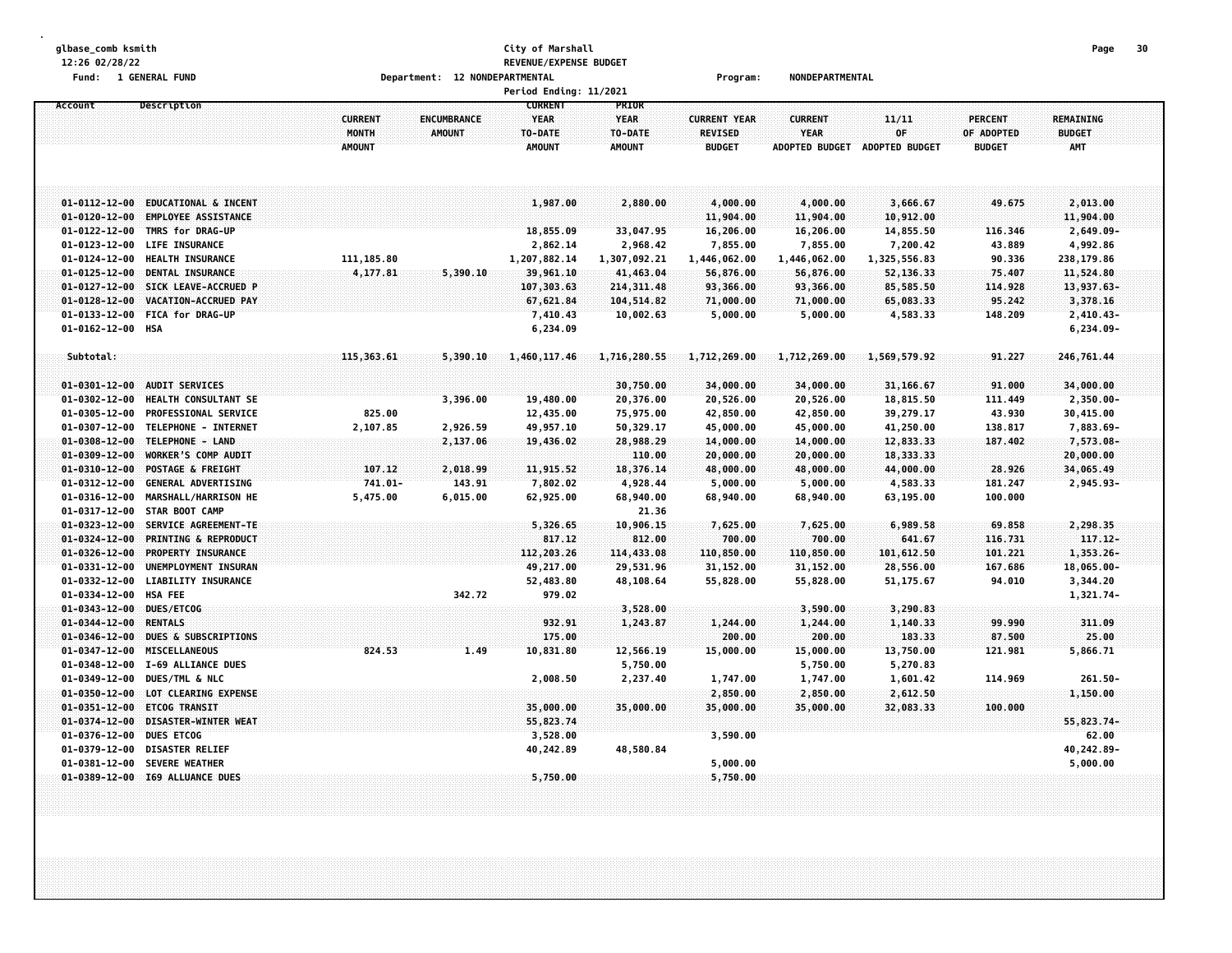#### **glbase\_comb ksmith City of Marshall Page 30 12:26 02/28/22 REVENUE/EXPENSE BUDGET Fund: 1 GENERAL FUND Department: 12 NONDEPARTMENTAL Program: NONDEPARTMENTAL**

|                                                |                                                     |                                          |                                     | Period Ending: 11/2021                                    |                                                  |                                                        |                                                 |                                      |                                               |                                   |  |
|------------------------------------------------|-----------------------------------------------------|------------------------------------------|-------------------------------------|-----------------------------------------------------------|--------------------------------------------------|--------------------------------------------------------|-------------------------------------------------|--------------------------------------|-----------------------------------------------|-----------------------------------|--|
| Account                                        | Description                                         | <b>CURRENT</b><br>MONTH<br><b>AMOUNT</b> | <b>ENCUMBRANCE</b><br><b>AMOUNT</b> | <b>CURRENT</b><br><b>YEAR</b><br>TO-DATE<br><b>AMOUNT</b> | PRIOR<br><b>YEAR</b><br>TO-DATE<br><b>AMOUNT</b> | <b>CURRENT YEAR</b><br><b>REVISED</b><br><b>BUDGET</b> | <b>CURRENT</b><br><b>YEAR</b><br>ADOPTED BUDGET | 11/11<br>OF<br><b>ADOPTED BUDGET</b> | <b>PERCENT</b><br>OF ADOPTED<br><b>BUDGET</b> | REMAINING<br><b>BUDGET</b><br>AMT |  |
| $01 - 0112 - 12 - 00$                          | <b>EDUCATIONAL &amp; INCENT</b>                     |                                          |                                     | 1,987,00                                                  | 2,880.00                                         | 4,000.00                                               | 4,000.00                                        | 3,666.67                             | 49.675                                        | 2,013.00                          |  |
| $01 - 0120 - 12 - 00$                          | <b>EMPLOYEE ASSISTANCE</b>                          |                                          |                                     |                                                           |                                                  | 11,904.00                                              | 11,904.00                                       | 10,912.00                            |                                               | 11,904.00                         |  |
| $01 - 0122 - 12 - 00$                          | TMRS for DRAG-UP                                    |                                          |                                     | 18,855.09                                                 | 33,047.95                                        | 16,206.00                                              | 16,206.00                                       | 14,855.50                            | 116.346                                       | 2,649.09-                         |  |
| $01 - 0123 - 12 - 00$                          | <b>LIFE INSURANCE</b>                               |                                          |                                     | 2,862.14                                                  | 2,968.42                                         | 7,855.00                                               | 7,855.00                                        | 7,200.42                             | 43.889                                        | 4,992.86                          |  |
| $01 - 0124 - 12 - 00$                          | HEALTH INSURANCE                                    | 111, 185.80                              |                                     | 1,207,882.14                                              | 1,307,092.21                                     | 1,446,062.00                                           | 1,446,062.00                                    | 1,325,556.83                         | 90.336                                        | 238,179.86                        |  |
| $01 - 0125 - 12 - 00$                          | <b>DENTAL INSURANCE</b>                             | 4,177.81                                 | 5,390.10                            | 39,961.10                                                 | 41,463.04                                        | 56,876.00                                              | 56,876.00                                       | 52,136.33                            | 75.407                                        | 11,524.80                         |  |
| $01 - 0127 - 12 - 00$                          | SICK LEAVE-ACCRUED P                                |                                          |                                     | 107,303.63                                                | 214, 311.48                                      | 93,366.00                                              | 93,366.00                                       | 85,585.50                            | 114.928                                       | 13,937.63-                        |  |
| $01 - 0128 - 12 - 00$                          | VACATION-ACCRUED PAY                                |                                          |                                     | 67,621.84                                                 | 104,514.82                                       | 71,000.00                                              | 71,000.00                                       | 65,083.33                            | 95.242                                        | 3,378.16                          |  |
| $01 - 0133 - 12 - 00$                          | <b>FICA for DRAG-UP</b>                             |                                          |                                     | 7,410.43                                                  | 10,002.63                                        | 5,000.00                                               | 5,000.00                                        | 4,583.33                             | 148.209                                       | $2,410.43-$                       |  |
| $01 - 0162 - 12 - 00$                          | HSA                                                 |                                          |                                     | 6,234.09                                                  |                                                  |                                                        |                                                 |                                      |                                               | $6,234.09-$                       |  |
| Subtotal:                                      |                                                     | 115,363.61                               | 5,390.10                            | 1,460,117.46                                              | 1,716,280.55                                     | 1,712,269.00                                           | 1,712,269.00                                    | 1,569,579.92                         | 91.227                                        | 246,761.44                        |  |
|                                                |                                                     |                                          |                                     |                                                           |                                                  |                                                        |                                                 |                                      |                                               |                                   |  |
| $01 - 0301 - 12 - 00$                          | <b>AUDIT SERVICES</b>                               |                                          |                                     |                                                           | 30,750.00                                        | 34,000.00                                              | 34,000.00                                       | 31,166.67                            | 91.000                                        | 34,000.00                         |  |
| $01 - 0302 - 12 - 00$<br>$01 - 0305 - 12 - 00$ | HEALTH CONSULTANT SE<br><b>PROFESSIONAL SERVICE</b> | 825.00                                   | 3,396.00                            | 19,480.00                                                 | 20,376.00                                        | 20,526.00                                              | 20,526.00                                       | 18,815.50                            | 111.449                                       | 2,350.00-                         |  |
| $01 - 0307 - 12 - 00$                          | TELEPHONE - INTERNET                                | 2,107.85                                 |                                     | 12,435.00<br>49,957.10                                    | 75,975.00<br>50,329.17                           | 42,850.00                                              | 42,850.00<br>45,000.00                          | 39,279.17                            | 43.930                                        | 30,415.00<br>7,883.69-            |  |
| $01 - 0308 - 12 - 00$                          | TELEPHONE - LAND                                    |                                          | 2,926.59<br>2,137.06                | 19,436.02                                                 | 28,988.29                                        | 45,000.00<br>14,000.00                                 | 14,000.00                                       | 41,250.00<br>12,833.33               | 138.817<br>187.402                            | 7,573.08-                         |  |
| $01 - 0309 - 12 - 00$                          | WORKER'S COMP AUDIT                                 |                                          |                                     |                                                           | 110.00                                           | 20,000.00                                              | 20,000.00                                       | 18,333.33                            |                                               | 20,000.00                         |  |
| $01 - 0310 - 12 - 00$                          | POSTAGE & FREIGHT                                   | 107.12                                   | 2,018.99                            | 11,915.52                                                 | 18,376.14                                        | 48,000.00                                              | 48,000.00                                       | 44,000.00                            | 28.926                                        | 34,065.49                         |  |
| $01 - 0312 - 12 - 00$                          | <b>GENERAL ADVERTISING</b>                          | 741.01-                                  | 143.91                              | 7,802.02                                                  | 4,928.44                                         | 5,000.00                                               | 5,000.00                                        | 4,583.33                             | 181.247                                       | $2,945.93-$                       |  |
| $01 - 0316 - 12 - 00$                          | MARSHALL/HARRISON HE                                | 5,475.00                                 | 6,015.00                            | 62,925.00                                                 | 68,940.00                                        | 68,940.00                                              | 68,940.00                                       | 63,195.00                            | 100.000                                       |                                   |  |
| $01 - 0317 - 12 - 00$                          | STAR BOOT CAMP                                      |                                          |                                     |                                                           | 21.36                                            |                                                        |                                                 |                                      |                                               |                                   |  |
| $01 - 0323 - 12 - 00$                          | SERVICE AGREEMENT-TE                                |                                          |                                     | 5,326.65                                                  | 10,906.15                                        | 7,625.00                                               | 7,625.00                                        | 6,989.58                             | 69.858                                        | 2,298.35                          |  |
| $01 - 0324 - 12 - 00$                          | <b>PRINTING &amp; REPRODUCT</b>                     |                                          |                                     | 817.12                                                    | 812.00                                           | 700.00                                                 | 700.00                                          | 641.67                               | 116.731                                       | 117.12-                           |  |
| $01 - 0326 - 12 - 00$                          | PROPERTY INSURANCE                                  |                                          |                                     | 112,203.26                                                | 114,433.08                                       | 110,850.00                                             | 110,850.00                                      | 101,612.50                           | 101.221                                       | 1,353.26-                         |  |
| $01 - 0331 - 12 - 00$                          | UNEMPLOYMENT INSURAN                                |                                          |                                     | 49,217.00                                                 | 29,531.96                                        | 31,152.00                                              | 31,152.00                                       | 28,556.00                            | 167.686                                       | $18,065.00 -$                     |  |
| $01 - 0332 - 12 - 00$                          | <b>LIABILITY INSURANCE</b>                          |                                          |                                     | 52,483.80                                                 | 48,108.64                                        | 55,828.00                                              | 55,828.00                                       | 51, 175.67                           | 94.010                                        | 3,344.20                          |  |
| $01 - 0334 - 12 - 00$                          | <b>HSA FEE</b>                                      |                                          | 342.72                              | 979.02                                                    |                                                  |                                                        |                                                 |                                      |                                               | 1,321.74-                         |  |
| $01 - 0343 - 12 - 00$                          | DUES/ETCOG                                          |                                          |                                     |                                                           | 3,528.00                                         |                                                        | 3,590.00                                        | 3,290.83                             |                                               |                                   |  |
| $01 - 0344 - 12 - 00$                          | <b>RENTALS</b>                                      |                                          |                                     | 932.91                                                    | 1,243.87                                         | 1,244.00                                               | 1,244.00                                        | 1,140.33                             | 99.990                                        | 311.09                            |  |
| $01 - 0346 - 12 - 00$                          | <b>DUES &amp; SUBSCRIPTIONS</b>                     |                                          |                                     | 175.00                                                    |                                                  | 200.00                                                 | 200.00                                          | 183.33                               | 87.500                                        | 25.00                             |  |
| $01 - 0347 - 12 - 00$                          | <b>MISCELLANEOUS</b>                                | 824.53                                   | 1.49                                | 10,831.80                                                 | 12,566.19                                        | 15,000.00                                              | 15,000.00                                       | 13,750.00                            | 121.981                                       | 5,866.71                          |  |
| $01 - 0348 - 12 - 00$                          | I-69 ALLIANCE DUES                                  |                                          |                                     |                                                           | 5,750.00                                         |                                                        | 5,750.00                                        | 5,270.83                             |                                               |                                   |  |
| 01-0349-12-00                                  | DUES/TML & NLC                                      |                                          |                                     | 2,008.50                                                  | 2,237.40                                         | 1,747.00                                               | 1,747.00                                        | 1,601.42                             | 114.969                                       | $261.50 -$                        |  |
| $01 - 0350 - 12 - 00$                          | LOT CLEARING EXPENSE                                |                                          |                                     |                                                           |                                                  | 2,850.00                                               | 2,850.00                                        | 2,612.50                             |                                               | 1,150.00                          |  |
| $01 - 0351 - 12 - 00$                          | <b>ETCOG TRANSIT</b>                                |                                          |                                     | 35,000.00                                                 | 35,000.00                                        | 35,000.00                                              | 35,000.00                                       | 32,083.33                            | 100,000                                       |                                   |  |
| $01 - 0374 - 12 - 00$                          | DISASTER-WINTER WEAT                                |                                          |                                     | 55,823.74                                                 |                                                  |                                                        |                                                 |                                      |                                               | 55,823.74-                        |  |
| $01 - 0376 - 12 - 00$                          | <b>DUES ETCOG</b>                                   |                                          |                                     | 3,528.00                                                  |                                                  | 3,590.00                                               |                                                 |                                      |                                               | 62.00                             |  |
| $01 - 0379 - 12 - 00$                          | <b>DISASTER RELIEF</b>                              |                                          |                                     | 40,242.89                                                 | 48,580.84                                        |                                                        |                                                 |                                      |                                               | 40,242.89-                        |  |
| $01 - 0381 - 12 - 00$                          | <b>SEVERE WEATHER</b>                               |                                          |                                     |                                                           |                                                  | 5,000.00                                               |                                                 |                                      |                                               | 5,000.00                          |  |
|                                                | 01-0389-12-00 I69 ALLUANCE DUES                     |                                          |                                     | 5,750.00                                                  |                                                  | 5,750.00                                               |                                                 |                                      |                                               |                                   |  |
|                                                |                                                     |                                          |                                     |                                                           |                                                  |                                                        |                                                 |                                      |                                               |                                   |  |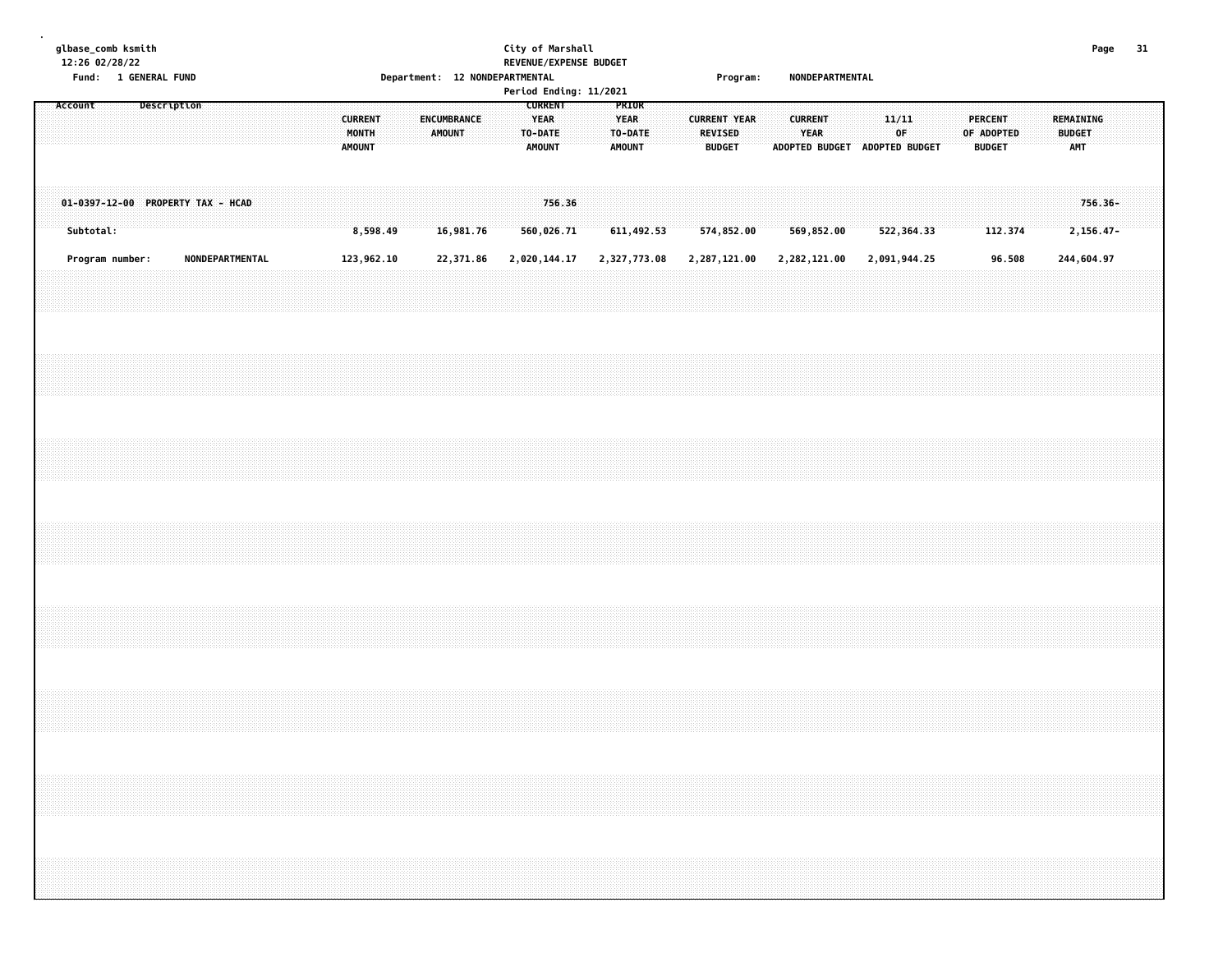#### **glbase\_comb ksmith City of Marshall Page 31 12:26 02/28/22 REVENUE/EXPENSE BUDGET Fund: 1 GENERAL FUND Department: 12 NONDEPARTMENTAL Program: NONDEPARTMENTAL**

|         | , unu .   |                 | <b>T ALMENYE LAMP</b>             |                 |  |  |        |                         |  |                       | Department. IZ NONDEFANTMENTAL |  |                                  |                      | Period Ending: 11/2021 |                                                  |  |                          | r ı vyı alır.       |                               |                        | <b>NUMBER ANTIFICATION</b> |              |  |            |                                 |  |                                          |                      |  |
|---------|-----------|-----------------|-----------------------------------|-----------------|--|--|--------|-------------------------|--|-----------------------|--------------------------------|--|----------------------------------|----------------------|------------------------|--------------------------------------------------|--|--------------------------|---------------------|-------------------------------|------------------------|----------------------------|--------------|--|------------|---------------------------------|--|------------------------------------------|----------------------|--|
| Account |           |                 | Description                       |                 |  |  | AMOUNT | <b>CURRENT</b><br>MONTH |  | ENCUMBRANCE<br>AMOUNT |                                |  | <b>YEAR</b><br>TO-DATE<br>AMOUNT | <b>CURRENT</b>       |                        | PRIOR<br><b>YEAR</b><br>TO-DATE<br><b>AMOUNT</b> |  | REVISED<br><b>BUDGET</b> | <b>CURRENT YEAR</b> | ADOPTED BUDGET ADOPTED BUDGET | <b>CURRENT</b><br>YEAR |                            | 11/11<br>0F  |  | OF ADOPTED | <b>PERCENT</b><br><b>BUDGET</b> |  | REMAINING<br><b>BUDGET</b><br><b>AMT</b> |                      |  |
|         | Subtotal: |                 | 01-0397-12-00 PROPERTY TAX - HCAD |                 |  |  |        | 8,598.49                |  |                       | 16,981.76                      |  |                                  | 756.36<br>560,026.71 |                        | 611,492.53                                       |  |                          | 574,852.00          |                               | 569,852.00             |                            | 522,364.33   |  |            | 112.374                         |  |                                          | 756.36-<br>2,156.47- |  |
|         |           | Program number: |                                   | NONDEPARTMENTAL |  |  |        | 123,962.10              |  |                       | 22,371.86                      |  |                                  | 2,020,144.17         |                        | 2,327,773.08                                     |  |                          | 2,287,121.00        | 2,282,121.00                  |                        |                            | 2,091,944.25 |  |            | 96.508                          |  | 244,604.97                               |                      |  |
|         |           |                 |                                   |                 |  |  |        |                         |  |                       |                                |  |                                  |                      |                        |                                                  |  |                          |                     |                               |                        |                            |              |  |            |                                 |  |                                          |                      |  |
|         |           |                 |                                   |                 |  |  |        |                         |  |                       |                                |  |                                  |                      |                        |                                                  |  |                          |                     |                               |                        |                            |              |  |            |                                 |  |                                          |                      |  |
|         |           |                 |                                   |                 |  |  |        |                         |  |                       |                                |  |                                  |                      |                        |                                                  |  |                          |                     |                               |                        |                            |              |  |            |                                 |  |                                          |                      |  |
|         |           |                 |                                   |                 |  |  |        |                         |  |                       |                                |  |                                  |                      |                        |                                                  |  |                          |                     |                               |                        |                            |              |  |            |                                 |  |                                          |                      |  |
|         |           |                 |                                   |                 |  |  |        |                         |  |                       |                                |  |                                  |                      |                        |                                                  |  |                          |                     |                               |                        |                            |              |  |            |                                 |  |                                          |                      |  |
|         |           |                 |                                   |                 |  |  |        |                         |  |                       |                                |  |                                  |                      |                        |                                                  |  |                          |                     |                               |                        |                            |              |  |            |                                 |  |                                          |                      |  |
|         |           |                 |                                   |                 |  |  |        |                         |  |                       |                                |  |                                  |                      |                        |                                                  |  |                          |                     |                               |                        |                            |              |  |            |                                 |  |                                          |                      |  |
|         |           |                 |                                   |                 |  |  |        |                         |  |                       |                                |  |                                  |                      |                        |                                                  |  |                          |                     |                               |                        |                            |              |  |            |                                 |  |                                          |                      |  |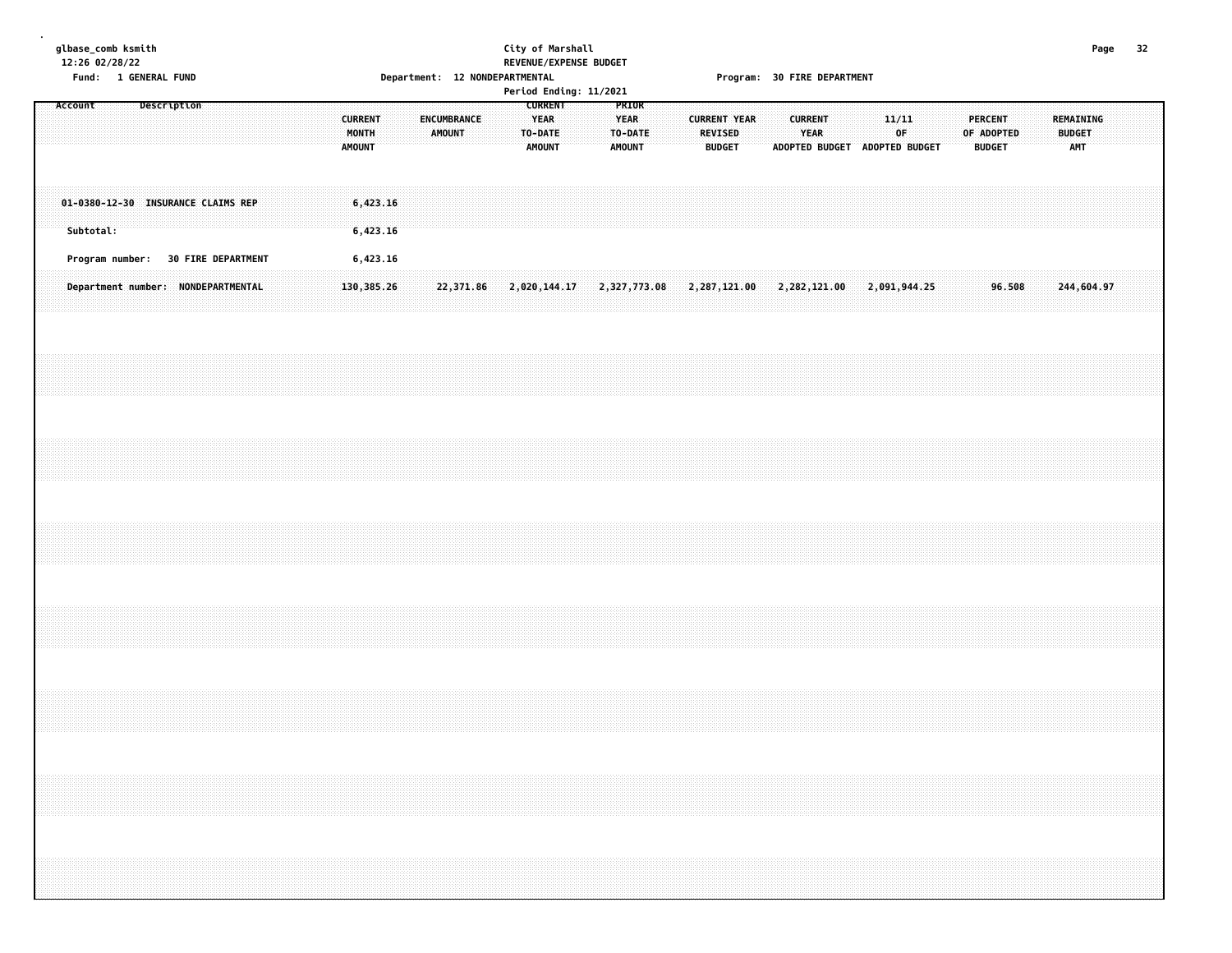#### **glbase\_comb ksmith City of Marshall Page 32 12:26 02/28/22 REVENUE/EXPENSE BUDGET Fund: 1 GENERAL FUND Department: 12 NONDEPARTMENTAL Program: 30 FIRE DEPARTMENT**

|         | Period Ending: 11/2021<br><b>CURRENT</b><br>PRIOR<br>Description<br><b>CURRENT</b><br>YEAR<br>YEAR<br>ENCUMBRANCE<br><b>CURRENT YEAR</b> |                                    |  |  |  |  |  |  |  |  |  |                        |  |                      |  |         |               |  |                          |  |                                 |  |                                                 |      |                                                                                      |       |    |  |                                               |  |  |                                          |  |            |  |  |
|---------|------------------------------------------------------------------------------------------------------------------------------------------|------------------------------------|--|--|--|--|--|--|--|--|--|------------------------|--|----------------------|--|---------|---------------|--|--------------------------|--|---------------------------------|--|-------------------------------------------------|------|--------------------------------------------------------------------------------------|-------|----|--|-----------------------------------------------|--|--|------------------------------------------|--|------------|--|--|
| Account |                                                                                                                                          |                                    |  |  |  |  |  |  |  |  |  | MONTH<br><b>AMOUNT</b> |  | AMOUNT               |  | TO-DATE | <b>AMOUNT</b> |  | TO-DATE<br><b>AMOUNT</b> |  | <b>REVISED</b><br><b>BUDGET</b> |  | <b>CURRENT</b><br>ADOPTED BUDGET ADOPTED BUDGET | YEAR |                                                                                      | 11/11 | 0F |  | <b>PERCENT</b><br>OF ADOPTED<br><b>BUDGET</b> |  |  | REMAINING<br><b>BUDGET</b><br><b>AMT</b> |  |            |  |  |
|         | Subtotal:                                                                                                                                | 01-0380-12-30 INSURANCE CLAIMS REP |  |  |  |  |  |  |  |  |  |                        |  | 6,423.16<br>6,423.16 |  |         |               |  |                          |  |                                 |  |                                                 |      |                                                                                      |       |    |  |                                               |  |  |                                          |  |            |  |  |
|         |                                                                                                                                          | Program number: 30 FIRE DEPARTMENT |  |  |  |  |  |  |  |  |  |                        |  | 6,423.16             |  |         |               |  |                          |  |                                 |  |                                                 |      |                                                                                      |       |    |  |                                               |  |  |                                          |  |            |  |  |
|         |                                                                                                                                          | Department number: NONDEPARTMENTAL |  |  |  |  |  |  |  |  |  |                        |  | 130,385.26           |  |         |               |  |                          |  |                                 |  |                                                 |      | 2, 371.86 2, 020, 144.17 2, 327, 773.08 2, 287, 121.00 2, 282, 121.00 2, 091, 944.25 |       |    |  |                                               |  |  | 96.508                                   |  | 244,604.97 |  |  |
|         |                                                                                                                                          |                                    |  |  |  |  |  |  |  |  |  |                        |  |                      |  |         |               |  |                          |  |                                 |  |                                                 |      |                                                                                      |       |    |  |                                               |  |  |                                          |  |            |  |  |
|         |                                                                                                                                          |                                    |  |  |  |  |  |  |  |  |  |                        |  |                      |  |         |               |  |                          |  |                                 |  |                                                 |      |                                                                                      |       |    |  |                                               |  |  |                                          |  |            |  |  |
|         |                                                                                                                                          |                                    |  |  |  |  |  |  |  |  |  |                        |  |                      |  |         |               |  |                          |  |                                 |  |                                                 |      |                                                                                      |       |    |  |                                               |  |  |                                          |  |            |  |  |
|         |                                                                                                                                          |                                    |  |  |  |  |  |  |  |  |  |                        |  |                      |  |         |               |  |                          |  |                                 |  |                                                 |      |                                                                                      |       |    |  |                                               |  |  |                                          |  |            |  |  |
|         |                                                                                                                                          |                                    |  |  |  |  |  |  |  |  |  |                        |  |                      |  |         |               |  |                          |  |                                 |  |                                                 |      |                                                                                      |       |    |  |                                               |  |  |                                          |  |            |  |  |
|         |                                                                                                                                          |                                    |  |  |  |  |  |  |  |  |  |                        |  |                      |  |         |               |  |                          |  |                                 |  |                                                 |      |                                                                                      |       |    |  |                                               |  |  |                                          |  |            |  |  |
|         |                                                                                                                                          |                                    |  |  |  |  |  |  |  |  |  |                        |  |                      |  |         |               |  |                          |  |                                 |  |                                                 |      |                                                                                      |       |    |  |                                               |  |  |                                          |  |            |  |  |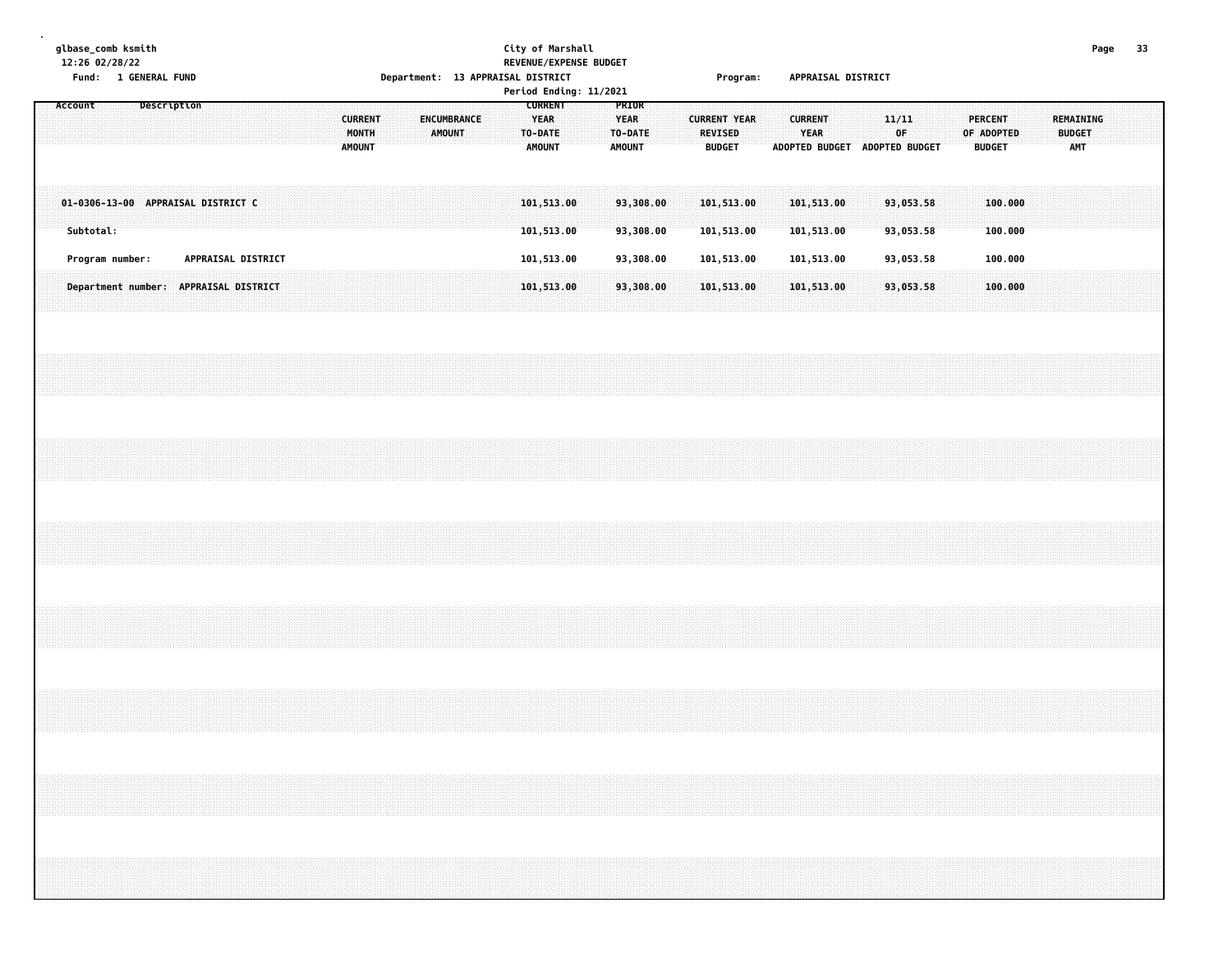**glbase\_comb ksmith City of Marshall Page 33 12:26 02/28/22 REVENUE/EXPENSE BUDGET**

**.**

# **Fund: 1 GENERAL FUND Department: 13 APPRAISAL DISTRICT Program: APPRAISAL DISTRICT**

|  |                        |  |                 |  |  |  |  |                                       |                                          |  |  |                       |  |                                                    |  | Period Ending: 11/2021                           |  |                        |                                                 |  |                          |             |  |                                              |  |                                 |            |  |                                   |  |  |  |  |
|--|------------------------|--|-----------------|--|--|--|--|---------------------------------------|------------------------------------------|--|--|-----------------------|--|----------------------------------------------------|--|--------------------------------------------------|--|------------------------|-------------------------------------------------|--|--------------------------|-------------|--|----------------------------------------------|--|---------------------------------|------------|--|-----------------------------------|--|--|--|--|
|  | Account<br>Description |  |                 |  |  |  |  |                                       | <b>CURRENT</b><br>MONTH<br><b>AMOUNT</b> |  |  | ENCUMBRANCE<br>AMOUNT |  | <b>CURRENT</b><br>YEAR<br>TO-DATE<br><b>AMOUNT</b> |  | PRIOR<br><b>YEAR</b><br>TO-DATE<br><b>AMOUNT</b> |  |                        | <b>CURRENT YEAR</b><br>REVISED<br><b>BUDGET</b> |  | <b>CURRENT</b>           | <b>YEAR</b> |  | 11/11<br>0F<br>ADOPTED BUDGET ADOPTED BUDGET |  | <b>PERCENT</b><br><b>BUDGET</b> | OF ADOPTED |  | REMAINING<br><b>BUDGET</b><br>AMT |  |  |  |  |
|  | Subtotal:              |  |                 |  |  |  |  | 01-0306-13-00 APPRAISAL DISTRICT C    |                                          |  |  |                       |  |                                                    |  | 101,513.00<br>101,513.00                         |  | 93,308.00<br>93,308.00 |                                                 |  | 101,513.00<br>101,513.00 |             |  | 101,513.00<br>101,513.00                     |  | 93,053.58<br>93,053.58          |            |  | 100,000<br>100.000                |  |  |  |  |
|  |                        |  | Program number: |  |  |  |  | APPRAISAL DISTRICT                    |                                          |  |  |                       |  |                                                    |  | 101,513.00                                       |  | 93,308.00              |                                                 |  | 101,513.00               |             |  | 101,513.00                                   |  | 93,053.58                       |            |  | 100.000                           |  |  |  |  |
|  |                        |  |                 |  |  |  |  | Department number: APPRAISAL DISTRICT |                                          |  |  |                       |  |                                                    |  | 101,513.00                                       |  | 93,308.00              |                                                 |  | 101,513.00               |             |  | 101,513.00                                   |  | 93,053.58                       |            |  | 100.000                           |  |  |  |  |
|  |                        |  |                 |  |  |  |  |                                       |                                          |  |  |                       |  |                                                    |  |                                                  |  |                        |                                                 |  |                          |             |  |                                              |  |                                 |            |  |                                   |  |  |  |  |
|  |                        |  |                 |  |  |  |  |                                       |                                          |  |  |                       |  |                                                    |  |                                                  |  |                        |                                                 |  |                          |             |  |                                              |  |                                 |            |  |                                   |  |  |  |  |
|  |                        |  |                 |  |  |  |  |                                       |                                          |  |  |                       |  |                                                    |  |                                                  |  |                        |                                                 |  |                          |             |  |                                              |  |                                 |            |  |                                   |  |  |  |  |
|  |                        |  |                 |  |  |  |  |                                       |                                          |  |  |                       |  |                                                    |  |                                                  |  |                        |                                                 |  |                          |             |  |                                              |  |                                 |            |  |                                   |  |  |  |  |
|  |                        |  |                 |  |  |  |  |                                       |                                          |  |  |                       |  |                                                    |  |                                                  |  |                        |                                                 |  |                          |             |  |                                              |  |                                 |            |  |                                   |  |  |  |  |
|  |                        |  |                 |  |  |  |  |                                       |                                          |  |  |                       |  |                                                    |  |                                                  |  |                        |                                                 |  |                          |             |  |                                              |  |                                 |            |  |                                   |  |  |  |  |
|  |                        |  |                 |  |  |  |  |                                       |                                          |  |  |                       |  |                                                    |  |                                                  |  |                        |                                                 |  |                          |             |  |                                              |  |                                 |            |  |                                   |  |  |  |  |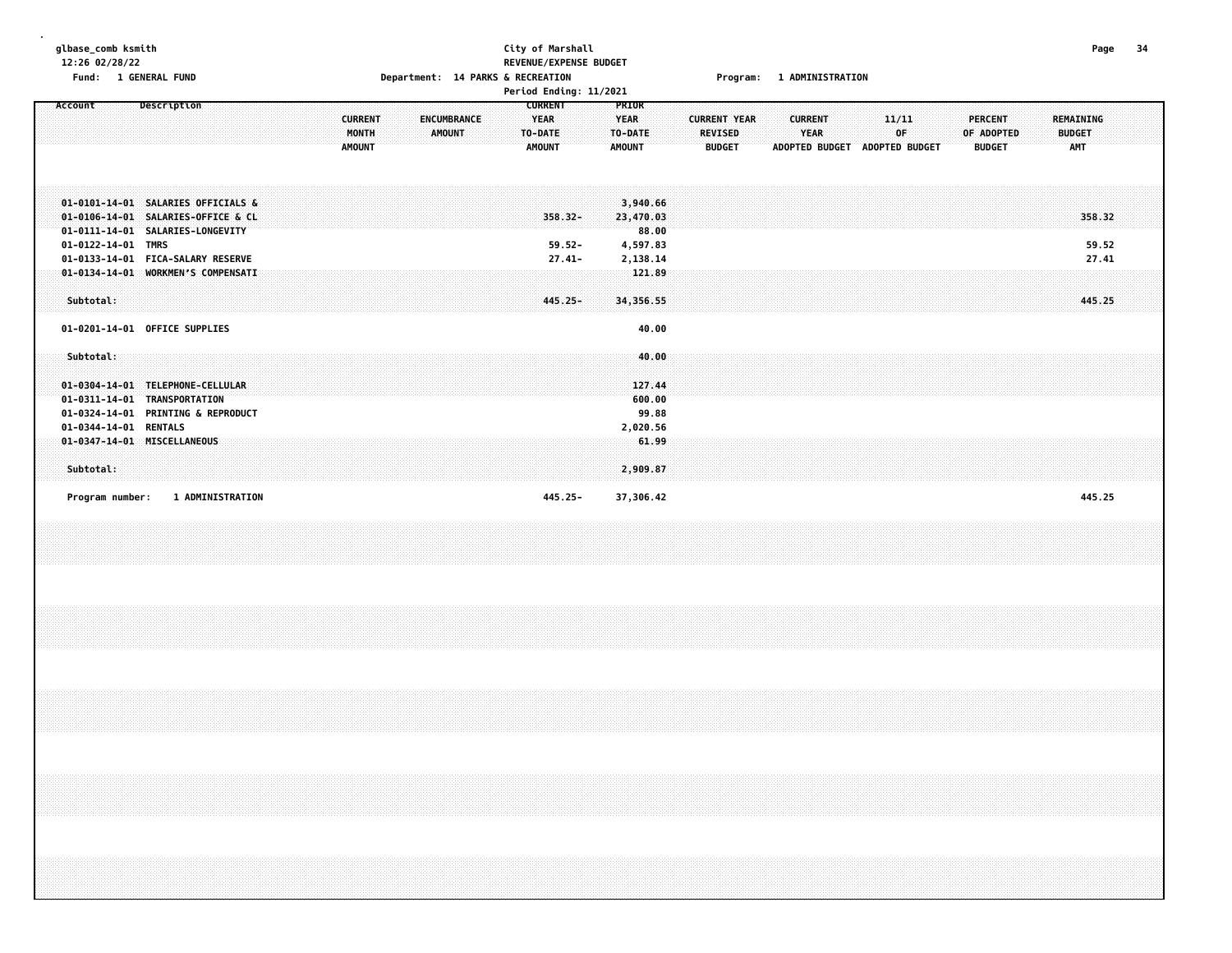| glbase_comb ksmith<br>12:26 02/28/22                                                                                                                                                                          | Fund: 1 GENERAL FUND |                         |  |  |                                          | Department: 14 PARKS & RECREATION |                       |  |                                                           | City of Marshall                  | REVENUE/EXPENSE BUDGET |                                                  |                                                                  |  |                                                        | Program: 1 ADMINISTRATION |                        |  |                               |             |  |                                               |  |                                          | Page                     | -34 |  |
|---------------------------------------------------------------------------------------------------------------------------------------------------------------------------------------------------------------|----------------------|-------------------------|--|--|------------------------------------------|-----------------------------------|-----------------------|--|-----------------------------------------------------------|-----------------------------------|------------------------|--------------------------------------------------|------------------------------------------------------------------|--|--------------------------------------------------------|---------------------------|------------------------|--|-------------------------------|-------------|--|-----------------------------------------------|--|------------------------------------------|--------------------------|-----|--|
| Account                                                                                                                                                                                                       |                      | Description             |  |  | <b>CURRENT</b><br>MONTH<br><b>AMOUNT</b> |                                   | ENCUMBRANCE<br>AMOUNT |  | <b>CURRENT</b><br><b>YEAR</b><br>TO-DATE<br><b>AMOUNT</b> |                                   | Period Ending: 11/2021 | PRIOR<br><b>YEAR</b><br>TO-DATE<br><b>AMOUNT</b> |                                                                  |  | <b>CURRENT YEAR</b><br><b>REVISED</b><br><b>BUDGET</b> |                           | <b>CURRENT</b><br>YEAR |  | ADOPTED BUDGET ADOPTED BUDGET | 11/11<br>OF |  | <b>PERCENT</b><br>OF ADOPTED<br><b>BUDGET</b> |  | <b>REMAINING</b><br><b>BUDGET</b><br>AMT |                          |     |  |
| 01-0101-14-01 SALARIES OFFICIALS &<br>01-0106-14-01 SALARIES-OFFICE & CL<br>01-0111-14-01 SALARIES-LONGEVITY<br>01-0122-14-01 TMRS<br>01-0133-14-01 FICA-SALARY RESERVE<br>01-0134-14-01 WORKMEN'S COMPENSATI |                      |                         |  |  |                                          |                                   |                       |  |                                                           | 358.32-<br>$59.52 -$<br>$27.41 -$ |                        |                                                  | 3,940.66<br>23,470.03<br>88.00<br>4,597.83<br>2,138.14<br>121.89 |  |                                                        |                           |                        |  |                               |             |  |                                               |  |                                          | 358.32<br>59.52<br>27.41 |     |  |
| Subtotal:<br>01-0201-14-01 OFFICE SUPPLIES                                                                                                                                                                    |                      |                         |  |  |                                          |                                   |                       |  |                                                           | 445.25-                           |                        |                                                  | 34,356.55<br>40.00                                               |  |                                                        |                           |                        |  |                               |             |  |                                               |  |                                          | 445.25                   |     |  |
| Subtotal:<br>01-0304-14-01 TELEPHONE-CELLULAR<br>01-0311-14-01 TRANSPORTATION<br>01-0324-14-01 PRINTING & REPRODUCT                                                                                           |                      |                         |  |  |                                          |                                   |                       |  |                                                           |                                   |                        |                                                  | 40.00<br>127.44<br>600.00<br>99.88                               |  |                                                        |                           |                        |  |                               |             |  |                                               |  |                                          |                          |     |  |
| 01-0344-14-01 RENTALS<br>01-0347-14-01 MISCELLANEOUS<br>Subtotal:                                                                                                                                             |                      |                         |  |  |                                          |                                   |                       |  |                                                           |                                   |                        |                                                  | 2,020.56<br>61.99<br>2,909.87                                    |  |                                                        |                           |                        |  |                               |             |  |                                               |  |                                          |                          |     |  |
| Program number:                                                                                                                                                                                               |                      | <b>1 ADMINISTRATION</b> |  |  |                                          |                                   |                       |  |                                                           | 445.25-                           |                        |                                                  | 37,306.42                                                        |  |                                                        |                           |                        |  |                               |             |  |                                               |  |                                          | 445.25                   |     |  |
|                                                                                                                                                                                                               |                      |                         |  |  |                                          |                                   |                       |  |                                                           |                                   |                        |                                                  |                                                                  |  |                                                        |                           |                        |  |                               |             |  |                                               |  |                                          |                          |     |  |
|                                                                                                                                                                                                               |                      |                         |  |  |                                          |                                   |                       |  |                                                           |                                   |                        |                                                  |                                                                  |  |                                                        |                           |                        |  |                               |             |  |                                               |  |                                          |                          |     |  |
|                                                                                                                                                                                                               |                      |                         |  |  |                                          |                                   |                       |  |                                                           |                                   |                        |                                                  |                                                                  |  |                                                        |                           |                        |  |                               |             |  |                                               |  |                                          |                          |     |  |
|                                                                                                                                                                                                               |                      |                         |  |  |                                          |                                   |                       |  |                                                           |                                   |                        |                                                  |                                                                  |  |                                                        |                           |                        |  |                               |             |  |                                               |  |                                          |                          |     |  |
|                                                                                                                                                                                                               |                      |                         |  |  |                                          |                                   |                       |  |                                                           |                                   |                        |                                                  |                                                                  |  |                                                        |                           |                        |  |                               |             |  |                                               |  |                                          |                          |     |  |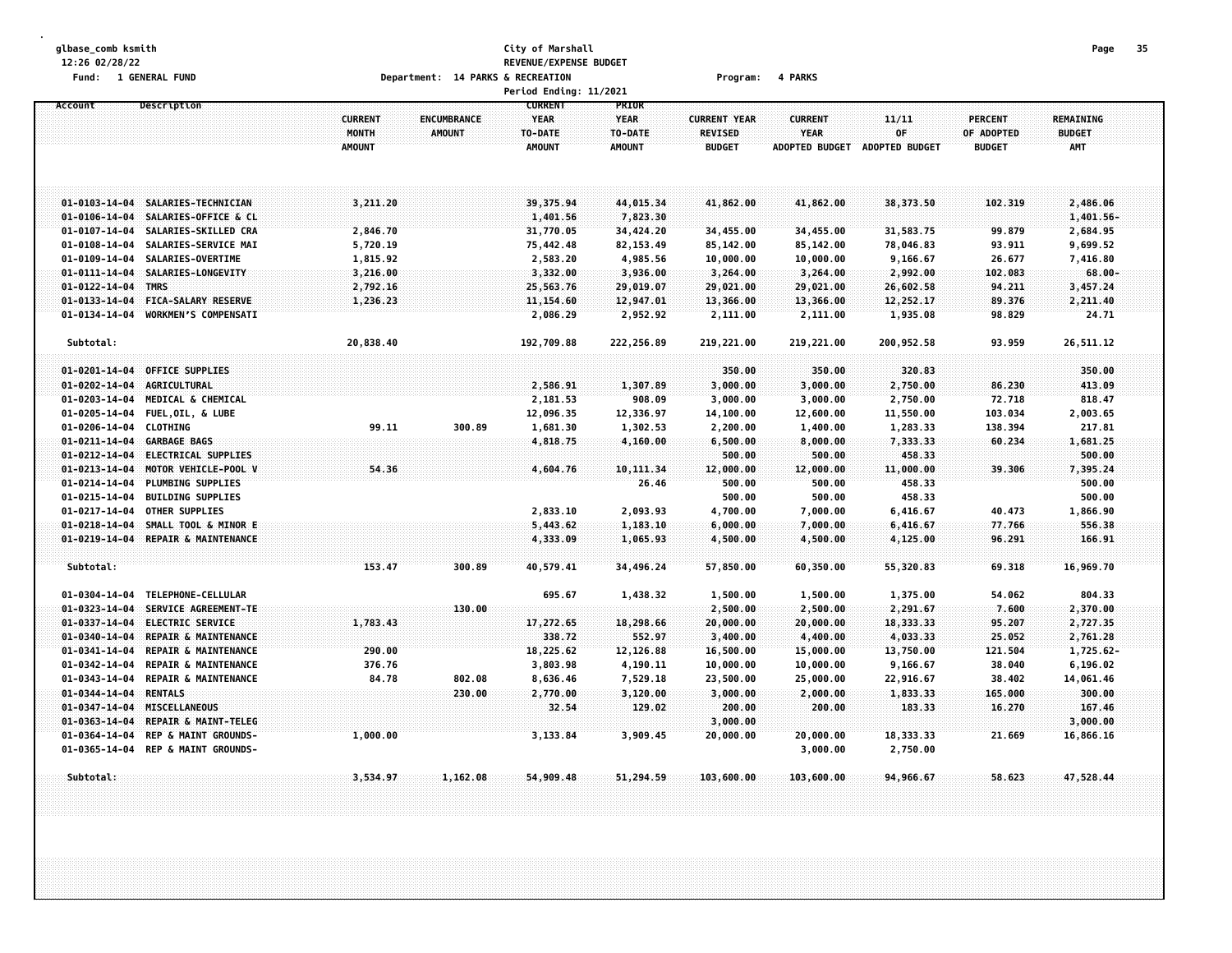#### **glbase\_comb ksmith City of Marshall Page 35 12:26 02/28/22 REVENUE/EXPENSE BUDGET** Fund: 1 GENERAL FUND CONTEXANT DEPARTMENT: 14 PARKS & RECREATION CONTEXANT PROGRAM: 4 PARKS

|                       |                                        |                                          |                                     | Period Ending: 11/2021                             |                                                  |                                                        |                                                        |                                      |                                               |                                                 |  |
|-----------------------|----------------------------------------|------------------------------------------|-------------------------------------|----------------------------------------------------|--------------------------------------------------|--------------------------------------------------------|--------------------------------------------------------|--------------------------------------|-----------------------------------------------|-------------------------------------------------|--|
| Account               | Description                            | <b>CURRENT</b><br>MONTH<br><b>AMOUNT</b> | <b>ENCUMBRANCE</b><br><b>AMOUNT</b> | <b>CURRENT</b><br>YEAR<br>TO-DATE<br><b>AMOUNT</b> | PRIOR<br><b>YEAR</b><br>TO-DATE<br><b>AMOUNT</b> | <b>CURRENT YEAR</b><br><b>REVISED</b><br><b>BUDGET</b> | <b>CURRENT</b><br><b>YEAR</b><br><b>ADOPTED BUDGET</b> | 11/11<br>OF<br><b>ADOPTED BUDGET</b> | <b>PERCENT</b><br>OF ADOPTED<br><b>BUDGET</b> | <b>REMAINING</b><br><b>BUDGET</b><br><b>AMT</b> |  |
|                       |                                        |                                          |                                     |                                                    |                                                  |                                                        |                                                        |                                      |                                               |                                                 |  |
|                       | 01-0103-14-04 SALARIES-TECHNICIAN      | 3,211.20                                 |                                     | 39, 375, 94                                        | 44,015.34                                        | 41,862.00                                              | 41,862.00                                              | 38,373.50                            | 102,319                                       | 2,486.06                                        |  |
| $01 - 0106 - 14 - 04$ | SALARIES-OFFICE & CL                   |                                          |                                     | 1,401.56                                           | 7,823.30                                         |                                                        |                                                        |                                      |                                               | 1,401.56-                                       |  |
| $01 - 0107 - 14 - 04$ | SALARIES-SKILLED CRA                   | 2,846.70                                 |                                     | 31,770.05                                          | 34,424.20                                        | 34,455.00                                              | 34,455.00                                              | 31,583.75                            | 99.879                                        | 2,684.95                                        |  |
| $01 - 0108 - 14 - 04$ | SALARIES-SERVICE MAI                   | 5,720.19                                 |                                     | 75,442.48                                          | 82, 153.49                                       | 85,142.00                                              | 85,142.00                                              | 78,046.83                            | 93.911                                        | 9,699.52                                        |  |
| $01 - 0109 - 14 - 04$ | SALARIES-OVERTIME                      | 1,815.92                                 |                                     | 2,583.20                                           | 4,985.56                                         | 10,000.00                                              | 10,000.00                                              | 9,166.67                             | 26.677                                        | 7,416.80                                        |  |
| $01 - 0111 - 14 - 04$ | SALARIES-LONGEVITY                     | 3,216.00                                 |                                     | 3,332.00                                           | 3,936.00                                         | 3,264.00                                               | 3,264.00                                               | 2,992.00                             | 102.083                                       | $68.00 -$                                       |  |
| $01 - 0122 - 14 - 04$ | <b>TMRS</b>                            | 2,792.16                                 |                                     | 25,563.76                                          | 29,019.07                                        | 29,021.00                                              | 29,021.00                                              | 26,602.58                            | 94.211                                        | 3,457.24                                        |  |
| $01 - 0133 - 14 - 04$ | <b>FICA-SALARY RESERVE</b>             | 1,236.23                                 |                                     | 11,154.60                                          | 12,947.01                                        | 13,366.00                                              | 13,366.00                                              | 12,252.17                            | 89.376                                        | 2,211.40                                        |  |
| $01 - 0134 - 14 - 04$ | WORKMEN'S COMPENSATI                   |                                          |                                     | 2,086.29                                           | 2,952.92                                         | 2,111.00                                               | 2,111.00                                               | 1,935.08                             | 98.829                                        | 24.71                                           |  |
| Subtotal:             |                                        | 20,838.40                                |                                     | 192,709.88                                         | 222,256.89                                       | 219,221.00                                             | 219,221.00                                             | 200,952.58                           | 93.959                                        | 26,511.12                                       |  |
| $01 - 0201 - 14 - 04$ | <b>OFFICE SUPPLIES</b>                 |                                          |                                     |                                                    |                                                  | 350.00                                                 | 350.00                                                 | 320.83                               |                                               | 350.00                                          |  |
| $01 - 0202 - 14 - 04$ | AGRICULTURAL                           |                                          |                                     | 2,586.91                                           | 1,307.89                                         | 3,000.00                                               | 3,000.00                                               | 2,750.00                             | 86.230                                        | 413.09                                          |  |
| $01 - 0203 - 14 - 04$ | MEDICAL & CHEMICAL                     |                                          |                                     | 2,181.53                                           | 908.09                                           | 3,000.00                                               | 3,000.00                                               | 2,750.00                             | 72.718                                        | 818.47                                          |  |
| $01 - 0205 - 14 - 04$ | <b>FUEL, OIL, &amp; LUBE</b>           |                                          |                                     |                                                    |                                                  |                                                        |                                                        |                                      | 103.034                                       |                                                 |  |
|                       |                                        |                                          |                                     | 12,096.35                                          | 12,336.97                                        | 14,100.00                                              | 12,600.00                                              | 11,550.00                            |                                               | 2,003.65                                        |  |
| $01 - 0206 - 14 - 04$ | <b>CLOTHING</b><br><b>GARBAGE BAGS</b> | 99.11                                    | 300.89                              | 1,681.30                                           | 1,302.53                                         | 2,200.00                                               | 1,400.00                                               | 1,283.33                             | 138.394                                       | 217.81                                          |  |
| $01 - 0211 - 14 - 04$ | <b>ELECTRICAL SUPPLIES</b>             |                                          |                                     | 4,818.75                                           | 4,160.00                                         | 6,500.00                                               | 8,000.00                                               | 7,333.33                             | 60.234                                        | 1,681.25<br>500,00                              |  |
| $01 - 0212 - 14 - 04$ |                                        |                                          |                                     |                                                    |                                                  | 500.00                                                 | 500.00                                                 | 458.33                               |                                               |                                                 |  |
| $01 - 0213 - 14 - 04$ | MOTOR VEHICLE-POOL V                   | 54.36                                    |                                     | 4,604.76                                           | 10,111.34                                        | 12,000.00                                              | 12,000.00                                              | 11,000.00                            | 39.306                                        | 7,395.24                                        |  |
| $01 - 0214 - 14 - 04$ | PLUMBING SUPPLIES                      |                                          |                                     |                                                    | 26.46                                            | 500.00                                                 | 500.00                                                 | 458.33                               |                                               | 500.00                                          |  |
| $01 - 0215 - 14 - 04$ | <b>BUILDING SUPPLIES</b>               |                                          |                                     |                                                    |                                                  | 500.00                                                 | 500.00                                                 | 458.33                               |                                               | 500.00                                          |  |
| $01 - 0217 - 14 - 04$ | <b>OTHER SUPPLIES</b>                  |                                          |                                     | 2,833.10                                           | 2,093.93                                         | 4,700.00                                               | 7,000.00                                               | 6,416.67                             | 40.473                                        | 1,866.90                                        |  |
| $01 - 0218 - 14 - 04$ | SMALL TOOL & MINOR E                   |                                          |                                     | 5,443.62                                           | 1,183.10                                         | 6,000.00                                               | 7,000.00                                               | 6,416.67                             | 77.766                                        | 556.38                                          |  |
| $01 - 0219 - 14 - 04$ | REPAIR & MAINTENANCE                   |                                          |                                     | 4,333.09                                           | 1,065.93                                         | 4,500.00                                               | 4,500.00                                               | 4,125.00                             | 96.291                                        | 166.91                                          |  |
| Subtotal:             |                                        | 153.47                                   | 300.89                              | 40,579.41                                          | 34,496.24                                        | 57,850.00                                              | 60,350.00                                              | 55,320.83                            | 69.318                                        | 16,969.70                                       |  |
| 01-0304-14-04         | TELEPHONE-CELLULAR                     |                                          |                                     | 695.67                                             | 1,438.32                                         | 1,500.00                                               | 1,500.00                                               | 1,375.00                             | 54.062                                        | 804.33                                          |  |
| $01 - 0323 - 14 - 04$ | SERVICE AGREEMENT-TE                   |                                          | 130.00                              |                                                    |                                                  | 2,500.00                                               | 2,500.00                                               | 2,291.67                             | 7.600                                         | 2,370.00                                        |  |
| $01 - 0337 - 14 - 04$ | <b>ELECTRIC SERVICE</b>                | 1,783.43                                 |                                     | 17,272.65                                          | 18,298.66                                        | 20,000.00                                              | 20,000.00                                              | 18,333.33                            | 95.207                                        | 2,727.35                                        |  |
| $01 - 0340 - 14 - 04$ | REPAIR & MAINTENANCE                   |                                          |                                     | 338.72                                             | 552.97                                           | 3,400.00                                               | 4,400.00                                               | 4,033.33                             | 25.052                                        | 2,761.28                                        |  |
| $01 - 0341 - 14 - 04$ | <b>REPAIR &amp; MAINTENANCE</b>        | 290.00                                   |                                     | 18,225.62                                          | 12,126.88                                        | 16,500.00                                              | 15,000.00                                              | 13,750.00                            | 121.504                                       | $1,725.62 -$                                    |  |
| $01 - 0342 - 14 - 04$ | REPAIR & MAINTENANCE                   | 376.76                                   |                                     | 3,803.98                                           | 4,190.11                                         | 10,000.00                                              | 10,000.00                                              | 9,166.67                             | 38.040                                        | 6,196.02                                        |  |
| $01 - 0343 - 14 - 04$ | <b>REPAIR &amp; MAINTENANCE</b>        | 84.78                                    | 802.08                              | 8,636.46                                           | 7,529.18                                         | 23,500.00                                              | 25,000.00                                              | 22,916.67                            | 38.402                                        | 14,061.46                                       |  |
| $01 - 0344 - 14 - 04$ | <b>RENTALS</b>                         |                                          | 230.00                              | 2,770.00                                           | 3,120.00                                         | 3,000.00                                               | 2,000.00                                               | 1,833.33                             | 165.000                                       | 300.00                                          |  |
| $01 - 0347 - 14 - 04$ | MISCELLANEOUS                          |                                          |                                     | 32,54                                              | 129.02                                           | 200.00                                                 | 200.00                                                 | 183.33                               | 16,270                                        | 167.46                                          |  |
| $01 - 0363 - 14 - 04$ | REPAIR & MAINT-TELEG                   |                                          |                                     |                                                    |                                                  | 3,000.00                                               |                                                        |                                      |                                               | 3,000.00                                        |  |
| 01-0364-14-04         | <b>REP &amp; MAINT GROUNDS-</b>        | 1,000.00                                 |                                     | 3,133.84                                           | 3,909.45                                         | 20,000.00                                              | 20,000.00                                              | 18,333.33                            | 21.669                                        | 16,866.16                                       |  |
| 01-0365-14-04         | REP & MAINT GROUNDS-                   |                                          |                                     |                                                    |                                                  |                                                        | 3,000.00                                               | 2,750.00                             |                                               |                                                 |  |
| Subtotal:             |                                        | 3,534.97                                 | 1,162.08                            | 54,909.48                                          | 51,294.59                                        | 103,600.00                                             | 103,600.00                                             | 94,966.67                            | 58.623                                        | 47,528.44                                       |  |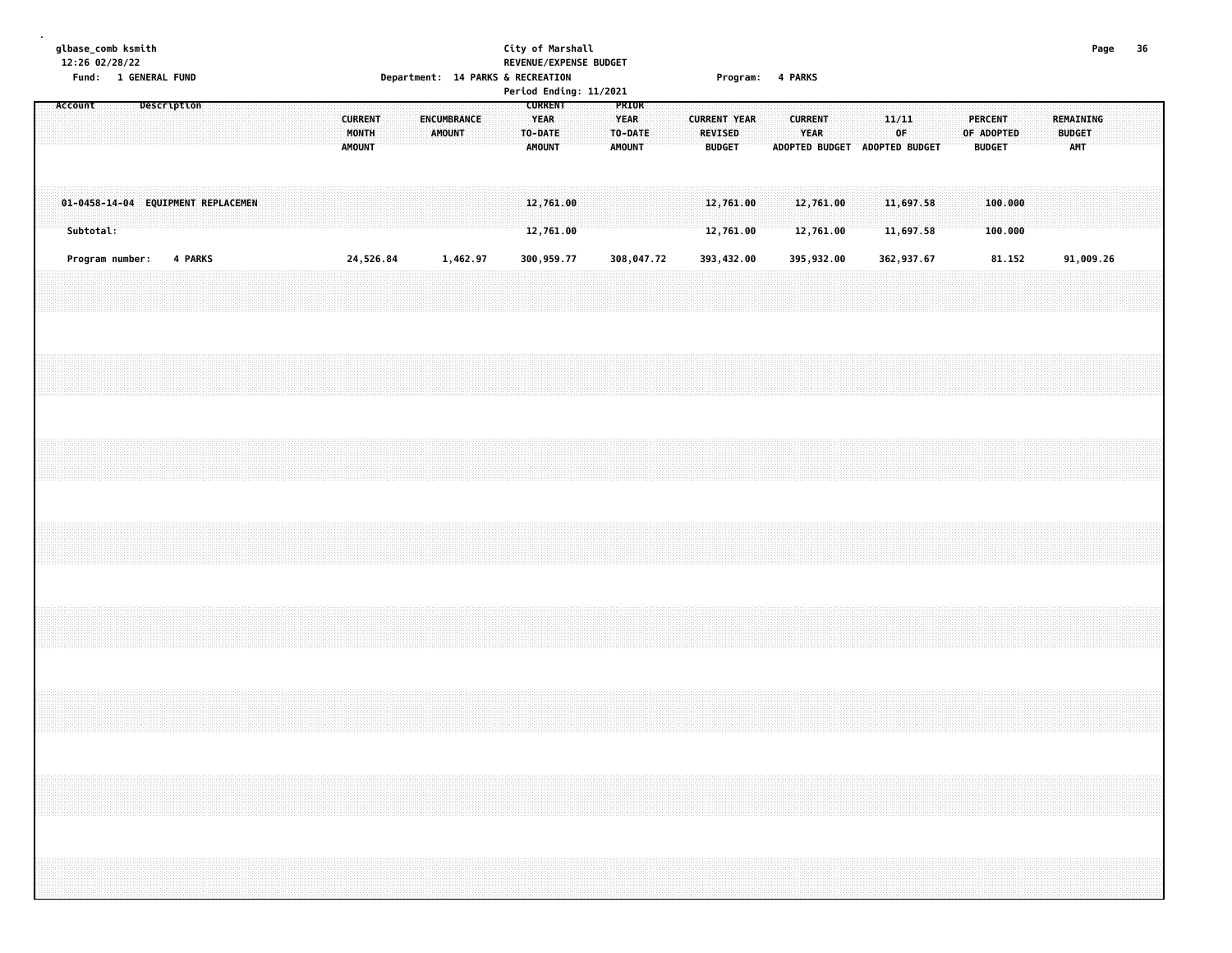|         | glbase_comb ksmith<br>12:26 02/28/22 |  | Fund: 1 GENERAL FUND |         |                                    |  |  |                                 |       |           |  |               | Department: 14 PARKS & RECREATION |  |                                                           | City of Marshall<br>REVENUE/EXPENSE BUDGET<br>Period Ending: 11/2021 |                                       |            |  |                          | Program: 4 PARKS       |  |                        |                        |                               |            |             |                        |  |                                 |                    |  |                                   | Page                                                                              | - 36 |
|---------|--------------------------------------|--|----------------------|---------|------------------------------------|--|--|---------------------------------|-------|-----------|--|---------------|-----------------------------------|--|-----------------------------------------------------------|----------------------------------------------------------------------|---------------------------------------|------------|--|--------------------------|------------------------|--|------------------------|------------------------|-------------------------------|------------|-------------|------------------------|--|---------------------------------|--------------------|--|-----------------------------------|-----------------------------------------------------------------------------------|------|
| Account |                                      |  | Description          |         |                                    |  |  | <b>CURRENT</b><br><b>AMOUNT</b> | MONTH |           |  | <b>AMOUNT</b> | ENCUMBRANCE                       |  | <b>CURRENT</b><br><b>YEAR</b><br>TO-DATE<br><b>AMOUNT</b> |                                                                      | PRIOR<br><b>YEAR</b><br><b>AMOUNT</b> | TO-DATE    |  | REVISED<br><b>BUDGET</b> | <b>CURRENT YEAR</b>    |  | <b>CURRENT</b><br>YEAR |                        | ADOPTED BUDGET ADOPTED BUDGET |            | 11/11<br>0F |                        |  | <b>PERCENT</b><br><b>BUDGET</b> | OF ADOPTED         |  | REMAINING<br><b>BUDGET</b><br>AMT |                                                                                   |      |
|         | Subtotal:                            |  |                      |         | 01-0458-14-04 EQUIPMENT REPLACEMEN |  |  |                                 |       |           |  |               |                                   |  | 12,761.00<br>12,761.00                                    |                                                                      |                                       |            |  |                          | 12,761.00<br>12,761.00 |  |                        | 12,761.00<br>12,761.00 |                               |            |             | 11,697.58<br>11,697.58 |  |                                 | 100.000<br>100.000 |  |                                   |                                                                                   |      |
|         | Program number:                      |  |                      | 4 PARKS |                                    |  |  |                                 |       | 24,526.84 |  |               | 1,462.97                          |  | 300,959.77                                                |                                                                      |                                       | 308,047.72 |  |                          | 393,432.00             |  |                        | 395,932.00             |                               | 362,937.67 |             |                        |  |                                 | 81.152             |  |                                   | 91,009.26                                                                         |      |
|         |                                      |  |                      |         |                                    |  |  |                                 |       |           |  |               |                                   |  |                                                           |                                                                      |                                       |            |  |                          |                        |  |                        |                        |                               |            |             |                        |  |                                 |                    |  |                                   |                                                                                   |      |
|         |                                      |  |                      |         |                                    |  |  |                                 |       |           |  |               |                                   |  |                                                           |                                                                      |                                       |            |  |                          |                        |  |                        |                        |                               |            |             |                        |  |                                 |                    |  |                                   |                                                                                   |      |
|         |                                      |  |                      |         |                                    |  |  |                                 |       |           |  |               |                                   |  |                                                           |                                                                      |                                       |            |  |                          |                        |  |                        |                        |                               |            |             |                        |  |                                 |                    |  |                                   |                                                                                   |      |
|         |                                      |  |                      |         |                                    |  |  |                                 |       |           |  |               |                                   |  |                                                           |                                                                      |                                       |            |  |                          |                        |  |                        |                        |                               |            |             |                        |  |                                 |                    |  |                                   |                                                                                   |      |
|         |                                      |  |                      |         |                                    |  |  |                                 |       |           |  |               |                                   |  |                                                           |                                                                      |                                       |            |  |                          |                        |  |                        |                        |                               |            |             |                        |  |                                 |                    |  |                                   |                                                                                   |      |
|         |                                      |  |                      |         |                                    |  |  |                                 |       |           |  |               |                                   |  |                                                           |                                                                      |                                       |            |  |                          |                        |  |                        |                        |                               |            |             |                        |  |                                 |                    |  |                                   |                                                                                   |      |
|         |                                      |  |                      |         |                                    |  |  |                                 |       |           |  |               |                                   |  |                                                           |                                                                      |                                       |            |  |                          |                        |  |                        |                        |                               |            |             |                        |  |                                 |                    |  |                                   | ,我们的时候,我们就会在这里的时候,我们就会在这里,我们就会在这里,我们就会在这里,我们就会在这里,我们就会在这里,我们就会在这里,我们就会在这里,我们就会在这里 |      |
|         |                                      |  |                      |         |                                    |  |  |                                 |       |           |  |               |                                   |  |                                                           |                                                                      |                                       |            |  |                          |                        |  |                        |                        |                               |            |             |                        |  |                                 |                    |  |                                   |                                                                                   |      |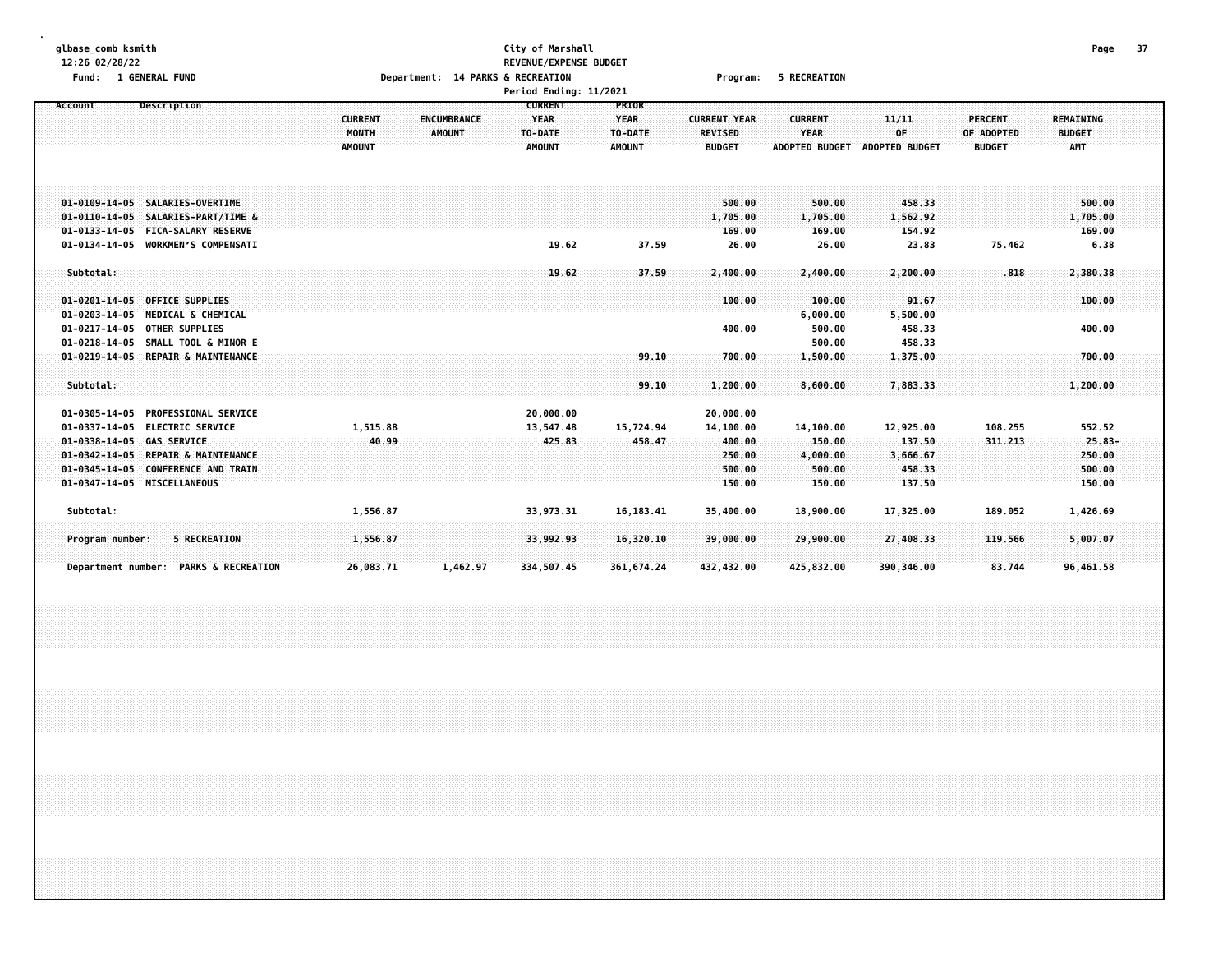# **glbase\_comb ksmith City of Marshall Page 37 12:26 02/28/22 REVENUE/EXPENSE BUDGET** Fund: 1 GENERAL FUND CONTENTS OPERATOR CONTENTS OPERATOR DEPRITS ON THE RECREATION CONTENTS OF PROGRAMS OF RECREATION

|                                                                                                                                                                                                              |                                          | Period Ending: 11/2021                                                                           |                                                  |                                                                |                                                                                                            |                                                                                           |  |
|--------------------------------------------------------------------------------------------------------------------------------------------------------------------------------------------------------------|------------------------------------------|--------------------------------------------------------------------------------------------------|--------------------------------------------------|----------------------------------------------------------------|------------------------------------------------------------------------------------------------------------|-------------------------------------------------------------------------------------------|--|
| Description<br>Account                                                                                                                                                                                       | <b>CURRENT</b><br>MONTH<br><b>AMOUNT</b> | <b>CURRENT</b><br><b>YEAR</b><br><b>ENCUMBRANCE</b><br><b>AMOUNT</b><br>TO-DATE<br><b>AMOUNT</b> | PRIOR<br><b>YEAR</b><br>TO-DATE<br><b>AMOUNT</b> | <b>CURRENT YEAR</b><br><b>REVISED</b><br><b>BUDGET</b>         | <b>CURRENT</b><br>11/11<br><b>YEAR</b><br>0F<br><b>ADOPTED BUDGET</b><br><b>ADOPTED BUDGET</b>             | <b>PERCENT</b><br><b>REMAINING</b><br>OF ADOPTED<br><b>BUDGET</b><br><b>BUDGET</b><br>AMT |  |
| 01-0109-14-05 SALARIES-OVERTIME<br>01-0110-14-05 SALARIES-PART/TIME &<br>01-0133-14-05 FICA-SALARY RESERVE<br>01-0134-14-05 WORKMEN'S COMPENSATI                                                             |                                          | 19.62                                                                                            | 37.59                                            | 500.00<br>1,705.00<br>169.00<br>26.00                          | 500.00<br>458.33<br>1,705.00<br>1,562.92<br>169.00<br>154.92<br>26.00<br>23.83                             | 500.00<br>1,705.00<br>169.00<br>75.462<br>6.38                                            |  |
| Subtotal:<br>01-0201-14-05 OFFICE SUPPLIES<br>01-0203-14-05 MEDICAL & CHEMICAL<br>01-0217-14-05 OTHER SUPPLIES<br>01-0218-14-05 SMALL TOOL & MINOR E                                                         |                                          | 19.62                                                                                            | 37.59                                            | 2,400.00<br>100.00<br>400.00                                   | 2,400.00<br>2,200.00<br>91.67<br>100.00<br>6,000.00<br>5,500.00<br>500.00<br>458.33<br>500.00<br>458.33    | .818<br>2,380.38<br>100.00<br>400.00                                                      |  |
| 01-0219-14-05 REPAIR & MAINTENANCE<br>Subtotal:                                                                                                                                                              |                                          |                                                                                                  | 99.10<br>99.10                                   | 700.00<br>1,200.00                                             | 1,375.00<br>1,500.00<br>8,600.00<br>7,883.33                                                               | 700.00<br>1,200.00                                                                        |  |
| 01-0305-14-05 PROFESSIONAL SERVICE<br>01-0337-14-05 ELECTRIC SERVICE<br>01-0338-14-05 GAS SERVICE<br>01-0342-14-05 REPAIR & MAINTENANCE<br>01-0345-14-05 CONFERENCE AND TRAIN<br>01-0347-14-05 MISCELLANEOUS | 1,515.88<br>40.99                        | 20,000.00<br>13,547.48<br>425.83                                                                 | 15,724.94<br>458.47                              | 20,000.00<br>14,100.00<br>400.00<br>250.00<br>500.00<br>150.00 | 12,925.00<br>14,100.00<br>150.00<br>137.50<br>4,000.00<br>3,666.67<br>500.00<br>458.33<br>150.00<br>137.50 | 108.255<br>552.52<br>311,213<br>$25.83 -$<br>250.00<br>500.00<br>150.00                   |  |
| Subtotal:<br><b>5 RECREATION</b><br>Program number:                                                                                                                                                          | 1,556.87<br>1,556.87                     | 33,973.31<br>33,992.93                                                                           | 16, 183.41<br>16,320.10                          | 35,400.00<br>39,000.00                                         | 18,900.00<br>17,325.00<br>29,900.00<br>27,408.33                                                           | 189.052<br>1,426.69<br>5,007.07<br>119.566                                                |  |
| Department number: PARKS & RECREATION                                                                                                                                                                        | 26,083.71                                | 1,462.97<br>334,507.45                                                                           | 361,674.24                                       | 432,432.00                                                     | 425,832.00<br>390,346.00                                                                                   | 83.744<br>96,461.58                                                                       |  |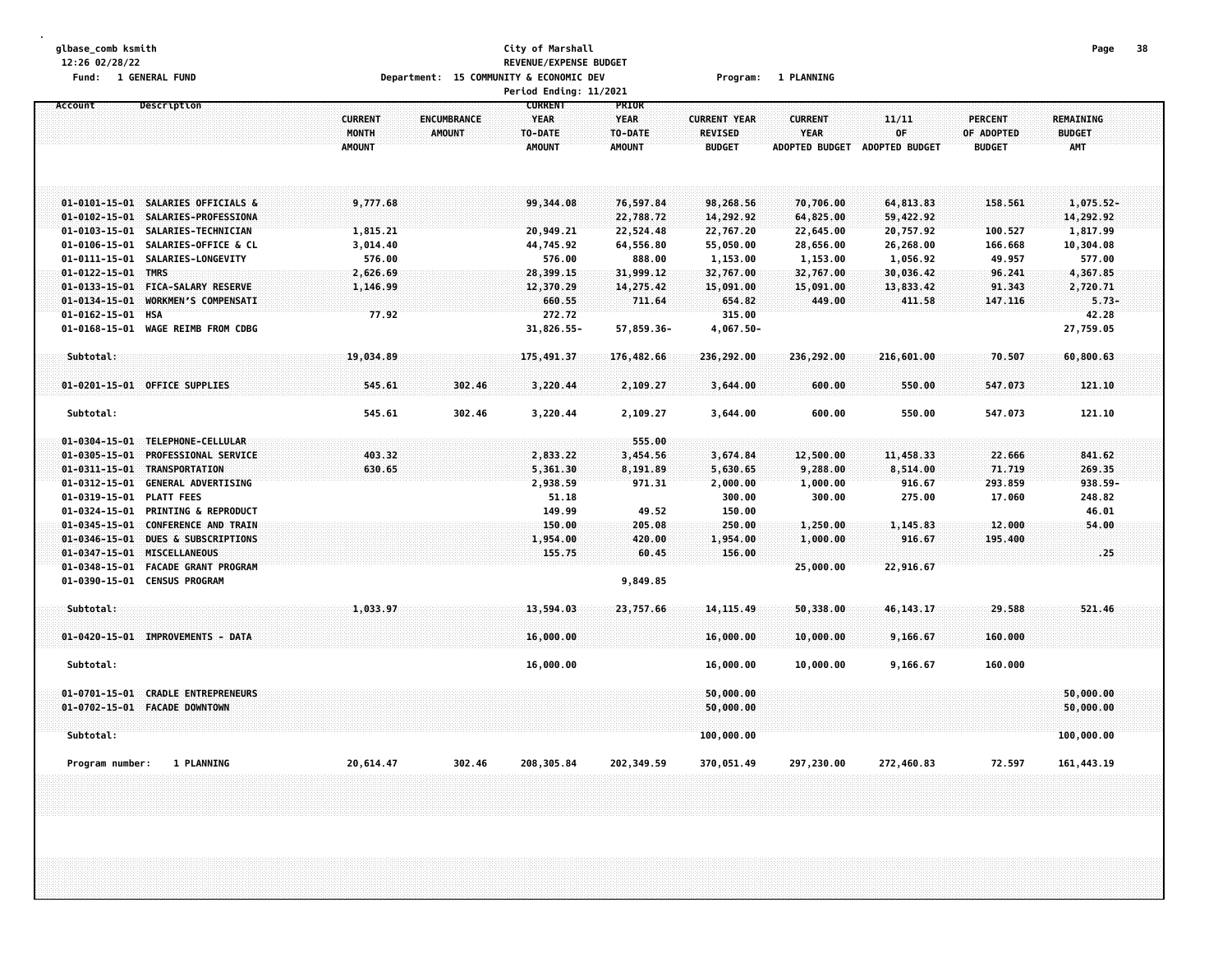| Department: 15 COMMUNITY & ECONOMIC DEV<br>Fund: 1 GENERAL FUND<br><b>1 PLANNING</b><br>Program:<br>Period Ending: 11/2021<br><b>CURRENT</b><br>Account<br>Description<br>PRIOR<br><b>CURRENT</b><br>11/11<br><b>CURRENT</b><br><b>ENCUMBRANCE</b><br><b>YEAR</b><br><b>YEAR</b><br><b>CURRENT YEAR</b><br>0F<br>MONTH<br><b>AMOUNT</b><br>TO-DATE<br>TO-DATE<br><b>REVISED</b><br><b>YEAR</b><br><b>AMOUNT</b><br><b>AMOUNT</b><br><b>AMOUNT</b><br><b>BUDGET</b><br>ADOPTED BUDGET ADOPTED BUDGET<br>01-0101-15-01 SALARIES OFFICIALS &<br>9,777.68<br>99,344.08<br>76,597.84<br>98,268.56<br>70,706.00<br>64,813.83<br>01-0102-15-01 SALARIES-PROFESSIONA<br>22,788.72<br>14,292.92<br>64,825.00<br>59,422.92<br>$01 - 0103 - 15 - 01$<br>22,524.48<br>20,757.92<br>SALARIES-TECHNICIAN<br>1,815.21<br>20,949.21<br>22,767.20<br>22,645.00<br>01-0106-15-01 SALARIES-OFFICE & CL<br>3,014.40<br>44,745.92<br>64,556.80<br>55,050.00<br>28,656.00<br>26,268.00<br>01-0111-15-01 SALARIES-LONGEVITY<br>1,153.00<br>1,056.92<br>576.00<br>576.00<br>888.00<br>1,153.00<br>01-0122-15-01 TMRS<br>32,767.00<br>30,036.42<br>2,626.69<br>28,399.15<br>31,999.12<br>32,767.00<br>$01 - 0133 - 15 - 01$<br><b>FICA-SALARY RESERVE</b><br>12,370.29<br>14,275.42<br>15,091.00<br>15,091.00<br>13,833.42<br>1,146.99<br>WORKMEN'S COMPENSATI<br>411.58<br>$01 - 0134 - 15 - 01$<br>660.55<br>711.64<br>654.82<br>449.00<br>01-0162-15-01 HSA<br>77.92<br>272.72<br>315.00<br>$01 - 0168 - 15 - 01$<br>WAGE REIMB FROM CDBG<br>31,826.55-<br>4,067.50-<br>57,859.36-<br>Subtotal:<br>19,034.89<br>175,491.37<br>236,292.00<br>236,292.00<br>216,601.00<br>176,482.66<br>01-0201-15-01 OFFICE SUPPLIES<br>545.61<br>302.46<br>3,220.44<br>2,109.27<br>600.00<br>550.00<br>3,644.00<br>Subtotal:<br>545.61<br>302.46<br>3,220.44<br>2,109.27<br>3,644.00<br>600.00<br>550.00<br>01-0304-15-01 TELEPHONE-CELLULAR<br>555.00<br>01-0305-15-01 PROFESSIONAL SERVICE<br>403.32<br>2,833.22<br>3,454.56<br>3,674.84<br>12,500.00<br>11,458.33<br>01-0311-15-01 TRANSPORTATION<br>630.65<br>5,361.30<br>8,191.89<br>5,630.65<br>9,288.00<br>8,514.00<br>$01 - 0312 - 15 - 01$<br>916.67<br><b>GENERAL ADVERTISING</b><br>2,938.59<br>971.31<br>2,000.00<br>1,000.00<br>$01 - 0319 - 15 - 01$<br><b>PLATT FEES</b><br>51.18<br>300.00<br>300.00<br>275.00<br>01-0324-15-01 PRINTING & REPRODUCT<br>149.99<br>49.52<br>150.00<br>01-0345-15-01 CONFERENCE AND TRAIN<br>150.00<br>205.08<br>250.00<br>1,250.00<br>1,145.83<br>01-0346-15-01 DUES & SUBSCRIPTIONS<br>1,000.00<br>916.67<br>1,954.00<br>420.00<br>1,954.00<br>155.75<br>01-0347-15-01 MISCELLANEOUS<br>60.45<br>156.00<br>01-0348-15-01 FACADE GRANT PROGRAM<br>22,916.67<br>25,000.00<br>01-0390-15-01 CENSUS PROGRAM<br>9,849.85<br>Subtotal:<br>1,033.97<br>13,594.03<br>14, 115.49<br>50,338.00<br>46, 143. 17<br>23,757.66<br>01-0420-15-01 IMPROVEMENTS - DATA<br>16,000.00<br>16,000.00<br>10,000.00<br>9,166.67<br>Subtotal:<br>16,000.00<br>10,000.00<br>9,166.67<br>16,000.00<br>01-0701-15-01 CRADLE ENTREPRENEURS<br>50,000.00<br>01-0702-15-01 FACADE DOWNTOWN<br>50,000.00<br>Subtotal:<br>100,000.00 | glbase_comb ksmith<br>12:26 02/28/22 | City of Marshall<br>REVENUE/EXPENSE BUDGET |  |                              | Page                              | -38 |
|----------------------------------------------------------------------------------------------------------------------------------------------------------------------------------------------------------------------------------------------------------------------------------------------------------------------------------------------------------------------------------------------------------------------------------------------------------------------------------------------------------------------------------------------------------------------------------------------------------------------------------------------------------------------------------------------------------------------------------------------------------------------------------------------------------------------------------------------------------------------------------------------------------------------------------------------------------------------------------------------------------------------------------------------------------------------------------------------------------------------------------------------------------------------------------------------------------------------------------------------------------------------------------------------------------------------------------------------------------------------------------------------------------------------------------------------------------------------------------------------------------------------------------------------------------------------------------------------------------------------------------------------------------------------------------------------------------------------------------------------------------------------------------------------------------------------------------------------------------------------------------------------------------------------------------------------------------------------------------------------------------------------------------------------------------------------------------------------------------------------------------------------------------------------------------------------------------------------------------------------------------------------------------------------------------------------------------------------------------------------------------------------------------------------------------------------------------------------------------------------------------------------------------------------------------------------------------------------------------------------------------------------------------------------------------------------------------------------------------------------------------------------------------------------------------------------------------------------------------------------------------------------------------------------------------------------------------------------------------------------------------------------------------------------------------------------------------------------------------------------------------------------------------------|--------------------------------------|--------------------------------------------|--|------------------------------|-----------------------------------|-----|
|                                                                                                                                                                                                                                                                                                                                                                                                                                                                                                                                                                                                                                                                                                                                                                                                                                                                                                                                                                                                                                                                                                                                                                                                                                                                                                                                                                                                                                                                                                                                                                                                                                                                                                                                                                                                                                                                                                                                                                                                                                                                                                                                                                                                                                                                                                                                                                                                                                                                                                                                                                                                                                                                                                                                                                                                                                                                                                                                                                                                                                                                                                                                                                |                                      |                                            |  |                              |                                   |     |
|                                                                                                                                                                                                                                                                                                                                                                                                                                                                                                                                                                                                                                                                                                                                                                                                                                                                                                                                                                                                                                                                                                                                                                                                                                                                                                                                                                                                                                                                                                                                                                                                                                                                                                                                                                                                                                                                                                                                                                                                                                                                                                                                                                                                                                                                                                                                                                                                                                                                                                                                                                                                                                                                                                                                                                                                                                                                                                                                                                                                                                                                                                                                                                |                                      |                                            |  |                              |                                   |     |
|                                                                                                                                                                                                                                                                                                                                                                                                                                                                                                                                                                                                                                                                                                                                                                                                                                                                                                                                                                                                                                                                                                                                                                                                                                                                                                                                                                                                                                                                                                                                                                                                                                                                                                                                                                                                                                                                                                                                                                                                                                                                                                                                                                                                                                                                                                                                                                                                                                                                                                                                                                                                                                                                                                                                                                                                                                                                                                                                                                                                                                                                                                                                                                |                                      |                                            |  | <b>PERCENT</b><br>OF ADOPTED | <b>REMAINING</b><br><b>BUDGET</b> |     |
|                                                                                                                                                                                                                                                                                                                                                                                                                                                                                                                                                                                                                                                                                                                                                                                                                                                                                                                                                                                                                                                                                                                                                                                                                                                                                                                                                                                                                                                                                                                                                                                                                                                                                                                                                                                                                                                                                                                                                                                                                                                                                                                                                                                                                                                                                                                                                                                                                                                                                                                                                                                                                                                                                                                                                                                                                                                                                                                                                                                                                                                                                                                                                                |                                      |                                            |  | <b>BUDGET</b>                | <b>AMT</b>                        |     |
|                                                                                                                                                                                                                                                                                                                                                                                                                                                                                                                                                                                                                                                                                                                                                                                                                                                                                                                                                                                                                                                                                                                                                                                                                                                                                                                                                                                                                                                                                                                                                                                                                                                                                                                                                                                                                                                                                                                                                                                                                                                                                                                                                                                                                                                                                                                                                                                                                                                                                                                                                                                                                                                                                                                                                                                                                                                                                                                                                                                                                                                                                                                                                                |                                      |                                            |  | 158.561                      | 1,075.52-                         |     |
|                                                                                                                                                                                                                                                                                                                                                                                                                                                                                                                                                                                                                                                                                                                                                                                                                                                                                                                                                                                                                                                                                                                                                                                                                                                                                                                                                                                                                                                                                                                                                                                                                                                                                                                                                                                                                                                                                                                                                                                                                                                                                                                                                                                                                                                                                                                                                                                                                                                                                                                                                                                                                                                                                                                                                                                                                                                                                                                                                                                                                                                                                                                                                                |                                      |                                            |  |                              | 14,292.92                         |     |
|                                                                                                                                                                                                                                                                                                                                                                                                                                                                                                                                                                                                                                                                                                                                                                                                                                                                                                                                                                                                                                                                                                                                                                                                                                                                                                                                                                                                                                                                                                                                                                                                                                                                                                                                                                                                                                                                                                                                                                                                                                                                                                                                                                                                                                                                                                                                                                                                                                                                                                                                                                                                                                                                                                                                                                                                                                                                                                                                                                                                                                                                                                                                                                |                                      |                                            |  | 100.527                      | 1,817.99                          |     |
|                                                                                                                                                                                                                                                                                                                                                                                                                                                                                                                                                                                                                                                                                                                                                                                                                                                                                                                                                                                                                                                                                                                                                                                                                                                                                                                                                                                                                                                                                                                                                                                                                                                                                                                                                                                                                                                                                                                                                                                                                                                                                                                                                                                                                                                                                                                                                                                                                                                                                                                                                                                                                                                                                                                                                                                                                                                                                                                                                                                                                                                                                                                                                                |                                      |                                            |  | 166.668<br>49.957            | 10,304.08<br>577.00               |     |
|                                                                                                                                                                                                                                                                                                                                                                                                                                                                                                                                                                                                                                                                                                                                                                                                                                                                                                                                                                                                                                                                                                                                                                                                                                                                                                                                                                                                                                                                                                                                                                                                                                                                                                                                                                                                                                                                                                                                                                                                                                                                                                                                                                                                                                                                                                                                                                                                                                                                                                                                                                                                                                                                                                                                                                                                                                                                                                                                                                                                                                                                                                                                                                |                                      |                                            |  | 96.241                       | 4,367.85                          |     |
|                                                                                                                                                                                                                                                                                                                                                                                                                                                                                                                                                                                                                                                                                                                                                                                                                                                                                                                                                                                                                                                                                                                                                                                                                                                                                                                                                                                                                                                                                                                                                                                                                                                                                                                                                                                                                                                                                                                                                                                                                                                                                                                                                                                                                                                                                                                                                                                                                                                                                                                                                                                                                                                                                                                                                                                                                                                                                                                                                                                                                                                                                                                                                                |                                      |                                            |  | 91.343                       | 2,720.71                          |     |
|                                                                                                                                                                                                                                                                                                                                                                                                                                                                                                                                                                                                                                                                                                                                                                                                                                                                                                                                                                                                                                                                                                                                                                                                                                                                                                                                                                                                                                                                                                                                                                                                                                                                                                                                                                                                                                                                                                                                                                                                                                                                                                                                                                                                                                                                                                                                                                                                                                                                                                                                                                                                                                                                                                                                                                                                                                                                                                                                                                                                                                                                                                                                                                |                                      |                                            |  | 147.116                      | $5.73-$                           |     |
|                                                                                                                                                                                                                                                                                                                                                                                                                                                                                                                                                                                                                                                                                                                                                                                                                                                                                                                                                                                                                                                                                                                                                                                                                                                                                                                                                                                                                                                                                                                                                                                                                                                                                                                                                                                                                                                                                                                                                                                                                                                                                                                                                                                                                                                                                                                                                                                                                                                                                                                                                                                                                                                                                                                                                                                                                                                                                                                                                                                                                                                                                                                                                                |                                      |                                            |  |                              | 42.28                             |     |
|                                                                                                                                                                                                                                                                                                                                                                                                                                                                                                                                                                                                                                                                                                                                                                                                                                                                                                                                                                                                                                                                                                                                                                                                                                                                                                                                                                                                                                                                                                                                                                                                                                                                                                                                                                                                                                                                                                                                                                                                                                                                                                                                                                                                                                                                                                                                                                                                                                                                                                                                                                                                                                                                                                                                                                                                                                                                                                                                                                                                                                                                                                                                                                |                                      |                                            |  |                              | 27,759.05                         |     |
|                                                                                                                                                                                                                                                                                                                                                                                                                                                                                                                                                                                                                                                                                                                                                                                                                                                                                                                                                                                                                                                                                                                                                                                                                                                                                                                                                                                                                                                                                                                                                                                                                                                                                                                                                                                                                                                                                                                                                                                                                                                                                                                                                                                                                                                                                                                                                                                                                                                                                                                                                                                                                                                                                                                                                                                                                                                                                                                                                                                                                                                                                                                                                                |                                      |                                            |  | 70.507                       | 60,800.63                         |     |
|                                                                                                                                                                                                                                                                                                                                                                                                                                                                                                                                                                                                                                                                                                                                                                                                                                                                                                                                                                                                                                                                                                                                                                                                                                                                                                                                                                                                                                                                                                                                                                                                                                                                                                                                                                                                                                                                                                                                                                                                                                                                                                                                                                                                                                                                                                                                                                                                                                                                                                                                                                                                                                                                                                                                                                                                                                                                                                                                                                                                                                                                                                                                                                |                                      |                                            |  | 547.073                      | 121.10                            |     |
|                                                                                                                                                                                                                                                                                                                                                                                                                                                                                                                                                                                                                                                                                                                                                                                                                                                                                                                                                                                                                                                                                                                                                                                                                                                                                                                                                                                                                                                                                                                                                                                                                                                                                                                                                                                                                                                                                                                                                                                                                                                                                                                                                                                                                                                                                                                                                                                                                                                                                                                                                                                                                                                                                                                                                                                                                                                                                                                                                                                                                                                                                                                                                                |                                      |                                            |  |                              |                                   |     |
|                                                                                                                                                                                                                                                                                                                                                                                                                                                                                                                                                                                                                                                                                                                                                                                                                                                                                                                                                                                                                                                                                                                                                                                                                                                                                                                                                                                                                                                                                                                                                                                                                                                                                                                                                                                                                                                                                                                                                                                                                                                                                                                                                                                                                                                                                                                                                                                                                                                                                                                                                                                                                                                                                                                                                                                                                                                                                                                                                                                                                                                                                                                                                                |                                      |                                            |  | 547.073                      | 121.10                            |     |
|                                                                                                                                                                                                                                                                                                                                                                                                                                                                                                                                                                                                                                                                                                                                                                                                                                                                                                                                                                                                                                                                                                                                                                                                                                                                                                                                                                                                                                                                                                                                                                                                                                                                                                                                                                                                                                                                                                                                                                                                                                                                                                                                                                                                                                                                                                                                                                                                                                                                                                                                                                                                                                                                                                                                                                                                                                                                                                                                                                                                                                                                                                                                                                |                                      |                                            |  |                              |                                   |     |
|                                                                                                                                                                                                                                                                                                                                                                                                                                                                                                                                                                                                                                                                                                                                                                                                                                                                                                                                                                                                                                                                                                                                                                                                                                                                                                                                                                                                                                                                                                                                                                                                                                                                                                                                                                                                                                                                                                                                                                                                                                                                                                                                                                                                                                                                                                                                                                                                                                                                                                                                                                                                                                                                                                                                                                                                                                                                                                                                                                                                                                                                                                                                                                |                                      |                                            |  | 22.666<br>71.719             | 841.62<br>269.35                  |     |
|                                                                                                                                                                                                                                                                                                                                                                                                                                                                                                                                                                                                                                                                                                                                                                                                                                                                                                                                                                                                                                                                                                                                                                                                                                                                                                                                                                                                                                                                                                                                                                                                                                                                                                                                                                                                                                                                                                                                                                                                                                                                                                                                                                                                                                                                                                                                                                                                                                                                                                                                                                                                                                                                                                                                                                                                                                                                                                                                                                                                                                                                                                                                                                |                                      |                                            |  | 293.859                      | 938.59-                           |     |
|                                                                                                                                                                                                                                                                                                                                                                                                                                                                                                                                                                                                                                                                                                                                                                                                                                                                                                                                                                                                                                                                                                                                                                                                                                                                                                                                                                                                                                                                                                                                                                                                                                                                                                                                                                                                                                                                                                                                                                                                                                                                                                                                                                                                                                                                                                                                                                                                                                                                                                                                                                                                                                                                                                                                                                                                                                                                                                                                                                                                                                                                                                                                                                |                                      |                                            |  | 17.060                       | 248.82                            |     |
|                                                                                                                                                                                                                                                                                                                                                                                                                                                                                                                                                                                                                                                                                                                                                                                                                                                                                                                                                                                                                                                                                                                                                                                                                                                                                                                                                                                                                                                                                                                                                                                                                                                                                                                                                                                                                                                                                                                                                                                                                                                                                                                                                                                                                                                                                                                                                                                                                                                                                                                                                                                                                                                                                                                                                                                                                                                                                                                                                                                                                                                                                                                                                                |                                      |                                            |  |                              | 46.01                             |     |
|                                                                                                                                                                                                                                                                                                                                                                                                                                                                                                                                                                                                                                                                                                                                                                                                                                                                                                                                                                                                                                                                                                                                                                                                                                                                                                                                                                                                                                                                                                                                                                                                                                                                                                                                                                                                                                                                                                                                                                                                                                                                                                                                                                                                                                                                                                                                                                                                                                                                                                                                                                                                                                                                                                                                                                                                                                                                                                                                                                                                                                                                                                                                                                |                                      |                                            |  | 12.000                       | 54.00                             |     |
|                                                                                                                                                                                                                                                                                                                                                                                                                                                                                                                                                                                                                                                                                                                                                                                                                                                                                                                                                                                                                                                                                                                                                                                                                                                                                                                                                                                                                                                                                                                                                                                                                                                                                                                                                                                                                                                                                                                                                                                                                                                                                                                                                                                                                                                                                                                                                                                                                                                                                                                                                                                                                                                                                                                                                                                                                                                                                                                                                                                                                                                                                                                                                                |                                      |                                            |  | 195.400                      |                                   |     |
|                                                                                                                                                                                                                                                                                                                                                                                                                                                                                                                                                                                                                                                                                                                                                                                                                                                                                                                                                                                                                                                                                                                                                                                                                                                                                                                                                                                                                                                                                                                                                                                                                                                                                                                                                                                                                                                                                                                                                                                                                                                                                                                                                                                                                                                                                                                                                                                                                                                                                                                                                                                                                                                                                                                                                                                                                                                                                                                                                                                                                                                                                                                                                                |                                      |                                            |  |                              | .25                               |     |
|                                                                                                                                                                                                                                                                                                                                                                                                                                                                                                                                                                                                                                                                                                                                                                                                                                                                                                                                                                                                                                                                                                                                                                                                                                                                                                                                                                                                                                                                                                                                                                                                                                                                                                                                                                                                                                                                                                                                                                                                                                                                                                                                                                                                                                                                                                                                                                                                                                                                                                                                                                                                                                                                                                                                                                                                                                                                                                                                                                                                                                                                                                                                                                |                                      |                                            |  |                              |                                   |     |
|                                                                                                                                                                                                                                                                                                                                                                                                                                                                                                                                                                                                                                                                                                                                                                                                                                                                                                                                                                                                                                                                                                                                                                                                                                                                                                                                                                                                                                                                                                                                                                                                                                                                                                                                                                                                                                                                                                                                                                                                                                                                                                                                                                                                                                                                                                                                                                                                                                                                                                                                                                                                                                                                                                                                                                                                                                                                                                                                                                                                                                                                                                                                                                |                                      |                                            |  | 29.588                       | 521,46                            |     |
|                                                                                                                                                                                                                                                                                                                                                                                                                                                                                                                                                                                                                                                                                                                                                                                                                                                                                                                                                                                                                                                                                                                                                                                                                                                                                                                                                                                                                                                                                                                                                                                                                                                                                                                                                                                                                                                                                                                                                                                                                                                                                                                                                                                                                                                                                                                                                                                                                                                                                                                                                                                                                                                                                                                                                                                                                                                                                                                                                                                                                                                                                                                                                                |                                      |                                            |  | 160.000                      |                                   |     |
|                                                                                                                                                                                                                                                                                                                                                                                                                                                                                                                                                                                                                                                                                                                                                                                                                                                                                                                                                                                                                                                                                                                                                                                                                                                                                                                                                                                                                                                                                                                                                                                                                                                                                                                                                                                                                                                                                                                                                                                                                                                                                                                                                                                                                                                                                                                                                                                                                                                                                                                                                                                                                                                                                                                                                                                                                                                                                                                                                                                                                                                                                                                                                                |                                      |                                            |  |                              |                                   |     |
|                                                                                                                                                                                                                                                                                                                                                                                                                                                                                                                                                                                                                                                                                                                                                                                                                                                                                                                                                                                                                                                                                                                                                                                                                                                                                                                                                                                                                                                                                                                                                                                                                                                                                                                                                                                                                                                                                                                                                                                                                                                                                                                                                                                                                                                                                                                                                                                                                                                                                                                                                                                                                                                                                                                                                                                                                                                                                                                                                                                                                                                                                                                                                                |                                      |                                            |  | 160.000                      |                                   |     |
|                                                                                                                                                                                                                                                                                                                                                                                                                                                                                                                                                                                                                                                                                                                                                                                                                                                                                                                                                                                                                                                                                                                                                                                                                                                                                                                                                                                                                                                                                                                                                                                                                                                                                                                                                                                                                                                                                                                                                                                                                                                                                                                                                                                                                                                                                                                                                                                                                                                                                                                                                                                                                                                                                                                                                                                                                                                                                                                                                                                                                                                                                                                                                                |                                      |                                            |  |                              | 50,000.00                         |     |
|                                                                                                                                                                                                                                                                                                                                                                                                                                                                                                                                                                                                                                                                                                                                                                                                                                                                                                                                                                                                                                                                                                                                                                                                                                                                                                                                                                                                                                                                                                                                                                                                                                                                                                                                                                                                                                                                                                                                                                                                                                                                                                                                                                                                                                                                                                                                                                                                                                                                                                                                                                                                                                                                                                                                                                                                                                                                                                                                                                                                                                                                                                                                                                |                                      |                                            |  |                              | 50,000.00                         |     |
|                                                                                                                                                                                                                                                                                                                                                                                                                                                                                                                                                                                                                                                                                                                                                                                                                                                                                                                                                                                                                                                                                                                                                                                                                                                                                                                                                                                                                                                                                                                                                                                                                                                                                                                                                                                                                                                                                                                                                                                                                                                                                                                                                                                                                                                                                                                                                                                                                                                                                                                                                                                                                                                                                                                                                                                                                                                                                                                                                                                                                                                                                                                                                                |                                      |                                            |  |                              | 100,000.00                        |     |
| 20,614.47<br>Program number:<br>1 PLANNING<br>302.46<br>208,305.84<br>202,349.59<br>370,051.49<br>297,230.00<br>272,460.83                                                                                                                                                                                                                                                                                                                                                                                                                                                                                                                                                                                                                                                                                                                                                                                                                                                                                                                                                                                                                                                                                                                                                                                                                                                                                                                                                                                                                                                                                                                                                                                                                                                                                                                                                                                                                                                                                                                                                                                                                                                                                                                                                                                                                                                                                                                                                                                                                                                                                                                                                                                                                                                                                                                                                                                                                                                                                                                                                                                                                                     |                                      |                                            |  | 72.597                       | 161,443.19                        |     |
|                                                                                                                                                                                                                                                                                                                                                                                                                                                                                                                                                                                                                                                                                                                                                                                                                                                                                                                                                                                                                                                                                                                                                                                                                                                                                                                                                                                                                                                                                                                                                                                                                                                                                                                                                                                                                                                                                                                                                                                                                                                                                                                                                                                                                                                                                                                                                                                                                                                                                                                                                                                                                                                                                                                                                                                                                                                                                                                                                                                                                                                                                                                                                                |                                      |                                            |  |                              |                                   |     |
|                                                                                                                                                                                                                                                                                                                                                                                                                                                                                                                                                                                                                                                                                                                                                                                                                                                                                                                                                                                                                                                                                                                                                                                                                                                                                                                                                                                                                                                                                                                                                                                                                                                                                                                                                                                                                                                                                                                                                                                                                                                                                                                                                                                                                                                                                                                                                                                                                                                                                                                                                                                                                                                                                                                                                                                                                                                                                                                                                                                                                                                                                                                                                                |                                      |                                            |  |                              |                                   |     |
|                                                                                                                                                                                                                                                                                                                                                                                                                                                                                                                                                                                                                                                                                                                                                                                                                                                                                                                                                                                                                                                                                                                                                                                                                                                                                                                                                                                                                                                                                                                                                                                                                                                                                                                                                                                                                                                                                                                                                                                                                                                                                                                                                                                                                                                                                                                                                                                                                                                                                                                                                                                                                                                                                                                                                                                                                                                                                                                                                                                                                                                                                                                                                                |                                      |                                            |  |                              |                                   |     |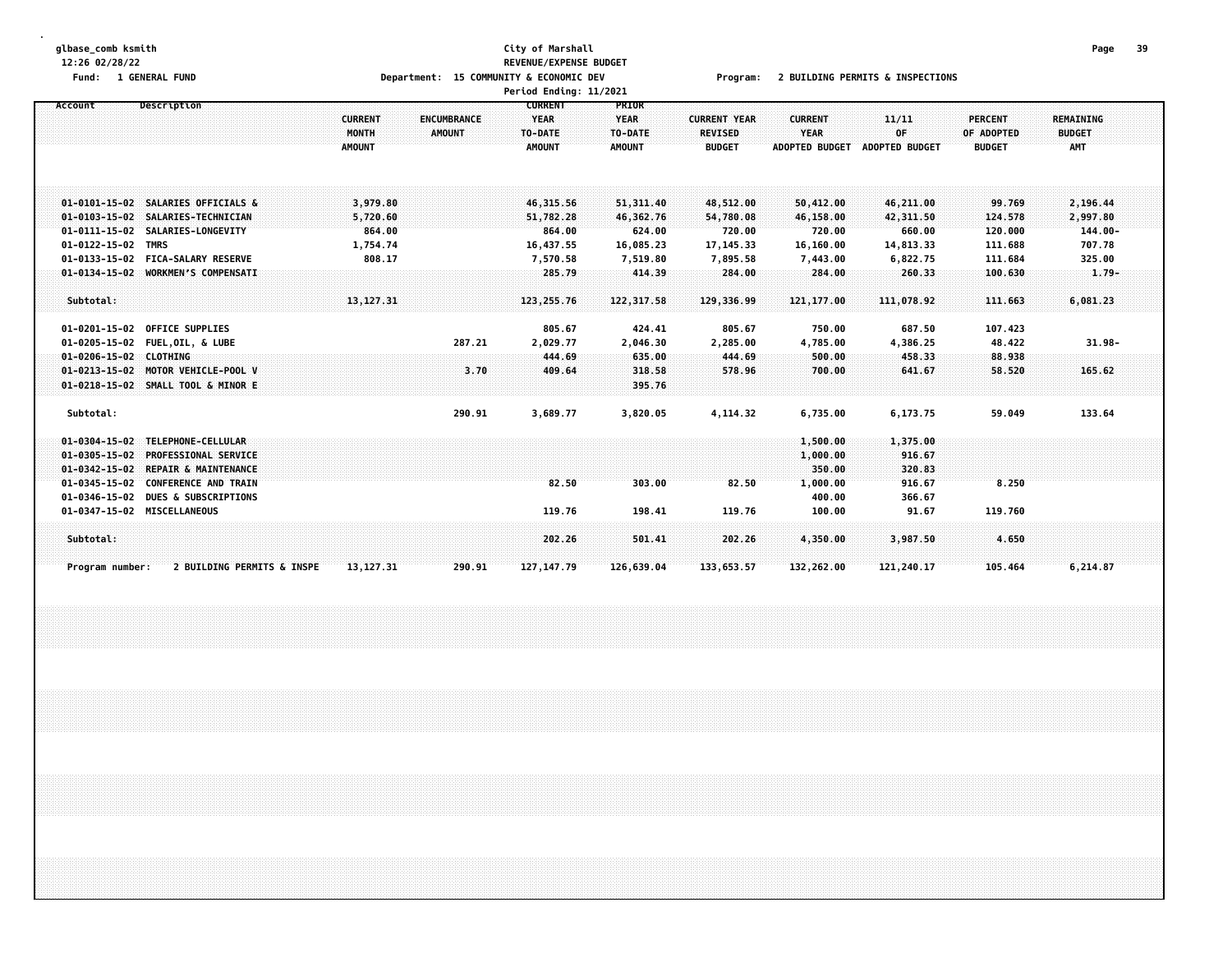#### **glbase\_comb ksmith City of Marshall Page 39 12:26 02/28/22 REVENUE/EXPENSE BUDGET** Fund: 1 GENERAL FUND CONNECTIONS COMMUNITY & COMMUNITY & ECONOMIC DEV Program: 2 BUILDING PERMITS & INSPECTIONS **Period Ending: 11/2021**

| Account                | Description                           | <b>CURRENT</b><br><b>MONTH</b><br><b>AMOUNT</b> | <b>ENCUMBRANCE</b><br><b>AMOUNT</b> | <b>CURRENT</b><br><b>YEAR</b><br>TO-DATE<br><b>AMOUNT</b> | <b>PRIOR</b><br><b>YEAR</b><br>TO-DATE<br><b>AMOUNT</b> | <b>CURRENT YEAR</b><br><b>REVISED</b><br><b>BUDGET</b> | <b>CURRENT</b><br><b>YEAR</b><br><b>ADOPTED BUDGET</b> | 11/11<br>OF<br><b>ADOPTED BUDGET</b> | <b>PERCENT</b><br>OF ADOPTED<br><b>BUDGET</b> | <b>REMAINING</b><br><b>BUDGET</b><br><b>AMT</b> |  |
|------------------------|---------------------------------------|-------------------------------------------------|-------------------------------------|-----------------------------------------------------------|---------------------------------------------------------|--------------------------------------------------------|--------------------------------------------------------|--------------------------------------|-----------------------------------------------|-------------------------------------------------|--|
|                        | 01-0101-15-02 SALARIES OFFICIALS &    | 3,979.80                                        |                                     | 46, 315, 56                                               | 51, 311, 40                                             | 48,512.00                                              | 50,412.00                                              | 46,211.00                            | 99.769                                        | 2,196.44                                        |  |
| $01 - 0103 - 15 - 02$  | SALARIES-TECHNICIAN                   | 5,720.60                                        |                                     | 51,782.28                                                 | 46,362.76                                               | 54,780.08                                              | 46,158.00                                              | 42,311.50                            | 124.578                                       | 2,997.80                                        |  |
|                        | 01-0111-15-02 SALARIES-LONGEVITY      | 864.00                                          |                                     | 864.00                                                    | 624.00                                                  | 720.00                                                 | 720.00                                                 | 660.00                               | 120.000                                       | $144.00 -$                                      |  |
| $01 - 0122 - 15 - 02$  | <b>TMRS</b>                           | 1,754.74                                        |                                     | 16,437.55                                                 | 16,085.23                                               | 17, 145. 33                                            | 16,160.00                                              | 14,813.33                            | 111.688                                       | 707.78                                          |  |
|                        | 01-0133-15-02 FICA-SALARY RESERVE     | 808.17                                          |                                     | 7,570.58                                                  | 7,519.80                                                | 7,895.58                                               | 7,443.00                                               | 6,822.75                             | 111.684                                       | 325.00                                          |  |
|                        | 01-0134-15-02 WORKMEN'S COMPENSATI    |                                                 |                                     | 285.79                                                    | 414.39                                                  | 284.00                                                 | 284.00                                                 | 260.33                               | 100.630                                       | $1.79 -$                                        |  |
| Subtotal:              |                                       | 13, 127. 31                                     |                                     | 123, 255. 76                                              | 122, 317.58                                             | 129,336.99                                             | 121,177.00                                             | 111,078.92                           | 111.663                                       | 6,081.23                                        |  |
| 01-0201-15-02          | <b>OFFICE SUPPLIES</b>                |                                                 |                                     | 805.67                                                    | 424.41                                                  | 805.67                                                 | 750.00                                                 | 687.50                               | 107.423                                       |                                                 |  |
|                        | 01-0205-15-02 FUEL, OIL, & LUBE       |                                                 | 287.21                              | 2,029.77                                                  | 2,046.30                                                | 2,285.00                                               | 4,785.00                                               | 4,386.25                             | 48.422                                        | $31.98 -$                                       |  |
| 01-0206-15-02 CLOTHING |                                       |                                                 |                                     | 444,69                                                    | 635.00                                                  | 444.69                                                 | 500.00                                                 | 458.33                               | 88.938                                        |                                                 |  |
| $01 - 0213 - 15 - 02$  | MOTOR VEHICLE-POOL V                  |                                                 | 3.70                                | 409.64                                                    | 318.58                                                  | 578.96                                                 | 700.00                                                 | 641.67                               | 58.520                                        | 165.62                                          |  |
|                        | 01-0218-15-02 SMALL TOOL & MINOR E    |                                                 |                                     |                                                           | 395.76                                                  |                                                        |                                                        |                                      |                                               |                                                 |  |
| Subtotal:              |                                       |                                                 | 290.91                              | 3,689.77                                                  | 3,820.05                                                | 4,114.32                                               | 6,735.00                                               | 6,173.75                             | 59.049                                        | 133.64                                          |  |
| $01 - 0304 - 15 - 02$  | TELEPHONE-CELLULAR                    |                                                 |                                     |                                                           |                                                         |                                                        | 1,500.00                                               | 1,375.00                             |                                               |                                                 |  |
| $01 - 0305 - 15 - 02$  | <b>PROFESSIONAL SERVICE</b>           |                                                 |                                     |                                                           |                                                         |                                                        | 1,000.00                                               | 916.67                               |                                               |                                                 |  |
| $01 - 0342 - 15 - 02$  | REPAIR & MAINTENANCE                  |                                                 |                                     |                                                           |                                                         |                                                        | 350.00                                                 | 320.83                               |                                               |                                                 |  |
| $01 - 0345 - 15 - 02$  | <b>CONFERENCE AND TRAIN</b>           |                                                 |                                     | 82.50                                                     | 303.00                                                  | 82.50                                                  | 1,000.00                                               | 916.67                               | 8.250                                         |                                                 |  |
| 01-0346-15-02          | <b>DUES &amp; SUBSCRIPTIONS</b>       |                                                 |                                     |                                                           |                                                         |                                                        | 400.00                                                 | 366.67                               |                                               |                                                 |  |
|                        | 01-0347-15-02 MISCELLANEOUS           |                                                 |                                     | 119.76                                                    | 198.41                                                  | 119.76                                                 | 100.00                                                 | 91.67                                | 119.760                                       |                                                 |  |
| Subtotal:              |                                       |                                                 |                                     | 202.26                                                    | 501.41                                                  | 202.26                                                 | 4,350.00                                               | 3,987.50                             | 4.650                                         |                                                 |  |
| Program number:        | <b>2 BUILDING PERMITS &amp; INSPE</b> | 13, 127. 31                                     | 290.91                              | 127, 147. 79                                              | 126,639.04                                              | 133,653.57                                             | 132,262.00                                             | 121,240.17                           | 105.464                                       | 6,214.87                                        |  |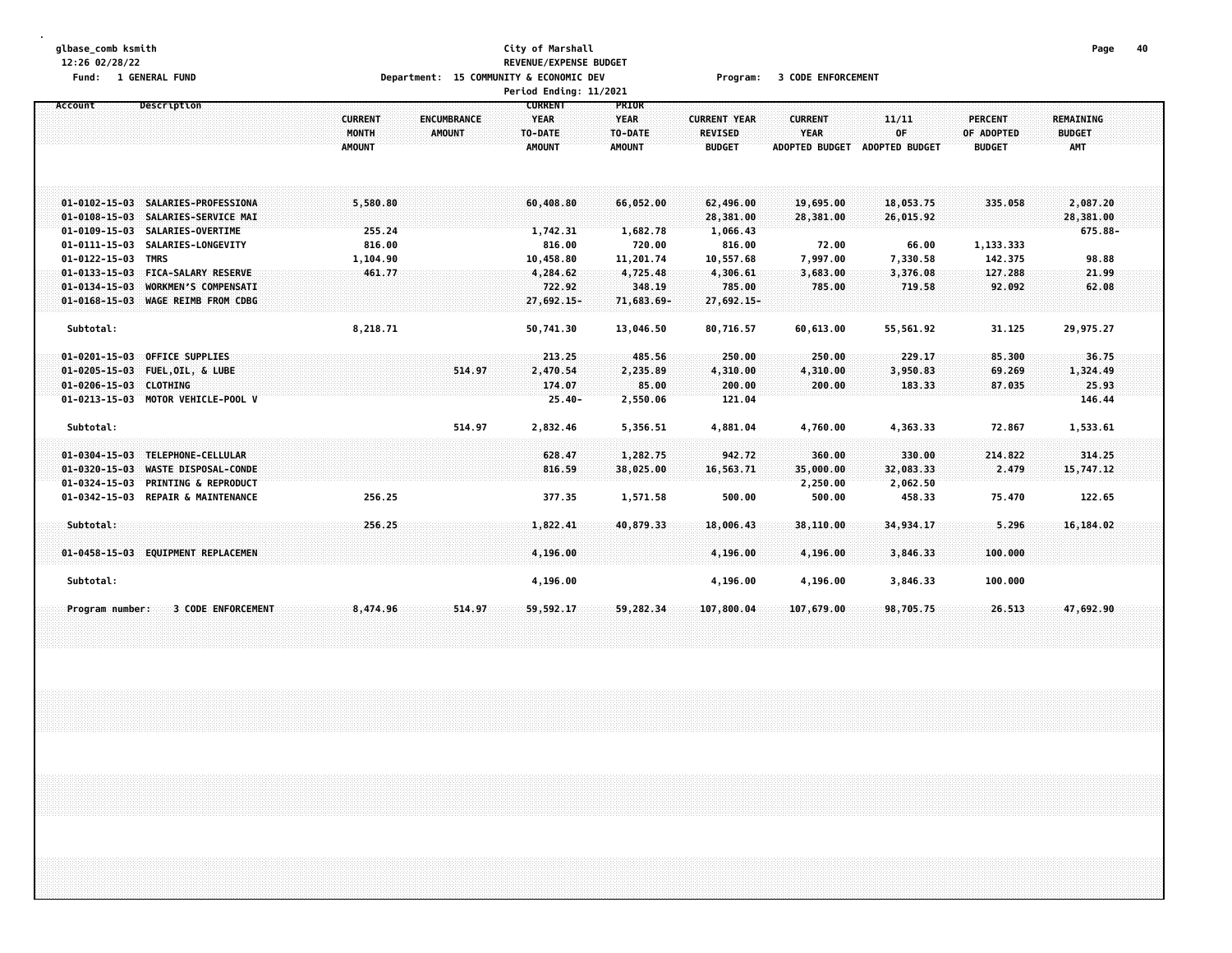#### **glbase\_comb ksmith City of Marshall Page 40 12:26 02/28/22 REVENUE/EXPENSE BUDGET** Fund: 1 GENERAL FUND CODE CONTROLLER THE SECONDUCT OF SECONOMIC DEV PROGRAM: 1 SODE ENFORCEMENT **Period Ending: 11/2021**

|                                                                                         |                                                                                                               |                                          | <b>FEILUR LINLING.</b> 11/2021                                                            |                                                         |                                                        |                                                 |                                             |                                               |                                                 |  |
|-----------------------------------------------------------------------------------------|---------------------------------------------------------------------------------------------------------------|------------------------------------------|-------------------------------------------------------------------------------------------|---------------------------------------------------------|--------------------------------------------------------|-------------------------------------------------|---------------------------------------------|-----------------------------------------------|-------------------------------------------------|--|
| Account                                                                                 | Description                                                                                                   | <b>CURRENT</b><br>MONTH<br><b>AMOUNT</b> | <b>CURRENT</b><br><b>YEAR</b><br><b>ENCUMBRANCE</b><br>AMOUNT<br>TO-DATE<br><b>AMOUNT</b> | <b>PRIOR</b><br><b>YEAR</b><br>TO-DATE<br><b>AMOUNT</b> | <b>CURRENT YEAR</b><br><b>REVISED</b><br><b>BUDGET</b> | <b>CURRENT</b><br>YEAR<br><b>ADOPTED BUDGET</b> | 11/11<br>OF<br>ADOPTED BUDGET               | <b>PERCENT</b><br>OF ADOPTED<br><b>BUDGET</b> | <b>REMAINING</b><br><b>BUDGET</b><br><b>AMT</b> |  |
| 01-0109-15-03 SALARIES-OVERTIME<br>$01 - 0111 - 15 - 03$                                | 01-0102-15-03 SALARIES-PROFESSIONA<br>01-0108-15-03 SALARIES-SERVICE MAI<br>SALARIES-LONGEVITY                | 5,580.80<br>255.24<br>816.00             | 60,408,80<br>1,742.31<br>816.00                                                           | 66,052.00<br>1,682.78<br>720.00                         | 62,496.00<br>28,381.00<br>1,066.43<br>816.00           | 19,695.00<br>28,381.00<br>72.00                 | 18,053.75<br>26,015.92<br>66.00             | 335.058<br>1,133.333                          | 2,087.20<br>28,381.00<br>675.88-                |  |
| 01-0122-15-03 TMRS                                                                      | 01-0133-15-03 FICA-SALARY RESERVE<br>01-0134-15-03 WORKMEN'S COMPENSATI<br>01-0168-15-03 WAGE REIMB FROM CDBG | 1,104.90<br>461.77                       | 10,458.80<br>4,284.62<br>722.92<br>27,692.15-                                             | 11,201.74<br>4,725.48<br>348.19<br>71,683.69-           | 10,557.68<br>4,306.61<br>785.00<br>27,692.15-          | 7,997.00<br>3,683.00<br>785.00                  | 7,330.58<br>3,376.08<br>719.58              | 142.375<br>127.288<br>92.092                  | 98.88<br>21.99<br>62.08                         |  |
| Subtotal:<br>01-0201-15-03<br>01-0205-15-03 FUEL, OIL, & LUBE<br>01-0206-15-03 CLOTHING | <b>OFFICE SUPPLIES</b>                                                                                        | 8,218.71                                 | 50,741.30<br>213.25<br>514.97<br>2,470.54<br>174.07                                       | 13,046.50<br>485.56<br>2,235.89<br>85.00                | 80,716.57<br>250.00<br>4,310.00<br>200.00              | 60,613.00<br>250.00<br>4,310.00<br>200.00       | 55,561.92<br>229.17<br>3,950.83<br>183.33   | 31.125<br>85.300<br>69.269<br>87.035          | 29,975.27<br>36.75<br>1,324.49<br>25.93         |  |
| Subtotal:<br>01-0304-15-03 TELEPHONE-CELLULAR<br>$01 - 0320 - 15 - 03$                  | 01-0213-15-03 MOTOR VEHICLE-POOL V<br><b>WASTE DISPOSAL-CONDE</b><br>01-0324-15-03 PRINTING & REPRODUCT       |                                          | $25.40 -$<br>514.97<br>2,832.46<br>628.47<br>816.59                                       | 2,550.06<br>5,356.51<br>1,282.75<br>38,025.00           | 121.04<br>4,881.04<br>942.72<br>16,563.71              | 4,760.00<br>360.00<br>35,000.00<br>2,250.00     | 4,363.33<br>330.00<br>32,083.33<br>2,062.50 | 72.867<br>214.822<br>2.479                    | 146.44<br>1,533.61<br>314,25<br>15,747.12       |  |
| Subtotal:                                                                               | 01-0342-15-03 REPAIR & MAINTENANCE<br>01-0458-15-03 EQUIPMENT REPLACEMEN                                      | 256.25<br>256.25                         | 377.35<br>1,822.41<br>4,196,00                                                            | 1,571.58<br>40,879.33                                   | 500.00<br>18,006.43<br>4,196.00                        | 500.00<br>38,110.00<br>4,196.00                 | 458.33<br>34,934.17<br>3,846.33             | 75.470<br>5.296<br>100,000                    | 122.65<br>16,184.02                             |  |
| Subtotal:<br>Program number:                                                            | <b>3 CODE ENFORCEMENT</b>                                                                                     | 8,474.96                                 | 4,196.00<br>514.97<br>59,592.17                                                           | 59,282.34                                               | 4,196.00<br>107,800.04                                 | 4,196.00<br>107,679.00                          | 3,846.33<br>98,705.75                       | 100.000<br>26.513                             | 47,692,90                                       |  |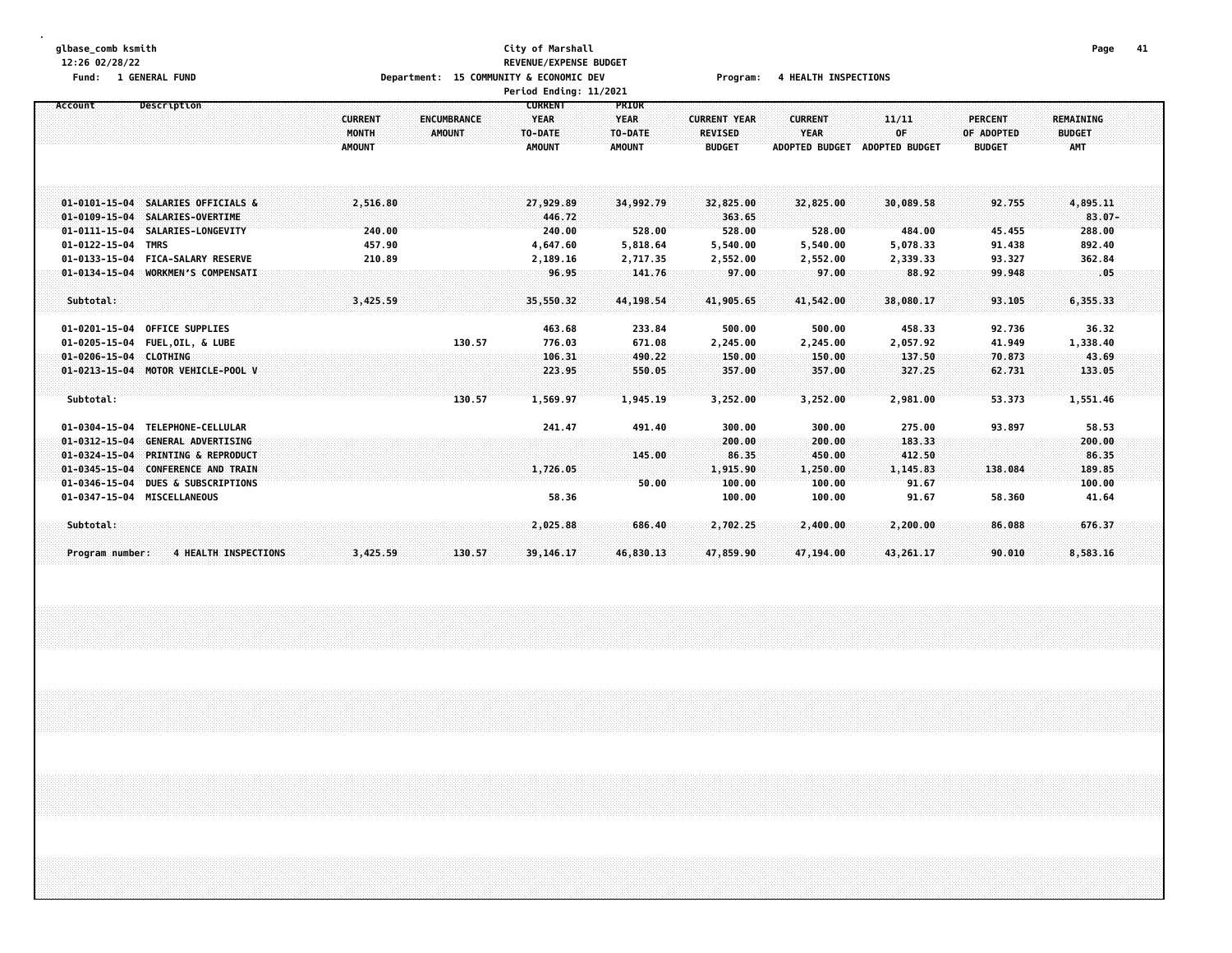#### **glbase\_comb ksmith City of Marshall Page 41 12:26 02/28/22 REVENUE/EXPENSE BUDGET** Fund: 1 GENERAL FUND CONNECTIONS Department: 15 COMMUNITY & ECONOMIC DEV Program: 4 HEALTH INSPECTIONS **Period Ending: 11/2021**

|                        |                                    |                |                    | Pertod Ending: 11/2021 |               |                     |                       |                       |                |                  |  |
|------------------------|------------------------------------|----------------|--------------------|------------------------|---------------|---------------------|-----------------------|-----------------------|----------------|------------------|--|
| Account                | Description                        |                |                    | <b>CURRENT</b>         | PRIOR         |                     |                       |                       |                |                  |  |
|                        |                                    | <b>CURRENT</b> | <b>ENCUMBRANCE</b> | <b>YEAR</b>            | <b>YEAR</b>   | <b>CURRENT YEAR</b> | <b>CURRENT</b>        | 11/11                 | <b>PERCENT</b> | <b>REMAINING</b> |  |
|                        |                                    | MONTH          | <b>AMOUNT</b>      | TO-DATE                | TO-DATE       | <b>REVISED</b>      | <b>YEAR</b>           | OF                    | OF ADOPTED     | <b>BUDGET</b>    |  |
|                        |                                    | <b>AMOUNT</b>  |                    | <b>AMOUNT</b>          | <b>AMOUNT</b> | <b>BUDGET</b>       | <b>ADOPTED BUDGET</b> | <b>ADOPTED BUDGET</b> | <b>BUDGET</b>  | AMT              |  |
|                        |                                    |                |                    |                        |               |                     |                       |                       |                |                  |  |
|                        |                                    |                |                    |                        |               |                     |                       |                       |                |                  |  |
|                        |                                    |                |                    |                        |               |                     |                       |                       |                |                  |  |
| $01 - 0101 - 15 - 04$  | <b>SALARIES OFFICIALS &amp;</b>    | 2,516.80       |                    | 27,929,89              | 34,992.79     | 32,825.00           | 32,825.00             | 30,089.58             | 92.755         | 4,895.11         |  |
| $01 - 0109 - 15 - 04$  | SALARIES-OVERTIME                  |                |                    | 446.72                 |               | 363.65              |                       |                       |                | $83.07 -$        |  |
|                        | 01-0111-15-04 SALARIES-LONGEVITY   | 240.00         |                    | 240.00                 | 528.00        | 528.00              | 528.00                | 484.00                | 45.455         | 288.00           |  |
| 01-0122-15-04 TMRS     |                                    | 457.90         |                    | 4,647.60               | 5,818.64      | 5,540.00            | 5,540.00              | 5,078.33              | 91.438         | 892.40           |  |
| $01 - 0133 - 15 - 04$  | <b>FICA-SALARY RESERVE</b>         | 210.89         |                    | 2,189.16               | 2,717.35      | 2,552.00            | 2,552.00              | 2,339.33              | 93.327         | 362.84           |  |
| $01 - 0134 - 15 - 04$  | <b>WORKMEN'S COMPENSATI</b>        |                |                    | 96.95                  | 141.76        | 97.00               | 97.00                 | 88.92                 | 99.948         | ~.05             |  |
|                        |                                    |                |                    |                        |               |                     |                       |                       |                |                  |  |
| Subtotal:              |                                    | 3,425.59       |                    | 35,550.32              | 44,198.54     | 41,905.65           | 41,542.00             | 38,080.17             | 93.105         | 6,355,33         |  |
|                        |                                    |                |                    |                        |               |                     |                       |                       |                |                  |  |
|                        | 01-0201-15-04 OFFICE SUPPLIES      |                |                    | 463.68                 | 233.84        | 500.00              | 500.00                | 458.33                | 92.736         | 36.32            |  |
|                        | 01-0205-15-04 FUEL, OIL, & LUBE    |                | 130.57             | 776.03                 | 671.08        | 2,245.00            | 2,245.00              | 2,057.92              | 41.949         | 1,338.40         |  |
| 01-0206-15-04 CLOTHING |                                    |                |                    | 106.31                 | 490.22        | 150.00              | 150.00                | 137.50                | 70.873         | 43.69            |  |
|                        | 01-0213-15-04 MOTOR VEHICLE-POOL V |                |                    | 223.95                 | 550.05        | 357.00              | 357.00                | 327.25                | 62.731         | 133.05           |  |
|                        |                                    |                |                    |                        |               |                     |                       |                       |                |                  |  |
| Subtotal:              |                                    |                | 130.57             | 1,569.97               | 1,945.19      | 3,252.00            | 3,252.00              | 2,981.00              | 53.373         | 1,551.46         |  |
|                        |                                    |                |                    |                        |               |                     |                       |                       |                |                  |  |
| $01 - 0304 - 15 - 04$  | TELEPHONE-CELLULAR                 |                |                    | 241.47                 | 491.40        | 300.00              | 300.00                | 275.00                | 93.897         | 58.53            |  |
| $01 - 0312 - 15 - 04$  | <b>GENERAL ADVERTISING</b>         |                |                    |                        |               | 200.00              | 200.00                | 183.33                |                | 200.00           |  |
| $01 - 0324 - 15 - 04$  | <b>PRINTING &amp; REPRODUCT</b>    |                |                    |                        | 145.00        | 86.35               | 450.00                | 412.50                |                | 86,35            |  |
| $01 - 0345 - 15 - 04$  | <b>CONFERENCE AND TRAIN</b>        |                |                    | 1,726.05               |               | 1,915.90            | 1,250.00              | 1,145.83              | 138.084        | 189.85           |  |
| $01 - 0346 - 15 - 04$  | <b>DUES &amp; SUBSCRIPTIONS</b>    |                |                    |                        | 50.00         | 100.00              | 100.00                | 91.67                 |                | 100.00           |  |
|                        | 01-0347-15-04 MISCELLANEOUS        |                |                    | 58.36                  |               | 100.00              | 100.00                | 91.67                 | 58.360         | 41.64            |  |
|                        |                                    |                |                    |                        |               |                     |                       |                       |                |                  |  |
| Subtotal:              |                                    |                |                    | 2,025.88               | 686.40        | 2,702.25            | 2,400.00              | 2,200.00              | 86.088         | 676.37           |  |
|                        |                                    |                |                    |                        |               |                     |                       |                       |                |                  |  |
| Program number:        | <b>4 HEALTH INSPECTIONS</b>        | 3,425.59       | 130.57             | 39, 146, 17            | 46,830.13     | 47,859.90           | 47,194.00             | 43,261.17             | 90.010         | 8,583.16         |  |
|                        |                                    |                |                    |                        |               |                     |                       |                       |                |                  |  |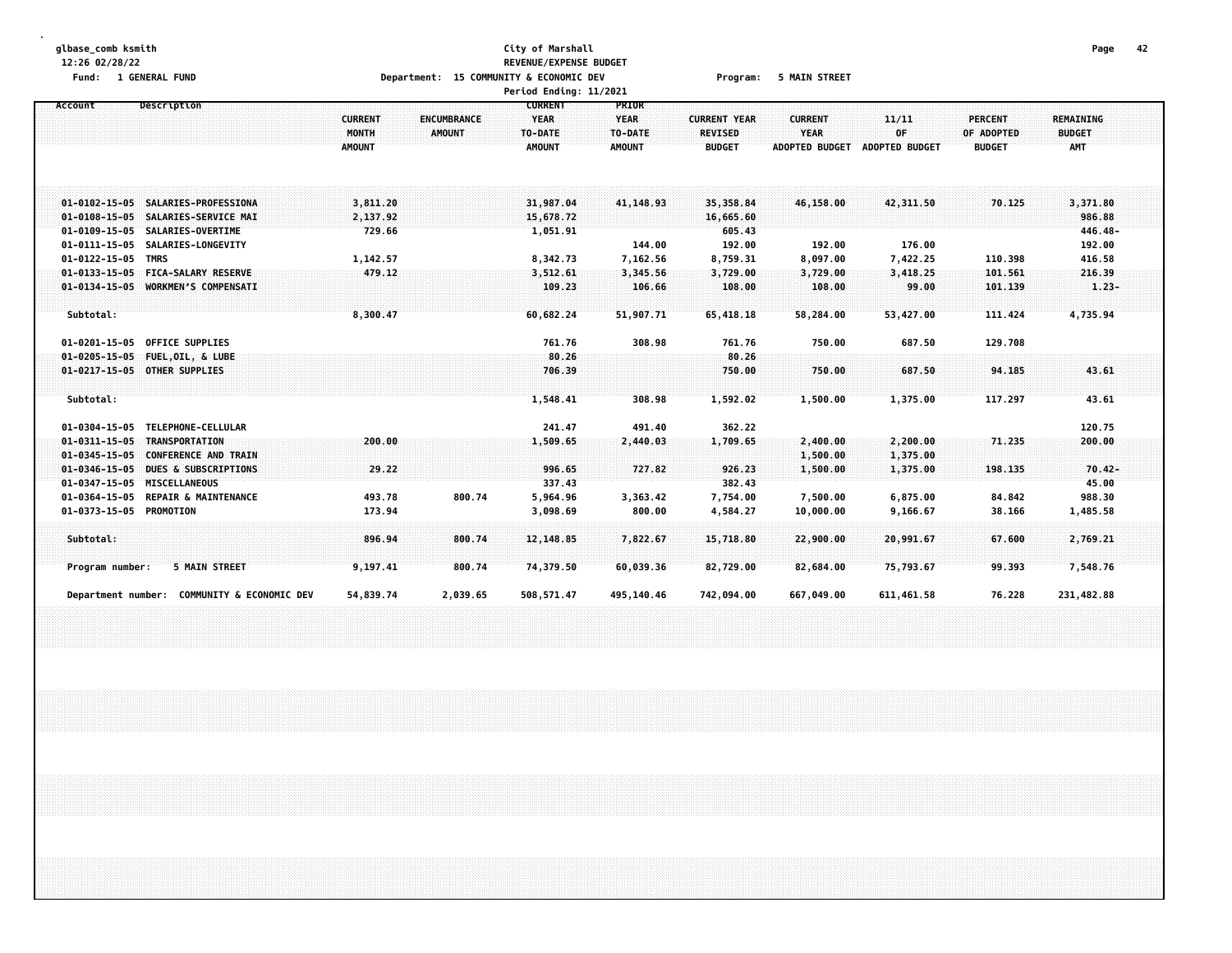#### **glbase\_comb ksmith City of Marshall Page 42 12:26 02/28/22 REVENUE/EXPENSE BUDGET** Fund: 1 GENERAL FUND CONDITION TO A Department: 15 COMMUNITY & ECONOMIC DEV Program: 5 MAIN STREET **Period Ending: 11/2021**

| Account                      | Description                                 | <b>CURRENT</b><br>MONTH<br><b>AMOUNT</b> | <b>ENCUMBRANCE</b><br><b>AMOUNT</b> | <b>CURRENT</b><br><b>YEAR</b><br>TO-DATE<br><b>AMOUNT</b> | PRIOR<br><b>YEAR</b><br>TO-DATE<br><b>AMOUNT</b> | <b>CURRENT YEAR</b><br><b>REVISED</b><br><b>BUDGET</b> | <b>CURRENT</b><br>YEAR<br><b>ADOPTED BUDGET</b> | 11/11<br>OF<br><b>ADOPTED BUDGET</b> | <b>PERCENT</b><br>OF ADOPTED<br><b>BUDGET</b> | <b>REMAINING</b><br><b>BUDGET</b><br>AMT |  |
|------------------------------|---------------------------------------------|------------------------------------------|-------------------------------------|-----------------------------------------------------------|--------------------------------------------------|--------------------------------------------------------|-------------------------------------------------|--------------------------------------|-----------------------------------------------|------------------------------------------|--|
|                              |                                             |                                          |                                     |                                                           |                                                  |                                                        |                                                 |                                      |                                               |                                          |  |
|                              | 01-0102-15-05 SALARIES-PROFESSIONA          | 3,811.20                                 |                                     | 31,987.04                                                 | 41,148.93                                        | 35,358.84                                              | 46,158.00                                       | 42,311.50                            | 70.125                                        | 3,371.80                                 |  |
|                              | 01-0108-15-05 SALARIES-SERVICE MAI          | 2,137.92                                 |                                     | 15,678.72                                                 |                                                  | 16,665.60                                              |                                                 |                                      |                                               | 986.88                                   |  |
|                              | 01-0109-15-05 SALARIES-OVERTIME             | 729.66                                   |                                     | 1,051.91                                                  |                                                  | 605.43                                                 |                                                 |                                      |                                               | 446.48-                                  |  |
|                              | 01-0111-15-05 SALARIES-LONGEVITY            |                                          |                                     |                                                           | 144.00                                           | 192.00                                                 | 192.00                                          | 176.00                               |                                               | 192.00                                   |  |
| 01-0122-15-05 TMRS           |                                             | 1,142.57                                 |                                     | 8,342.73                                                  | 7,162.56                                         | 8,759.31                                               | 8,097.00                                        | 7,422.25                             | 110.398                                       | 416.58                                   |  |
|                              | 01-0133-15-05 FICA-SALARY RESERVE           | 479.12                                   |                                     | 3,512.61                                                  | 3,345.56                                         | 3,729.00                                               | 3,729.00                                        | 3,418.25                             | 101.561                                       | 216.39                                   |  |
|                              | 01-0134-15-05 WORKMEN'S COMPENSATI          |                                          |                                     | 109.23                                                    | 106.66                                           | 108.00                                                 | 108.00                                          | 99.00                                | 101.139                                       | $1.23 -$                                 |  |
|                              |                                             |                                          |                                     |                                                           |                                                  |                                                        |                                                 |                                      |                                               |                                          |  |
| Subtotal:                    |                                             | 8,300.47                                 |                                     | 60,682.24                                                 | 51,907.71                                        | 65,418.18                                              | 58,284.00                                       | 53,427.00                            | 111.424                                       | 4,735.94                                 |  |
|                              | 01-0201-15-05 OFFICE SUPPLIES               |                                          |                                     | 761.76                                                    | 308.98                                           | 761.76                                                 | 750.00                                          | 687.50                               | 129.708                                       |                                          |  |
|                              | 01-0205-15-05 FUEL, OIL, & LUBE             |                                          |                                     | 80.26                                                     |                                                  | 80.26                                                  |                                                 |                                      |                                               |                                          |  |
| 01-0217-15-05 OTHER SUPPLIES |                                             |                                          |                                     | 706.39                                                    |                                                  | 750.00                                                 | 750.00                                          | 687.50                               | 94.185                                        | 43.61                                    |  |
|                              |                                             |                                          |                                     |                                                           |                                                  |                                                        |                                                 |                                      |                                               |                                          |  |
| Subtotal:                    |                                             |                                          |                                     | 1,548.41                                                  | 308.98                                           | 1,592.02                                               | 1,500.00                                        | 1,375.00                             | 117.297                                       | 43.61                                    |  |
|                              | 01-0304-15-05 TELEPHONE-CELLULAR            |                                          |                                     | 241.47                                                    | 491.40                                           | 362.22                                                 |                                                 |                                      |                                               | 120.75                                   |  |
| 01-0311-15-05 TRANSPORTATION |                                             | 200.00                                   |                                     | 1,509.65                                                  | 2,440.03                                         | 1,709.65                                               | 2,400.00                                        | 2,200.00                             | 71.235                                        | 200.00                                   |  |
| $01 - 0345 - 15 - 05$        | <b>CONFERENCE AND TRAIN</b>                 |                                          |                                     |                                                           |                                                  |                                                        | 1,500.00                                        | 1,375.00                             |                                               |                                          |  |
|                              | 01-0346-15-05 DUES & SUBSCRIPTIONS          | 29.22                                    |                                     | 996.65                                                    | 727.82                                           | 926.23                                                 | 1,500.00                                        | 1,375.00                             | 198.135                                       | $70.42 -$                                |  |
| $01 - 0347 - 15 - 05$        | <b>MISCELLANEOUS</b>                        |                                          |                                     | 337.43                                                    |                                                  | 382.43                                                 |                                                 |                                      |                                               | 45.00                                    |  |
| $01 - 0364 - 15 - 05$        | <b>REPAIR &amp; MAINTENANCE</b>             | 493.78                                   | 800.74                              | 5,964.96                                                  | 3,363.42                                         | 7,754.00                                               | 7,500.00                                        | 6,875.00                             | 84.842                                        | 988.30                                   |  |
| 01-0373-15-05 PROMOTION      |                                             | 173.94                                   |                                     | 3,098.69                                                  | 800.00                                           | 4,584.27                                               | 10,000.00                                       | 9,166.67                             | 38.166                                        | 1,485.58                                 |  |
| Subtotal:                    |                                             | 896.94                                   | 800.74                              | 12,148.85                                                 | 7,822.67                                         | 15,718.80                                              | 22,900.00                                       | 20,991.67                            | 67.600                                        | 2,769.21                                 |  |
|                              |                                             |                                          |                                     |                                                           |                                                  |                                                        |                                                 |                                      |                                               |                                          |  |
| Program number:              | 5 MAIN STREET                               | 9,197.41                                 | 800.74                              | 74,379.50                                                 | 60,039.36                                        | 82,729.00                                              | 82,684.00                                       | 75,793.67                            | 99.393                                        | 7,548.76                                 |  |
|                              | Department number: COMMUNITY & ECONOMIC DEV | 54,839.74                                | 2,039.65                            | 508,571.47                                                | 495,140.46                                       | 742,094.00                                             | 667,049.00                                      | 611,461.58                           | 76.228                                        | 231,482.88                               |  |
|                              |                                             |                                          |                                     |                                                           |                                                  |                                                        |                                                 |                                      |                                               |                                          |  |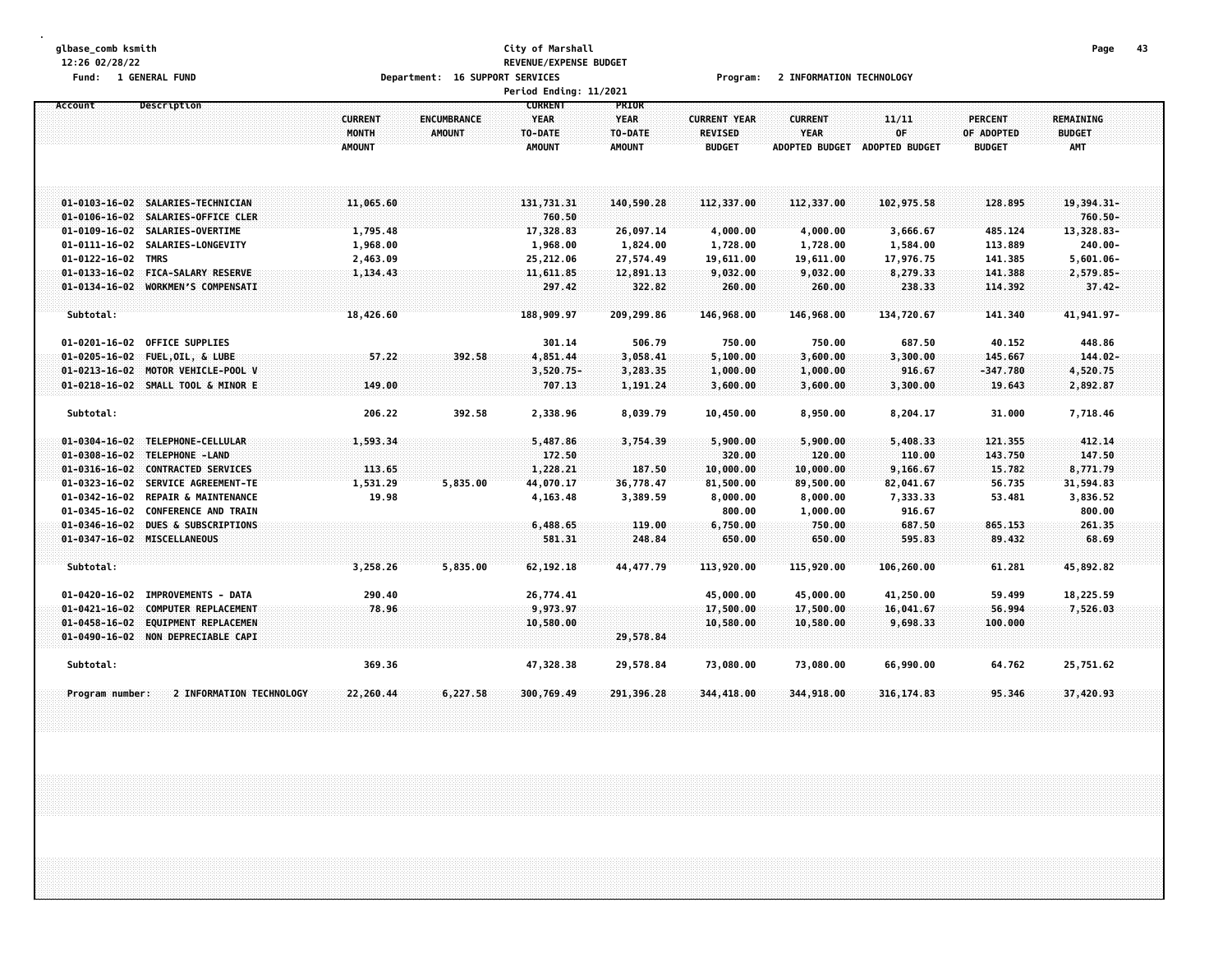#### **glbase\_comb ksmith City of Marshall Page 43 12:26 02/28/22 REVENUE/EXPENSE BUDGET** Fund: 1 GENERAL FUND CONTEXT SERVICES TO POPORT SERVICES TO PROGRAMS PROGRAMS PROGRAMS PROGRAMS TO PROMATION TECHNOLOGY **Period Ending: 11/2021**

| Description<br>Account                                                       | <b>CURRENT</b><br>MONTH<br><b>AMOUNT</b> | ENCUMBRANCE<br><b>AMOUNT</b> | <b>CURRENT</b><br><b>YEAR</b><br>TO-DATE<br><b>AMOUNT</b> | PRIOR<br><b>YEAR</b><br>TO-DATE<br><b>AMOUNT</b> | <b>CURRENT YEAR</b><br><b>REVISED</b><br><b>BUDGET</b> | <b>CURRENT</b><br><b>YEAR</b><br><b>ADOPTED BUDGET</b> | 11/11<br>OF<br><b>ADOPTED BUDGET</b> | <b>PERCENT</b><br>OF ADOPTED<br><b>BUDGET</b> | <b>REMAINING</b><br><b>BUDGET</b><br>AMT |  |
|------------------------------------------------------------------------------|------------------------------------------|------------------------------|-----------------------------------------------------------|--------------------------------------------------|--------------------------------------------------------|--------------------------------------------------------|--------------------------------------|-----------------------------------------------|------------------------------------------|--|
| 01-0103-16-02 SALARIES-TECHNICIAN                                            | 11,065.60                                |                              | 131,731.31                                                | 140,590.28                                       | 112,337.00                                             | 112,337.00                                             | 102,975.58                           | 128,895                                       | 19,394.31-                               |  |
| 01-0106-16-02 SALARIES-OFFICE CLER                                           |                                          |                              | 760.50                                                    |                                                  |                                                        |                                                        |                                      |                                               | $760.50 -$                               |  |
| 01-0109-16-02 SALARIES-OVERTIME                                              | 1,795.48                                 |                              | 17,328.83                                                 | 26,097.14                                        | 4,000.00                                               | 4,000.00                                               | 3,666.67                             | 485.124                                       | 13,328.83-                               |  |
| 01-0111-16-02 SALARIES-LONGEVITY<br>01-0122-16-02 TMRS                       | 1,968.00<br>2,463.09                     |                              | 1,968.00<br>25,212.06                                     | 1,824.00<br>27,574.49                            | 1,728.00<br>19,611.00                                  | 1,728.00<br>19,611.00                                  | 1,584.00<br>17,976.75                | 113.889<br>141.385                            | $240.00 -$<br>$5,601.06 -$               |  |
| $01 - 0133 - 16 - 02$<br><b>FICA-SALARY RESERVE</b>                          | 1,134.43                                 |                              | 11,611.85                                                 | 12,891.13                                        | 9,032.00                                               | 9,032.00                                               | 8,279.33                             | 141.388                                       | 2,579.85-                                |  |
| 01-0134-16-02 WORKMEN'S COMPENSATI                                           |                                          |                              | 297.42                                                    | 322.82                                           | 260.00                                                 | 260.00                                                 | 238.33                               | 114.392                                       | $37.42 -$                                |  |
|                                                                              |                                          |                              |                                                           |                                                  |                                                        |                                                        |                                      |                                               |                                          |  |
| Subtotal:                                                                    | 18,426.60                                |                              | 188,909.97                                                | 209,299.86                                       | 146,968.00                                             | 146,968.00                                             | 134,720.67                           | 141.340                                       | 41,941.97-                               |  |
| $01 - 0201 - 16 - 02$<br>OFFICE SUPPLIES                                     |                                          |                              | 301.14                                                    | 506.79                                           | 750.00                                                 | 750.00                                                 | 687.50                               | 40.152                                        | 448.86                                   |  |
| 01-0205-16-02 FUEL, OIL, & LUBE                                              | 57.22                                    | 392.58                       | 4,851.44                                                  | 3,058.41                                         | 5,100.00                                               | 3,600.00                                               | 3,300.00                             | 145.667                                       | $144.02 -$                               |  |
| $01 - 0213 - 16 - 02$<br>MOTOR VEHICLE-POOL V                                |                                          |                              | $3,520.75-$                                               | 3,283.35                                         | 1,000.00                                               | 1,000.00                                               | 916.67                               | -347.780                                      | 4,520.75                                 |  |
| 01-0218-16-02 SMALL TOOL & MINOR E                                           | 149.00                                   |                              | 707.13                                                    | 1,191.24                                         | 3,600.00                                               | 3,600.00                                               | 3,300.00                             | 19.643                                        | 2,892.87                                 |  |
| Subtotal:                                                                    | 206.22                                   | 392.58                       | 2,338.96                                                  | 8,039.79                                         | 10,450.00                                              | 8,950.00                                               | 8,204.17                             | 31.000                                        | 7,718.46                                 |  |
| 01-0304-16-02 TELEPHONE-CELLULAR                                             | 1,593.34                                 |                              | 5,487.86                                                  | 3,754.39                                         | 5,900.00                                               | 5,900.00                                               | 5,408.33                             | 121.355                                       | 412.14                                   |  |
| 01-0308-16-02 TELEPHONE -LAND                                                |                                          |                              | 172.50                                                    |                                                  | 320.00                                                 | 120.00                                                 | 110.00                               | 143.750                                       | 147.50                                   |  |
| $01 - 0316 - 16 - 02$<br><b>CONTRACTED SERVICES</b>                          | 113.65                                   |                              | 1,228.21                                                  | 187.50                                           | 10,000.00                                              | 10,000.00                                              | 9,166.67                             | 15.782                                        | 8,771.79                                 |  |
| 01-0323-16-02 SERVICE AGREEMENT-TE                                           | 1,531.29                                 | 5,835.00                     | 44,070.17                                                 | 36,778.47                                        | 81,500.00                                              | 89,500.00                                              | 82,041.67                            | 56.735                                        | 31,594.83                                |  |
| 01-0342-16-02 REPAIR & MAINTENANCE                                           | 19.98                                    |                              | 4,163.48                                                  | 3,389.59                                         | 8,000.00                                               | 8,000.00                                               | 7,333.33                             | 53.481                                        | 3,836.52                                 |  |
| $01 - 0345 - 16 - 02$<br><b>CONFERENCE AND TRAIN</b>                         |                                          |                              |                                                           |                                                  | 800.00                                                 | 1,000.00                                               | 916.67                               |                                               | 800.00                                   |  |
| DUES & SUBSCRIPTIONS<br>$01 - 0346 - 16 - 02$<br>01-0347-16-02 MISCELLANEOUS |                                          |                              | 6,488.65                                                  | 119.00<br>248.84                                 | 6,750.00                                               | 750.00<br>650.00                                       | 687.50<br>595.83                     | 865.153<br>89.432                             | 261.35<br>68.69                          |  |
|                                                                              |                                          |                              | 581.31                                                    |                                                  | 650.00                                                 |                                                        |                                      |                                               |                                          |  |
| Subtotal:                                                                    | 3,258.26                                 | 5,835.00                     | 62, 192. 18                                               | 44, 477.79                                       | 113,920.00                                             | 115,920.00                                             | 106,260.00                           | 61.281                                        | 45,892.82                                |  |
| <b>IMPROVEMENTS - DATA</b><br>$01 - 0420 - 16 - 02$                          | 290.40                                   |                              | 26,774.41                                                 |                                                  | 45,000.00                                              | 45,000.00                                              | 41,250.00                            | 59.499                                        | 18,225.59                                |  |
| $01 - 0421 - 16 - 02$<br>COMPUTER REPLACEMENT                                | 78.96                                    |                              | 9,973.97                                                  |                                                  | 17,500.00                                              | 17,500.00                                              | 16,041.67                            | 56.994                                        | 7,526.03                                 |  |
| $01 - 0458 - 16 - 02$<br><b>EQUIPMENT REPLACEMEN</b>                         |                                          |                              | 10,580.00                                                 |                                                  | 10,580.00                                              | 10,580.00                                              | 9,698.33                             | 100.000                                       |                                          |  |
| 01-0490-16-02 NON DEPRECIABLE CAPI                                           |                                          |                              |                                                           | 29,578.84                                        |                                                        |                                                        |                                      |                                               |                                          |  |
| Subtotal:                                                                    | 369.36                                   |                              | 47,328.38                                                 | 29,578.84                                        | 73,080.00                                              | 73,080.00                                              | 66,990.00                            | 64.762                                        | 25,751.62                                |  |
| 2 INFORMATION TECHNOLOGY<br>Program number:                                  | 22,260.44                                | 6,227.58                     | 300,769.49                                                | 291,396.28                                       | 344,418.00                                             | 344,918.00                                             | 316, 174.83                          | 95.346                                        | 37,420.93                                |  |
|                                                                              |                                          |                              |                                                           |                                                  |                                                        |                                                        |                                      |                                               |                                          |  |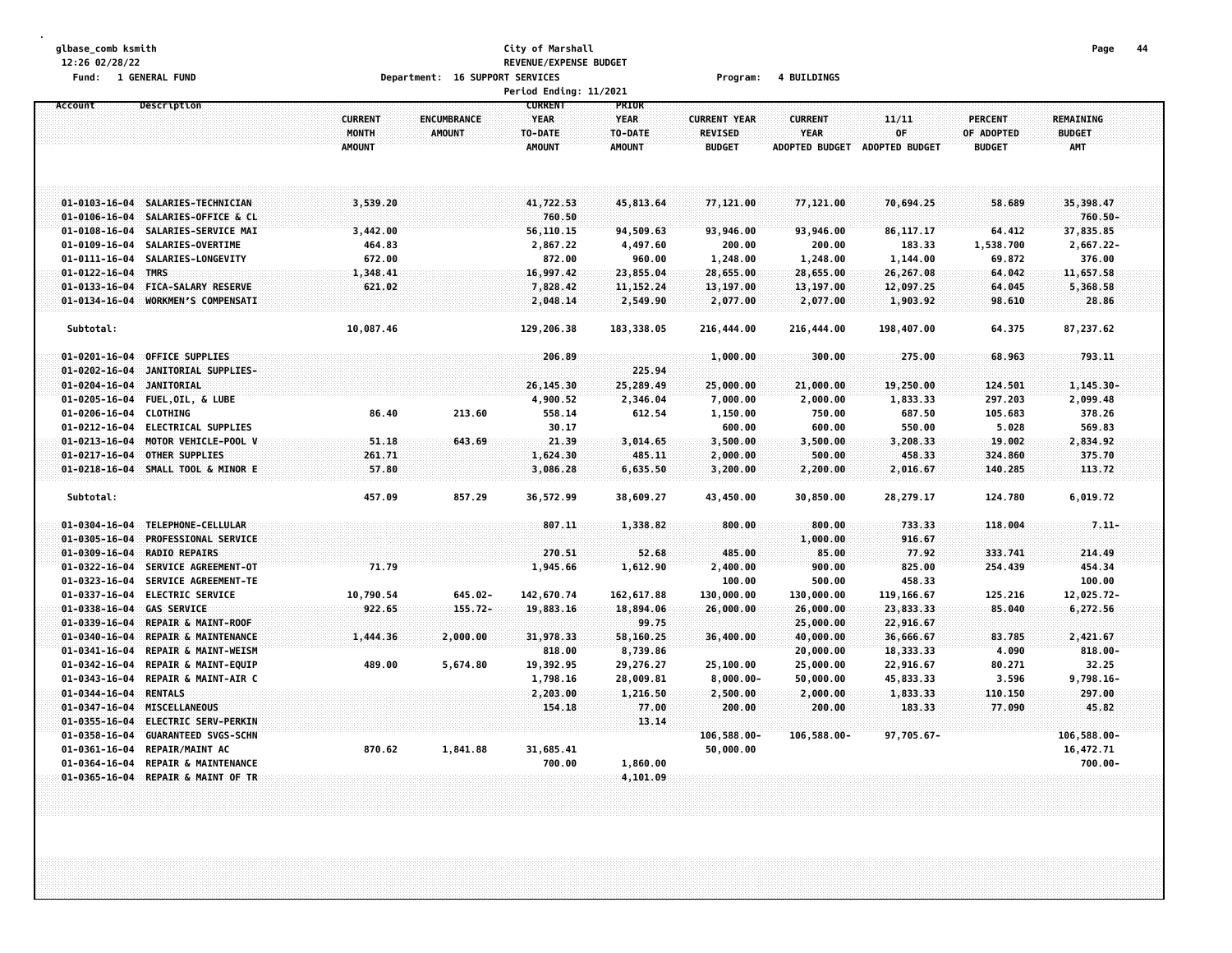# **glbase\_comb ksmith City of Marshall Page 44 12:26 02/28/22 REVENUE/EXPENSE BUDGET Fund: 1 GENERAL FUND Department: 16 SUPPORT SERVICES Program: 4 BUILDINGS**

|                                |                                                       |                                          |                                     | Period Ending: 11/2021                                    |                                                  |                                                        |                                                        |                                      |                                               |                                          |  |
|--------------------------------|-------------------------------------------------------|------------------------------------------|-------------------------------------|-----------------------------------------------------------|--------------------------------------------------|--------------------------------------------------------|--------------------------------------------------------|--------------------------------------|-----------------------------------------------|------------------------------------------|--|
| Account                        | Description                                           | <b>CURRENT</b><br>MONTH<br><b>AMOUNT</b> | <b>ENCUMBRANCE</b><br><b>AMOUNT</b> | <b>CURRENT</b><br><b>YEAR</b><br>TO-DATE<br><b>AMOUNT</b> | PRIOR<br><b>YEAR</b><br>TO-DATE<br><b>AMOUNT</b> | <b>CURRENT YEAR</b><br><b>REVISED</b><br><b>BUDGET</b> | <b>CURRENT</b><br><b>YEAR</b><br><b>ADOPTED BUDGET</b> | 11/11<br>OF<br><b>ADOPTED BUDGET</b> | <b>PERCENT</b><br>OF ADOPTED<br><b>BUDGET</b> | <b>REMAINING</b><br><b>BUDGET</b><br>AMT |  |
|                                | 01-0103-16-04 SALARIES-TECHNICIAN                     | 3,539.20                                 |                                     | 41,722.53                                                 | 45,813.64                                        | 77,121.00                                              | 77,121.00                                              | 70,694.25                            | 58.689                                        | 35,398.47                                |  |
| $01 - 0106 - 16 - 04$          | SALARIES-OFFICE & CL                                  |                                          |                                     | 760.50                                                    |                                                  |                                                        |                                                        |                                      |                                               | $760.50 -$                               |  |
| $01 - 0108 - 16 - 04$          | SALARIES-SERVICE MAI                                  | 3,442.00                                 |                                     | 56,110.15                                                 | 94,509.63                                        | 93,946.00                                              | 93,946.00                                              | 86, 117. 17                          | 64.412                                        | 37,835.85                                |  |
| $01 - 0109 - 16 - 04$          | SALARIES-OVERTIME                                     | 464.83                                   |                                     | 2,867.22                                                  | 4,497.60                                         | 200.00                                                 | 200.00                                                 | 183.33                               | 1,538.700                                     | 2,667.22-                                |  |
| $01 - 0111 - 16 - 04$          | SALARIES-LONGEVITY                                    | 672.00                                   |                                     | 872.00                                                    | 960.00                                           | 1,248.00                                               | 1,248.00                                               | 1,144.00                             | 69.872                                        | 376.00                                   |  |
| $01 - 0122 - 16 - 04$          | TMRS                                                  | 1,348.41                                 |                                     | 16,997.42                                                 | 23,855.04                                        | 28,655.00                                              | 28,655.00                                              | 26,267.08                            | 64.042                                        | 11,657.58                                |  |
| $01 - 0133 - 16 - 04$          | FICA-SALARY RESERVE                                   | 621.02                                   |                                     | 7,828.42                                                  | 11, 152.24                                       | 13,197.00                                              | 13,197.00                                              | 12,097.25                            | 64.045                                        | 5,368.58                                 |  |
| $01 - 0134 - 16 - 04$          | <b>WORKMEN'S COMPENSATT</b>                           |                                          |                                     | 2,048.14                                                  | 2,549.90                                         | 2,077.00                                               | 2,077.00                                               | 1,903.92                             | 98.610                                        | 28.86                                    |  |
|                                |                                                       |                                          |                                     |                                                           |                                                  |                                                        |                                                        |                                      |                                               |                                          |  |
| Subtotal:                      |                                                       | 10,087.46                                |                                     | 129,206.38                                                | 183,338.05                                       | 216,444.00                                             | 216,444.00                                             | 198,407.00                           | 64.375                                        | 87,237.62                                |  |
| $01 - 0201 - 16 - 04$          | <b>OFFICE SUPPLIES</b>                                |                                          |                                     | 206.89                                                    |                                                  | 1,000.00                                               | 300.00                                                 | 275.00                               | 68.963                                        | 793.11                                   |  |
| $01 - 0202 - 16 - 04$          | JANITORIAL SUPPLIES-                                  |                                          |                                     |                                                           | 225.94                                           |                                                        |                                                        |                                      |                                               |                                          |  |
| $01 - 0204 - 16 - 04$          | <b>JANITORIAL</b>                                     |                                          |                                     | 26,145.30                                                 | 25,289.49                                        | 25,000.00                                              | 21,000.00                                              | 19,250.00                            | 124.501                                       | $1, 145.30 -$                            |  |
| $01 - 0205 - 16 - 04$          | FUEL, OIL, & LUBE                                     |                                          |                                     | 4,900.52                                                  | 2,346.04                                         | 7,000.00                                               | 2,000.00                                               | 1,833.33                             | 297.203                                       | 2,099.48                                 |  |
| $01 - 0206 - 16 - 04$          | <b>CLOTHING</b>                                       | 86.40                                    | 213.60                              | 558.14                                                    | 612.54                                           | 1,150.00                                               | 750.00                                                 | 687.50                               | 105.683                                       | 378.26                                   |  |
| $01 - 0212 - 16 - 04$          | <b>ELECTRICAL SUPPLIES</b>                            |                                          |                                     | 30.17                                                     |                                                  | 600.00                                                 | 600.00                                                 | 550.00                               | 5.028                                         | 569.83                                   |  |
| $01 - 0213 - 16 - 04$          | MOTOR VEHICLE-POOL V                                  | 51.18                                    | 643.69                              | 21.39                                                     | 3,014.65                                         | 3,500.00                                               | 3,500.00                                               | 3,208.33                             | 19.002                                        | 2,834.92                                 |  |
| $01 - 0217 - 16 - 04$          | <b>OTHER SUPPLIES</b>                                 | 261.71                                   |                                     | 1,624.30                                                  | 485.11                                           | 2,000.00                                               | 500.00                                                 | 458.33                               | 324.860                                       | 375.70                                   |  |
| $01 - 0218 - 16 - 04$          | SMALL TOOL & MINOR E                                  | 57.80                                    |                                     | 3,086.28                                                  | 6,635.50                                         | 3,200.00                                               | 2,200.00                                               | 2,016.67                             | 140.285                                       | 113.72                                   |  |
| Subtotal:                      |                                                       | 457.09                                   | 857.29                              | 36,572.99                                                 | 38,609.27                                        | 43,450.00                                              | 30,850.00                                              | 28,279.17                            | 124.780                                       | 6,019.72                                 |  |
| $01 - 0304 - 16 - 04$          | TELEPHONE-CELLULAR                                    |                                          |                                     | 807.11                                                    | 1,338.82                                         | 800.00                                                 | 800.00                                                 | 733.33                               | 118.004                                       | $7.11 -$                                 |  |
| $01 - 0305 - 16 - 04$          | PROFESSIONAL SERVICE                                  |                                          |                                     |                                                           |                                                  |                                                        | 1,000.00                                               | 916.67                               |                                               |                                          |  |
| $01 - 0309 - 16 - 04$          | <b>RADIO REPAIRS</b>                                  |                                          |                                     | 270.51                                                    | 52.68                                            | 485.00                                                 | 85.00                                                  | 77.92                                | 333.741                                       | 214.49                                   |  |
| $01 - 0322 - 16 - 04$          | SERVICE AGREEMENT-OT                                  | 71.79                                    |                                     | 1,945.66                                                  | 1,612.90                                         | 2,400.00                                               | 900.00                                                 | 825.00                               | 254.439                                       | 454.34                                   |  |
| $01 - 0323 - 16 - 04$          | SERVICE AGREEMENT-TE                                  |                                          |                                     |                                                           |                                                  | 100.00                                                 | 500.00                                                 | 458.33                               |                                               | 100.00                                   |  |
| $01 - 0337 - 16 - 04$          | <b>ELECTRIC SERVICE</b>                               | 10,790.54                                | $645.02 -$                          | 142,670.74                                                | 162,617.88                                       | 130,000.00                                             | 130,000.00                                             | 119, 166.67                          | 125.216                                       | 12,025.72-                               |  |
| $01 - 0338 - 16 - 04$          | <b>GAS SERVICE</b>                                    | 922.65                                   | $155.72 -$                          | 19,883.16                                                 | 18,894.06                                        | 26,000.00                                              | 26,000.00                                              | 23,833.33                            | 85.040                                        | 6,272.56                                 |  |
| $01 - 0339 - 16 - 04$          | <b>REPAIR &amp; MAINT-ROOF</b>                        |                                          |                                     |                                                           | 99.75                                            |                                                        | 25,000.00                                              | 22,916.67                            |                                               |                                          |  |
| $01 - 0340 - 16 - 04$          | REPAIR & MAINTENANCE                                  | 1,444.36                                 | 2,000.00                            | 31,978.33                                                 | 58,160.25                                        | 36,400.00                                              | 40,000.00                                              | 36,666.67                            | 83.785                                        | 2,421.67                                 |  |
| $01 - 0341 - 16 - 04$          | <b>REPAIR &amp; MAINT-WEISM</b>                       |                                          |                                     | 818.00                                                    | 8,739.86                                         |                                                        | 20,000.00                                              | 18,333.33                            | 4.090                                         | $818.00 -$                               |  |
| $01 - 0342 - 16 - 04$          | <b>REPAIR &amp; MAINT-EQUIP</b>                       | 489.00                                   | 5,674.80                            | 19,392.95                                                 | 29,276.27                                        | 25,100.00                                              | 25,000.00                                              | 22,916.67                            | 80.271                                        | 32.25                                    |  |
| $01 - 0343 - 16 - 04$          | REPAIR & MAINT-AIR C                                  |                                          |                                     | 1,798.16                                                  | 28,009.81                                        | 8,000.00                                               | 50,000.00                                              | 45,833.33                            | 3.596                                         | $9,798.16 -$                             |  |
| $01 - 0344 - 16 - 04$          | <b>RENTALS</b><br><b>MISCELLANEOUS</b>                |                                          |                                     | 2,203.00                                                  | 1,216.50                                         | 2,500.00                                               | 2,000.00                                               | 1,833.33<br>183.33                   | 110.150                                       | 297.00                                   |  |
| $01 - 0347 - 16 - 04$          |                                                       |                                          |                                     | 154,18                                                    | 77.00                                            | 200.00                                                 | 200.00                                                 |                                      | 77.090                                        | 45.82                                    |  |
| $01 - 0355 - 16 - 04$          | <b>ELECTRIC SERV-PERKIN</b>                           |                                          |                                     |                                                           | 13.14                                            |                                                        |                                                        |                                      |                                               |                                          |  |
| 01-0358-16-04<br>01-0361-16-04 | <b>GUARANTEED SVGS-SCHN</b><br><b>REPAIR/MAINT AC</b> | 870.62                                   | 1,841.88                            | 31,685.41                                                 |                                                  | 106,588.00-<br>50,000.00                               | 106,588.00-                                            | 97,705.67-                           |                                               | 106,588.00-<br>16,472.71                 |  |
| $01 - 0364 - 16 - 04$          | <b>REPAIR &amp; MAINTENANCE</b>                       |                                          |                                     | 700.00                                                    | 1,860.00                                         |                                                        |                                                        |                                      |                                               | $700.00 -$                               |  |
|                                | 01-0365-16-04 REPAIR & MAINT OF TR                    |                                          |                                     |                                                           | 4,101.09                                         |                                                        |                                                        |                                      |                                               |                                          |  |
|                                |                                                       |                                          |                                     |                                                           |                                                  |                                                        |                                                        |                                      |                                               |                                          |  |
|                                |                                                       |                                          |                                     |                                                           |                                                  |                                                        |                                                        |                                      |                                               |                                          |  |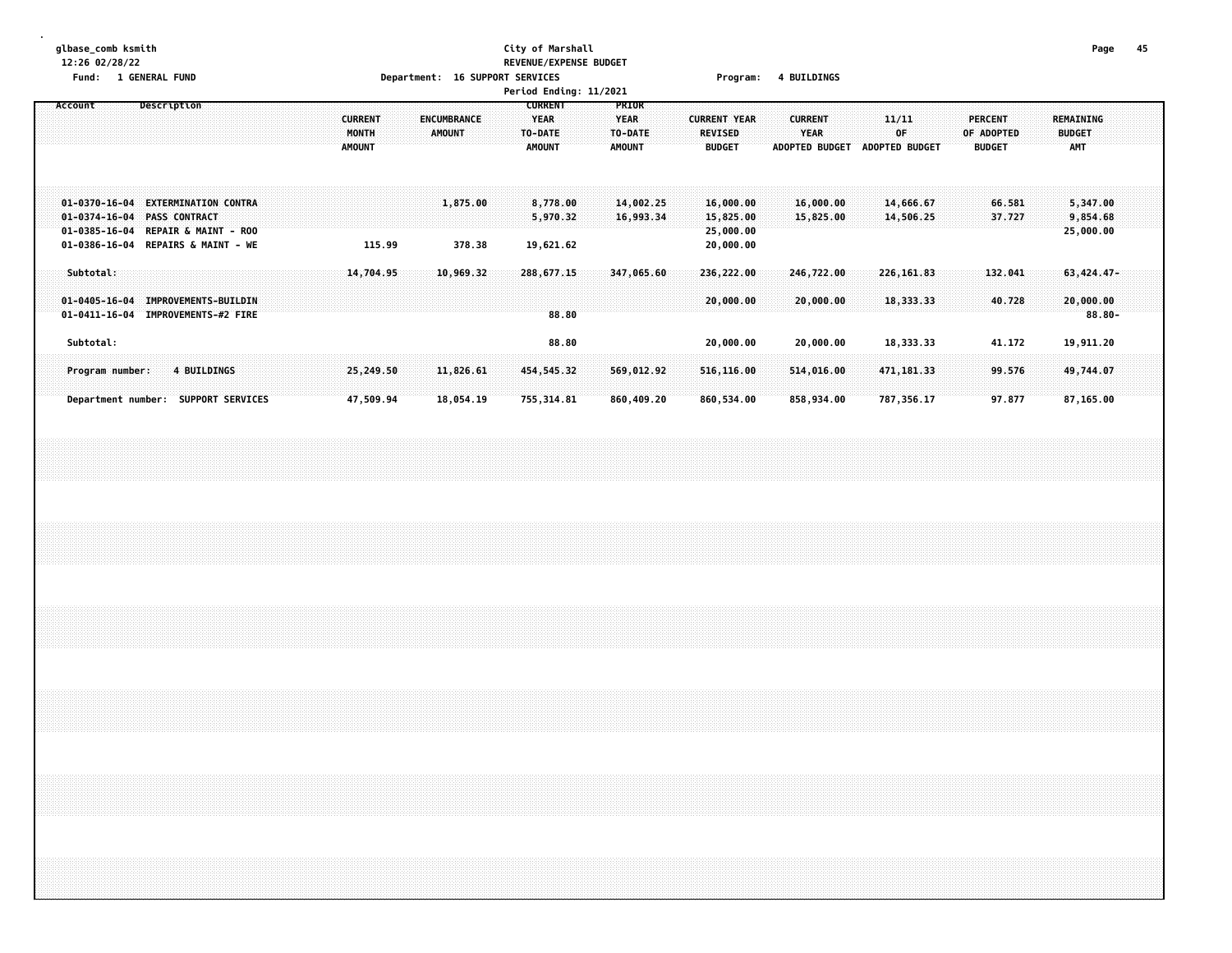# **glbase\_comb ksmith City of Marshall Page 45 12:26 02/28/22 REVENUE/EXPENSE BUDGET**

| 1 GENERAL FUND<br>Fund:                                                                                                                       | Department: 16 SUPPORT SERVICES                                                        | Program:                                                                                                                                                         | <b>4 BUILDINGS</b>                                             |                                                              |                                                 |
|-----------------------------------------------------------------------------------------------------------------------------------------------|----------------------------------------------------------------------------------------|------------------------------------------------------------------------------------------------------------------------------------------------------------------|----------------------------------------------------------------|--------------------------------------------------------------|-------------------------------------------------|
|                                                                                                                                               |                                                                                        | Period Ending: 11/2021                                                                                                                                           |                                                                |                                                              |                                                 |
| Account<br>Description                                                                                                                        | <b>CURRENT</b><br><b>ENCUMBRANCE</b><br><b>MONTH</b><br><b>AMOUNT</b><br><b>AMOUNT</b> | <b>CURRENT</b><br>PRIOR<br><b>YEAR</b><br><b>CURRENT YEAR</b><br><b>YEAR</b><br>TO-DATE<br>TO-DATE<br>REVISED<br><b>AMOUNT</b><br><b>AMOUNT</b><br><b>BUDGET</b> | <b>CURRENT</b><br><b>YEAR</b><br>ADOPTED BUDGET ADOPTED BUDGET | 11/11<br><b>PERCENT</b><br>0F<br>OF ADOPTED<br><b>BUDGET</b> | <b>REMAINING</b><br><b>BUDGET</b><br><b>AMT</b> |
| 01-0370-16-04 EXTERMINATION CONTRA<br>01-0374-16-04 PASS CONTRACT<br>01-0385-16-04 REPAIR & MAINT - ROO<br>01-0386-16-04 REPAIRS & MAINT - WE | 1,875.00<br>115.99<br>378.38                                                           | 14,002.25<br>8,778.00<br>16,000.00<br>5,970.32<br>16,993.34<br>15,825.00<br>25,000.00<br>19,621.62<br>20,000.00                                                  | 16,000.00<br>15,825.00                                         | 14,666.67<br>66.581<br>14,506.25<br>37.727                   | 5,347.00<br>9,854.68<br>25,000.00               |
| Subtotal:<br>01-0405-16-04 IMPROVEMENTS-BUILDIN<br>01-0411-16-04 IMPROVEMENTS-#2 FIRE                                                         | 14,704.95<br>10,969.32                                                                 | 288,677.15<br>347,065.60<br>236,222.00<br>20,000.00<br>88.80                                                                                                     | 246,722.00<br>20,000.00                                        | 226, 161.83<br>132.041<br>18, 333.33<br>40.728               | 63, 424.47-<br>20,000.00<br>$88.80 -$           |
| Subtotal:                                                                                                                                     |                                                                                        | 88.80<br>20,000.00                                                                                                                                               | 20,000.00                                                      | 18,333.33<br>41.172                                          | 19,911.20                                       |
| Program number:<br>4 BUILDINGS                                                                                                                | 25,249.50<br>11,826.61                                                                 | 569,012.92<br>454,545.32<br>516,116.00                                                                                                                           | 514,016.00                                                     | 471, 181.33<br>99.576                                        | 49,744.07                                       |
| Department number: SUPPORT SERVICES                                                                                                           | 47,509.94<br>18,054.19                                                                 | 755, 314.81<br>860,409.20<br>860,534.00                                                                                                                          | 858,934.00                                                     | 787,356.17<br>97.877                                         | 87,165.00                                       |
|                                                                                                                                               |                                                                                        |                                                                                                                                                                  |                                                                |                                                              |                                                 |
|                                                                                                                                               |                                                                                        |                                                                                                                                                                  |                                                                |                                                              |                                                 |
|                                                                                                                                               |                                                                                        |                                                                                                                                                                  |                                                                |                                                              |                                                 |
|                                                                                                                                               |                                                                                        |                                                                                                                                                                  |                                                                |                                                              |                                                 |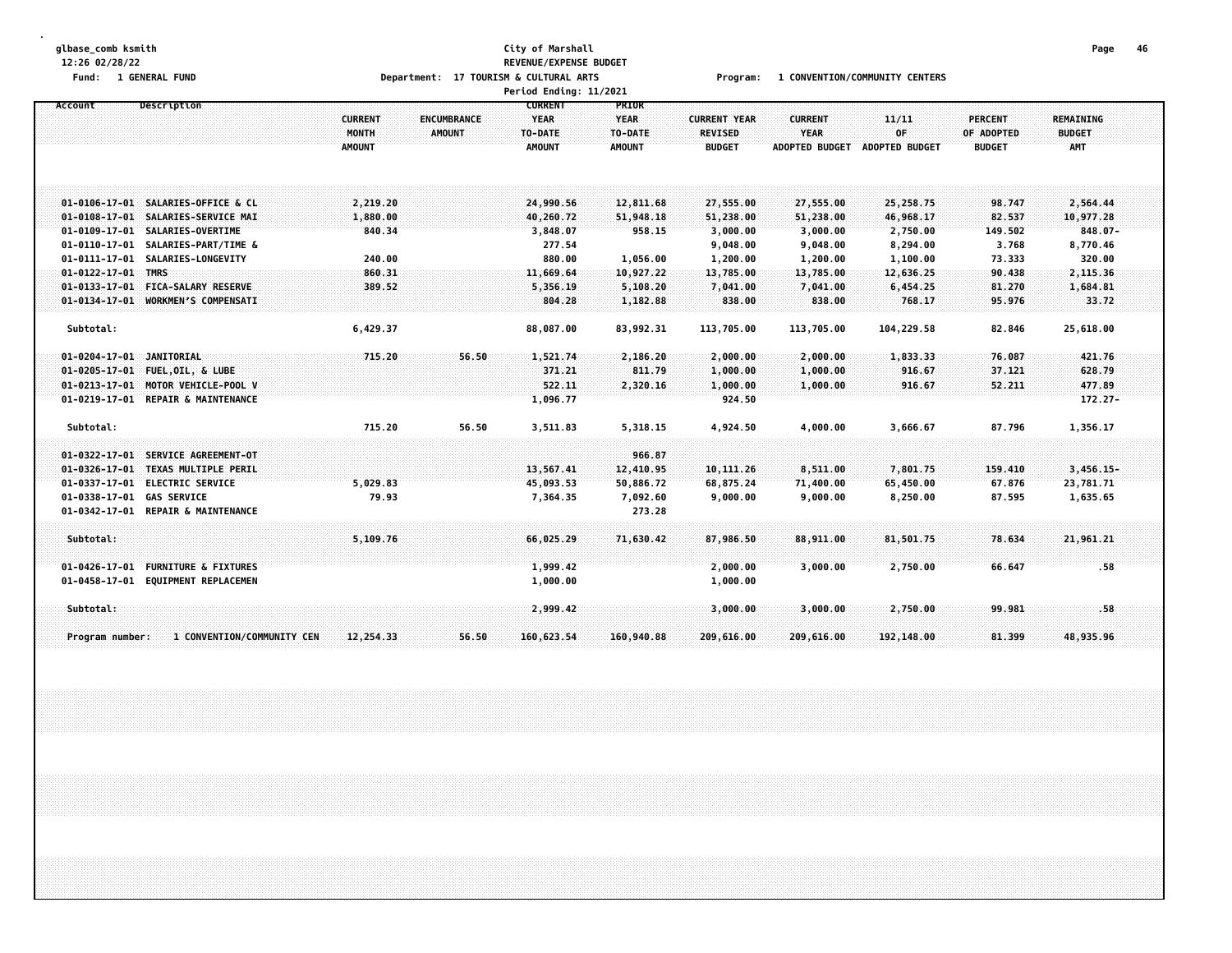# **glbase\_comb ksmith City of Marshall Page 46 12:26 02/28/22 REVENUE/EXPENSE BUDGET** Fund: 1 GENERAL FUND CONTERS Department: 17 TOURISM & CULTURAL ARTS Program: 1 CONVENTION/COMMUNITY CENTERS

|                            |                                    |                                          |                              | Period Ending: 11/2021                                    |                                                  |                                                        |                                                        |                               |                                               |                                                 |  |
|----------------------------|------------------------------------|------------------------------------------|------------------------------|-----------------------------------------------------------|--------------------------------------------------|--------------------------------------------------------|--------------------------------------------------------|-------------------------------|-----------------------------------------------|-------------------------------------------------|--|
| Account                    | Description                        | <b>CURRENT</b><br>MONTH<br><b>AMOUNT</b> | ENCUMBRANCE<br><b>AMOUNT</b> | <b>CURRENT</b><br><b>YEAR</b><br>TO-DATE<br><b>AMOUNT</b> | PRIOR<br><b>YEAR</b><br>TO-DATE<br><b>AMOUNT</b> | <b>CURRENT YEAR</b><br><b>REVISED</b><br><b>BUDGET</b> | <b>CURRENT</b><br><b>YEAR</b><br><b>ADOPTED BUDGET</b> | 11/11<br>OF<br>ADOPTED BUDGET | <b>PERCENT</b><br>OF ADOPTED<br><b>BUDGET</b> | <b>REMAINING</b><br><b>BUDGET</b><br><b>AMT</b> |  |
|                            | 01-0106-17-01 SALARIES-OFFICE & CL | 2,219.20                                 |                              | 24,990.56                                                 | 12,811.68                                        | 27,555.00                                              | 27,555.00                                              | 25,258.75                     | 98.747                                        | 2,564.44                                        |  |
|                            | 01-0108-17-01 SALARIES-SERVICE MAI | 1,880.00                                 |                              | 40,260.72                                                 | 51,948.18                                        | 51,238.00                                              | 51,238.00                                              | 46,968.17                     | 82.537                                        | 10,977.28                                       |  |
|                            | 01-0109-17-01 SALARIES-OVERTIME    | 840.34                                   |                              | 3,848.07                                                  | 958.15                                           | 3,000.00                                               | 3,000.00                                               | 2,750.00                      | 149.502                                       | $848.07 -$                                      |  |
|                            | 01-0110-17-01 SALARIES-PART/TIME & |                                          |                              | 277.54                                                    |                                                  | 9,048.00                                               | 9,048.00                                               | 8,294.00                      | 3.768                                         | 8,770.46                                        |  |
|                            | 01-0111-17-01 SALARIES-LONGEVITY   | 240.00                                   |                              | 880.00                                                    | 1,056.00                                         | 1,200.00                                               | 1,200.00                                               | 1,100.00                      | 73.333                                        | 320.00                                          |  |
| $01 - 0122 - 17 - 01$ TMRS |                                    | 860.31                                   |                              | 11,669.64                                                 | 10,927.22                                        | 13,785.00                                              | 13,785.00                                              | 12,636.25                     | 90.438                                        | 2,115.36                                        |  |
|                            | 01-0133-17-01 FICA-SALARY RESERVE  | 389.52                                   |                              | 5,356.19                                                  | 5,108.20                                         | 7,041.00                                               | 7,041.00                                               | 6,454.25                      | 81.270                                        | 1,684.81                                        |  |
|                            | 01-0134-17-01 WORKMEN'S COMPENSATI |                                          |                              | 804.28                                                    | 1,182.88                                         | 838.00                                                 | 838.00                                                 | 768.17                        | 95.976                                        | 33.72                                           |  |
|                            |                                    |                                          |                              |                                                           |                                                  |                                                        |                                                        |                               |                                               |                                                 |  |
| Subtotal:                  |                                    | 6,429.37                                 |                              | 88,087.00                                                 | 83,992.31                                        | 113,705.00                                             | 113,705.00                                             | 104,229.58                    | 82.846                                        | 25,618.00                                       |  |
| 01-0204-17-01 JANITORIAL   |                                    | 715.20                                   | 56.50                        | 1,521.74                                                  | 2,186.20                                         | 2,000.00                                               | 2,000.00                                               | 1,833.33                      | 76.087                                        | 421.76                                          |  |
|                            | 01-0205-17-01 FUEL, OIL, & LUBE    |                                          |                              | 371.21                                                    | 811.79                                           | 1,000.00                                               | 1,000.00                                               | 916.67                        | 37.121                                        | 628.79                                          |  |
|                            | 01-0213-17-01 MOTOR VEHICLE-POOL V |                                          |                              | 522.11                                                    | 2,320.16                                         | 1,000.00                                               | 1,000.00                                               | 916.67                        | 52.211                                        | 477.89                                          |  |
|                            | 01-0219-17-01 REPAIR & MAINTENANCE |                                          |                              | 1,096.77                                                  |                                                  | 924.50                                                 |                                                        |                               |                                               | $172.27 -$                                      |  |
|                            |                                    |                                          |                              |                                                           |                                                  |                                                        |                                                        |                               |                                               |                                                 |  |
| Subtotal:                  |                                    | 715.20                                   | 56.50                        | 3,511.83                                                  | 5,318.15                                         | 4,924.50                                               | 4,000.00                                               | 3,666.67                      | 87.796                                        | 1,356.17                                        |  |
|                            | 01-0322-17-01 SERVICE AGREEMENT-OT |                                          |                              |                                                           | 966.87                                           |                                                        |                                                        |                               |                                               |                                                 |  |
|                            | 01-0326-17-01 TEXAS MULTIPLE PERIL |                                          |                              | 13,567.41                                                 | 12,410.95                                        | 10, 111.26                                             | 8,511.00                                               | 7,801.75                      | 159.410                                       | $3,456.15-$                                     |  |
|                            | 01-0337-17-01 ELECTRIC SERVICE     | 5,029.83                                 |                              | 45,093.53                                                 | 50,886.72                                        | 68,875.24                                              | 71,400.00                                              | 65,450.00                     | 67.876                                        | 23,781.71                                       |  |
| 01-0338-17-01 GAS SERVICE  |                                    | 79.93                                    |                              | 7,364.35                                                  | 7,092.60                                         | 9,000.00                                               | 9,000.00                                               | 8,250.00                      | 87.595                                        | 1,635.65                                        |  |
|                            | 01-0342-17-01 REPAIR & MAINTENANCE |                                          |                              |                                                           | 273.28                                           |                                                        |                                                        |                               |                                               |                                                 |  |
| Subtotal:                  |                                    | 5,109.76                                 |                              | 66,025.29                                                 | 71,630.42                                        | 87,986.50                                              | 88,911.00                                              | 81,501.75                     | 78.634                                        | 21,961.21                                       |  |
|                            |                                    |                                          |                              |                                                           |                                                  |                                                        |                                                        |                               |                                               |                                                 |  |
|                            | 01-0426-17-01 FURNITURE & FIXTURES |                                          |                              | 1,999.42                                                  |                                                  | 2,000.00                                               | 3,000.00                                               | 2,750.00                      | 66.647                                        | .58                                             |  |
|                            | 01-0458-17-01 EQUIPMENT REPLACEMEN |                                          |                              | 1,000.00                                                  |                                                  | 1,000.00                                               |                                                        |                               |                                               |                                                 |  |
| Subtotal:                  |                                    |                                          |                              | 2,999.42                                                  |                                                  | 3,000.00                                               | 3,000.00                                               | 2,750.00                      | 99.981                                        | .58.                                            |  |
|                            |                                    |                                          |                              |                                                           |                                                  |                                                        |                                                        |                               |                                               |                                                 |  |
| Program number:            | 1 CONVENTION/COMMUNITY CEN         | 12,254.33                                | 56.50                        | 160,623.54                                                | 160,940.88                                       | 209,616.00                                             | 209,616.00                                             | 192,148.00                    | 81.399                                        | 48,935.96                                       |  |
|                            |                                    |                                          |                              |                                                           |                                                  |                                                        |                                                        |                               |                                               |                                                 |  |
|                            |                                    |                                          |                              |                                                           |                                                  |                                                        |                                                        |                               |                                               |                                                 |  |
|                            |                                    |                                          |                              |                                                           |                                                  |                                                        |                                                        |                               |                                               |                                                 |  |
|                            |                                    |                                          |                              |                                                           |                                                  |                                                        |                                                        |                               |                                               |                                                 |  |
|                            |                                    |                                          |                              |                                                           |                                                  |                                                        |                                                        |                               |                                               |                                                 |  |
|                            |                                    |                                          |                              |                                                           |                                                  |                                                        |                                                        |                               |                                               |                                                 |  |
|                            |                                    |                                          |                              |                                                           |                                                  |                                                        |                                                        |                               |                                               |                                                 |  |
|                            |                                    |                                          |                              |                                                           |                                                  |                                                        |                                                        |                               |                                               |                                                 |  |
|                            |                                    |                                          |                              |                                                           |                                                  |                                                        |                                                        |                               |                                               |                                                 |  |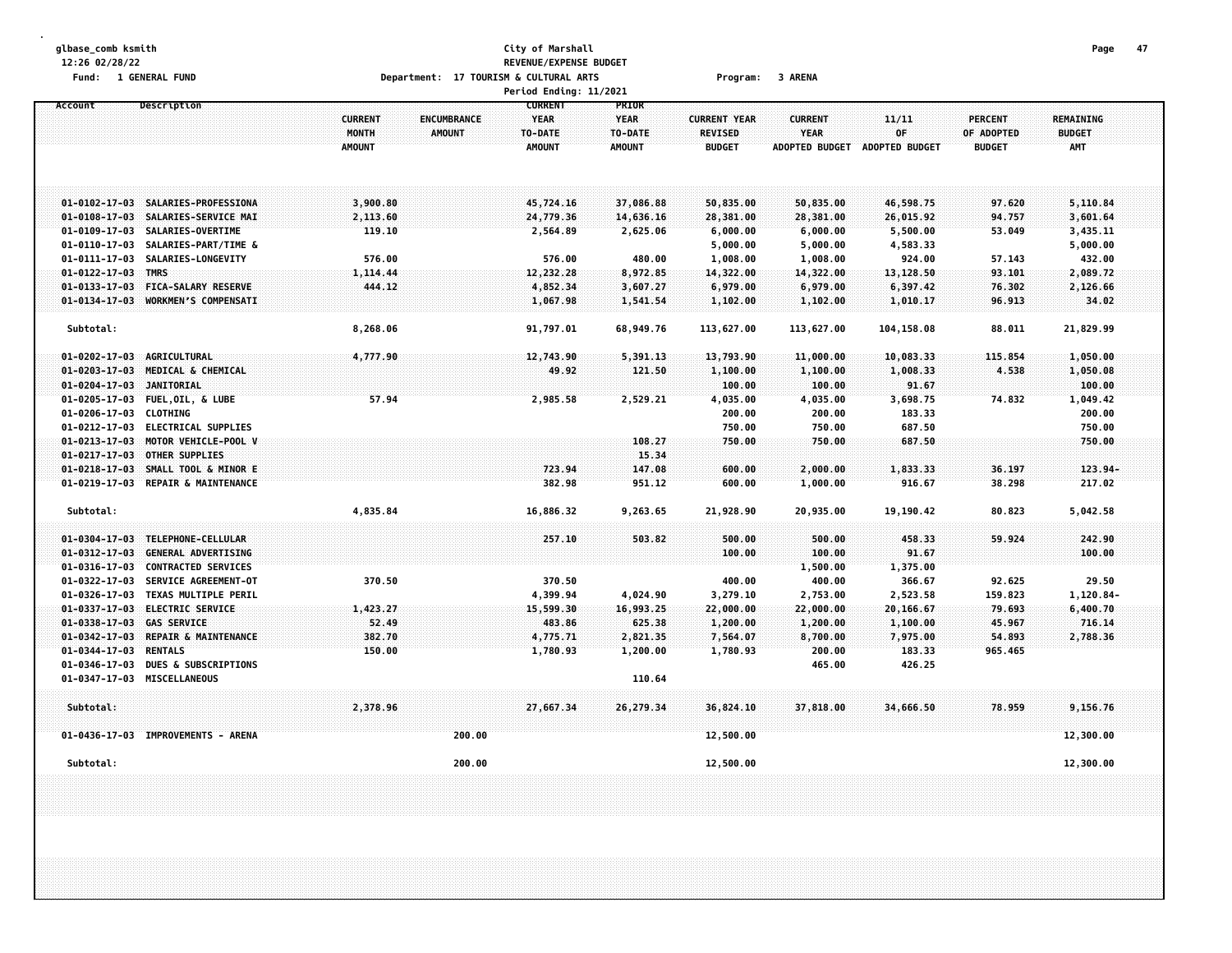# **glbase\_comb ksmith City of Marshall Page 47 12:26 02/28/22 REVENUE/EXPENSE BUDGET** Fund: 1 GENERAL FUND CONTEXT CONTEXT Department: 17 TOURISM & CULTURAL ARTS CONTEXT Program: 3 ARENA

|                                                                                                                                                                                               |                                                                                        | Period Ending: 11/2021                                    |                                                  |                                                        |                                                        |                                                      |                                               |                                                      |
|-----------------------------------------------------------------------------------------------------------------------------------------------------------------------------------------------|----------------------------------------------------------------------------------------|-----------------------------------------------------------|--------------------------------------------------|--------------------------------------------------------|--------------------------------------------------------|------------------------------------------------------|-----------------------------------------------|------------------------------------------------------|
| Account<br>Description                                                                                                                                                                        | <b>CURRENT</b><br><b>ENCUMBRANCE</b><br><b>MONTH</b><br><b>AMOUNT</b><br><b>AMOUNT</b> | <b>CURRENT</b><br><b>YEAR</b><br>TO-DATE<br><b>AMOUNT</b> | PRIOR<br><b>YEAR</b><br>TO-DATE<br><b>AMOUNT</b> | <b>CURRENT YEAR</b><br><b>REVISED</b><br><b>BUDGET</b> | <b>CURRENT</b><br><b>YEAR</b><br><b>ADOPTED BUDGET</b> | 11/11<br>OF<br><b>ADOPTED BUDGET</b>                 | <b>PERCENT</b><br>OF ADOPTED<br><b>BUDGET</b> | <b>REMAINING</b><br><b>BUDGET</b><br><b>AMT</b>      |
| 01-0102-17-03 SALARIES-PROFESSIONA<br>01-0108-17-03 SALARIES-SERVICE MAI<br>$01 - 0109 - 17 - 03$<br>SALARIES-OVERTIME<br>$01 - 0110 - 17 - 03$<br>SALARIES-PART/TIME &                       | 3,900.80<br>2,113.60<br>119.10                                                         | 45,724,16<br>24,779.36<br>2,564.89                        | 37,086.88<br>14,636.16<br>2,625.06               | 50,835.00<br>28,381.00<br>6,000.00<br>5,000.00         | 50,835.00<br>28,381.00<br>6,000.00<br>5,000.00         | 46,598.75<br>26,015.92<br>5,500.00<br>4,583.33       | 97.620<br>94.757<br>53.049                    | 5,110.84<br>3,601.64<br>3,435.11<br>5,000.00         |
| $01 - 0111 - 17 - 03$<br>SALARIES-LONGEVITY<br>$01 - 0122 - 17 - 03$ TMRS<br>FICA-SALARY RESERVE<br>$01 - 0133 - 17 - 03$<br>$01 - 0134 - 17 - 03$<br>WORKMEN'S COMPENSATI                    | 576.00<br>1,114.44<br>444.12                                                           | 576.00<br>12,232.28<br>4,852.34<br>1,067.98               | 480.00<br>8,972.85<br>3,607.27<br>1,541.54       | 1,008.00<br>14,322.00<br>6,979.00<br>1,102.00          | 1,008.00<br>14,322.00<br>6,979.00<br>1,102.00          | 924.00<br>13,128.50<br>6,397.42<br>1,010.17          | 57.143<br>93.101<br>76.302<br>96.913          | 432.00<br>2,089.72<br>2,126.66<br>34.02              |
| Subtotal:                                                                                                                                                                                     | 8,268.06                                                                               | 91,797.01                                                 | 68,949.76                                        | 113,627.00                                             | 113,627.00                                             | 104,158.08                                           | 88.011                                        | 21,829.99                                            |
| 01-0202-17-03 AGRICULTURAL<br>MEDICAL & CHEMICAL<br>$01 - 0203 - 17 - 03$<br>01-0204-17-03 JANITORIAL<br>01-0205-17-03 FUEL, OIL, & LUBE<br>01-0206-17-03 CLOTHING                            | 4,777.90<br>57.94                                                                      | 12,743.90<br>49.92<br>2,985.58                            | 5,391.13<br>121.50<br>2,529.21                   | 13,793.90<br>1,100.00<br>100.00<br>4,035.00<br>200.00  | 11,000.00<br>1,100.00<br>100.00<br>4,035.00<br>200.00  | 10,083.33<br>1,008.33<br>91.67<br>3,698.75<br>183.33 | 115,854<br>4.538<br>74.832                    | 1,050.00<br>1,050.08<br>100.00<br>1,049.42<br>200.00 |
| 01-0212-17-03 ELECTRICAL SUPPLIES<br>01-0213-17-03 MOTOR VEHICLE-POOL V<br>$01 - 0217 - 17 - 03$<br><b>OTHER SUPPLIES</b><br>$01 - 0218 - 17 - 03$<br>SMALL TOOL & MINOR E                    |                                                                                        | 723.94                                                    | 108.27<br>15.34<br>147.08                        | 750.00<br>750.00<br>600.00                             | 750.00<br>750.00<br>2,000.00                           | 687.50<br>687.50<br>1,833.33                         | 36.197                                        | 750.00<br>750.00<br>$123.94-$                        |
| 01-0219-17-03 REPAIR & MAINTENANCE<br>Subtotal:                                                                                                                                               | 4,835.84                                                                               | 382.98<br>16,886.32                                       | 951.12<br>9,263.65                               | 600.00<br>21,928.90                                    | 1,000.00<br>20,935.00                                  | 916.67<br>19,190.42                                  | 38.298<br>80.823                              | 217.02<br>5,042.58                                   |
| 01-0304-17-03 TELEPHONE-CELLULAR<br>$01 - 0312 - 17 - 03$<br><b>GENERAL ADVERTISING</b><br>$01 - 0316 - 17 - 03$<br><b>CONTRACTED SERVICES</b>                                                |                                                                                        | 257.10                                                    | 503.82                                           | 500.00<br>100.00                                       | 500.00<br>100.00<br>1,500.00                           | 458.33<br>91.67<br>1,375.00                          | 59.924                                        | 242.90<br>100.00                                     |
| $01 - 0322 - 17 - 03$<br><b>SERVICE AGREEMENT-OT</b><br>$01 - 0326 - 17 - 03$<br><b>TEXAS MULTIPLE PERIL</b><br>01-0337-17-03 ELECTRIC SERVICE<br><b>GAS SERVICE</b><br>$01 - 0338 - 17 - 03$ | 370.50<br>1,423.27<br>52.49<br>382.70                                                  | 370.50<br>4,399.94<br>15,599.30<br>483.86                 | 4,024.90<br>16,993.25<br>625.38                  | 400.00<br>3,279.10<br>22,000.00<br>1,200.00            | 400.00<br>2,753.00<br>22,000.00<br>1,200.00            | 366.67<br>2,523.58<br>20,166.67<br>1,100.00          | 92.625<br>159.823<br>79.693<br>45.967         | 29.50<br>1,120.84-<br>6,400.70<br>716.14             |
| 01-0342-17-03 REPAIR & MAINTENANCE<br>$01 - 0344 - 17 - 03$<br><b>RENTALS</b><br>01-0346-17-03 DUES & SUBSCRIPTIONS<br>01-0347-17-03 MISCELLANEOUS                                            | 150.00                                                                                 | 4,775.71<br>1,780.93                                      | 2,821.35<br>1,200.00<br>110.64                   | 7,564.07<br>1,780.93                                   | 8,700.00<br>200.00<br>465.00                           | 7,975.00<br>183.33<br>426.25                         | 54.893<br>965.465                             | 2,788.36                                             |
| Subtotal:<br>01-0436-17-03 IMPROVEMENTS - ARENA                                                                                                                                               | 2,378.96                                                                               | 27,667.34<br>200.00                                       | 26,279.34                                        | 36,824.10<br>12,500.00                                 | 37,818.00                                              | 34,666.50                                            | 78,959                                        | 9,156.76<br>12,300.00                                |
| Subtotal:                                                                                                                                                                                     |                                                                                        | 200.00                                                    |                                                  | 12,500.00                                              |                                                        |                                                      |                                               | 12,300.00                                            |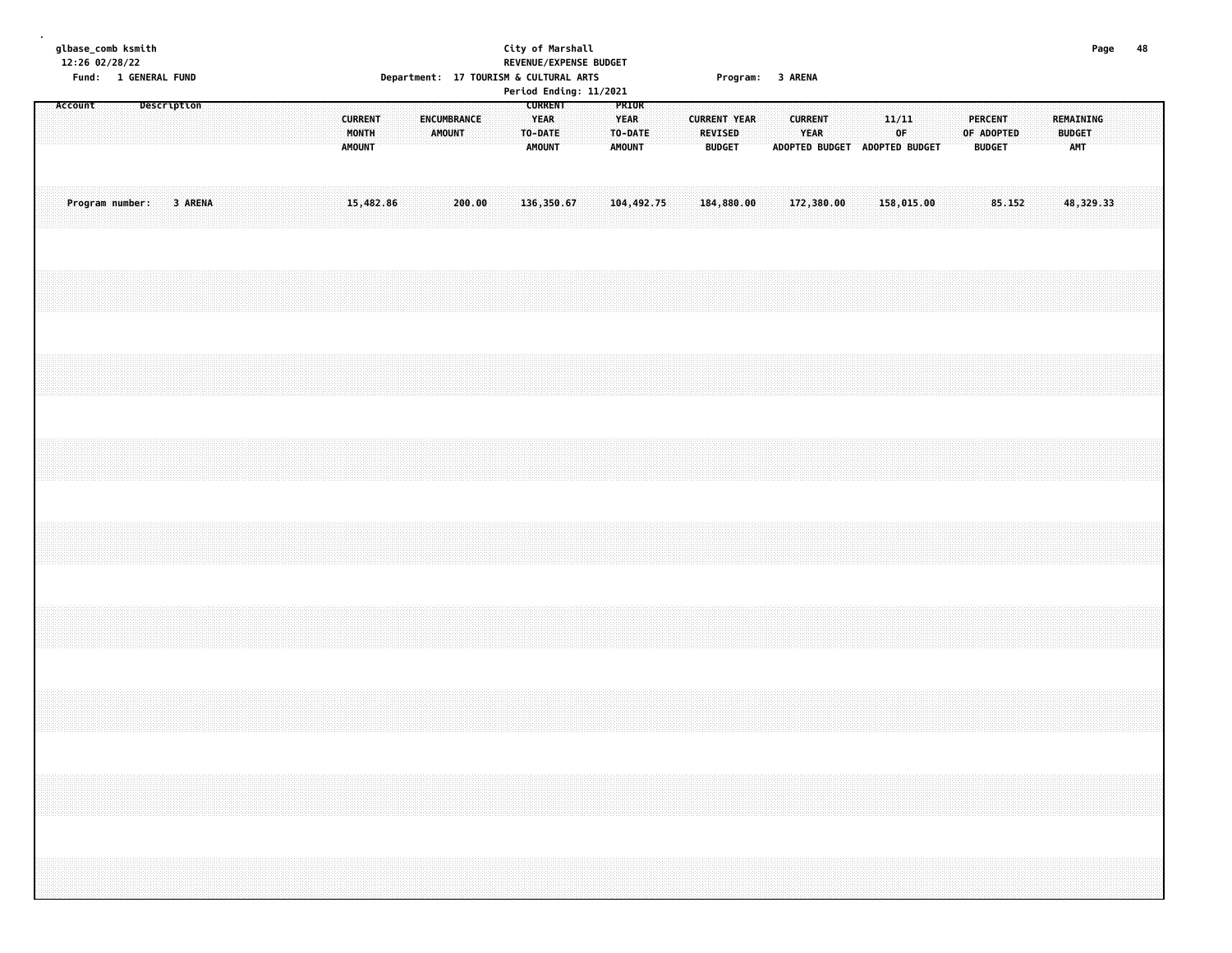| glbase_comb ksmith<br>12:26 02/28/22<br>Fund: 1 GENERAL FUND | City of Marshall<br>REVENUE/EXPENSE BUDGET<br>Department: 17 TOURISM & CULTURAL ARTS                                                                                                                                       | 48<br>Page<br>Program: 3 ARENA                                                                                                                                |
|--------------------------------------------------------------|----------------------------------------------------------------------------------------------------------------------------------------------------------------------------------------------------------------------------|---------------------------------------------------------------------------------------------------------------------------------------------------------------|
| Account<br>Description<br><b>CURRENT</b><br>MONTH<br>AMOUNT  | Period Ending: 11/2021<br><b>CURRENT</b><br>PRIOR<br>ENCUMBRANCE<br><b>YEAR</b><br>YEAR<br><b>CURRENT YEAR</b><br><b>AMOUNT</b><br>TO-DATE<br>TO-DATE<br><b>REVISED</b><br><b>AMOUNT</b><br><b>AMOUNT</b><br><b>BUDGET</b> | <b>CURRENT</b><br>11/11<br><b>PERCENT</b><br>REMAINING<br>YEAR<br>0F.<br>OF ADOPTED<br><b>BUDGET</b><br>ADOPTED BUDGET ADOPTED BUDGET<br><b>BUDGET</b><br>AMT |
| Program number:<br>3 ARENA<br>15,482.86                      | 136,350.67<br>200.00<br>104,492.75<br>184,880.00                                                                                                                                                                           | 158,015.00<br>85.152<br>48,329.33<br>172,380.00                                                                                                               |
|                                                              |                                                                                                                                                                                                                            |                                                                                                                                                               |
|                                                              |                                                                                                                                                                                                                            |                                                                                                                                                               |
|                                                              |                                                                                                                                                                                                                            |                                                                                                                                                               |
|                                                              |                                                                                                                                                                                                                            |                                                                                                                                                               |
|                                                              |                                                                                                                                                                                                                            |                                                                                                                                                               |
|                                                              |                                                                                                                                                                                                                            |                                                                                                                                                               |
|                                                              |                                                                                                                                                                                                                            |                                                                                                                                                               |
|                                                              |                                                                                                                                                                                                                            |                                                                                                                                                               |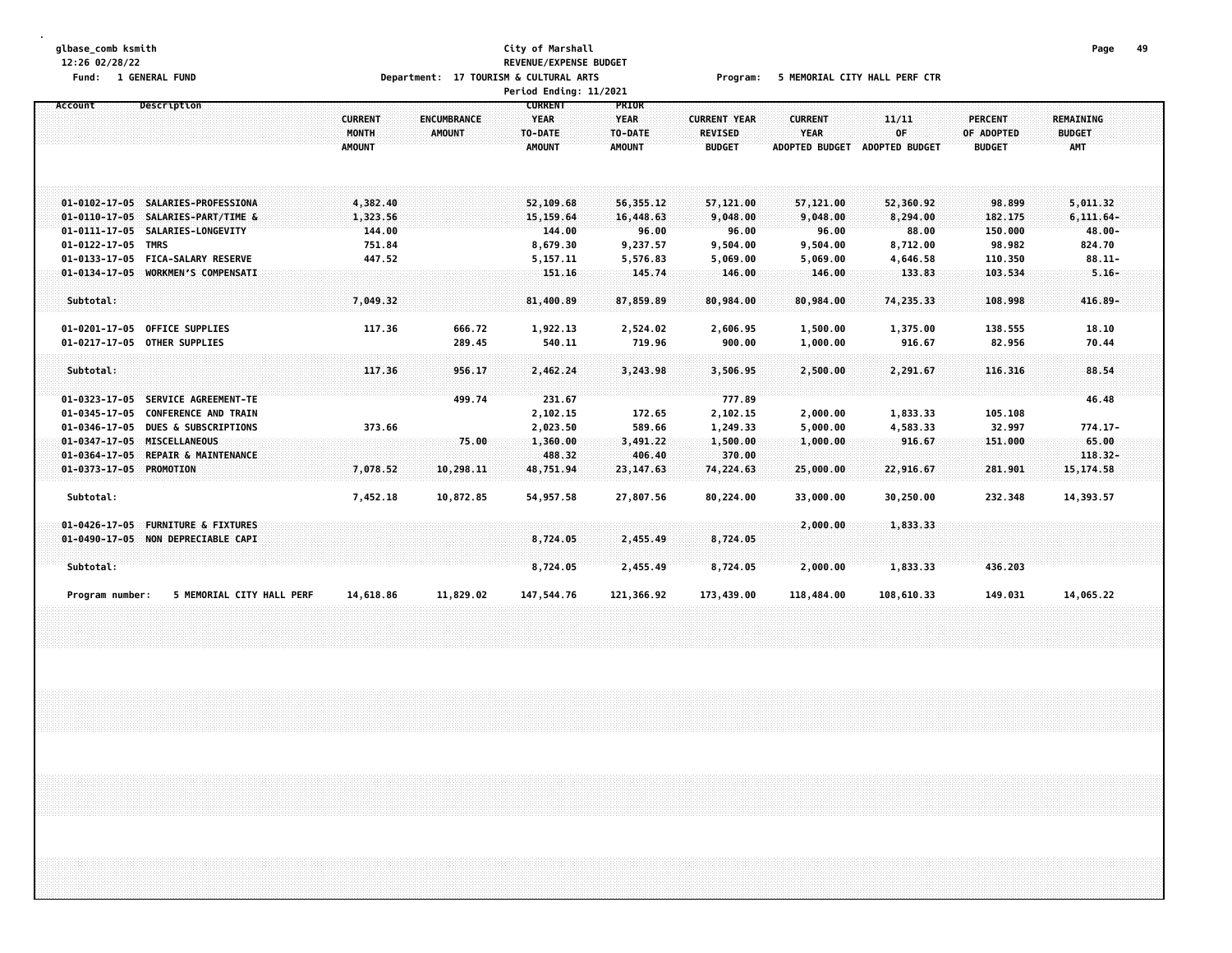#### **glbase\_comb ksmith City of Marshall Page 49 12:26 02/28/22 REVENUE/EXPENSE BUDGET** Fund: 1 GENERAL FUND CORPORT THE SERVICE OF DEPARTMENT: 17 TOURISM & CULTURAL ARTS Program: 5 MEMORIAL CITY HALL PERF CTR **Period Ending: 11/2021**

| Description<br>Account                                                                             | <b>CURRENT</b><br>MONTH | <b>ENCUMBRANCE</b><br><b>AMOUNT</b> | <b>CURRENT</b><br><b>YEAR</b><br>TO-DATE | PRIOR<br><b>YEAR</b><br>TO-DATE | <b>CURRENT YEAR</b><br><b>REVISED</b> | <b>CURRENT</b><br>YEAR | 11/11<br>0F           | PERCENT<br>OF ADOPTED | <b>REMAINING</b><br><b>BUDGET</b> |  |
|----------------------------------------------------------------------------------------------------|-------------------------|-------------------------------------|------------------------------------------|---------------------------------|---------------------------------------|------------------------|-----------------------|-----------------------|-----------------------------------|--|
|                                                                                                    | <b>AMOUNT</b>           |                                     | <b>AMOUNT</b>                            | AMOUNT                          | <b>BUDGET</b>                         | <b>ADOPTED BUDGET</b>  | <b>ADOPTED BUDGET</b> | <b>BUDGET</b>         | <b>AMT</b>                        |  |
| 01-0102-17-05 SALARIES-PROFESSIONA                                                                 | 4,382.40                |                                     | 52,109.68                                | 56,355.12                       | 57,121.00                             | 57,121.00              | 52,360.92             | 98.899                | 5,011.32                          |  |
| 01-0110-17-05 SALARIES-PART/TIME &                                                                 | 1,323.56                |                                     | 15, 159.64                               | 16,448.63                       | 9,048.00                              | 9,048.00               | 8,294.00              | 182.175               | $6, 111.64 -$                     |  |
| 01-0111-17-05 SALARIES-LONGEVITY                                                                   | 144.00                  |                                     | 144.00                                   | 96.00                           | 96.00                                 | 96.00                  | 88.00                 | 150.000               | $48.00 -$                         |  |
| 01-0122-17-05 TMRS                                                                                 | 751.84                  |                                     | 8,679.30                                 | 9,237.57                        | 9,504.00                              | 9,504.00               | 8,712.00              | 98.982                | 824.70                            |  |
| 01-0133-17-05 FICA-SALARY RESERVE                                                                  | 447.52                  |                                     | 5,157.11                                 | 5,576.83                        | 5,069.00                              | 5,069.00               | 4,646.58              | 110.350               | $88.11 -$                         |  |
| 01-0134-17-05 WORKMEN'S COMPENSATI                                                                 |                         |                                     | 151.16                                   | 145.74                          | 146.00                                | 146.00                 | 133.83                | 103.534               | $5.16 -$                          |  |
| Subtotal:                                                                                          | 7,049.32                |                                     | 81,400.89                                | 87,859.89                       | 80,984.00                             | 80,984.00              | 74,235.33             | 108.998               | $416.89 -$                        |  |
| 01-0201-17-05 OFFICE SUPPLIES                                                                      | 117.36                  | 666.72                              | 1,922.13                                 | 2,524.02                        | 2,606.95                              | 1,500.00               | 1,375.00              | 138.555               | 18.10                             |  |
| 01-0217-17-05 OTHER SUPPLIES                                                                       |                         | 289.45                              | 540.11                                   | 719.96                          | 900.00                                | 1,000.00               | 916.67                | 82.956                | 70.44                             |  |
|                                                                                                    |                         |                                     |                                          |                                 |                                       |                        |                       |                       |                                   |  |
| Subtotal:                                                                                          | 117.36                  | 956.17                              | 2,462.24                                 | 3,243.98                        | 3,506.95                              | 2,500.00               | 2,291.67              | 116.316               | 88.54                             |  |
|                                                                                                    |                         |                                     |                                          |                                 |                                       |                        |                       |                       |                                   |  |
| SERVICE AGREEMENT-TE<br>01-0323-17-05                                                              |                         | 499.74                              | 231.67                                   |                                 | 777.89                                |                        |                       |                       | 46.48                             |  |
| 01-0345-17-05<br><b>CONFERENCE AND TRAIN</b>                                                       |                         |                                     | 2,102.15                                 | 172.65                          | 2,102.15                              | 2,000.00               | 1,833.33              | 105.108               |                                   |  |
| $01 - 0346 - 17 - 05$<br><b>DUES &amp; SUBSCRIPTIONS</b><br>$01 - 0347 - 17 - 05$<br>MISCELLANEOUS | 373.66                  | 75.00                               | 2,023.50                                 | 589.66                          | 1,249.33                              | 5,000.00               | 4,583.33              | 32.997                | 774.17-<br>65.00                  |  |
| $01 - 0364 - 17 - 05$<br><b>REPAIR &amp; MAINTENANCE</b>                                           |                         |                                     | 1,360.00<br>488.32                       | 3,491.22<br>406.40              | 1,500.00<br>370.00                    | 1,000.00               | 916.67                | 151.000               | $118.32 -$                        |  |
| 01-0373-17-05 PROMOTION                                                                            | 7,078.52                | 10,298.11                           | 48,751.94                                | 23, 147.63                      | 74,224.63                             | 25,000.00              | 22,916.67             | 281.901               | 15, 174.58                        |  |
|                                                                                                    |                         |                                     |                                          |                                 |                                       |                        |                       |                       |                                   |  |
| Subtotal:                                                                                          | 7,452.18                | 10,872.85                           | 54,957.58                                | 27,807.56                       | 80,224.00                             | 33,000.00              | 30,250.00             | 232.348               | 14,393.57                         |  |
| <b>FURNITURE &amp; FIXTURES</b><br>$01 - 0426 - 17 - 05$                                           |                         |                                     |                                          |                                 |                                       | 2,000.00               | 1,833.33              |                       |                                   |  |
| 01-0490-17-05 NON DEPRECIABLE CAPI                                                                 |                         |                                     | 8,724.05                                 | 2,455.49                        | 8,724.05                              |                        |                       |                       |                                   |  |
| Subtotal:                                                                                          |                         |                                     | 8,724.05                                 | 2,455.49                        | 8,724.05                              | 2,000.00               | 1,833.33              | 436.203               |                                   |  |
| 5 MEMORIAL CITY HALL PERF<br>Program number:                                                       | 14,618.86               | 11,829.02                           | 147,544.76                               | 121,366.92                      | 173,439.00                            | 118,484.00             | 108,610.33            | 149.031               | 14,065.22                         |  |
|                                                                                                    |                         |                                     |                                          |                                 |                                       |                        |                       |                       |                                   |  |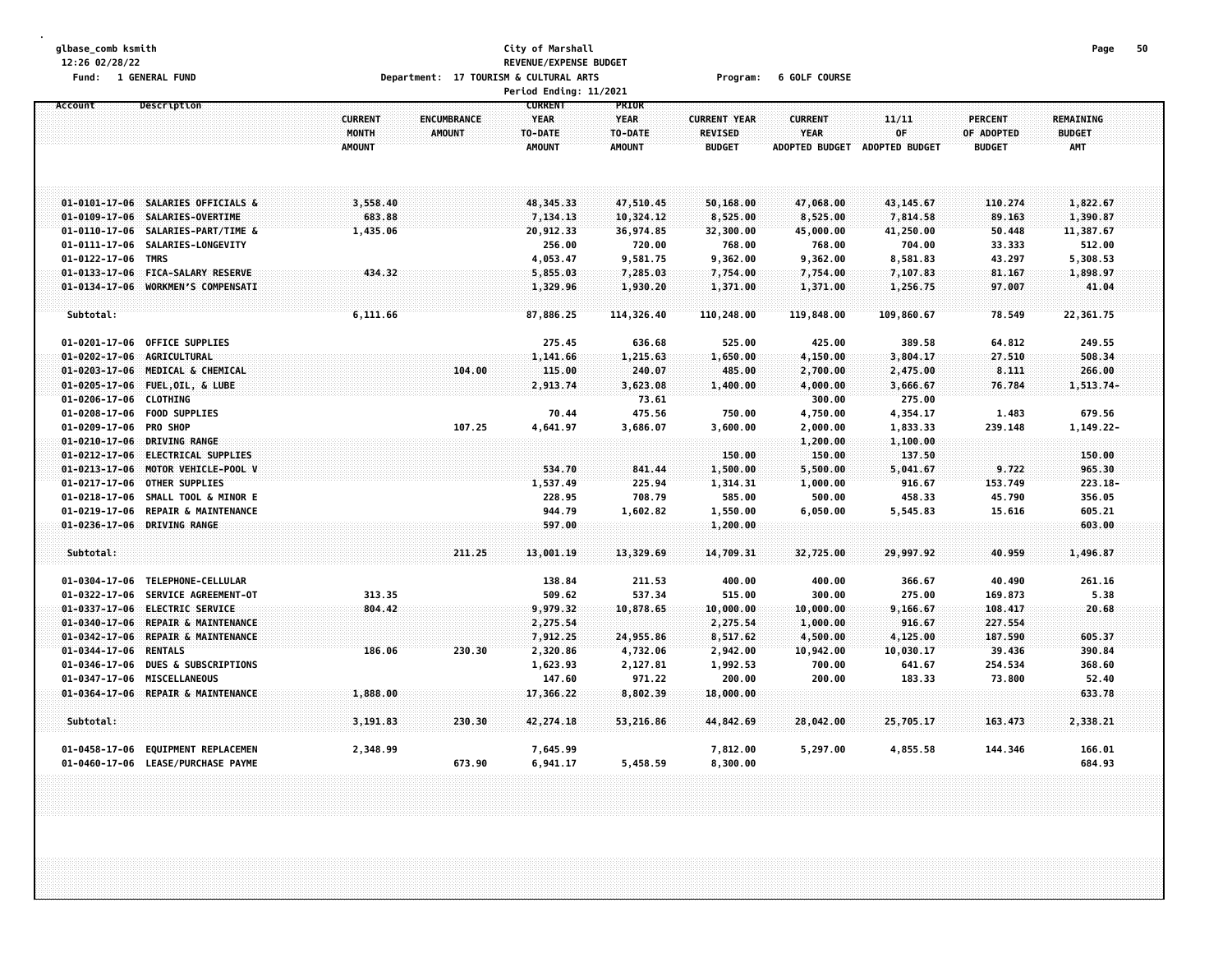| <b>1 GENERAL FUND</b><br>Fund:                                                     |                | Department: 17 TOURISM & CULTURAL ARTS |                        |               | Program:            | <b>6 GOLF COURSE</b>  |                       |                |                  |
|------------------------------------------------------------------------------------|----------------|----------------------------------------|------------------------|---------------|---------------------|-----------------------|-----------------------|----------------|------------------|
|                                                                                    |                |                                        | Period Ending: 11/2021 |               |                     |                       |                       |                |                  |
| Description<br>Account                                                             |                |                                        | <b>CURRENT</b>         | PRIOR         |                     |                       |                       |                |                  |
|                                                                                    | <b>CURRENT</b> | ENCUMBRANCE                            | <b>YEAR</b>            | <b>YEAR</b>   | <b>CURRENT YEAR</b> | <b>CURRENT</b>        | 11/11                 | <b>PERCENT</b> | <b>REMAINING</b> |
|                                                                                    | MONTH          | <b>AMOUNT</b>                          | TO-DATE                | TO-DATE       | <b>REVISED</b>      | <b>YEAR</b>           | 0F                    | OF ADOPTED     | <b>BUDGET</b>    |
|                                                                                    | <b>AMOUNT</b>  |                                        | <b>AMOUNT</b>          | <b>AMOUNT</b> | <b>BUDGET</b>       | <b>ADOPTED BUDGET</b> | <b>ADOPTED BUDGET</b> | <b>BUDGET</b>  | <b>AMT</b>       |
|                                                                                    |                |                                        |                        |               |                     |                       |                       |                |                  |
|                                                                                    |                |                                        |                        |               |                     |                       |                       |                |                  |
|                                                                                    |                |                                        |                        |               |                     |                       |                       |                |                  |
| 01-0101-17-06 SALARIES OFFICIALS &                                                 | 3,558.40       |                                        | 48, 345. 33            | 47,510.45     | 50,168.00           | 47,068.00             | 43,145.67             | 110.274        | 1,822.67         |
| 01-0109-17-06 SALARIES-OVERTIME                                                    | 683.88         |                                        | 7,134.13               | 10,324.12     | 8,525.00            | 8,525.00              | 7,814.58              | 89.163         | 1,390.87         |
| 01-0110-17-06 SALARIES-PART/TIME &                                                 | 1,435.06       |                                        | 20,912.33              | 36,974.85     | 32,300.00           | 45,000.00             | 41,250.00             | 50.448         | 11,387.67        |
| 01-0111-17-06 SALARIES-LONGEVITY                                                   |                |                                        | 256.00                 | 720.00        | 768.00              | 768.00                | 704.00                | 33.333         | 512.00           |
| $01 - 0122 - 17 - 06$<br>TMRS                                                      |                |                                        | 4,053.47               | 9,581.75      | 9,362.00            | 9,362.00              | 8,581.83              | 43.297         | 5,308.53         |
| $01 - 0133 - 17 - 06$<br><b>FICA-SALARY RESERVE</b>                                | 434.32         |                                        | 5,855.03               | 7,285.03      | 7,754.00            | 7,754.00              | 7,107.83              | 81.167         | 1,898.97         |
| $01 - 0134 - 17 - 06$<br>WORKMEN'S COMPENSATI                                      |                |                                        | 1,329.96               | 1,930.20      | 1,371.00            | 1,371.00              | 1,256.75              | 97.007         | 41.04            |
|                                                                                    |                |                                        |                        |               |                     |                       |                       |                |                  |
| Subtotal:                                                                          | 6,111.66       |                                        | 87,886.25              | 114,326.40    | 110,248.00          | 119,848.00            | 109,860.67            | 78.549         | 22,361.75        |
|                                                                                    |                |                                        |                        |               |                     |                       |                       |                |                  |
| 01-0201-17-06<br><b>OFFICE SUPPLIES</b>                                            |                |                                        | 275.45                 | 636.68        | 525.00              | 425.00                | 389.58                | 64.812         | 249.55           |
| $01 - 0202 - 17 - 06$<br>AGRICULTURAL                                              |                |                                        | 1,141.66               | 1,215.63      | 1,650.00            | 4,150.00              | 3,804.17              | 27.510         | 508.34           |
| $01 - 0203 - 17 - 06$<br>MEDICAL & CHEMICAL                                        |                | 104.00                                 | 115.00                 | 240.07        | 485.00              | 2,700.00              | 2,475.00              | 8.111          | 266.00           |
| 01-0205-17-06 FUEL, OIL, & LUBE                                                    |                |                                        | 2,913.74               | 3,623.08      | 1,400.00            | 4,000.00              | 3,666.67              | 76.784         | $1,513.74-$      |
| 01-0206-17-06 CLOTHING                                                             |                |                                        |                        | 73.61         |                     | 300.00                | 275.00                |                |                  |
| 01-0208-17-06 FOOD SUPPLIES                                                        |                |                                        | 70.44                  | 475.56        | 750.00              | 4,750.00              | 4,354.17              | 1.483          | 679.56           |
| 01-0209-17-06 PRO SHOP                                                             |                | 107.25                                 | 4,641.97               | 3,686.07      | 3,600.00            | 2,000.00              | 1,833.33              | 239.148        | $1,149.22-$      |
| 01-0210-17-06 DRIVING RANGE                                                        |                |                                        |                        |               |                     | 1,200.00              | 1,100.00              |                |                  |
| 01-0212-17-06 ELECTRICAL SUPPLIES                                                  |                |                                        |                        |               | 150.00              | 150.00                | 137.50                |                | 150.00           |
| 01-0213-17-06 MOTOR VEHICLE-POOL V                                                 |                |                                        | 534.70                 | 841.44        | 1,500.00            | 5,500.00              | 5,041.67              | 9.722          | 965.30           |
| 01-0217-17-06 OTHER SUPPLIES                                                       |                |                                        | 1,537.49               | 225.94        | 1,314.31            | 1,000.00              | 916.67                | 153.749        | $223.18 -$       |
| 01-0218-17-06 SMALL TOOL & MINOR E                                                 |                |                                        | 228.95                 | 708.79        | 585.00              | 500.00                | 458.33                | 45.790         | 356.05           |
| 01-0219-17-06<br><b>REPAIR &amp; MAINTENANCE</b>                                   |                |                                        | 944.79                 | 1,602.82      | 1,550.00            | 6,050.00              | 5,545.83              | 15.616         | 605.21           |
| 01-0236-17-06 DRIVING RANGE                                                        |                |                                        | 597.00                 |               | 1,200.00            |                       |                       |                | 603.00           |
|                                                                                    |                |                                        |                        |               |                     |                       |                       |                |                  |
| Subtotal:                                                                          |                | 211.25                                 | 13,001.19              | 13,329.69     | 14,709.31           | 32,725.00             | 29,997.92             | 40.959         | 1,496.87         |
|                                                                                    |                |                                        |                        |               |                     |                       |                       |                |                  |
| 01-0304-17-06 TELEPHONE-CELLULAR                                                   |                |                                        | 138.84                 | 211.53        | 400.00              | 400.00                | 366.67                | 40.490         | 261.16           |
| 01-0322-17-06 SERVICE AGREEMENT-OT                                                 | 313.35         |                                        | 509.62                 | 537.34        | 515.00              | 300.00                | 275.00                | 169.873        | 5.38             |
| $01 - 0337 - 17 - 06$<br><b>ELECTRIC SERVICE</b>                                   | 804.42         |                                        | 9,979.32               | 10,878.65     | 10,000.00           | 10,000.00             | 9,166.67              | 108.417        | 20.68            |
| $01 - 0340 - 17 - 06$<br>REPAIR & MAINTENANCE                                      |                |                                        | 2,275.54               |               | 2,275.54            | 1,000.00              | 916.67                | 227.554        |                  |
| $01 - 0342 - 17 - 06$<br>REPAIR & MAINTENANCE                                      |                |                                        | 7,912.25               | 24,955.86     | 8,517.62            | 4,500.00              | 4,125.00              | 187.590        | 605.37           |
| 01-0344-17-06 RENTALS                                                              | 186.06         | 230.30                                 | 2,320.86               | 4,732.06      | 2,942.00            | 10,942.00             | 10,030.17             | 39.436         | 390.84           |
| 01-0346-17-06<br><b>DUES &amp; SUBSCRIPTIONS</b>                                   |                |                                        | 1,623.93               | 2,127.81      | 1,992.53            | 700.00                | 641.67                | 254.534        | 368.60           |
| 01-0347-17-06 MISCELLANEOUS                                                        |                |                                        | 147.60                 | 971.22        | 200.00              | 200.00                | 183.33                | 73.800         | 52.40            |
| $01 - 0364 - 17 - 06$<br>REPAIR & MAINTENANCE                                      | 1,888.00       |                                        | 17,366.22              | 8,802.39      | 18,000.00           |                       |                       |                | 633.78           |
|                                                                                    |                |                                        |                        |               |                     |                       |                       |                |                  |
| Subtotal:                                                                          | 3,191.83       | 230.30                                 | 42, 274.18             | 53,216.86     | 44,842.69           | 28,042.00             | 25,705.17             | 163.473        | 2,338.21         |
|                                                                                    |                |                                        |                        |               |                     |                       |                       |                |                  |
| <b>EQUIPMENT REPLACEMEN</b><br>01-0458-17-06<br>01-0460-17-06 LEASE/PURCHASE PAYME | 2,348.99       | 673.90                                 | 7,645.99<br>6,941.17   |               | 7,812.00            | 5,297.00              | 4,855.58              | 144.346        | 166.01<br>684.93 |
|                                                                                    |                |                                        |                        | 5,458.59      | 8,300.00            |                       |                       |                |                  |

**12:26 02/28/22 REVENUE/EXPENSE BUDGET**

**glbase\_comb ksmith City of Marshall Page 50**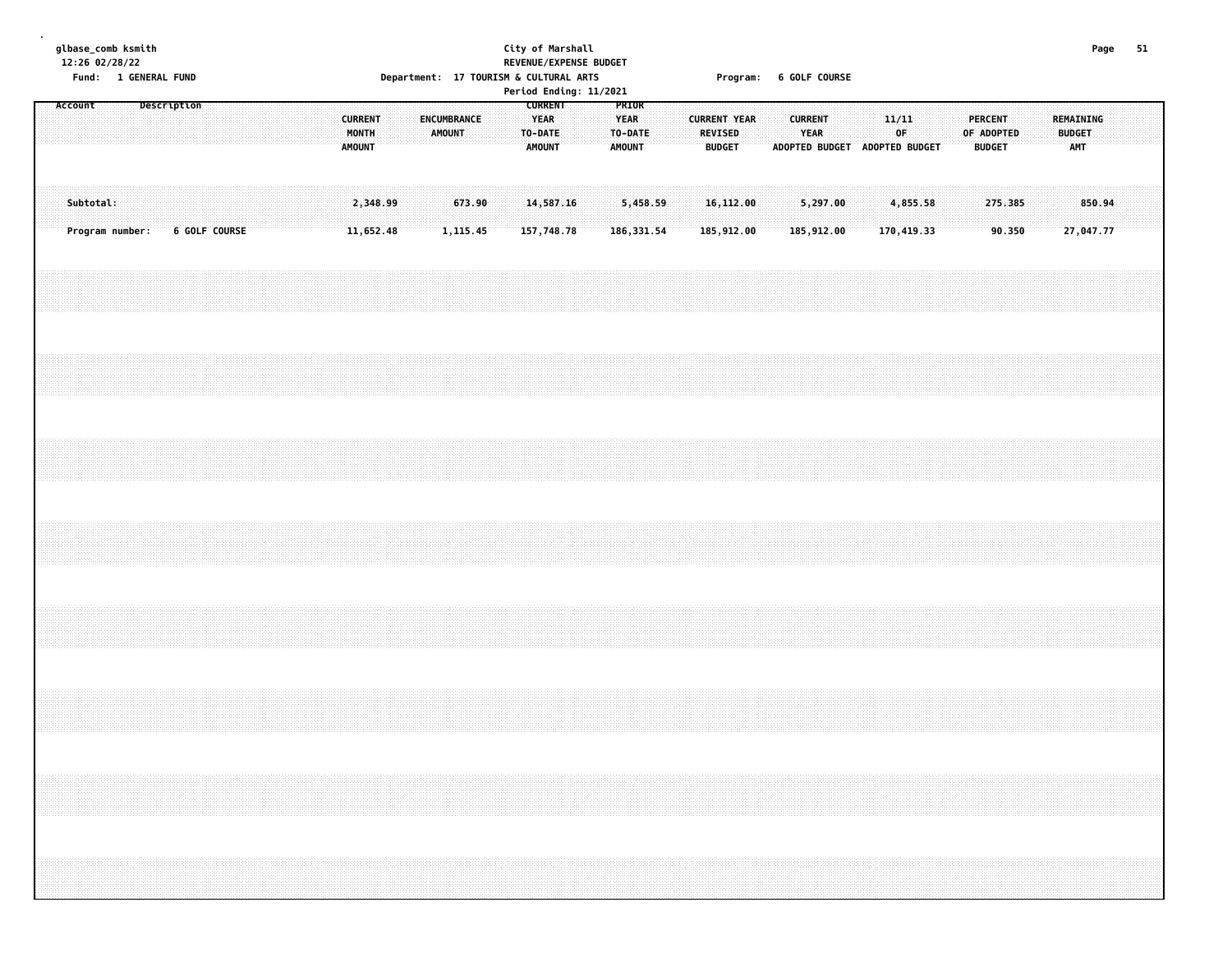**glbase\_comb ksmith City of Marshall Page 51 12:26 02/28/22 REVENUE/EXPENSE BUDGET**

**.**

# **Fund: 1 GENERAL FUND Department: 17 TOURISM & CULTURAL ARTS Program: 6 GOLF COURSE**

|         |                              |             |  |               |  |  |                                          |          |                    |          |        |  |                                                    | Period Ending: 11/2021 |                              |                        |  |                                                        |  |                                                         |  |             |                        |  |                                               |  |                             |                     |  |
|---------|------------------------------|-------------|--|---------------|--|--|------------------------------------------|----------|--------------------|----------|--------|--|----------------------------------------------------|------------------------|------------------------------|------------------------|--|--------------------------------------------------------|--|---------------------------------------------------------|--|-------------|------------------------|--|-----------------------------------------------|--|-----------------------------|---------------------|--|
| Account |                              | Description |  |               |  |  | <b>CURRENT</b><br>MONTH<br><b>AMOUNT</b> |          | <b>ENCUMBRANCE</b> | AMOUNT   |        |  | <b>CURRENT</b><br>YEAR<br>TO-DATE<br><b>AMOUNT</b> |                        | <b>YEAR</b><br><b>AMOUNT</b> | PRIOR<br>TO-DATE       |  | <b>CURRENT YEAR</b><br><b>REVISED</b><br><b>BUDGET</b> |  | <b>CURRENT</b><br>YEAR<br>ADOPTED BUDGET ADOPTED BUDGET |  | 11/11<br>OF |                        |  | <b>PERCENT</b><br>OF ADOPTED<br><b>BUDGET</b> |  | <b>BUDGET</b><br><b>AMT</b> | REMAINING           |  |
|         | Subtotal:<br>Program number: |             |  | 6 GOLF COURSE |  |  | 11,652.48                                | 2,348.99 |                    | 1,115.45 | 673.90 |  | 14,587.16<br>157,748.78                            |                        |                              | 5,458.59<br>186,331.54 |  | 16, 112.00<br>185,912.00                               |  | 5,297.00<br>185,912.00                                  |  |             | 4,855.58<br>170,419.33 |  | 275.385<br>90.350                             |  |                             | 850.94<br>27,047.77 |  |
|         |                              |             |  |               |  |  |                                          |          |                    |          |        |  |                                                    |                        |                              |                        |  |                                                        |  |                                                         |  |             |                        |  |                                               |  |                             |                     |  |
|         |                              |             |  |               |  |  |                                          |          |                    |          |        |  |                                                    |                        |                              |                        |  |                                                        |  |                                                         |  |             |                        |  |                                               |  |                             |                     |  |
|         |                              |             |  |               |  |  |                                          |          |                    |          |        |  |                                                    |                        |                              |                        |  |                                                        |  |                                                         |  |             |                        |  |                                               |  |                             |                     |  |
|         |                              |             |  |               |  |  |                                          |          |                    |          |        |  |                                                    |                        |                              |                        |  |                                                        |  |                                                         |  |             |                        |  |                                               |  |                             |                     |  |
|         |                              |             |  |               |  |  |                                          |          |                    |          |        |  |                                                    |                        |                              |                        |  |                                                        |  |                                                         |  |             |                        |  |                                               |  |                             |                     |  |
|         |                              |             |  |               |  |  |                                          |          |                    |          |        |  |                                                    |                        |                              |                        |  |                                                        |  |                                                         |  |             |                        |  |                                               |  |                             |                     |  |
|         |                              |             |  |               |  |  |                                          |          |                    |          |        |  |                                                    |                        |                              |                        |  |                                                        |  |                                                         |  |             |                        |  |                                               |  |                             |                     |  |
|         |                              |             |  |               |  |  |                                          |          |                    |          |        |  |                                                    |                        |                              |                        |  |                                                        |  |                                                         |  |             |                        |  |                                               |  |                             |                     |  |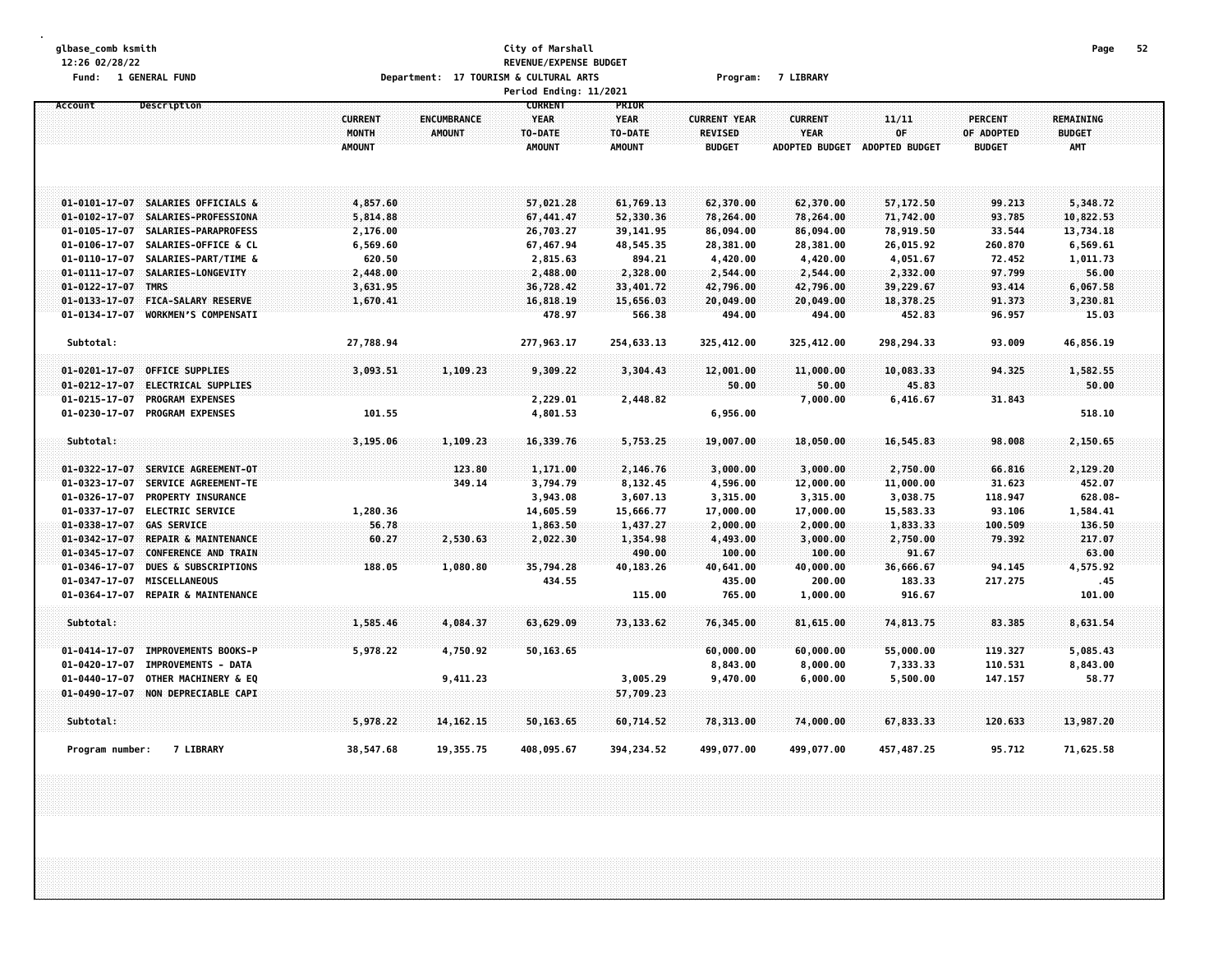## **glbase\_comb ksmith City of Marshall Page 52 12:26 02/28/22 REVENUE/EXPENSE BUDGET** Fund: 1 GENERAL FUND Department: 17 TOURISM & CULTURAL ARTS Program: 7 LIBRARY

|                                                          |                |               | Period Ending: 11/2021 |               |                     |                       |                       |               |               |  |
|----------------------------------------------------------|----------------|---------------|------------------------|---------------|---------------------|-----------------------|-----------------------|---------------|---------------|--|
| Account<br>Description                                   |                |               | <b>CURRENT</b>         | PRIOR         |                     |                       |                       |               |               |  |
|                                                          | <b>CURRENT</b> | ENCUMBRANCE   | <b>YEAR</b>            | <b>YEAR</b>   | <b>CURRENT YEAR</b> | <b>CURRENT</b>        | 11/11                 | PERCENT       | REMAINING     |  |
|                                                          | MONTH          | <b>AMOUNT</b> | TO-DATE                | TO-DATE       | <b>REVISED</b>      | <b>YEAR</b>           | OF                    | OF ADOPTED    | <b>BUDGET</b> |  |
|                                                          | <b>AMOUNT</b>  |               | <b>AMOUNT</b>          | <b>AMOUNT</b> | <b>BUDGET</b>       | <b>ADOPTED BUDGET</b> | <b>ADOPTED BUDGET</b> | <b>BUDGET</b> | <b>AMT</b>    |  |
|                                                          |                |               |                        |               |                     |                       |                       |               |               |  |
|                                                          |                |               |                        |               |                     |                       |                       |               |               |  |
| 01-0101-17-07 SALARIES OFFICIALS &                       | 4,857.60       |               | 57,021.28              | 61,769.13     | 62,370.00           | 62,370.00             | 57,172.50             | 99.213        | 5,348.72      |  |
| SALARIES-PROFESSIONA<br>$01 - 0102 - 17 - 07$            | 5,814.88       |               | 67,441.47              | 52,330.36     | 78,264.00           | 78,264.00             | 71,742.00             | 93.785        | 10,822.53     |  |
| $01 - 0105 - 17 - 07$<br>SALARIES-PARAPROFESS            | 2,176.00       |               | 26,703.27              | 39,141.95     | 86,094.00           | 86,094.00             | 78,919.50             | 33.544        | 13,734.18     |  |
| SALARIES-OFFICE & CL<br>$01 - 0106 - 17 - 07$            | 6,569.60       |               | 67,467.94              | 48,545.35     | 28,381.00           | 28,381.00             | 26,015.92             | 260.870       | 6,569.61      |  |
| 01-0110-17-07<br>SALARIES-PART/TIME &                    | 620.50         |               | 2,815.63               | 894.21        | 4,420.00            | 4,420.00              | 4,051.67              | 72.452        | 1,011.73      |  |
| SALARIES-LONGEVITY<br>$01 - 0111 - 17 - 07$              | 2,448.00       |               | 2,488.00               | 2,328.00      | 2,544.00            | 2,544.00              | 2,332.00              | 97.799        | 56.00         |  |
| 01-0122-17-07 TMRS                                       | 3,631.95       |               | 36,728.42              | 33,401.72     | 42,796.00           | 42,796.00             | 39,229.67             | 93.414        | 6,067.58      |  |
| FICA-SALARY RESERVE<br>$01 - 0133 - 17 - 07$             | 1,670.41       |               | 16,818.19              | 15,656.03     | 20,049.00           | 20,049.00             | 18,378.25             | 91.373        | 3,230.81      |  |
| $01 - 0134 - 17 - 07$<br><b>WORKMEN'S COMPENSATI</b>     |                |               | 478.97                 | 566.38        | 494.00              | 494.00                | 452.83                | 96.957        | 15.03         |  |
|                                                          |                |               |                        |               |                     |                       |                       |               |               |  |
| Subtotal:                                                | 27,788.94      |               | 277,963.17             | 254,633.13    | 325,412.00          | 325,412.00            | 298,294.33            | 93.009        | 46,856.19     |  |
| <b>OFFICE SUPPLIES</b><br>$01 - 0201 - 17 - 07$          | 3,093.51       | 1,109.23      | 9,309.22               | 3,304.43      | 12,001.00           | 11,000.00             | 10,083.33             | 94.325        | 1,582.55      |  |
| ELECTRICAL SUPPLIES<br>$01 - 0212 - 17 - 07$             |                |               |                        |               | 50.00               | 50.00                 | 45.83                 |               | 50.00         |  |
| <b>PROGRAM EXPENSES</b><br>$01 - 0215 - 17 - 07$         |                |               | 2,229.01               | 2,448.82      |                     | 7,000.00              | 6,416.67              | 31.843        |               |  |
| $01 - 0230 - 17 - 07$<br><b>PROGRAM EXPENSES</b>         | 101.55         |               | 4,801.53               |               | 6,956.00            |                       |                       |               | 518.10        |  |
|                                                          |                |               |                        |               |                     |                       |                       |               |               |  |
| Subtotal:                                                | 3,195.06       | 1,109.23      | 16,339.76              | 5,753.25      | 19,007.00           | 18,050.00             | 16,545.83             | 98.008        | 2,150.65      |  |
|                                                          |                |               |                        |               |                     |                       |                       |               |               |  |
| SERVICE AGREEMENT-OT<br>$01 - 0322 - 17 - 07$            |                | 123.80        | 1,171.00               | 2,146.76      | 3,000.00            | 3,000.00              | 2,750.00              | 66.816        | 2,129.20      |  |
| $01 - 0323 - 17 - 07$<br>SERVICE AGREEMENT-TE            |                | 349.14        | 3,794.79               | 8,132.45      | 4,596.00            | 12,000.00             | 11,000.00             | 31.623        | 452.07        |  |
| PROPERTY INSURANCE<br>$01 - 0326 - 17 - 07$              |                |               | 3,943.08               | 3,607.13      | 3,315.00            | 3,315.00              | 3,038.75              | 118.947       | 628.08-       |  |
| 01-0337-17-07<br><b>ELECTRIC SERVICE</b>                 | 1,280.36       |               | 14,605.59              | 15,666.77     | 17,000.00           | 17,000.00             | 15,583.33             | 93.106        | 1,584.41      |  |
| <b>GAS SERVICE</b><br>$01 - 0338 - 17 - 07$              | 56.78          |               | 1,863.50               | 1,437.27      | 2,000.00            | 2,000.00              | 1,833.33              | 100.509       | 136.50        |  |
| <b>REPAIR &amp; MAINTENANCE</b><br>$01 - 0342 - 17 - 07$ | 60.27          | 2,530.63      | 2,022.30               | 1,354.98      | 4,493.00            | 3,000.00              | 2,750.00              | 79.392        | 217.07        |  |
| <b>CONFERENCE AND TRAIN</b><br>$01 - 0345 - 17 - 07$     |                |               |                        | 490.00        | 100.00              | 100.00                | 91.67                 |               | 63.00         |  |
| $01 - 0346 - 17 - 07$<br><b>DUES &amp; SUBSCRIPTIONS</b> | 188.05         | 1,080.80      | 35,794.28              | 40,183.26     | 40,641.00           | 40,000.00             | 36,666.67             | 94.145        | 4,575.92      |  |
| MISCELLANEOUS<br>01-0347-17-07                           |                |               | 434.55                 |               | 435.00              | 200.00                | 183.33                | 217.275       | . 45          |  |
| $01 - 0364 - 17 - 07$<br><b>REPAIR &amp; MAINTENANCE</b> |                |               |                        | 115.00        | 765.00              | 1,000.00              | 916.67                |               | 101.00        |  |
| Subtotal:                                                |                |               |                        |               |                     |                       |                       |               |               |  |
|                                                          | 1,585.46       | 4,084.37      | 63,629.09              | 73, 133.62    | 76,345.00           | 81,615.00             | 74,813.75             | 83.385        | 8,631.54      |  |
| <b>IMPROVEMENTS BOOKS-P</b><br>$01 - 0414 - 17 - 07$     | 5,978.22       | 4,750.92      | 50,163.65              |               | 60,000.00           | 60,000.00             | 55,000.00             | 119.327       | 5,085.43      |  |
| $01 - 0420 - 17 - 07$<br><b>IMPROVEMENTS - DATA</b>      |                |               |                        |               | 8,843.00            | 8,000.00              | 7,333.33              | 110.531       | 8,843.00      |  |
| OTHER MACHINERY & EQ<br>$01 - 0440 - 17 - 07$            |                | 9,411.23      |                        | 3,005.29      | 9,470.00            | 6,000.00              | 5,500.00              | 147.157       | 58.77         |  |
| 01-0490-17-07 NON DEPRECIABLE CAPI                       |                |               |                        | 57,709.23     |                     |                       |                       |               |               |  |
|                                                          |                |               |                        |               |                     |                       |                       |               |               |  |
| Subtotal:                                                | 5,978.22       | 14, 162. 15   | 50,163.65              | 60,714.52     | 78,313.00           | 74,000.00             | 67,833.33             | 120.633       | 13,987.20     |  |
| <b>7 LIBRARY</b><br>Program number:                      | 38,547.68      | 19,355.75     | 408,095.67             | 394, 234.52   | 499,077.00          | 499,077.00            | 457, 487.25           | 95.712        | 71,625.58     |  |
|                                                          |                |               |                        |               |                     |                       |                       |               |               |  |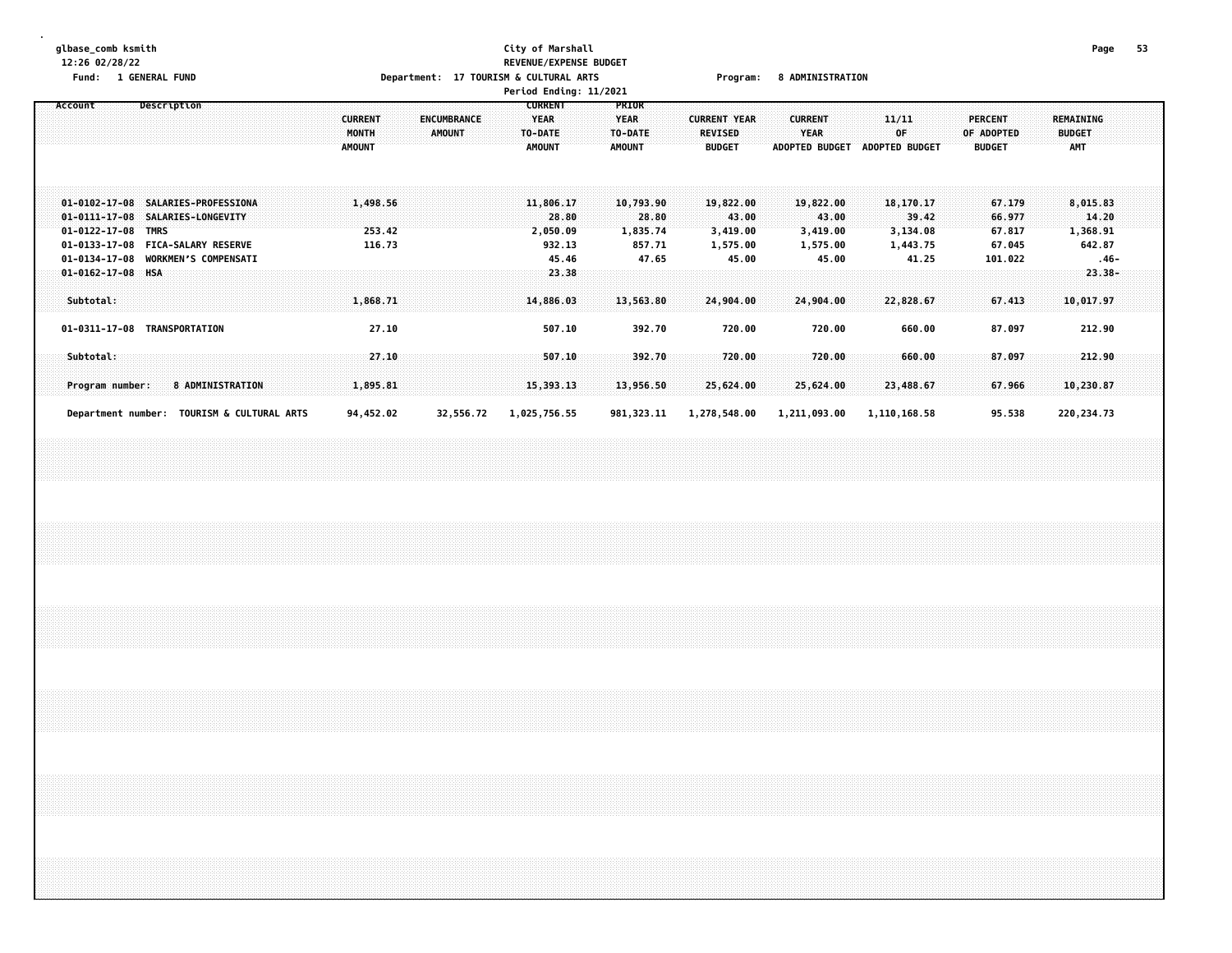## **glbase\_comb ksmith City of Marshall Page 53 12:26 02/28/22 REVENUE/EXPENSE BUDGET** Fund: 1 GENERAL FUND CONTENTS TO Department: 17 TOURISM & CULTURAL ARTS Program: 8 ADMINISTRATION

|                                                                 |                                                                                                                                                    |                                          |                                     | Period Ending: 11/2021                                    |                                                   |                                                        |                                                        |                                            |                                               |                                                 |  |
|-----------------------------------------------------------------|----------------------------------------------------------------------------------------------------------------------------------------------------|------------------------------------------|-------------------------------------|-----------------------------------------------------------|---------------------------------------------------|--------------------------------------------------------|--------------------------------------------------------|--------------------------------------------|-----------------------------------------------|-------------------------------------------------|--|
| Account                                                         | Description                                                                                                                                        | <b>CURRENT</b><br>MONTH<br><b>AMOUNT</b> | <b>ENCUMBRANCE</b><br><b>AMOUNT</b> | <b>CURRENT</b><br><b>YEAR</b><br>TO-DATE<br><b>AMOUNT</b> | PRIOR<br><b>YEAR</b><br>TO-DATE<br><b>AMOUNT</b>  | <b>CURRENT YEAR</b><br><b>REVISED</b><br><b>BUDGET</b> | <b>CURRENT</b><br><b>YEAR</b><br><b>ADOPTED BUDGET</b> | 11/11<br>0F<br><b>ADOPTED BUDGET</b>       | <b>PERCENT</b><br>OF ADOPTED<br><b>BUDGET</b> | <b>REMAINING</b><br><b>BUDGET</b><br><b>AMT</b> |  |
| $01 - 0122 - 17 - 08$<br>$01 - 0133 - 17 - 08$<br>01-0134-17-08 | 01-0102-17-08 SALARIES-PROFESSIONA<br>01-0111-17-08 SALARIES-LONGEVITY<br><b>TMRS</b><br><b>FICA-SALARY RESERVE</b><br><b>WORKMEN'S COMPENSATI</b> | 1,498.56<br>253.42<br>116.73             |                                     | 11,806.17<br>28.80<br>2,050.09<br>932.13<br>45.46         | 10,793.90<br>28.80<br>1,835.74<br>857.71<br>47.65 | 19,822.00<br>43.00<br>3,419.00<br>1,575.00             | 19,822.00<br>43.00<br>3,419.00<br>1,575.00             | 18,170.17<br>39.42<br>3,134.08<br>1,443.75 | 67.179<br>66.977<br>67.817<br>67.045          | 8,015.83<br>14.20<br>1,368.91<br>642.87         |  |
| $01 - 0162 - 17 - 08$<br>Subtotal:                              | HSA                                                                                                                                                | 1,868.71                                 |                                     | 23.38<br>14,886.03                                        | 13,563.80                                         | 45.00<br>24,904.00                                     | 45.00<br>24,904.00                                     | 41.25<br>22,828.67                         | 101.022<br>67.413                             | $.46 -$<br>$23.38 -$<br>10,017.97               |  |
| Subtotal:<br>Program number:                                    | 01-0311-17-08 TRANSPORTATION<br><b>8 ADMINISTRATION</b>                                                                                            | 27.10<br>27.10<br>1,895.81               |                                     | 507.10<br>507.10<br>15,393.13                             | 392.70<br>392.70<br>13,956.50                     | 720.00<br>720.00<br>25,624.00                          | 720.00<br>720.00<br>25,624.00                          | 660.00<br>660.00<br>23,488.67              | 87.097<br>87.097<br>67.966                    | 212.90<br>212.90<br>10,230.87                   |  |
|                                                                 | Department number: TOURISM & CULTURAL ARTS                                                                                                         | 94,452.02                                | 32,556.72                           | 1,025,756.55                                              | 981, 323.11                                       | 1,278,548.00                                           | 1,211,093.00                                           | 1,110,168.58                               | 95.538                                        | 220, 234.73                                     |  |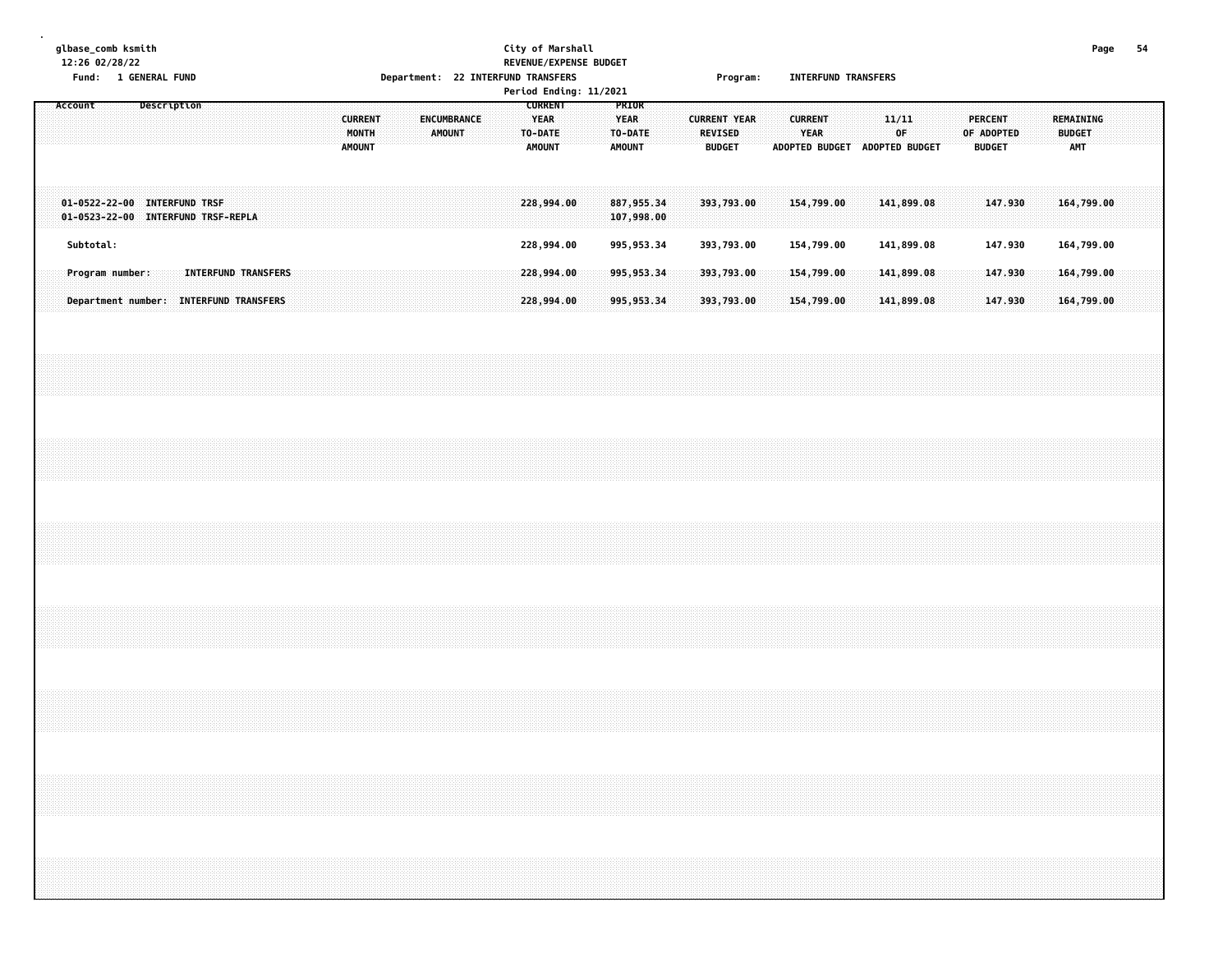# **glbase\_comb ksmith City of Marshall Page 54 12:26 02/28/22 REVENUE/EXPENSE BUDGET Fund: 1 GENERAL FUND Department: 22 INTERFUND TRANSFERS Program: INTERFUND TRANSFERS**

|  |         |           |                                                                    |             |  |  |                                        |  |  |                                          |  |        |             |  |                                                           | Period Ending: 11/2021 |                                                  |  |                                 |                     |  |                        |                               |  |              |  |                                 |            |  |                                          |  |  |
|--|---------|-----------|--------------------------------------------------------------------|-------------|--|--|----------------------------------------|--|--|------------------------------------------|--|--------|-------------|--|-----------------------------------------------------------|------------------------|--------------------------------------------------|--|---------------------------------|---------------------|--|------------------------|-------------------------------|--|--------------|--|---------------------------------|------------|--|------------------------------------------|--|--|
|  | Account |           |                                                                    | Description |  |  |                                        |  |  | <b>CURRENT</b><br>MONTH<br><b>AMOUNT</b> |  | AMOUNT | ENCUMBRANCE |  | <b>CURRENT</b><br><b>YEAR</b><br>TO-DATE<br><b>AMOUNT</b> |                        | PRIOR<br><b>YEAR</b><br>TO-DATE<br><b>AMOUNT</b> |  | <b>REVISED</b><br><b>BUDGET</b> | <b>CURRENT YEAR</b> |  | <b>CURRENT</b><br>YEAR | ADOPTED BUDGET ADOPTED BUDGET |  | 11/11<br>0F. |  | <b>PERCENT</b><br><b>BUDGET</b> | OF ADOPTED |  | <b>REMAINING</b><br><b>BUDGET</b><br>AMT |  |  |
|  |         |           | 01-0522-22-00 INTERFUND TRSF<br>01-0523-22-00 INTERFUND TRSF-REPLA |             |  |  |                                        |  |  |                                          |  |        |             |  | 228,994.00                                                |                        | 887, 955.34<br>107,998.00                        |  |                                 | 393,793.00          |  |                        | 154,799.00                    |  | 141,899.08   |  |                                 | 147.930    |  | 164,799.00                               |  |  |
|  |         | Subtotal: |                                                                    |             |  |  |                                        |  |  |                                          |  |        |             |  | 228,994.00                                                |                        | 995, 953.34                                      |  |                                 | 393,793.00          |  |                        | 154,799.00                    |  | 141,899.08   |  |                                 | 147.930    |  | 164,799.00                               |  |  |
|  |         |           | Program number:                                                    |             |  |  | <b>INTERFUND TRANSFERS</b>             |  |  |                                          |  |        |             |  | 228,994.00                                                |                        | 995,953.34                                       |  |                                 | 393,793.00          |  |                        | 154,799.00                    |  | 141,899.08   |  |                                 | 147.930    |  | 164,799.00                               |  |  |
|  |         |           |                                                                    |             |  |  | Department number: INTERFUND TRANSFERS |  |  |                                          |  |        |             |  | 228,994.00                                                |                        | 995, 953.34                                      |  |                                 | 393,793.00          |  |                        | 154,799.00                    |  | 141,899.08   |  |                                 | 147.930    |  | 164,799.00                               |  |  |
|  |         |           |                                                                    |             |  |  |                                        |  |  |                                          |  |        |             |  |                                                           |                        |                                                  |  |                                 |                     |  |                        |                               |  |              |  |                                 |            |  |                                          |  |  |
|  |         |           |                                                                    |             |  |  |                                        |  |  |                                          |  |        |             |  |                                                           |                        |                                                  |  |                                 |                     |  |                        |                               |  |              |  |                                 |            |  |                                          |  |  |
|  |         |           |                                                                    |             |  |  |                                        |  |  |                                          |  |        |             |  |                                                           |                        |                                                  |  |                                 |                     |  |                        |                               |  |              |  |                                 |            |  |                                          |  |  |
|  |         |           |                                                                    |             |  |  |                                        |  |  |                                          |  |        |             |  |                                                           |                        |                                                  |  |                                 |                     |  |                        |                               |  |              |  |                                 |            |  |                                          |  |  |
|  |         |           |                                                                    |             |  |  |                                        |  |  |                                          |  |        |             |  |                                                           |                        |                                                  |  |                                 |                     |  |                        |                               |  |              |  |                                 |            |  |                                          |  |  |
|  |         |           |                                                                    |             |  |  |                                        |  |  |                                          |  |        |             |  |                                                           |                        |                                                  |  |                                 |                     |  |                        |                               |  |              |  |                                 |            |  |                                          |  |  |
|  |         |           |                                                                    |             |  |  |                                        |  |  |                                          |  |        |             |  |                                                           |                        |                                                  |  |                                 |                     |  |                        |                               |  |              |  |                                 |            |  |                                          |  |  |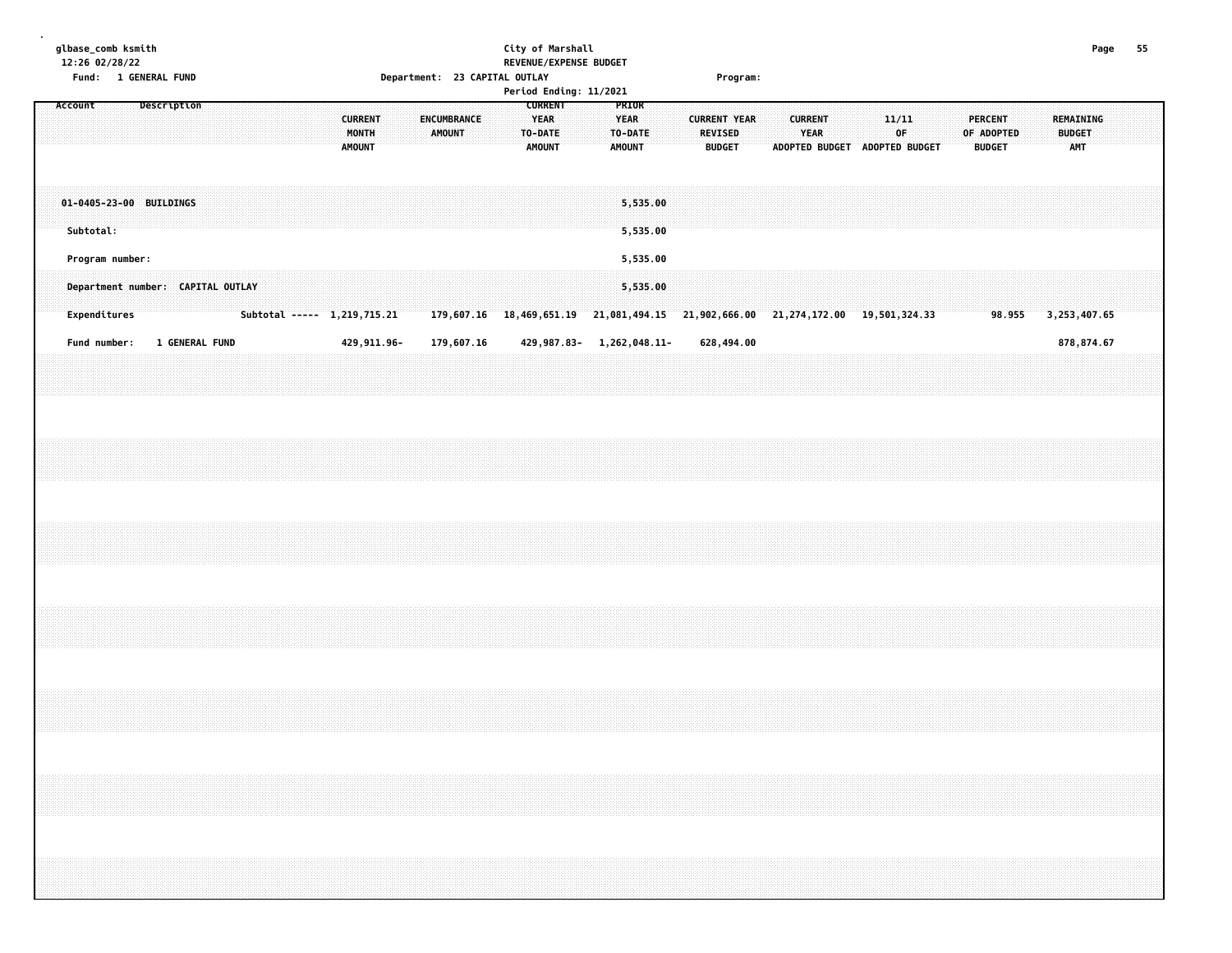| Page 55                                                              |                                                  |                                      |                                                                                  |                               |  |  |                                                                                  |  |
|----------------------------------------------------------------------|--------------------------------------------------|--------------------------------------|----------------------------------------------------------------------------------|-------------------------------|--|--|----------------------------------------------------------------------------------|--|
|                                                                      | REMAINING<br><b>BUDGET</b><br>AMT                |                                      | 3, 253, 407.65                                                                   | 878,874.67                    |  |  |                                                                                  |  |
|                                                                      |                                                  |                                      |                                                                                  |                               |  |  |                                                                                  |  |
|                                                                      |                                                  |                                      |                                                                                  |                               |  |  |                                                                                  |  |
|                                                                      | OF ADOPTED<br><b>BUDGET</b>                      |                                      | 98.955                                                                           |                               |  |  | ,我们就会在这里的时候,我们就会在这里的时候,我们就会在这里的时候,我们就会在这里的时候,我们就会在这里的时候,我们就会在这里的时候,我们就会在这里的时候,我们 |  |
|                                                                      | <b>PERCENT</b>                                   |                                      |                                                                                  |                               |  |  |                                                                                  |  |
|                                                                      |                                                  |                                      |                                                                                  |                               |  |  |                                                                                  |  |
|                                                                      | ADOPTED BUDGET ADOPTED BUDGET                    |                                      |                                                                                  |                               |  |  |                                                                                  |  |
|                                                                      | 11/11<br>0F.                                     |                                      |                                                                                  |                               |  |  |                                                                                  |  |
|                                                                      |                                                  |                                      |                                                                                  |                               |  |  |                                                                                  |  |
|                                                                      |                                                  |                                      |                                                                                  |                               |  |  |                                                                                  |  |
|                                                                      |                                                  |                                      |                                                                                  |                               |  |  |                                                                                  |  |
|                                                                      | <b>CURRENT</b><br>YEAR                           |                                      |                                                                                  |                               |  |  |                                                                                  |  |
|                                                                      |                                                  |                                      |                                                                                  |                               |  |  |                                                                                  |  |
|                                                                      |                                                  |                                      |                                                                                  |                               |  |  |                                                                                  |  |
| Program:                                                             | <b>BUDGET</b>                                    |                                      |                                                                                  | 628,494.00                    |  |  |                                                                                  |  |
|                                                                      | <b>CURRENT YEAR</b><br>REVISED                   |                                      |                                                                                  |                               |  |  |                                                                                  |  |
|                                                                      |                                                  |                                      |                                                                                  |                               |  |  |                                                                                  |  |
|                                                                      |                                                  | 5,535.00<br>5,535.00                 | 5,535.00<br>5,535.00                                                             |                               |  |  |                                                                                  |  |
|                                                                      | PRIOR<br><b>YEAR</b><br>TO-DATE<br><b>AMOUNT</b> |                                      |                                                                                  |                               |  |  |                                                                                  |  |
|                                                                      |                                                  |                                      |                                                                                  |                               |  |  |                                                                                  |  |
|                                                                      |                                                  |                                      |                                                                                  |                               |  |  |                                                                                  |  |
|                                                                      | <b>CURRENT</b><br><b>YEAR</b><br><b>AMOUNT</b>   |                                      |                                                                                  |                               |  |  |                                                                                  |  |
| City of Marshall<br>REVENUE/EXPENSE BUDGET<br>Period Ending: 11/2021 | TO-DATE                                          |                                      | 179,607.16 18,469,651.19 21,081,494.15 21,902,666.00 21,274,172.00 19,501,324.33 | 429, 987. 83-1, 262, 048. 11- |  |  |                                                                                  |  |
|                                                                      |                                                  |                                      |                                                                                  |                               |  |  |                                                                                  |  |
|                                                                      |                                                  |                                      |                                                                                  | 179,607.16                    |  |  |                                                                                  |  |
|                                                                      | ENCUMBRANCE<br><b>AMOUNT</b>                     |                                      |                                                                                  |                               |  |  |                                                                                  |  |
| Department: 23 CAPITAL OUTLAY                                        |                                                  |                                      |                                                                                  |                               |  |  |                                                                                  |  |
|                                                                      |                                                  |                                      |                                                                                  |                               |  |  |                                                                                  |  |
|                                                                      |                                                  |                                      |                                                                                  | 429,911.96-                   |  |  |                                                                                  |  |
|                                                                      | <b>CURRENT</b><br>MONTH<br><b>AMOUNT</b>         |                                      | Subtotal ----- 1,219,715.21                                                      |                               |  |  |                                                                                  |  |
|                                                                      |                                                  |                                      |                                                                                  |                               |  |  |                                                                                  |  |
|                                                                      |                                                  |                                      |                                                                                  |                               |  |  |                                                                                  |  |
|                                                                      |                                                  |                                      |                                                                                  |                               |  |  |                                                                                  |  |
|                                                                      |                                                  |                                      |                                                                                  |                               |  |  |                                                                                  |  |
|                                                                      |                                                  |                                      | Department number: CAPITAL OUTLAY                                                | <b>1 GENERAL FUND</b>         |  |  |                                                                                  |  |
|                                                                      |                                                  |                                      |                                                                                  |                               |  |  |                                                                                  |  |
| Fund: 1 GENERAL FUND                                                 | Description                                      |                                      |                                                                                  |                               |  |  |                                                                                  |  |
|                                                                      |                                                  |                                      |                                                                                  |                               |  |  |                                                                                  |  |
|                                                                      |                                                  |                                      |                                                                                  |                               |  |  |                                                                                  |  |
|                                                                      |                                                  |                                      |                                                                                  |                               |  |  |                                                                                  |  |
| glbase_comb ksmith<br>12:26 02/28/22                                 | Account                                          | 01-0405-23-00 BUILDINGS<br>Subtotal: | Program number:<br>Expenditures                                                  | Fund number:                  |  |  |                                                                                  |  |
|                                                                      |                                                  |                                      |                                                                                  |                               |  |  |                                                                                  |  |
|                                                                      |                                                  |                                      |                                                                                  |                               |  |  |                                                                                  |  |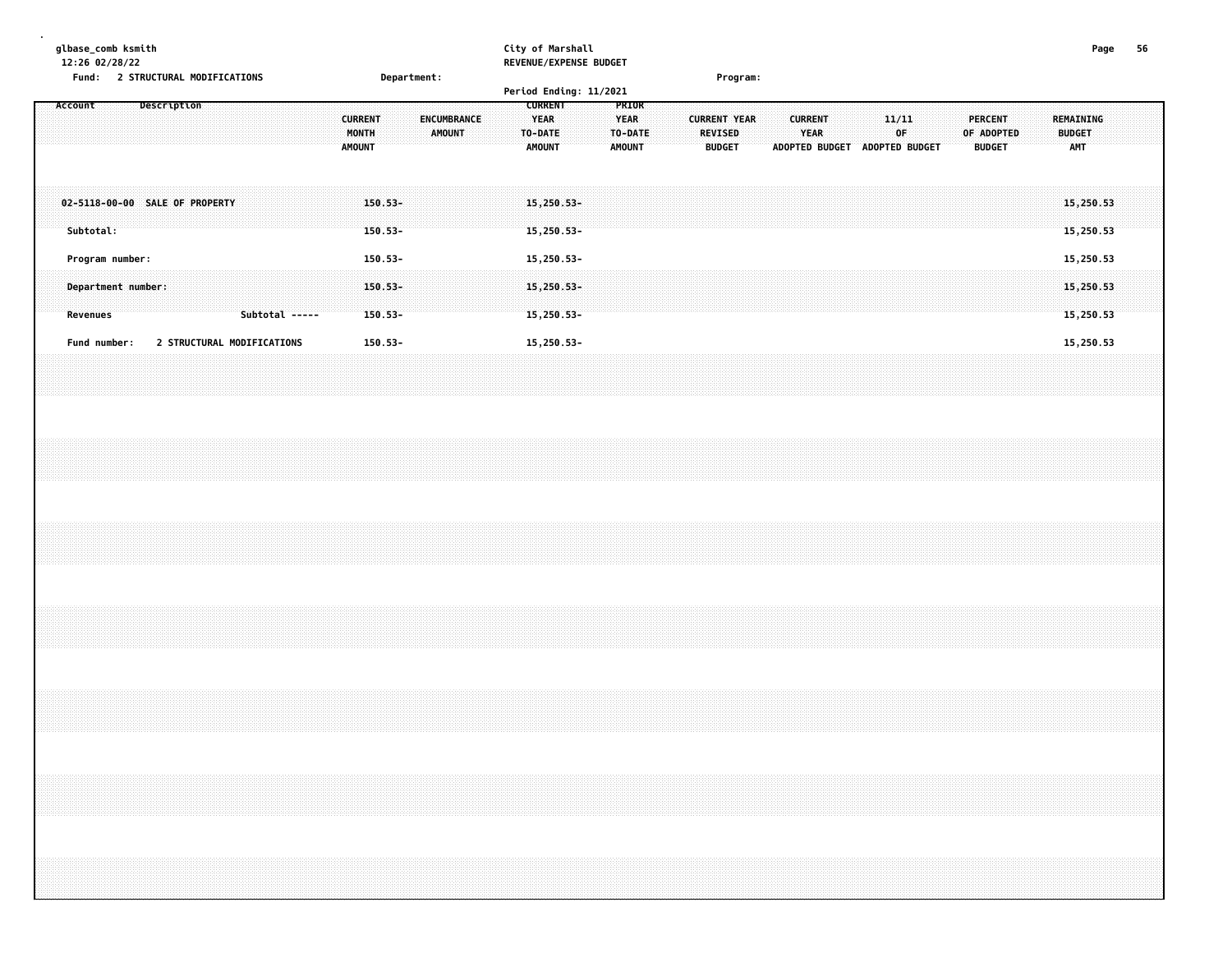| glbase_comb ksmith<br>$12:26$ 02/28/22<br>Fund: |  | 2 STRUCTURAL MODIFICATIONS |  |  |  |                                          |                       | <b>Department:</b> |               |                    |  | City of Marshall                                                 | REVENUE/EXPENSE BUDGET<br>Period Ending: 11/2021 |                                                         |  |                                 | <b>Program:</b>     |                       |                        |  |              |                |  |                       |               |  |                             | Page                   |  |  |
|-------------------------------------------------|--|----------------------------|--|--|--|------------------------------------------|-----------------------|--------------------|---------------|--------------------|--|------------------------------------------------------------------|--------------------------------------------------|---------------------------------------------------------|--|---------------------------------|---------------------|-----------------------|------------------------|--|--------------|----------------|--|-----------------------|---------------|--|-----------------------------|------------------------|--|--|
| Account                                         |  | Description                |  |  |  | <b>CURRENT</b><br>MONTH<br><b>AMOUNT</b> |                       |                    | <b>AMOUNT</b> | <b>ENCUMBRANCE</b> |  | <b>CURRENT</b><br><b>YEAR</b><br><b>TO-DATE</b><br><b>AMOUNT</b> |                                                  | PRIOR<br><b>YEAR</b><br><b>TO-DATE</b><br><b>AMOUNT</b> |  | <b>REVISED</b><br><b>BUDGET</b> | <b>CURRENT YEAR</b> | <b>ADOPTED BUDGET</b> | <b>CURRENT</b><br>YEAR |  | 11/11<br>0F. | ADOPTED BUDGET |  | PERCENT<br>OF ADOPTED | <b>BUDGET</b> |  | <b>BUDGET</b><br><b>AMT</b> | REMAINING              |  |  |
| 02-5118-00-00 SALE OF PROPERTY<br>Subtotal:     |  |                            |  |  |  |                                          | $150.53 -$<br>150.53- |                    |               |                    |  | $15,250.53-$<br>$15,250.53-$                                     |                                                  |                                                         |  |                                 |                     |                       |                        |  |              |                |  |                       |               |  |                             | 15.250.53<br>15,250.53 |  |  |

|  | Department number: | Revenues | Subtotal ----- Subtotal | $150.53 -$<br>$150.53 -$ | 1929292929292929292929292929292 | $15.250.53 -$<br>$15.250.53 -$ | 150.53-<br>15.250.53-<br>Program number: |  |  |  |  |  |  |  | 15.250.53<br>15.250.53<br>15.250.53<br>$150.53 -$<br><b>STRUCTURAL MODIFICATIONS</b><br>15,250.53<br>15,250.53-<br>Fund number: |
|--|--------------------|----------|-------------------------|--------------------------|---------------------------------|--------------------------------|------------------------------------------|--|--|--|--|--|--|--|---------------------------------------------------------------------------------------------------------------------------------|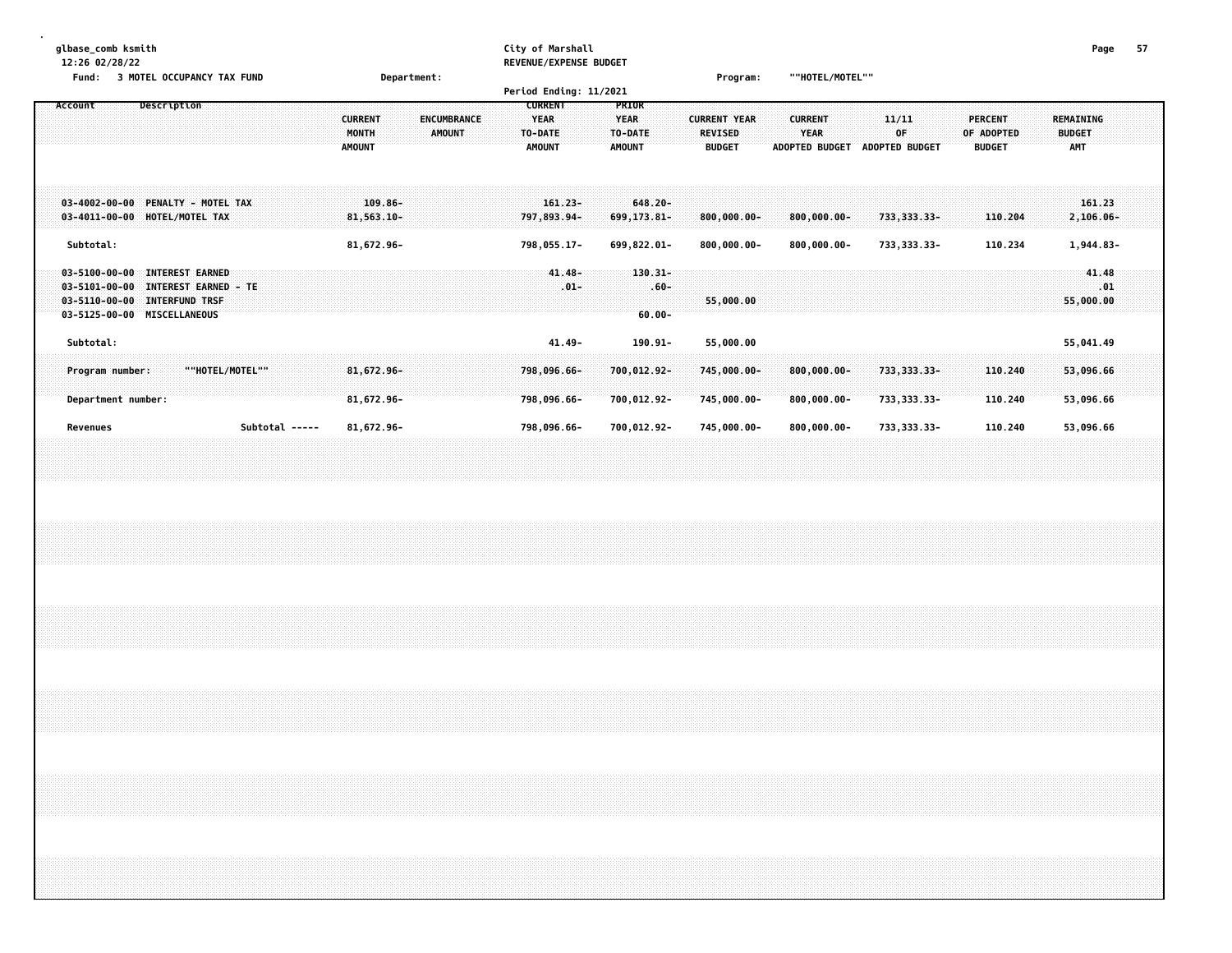| glbase comb ksmith<br>12:26 02/28/22<br>3 MOTEL OCCUPANCY TAX FUND<br><b>Fund:</b>                                                                                                                         | Department:                                                                            | City of Marshall<br>REVENUE/EXPENSE BUDGET<br>Period Ending: 11/2021 |                                                         | Program:                                               | ""HOTEL/MOTEL""                                        |                                      |                                               | Page                                            | 57 |
|------------------------------------------------------------------------------------------------------------------------------------------------------------------------------------------------------------|----------------------------------------------------------------------------------------|----------------------------------------------------------------------|---------------------------------------------------------|--------------------------------------------------------|--------------------------------------------------------|--------------------------------------|-----------------------------------------------|-------------------------------------------------|----|
| Description<br>Account                                                                                                                                                                                     | <b>ENCUMBRANCE</b><br><b>CURRENT</b><br><b>MONTH</b><br><b>AMOUNT</b><br><b>AMOUNT</b> | <b>CURRENT</b><br><b>YEAR</b><br>TO-DATE<br><b>AMOUNT</b>            | <b>PRIOR</b><br><b>YEAR</b><br>TO-DATE<br><b>AMOUNT</b> | <b>CURRENT YEAR</b><br><b>REVISED</b><br><b>BUDGET</b> | <b>CURRENT</b><br><b>YEAR</b><br><b>ADOPTED BUDGET</b> | 11/11<br>OF<br><b>ADOPTED BUDGET</b> | <b>PERCENT</b><br>OF ADOPTED<br><b>BUDGET</b> | <b>REMAINING</b><br><b>BUDGET</b><br><b>AMT</b> |    |
| PENALTY - MOTEL TAX<br>$03 - 4002 - 00 - 00$<br>$03 - 4011 - 00 - 00$<br>HOTEL/MOTEL TAX                                                                                                                   | $109.86 -$<br>$81,563.10 -$                                                            | $161, 23 -$<br>797,893.94-                                           | $648.20 -$<br>$699, 173.81 -$                           | $800,000.00 -$                                         | $800,000.00 -$                                         | 733.333.33-                          | 110.204                                       | 161.23<br>2,106.06-                             |    |
| Subtotal:                                                                                                                                                                                                  | 81,672.96-                                                                             | 798.055.17-                                                          | 699.822.01-                                             | 800,000.00-                                            | $800,000.00 -$                                         | 733,333.33-                          | 110.234                                       | 1,944.83-                                       |    |
| <b>INTEREST EARNED</b><br>$03 - 5100 - 00 - 00$<br><b>INTEREST EARNED - TE</b><br>$03 - 5101 - 00 - 00$<br>$03 - 5110 - 00 - 00$<br><b>INTERFUND TRSF</b><br>$03 - 5125 - 00 - 00$<br><b>MISCELLANEOUS</b> |                                                                                        | $41.48 -$<br>$.01 -$                                                 | $130.31 -$<br>$.60 -$<br>$60.00 -$                      | 55,000.00                                              |                                                        |                                      |                                               | 41.48<br>.01<br>55,000.00                       |    |
| Subtotal:                                                                                                                                                                                                  |                                                                                        | $41.49 -$                                                            | 190.91-                                                 | 55,000.00                                              |                                                        |                                      |                                               | 55,041.49                                       |    |
| ""HOTEL/MOTEL""<br>Program number:<br>Department number:                                                                                                                                                   | $81,672.96 -$<br>81,672.96-                                                            | 798,096.66-<br>798,096.66-                                           | 700,012.92-<br>700,012.92-                              | 745,000.00-<br>745,000.00-                             | $800,000.00 -$<br>$800,000.00 -$                       | 733, 333. 33-<br>733, 333. 33-       | 110.240<br>110.240                            | 53,096.66<br>53,096.66                          |    |
| Subtotal -----<br>Revenues                                                                                                                                                                                 | 81,672.96-                                                                             | 798,096.66-                                                          | 700,012.92-                                             | 745,000.00-                                            | $800,000.00 -$                                         | 733, 333. 33-                        | 110.240                                       | 53,096.66                                       |    |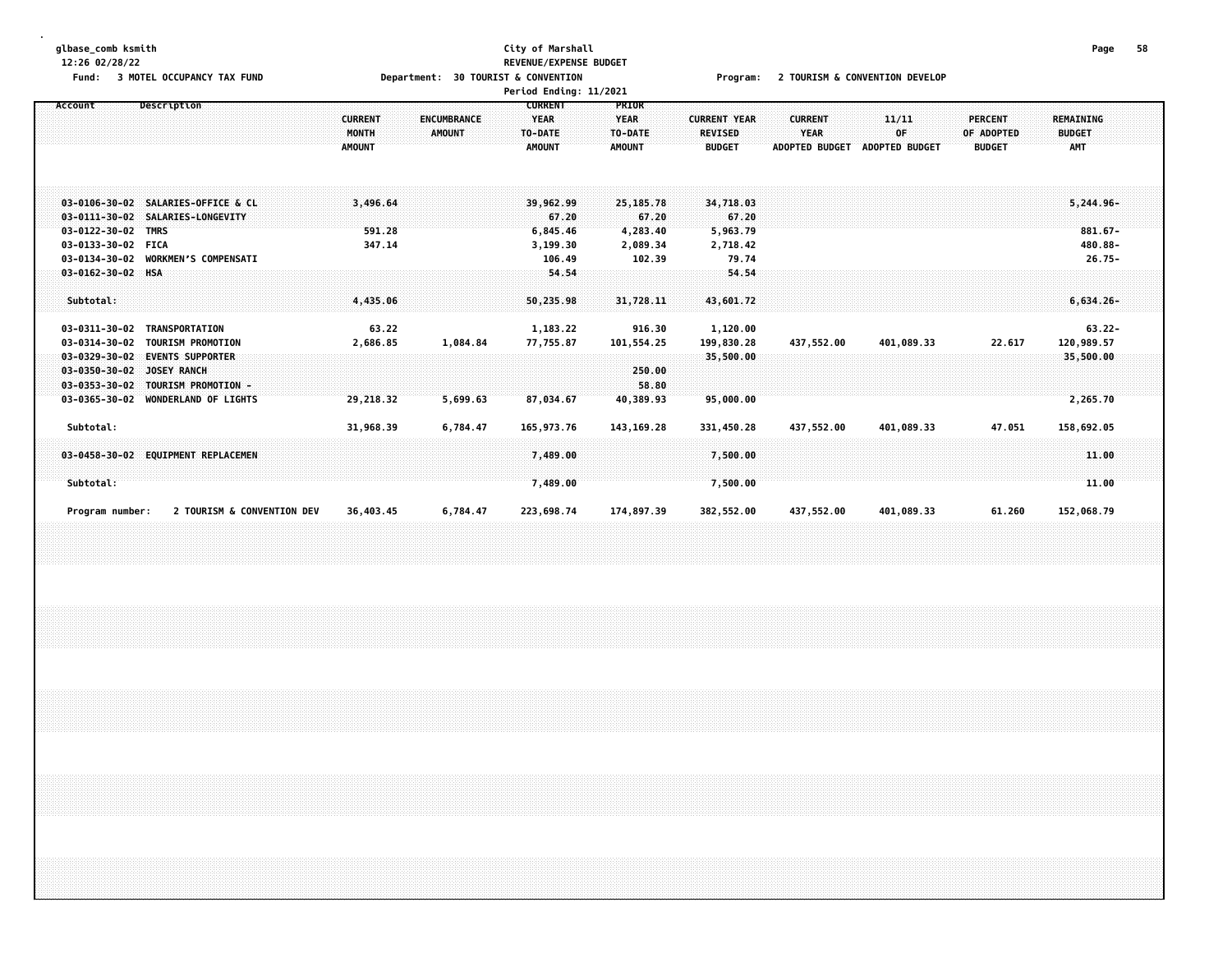#### **glbase\_comb ksmith City of Marshall Page 58 12:26 02/28/22 REVENUE/EXPENSE BUDGET**

Fund: 3 MOTEL OCCUPANCY TAX FUND **Department: 30 TOURIST & CONVENTION** Program: 2 TOURISM & CONVENTION DEVELOP

|                                                                                       |                                                                                                                                               |                                                 |                       | Period Ending: 11/2021                                    |                                                      |                                                        |                                                        |                                      |                                               |                                                   |  |
|---------------------------------------------------------------------------------------|-----------------------------------------------------------------------------------------------------------------------------------------------|-------------------------------------------------|-----------------------|-----------------------------------------------------------|------------------------------------------------------|--------------------------------------------------------|--------------------------------------------------------|--------------------------------------|-----------------------------------------------|---------------------------------------------------|--|
| Account                                                                               | Description                                                                                                                                   | <b>CURRENT</b><br><b>MONTH</b><br><b>AMOUNT</b> | ENCUMBRANCE<br>AMOUNT | <b>CURRENT</b><br><b>YEAR</b><br>TO-DATE<br><b>AMOUNT</b> | <b>PRIOR</b><br><b>YEAR</b><br>TO-DATE<br>AMOUNT     | <b>CURRENT YEAR</b><br><b>REVISED</b><br><b>BUDGET</b> | <b>CURRENT</b><br><b>YEAR</b><br><b>ADOPTED BUDGET</b> | 11/11<br>OF<br><b>ADOPTED BUDGET</b> | <b>PERCENT</b><br>OF ADOPTED<br><b>BUDGET</b> | <b>REMAINING</b><br><b>BUDGET</b><br><b>AMT</b>   |  |
| $03 - 0111 - 30 - 02$<br>$03 - 0122 - 30 - 02$<br>03-0133-30-02 FICA<br>03-0134-30-02 | 03-0106-30-02 SALARIES-OFFICE & CL<br>SALARIES-LONGEVITY<br><b>TMRS</b><br><b>WORKMEN'S COMPENSATI</b>                                        | 3,496.64<br>591.28<br>347.14                    |                       | 39,962,99<br>67.20<br>6,845.46<br>3,199.30<br>106.49      | 25,185.78<br>67.20<br>4,283.40<br>2,089.34<br>102.39 | 34,718.03<br>67.20<br>5,963.79<br>2,718.42<br>79.74    |                                                        |                                      |                                               | $5,244.96-$<br>$881.67 -$<br>480.88-<br>$26.75 -$ |  |
| $03 - 0162 - 30 - 02$ HSA<br>Subtotal:<br>03-0311-30-02                               | TRANSPORTATION                                                                                                                                | 4,435.06<br>63.22                               |                       | 54.54<br>50,235.98<br>1,183.22                            | 31,728.11<br>916.30                                  | 54.54<br>43,601.72<br>1,120.00                         |                                                        |                                      |                                               | $6,634,26-$<br>$63.22 -$                          |  |
| 03-0314-30-02<br>$03 - 0329 - 30 - 02$<br>$03 - 0350 - 30 - 02$<br>03-0365-30-02      | <b>TOURISM PROMOTION</b><br><b>EVENTS SUPPORTER</b><br><b>JOSEY RANCH</b><br>03-0353-30-02 TOURISM PROMOTION -<br><b>WONDERLAND OF LIGHTS</b> | 2,686.85<br>29,218.32                           | 1,084.84<br>5,699.63  | 77,755.87<br>87,034.67                                    | 101,554.25<br>250.00<br>58.80<br>40,389.93           | 199,830.28<br>35,500.00<br>95,000.00                   | 437,552.00                                             | 401,089.33                           | 22.617                                        | 120,989.57<br>35,500.00<br>2,265.70               |  |
| Subtotal:<br>Subtotal:                                                                | 03-0458-30-02 EQUIPMENT REPLACEMEN                                                                                                            | 31,968.39                                       | 6,784.47              | 165,973.76<br>7,489.00<br>7,489.00                        | 143, 169. 28                                         | 331,450.28<br>7,500.00<br>7,500.00                     | 437,552.00                                             | 401,089.33                           | 47.051                                        | 158,692.05<br>11.00<br>11.00                      |  |
| Program number:                                                                       | 2 TOURISM & CONVENTION DEV                                                                                                                    | 36,403.45                                       | 6,784.47              | 223,698.74                                                | 174,897.39                                           | 382,552.00                                             | 437,552.00                                             | 401,089.33                           | 61.260                                        | 152,068.79                                        |  |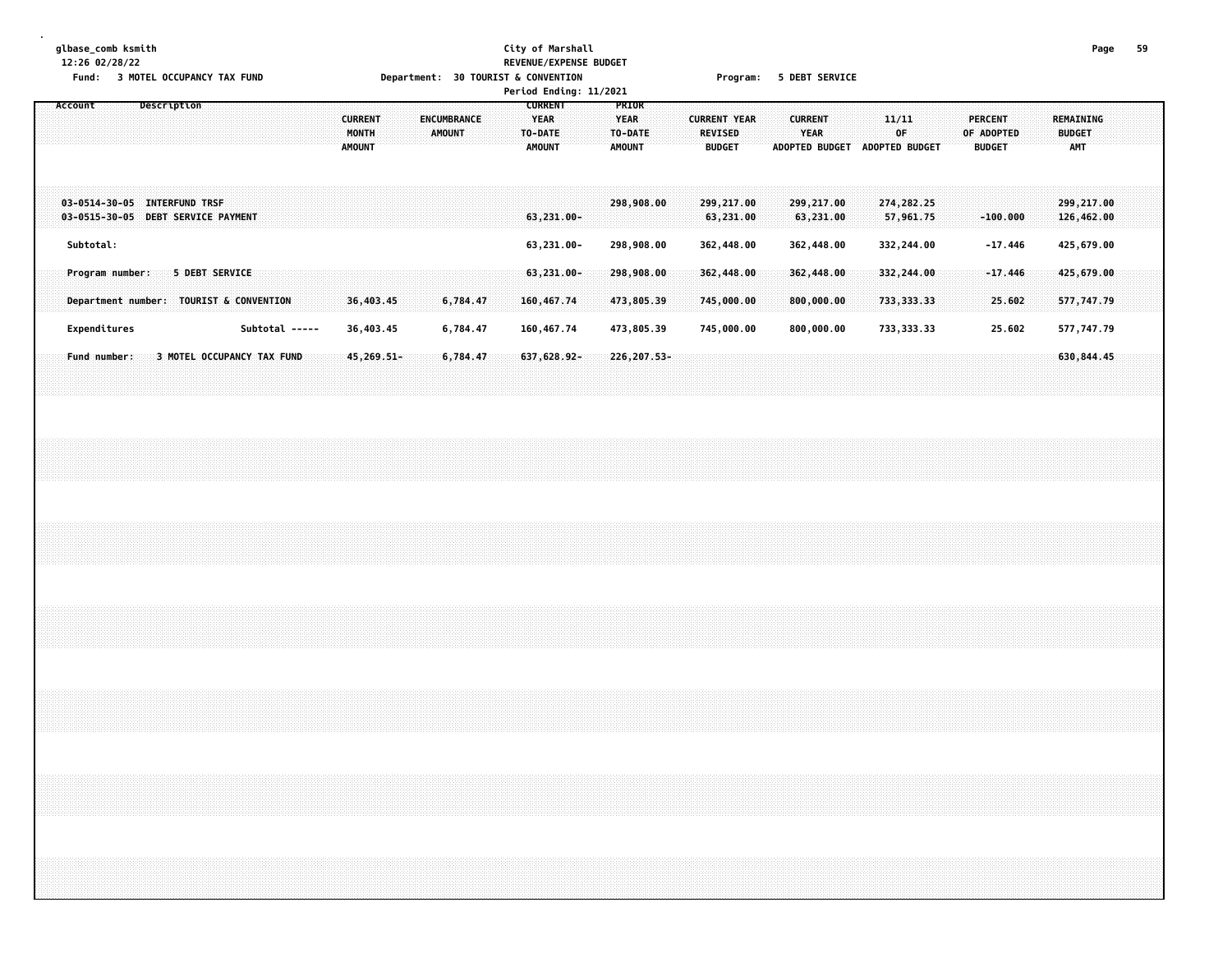# **glbase\_comb ksmith City of Marshall Page 59 12:26 02/28/22 REVENUE/EXPENSE BUDGET** Fund: 3 MOTEL OCCUPANCY TAX FUND **Department: 30 TOURIST & CONVENTION** Program: 5 DEBT SERVICE

|                                                                                                 |                                                                                 | Period Ending: 11/2021                      |                                                                                                            |                                                                                                |                                                                                    |
|-------------------------------------------------------------------------------------------------|---------------------------------------------------------------------------------|---------------------------------------------|------------------------------------------------------------------------------------------------------------|------------------------------------------------------------------------------------------------|------------------------------------------------------------------------------------|
| Description<br>Account                                                                          | <b>CURRENT</b><br><b>ENCUMBRANCE</b><br>MONTH<br><b>AMOUNT</b><br><b>AMOUNT</b> | <b>CURRENT</b><br>YEAR<br>TO-DATE<br>AMOUNT | PRIOR<br><b>YEAR</b><br><b>CURRENT YEAR</b><br>TO-DATE<br><b>REVISED</b><br><b>BUDGET</b><br><b>AMOUNT</b> | <b>CURRENT</b><br>11/11<br><b>YEAR</b><br>0F<br><b>ADOPTED BUDGET</b><br><b>ADOPTED BUDGET</b> | PERCENT<br>REMAINING<br>OF ADOPTED<br><b>BUDGET</b><br><b>AMT</b><br><b>BUDGET</b> |
| $03 - 0514 - 30 - 05$<br><b>INTERFUND TRSF</b><br>DEBT SERVICE PAYMENT<br>$03 - 0515 - 30 - 05$ |                                                                                 | $63,231.00 -$                               | 298,908.00<br>299,217.00<br>63,231.00                                                                      | 299,217.00<br>274, 282. 25<br>63,231.00<br>57,961.75                                           | 299,217.00<br>126,462.00<br>$-100.000$                                             |
| Subtotal:                                                                                       |                                                                                 | 63,231.00-                                  | 298,908.00<br>362,448.00                                                                                   | 332,244.00<br>362,448.00                                                                       | 425,679.00<br>$-17.446$                                                            |
| <b>5 DEBT SERVICE</b><br>Program number:<br>Department number: TOURIST & CONVENTION             | 36,403.45<br>6,784.47                                                           | $63,231.00 -$<br>160,467.74                 | 298,908.00<br>362,448.00<br>473,805.39<br>745,000.00                                                       | 332,244.00<br>362,448.00<br>733, 333, 33<br>800,000.00                                         | $-17.446$<br>425,679.00<br>577,747.79<br>25.602                                    |
| Subtotal -----<br>Expenditures                                                                  | 36,403.45<br>6,784.47                                                           | 160,467.74                                  | 473,805.39<br>745,000.00                                                                                   | 800,000.00<br>733, 333.33                                                                      | 577,747.79<br>25.602                                                               |
| <b>3 MOTEL OCCUPANCY TAX FUND</b><br><b>Fund number:</b>                                        | 45,269.51-<br>6,784.47                                                          | 637,628,92-                                 | 226, 207.53-                                                                                               |                                                                                                | 630,844.45                                                                         |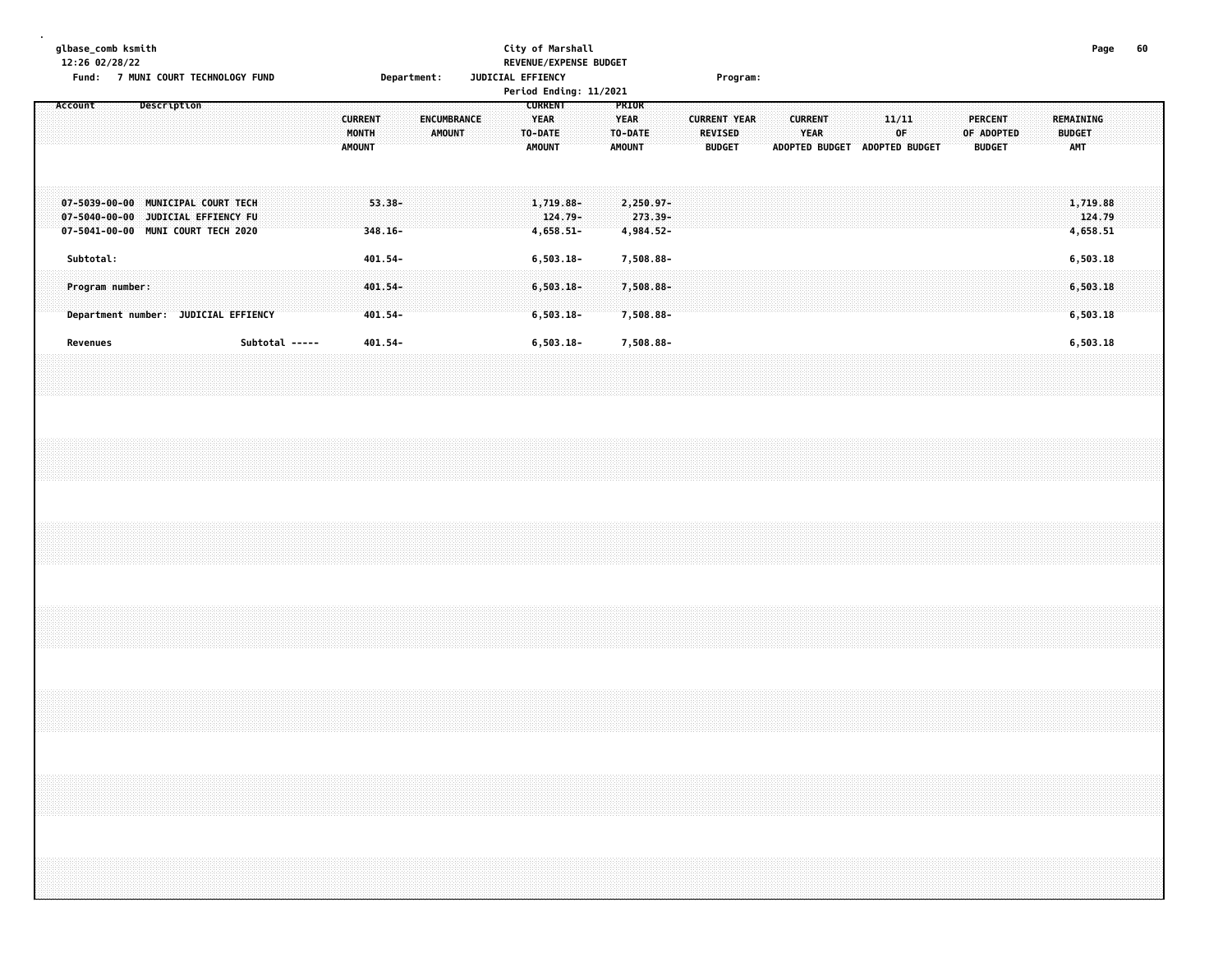| glbase_comb ksmith |           | 12:26 02/28/22 |                 |             | Fund: 7 MUNI COURT TECHNOLOGY FUND                                                                             |  |                |  |                                          |                               | Department: |               |             |  | JUDICIAL EFFIENCY |                                                           | City of Marshall<br>REVENUE/EXPENSE BUDGET<br>Period Ending: 11/2021 |  |                                           |                                     |  |                          | Program:            |  |                               |  |                                              |  |                                 |            |  |                                                 | Page                             | 60 |  |
|--------------------|-----------|----------------|-----------------|-------------|----------------------------------------------------------------------------------------------------------------|--|----------------|--|------------------------------------------|-------------------------------|-------------|---------------|-------------|--|-------------------|-----------------------------------------------------------|----------------------------------------------------------------------|--|-------------------------------------------|-------------------------------------|--|--------------------------|---------------------|--|-------------------------------|--|----------------------------------------------|--|---------------------------------|------------|--|-------------------------------------------------|----------------------------------|----|--|
| Account            |           |                |                 | Description |                                                                                                                |  |                |  | <b>CURRENT</b><br>MONTH<br><b>AMOUNT</b> |                               |             | <b>AMOUNT</b> | ENCUMBRANCE |  |                   | <b>CURRENT</b><br><b>YEAR</b><br>TO-DATE<br><b>AMOUNT</b> |                                                                      |  | PRIOR<br><b>YEAR</b><br>TO-DATE<br>AMOUNT |                                     |  | REVISED<br><b>BUDGET</b> | <b>CURRENT YEAR</b> |  | <b>CURRENT</b><br><b>YEAR</b> |  | 11/11<br>0F<br>ADOPTED BUDGET ADOPTED BUDGET |  | <b>PERCENT</b><br><b>BUDGET</b> | OF ADOPTED |  | <b>REMAINING</b><br><b>BUDGET</b><br><b>AMT</b> |                                  |    |  |
|                    |           |                |                 |             | 07-5039-00-00 MUNICIPAL COURT TECH<br>07-5040-00-00 JUDICIAL EFFIENCY FU<br>07-5041-00-00 MUNI COURT TECH 2020 |  |                |  |                                          | $53.38 -$<br>$348.16 -$       |             |               |             |  |                   |                                                           | 1,719.88-<br>124.79-<br>4,658.51-                                    |  |                                           | 2,250.97-<br>273.39-<br>4,984.52-   |  |                          |                     |  |                               |  |                                              |  |                                 |            |  |                                                 | 1,719.88<br>124.79<br>4,658.51   |    |  |
|                    | Subtotal: |                | Program number: |             | Department number: JUDICIAL EFFIENCY                                                                           |  |                |  |                                          | 401.54-<br>401.54-<br>401.54- |             |               |             |  |                   |                                                           | $6, 503.18 -$<br>$6,503.18-$<br>$6,503.18-$                          |  |                                           | 7,508.88-<br>7,508.88-<br>7,508.88- |  |                          |                     |  |                               |  |                                              |  |                                 |            |  |                                                 | 6,503.18<br>6,503.18<br>6,503.18 |    |  |
|                    | Revenues  |                |                 |             |                                                                                                                |  | Subtotal ----- |  |                                          | 401.54-                       |             |               |             |  |                   |                                                           | $6, 503.18 -$                                                        |  |                                           | 7,508.88-                           |  |                          |                     |  |                               |  |                                              |  |                                 |            |  |                                                 | 6,503.18                         |    |  |
|                    |           |                |                 |             |                                                                                                                |  |                |  |                                          |                               |             |               |             |  |                   |                                                           |                                                                      |  |                                           |                                     |  |                          |                     |  |                               |  |                                              |  |                                 |            |  |                                                 |                                  |    |  |
|                    |           |                |                 |             |                                                                                                                |  |                |  |                                          |                               |             |               |             |  |                   |                                                           |                                                                      |  |                                           |                                     |  |                          |                     |  |                               |  |                                              |  |                                 |            |  |                                                 |                                  |    |  |
|                    |           |                |                 |             |                                                                                                                |  |                |  |                                          |                               |             |               |             |  |                   |                                                           |                                                                      |  |                                           |                                     |  |                          |                     |  |                               |  |                                              |  |                                 |            |  |                                                 |                                  |    |  |
|                    |           |                |                 |             |                                                                                                                |  |                |  |                                          |                               |             |               |             |  |                   |                                                           |                                                                      |  |                                           |                                     |  |                          |                     |  |                               |  |                                              |  |                                 |            |  |                                                 |                                  |    |  |
|                    |           |                |                 |             |                                                                                                                |  |                |  |                                          |                               |             |               |             |  |                   |                                                           |                                                                      |  |                                           |                                     |  |                          |                     |  |                               |  |                                              |  |                                 |            |  |                                                 |                                  |    |  |
|                    |           |                |                 |             |                                                                                                                |  |                |  |                                          |                               |             |               |             |  |                   |                                                           |                                                                      |  |                                           |                                     |  |                          |                     |  |                               |  |                                              |  |                                 |            |  |                                                 |                                  |    |  |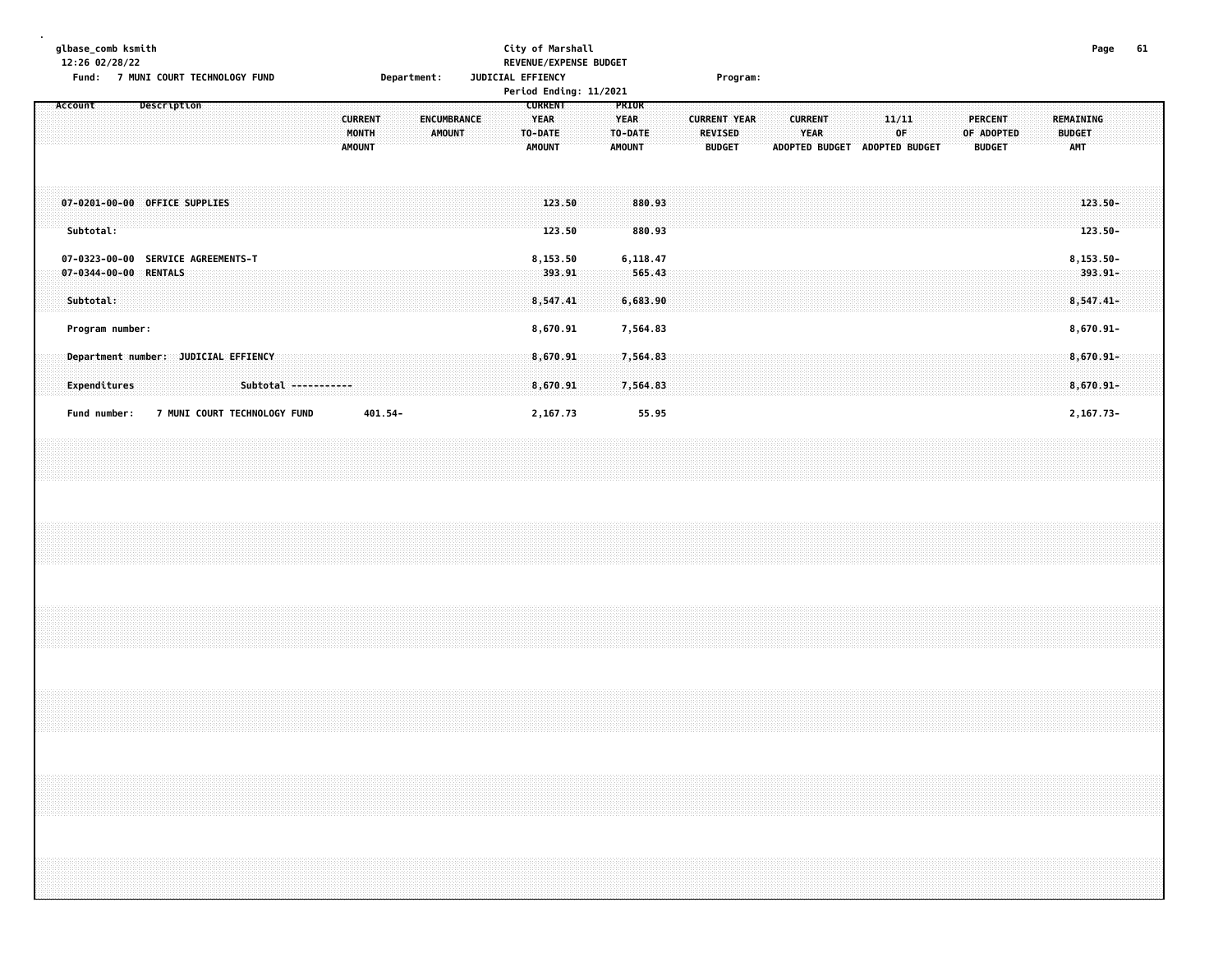| glbase_comb ksmith<br>12:26 02/28/22                                     |                                      |  |                              |                      |                                          |             |        |                    |  | City of Marshall<br>REVENUE/EXPENSE BUDGET                 |                              |                                |  |                                                        |  |                        |                |  |                               |  |                                        |  | Page                                     | 61 |
|--------------------------------------------------------------------------|--------------------------------------|--|------------------------------|----------------------|------------------------------------------|-------------|--------|--------------------|--|------------------------------------------------------------|------------------------------|--------------------------------|--|--------------------------------------------------------|--|------------------------|----------------|--|-------------------------------|--|----------------------------------------|--|------------------------------------------|----|
|                                                                          | Fund: 7 MUNI COURT TECHNOLOGY FUND   |  |                              |                      |                                          | Department: |        |                    |  | JUDICIAL EFFIENCY<br>Period Ending: 11/2021                |                              |                                |  | Program:                                               |  |                        |                |  |                               |  |                                        |  |                                          |    |
| Account                                                                  | Description                          |  |                              |                      | <b>CURRENT</b><br>MONTH<br><b>AMOUNT</b> |             | AMOUNT | <b>ENCUMBRANCE</b> |  | <b>CURRENT</b><br><b>YEAR</b><br>TO-DATE:<br><b>AMOUNT</b> | <b>YEAR</b><br><b>AMOUNT</b> | <b>PRIOR</b><br>TO-DATE        |  | <b>CURRENT YEAR</b><br><b>REVISED</b><br><b>BUDGET</b> |  | <b>CURRENT</b><br>YEAR | ADOPTED BUDGET |  | 11/11<br>0F<br>ADOPTED BUDGET |  | PERCENT<br>OF ADOPTED<br><b>BUDGET</b> |  | REMAINING<br><b>BUDGET</b><br><b>AMT</b> |    |
| 07-0201-00-00 OFFICE SUPPLIES<br>Subtotal:                               |                                      |  |                              |                      |                                          |             |        |                    |  | 123.50<br>123.50                                           |                              | 880.93<br>880.93               |  |                                                        |  |                        |                |  |                               |  |                                        |  | $123.50 -$<br>123.50-                    |    |
| 07-0323-00-00 SERVICE AGREEMENTS-T<br>07-0344-00-00 RENTALS<br>Subtotal: |                                      |  |                              |                      |                                          |             |        |                    |  | 8,153.50<br>393.91<br>8,547.41                             |                              | 6,118.47<br>565.43<br>6,683.90 |  |                                                        |  |                        |                |  |                               |  |                                        |  | 8,153.50-<br>$393.91 -$<br>$8,547.41-$   |    |
| Program number:                                                          |                                      |  |                              |                      |                                          |             |        |                    |  | 8,670.91                                                   |                              | 7,564.83                       |  |                                                        |  |                        |                |  |                               |  |                                        |  | $8,670.91 -$                             |    |
| Expenditures                                                             | Department number: JUDICIAL EFFIENCY |  |                              | Subtotal ----------- |                                          |             |        |                    |  | 8,670.91<br>8,670.91                                       |                              | 7,564.83<br>7,564.83           |  |                                                        |  |                        |                |  |                               |  |                                        |  | 8,670.91-<br>$8,670.91 -$                |    |
| Fund number:                                                             |                                      |  | 7 MUNI COURT TECHNOLOGY FUND |                      |                                          | 401.54-     |        |                    |  | 2,167.73                                                   |                              | 55.95                          |  |                                                        |  |                        |                |  |                               |  |                                        |  | 2,167.73-                                |    |
|                                                                          |                                      |  |                              |                      |                                          |             |        |                    |  |                                                            |                              |                                |  |                                                        |  |                        |                |  |                               |  |                                        |  |                                          |    |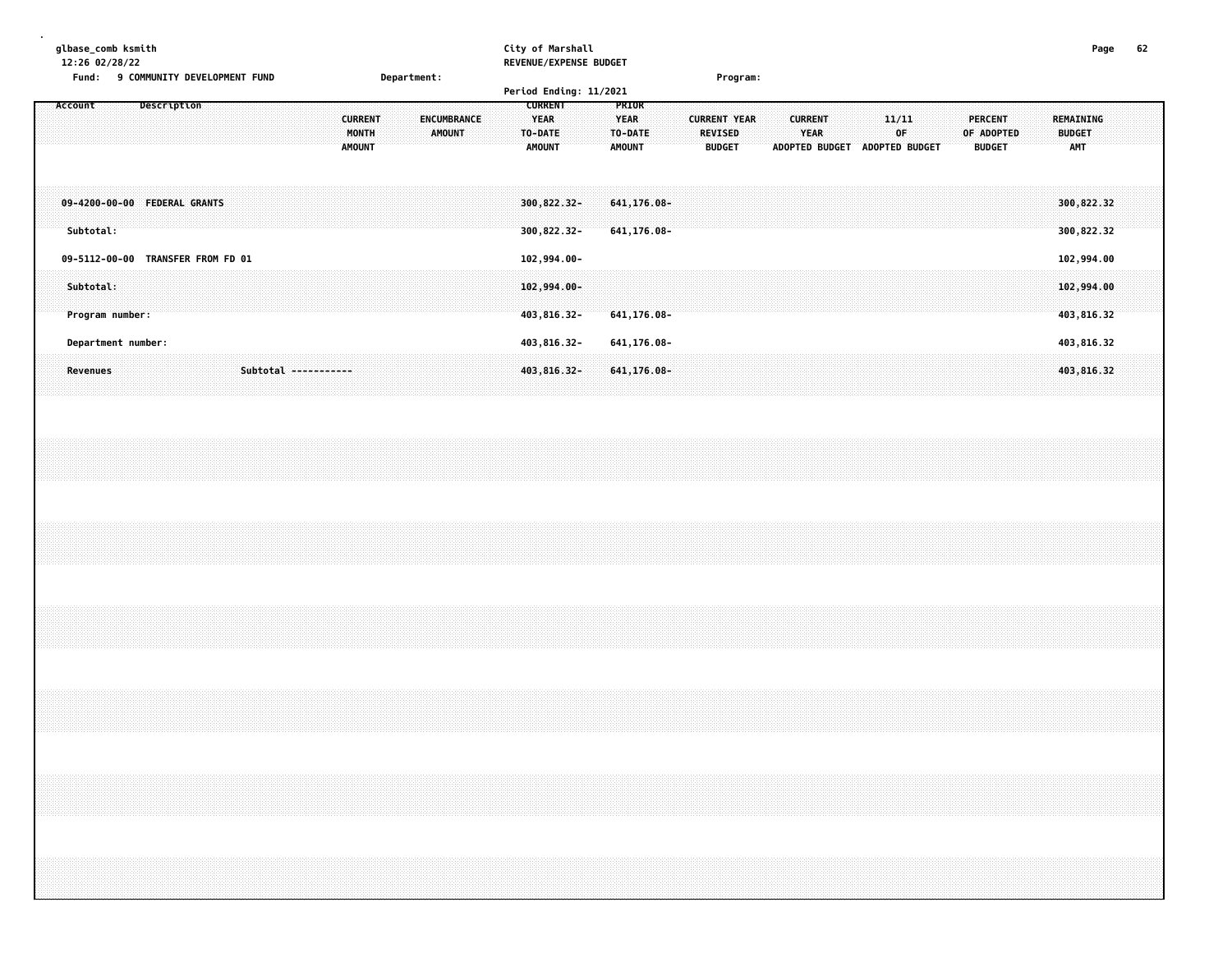| qlbase comb ksmith                           |             | City of Marshall       |          | Page | 62 |
|----------------------------------------------|-------------|------------------------|----------|------|----|
| 12:26 02/28/22                               |             | REVENUE/EXPENSE BUDGET |          |      |    |
| <b>9 COMMUNITY DEVELOPMENT FUND</b><br>Fund: | Department: |                        | Program: |      |    |
|                                              |             | Period Ending: 11/2021 |          |      |    |

| Description<br>Account                      | <b>CURRENT</b><br>YEAR<br><b>CURRENT</b><br>ENCUMBRANCE<br>MONTH<br><b>AMOUNT</b><br>TO-DATE<br><b>AMOUNT</b><br><b>AMOUNT</b> | <b>PRIOR</b><br><b>YEAR</b><br><b>CURRENT YEAR</b><br><b>CURRENT</b><br>TO-DATE<br><b>REVISED</b><br><b>YEAR</b><br><b>AMOUNT</b><br>ADOPTED BUDGET<br><b>BUDGET</b> | 11/11<br>PERCENT<br>∵0F:<br>OF ADOPTED<br>ADOPTED BUDGET<br><b>BUDGET</b> | REMAINING<br><b>BUDGET</b><br><b>AMT</b> |
|---------------------------------------------|--------------------------------------------------------------------------------------------------------------------------------|----------------------------------------------------------------------------------------------------------------------------------------------------------------------|---------------------------------------------------------------------------|------------------------------------------|
| 09-4200-00-00 FEDERAL GRANTS<br>Subtotal:   | 300,822.32-<br>300,822.32-                                                                                                     | 641,176.08-<br>641,176.08-                                                                                                                                           |                                                                           | 300,822.32<br>300, 822.32                |
| <b>TRANSFER FROM FD 01</b><br>09-5112-00-00 | 102,994.00-                                                                                                                    |                                                                                                                                                                      |                                                                           | 102,994.00                               |
| Subtotal:<br>Program number:                | $102,994.00 -$<br>403,816.32-                                                                                                  | 641,176.08-                                                                                                                                                          |                                                                           | 102,994.00<br>403,816.32                 |
| Department number:                          | 403,816.32-                                                                                                                    | 641,176.08-                                                                                                                                                          |                                                                           | 403,816.32                               |
| Subtotal -----------<br>Revenues            | 403,816.32-                                                                                                                    | $641, 176.08 -$                                                                                                                                                      |                                                                           | 403,816.32                               |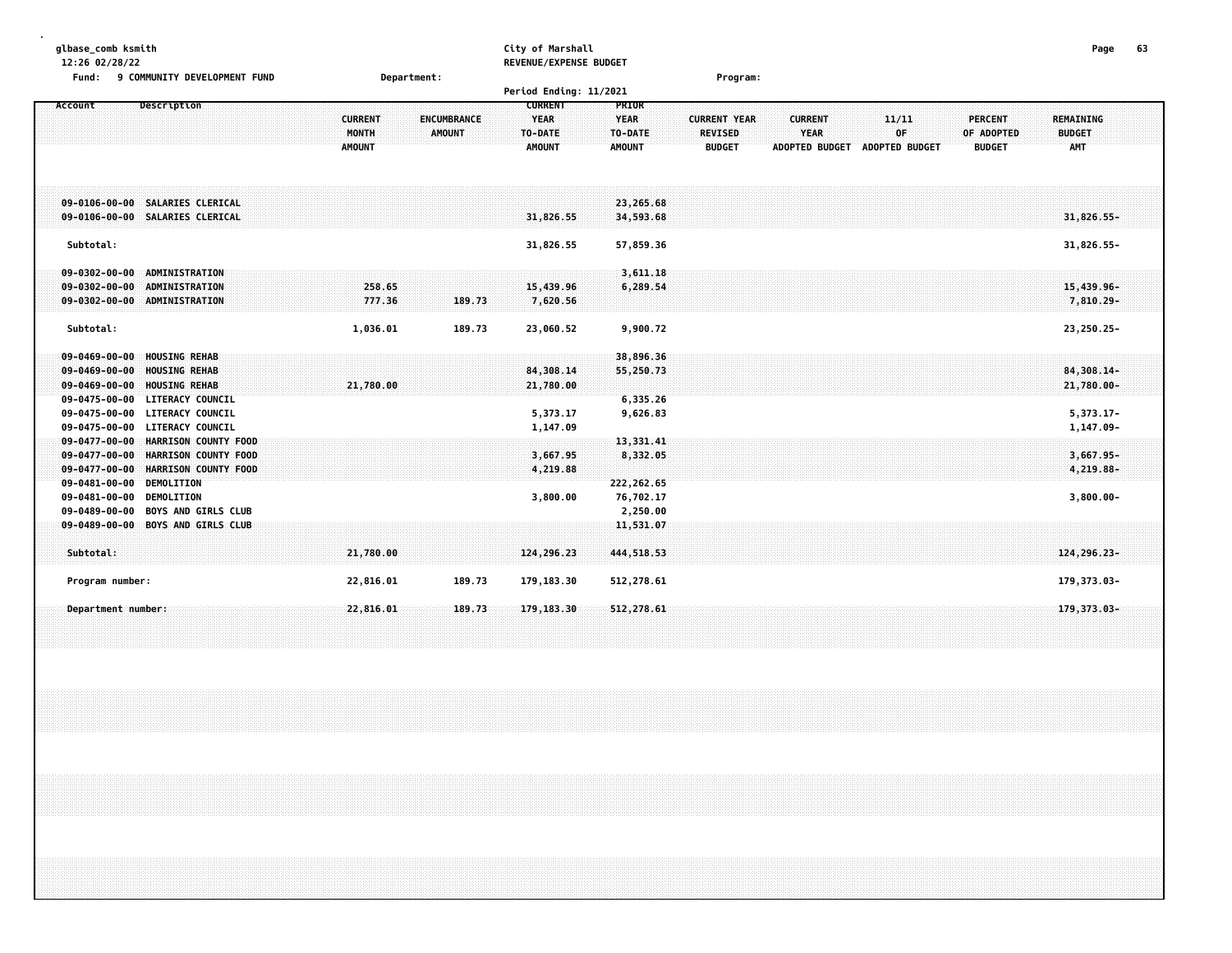| glbase_comb ksmith<br>12:26 02/28/22                                                                                                                                                                      |                                          |                                     | City of Marshall<br>REVENUE/EXPENSE BUDGET                |                                                         |                                                 |                                                        |                                      |                                               | Page                                            | 63 |
|-----------------------------------------------------------------------------------------------------------------------------------------------------------------------------------------------------------|------------------------------------------|-------------------------------------|-----------------------------------------------------------|---------------------------------------------------------|-------------------------------------------------|--------------------------------------------------------|--------------------------------------|-----------------------------------------------|-------------------------------------------------|----|
| 9 COMMUNITY DEVELOPMENT FUND<br>Fund:                                                                                                                                                                     | Department:                              |                                     |                                                           |                                                         | Program:                                        |                                                        |                                      |                                               |                                                 |    |
|                                                                                                                                                                                                           |                                          |                                     | Period Ending: 11/2021                                    |                                                         |                                                 |                                                        |                                      |                                               |                                                 |    |
| Account<br>Description                                                                                                                                                                                    | <b>CURRENT</b><br>MONTH<br><b>AMOUNT</b> | <b>ENCUMBRANCE</b><br><b>AMOUNT</b> | <b>CURRENT</b><br><b>YEAR</b><br>TO-DATE<br><b>AMOUNT</b> | <b>PRIOR</b><br><b>YEAR</b><br>TO-DATE<br><b>AMOUNT</b> | <b>CURRENT YEAR</b><br>REVISED<br><b>BUDGET</b> | <b>CURRENT</b><br><b>YEAR</b><br><b>ADOPTED BUDGET</b> | 11/11<br>OF<br><b>ADOPTED BUDGET</b> | <b>PERCENT</b><br>OF ADOPTED<br><b>BUDGET</b> | <b>REMAINING</b><br><b>BUDGET</b><br><b>AMT</b> |    |
| 09-0106-00-00 SALARIES CLERICAL<br>09-0106-00-00 SALARIES CLERICAL                                                                                                                                        |                                          |                                     | 31,826.55                                                 | 23,265.68<br>34,593.68                                  |                                                 |                                                        |                                      |                                               | 31,826.55-                                      |    |
| Subtotal:                                                                                                                                                                                                 |                                          |                                     | 31,826.55                                                 | 57,859.36                                               |                                                 |                                                        |                                      |                                               | 31,826.55-                                      |    |
| ADMINISTRATION<br>$09 - 0302 - 00 - 00$<br>$09 - 0302 - 00 - 00$<br><b>ADMINISTRATION</b><br>09-0302-00-00 ADMINISTRATION                                                                                 | 258.65<br>777.36                         | 189.73                              | 15,439.96<br>7,620.56                                     | 3,611.18<br>6,289.54                                    |                                                 |                                                        |                                      |                                               | 15,439.96-<br>$7,810.29 -$                      |    |
| Subtotal:                                                                                                                                                                                                 | 1,036.01                                 | 189.73                              | 23,060.52                                                 | 9,900.72                                                |                                                 |                                                        |                                      |                                               | 23,250.25-                                      |    |
| <b>HOUSING REHAB</b><br>$09 - 0469 - 00 - 00$<br>$09 - 0469 - 00 - 00$<br><b>HOUSING REHAB</b><br>$09 - 0469 - 00 - 00$<br><b>HOUSING REHAB</b>                                                           | 21,780.00                                |                                     | 84,308.14<br>21,780.00                                    | 38,896.36<br>55,250.73                                  |                                                 |                                                        |                                      |                                               | 84,308.14-<br>21,780.00-                        |    |
| <b>LITERACY COUNCIL</b><br>$09 - 0475 - 00 - 00$<br><b>LITERACY COUNCIL</b><br>$09 - 0475 - 00 - 00$<br><b>LITERACY COUNCIL</b><br>$09 - 0475 - 00 - 00$<br>$09 - 0477 - 00 - 00$<br>HARRISON COUNTY FOOD |                                          |                                     | 5,373.17<br>1,147.09                                      | 6,335.26<br>9,626.83<br>13,331.41                       |                                                 |                                                        |                                      |                                               | $5,373.17-$<br>1,147.09-                        |    |
| HARRISON COUNTY FOOD<br>$09 - 0477 - 00 - 00$<br>HARRISON COUNTY FOOD<br>$09 - 0477 - 00 - 00$<br>$09 - 0481 - 00 - 00$<br><b>DEMOLITION</b>                                                              |                                          |                                     | 3,667.95<br>4,219.88                                      | 8,332.05<br>222, 262.65                                 |                                                 |                                                        |                                      |                                               | 3,667.95-<br>4,219.88-                          |    |
| 09-0481-00-00 DEMOLITION<br>09-0489-00-00 BOYS AND GIRLS CLUB                                                                                                                                             |                                          |                                     | 3,800.00                                                  | 76,702.17<br>2,250.00                                   |                                                 |                                                        |                                      |                                               | $3,800.00 -$                                    |    |
| 09-0489-00-00 BOYS AND GIRLS CLUB<br>Subtotal:                                                                                                                                                            | 21,780.00                                |                                     | 124,296.23                                                | 11,531.07<br>444, 518, 53                               |                                                 |                                                        |                                      |                                               | 124, 296. 23-                                   |    |
| Program number:                                                                                                                                                                                           | 22,816.01                                | 189.73                              | 179,183.30                                                | 512,278.61                                              |                                                 |                                                        |                                      |                                               | 179, 373.03-                                    |    |

 **Department number: 22,816.01 189.73 179,183.30 512,278.61 179,373.03-**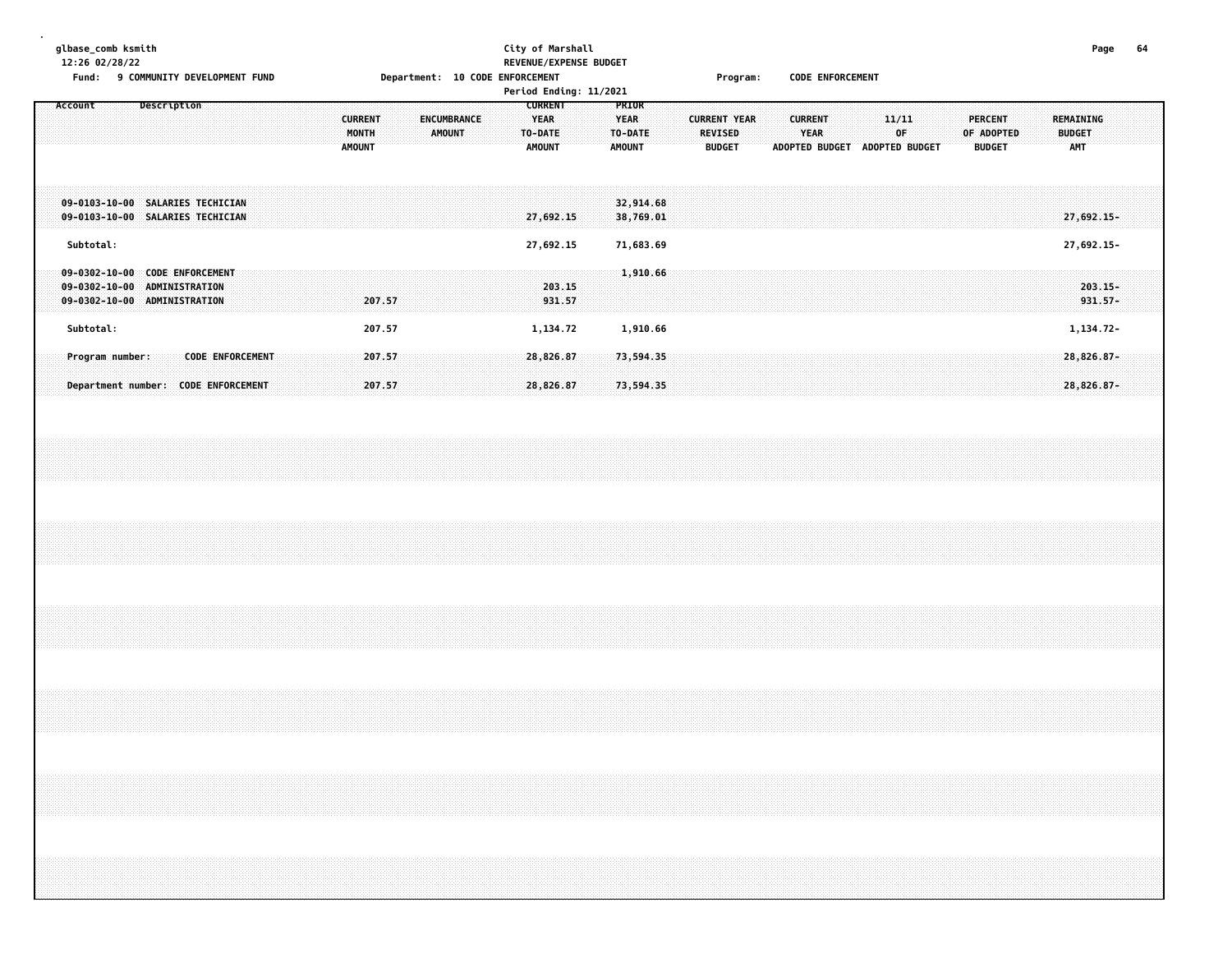# **glbase\_comb ksmith City of Marshall Page 64 12:26 02/28/22 REVENUE/EXPENSE BUDGET**

Fund: 9 COMMUNITY DEVELOPMENT FUND **Department: 10 CODE ENFORCEMENT** Frogram: CODE ENFORCEMENT

|                                                                                                                                    |                                                                          | Period Ending: 11/2021                                           |                                                                                                                                                                                                                      |                                                                                    |
|------------------------------------------------------------------------------------------------------------------------------------|--------------------------------------------------------------------------|------------------------------------------------------------------|----------------------------------------------------------------------------------------------------------------------------------------------------------------------------------------------------------------------|------------------------------------------------------------------------------------|
| Description<br>Account                                                                                                             | <b>CURRENT</b><br><b>ENCUMBRANCE</b><br>MONTH<br>AMOUNT<br><b>AMOUNT</b> | <b>CURRENT</b><br><b>YEAR</b><br><b>TO-DATE</b><br><b>AMOUNT</b> | <b>PRIOR</b><br><b>YEAR</b><br><b>CURRENT YEAR</b><br>11/11<br><b>CURRENT</b><br>TO-DATE<br>0F.<br><b>REVISED</b><br><b>YEAR</b><br><b>ADOPTED BUDGET</b><br><b>ADOPTED BUDGET</b><br><b>AMOUNT</b><br><b>BUDGET</b> | PERCENT<br>REMAINING<br>OF ADOPTED<br><b>BUDGET</b><br><b>BUDGET</b><br><b>AMT</b> |
| 09-0103-10-00 SALARIES TECHICIAN<br>09-0103-10-00 SALARIES TECHICIAN                                                               |                                                                          | 27,692.15                                                        | 32,914.68<br>38,769.01                                                                                                                                                                                               | $27,692.15 -$                                                                      |
| Subtotal:                                                                                                                          |                                                                          | 27,692.15                                                        | 71,683.69                                                                                                                                                                                                            | 27,692.15-                                                                         |
| <b>CODE ENFORCEMENT</b><br>$09 - 0302 - 10 - 00$<br><b>ADMINISTRATION</b><br>$09 - 0302 - 10 - 00$<br>09-0302-10-00 ADMINISTRATION | 207.57                                                                   | 203.15<br>931.57                                                 | 1,910.66                                                                                                                                                                                                             | $203.15 -$<br>$931.57 -$                                                           |
| Subtotal:                                                                                                                          | 207.57                                                                   | 1,134.72                                                         | 1,910.66                                                                                                                                                                                                             | 1,134.72-                                                                          |
| <b>CODE ENFORCEMENT</b><br>Program number:<br>Department number: CODE ENFORCEMENT                                                  | 207.57<br>207.57                                                         | 28,826.87<br>28,826.87                                           | 73,594.35<br>73,594.35                                                                                                                                                                                               | 28,826.87-<br>28,826.87-                                                           |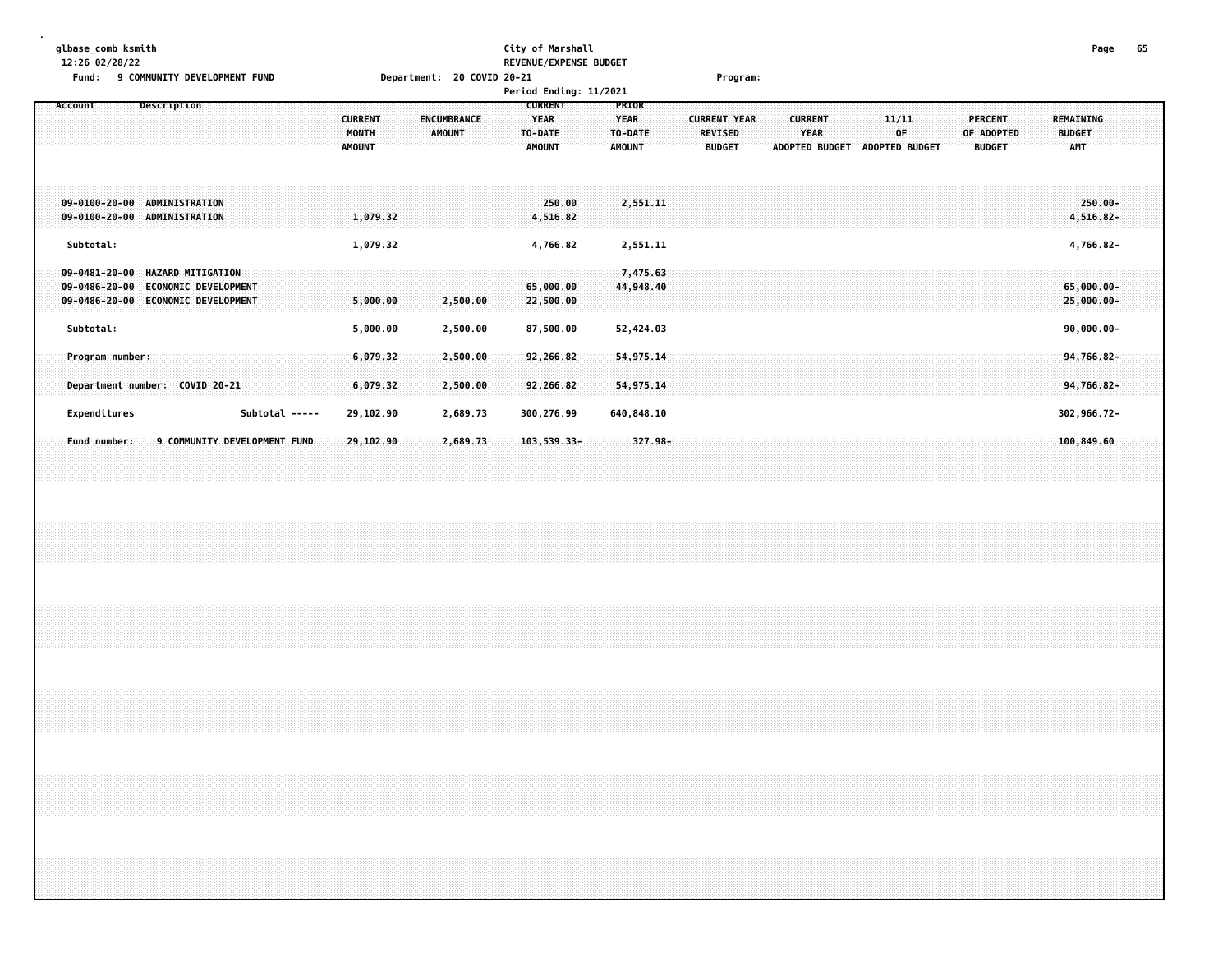#### **glbase\_comb ksmith City of Marshall Page 65 12:26 02/28/22 REVENUE/EXPENSE BUDGET**

| Fund:                                                           | 9 COMMUNITY DEVELOPMENT FUND                                                           |                         | Department: 20 COVID 20-21          |                                          |                                        | Program:                              |                        |                       |                              |                                   |
|-----------------------------------------------------------------|----------------------------------------------------------------------------------------|-------------------------|-------------------------------------|------------------------------------------|----------------------------------------|---------------------------------------|------------------------|-----------------------|------------------------------|-----------------------------------|
|                                                                 |                                                                                        |                         |                                     | Period Ending: 11/2021                   |                                        |                                       |                        |                       |                              |                                   |
| Account                                                         | Description                                                                            | <b>CURRENT</b><br>MONTH | <b>ENCUMBRANCE</b><br><b>AMOUNT</b> | <b>CURRENT</b><br><b>YEAR</b><br>TO-DATE | <b>PRIOR</b><br><b>YEAR</b><br>TO-DATE | <b>CURRENT YEAR</b><br><b>REVISED</b> | <b>CURRENT</b><br>YEAR | 11/11<br>0F           | <b>PERCENT</b><br>OF ADOPTED | <b>REMAINING</b><br><b>BUDGET</b> |
|                                                                 |                                                                                        | <b>AMOUNT</b>           |                                     | <b>AMOUNT</b>                            | <b>AMOUNT</b>                          | <b>BUDGET</b>                         | <b>ADOPTED BUDGET</b>  | <b>ADOPTED BUDGET</b> | <b>BUDGET</b>                | <b>AMT</b>                        |
|                                                                 |                                                                                        |                         |                                     |                                          |                                        |                                       |                        |                       |                              |                                   |
| $09 - 0100 - 20 - 00$<br>$09 - 0100 - 20 - 00$                  | ADMINISTRATION<br><b>ADMINISTRATION</b>                                                | 1,079.32                |                                     | 250.00<br>4,516.82                       | 2,551.11                               |                                       |                        |                       |                              | $250.00 -$<br>4,516.82-           |
| Subtotal:                                                       |                                                                                        | 1,079.32                |                                     | 4,766.82                                 | 2,551.11                               |                                       |                        |                       |                              | 4,766.82-                         |
| $09 - 0481 - 20 - 00$<br>09-0486-20-00<br>$09 - 0486 - 20 - 00$ | <b>HAZARD MITIGATION</b><br><b>ECONOMIC DEVELOPMENT</b><br><b>ECONOMIC DEVELOPMENT</b> | 5,000.00                | 2,500.00                            | 65,000.00<br>22,500.00                   | 7,475.63<br>44,948.40                  |                                       |                        |                       |                              | $65,000.00 -$<br>$25,000.00 -$    |
| Subtotal:                                                       |                                                                                        | 5,000.00                | 2,500.00                            | 87,500.00                                | 52,424.03                              |                                       |                        |                       |                              | $90,000.00 -$                     |
| Program number:                                                 |                                                                                        | 6,079.32                | 2,500.00                            | 92,266.82                                | 54, 975.14                             |                                       |                        |                       |                              | 94,766.82-                        |
|                                                                 | Department number: COVID 20-21                                                         | 6,079.32                | 2,500.00                            | 92,266.82                                | 54,975.14                              |                                       |                        |                       |                              | 94,766.82-                        |
| Expenditures                                                    | Subtotal -----                                                                         | 29,102.90               | 2,689.73                            | 300,276.99                               | 640,848.10                             |                                       |                        |                       |                              | 302,966.72-                       |
| Fund number:                                                    | 9 COMMUNITY DEVELOPMENT FUND                                                           | 29,102.90               | 2,689.73                            | $103,539.33-$                            | $327.98 -$                             |                                       |                        |                       |                              | 100,849.60                        |
|                                                                 |                                                                                        |                         |                                     |                                          |                                        |                                       |                        |                       |                              |                                   |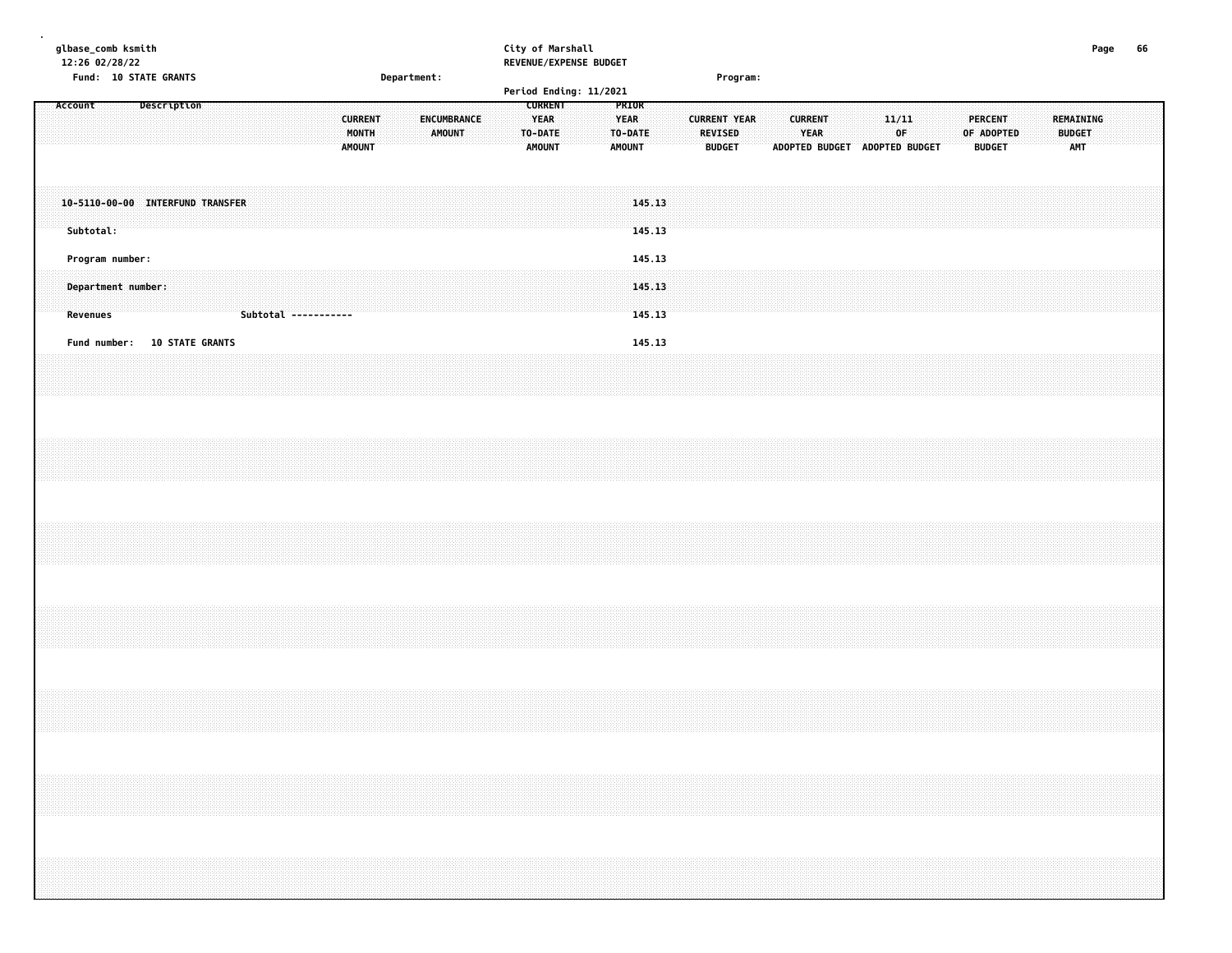| glbase_comb ksmith<br>12:26 02/28/22                                             | City of Marshall<br>REVENUE/EXPENSE BUDGET                                                                                                    |                                                                                                                                                                                                                                                                                                                                                                                                                                                             | Page<br>66                                                                                |
|----------------------------------------------------------------------------------|-----------------------------------------------------------------------------------------------------------------------------------------------|-------------------------------------------------------------------------------------------------------------------------------------------------------------------------------------------------------------------------------------------------------------------------------------------------------------------------------------------------------------------------------------------------------------------------------------------------------------|-------------------------------------------------------------------------------------------|
| Fund: 10 STATE GRANTS<br>Department:                                             | Period Ending: 11/2021                                                                                                                        | Program:                                                                                                                                                                                                                                                                                                                                                                                                                                                    |                                                                                           |
| <b>Description</b><br>Account<br><b>CURRENT</b><br>MONTH<br><b>AMOUNT</b>        | <b>CURRENT</b><br>PRIOR<br><b>YEAR</b><br>ENCUMBRANCE<br><b>YEAR</b><br><b>AMOUNT</b><br>TO-DATE<br>TO-DATE<br><b>AMOUNT</b><br><b>AMOUNT</b> | 11/11<br><b>CURRENT YEAR</b><br><b>CURRENT</b><br><b>REVISED</b><br>YEAR<br>0F<br><b>BUDGET</b><br>ADOPTED BUDGET ADOPTED BUDGET                                                                                                                                                                                                                                                                                                                            | <b>REMAINING</b><br><b>PERCENT</b><br><b>BUDGET</b><br>OF ADOPTED<br>AMT<br><b>BUDGET</b> |
| 10-5110-00-00 INTERFUND TRANSFER<br>Subtotal:                                    | 145.13<br>145.13                                                                                                                              |                                                                                                                                                                                                                                                                                                                                                                                                                                                             |                                                                                           |
| Program number:<br>Department number:<br><b>Revenues</b><br>Subtotal ----------- | 145.13<br>145.13<br>145.13                                                                                                                    |                                                                                                                                                                                                                                                                                                                                                                                                                                                             |                                                                                           |
| <b>10 STATE GRANTS</b><br>Fund number:                                           | 145.13                                                                                                                                        |                                                                                                                                                                                                                                                                                                                                                                                                                                                             |                                                                                           |
|                                                                                  |                                                                                                                                               |                                                                                                                                                                                                                                                                                                                                                                                                                                                             |                                                                                           |
|                                                                                  |                                                                                                                                               |                                                                                                                                                                                                                                                                                                                                                                                                                                                             |                                                                                           |
|                                                                                  |                                                                                                                                               |                                                                                                                                                                                                                                                                                                                                                                                                                                                             |                                                                                           |
|                                                                                  |                                                                                                                                               |                                                                                                                                                                                                                                                                                                                                                                                                                                                             |                                                                                           |
|                                                                                  |                                                                                                                                               | $\mathcal{L}(\mathcal{L}(\mathcal{L}(\mathcal{L}(\mathcal{L}(\mathcal{L}(\mathcal{L}(\mathcal{L}(\mathcal{L}(\mathcal{L}(\mathcal{L}(\mathcal{L}(\mathcal{L}(\mathcal{L}(\mathcal{L}(\mathcal{L}(\mathcal{L}(\mathcal{L}(\mathcal{L}(\mathcal{L}(\mathcal{L}(\mathcal{L}(\mathcal{L}(\mathcal{L}(\mathcal{L}(\mathcal{L}(\mathcal{L}(\mathcal{L}(\mathcal{L}(\mathcal{L}(\mathcal{L}(\mathcal{L}(\mathcal{L}(\mathcal{L}(\mathcal{L}(\mathcal{L}(\mathcal{$ |                                                                                           |
|                                                                                  |                                                                                                                                               |                                                                                                                                                                                                                                                                                                                                                                                                                                                             |                                                                                           |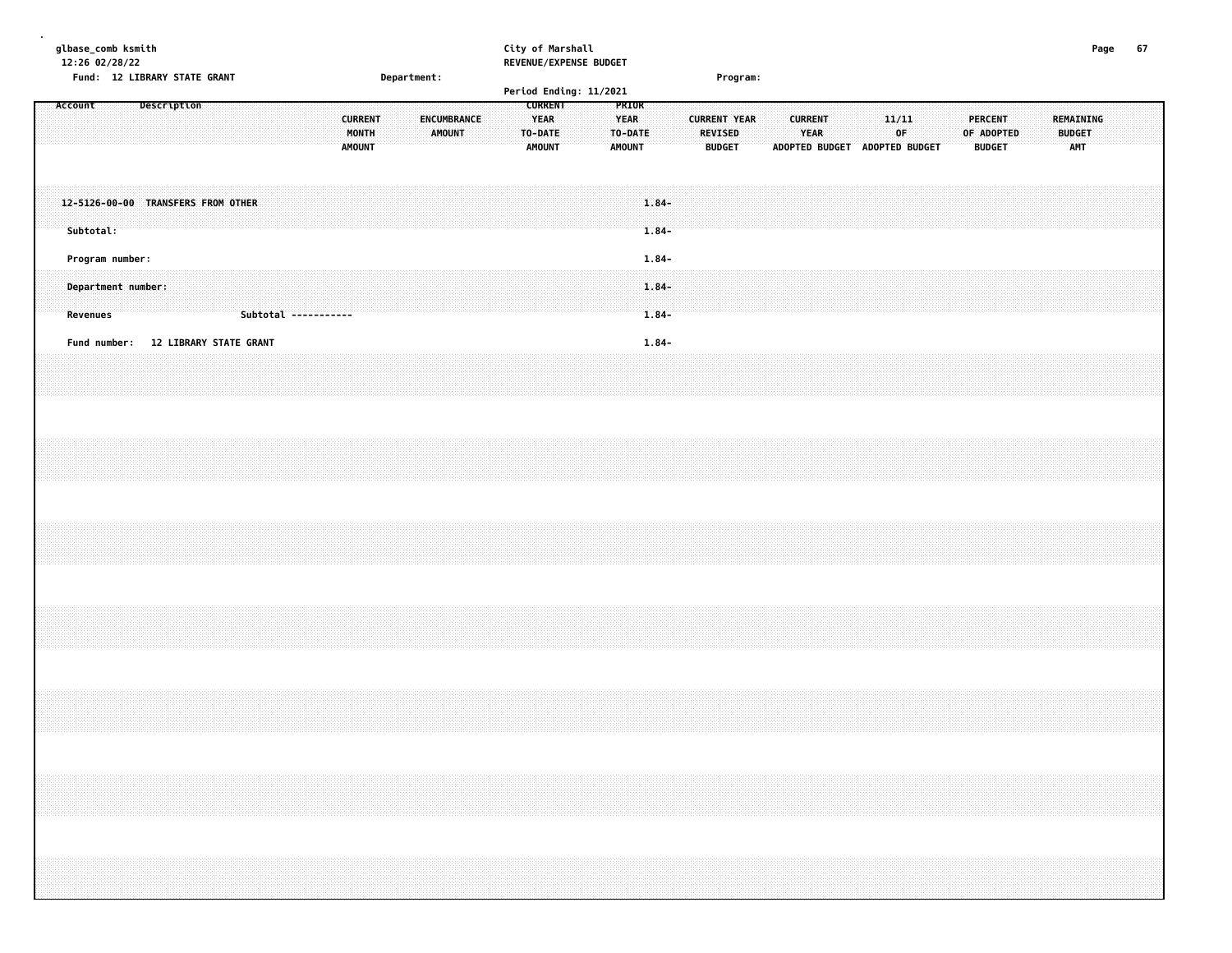| glbase_comb ksmith |           | 12:26 02/28/22 | Fund: 12 LIBRARY STATE GRANT          |             |  |  |                      |  |                                          | Department: |                                     |  |                                         | City of Marshall<br>REVENUE/EXPENSE BUDGET |                                         |                                  |  |                | Program:                             |  |                |             |                               |             |  |  |                                               |  |                                   | Page | 67 |  |
|--------------------|-----------|----------------|---------------------------------------|-------------|--|--|----------------------|--|------------------------------------------|-------------|-------------------------------------|--|-----------------------------------------|--------------------------------------------|-----------------------------------------|----------------------------------|--|----------------|--------------------------------------|--|----------------|-------------|-------------------------------|-------------|--|--|-----------------------------------------------|--|-----------------------------------|------|----|--|
| Account            |           |                |                                       | Description |  |  |                      |  |                                          |             |                                     |  | <b>CURRENT</b>                          | Period Ending: 11/2021                     | PRIOR                                   |                                  |  |                |                                      |  |                |             |                               |             |  |  |                                               |  |                                   |      |    |  |
|                    |           |                |                                       |             |  |  |                      |  | <b>CURRENT</b><br>MONTH<br><b>AMOUNT</b> |             | <b>ENCUMBRANCE</b><br><b>AMOUNT</b> |  | <b>YEAR</b><br>TO-DATE<br><b>AMOUNT</b> |                                            | <b>YEAR</b><br>TO-DATE<br><b>AMOUNT</b> |                                  |  | <b>REVISED</b> | <b>CURRENT YEAR</b><br><b>BUDGET</b> |  | <b>CURRENT</b> | <b>YEAR</b> | ADOPTED BUDGET ADOPTED BUDGET | 11/11<br>0F |  |  | <b>PERCENT</b><br>OF ADOPTED<br><b>BUDGET</b> |  | REMAINING<br><b>BUDGET</b><br>AMT |      |    |  |
|                    | Subtotal: |                | 12-5126-00-00 TRANSFERS FROM OTHER    |             |  |  |                      |  |                                          |             |                                     |  |                                         |                                            |                                         | $1.84 -$<br>$1.84 -$             |  |                |                                      |  |                |             |                               |             |  |  |                                               |  |                                   |      |    |  |
|                    | Revenues  |                | Program number:<br>Department number: |             |  |  | Subtotal ----------- |  |                                          |             |                                     |  |                                         |                                            |                                         | $1.84 -$<br>$1.84 -$<br>$1.84 -$ |  |                |                                      |  |                |             |                               |             |  |  |                                               |  |                                   |      |    |  |
|                    |           |                | Fund number: 12 LIBRARY STATE GRANT   |             |  |  |                      |  |                                          |             |                                     |  |                                         |                                            |                                         | $1.84 -$                         |  |                |                                      |  |                |             |                               |             |  |  |                                               |  |                                   |      |    |  |
|                    |           |                |                                       |             |  |  |                      |  |                                          |             |                                     |  |                                         |                                            |                                         |                                  |  |                |                                      |  |                |             |                               |             |  |  |                                               |  |                                   |      |    |  |
|                    |           |                |                                       |             |  |  |                      |  |                                          |             |                                     |  |                                         |                                            |                                         |                                  |  |                |                                      |  |                |             |                               |             |  |  |                                               |  |                                   |      |    |  |
|                    |           |                |                                       |             |  |  |                      |  |                                          |             |                                     |  |                                         |                                            |                                         |                                  |  |                |                                      |  |                |             |                               |             |  |  |                                               |  |                                   |      |    |  |
|                    |           |                |                                       |             |  |  |                      |  |                                          |             |                                     |  |                                         |                                            |                                         |                                  |  |                |                                      |  |                |             |                               |             |  |  |                                               |  |                                   |      |    |  |
|                    |           |                |                                       |             |  |  |                      |  |                                          |             |                                     |  |                                         |                                            |                                         |                                  |  |                |                                      |  |                |             |                               |             |  |  |                                               |  |                                   |      |    |  |
|                    |           |                |                                       |             |  |  |                      |  |                                          |             |                                     |  |                                         |                                            |                                         |                                  |  |                |                                      |  |                |             |                               |             |  |  |                                               |  |                                   |      |    |  |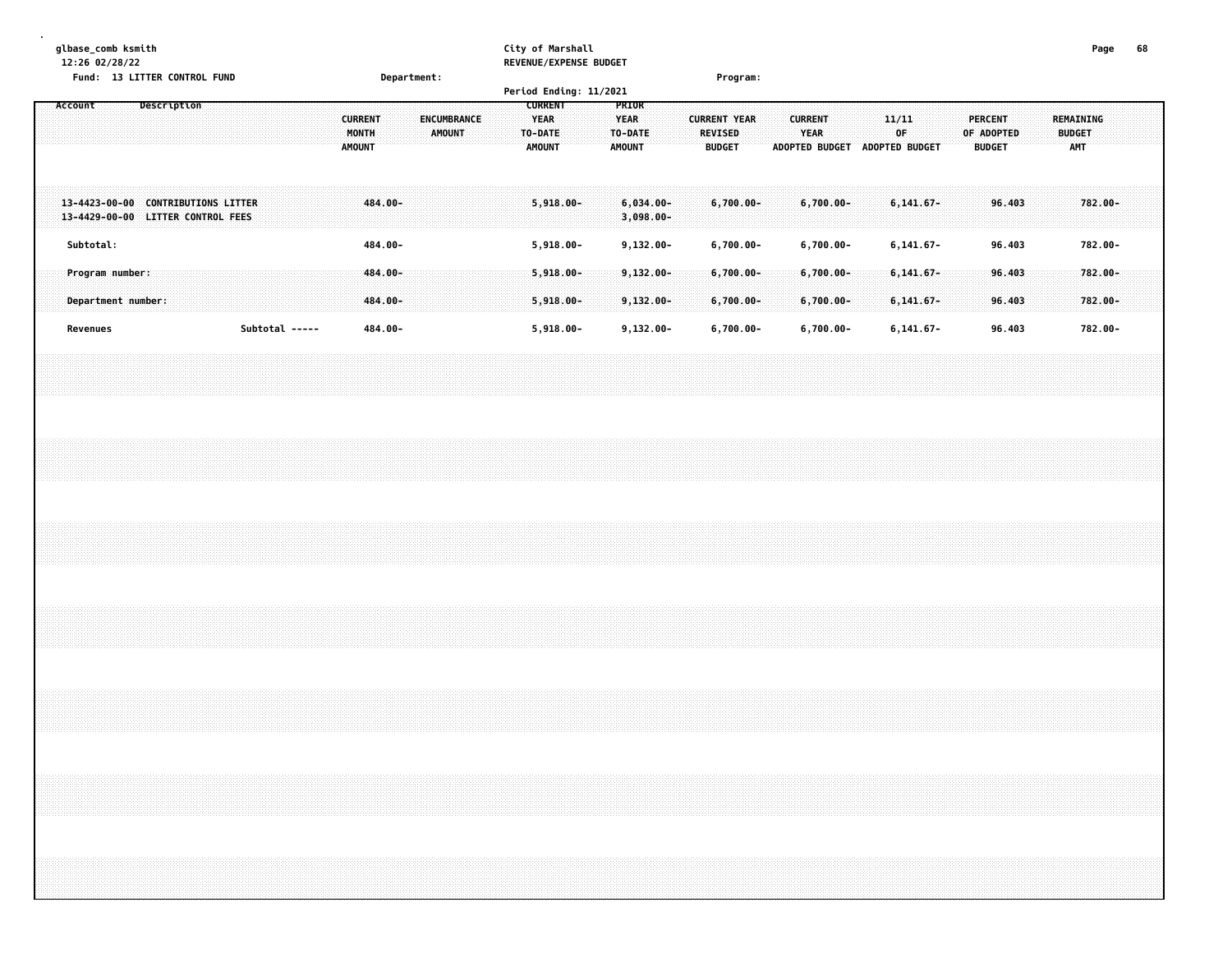| glbase_comb ksmith<br>12:26 02/28/22<br>Fund: 13 LITTER CONTROL FUND    |  |             |  |                |  |  |                                          |                    | Department: |               |                    |  |                                  | City of Marshall             |  | REVENUE/EXPENSE BUDGET<br>Period Ending: 11/2021 |                                                  |                              |  |                                                 | Program:                  |  |                        |                               |  |             |                                |  |                                               |                  |  |                                   | Page               | 68 |  |
|-------------------------------------------------------------------------|--|-------------|--|----------------|--|--|------------------------------------------|--------------------|-------------|---------------|--------------------|--|----------------------------------|------------------------------|--|--------------------------------------------------|--------------------------------------------------|------------------------------|--|-------------------------------------------------|---------------------------|--|------------------------|-------------------------------|--|-------------|--------------------------------|--|-----------------------------------------------|------------------|--|-----------------------------------|--------------------|----|--|
| Account                                                                 |  | Description |  |                |  |  | <b>CURRENT</b><br>MONTH<br><b>AMOUNT</b> |                    |             | <b>AMOUNT</b> | <b>ENCUMBRANCE</b> |  | <b>YEAR</b><br>TO-DATE<br>AMOUNT | <b>CURRENT</b>               |  |                                                  | PRIOR<br><b>YEAR</b><br>TO-DATE<br><b>AMOUNT</b> |                              |  | <b>CURRENT YEAR</b><br>REVISED<br><b>BUDGET</b> |                           |  | <b>CURRENT</b><br>YEAR | ADOPTED BUDGET ADOPTED BUDGET |  | 11/11<br>0F |                                |  | <b>PERCENT</b><br>OF ADOPTED<br><b>BUDGET</b> |                  |  | REMAINING<br><b>BUDGET</b><br>AMT |                    |    |  |
| 13-4423-00-00 CONTRIBUTIONS LITTER<br>13-4429-00-00 LITTER CONTROL FEES |  |             |  |                |  |  |                                          | 484.00-            |             |               |                    |  |                                  | $5,918.00 -$                 |  |                                                  |                                                  | $6,034.00 -$<br>$3,098.00 -$ |  |                                                 | $6,700.00 -$              |  |                        | $6,700.00 -$                  |  |             | $6,141.67-$                    |  |                                               | 96.403           |  |                                   | 782.00-            |    |  |
| Subtotal:                                                               |  |             |  |                |  |  |                                          | 484.00-            |             |               |                    |  |                                  | $5,918.00 -$                 |  |                                                  |                                                  | $9,132.00 -$                 |  |                                                 | $6,700.00 -$              |  |                        | $6,700.00 -$                  |  |             | $6, 141.67 -$                  |  |                                               | 96.403           |  |                                   | 782.00-            |    |  |
| Program number:                                                         |  |             |  |                |  |  |                                          | 484.00-            |             |               |                    |  |                                  | $5,918.00 -$                 |  |                                                  |                                                  | $9,132.00 -$                 |  |                                                 | $6,700.00 -$              |  |                        | $6,700.00 -$                  |  |             | $6,141.67-$                    |  |                                               | 96.403           |  |                                   | $782.00 -$         |    |  |
| Department number:<br>Revenues                                          |  |             |  | Subtotal ----- |  |  |                                          | 484.00-<br>484.00- |             |               |                    |  |                                  | $5,918.00 -$<br>$5,918.00 -$ |  |                                                  |                                                  | $9,132.00 -$<br>$9,132.00 -$ |  |                                                 | $6,700.00 -$<br>6,700.00- |  |                        | $6,700.00 -$<br>$6,700.00 -$  |  |             | $6, 141.67 -$<br>$6, 141.67 -$ |  |                                               | 96.403<br>96.403 |  |                                   | 782.00-<br>782.00- |    |  |
|                                                                         |  |             |  |                |  |  |                                          |                    |             |               |                    |  |                                  |                              |  |                                                  |                                                  |                              |  |                                                 |                           |  |                        |                               |  |             |                                |  |                                               |                  |  |                                   |                    |    |  |
|                                                                         |  |             |  |                |  |  |                                          |                    |             |               |                    |  |                                  |                              |  |                                                  |                                                  |                              |  |                                                 |                           |  |                        |                               |  |             |                                |  |                                               |                  |  |                                   |                    |    |  |
|                                                                         |  |             |  |                |  |  |                                          |                    |             |               |                    |  |                                  |                              |  |                                                  |                                                  |                              |  |                                                 |                           |  |                        |                               |  |             |                                |  |                                               |                  |  |                                   |                    |    |  |
|                                                                         |  |             |  |                |  |  |                                          |                    |             |               |                    |  |                                  |                              |  |                                                  |                                                  |                              |  |                                                 |                           |  |                        |                               |  |             |                                |  |                                               |                  |  |                                   |                    |    |  |
|                                                                         |  |             |  |                |  |  |                                          |                    |             |               |                    |  |                                  |                              |  |                                                  |                                                  |                              |  |                                                 |                           |  |                        |                               |  |             |                                |  |                                               |                  |  |                                   |                    |    |  |
|                                                                         |  |             |  |                |  |  |                                          |                    |             |               |                    |  |                                  |                              |  |                                                  |                                                  |                              |  |                                                 |                           |  |                        |                               |  |             |                                |  |                                               |                  |  |                                   |                    |    |  |
|                                                                         |  |             |  |                |  |  |                                          |                    |             |               |                    |  |                                  |                              |  |                                                  |                                                  |                              |  |                                                 |                           |  |                        |                               |  |             |                                |  |                                               |                  |  |                                   |                    |    |  |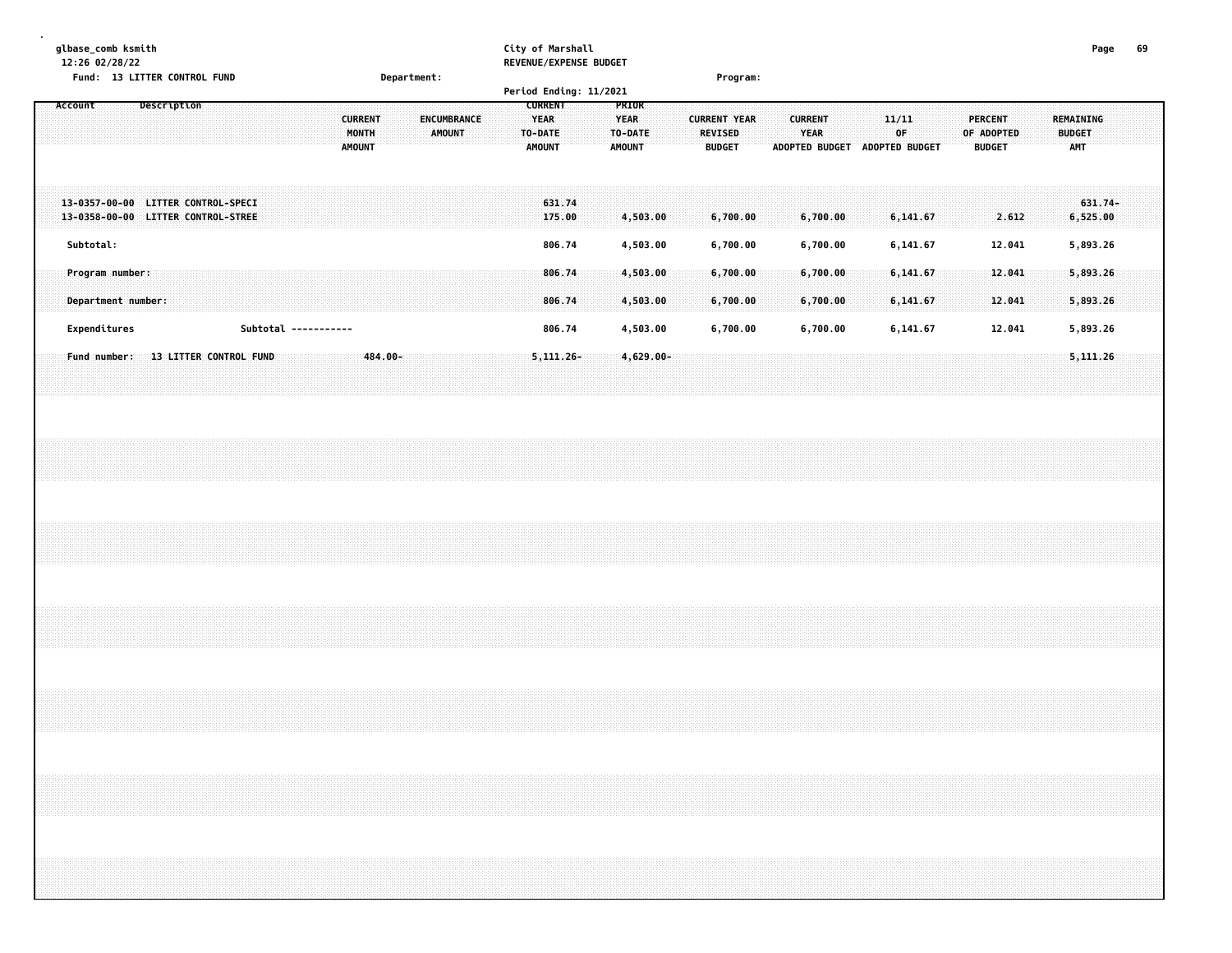|  |           | glbase_comb ksmith<br>12:26 02/28/22 |  |             | Fund: 13 LITTER CONTROL FUND                                             |  |  |                      |  |                                          |         | Department: |                                     |  |  |                                                           |                  | City of Marshall | REVENUE/EXPENSE BUDGET<br>Period Ending: 11/2021 |             |                                   |  |                                                 | Program: |  |                        |                      |  |                                        |                      |  |  |                                               |  |                                          | Page    | 69 |  |
|--|-----------|--------------------------------------|--|-------------|--------------------------------------------------------------------------|--|--|----------------------|--|------------------------------------------|---------|-------------|-------------------------------------|--|--|-----------------------------------------------------------|------------------|------------------|--------------------------------------------------|-------------|-----------------------------------|--|-------------------------------------------------|----------|--|------------------------|----------------------|--|----------------------------------------|----------------------|--|--|-----------------------------------------------|--|------------------------------------------|---------|----|--|
|  | Account   |                                      |  | Description |                                                                          |  |  |                      |  | <b>CURRENT</b><br>MONTH<br><b>AMOUNT</b> |         |             | <b>ENCUMBRANCE</b><br><b>AMOUNT</b> |  |  | <b>CURRENT</b><br><b>YEAR</b><br>TO-DATE<br><b>AMOUNT</b> |                  |                  |                                                  | <b>YEAR</b> | PRIOR<br>TO-DATE<br><b>AMOUNT</b> |  | <b>CURRENT YEAR</b><br>REVISED<br><b>BUDGET</b> |          |  | <b>CURRENT</b><br>YEAR |                      |  | 11/11<br>ADOPTED BUDGET ADOPTED BUDGET | OF                   |  |  | <b>PERCENT</b><br>OF ADOPTED<br><b>BUDGET</b> |  | REMAINING<br><b>BUDGET</b><br><b>AMT</b> |         |    |  |
|  |           |                                      |  |             | 13-0357-00-00 LITTER CONTROL-SPECI<br>13-0358-00-00 LITTER CONTROL-STREE |  |  |                      |  |                                          |         |             |                                     |  |  |                                                           | 631.74<br>175.00 |                  |                                                  |             | 4,503.00                          |  | 6,700.00                                        |          |  |                        | 6,700.00             |  |                                        | 6,141.67             |  |  | 2.612                                         |  | 6,525.00                                 | 631.74- |    |  |
|  | Subtotal: | Program number:                      |  |             |                                                                          |  |  |                      |  |                                          |         |             |                                     |  |  |                                                           | 806.74<br>806.74 |                  |                                                  |             | 4,503.00<br>4,503.00              |  | 6,700.00<br>6,700.00                            |          |  |                        | 6,700.00<br>6,700.00 |  |                                        | 6,141.67<br>6,141.67 |  |  | 12.041<br>12.041                              |  | 5,893.26<br>5,893.26                     |         |    |  |
|  |           | Department number:                   |  |             |                                                                          |  |  |                      |  |                                          |         |             |                                     |  |  |                                                           | 806.74           |                  |                                                  |             | 4,503.00                          |  | 6,700.00                                        |          |  |                        | 6,700.00             |  |                                        | 6,141.67             |  |  | 12.041                                        |  | 5,893.26                                 |         |    |  |
|  |           | Expenditures                         |  |             |                                                                          |  |  | Subtotal ----------- |  |                                          |         |             |                                     |  |  |                                                           | 806.74           |                  |                                                  |             | 4,503.00                          |  | 6,700.00                                        |          |  |                        | 6,700.00             |  |                                        | 6,141.67             |  |  | 12.041                                        |  | 5,893.26                                 |         |    |  |
|  |           | Fund number:                         |  |             | 13 LITTER CONTROL FUND                                                   |  |  |                      |  |                                          | 484.00- |             |                                     |  |  | $5,111.26-$                                               |                  |                  |                                                  |             | $4,629.00 -$                      |  |                                                 |          |  |                        |                      |  |                                        |                      |  |  |                                               |  | 5,111.26                                 |         |    |  |
|  |           |                                      |  |             |                                                                          |  |  |                      |  |                                          |         |             |                                     |  |  |                                                           |                  |                  |                                                  |             |                                   |  |                                                 |          |  |                        |                      |  |                                        |                      |  |  |                                               |  |                                          |         |    |  |
|  |           |                                      |  |             |                                                                          |  |  |                      |  |                                          |         |             |                                     |  |  |                                                           |                  |                  |                                                  |             |                                   |  |                                                 |          |  |                        |                      |  |                                        |                      |  |  |                                               |  |                                          |         |    |  |
|  |           |                                      |  |             |                                                                          |  |  |                      |  |                                          |         |             |                                     |  |  |                                                           |                  |                  |                                                  |             |                                   |  |                                                 |          |  |                        |                      |  |                                        |                      |  |  |                                               |  |                                          |         |    |  |
|  |           |                                      |  |             |                                                                          |  |  |                      |  |                                          |         |             |                                     |  |  |                                                           |                  |                  |                                                  |             |                                   |  |                                                 |          |  |                        |                      |  |                                        |                      |  |  |                                               |  |                                          |         |    |  |
|  |           |                                      |  |             |                                                                          |  |  |                      |  |                                          |         |             |                                     |  |  |                                                           |                  |                  |                                                  |             |                                   |  |                                                 |          |  |                        |                      |  |                                        |                      |  |  |                                               |  |                                          |         |    |  |
|  |           |                                      |  |             |                                                                          |  |  |                      |  |                                          |         |             |                                     |  |  |                                                           |                  |                  |                                                  |             |                                   |  |                                                 |          |  |                        |                      |  |                                        |                      |  |  |                                               |  |                                          |         |    |  |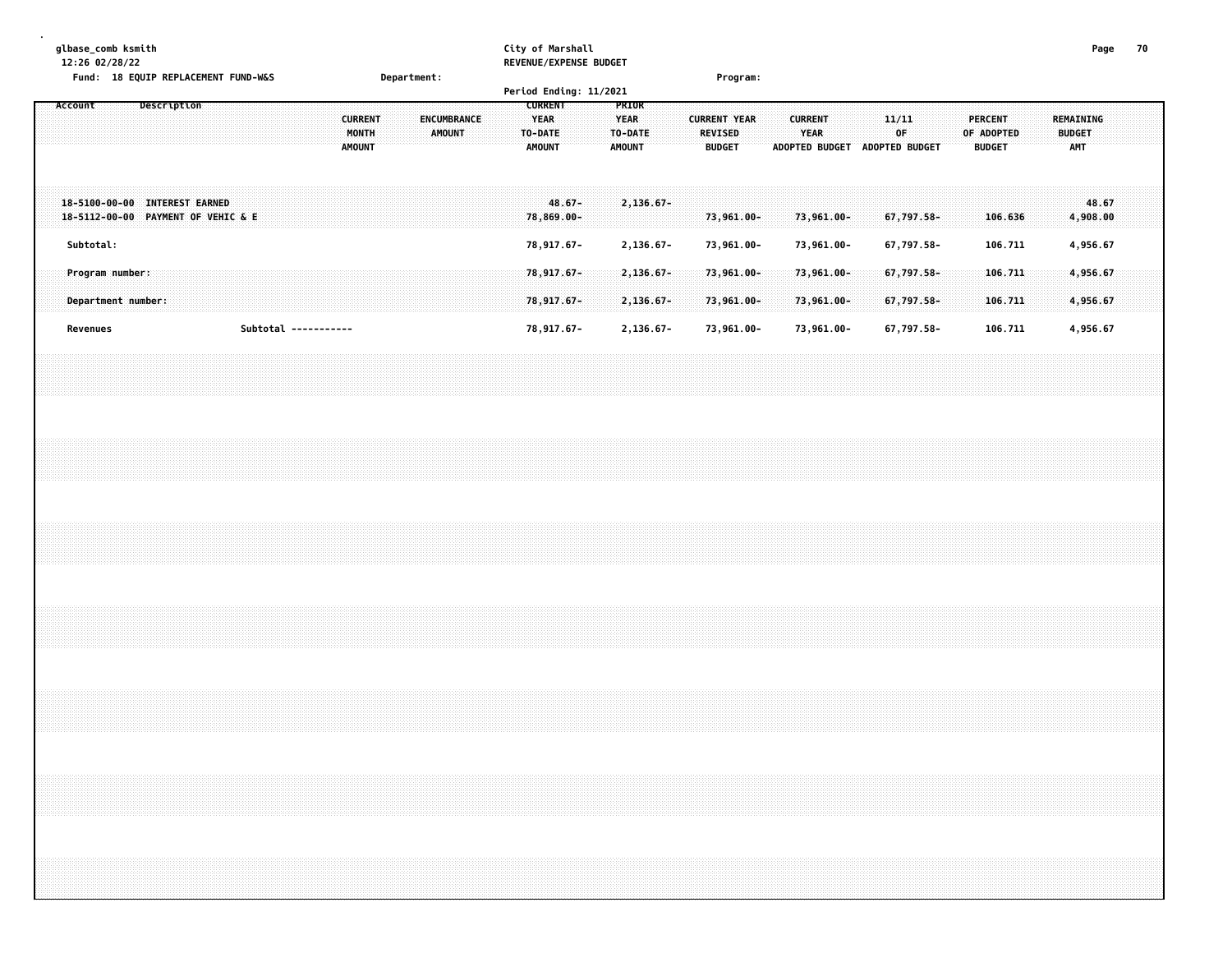| glbase_comb ksmith<br>12:26 02/28/22                                                                                                                                                                                                                                                                                                                                                                    |                                                                                 | City of Marshall<br>REVENUE/EXPENSE BUDGET                                                                    |                                                                                  |                                                                                               | 70<br>Page                                      |
|---------------------------------------------------------------------------------------------------------------------------------------------------------------------------------------------------------------------------------------------------------------------------------------------------------------------------------------------------------------------------------------------------------|---------------------------------------------------------------------------------|---------------------------------------------------------------------------------------------------------------|----------------------------------------------------------------------------------|-----------------------------------------------------------------------------------------------|-------------------------------------------------|
| Fund: 18 EQUIP REPLACEMENT FUND-W&S                                                                                                                                                                                                                                                                                                                                                                     | Department:                                                                     | Period Ending: 11/2021                                                                                        | Program:                                                                         |                                                                                               |                                                 |
| Account<br>Description                                                                                                                                                                                                                                                                                                                                                                                  | <b>CURRENT</b><br><b>ENCUMBRANCE</b><br>MONTH<br><b>AMOUNT</b><br><b>AMOUNT</b> | <b>CURRENT</b><br>PRIOR<br><b>YEAR</b><br><b>YEAR</b><br>TO-DATE<br>TO-DATE<br><b>AMOUNT</b><br><b>AMOUNT</b> | <b>CURRENT</b><br><b>CURRENT YEAR</b><br><b>REVISED</b><br>YEAR<br><b>BUDGET</b> | 11/11<br><b>PERCENT</b><br>OF<br>OF ADOPTED<br>ADOPTED BUDGET ADOPTED BUDGET<br><b>BUDGET</b> | <b>REMAINING</b><br><b>BUDGET</b><br><b>AMT</b> |
| 18-5100-00-00 INTEREST EARNED<br>18-5112-00-00 PAYMENT OF VEHIC & E                                                                                                                                                                                                                                                                                                                                     |                                                                                 | $48.67 -$<br>2,136.67-<br>78,869.00-                                                                          | 73,961.00-<br>73,961.00-                                                         | 67,797.58-<br>106.636                                                                         | 48.67<br>4,908.00                               |
| Subtotal:                                                                                                                                                                                                                                                                                                                                                                                               |                                                                                 | 78,917.67-<br>2,136.67-                                                                                       | 73,961.00-<br>73,961.00-                                                         | 67,797.58-<br>106.711                                                                         | 4,956.67                                        |
| Program number:<br>Department number:                                                                                                                                                                                                                                                                                                                                                                   |                                                                                 | 78,917.67-<br>2,136.67-<br>78,917.67-<br>2,136.67-                                                            | 73,961.00-<br>73,961.00-<br>73,961.00-<br>73,961.00-                             | 67,797.58-<br>106.711<br>67,797.58-<br>106.711                                                | 4,956.67<br>4,956.67                            |
| Revenues                                                                                                                                                                                                                                                                                                                                                                                                | Subtotal -----------                                                            | 78,917.67-<br>2,136.67-                                                                                       | 73,961.00-<br>73,961.00-                                                         | 67,797.58-<br>106.711                                                                         | 4,956.67                                        |
|                                                                                                                                                                                                                                                                                                                                                                                                         |                                                                                 |                                                                                                               |                                                                                  |                                                                                               |                                                 |
|                                                                                                                                                                                                                                                                                                                                                                                                         |                                                                                 |                                                                                                               |                                                                                  |                                                                                               |                                                 |
|                                                                                                                                                                                                                                                                                                                                                                                                         |                                                                                 |                                                                                                               |                                                                                  |                                                                                               |                                                 |
|                                                                                                                                                                                                                                                                                                                                                                                                         |                                                                                 |                                                                                                               |                                                                                  |                                                                                               |                                                 |
|                                                                                                                                                                                                                                                                                                                                                                                                         |                                                                                 |                                                                                                               |                                                                                  |                                                                                               |                                                 |
| ,我们就会在这里,我们就会在这里,我们就会在这里,我们就会在这里,我们就会在这里,我们就会在这里,我们就会在这里,我们就会在这里,我们就会不会不会。""我们,我<br>第151章 我们的人,我们就会在这里,我们的人,我们就会在这里,我们就会在这里,我们就会在这里,我们就会在这里,我们就会在这里,我们就会在这里,我们就会不会在这<br>$\sim$ . The component contract of the component contract of the component contract of the component contract of the component contract of the component contract of the component contract of the component contract of the co |                                                                                 |                                                                                                               |                                                                                  |                                                                                               |                                                 |
|                                                                                                                                                                                                                                                                                                                                                                                                         |                                                                                 |                                                                                                               |                                                                                  |                                                                                               |                                                 |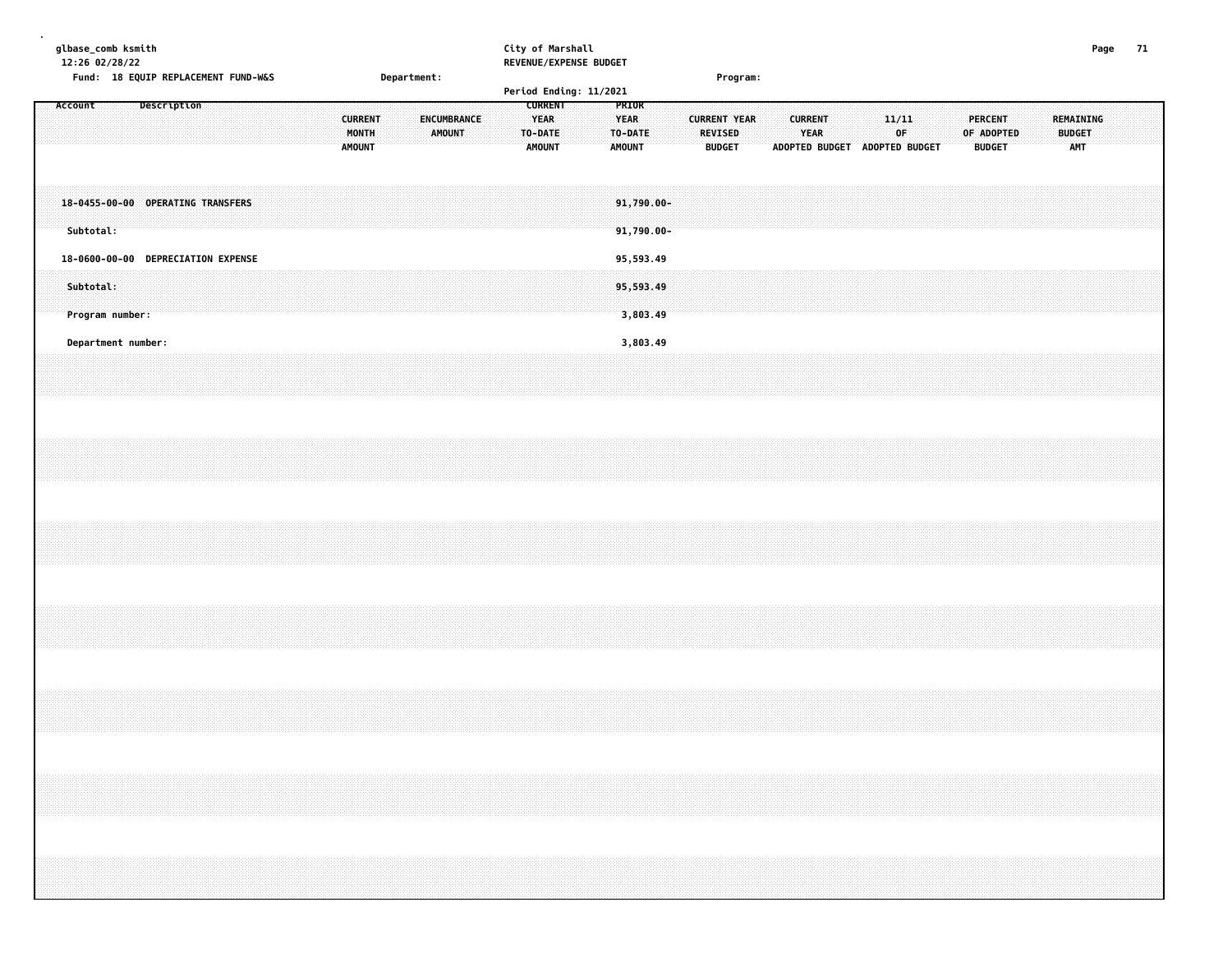| glbase_comb ksmith<br>12:26 02/28/22<br>Fund: 18 EQUIP REPLACEMENT FUND-W&S |                    |  |             |  |  |  | Department: |  |                         |  |  |  |        |                    |  |  | City of Marshall<br>REVENUE/EXPENSE BUDGET<br>Program: |                |  |  |                                 |          |  |  |                                |  |  |                        | Page |  |  |             |                       |  |  |                       |  |  |  |                                   |  | - 71 |  |
|-----------------------------------------------------------------------------|--------------------|--|-------------|--|--|--|-------------|--|-------------------------|--|--|--|--------|--------------------|--|--|--------------------------------------------------------|----------------|--|--|---------------------------------|----------|--|--|--------------------------------|--|--|------------------------|------|--|--|-------------|-----------------------|--|--|-----------------------|--|--|--|-----------------------------------|--|------|--|
|                                                                             |                    |  |             |  |  |  |             |  |                         |  |  |  |        |                    |  |  | Period Ending: 11/2021                                 |                |  |  |                                 |          |  |  |                                |  |  |                        |      |  |  |             |                       |  |  |                       |  |  |  |                                   |  |      |  |
| Account                                                                     |                    |  | Description |  |  |  |             |  | <b>CURRENT</b><br>MONTH |  |  |  | AMOUNT | <b>ENCUMBRANCE</b> |  |  | YEAR<br>TO-DATE                                        | <b>CURRENT</b> |  |  | PRIOR<br><b>YEAR</b><br>TO-DATE |          |  |  | <b>CURRENT YEAR</b><br>REVISED |  |  | <b>CURRENT</b><br>YEAR |      |  |  | 11/11<br>0F |                       |  |  | PERCENT<br>OF ADOPTED |  |  |  | <b>REMAINING</b><br><b>BUDGET</b> |  |      |  |
|                                                                             |                    |  |             |  |  |  |             |  | <b>AMOUNT</b>           |  |  |  |        |                    |  |  | <b>AMOUNT</b>                                          |                |  |  | AMOUNT                          |          |  |  | <b>BUDGET</b>                  |  |  | <b>ADOPTED BUDGET</b>  |      |  |  |             | <b>ADOPTED BUDGET</b> |  |  | <b>BUDGET</b>         |  |  |  | <b>AMT</b>                        |  |      |  |
| 18-0455-00-00 OPERATING TRANSFERS<br>Subtotal:                              |                    |  |             |  |  |  |             |  |                         |  |  |  |        |                    |  |  |                                                        |                |  |  | 91,790.00-<br>$91,790.00 -$     |          |  |  |                                |  |  |                        |      |  |  |             |                       |  |  |                       |  |  |  |                                   |  |      |  |
| 18-0600-00-00 DEPRECIATION EXPENSE                                          |                    |  |             |  |  |  |             |  |                         |  |  |  |        |                    |  |  |                                                        |                |  |  | 95,593.49                       |          |  |  |                                |  |  |                        |      |  |  |             |                       |  |  |                       |  |  |  |                                   |  |      |  |
| Subtotal:                                                                   | Program number:    |  |             |  |  |  |             |  |                         |  |  |  |        |                    |  |  |                                                        |                |  |  | 95,593.49                       | 3,803.49 |  |  |                                |  |  |                        |      |  |  |             |                       |  |  |                       |  |  |  |                                   |  |      |  |
|                                                                             | Department number: |  |             |  |  |  |             |  |                         |  |  |  |        |                    |  |  |                                                        |                |  |  |                                 | 3,803.49 |  |  |                                |  |  |                        |      |  |  |             |                       |  |  |                       |  |  |  |                                   |  |      |  |
|                                                                             |                    |  |             |  |  |  |             |  |                         |  |  |  |        |                    |  |  |                                                        |                |  |  |                                 |          |  |  |                                |  |  |                        |      |  |  |             |                       |  |  |                       |  |  |  |                                   |  |      |  |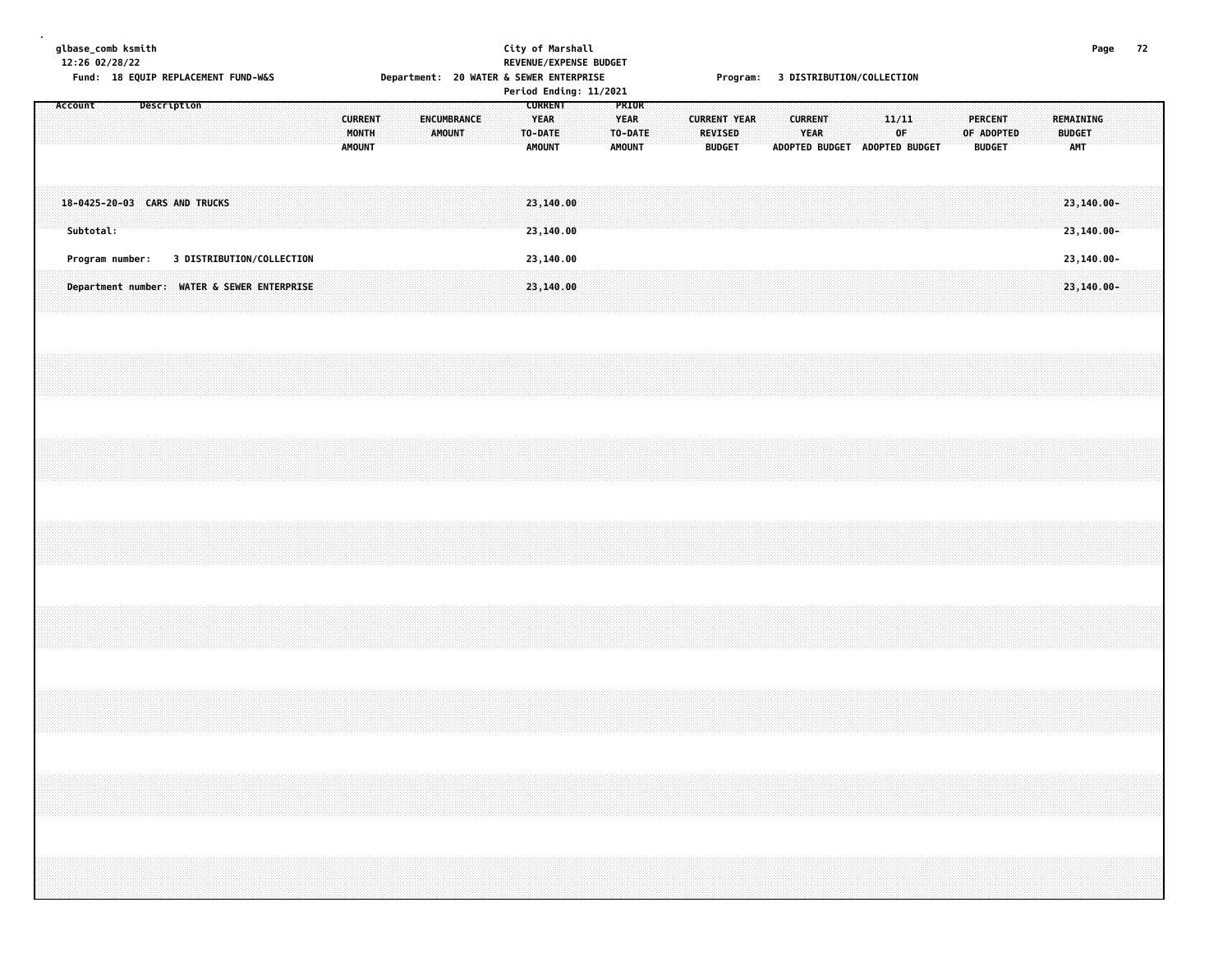| glbase_comb ksmith<br>12:26 02/28/22 |           |                 |  |             | Fund: 18 EQUIP REPLACEMENT FUND-W&S |  |                                             |  |               |                         |  | Department: 20 WATER & SEWER ENTERPRISE |               |  |                                         | City of Marshall       | REVENUE/EXPENSE BUDGET<br>Period Ending: 11/2021 |                       |                  |  |                                 |                     |  |                        |  |       | Program: 3 DISTRIBUTION/COLLECTION  |  |            |                                 |  |                                   |                              | Page 72 |  |
|--------------------------------------|-----------|-----------------|--|-------------|-------------------------------------|--|---------------------------------------------|--|---------------|-------------------------|--|-----------------------------------------|---------------|--|-----------------------------------------|------------------------|--------------------------------------------------|-----------------------|------------------|--|---------------------------------|---------------------|--|------------------------|--|-------|-------------------------------------|--|------------|---------------------------------|--|-----------------------------------|------------------------------|---------|--|
| Account                              |           |                 |  | Description |                                     |  |                                             |  | <b>AMOUNT</b> | <b>CURRENT</b><br>MONTH |  | ENCUMBRANCE                             | <b>AMOUNT</b> |  | <b>YEAR</b><br>TO-DATE<br><b>AMOUNT</b> | <b>CURRENT</b>         |                                                  | <b>YEAR</b><br>AMOUNT | PRIOR<br>TO-DATE |  | <b>REVISED</b><br><b>BUDGET</b> | <b>CURRENT YEAR</b> |  | <b>CURRENT</b><br>YEAR |  | 11/11 | 0F<br>ADOPTED BUDGET ADOPTED BUDGET |  | OF ADOPTED | <b>PERCENT</b><br><b>BUDGET</b> |  | REMAINING<br><b>BUDGET</b><br>AMT |                              |         |  |
|                                      | Subtotal: |                 |  |             | 18-0425-20-03 CARS AND TRUCKS       |  |                                             |  |               |                         |  |                                         |               |  |                                         | 23,140.00<br>23,140.00 |                                                  |                       |                  |  |                                 |                     |  |                        |  |       |                                     |  |            |                                 |  |                                   | 23,140.00-<br>$23, 140.00 -$ |         |  |
|                                      |           | Program number: |  |             |                                     |  | 3 DISTRIBUTION/COLLECTION                   |  |               |                         |  |                                         |               |  |                                         | 23,140.00              |                                                  |                       |                  |  |                                 |                     |  |                        |  |       |                                     |  |            |                                 |  |                                   | 23,140.00-                   |         |  |
|                                      |           |                 |  |             |                                     |  | Department number: WATER & SEWER ENTERPRISE |  |               |                         |  |                                         |               |  |                                         | 23,140.00              |                                                  |                       |                  |  |                                 |                     |  |                        |  |       |                                     |  |            |                                 |  |                                   | 23,140.00-                   |         |  |
|                                      |           |                 |  |             |                                     |  |                                             |  |               |                         |  |                                         |               |  |                                         |                        |                                                  |                       |                  |  |                                 |                     |  |                        |  |       |                                     |  |            |                                 |  |                                   |                              |         |  |
|                                      |           |                 |  |             |                                     |  |                                             |  |               |                         |  |                                         |               |  |                                         |                        |                                                  |                       |                  |  |                                 |                     |  |                        |  |       |                                     |  |            |                                 |  |                                   |                              |         |  |
|                                      |           |                 |  |             |                                     |  |                                             |  |               |                         |  |                                         |               |  |                                         |                        |                                                  |                       |                  |  |                                 |                     |  |                        |  |       |                                     |  |            |                                 |  |                                   |                              |         |  |
|                                      |           |                 |  |             |                                     |  |                                             |  |               |                         |  |                                         |               |  |                                         |                        |                                                  |                       |                  |  |                                 |                     |  |                        |  |       |                                     |  |            |                                 |  |                                   |                              |         |  |
|                                      |           |                 |  |             |                                     |  |                                             |  |               |                         |  |                                         |               |  |                                         |                        |                                                  |                       |                  |  |                                 |                     |  |                        |  |       |                                     |  |            |                                 |  |                                   |                              |         |  |
|                                      |           |                 |  |             |                                     |  |                                             |  |               |                         |  |                                         |               |  |                                         |                        |                                                  |                       |                  |  |                                 |                     |  |                        |  |       |                                     |  |            |                                 |  |                                   |                              |         |  |
|                                      |           |                 |  |             |                                     |  |                                             |  |               |                         |  |                                         |               |  |                                         |                        |                                                  |                       |                  |  |                                 |                     |  |                        |  |       |                                     |  |            |                                 |  |                                   |                              |         |  |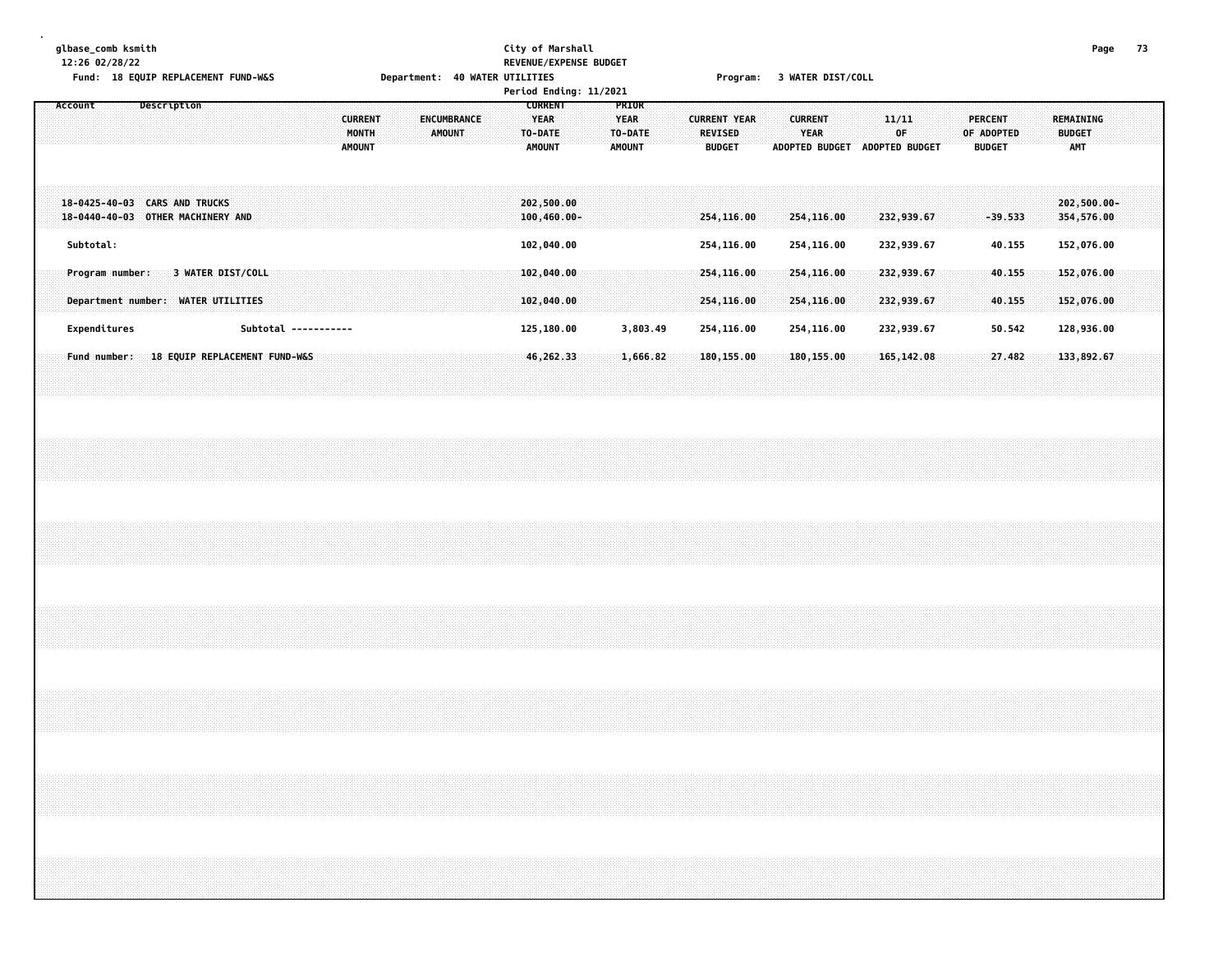# **glbase\_comb ksmith City of Marshall Page 73 12:26 02/28/22 REVENUE/EXPENSE BUDGET** Fund: 18 EQUIP REPLACEMENT FUND-W&S Department: 40 WATER UTILITIES Frogram: 3 WATER DIST/COLL

|                              |                                                      |                                          | Period Ending: 11/2021                                                                    |                                                  |                                                                                                           |                                                                                |                                                 |
|------------------------------|------------------------------------------------------|------------------------------------------|-------------------------------------------------------------------------------------------|--------------------------------------------------|-----------------------------------------------------------------------------------------------------------|--------------------------------------------------------------------------------|-------------------------------------------------|
| Account                      | <b>Description</b>                                   | <b>CURRENT</b><br>MONTH<br><b>AMOUNT</b> | <b>CURRENT</b><br>YEAR<br><b>ENCUMBRANCE</b><br><b>AMOUNT</b><br>TO-DATE<br><b>AMOUNT</b> | PRIOR<br><b>YEAR</b><br>TO-DATE<br><b>AMOUNT</b> | <b>CURRENT YEAR</b><br><b>CURRENT</b><br><b>REVISED</b><br>YEAR<br><b>BUDGET</b><br><b>ADOPTED BUDGET</b> | PERCENT<br>11/11<br>0F<br>OF ADOPTED<br><b>ADOPTED BUDGET</b><br><b>BUDGET</b> | <b>REMAINING</b><br><b>BUDGET</b><br><b>AMT</b> |
| $18 - 0440 - 40 - 03$        | 18-0425-40-03 CARS AND TRUCKS<br>OTHER MACHINERY AND |                                          | 202,500.00<br>$100, 460.00 -$                                                             |                                                  | 254,116.00<br>254,116.00                                                                                  | 232,939.67                                                                     | $202,500.00 -$<br>354,576.00<br>$-39.533$       |
| Subtotal:<br>Program number: | 3 WATER DIST/COLL                                    |                                          | 102,040.00<br>102,040.00                                                                  |                                                  | 254,116.00<br>254,116.00<br>254,116.00<br>254,116.00                                                      | 232,939.67<br>232,939.67                                                       | 152,076.00<br>40.155<br>40.155<br>152,076.00    |
| Department number:           | <b>WATER UTILITIES</b>                               |                                          | 102,040.00                                                                                |                                                  | 254,116.00<br>254,116.00                                                                                  | 232,939.67                                                                     | 152,076.00<br>40.155                            |
| Expenditures                 |                                                      | Subtotal -----------                     | 125,180.00                                                                                | 3,803.49                                         | 254,116.00<br>254,116.00                                                                                  | 232,939.67                                                                     | 50.542<br>128,936.00                            |
| <b>Fund number:</b>          | 18 EQUIP REPLACEMENT FUND-W&S                        |                                          | 46,262.33                                                                                 | 1,666.82                                         | 180, 155, 00<br>180,155.00                                                                                | 165, 142.08                                                                    | 27.482<br>133,892.67                            |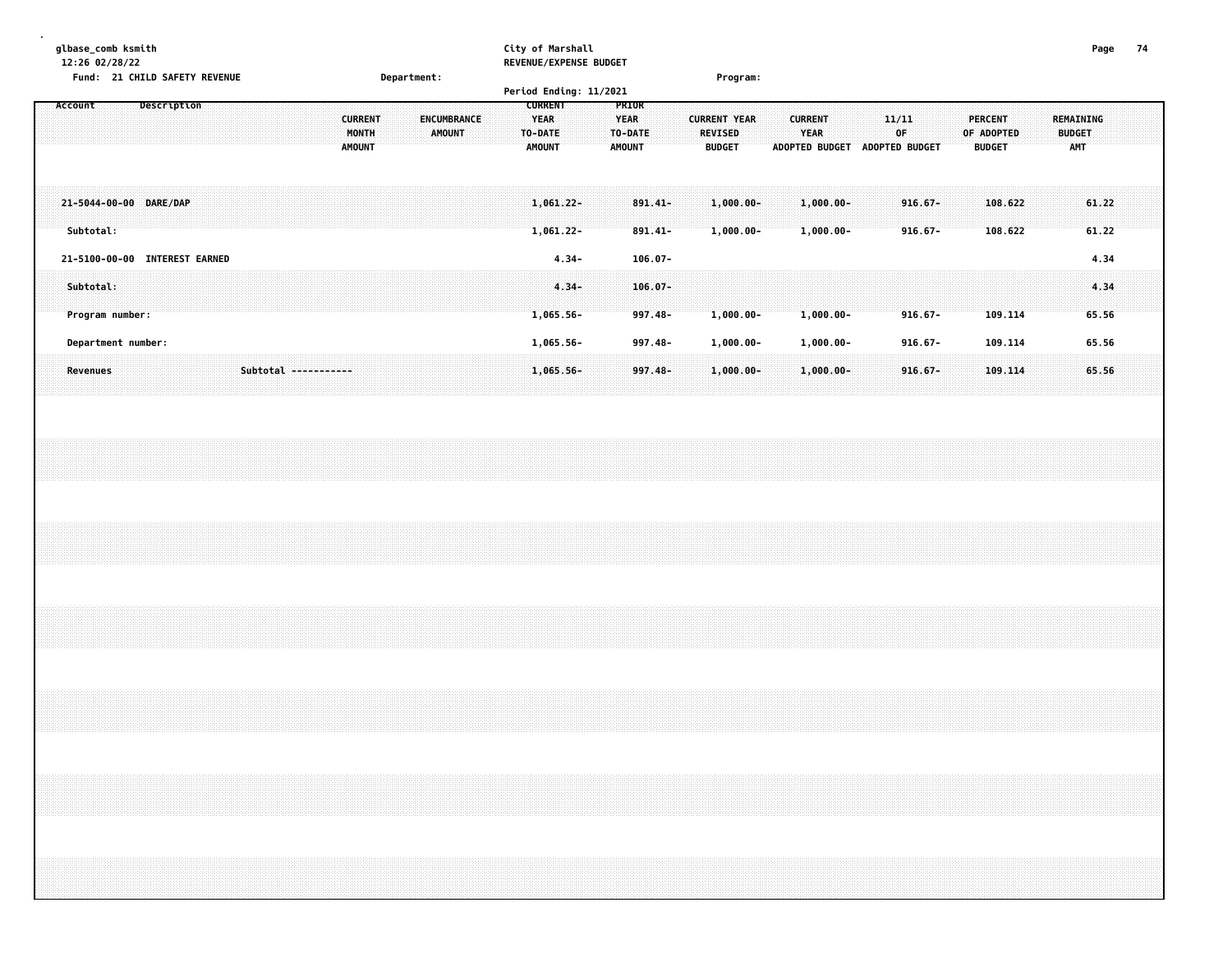| glbase_comb ksmith                      |                                                                          | City of Marshall                                                                                                                                                 |                                                                                                | Page<br>74                                                                                |
|-----------------------------------------|--------------------------------------------------------------------------|------------------------------------------------------------------------------------------------------------------------------------------------------------------|------------------------------------------------------------------------------------------------|-------------------------------------------------------------------------------------------|
| 12:26 02/28/22                          |                                                                          | REVENUE/EXPENSE BUDGET                                                                                                                                           |                                                                                                |                                                                                           |
| Fund: 21 CHILD SAFETY REVENUE           | Department:                                                              |                                                                                                                                                                  | Program:                                                                                       |                                                                                           |
|                                         |                                                                          | Period Ending: 11/2021                                                                                                                                           |                                                                                                |                                                                                           |
| Description<br>Account                  | ENCUMBRANCE<br><b>CURRENT</b><br>MONTH<br><b>AMOUNT</b><br><b>AMOUNT</b> | <b>CURRENT</b><br><b>PRIOR</b><br>YEAR<br>YEAR<br><b>CURRENT YEAR</b><br>TO-DATE<br>TO-DATE<br><b>REVISED</b><br><b>AMOUNT</b><br><b>BUDGET</b><br><b>AMOUNT</b> | <b>CURRENT</b><br>11/11<br><b>YEAR</b><br>0F<br><b>ADOPTED BUDGET</b><br><b>ADOPTED BUDGET</b> | PERCENT<br><b>REMAINING</b><br>OF ADOPTED<br><b>BUDGET</b><br><b>AMT</b><br><b>BUDGET</b> |
| 21-5044-00-00 DARE/DAP<br>Subtotal:     |                                                                          | $891.41 -$<br>1,061.22-<br>$1,061.22-$<br>$891.41 -$                                                                                                             | $1,000.00 -$<br>$1,000.00 -$<br>$916.67 -$<br>$1,000.00 -$<br>$1,000.00 -$<br>$916.67 -$       | 108,622<br>61.22<br>61.22<br>108.622                                                      |
| <b>INTEREST EARNED</b><br>21-5100-00-00 |                                                                          | $4.34 -$<br>$106.07 -$                                                                                                                                           |                                                                                                | 4.34                                                                                      |
| Subtotal:<br>Program number:            |                                                                          | $4.34 -$<br>$106.07 -$<br>$997.48 -$<br>$1,065.56 -$                                                                                                             | $1,000.00 -$<br>$1,000.00 -$<br>$916.67 -$                                                     | 4.34<br>65.56<br>109.114                                                                  |
| Department number:                      |                                                                          | $1,065.56 -$<br>997.48-                                                                                                                                          | $1,000.00-$<br>$1,000.00-$<br>$916.67 -$                                                       | 65.56<br>109.114                                                                          |
| Revenues                                | Subtotal -----------                                                     | $997.48 -$<br>$1,065.56 -$                                                                                                                                       | $1,000.00 -$<br>$1,000.00 -$<br>$916.67 -$                                                     | 65.56<br>109.114                                                                          |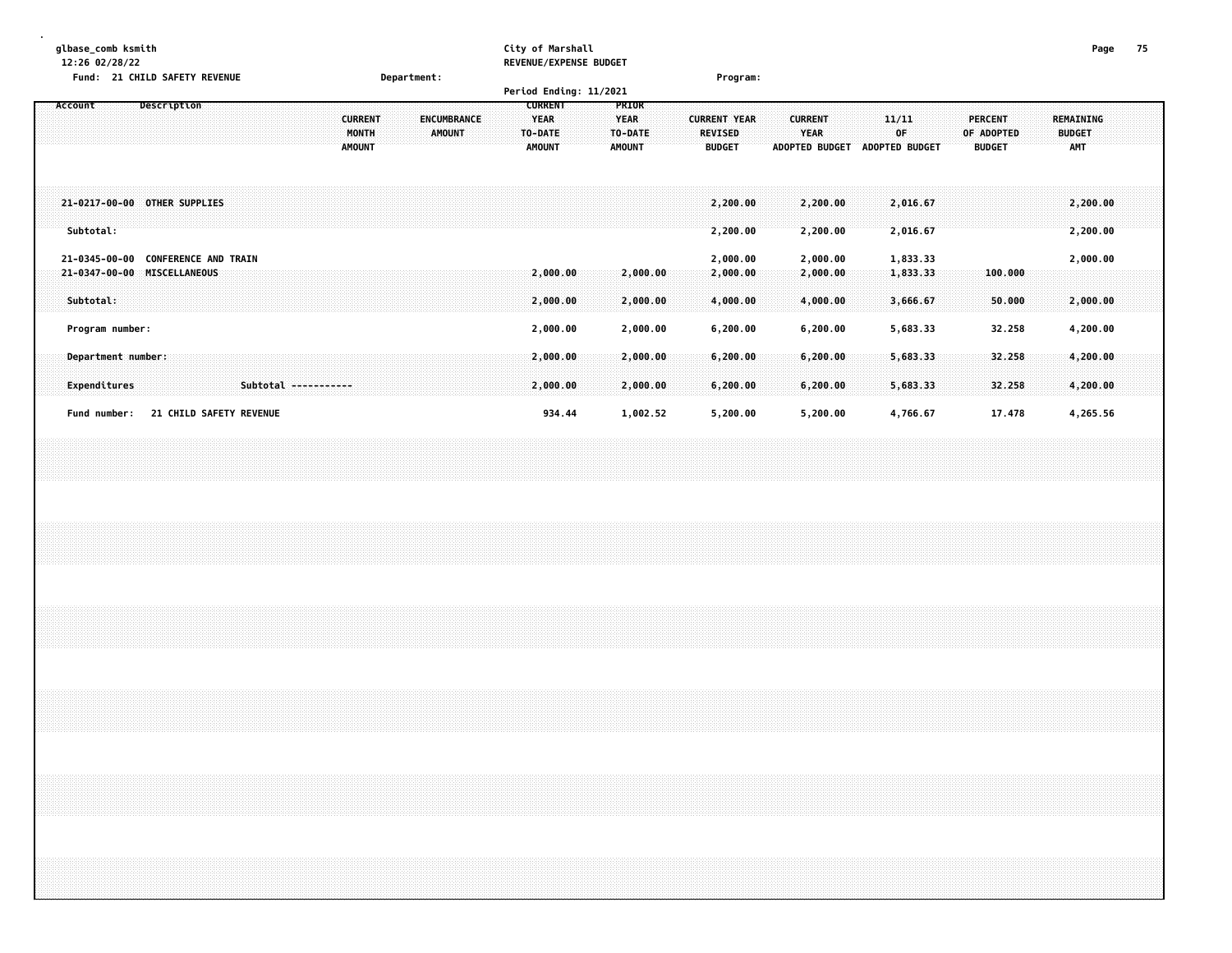|           | glbase_comb ksmith<br>12:26 02/28/22 |                               |  |                      |  |                        |             |                    |  |         | City of Marshall | REVENUE/EXPENSE BUDGET |               |                                 |                |                               |                             |                             | Page                        | 75 |
|-----------|--------------------------------------|-------------------------------|--|----------------------|--|------------------------|-------------|--------------------|--|---------|------------------|------------------------|---------------|---------------------------------|----------------|-------------------------------|-----------------------------|-----------------------------|-----------------------------|----|
|           |                                      | Fund: 21 CHILD SAFETY REVENUE |  |                      |  |                        | Department: |                    |  |         |                  |                        |               | Program:                        |                |                               |                             |                             |                             |    |
|           |                                      |                               |  |                      |  |                        |             |                    |  |         |                  | Period Ending: 11/2021 |               |                                 |                |                               |                             |                             |                             |    |
| Account   |                                      | Description                   |  |                      |  |                        |             |                    |  |         | <b>CURRENT</b>   |                        | <b>PRIOR</b>  |                                 |                |                               |                             |                             |                             |    |
|           |                                      |                               |  |                      |  | <b>CURRENT</b>         |             | <b>ENCUMBRANCE</b> |  |         | <b>YEAR</b>      |                        | YEAR          | <b>CURRENT YEAR</b>             | <b>CURRENT</b> |                               | 11/11                       | PERCENT                     | REMAINING                   |    |
|           |                                      |                               |  |                      |  | MONTH<br><b>AMOUNT</b> |             | <b>AMOUNT</b>      |  | TO-DATE | <b>AMOUNT</b>    |                        | TO-DATE       | <b>REVISED</b><br><b>BUDGET</b> |                | YEAR<br><b>ADOPTED BUDGET</b> | 0F<br><b>ADOPTED BUDGET</b> | OF ADOPTED<br><b>BUDGET</b> | <b>BUDGET</b><br><b>AMT</b> |    |
|           |                                      |                               |  |                      |  |                        |             |                    |  |         |                  |                        | <b>AMOUNT</b> |                                 |                |                               |                             |                             |                             |    |
|           |                                      |                               |  |                      |  |                        |             |                    |  |         |                  |                        |               |                                 |                |                               |                             |                             |                             |    |
|           |                                      |                               |  |                      |  |                        |             |                    |  |         |                  |                        |               |                                 |                |                               |                             |                             |                             |    |
|           |                                      | 21-0217-00-00 OTHER SUPPLIES  |  |                      |  |                        |             |                    |  |         |                  |                        |               | 2,200.00                        |                | 2,200.00                      | 2,016.67                    |                             | 2,200.00                    |    |
|           |                                      |                               |  |                      |  |                        |             |                    |  |         |                  |                        |               |                                 |                |                               |                             |                             |                             |    |
| Subtotal: |                                      |                               |  |                      |  |                        |             |                    |  |         |                  |                        |               | 2,200.00                        |                | 2,200.00                      | 2,016.67                    |                             | 2,200.00                    |    |
|           |                                      |                               |  |                      |  |                        |             |                    |  |         |                  |                        |               |                                 |                |                               |                             |                             |                             |    |
|           | 21-0345-00-00                        | <b>CONFERENCE AND TRAIN</b>   |  |                      |  |                        |             |                    |  |         |                  |                        |               | 2,000.00                        |                | 2,000.00                      | 1,833.33                    |                             | 2,000.00                    |    |
|           |                                      | 21-0347-00-00 MISCELLANEOUS   |  |                      |  |                        |             |                    |  |         | 2,000.00         |                        | 2,000.00      | 2,000.00                        |                | 2,000.00                      | 1,833.33                    | 100.000                     |                             |    |
| Subtotal: |                                      |                               |  |                      |  |                        |             |                    |  |         | 2,000.00         |                        | 2,000.00      | 4,000.00                        |                | 4,000.00                      | 3,666.67                    | 50.000                      | 2,000.00                    |    |
|           |                                      |                               |  |                      |  |                        |             |                    |  |         |                  |                        |               |                                 |                |                               |                             |                             |                             |    |
|           | Program number:                      |                               |  |                      |  |                        |             |                    |  |         | 2,000.00         |                        | 2,000.00      | 6, 200.00                       |                | 6,200.00                      | 5,683.33                    | 32.258                      | 4,200.00                    |    |
|           |                                      |                               |  |                      |  |                        |             |                    |  |         |                  |                        |               |                                 |                |                               |                             |                             |                             |    |
|           | Department number:                   |                               |  |                      |  |                        |             |                    |  |         | 2,000.00         |                        | 2,000.00      | 6,200.00                        |                | 6,200.00                      | 5,683.33                    | 32.258                      | 4,200.00                    |    |
|           |                                      |                               |  |                      |  |                        |             |                    |  |         |                  |                        |               |                                 |                |                               |                             |                             |                             |    |
|           | Expenditures                         |                               |  | Subtotal ----------- |  |                        |             |                    |  |         | 2,000.00         |                        | 2,000.00      | 6,200.00                        |                | 6,200.00                      | 5,683.33                    | 32.258                      | 4,200.00                    |    |
|           |                                      |                               |  |                      |  |                        |             |                    |  |         |                  |                        |               |                                 |                |                               |                             |                             |                             |    |
|           | Fund number:                         | 21 CHILD SAFETY REVENUE       |  |                      |  |                        |             |                    |  |         | 934.44           |                        | 1,002.52      | 5,200.00                        |                | 5,200.00                      | 4,766.67                    | 17.478                      | 4,265.56                    |    |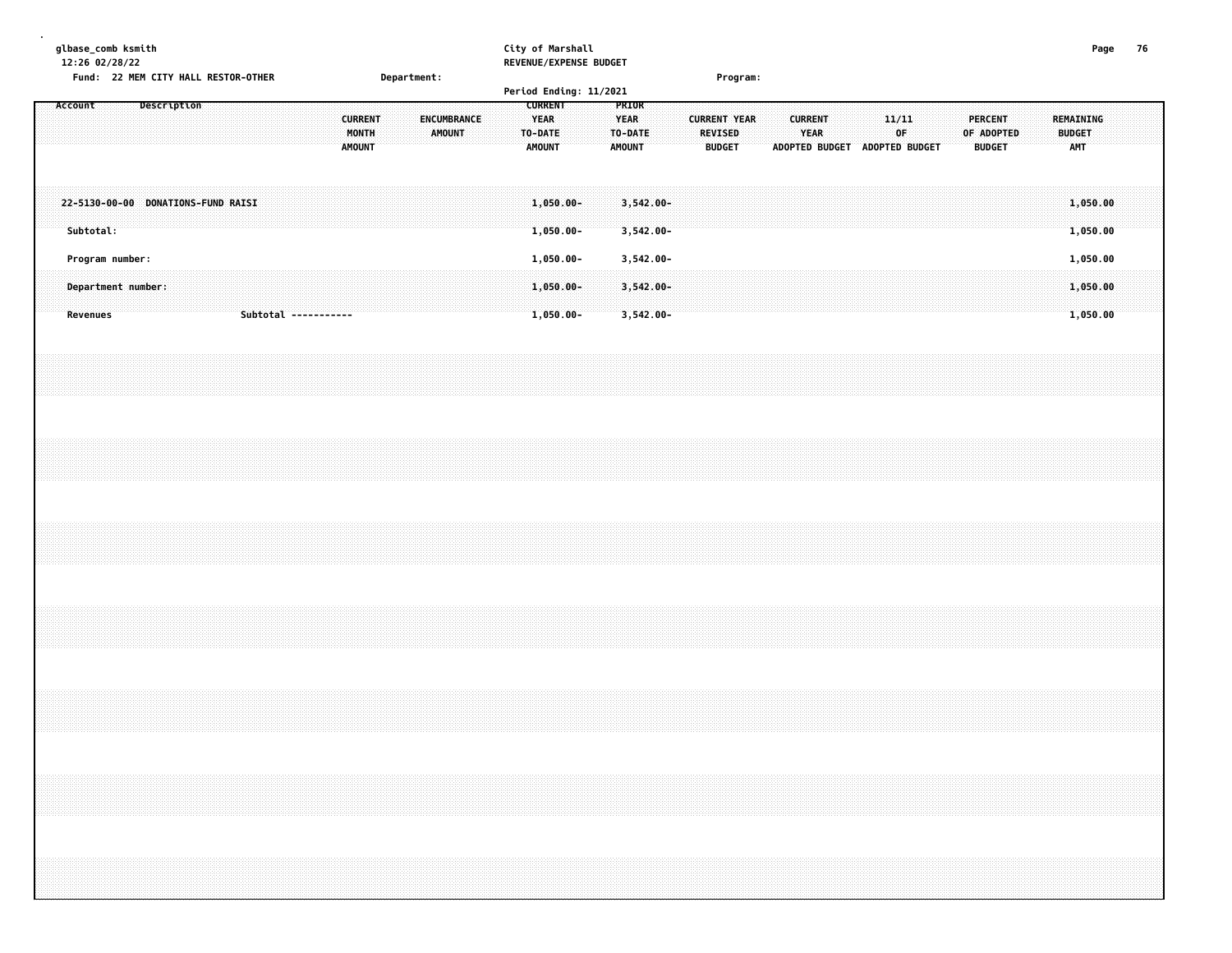| glbase_comb ksmith |           | 12:26 02/28/22 |                                     |             |  |  |                      |                                          |  |             |               |             |  | City of Marshall |                                                | REVENUE/EXPENSE BUDGET |                              |                              |  |                |                                      |  |                        |  |                               |             |  |                                               |  |               |                         | Page | 76 |  |
|--------------------|-----------|----------------|-------------------------------------|-------------|--|--|----------------------|------------------------------------------|--|-------------|---------------|-------------|--|------------------|------------------------------------------------|------------------------|------------------------------|------------------------------|--|----------------|--------------------------------------|--|------------------------|--|-------------------------------|-------------|--|-----------------------------------------------|--|---------------|-------------------------|------|----|--|
|                    |           |                | Fund: 22 MEM CITY HALL RESTOR-OTHER |             |  |  |                      |                                          |  | Department: |               |             |  |                  |                                                | Period Ending: 11/2021 |                              |                              |  |                | Program:                             |  |                        |  |                               |             |  |                                               |  |               |                         |      |    |  |
| Account            |           |                |                                     | Description |  |  |                      | <b>CURRENT</b><br>MONTH<br><b>AMOUNT</b> |  |             | <b>AMOUNT</b> | ENCUMBRANCE |  | TO-DATE          | <b>CURRENT</b><br><b>YEAR</b><br><b>AMOUNT</b> |                        | <b>YEAR</b><br><b>AMOUNT</b> | PRIOR<br>TO-DATE             |  | <b>REVISED</b> | <b>CURRENT YEAR</b><br><b>BUDGET</b> |  | <b>CURRENT</b><br>YEAR |  | ADOPTED BUDGET ADOPTED BUDGET | 11/11<br>0F |  | <b>PERCENT</b><br>OF ADOPTED<br><b>BUDGET</b> |  | <b>BUDGET</b> | REMAINING<br><b>AMT</b> |      |    |  |
|                    | Subtotal: |                | 22-5130-00-00 DONATIONS-FUND RAISI  |             |  |  |                      |                                          |  |             |               |             |  |                  | $1,050.00 -$<br>1,050.00-                      |                        |                              | $3,542.00 -$<br>$3,542.00 -$ |  |                |                                      |  |                        |  |                               |             |  |                                               |  |               | 1,050.00<br>1,050.00    |      |    |  |
|                    |           |                | Program number:                     |             |  |  |                      |                                          |  |             |               |             |  |                  | $1,050.00 -$                                   |                        |                              | 3,542.00-                    |  |                |                                      |  |                        |  |                               |             |  |                                               |  |               | 1,050.00                |      |    |  |
|                    | Revenues  |                | Department number:                  |             |  |  | Subtotal ----------- |                                          |  |             |               |             |  |                  | $1,050.00 -$<br>$1,050.00 -$                   |                        |                              | $3,542.00 -$<br>$3,542.00 -$ |  |                |                                      |  |                        |  |                               |             |  |                                               |  |               | 1,050.00<br>1,050.00    |      |    |  |
|                    |           |                |                                     |             |  |  |                      |                                          |  |             |               |             |  |                  |                                                |                        |                              |                              |  |                |                                      |  |                        |  |                               |             |  |                                               |  |               |                         |      |    |  |
|                    |           |                |                                     |             |  |  |                      |                                          |  |             |               |             |  |                  |                                                |                        |                              |                              |  |                |                                      |  |                        |  |                               |             |  |                                               |  |               |                         |      |    |  |
|                    |           |                |                                     |             |  |  |                      |                                          |  |             |               |             |  |                  |                                                |                        |                              |                              |  |                |                                      |  |                        |  |                               |             |  |                                               |  |               |                         |      |    |  |
|                    |           |                |                                     |             |  |  |                      |                                          |  |             |               |             |  |                  |                                                |                        |                              |                              |  |                |                                      |  |                        |  |                               |             |  |                                               |  |               |                         |      |    |  |
|                    |           |                |                                     |             |  |  |                      |                                          |  |             |               |             |  |                  |                                                |                        |                              |                              |  |                |                                      |  |                        |  |                               |             |  |                                               |  |               |                         |      |    |  |
|                    |           |                |                                     |             |  |  |                      |                                          |  |             |               |             |  |                  |                                                |                        |                              |                              |  |                |                                      |  |                        |  |                               |             |  |                                               |  |               |                         |      |    |  |
|                    |           |                |                                     |             |  |  |                      |                                          |  |             |               |             |  |                  |                                                |                        |                              |                              |  |                |                                      |  |                        |  |                               |             |  |                                               |  |               |                         |      |    |  |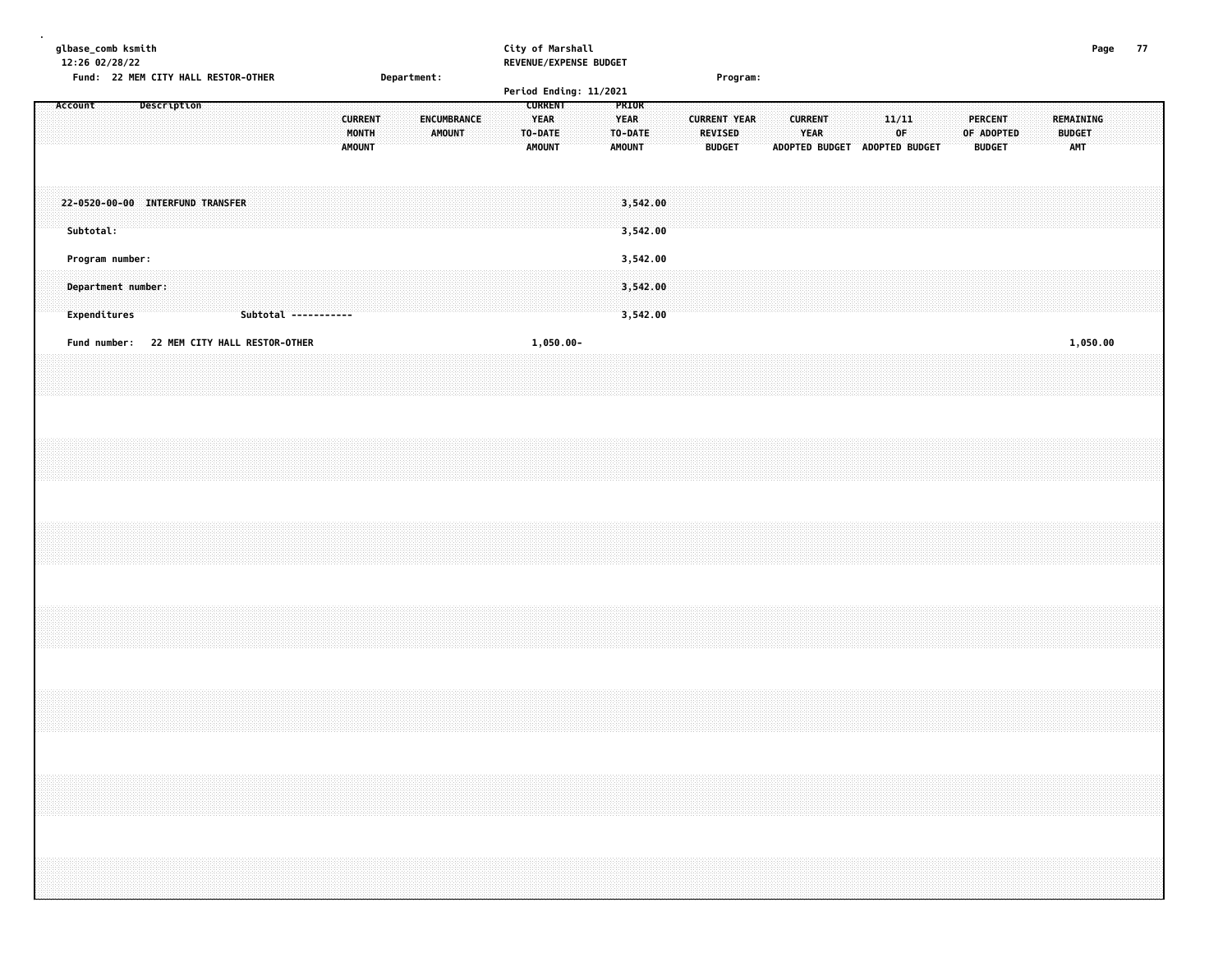| 12:26 02/28/22 |                                    | glbase_comb ksmith |  |             |                                  |                                                                                  |  | Department: |  |                                          |  |  |  |               |             |  |                                                           |              | City of Marshall<br>REVENUE/EXPENSE BUDGET |                                                  |                      |  |                                                 |  |                        |  |                                              |  |                                 |            |  |                                   |          | Page | 77 |  |
|----------------|------------------------------------|--------------------|--|-------------|----------------------------------|----------------------------------------------------------------------------------|--|-------------|--|------------------------------------------|--|--|--|---------------|-------------|--|-----------------------------------------------------------|--------------|--------------------------------------------|--------------------------------------------------|----------------------|--|-------------------------------------------------|--|------------------------|--|----------------------------------------------|--|---------------------------------|------------|--|-----------------------------------|----------|------|----|--|
|                |                                    |                    |  |             |                                  | Fund: 22 MEM CITY HALL RESTOR-OTHER                                              |  |             |  |                                          |  |  |  |               |             |  |                                                           |              | Period Ending: 11/2021                     |                                                  |                      |  | Program:                                        |  |                        |  |                                              |  |                                 |            |  |                                   |          |      |    |  |
| Account        |                                    |                    |  | Description |                                  |                                                                                  |  |             |  | <b>CURRENT</b><br>MONTH<br><b>AMOUNT</b> |  |  |  | <b>AMOUNT</b> | ENCUMBRANCE |  | <b>CURRENT</b><br><b>YEAR</b><br>TO-DATE<br><b>AMOUNT</b> |              |                                            | PRIOR<br><b>YEAR</b><br>TO-DATE<br><b>AMOUNT</b> |                      |  | <b>CURRENT YEAR</b><br>REVISED<br><b>BUDGET</b> |  | <b>CURRENT</b><br>YEAR |  | 11/11<br>OF<br>ADOPTED BUDGET ADOPTED BUDGET |  | <b>PERCENT</b><br><b>BUDGET</b> | OF ADOPTED |  | REMAINING<br><b>BUDGET</b><br>AMT |          |      |    |  |
|                | Subtotal:                          |                    |  |             | 22-0520-00-00 INTERFUND TRANSFER |                                                                                  |  |             |  |                                          |  |  |  |               |             |  |                                                           |              |                                            |                                                  | 3,542.00<br>3,542.00 |  |                                                 |  |                        |  |                                              |  |                                 |            |  |                                   |          |      |    |  |
|                | Program number:                    |                    |  |             |                                  |                                                                                  |  |             |  |                                          |  |  |  |               |             |  |                                                           |              |                                            |                                                  | 3,542.00             |  |                                                 |  |                        |  |                                              |  |                                 |            |  |                                   |          |      |    |  |
|                | Department number:<br>Expenditures |                    |  |             |                                  | Subtotal -----------                                                             |  |             |  |                                          |  |  |  |               |             |  |                                                           |              |                                            |                                                  | 3,542.00<br>3,542.00 |  |                                                 |  |                        |  |                                              |  |                                 |            |  |                                   |          |      |    |  |
|                |                                    |                    |  |             |                                  | Fund number: 22 MEM CITY HALL RESTOR-OTHER                                       |  |             |  |                                          |  |  |  |               |             |  |                                                           | $1,050.00 -$ |                                            |                                                  |                      |  |                                                 |  |                        |  |                                              |  |                                 |            |  |                                   | 1,050.00 |      |    |  |
|                |                                    |                    |  |             |                                  |                                                                                  |  |             |  |                                          |  |  |  |               |             |  |                                                           |              |                                            |                                                  |                      |  |                                                 |  |                        |  |                                              |  |                                 |            |  |                                   |          |      |    |  |
|                |                                    |                    |  |             |                                  |                                                                                  |  |             |  |                                          |  |  |  |               |             |  |                                                           |              |                                            |                                                  |                      |  |                                                 |  |                        |  |                                              |  |                                 |            |  |                                   |          |      |    |  |
|                |                                    |                    |  |             |                                  |                                                                                  |  |             |  |                                          |  |  |  |               |             |  |                                                           |              |                                            |                                                  |                      |  |                                                 |  |                        |  |                                              |  |                                 |            |  |                                   |          |      |    |  |
|                |                                    |                    |  |             |                                  |                                                                                  |  |             |  |                                          |  |  |  |               |             |  |                                                           |              |                                            |                                                  |                      |  |                                                 |  |                        |  |                                              |  |                                 |            |  |                                   |          |      |    |  |
|                |                                    |                    |  |             |                                  |                                                                                  |  |             |  |                                          |  |  |  |               |             |  |                                                           |              |                                            |                                                  |                      |  |                                                 |  |                        |  |                                              |  |                                 |            |  |                                   |          |      |    |  |
|                |                                    |                    |  |             |                                  |                                                                                  |  |             |  |                                          |  |  |  |               |             |  |                                                           |              |                                            |                                                  |                      |  |                                                 |  |                        |  |                                              |  |                                 |            |  |                                   |          |      |    |  |
|                |                                    |                    |  |             |                                  |                                                                                  |  |             |  |                                          |  |  |  |               |             |  |                                                           |              |                                            |                                                  |                      |  |                                                 |  |                        |  |                                              |  |                                 |            |  |                                   |          |      |    |  |
|                |                                    |                    |  |             |                                  |                                                                                  |  |             |  |                                          |  |  |  |               |             |  |                                                           |              |                                            |                                                  |                      |  |                                                 |  |                        |  |                                              |  |                                 |            |  |                                   |          |      |    |  |
|                |                                    |                    |  |             |                                  |                                                                                  |  |             |  |                                          |  |  |  |               |             |  |                                                           |              |                                            |                                                  |                      |  |                                                 |  |                        |  |                                              |  |                                 |            |  |                                   |          |      |    |  |
|                |                                    |                    |  |             |                                  |                                                                                  |  |             |  |                                          |  |  |  |               |             |  |                                                           |              |                                            |                                                  |                      |  |                                                 |  |                        |  |                                              |  |                                 |            |  |                                   |          |      |    |  |
|                |                                    |                    |  |             |                                  |                                                                                  |  |             |  |                                          |  |  |  |               |             |  |                                                           |              |                                            |                                                  |                      |  |                                                 |  |                        |  |                                              |  |                                 |            |  |                                   |          |      |    |  |
|                |                                    |                    |  |             |                                  |                                                                                  |  |             |  |                                          |  |  |  |               |             |  |                                                           |              |                                            |                                                  |                      |  |                                                 |  |                        |  |                                              |  |                                 |            |  |                                   |          |      |    |  |
|                |                                    |                    |  |             |                                  | ,我们的时候,我们的时候,我们的时候,我们的时候,我们的时候,我们的时候,我们的时候,我们的时候,我们的时候,我们的时候,我们的时候,我们的时候,我们的时候,我 |  |             |  |                                          |  |  |  |               |             |  |                                                           |              |                                            |                                                  |                      |  |                                                 |  |                        |  |                                              |  |                                 |            |  |                                   |          |      |    |  |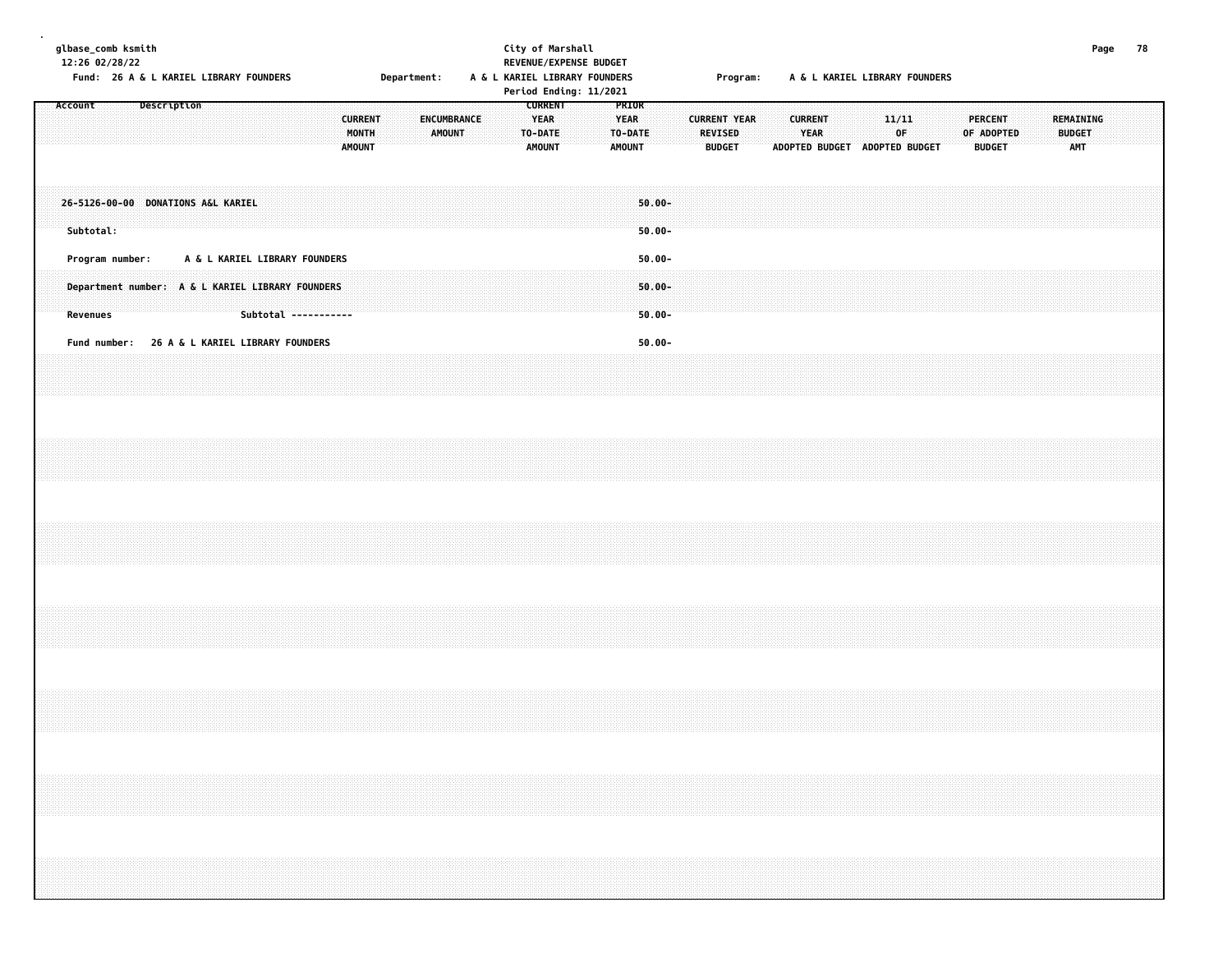| glbase_comb ksmith<br>12:26 02/28/22 |           | Fund: 26 A & L KARIEL LIBRARY FOUNDERS                              |                    |  |  |                                                       |                                          |  | Department: |        |             | City of Marshall |                                         |                | REVENUE/EXPENSE BUDGET<br>A & L KARIEL LIBRARY FOUNDERS<br>Period Ending: 11/2021 |                                                  |                                     |  |                                 | Program:            |  |                        |  |             | A & L KARIEL LIBRARY FOUNDERS |  |                                               |  |                            | Page       | 78 |  |
|--------------------------------------|-----------|---------------------------------------------------------------------|--------------------|--|--|-------------------------------------------------------|------------------------------------------|--|-------------|--------|-------------|------------------|-----------------------------------------|----------------|-----------------------------------------------------------------------------------|--------------------------------------------------|-------------------------------------|--|---------------------------------|---------------------|--|------------------------|--|-------------|-------------------------------|--|-----------------------------------------------|--|----------------------------|------------|----|--|
| Account                              |           |                                                                     | <b>Description</b> |  |  |                                                       | <b>CURRENT</b><br>MONTH<br><b>AMOUNT</b> |  |             | AMOUNT | ENCUMBRANCE |                  | <b>YEAR</b><br>TO-DATE<br><b>AMOUNT</b> | <b>CURRENT</b> |                                                                                   | PRIOR<br><b>YEAR</b><br>TO-DATE<br><b>AMOUNT</b> |                                     |  | <b>REVISED</b><br><b>BUDGET</b> | <b>CURRENT YEAR</b> |  | <b>CURRENT</b><br>YEAR |  | 11/11<br>0F | ADOPTED BUDGET ADOPTED BUDGET |  | <b>PERCENT</b><br>OF ADOPTED<br><b>BUDGET</b> |  | REMAINING<br><b>BUDGET</b> | <b>AMT</b> |    |  |
|                                      | Subtotal: | 26-5126-00-00 DONATIONS A&L KARIEL                                  |                    |  |  |                                                       |                                          |  |             |        |             |                  |                                         |                |                                                                                   |                                                  | $50.00 -$<br>$50.00 -$              |  |                                 |                     |  |                        |  |             |                               |  |                                               |  |                            |            |    |  |
|                                      | Revenues  | Program number:<br>Department number: A & L KARIEL LIBRARY FOUNDERS |                    |  |  | A & L KARIEL LIBRARY FOUNDERS<br>Subtotal ----------- |                                          |  |             |        |             |                  |                                         |                |                                                                                   |                                                  | $50.00 -$<br>$50.00 -$<br>$50.00 -$ |  |                                 |                     |  |                        |  |             |                               |  |                                               |  |                            |            |    |  |
|                                      |           | Fund number: 26 A & L KARIEL LIBRARY FOUNDERS                       |                    |  |  |                                                       |                                          |  |             |        |             |                  |                                         |                |                                                                                   |                                                  | $50.00 -$                           |  |                                 |                     |  |                        |  |             |                               |  |                                               |  |                            |            |    |  |
|                                      |           |                                                                     |                    |  |  |                                                       |                                          |  |             |        |             |                  |                                         |                |                                                                                   |                                                  |                                     |  |                                 |                     |  |                        |  |             |                               |  |                                               |  |                            |            |    |  |
|                                      |           |                                                                     |                    |  |  |                                                       |                                          |  |             |        |             |                  |                                         |                |                                                                                   |                                                  |                                     |  |                                 |                     |  |                        |  |             |                               |  |                                               |  |                            |            |    |  |
|                                      |           |                                                                     |                    |  |  |                                                       |                                          |  |             |        |             |                  |                                         |                |                                                                                   |                                                  |                                     |  |                                 |                     |  |                        |  |             |                               |  |                                               |  |                            |            |    |  |
|                                      |           |                                                                     |                    |  |  |                                                       |                                          |  |             |        |             |                  |                                         |                |                                                                                   |                                                  |                                     |  |                                 |                     |  |                        |  |             |                               |  |                                               |  |                            |            |    |  |
|                                      |           |                                                                     |                    |  |  |                                                       |                                          |  |             |        |             |                  |                                         |                |                                                                                   |                                                  |                                     |  |                                 |                     |  |                        |  |             |                               |  |                                               |  |                            |            |    |  |
|                                      |           |                                                                     |                    |  |  |                                                       |                                          |  |             |        |             |                  |                                         |                |                                                                                   |                                                  |                                     |  |                                 |                     |  |                        |  |             |                               |  |                                               |  |                            |            |    |  |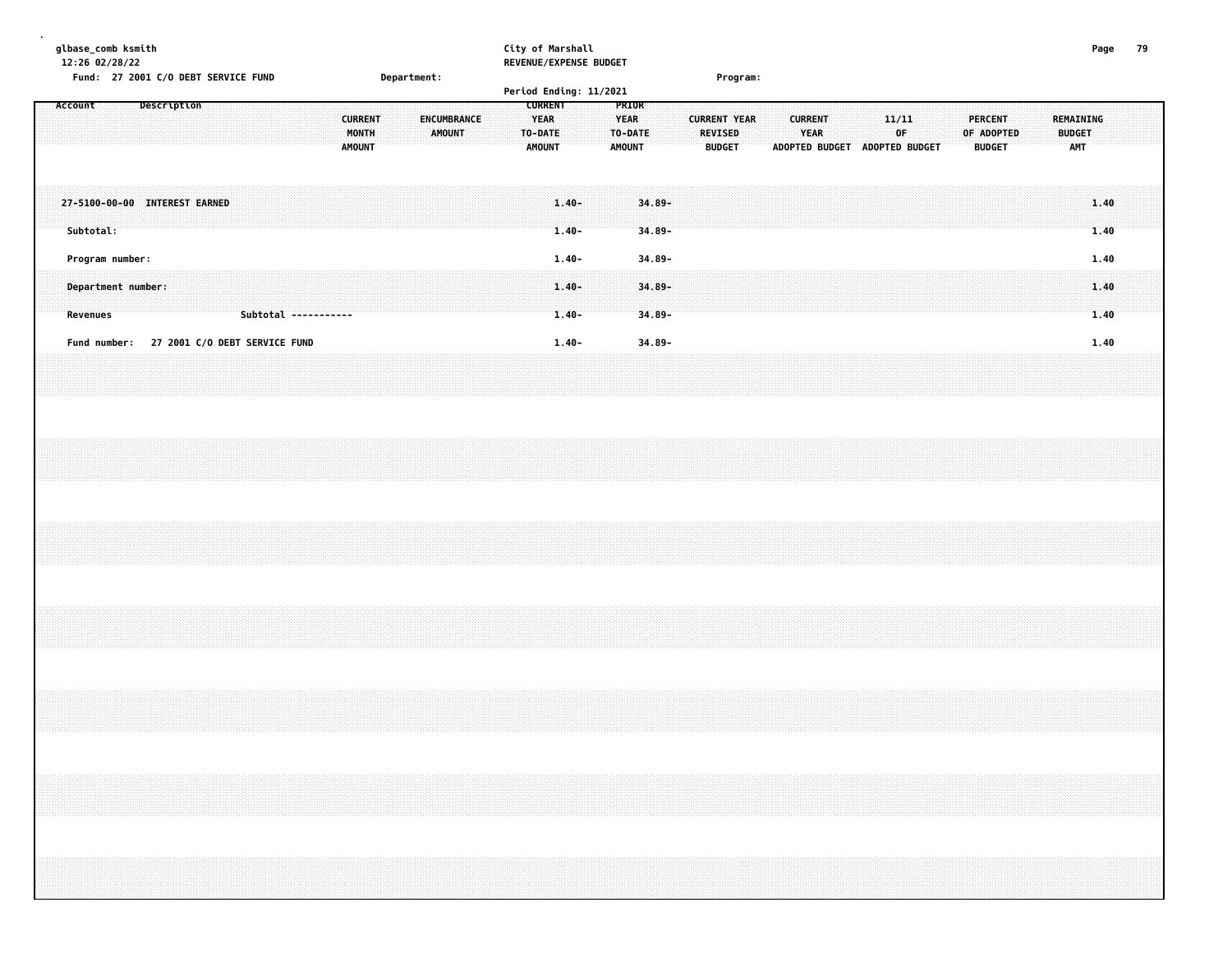| glbase_comb ksmith<br>12:26 02/28/22 |  | Fund: 27 2001 C/O DEBT SERVICE FUND |                               | <b>Department:</b> |        |   | City of Marshall<br>REVENUE/EXPENSE BUDGET       |                              |        |                         | Program: |                                            |                |                                          |               |              | Page |  |
|--------------------------------------|--|-------------------------------------|-------------------------------|--------------------|--------|---|--------------------------------------------------|------------------------------|--------|-------------------------|----------|--------------------------------------------|----------------|------------------------------------------|---------------|--------------|------|--|
|                                      |  |                                     |                               |                    |        |   | Period Ending: 11/2021                           |                              |        |                         |          |                                            |                |                                          |               |              |      |  |
|                                      |  |                                     | <b>MONTH</b><br><b>AMOUNT</b> | .<br>.             | AMOUNT | . | <b>CURREN</b><br><b>TO DATE</b><br><b>AMOUNT</b> | <b>MARINE YEAR</b><br>.<br>. | AMOUNT | .<br><b>BUDGET</b><br>. |          | <b>START WEAR</b><br><b>ADOPTED BUDGET</b> | ADOPTED BUDGET | .<br>a a component a final component and | <b>BUDGET</b> | . <b>.</b> . |      |  |

| 27-5100-00-00 INTEREST EARNED<br>Subtotal:<br>Program number:                                        | $1.40 -$<br>l.40-  | $1.40$ . $34.89$ . $\cdots$ . $34.89$ . $\cdots$ . $34.89$ .<br>$34.89 -$<br>34.89- |  |
|------------------------------------------------------------------------------------------------------|--------------------|-------------------------------------------------------------------------------------|--|
| Department number:<br><b>Revenues</b><br><b>27 2001 C/O DEBT SERVICE FUND</b><br><b>Fund number:</b> | $1.40 -$<br>. 40 – | $34.89 -$<br>34.89-                                                                 |  |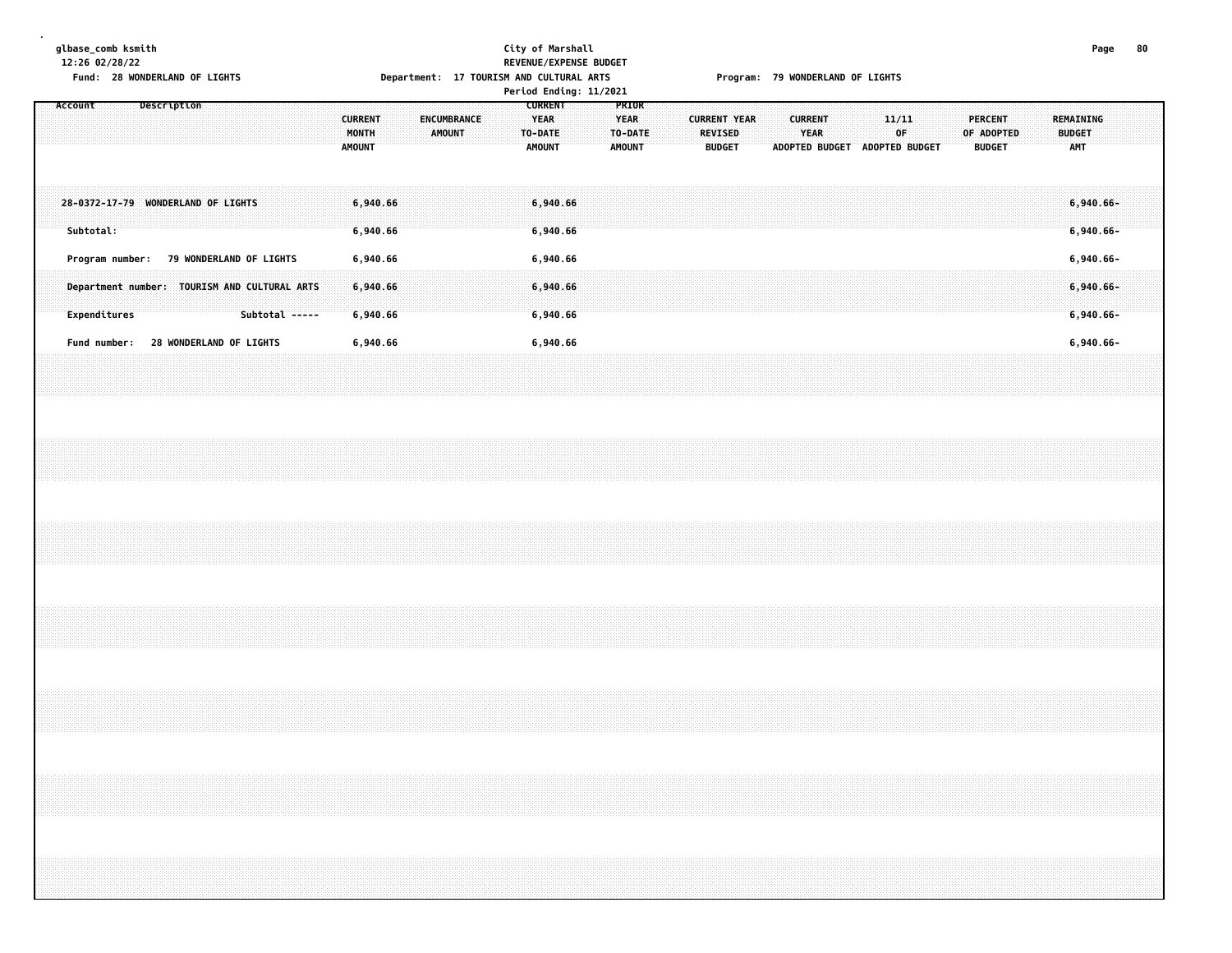**glbase\_comb ksmith City of Marshall Page 80 12:26 02/28/22 REVENUE/EXPENSE BUDGET**

**.**

# Fund: 28 WONDERLAND OF LIGHTS | Department: 17 TOURISM AND CULTURAL ARTS | Program: 79 WONDERLAND OF LIGHTS

|                                                                                                                                     | Period Ending: 11/2021                                                                                                                |                                                                                                                                                               |                                                                                                                            |
|-------------------------------------------------------------------------------------------------------------------------------------|---------------------------------------------------------------------------------------------------------------------------------------|---------------------------------------------------------------------------------------------------------------------------------------------------------------|----------------------------------------------------------------------------------------------------------------------------|
| <b>Description</b><br>Account                                                                                                       | <b>CURRENT</b><br><b>YEAR</b><br><b>CURRENT</b><br><b>ENCUMBRANCE</b><br>MONTH<br>AMOUNT<br>TO-DATE<br><b>AMOUNT</b><br><b>AMOUNT</b> | PRIOR<br><b>YEAR</b><br><b>CURRENT YEAR</b><br><b>CURRENT</b><br><b>YEAR</b><br>TO-DATE<br><b>REVISED</b><br><b>AMOUNT</b><br><b>BUDGET</b><br>ADOPTED BUDGET | 11/11<br><b>PERCENT</b><br>REMAINING<br>0F<br>OF ADOPTED<br><b>BUDGET</b><br>ADOPTED BUDGET<br><b>BUDGET</b><br><b>AMT</b> |
| 28-0372-17-79 WONDERLAND OF LIGHTS<br>Subtotal:                                                                                     | 6,940.66<br>6,940.66<br>6,940.66<br>6,940.66                                                                                          |                                                                                                                                                               | $6,940.66 -$<br>$6,940.66 -$                                                                                               |
| <b>79 WONDERLAND OF LIGHTS</b><br>Program number:<br>Department number: TOURISM AND CULTURAL ARTS<br>Expenditures<br>Subtotal ----- | 6,940.66<br>6,940.66<br>6,940.66<br>6,940.66<br>6,940.66<br>6,940.66                                                                  |                                                                                                                                                               | $6,940.66 -$<br>$6,940.66 -$<br>$6,940.66 -$                                                                               |
| 28 WONDERLAND OF LIGHTS<br>Fund number:                                                                                             | 6,940.66<br>6,940.66                                                                                                                  |                                                                                                                                                               | 6,940.66-                                                                                                                  |
|                                                                                                                                     |                                                                                                                                       |                                                                                                                                                               |                                                                                                                            |
|                                                                                                                                     |                                                                                                                                       |                                                                                                                                                               |                                                                                                                            |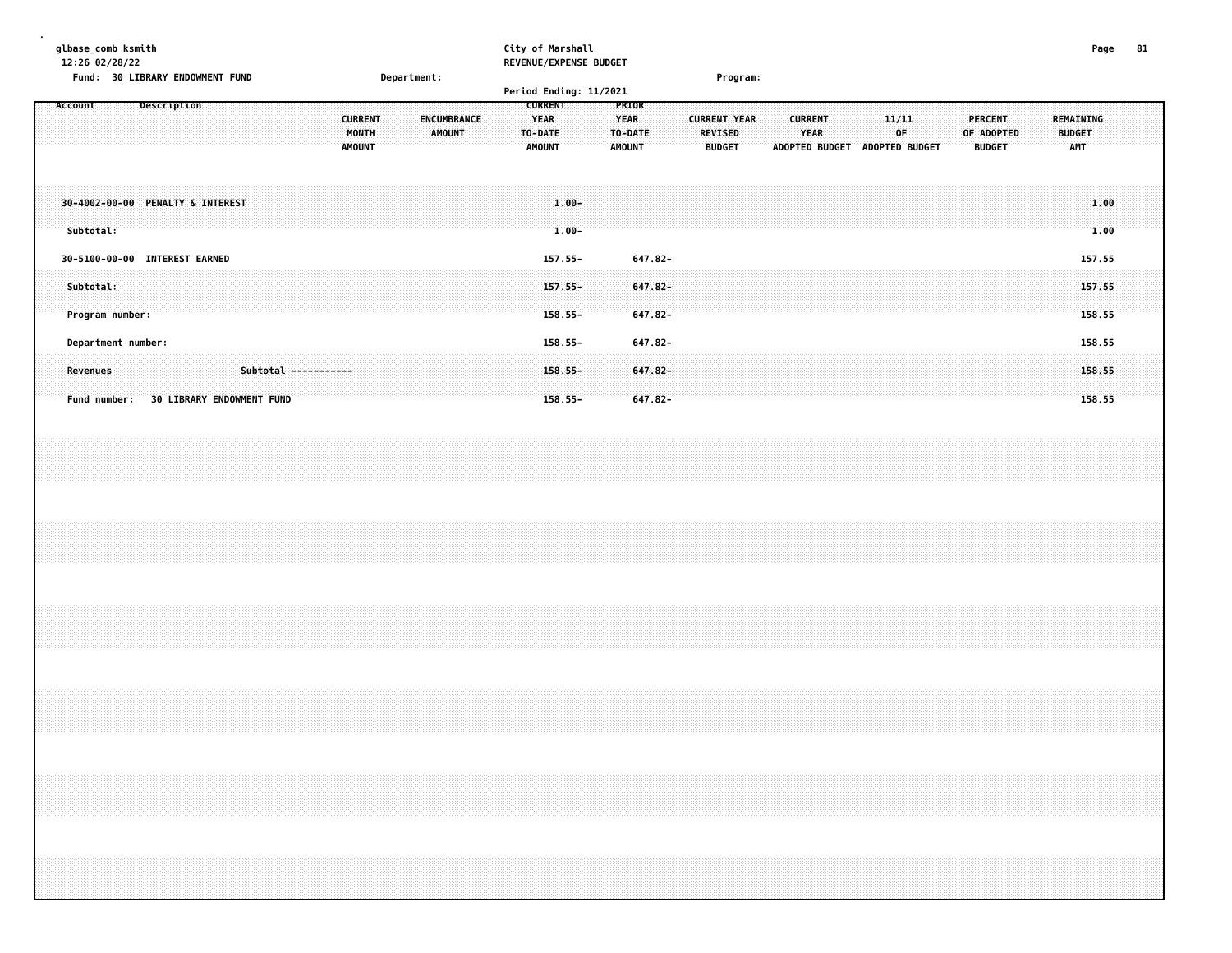| glbase_comb ksmith<br>12:26 02/28/22             |                               | City of Marshall<br>REVENUE/EXPENSE BUDGET            |                                                                                  | 81<br>Page    |
|--------------------------------------------------|-------------------------------|-------------------------------------------------------|----------------------------------------------------------------------------------|---------------|
| Fund: 30 LIBRARY ENDOWMENT FUND                  | Department:                   |                                                       | Program:                                                                         |               |
|                                                  |                               | Period Ending: 11/2021                                |                                                                                  |               |
| Description<br>Account                           | ENCUMBRANCE<br><b>CURRENT</b> | <b>CURRENT</b><br>PRIOR<br><b>YEAR</b><br><b>YEAR</b> | <b>CURRENT YEAR</b><br><b>CURRENT</b><br><b>PERCENT</b><br>11/11                 | REMAINING     |
|                                                  | MONTH<br>AMOUNT               | TO-DATE:<br>TO-DATE                                   | <b>YEAR</b><br>0F<br>OF ADOPTED<br><b>REVISED</b>                                | <b>BUDGET</b> |
|                                                  | <b>AMOUNT</b>                 | <b>AMOUNT</b><br><b>AMOUNT</b>                        | <b>BUDGET</b><br><b>ADOPTED BUDGET</b><br><b>ADOPTED BUDGET</b><br><b>BUDGET</b> | <b>AMT</b>    |
|                                                  |                               |                                                       |                                                                                  |               |
|                                                  |                               |                                                       |                                                                                  |               |
|                                                  |                               |                                                       |                                                                                  |               |
| 30-4002-00-00 PENALTY & INTEREST                 |                               | $1.00 -$                                              |                                                                                  | 1.00          |
|                                                  |                               |                                                       |                                                                                  |               |
| Subtotal:                                        |                               | $1.00 -$                                              |                                                                                  | 1.00          |
| 30-5100-00-00 INTEREST EARNED                    |                               | 157.55-<br>647.82-                                    |                                                                                  | 157.55        |
|                                                  |                               |                                                       |                                                                                  |               |
| Subtotal:                                        |                               | $157.55 -$<br>647.82-                                 |                                                                                  | 157.55        |
|                                                  |                               |                                                       |                                                                                  |               |
| Program number:                                  |                               | 647.82-<br>158.55-                                    |                                                                                  | 158.55        |
|                                                  |                               |                                                       |                                                                                  |               |
| Department number:                               |                               | 647.82-<br>158.55-                                    |                                                                                  | 158.55        |
|                                                  |                               |                                                       |                                                                                  |               |
| Subtotal -----------<br><b>Revenues</b>          |                               | $647.82 -$<br>$158.55 -$                              |                                                                                  | 158.55        |
| Fund number:<br><b>30 LIBRARY ENDOWMENT FUND</b> |                               | $158.55 -$<br>$647.82 -$                              |                                                                                  | 158.55        |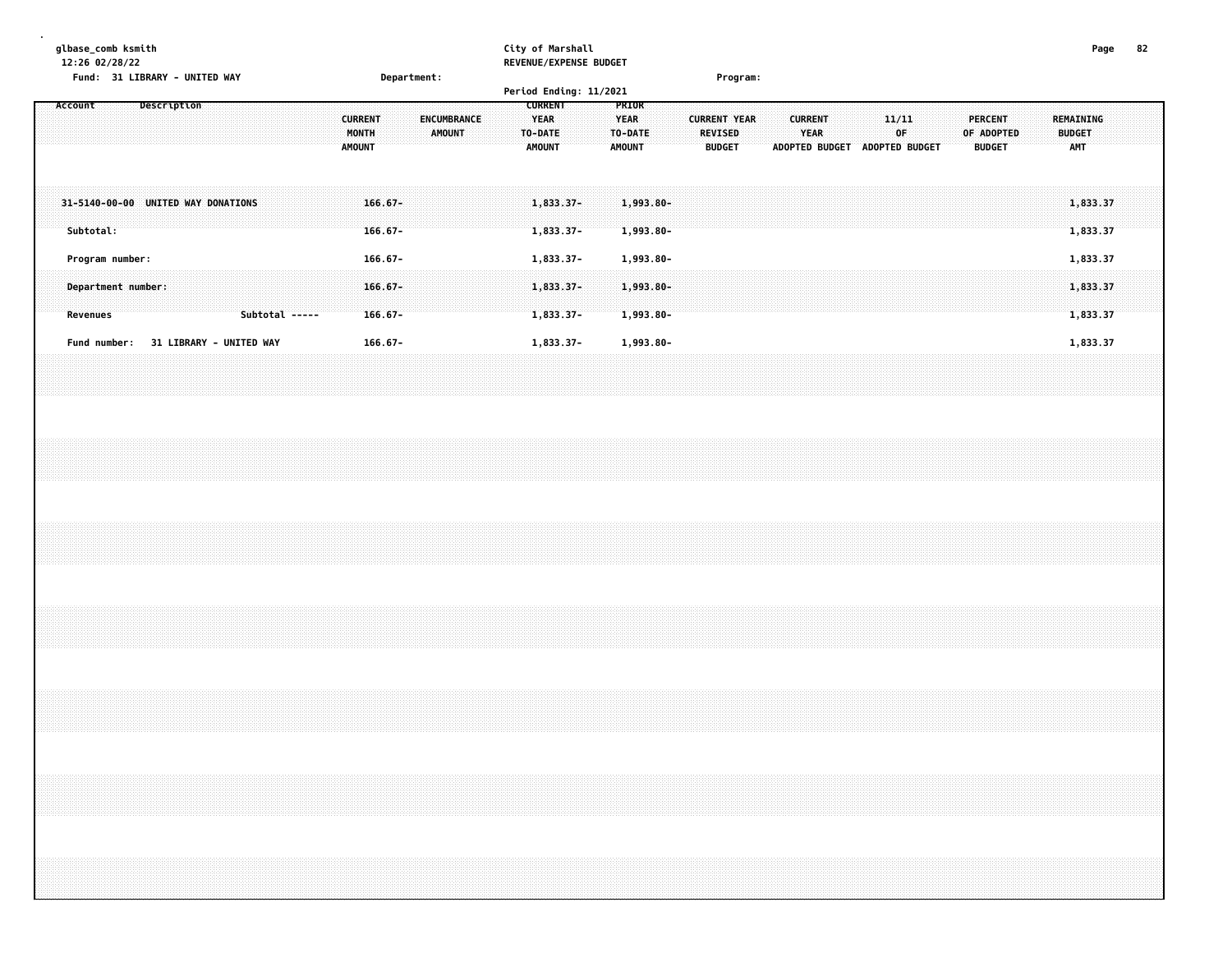| qlbase comb ksmith            |             | City of Marshall       |          | Page | -82 |
|-------------------------------|-------------|------------------------|----------|------|-----|
| 12:26 02/28/22                |             | REVENUE/EXPENSE BUDGET |          |      |     |
| Fund: 31 LIBRARY - UNITED WAY | Department: |                        | Program: |      |     |
|                               |             | Period Ending: 11/2021 |          |      |     |

| Account                                         | Description                    |                | <b>CURRENT</b><br>MONTH<br><b>AMOUNT</b> | ENCUMBRANCE<br>AMOUNT | <b>CURRENT</b><br>YEAR<br>TO-DATE<br><b>AMOUNT</b> | PRIOR<br><b>YEAR</b><br>TO-DATE<br><b>AMOUNT</b> | <b>CURRENT YEAR</b><br><b>REVISED</b><br><b>BUDGET</b> | <b>CURRENT</b><br><b>YEAR</b> | ADOPTED BUDGET | 11/11<br>∶OF<br>ADOPTED BUDGET | <b>PERCENT</b><br>OF ADOPTED<br><b>BUDGET</b> |  | REMAINING<br><b>BUDGET</b><br><b>AMT</b> |  |
|-------------------------------------------------|--------------------------------|----------------|------------------------------------------|-----------------------|----------------------------------------------------|--------------------------------------------------|--------------------------------------------------------|-------------------------------|----------------|--------------------------------|-----------------------------------------------|--|------------------------------------------|--|
| 31-5140-00-00 UNITED WAY DONATIONS<br>Subtotal: |                                |                | $166.67 -$<br>$166.67 -$                 |                       | 1,833.37-<br>$1,833.37-$                           | 1,993.80-<br>$1,993.80 -$                        |                                                        |                               |                |                                |                                               |  | 1,833.37<br>1,833.37                     |  |
| Program number:                                 |                                |                | $166.67 -$                               |                       | 1,833.37-                                          | 1,993.80-                                        |                                                        |                               |                |                                |                                               |  | 1,833.37                                 |  |
| Department number:<br>Revenues                  |                                | Subtotal ----- | $166.67 -$<br>$166.67 -$                 |                       | $1,833.37-$<br>1,833.37-                           | 1,993.80-<br>$1,993.80 -$                        |                                                        |                               |                |                                |                                               |  | 1,833.37<br>1,833.37                     |  |
| Fund number:                                    | <b>31 LIBRARY - UNITED WAY</b> |                | $166.67 -$                               |                       | 1,833.37-                                          | 1,993.80-                                        |                                                        |                               |                |                                |                                               |  | 1,833.37                                 |  |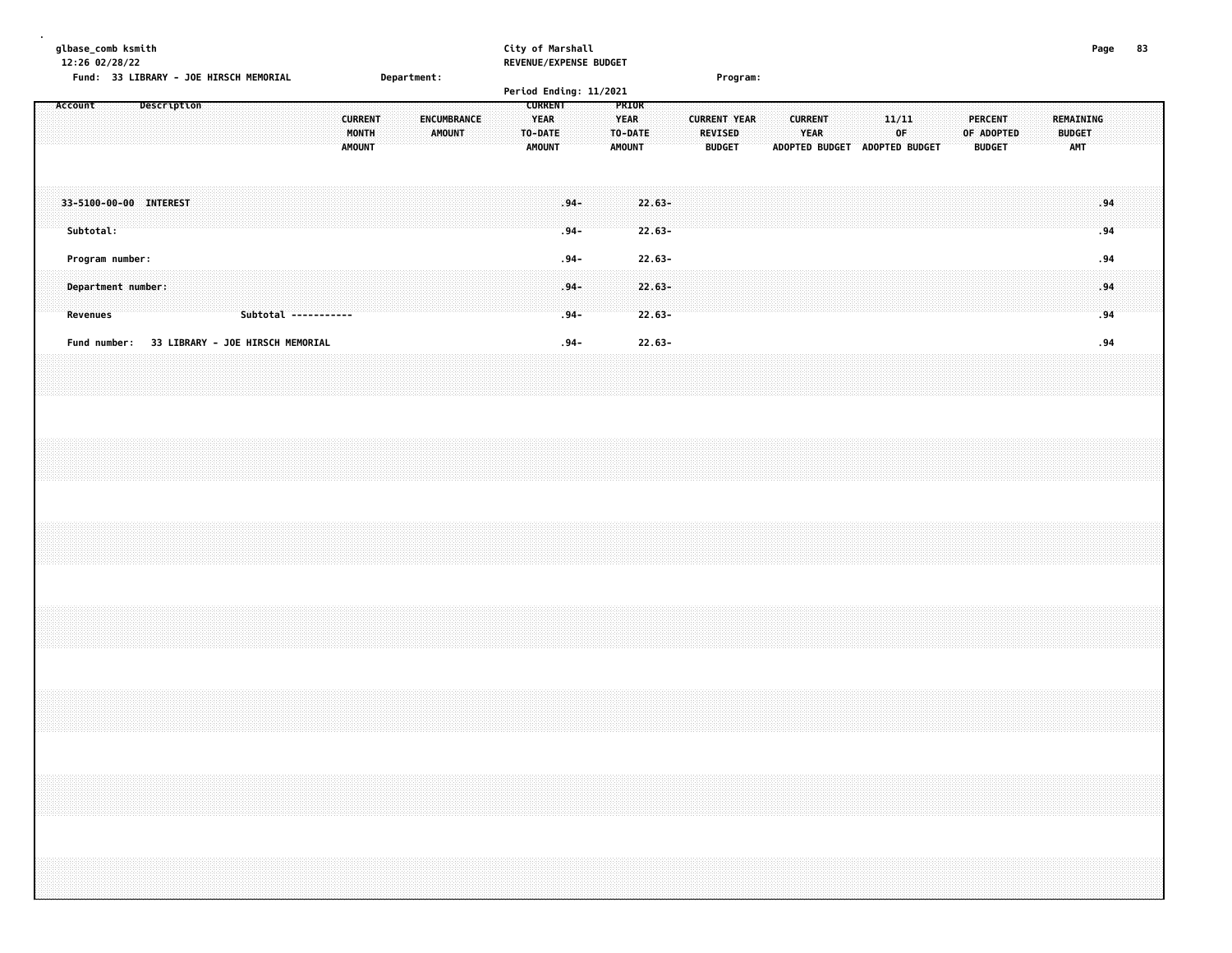| glbase_comb ksmith<br>12:26 02/28/22              | Fund: 33 LIBRARY - JOE HIRSCH MEMORIAL        |                      | Department:                                                              | City of Marshall<br>REVENUE/EXPENSE BUDGET<br>Period Ending: 11/2021                                          | Program:                                                                                                                 |                                                              | 83<br>Page                        |
|---------------------------------------------------|-----------------------------------------------|----------------------|--------------------------------------------------------------------------|---------------------------------------------------------------------------------------------------------------|--------------------------------------------------------------------------------------------------------------------------|--------------------------------------------------------------|-----------------------------------|
| Account                                           | <b>Description</b>                            |                      | <b>CURRENT</b><br>ENCUMBRANCE<br>MONTH<br><b>AMOUNT</b><br><b>AMOUNT</b> | <b>CURRENT</b><br>PRIOR<br><b>YEAR</b><br><b>YEAR</b><br>TO-DATE<br>TO-DATE<br><b>AMOUNT</b><br><b>AMOUNT</b> | <b>CURRENT YEAR</b><br><b>CURRENT</b><br><b>REVISED</b><br><b>YEAR</b><br><b>BUDGET</b><br>ADOPTED BUDGET ADOPTED BUDGET | <b>PERCENT</b><br>11/11<br>0F<br>OF ADOPTED<br><b>BUDGET</b> | REMAINING<br><b>BUDGET</b><br>AMT |
| 33-5100-00-00 INTEREST<br>Subtotal:               |                                               |                      |                                                                          | $.94 -$<br>$22.63 -$<br>$22.63 -$<br>$.94-$                                                                   |                                                                                                                          |                                                              | .94<br>.94                        |
| Program number:<br>Department number:<br>Revenues |                                               | Subtotal ----------- |                                                                          | $22.63 -$<br>$.94 -$<br>$22.63 -$<br>$.94 -$<br>$22.63 -$<br>$.94 -$                                          |                                                                                                                          |                                                              | .94<br>.94<br>.94                 |
|                                                   | Fund number: 33 LIBRARY - JOE HIRSCH MEMORIAL |                      |                                                                          | $22.63 -$<br>$.94 -$                                                                                          |                                                                                                                          |                                                              | .94                               |
|                                                   |                                               |                      |                                                                          |                                                                                                               |                                                                                                                          |                                                              |                                   |
|                                                   |                                               |                      |                                                                          |                                                                                                               |                                                                                                                          |                                                              |                                   |
|                                                   |                                               |                      |                                                                          |                                                                                                               |                                                                                                                          |                                                              |                                   |
|                                                   |                                               |                      |                                                                          |                                                                                                               |                                                                                                                          |                                                              |                                   |
|                                                   |                                               |                      |                                                                          |                                                                                                               |                                                                                                                          |                                                              |                                   |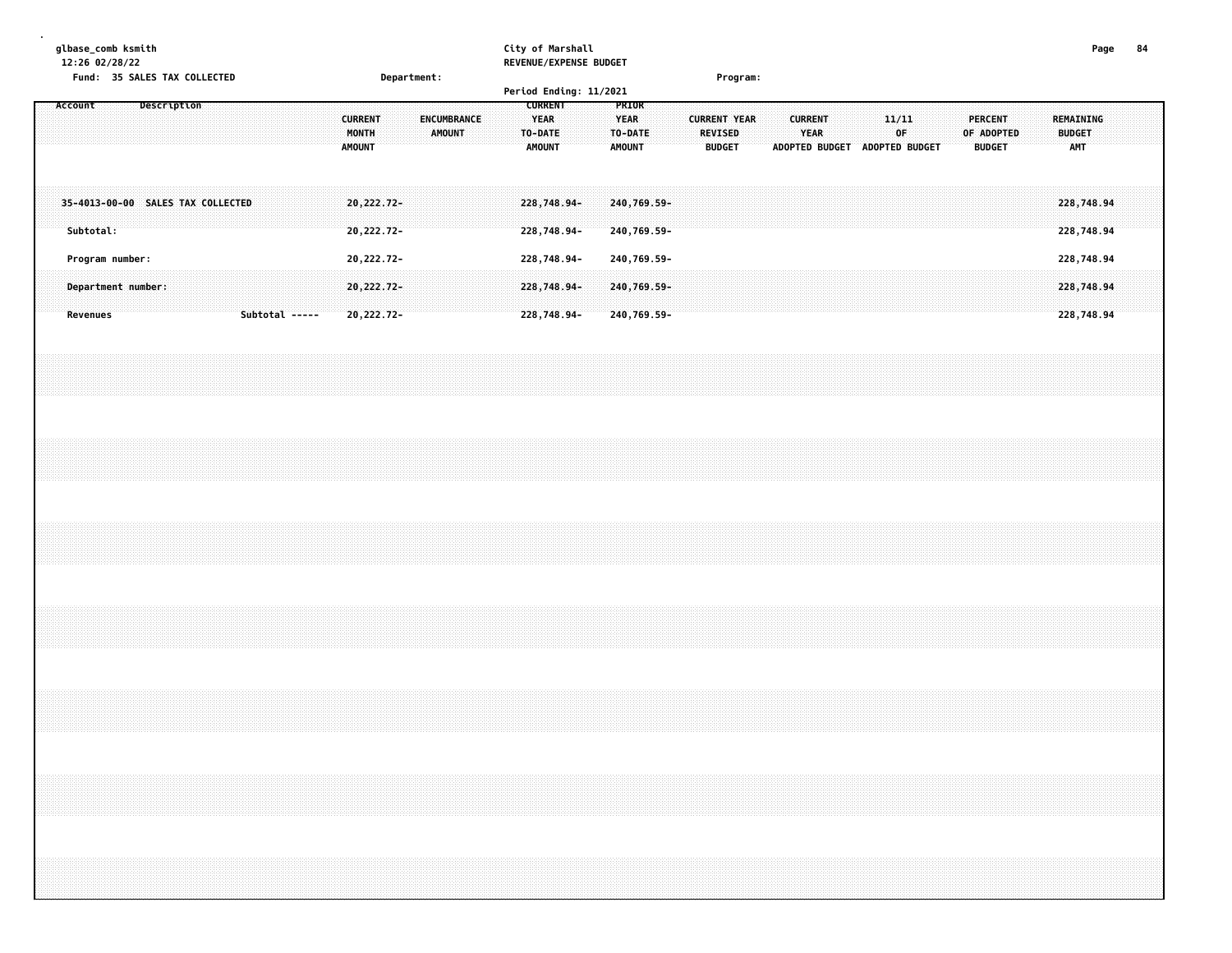| Fund: 35 SALES TAX COLLECTED                                                                                                                                         | City of Marshall<br>REVENUE/EXPENSE BUDGET<br>Department:<br>Period Ending: 11/2021<br><b>CURRENT</b><br>PRIOR     | Program:                                                                  |                                                                                               | Page<br>84                             |
|----------------------------------------------------------------------------------------------------------------------------------------------------------------------|--------------------------------------------------------------------------------------------------------------------|---------------------------------------------------------------------------|-----------------------------------------------------------------------------------------------|----------------------------------------|
| Description<br><b>CURRENT</b><br>MONTH<br><b>AMOUNT</b>                                                                                                              | <b>YEAR</b><br>ENCUMBRANCE<br><b>YEAR</b><br><b>AMOUNT</b><br>TO-DATE<br>TO-DATE<br><b>AMOUNT</b><br><b>AMOUNT</b> | <b>CURRENT YEAR</b><br><b>CURRENT</b><br>REVISED<br>YEAR<br><b>BUDGET</b> | 11/11<br><b>PERCENT</b><br>0F<br>OF ADOPTED<br><b>BUDGET</b><br>ADOPTED BUDGET ADOPTED BUDGET | REMAINING<br><b>BUDGET</b><br>AMT      |
| 20,222.72-<br>35-4013-00-00 SALES TAX COLLECTED<br>20,222.72-                                                                                                        | 240,769.59-<br>228,748.94-<br>228,748.94-<br>240,769.59-                                                           |                                                                           |                                                                                               | 228,748.94<br>228,748.94               |
| 20,222.72-<br>Program number:<br>Department number:<br>20, 222. 72-<br>Subtotal -----<br>20,222.72-                                                                  | 228,748.94-<br>240,769.59-<br>228,748.94-<br>240,769.59-<br>228,748.94-<br>240,769.59-                             |                                                                           |                                                                                               | 228,748.94<br>228,748.94<br>228,748.94 |
|                                                                                                                                                                      |                                                                                                                    |                                                                           |                                                                                               |                                        |
|                                                                                                                                                                      |                                                                                                                    |                                                                           |                                                                                               |                                        |
|                                                                                                                                                                      |                                                                                                                    |                                                                           |                                                                                               |                                        |
|                                                                                                                                                                      |                                                                                                                    |                                                                           |                                                                                               |                                        |
|                                                                                                                                                                      |                                                                                                                    |                                                                           |                                                                                               |                                        |
| ,我们就会在这里,我们就会在这里的时候,我们就会在这里,我们就会在这里,我们就会在这里,我们就会在这里,我们就会在这里,我们就会在这里,我们就会不会不会。""我<br>第115章 我们的人,我们就会在这里,我们就会在这里,我们就会在这里,我们就会在这里,我们就会在这里,我们就会在这里,我们就会在这里,我们就会在这里,我们就会在 |                                                                                                                    |                                                                           |                                                                                               |                                        |
|                                                                                                                                                                      |                                                                                                                    |                                                                           |                                                                                               |                                        |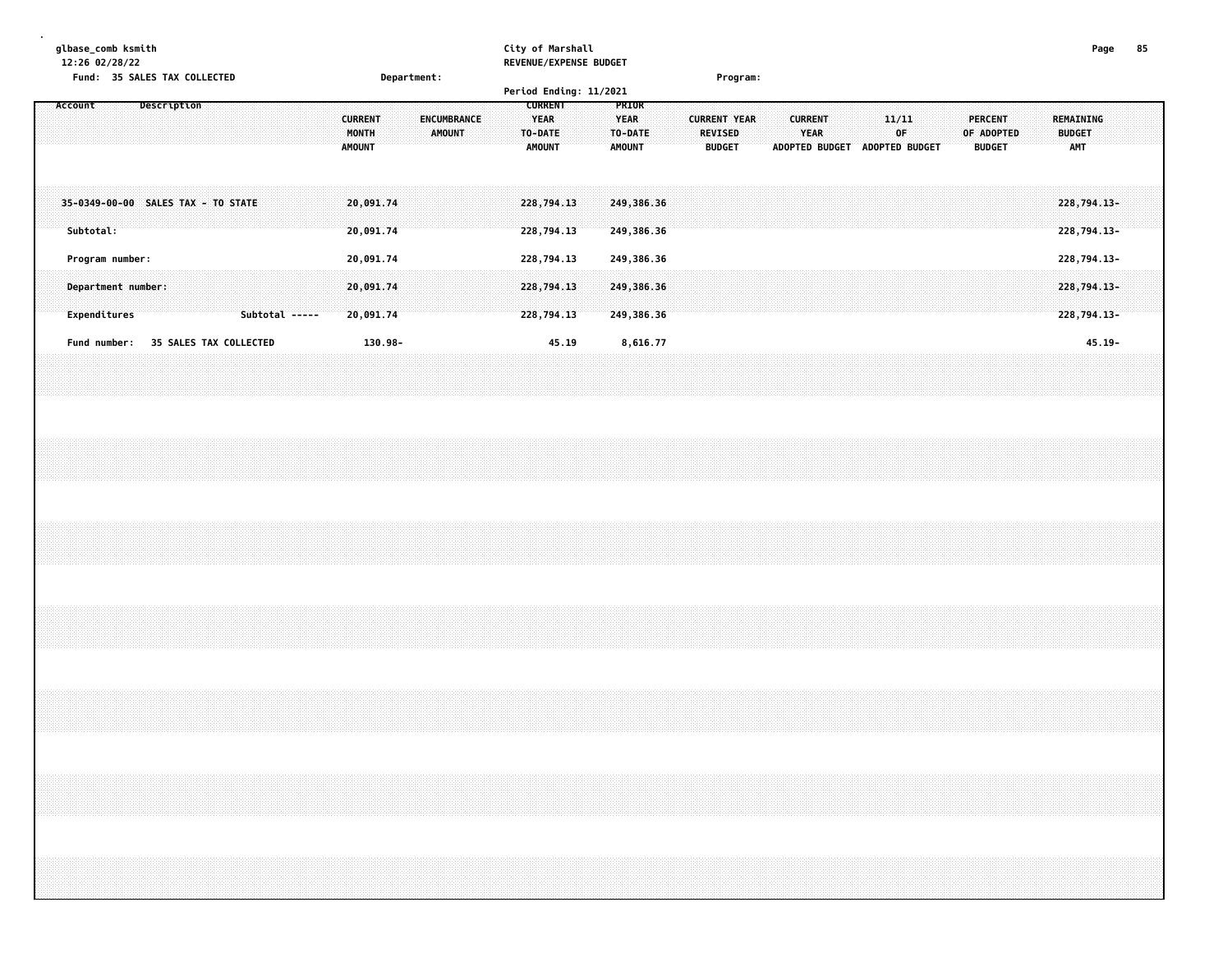| glbase_comb ksmith<br>12:26 02/28/22<br>Fund: 35 SALES TAX COLLECTED     | Department:                                                                     | City of Marshall<br>REVENUE/EXPENSE BUDGET<br>Period Ending: 11/2021                                          | Program:                                                                                                                                | Page<br>85                                                                         |
|--------------------------------------------------------------------------|---------------------------------------------------------------------------------|---------------------------------------------------------------------------------------------------------------|-----------------------------------------------------------------------------------------------------------------------------------------|------------------------------------------------------------------------------------|
| Account<br>Description                                                   | <b>CURRENT</b><br><b>ENCUMBRANCE</b><br>MONTH<br><b>AMOUNT</b><br><b>AMOUNT</b> | <b>CURRENT</b><br>PRIOR<br><b>YEAR</b><br><b>YEAR</b><br>TO-DATE<br>TO-DATE<br><b>AMOUNT</b><br><b>AMOUNT</b> | <b>CURRENT YEAR</b><br><b>CURRENT</b><br>11/11<br><b>YEAR</b><br>0F<br><b>REVISED</b><br><b>BUDGET</b><br>ADOPTED BUDGET ADOPTED BUDGET | <b>PERCENT</b><br>REMAINING<br>OF ADOPTED<br><b>BUDGET</b><br>AMT<br><b>BUDGET</b> |
| 35-0349-00-00 SALES TAX - TO STATE<br>Subtotal:                          | 20,091.74<br>20,091.74                                                          | 228,794.13<br>249,386.36<br>228,794.13<br>249,386.36                                                          |                                                                                                                                         | 228,794.13-<br>228,794.13-                                                         |
| Program number:<br>Department number:                                    | 20,091.74<br>20,091.74                                                          | 228,794.13<br>249,386.36<br>228,794.13<br>249,386.36                                                          |                                                                                                                                         | 228,794.13-<br>228,794.13-                                                         |
| Expenditures<br>Subtotal -----<br>35 SALES TAX COLLECTED<br>Fund number: | 20,091.74<br>130.98-                                                            | 228,794.13<br>249,386.36<br>45.19<br>8,616.77                                                                 |                                                                                                                                         | 228,794.13-<br>$45.19 -$                                                           |
|                                                                          |                                                                                 |                                                                                                               |                                                                                                                                         |                                                                                    |
|                                                                          |                                                                                 |                                                                                                               |                                                                                                                                         |                                                                                    |
|                                                                          |                                                                                 |                                                                                                               |                                                                                                                                         |                                                                                    |
|                                                                          |                                                                                 |                                                                                                               |                                                                                                                                         |                                                                                    |
|                                                                          |                                                                                 |                                                                                                               |                                                                                                                                         |                                                                                    |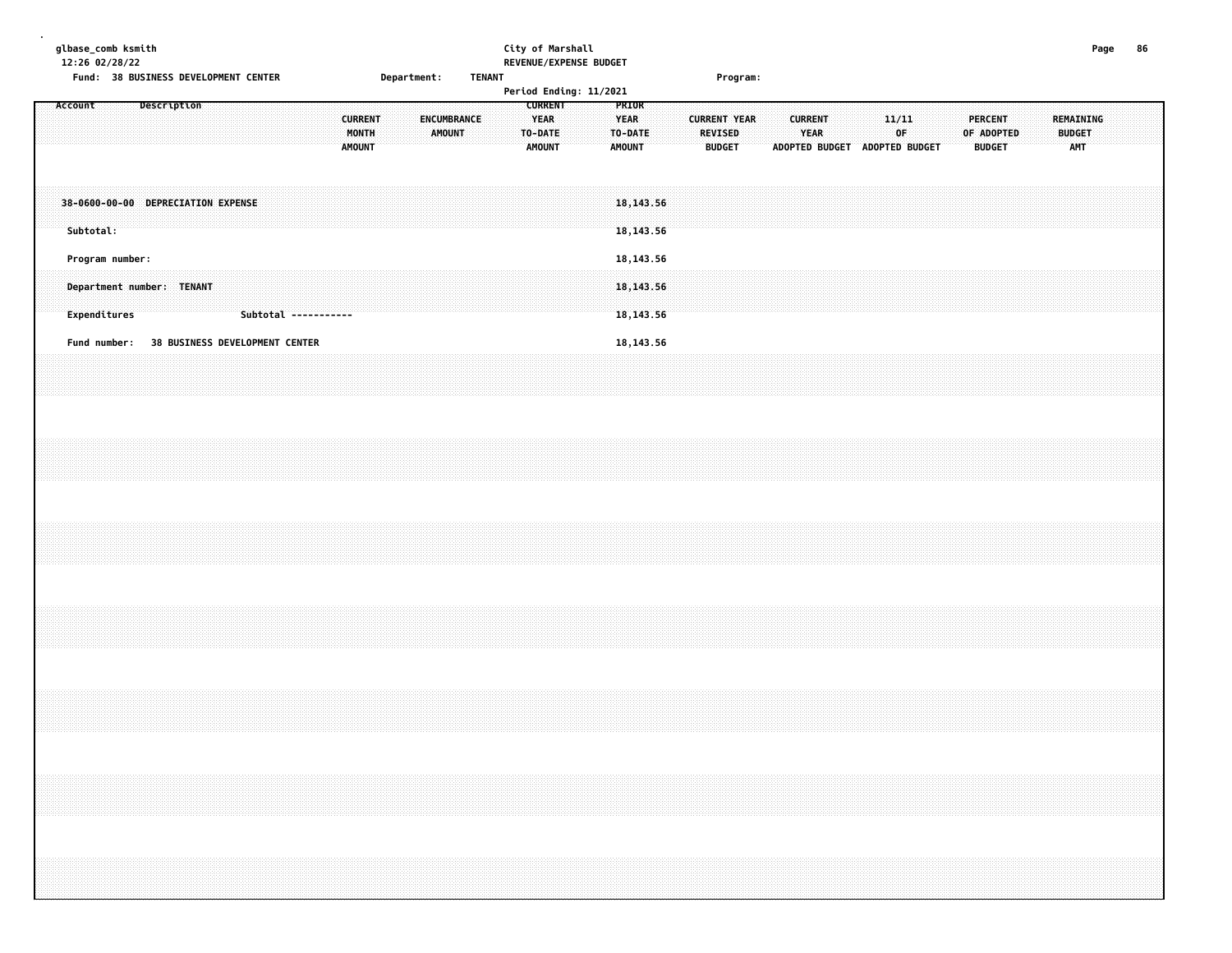|  |         |           | glbase_comb ksmith<br>12:26 02/28/22 | Fund: 38 BUSINESS DEVELOPMENT CENTER |  |  |  |                                |  |                                          |  | Department: |               |                    | <b>TENANT</b> | City of Marshall |                                                           | REVENUE/EXPENSE BUDGET<br>Period Ending: 11/2021 |                                                  |                                        |  |                          | Program:                                                                                                                                                             |  |                                                         |  |              |  |                                 |            |  |               |                  | Page | 86 |  |
|--|---------|-----------|--------------------------------------|--------------------------------------|--|--|--|--------------------------------|--|------------------------------------------|--|-------------|---------------|--------------------|---------------|------------------|-----------------------------------------------------------|--------------------------------------------------|--------------------------------------------------|----------------------------------------|--|--------------------------|----------------------------------------------------------------------------------------------------------------------------------------------------------------------|--|---------------------------------------------------------|--|--------------|--|---------------------------------|------------|--|---------------|------------------|------|----|--|
|  | Account |           |                                      | Description                          |  |  |  |                                |  | <b>CURRENT</b><br>MONTH<br><b>AMOUNT</b> |  |             | <b>AMOUNT</b> | <b>ENCUMBRANCE</b> |               |                  | <b>CURRENT</b><br><b>YEAR</b><br>TO-DATE<br><b>AMOUNT</b> |                                                  | PRIOR<br><b>YEAR</b><br>TO-DATE<br><b>AMOUNT</b> |                                        |  | REVISED<br><b>BUDGET</b> | <b>CURRENT YEAR</b>                                                                                                                                                  |  | <b>CURRENT</b><br>YEAR<br>ADOPTED BUDGET ADOPTED BUDGET |  | 11/11<br>0F. |  | <b>PERCENT</b><br><b>BUDGET</b> | OF ADOPTED |  | <b>BUDGET</b> | REMAINING<br>AMT |      |    |  |
|  |         | Subtotal: |                                      | 38-0600-00-00 DEPRECIATION EXPENSE   |  |  |  |                                |  |                                          |  |             |               |                    |               |                  |                                                           |                                                  |                                                  | 18, 143.56<br>18, 143.56               |  |                          |                                                                                                                                                                      |  |                                                         |  |              |  |                                 |            |  |               |                  |      |    |  |
|  |         |           | Program number:<br>Expenditures      | Department number: TENANT            |  |  |  | Subtotal -----------           |  |                                          |  |             |               |                    |               |                  |                                                           |                                                  |                                                  | 18, 143.56<br>18, 143.56<br>18, 143.56 |  |                          |                                                                                                                                                                      |  |                                                         |  |              |  |                                 |            |  |               |                  |      |    |  |
|  |         |           | Fund number:                         |                                      |  |  |  | 38 BUSINESS DEVELOPMENT CENTER |  |                                          |  |             |               |                    |               |                  |                                                           |                                                  |                                                  | 18, 143.56                             |  |                          |                                                                                                                                                                      |  |                                                         |  |              |  |                                 |            |  |               |                  |      |    |  |
|  |         |           |                                      |                                      |  |  |  |                                |  |                                          |  |             |               |                    |               |                  |                                                           |                                                  |                                                  |                                        |  |                          |                                                                                                                                                                      |  |                                                         |  |              |  |                                 |            |  |               |                  |      |    |  |
|  |         |           |                                      |                                      |  |  |  |                                |  |                                          |  |             |               |                    |               |                  |                                                           |                                                  |                                                  |                                        |  |                          |                                                                                                                                                                      |  |                                                         |  |              |  |                                 |            |  |               |                  |      |    |  |
|  |         |           |                                      |                                      |  |  |  |                                |  |                                          |  |             |               |                    |               |                  |                                                           |                                                  |                                                  |                                        |  |                          |                                                                                                                                                                      |  |                                                         |  |              |  |                                 |            |  |               |                  |      |    |  |
|  |         |           |                                      |                                      |  |  |  |                                |  |                                          |  |             |               |                    |               |                  |                                                           |                                                  |                                                  |                                        |  |                          |                                                                                                                                                                      |  |                                                         |  |              |  |                                 |            |  |               |                  |      |    |  |
|  |         |           |                                      |                                      |  |  |  |                                |  |                                          |  |             |               |                    |               |                  |                                                           |                                                  |                                                  |                                        |  |                          | ,我们就会在这里,我们就会在这里,我们就会在这里,我们就会在这里,我们就会在这里,我们就会在这里,我们就会在这里,我们就会在这里,我们就会在这里,我们就会在这里<br>第一章 一个人的话,我们就会在这里,我们就会在这里,我们就会在这里,我们就会在这里,我们就会在这里,我们就会在这里,我们就会在这里,我们就会在这里,我们就会在这 |  |                                                         |  |              |  |                                 |            |  |               |                  |      |    |  |
|  |         |           |                                      |                                      |  |  |  |                                |  |                                          |  |             |               |                    |               |                  |                                                           |                                                  |                                                  |                                        |  |                          |                                                                                                                                                                      |  |                                                         |  |              |  |                                 |            |  |               |                  |      |    |  |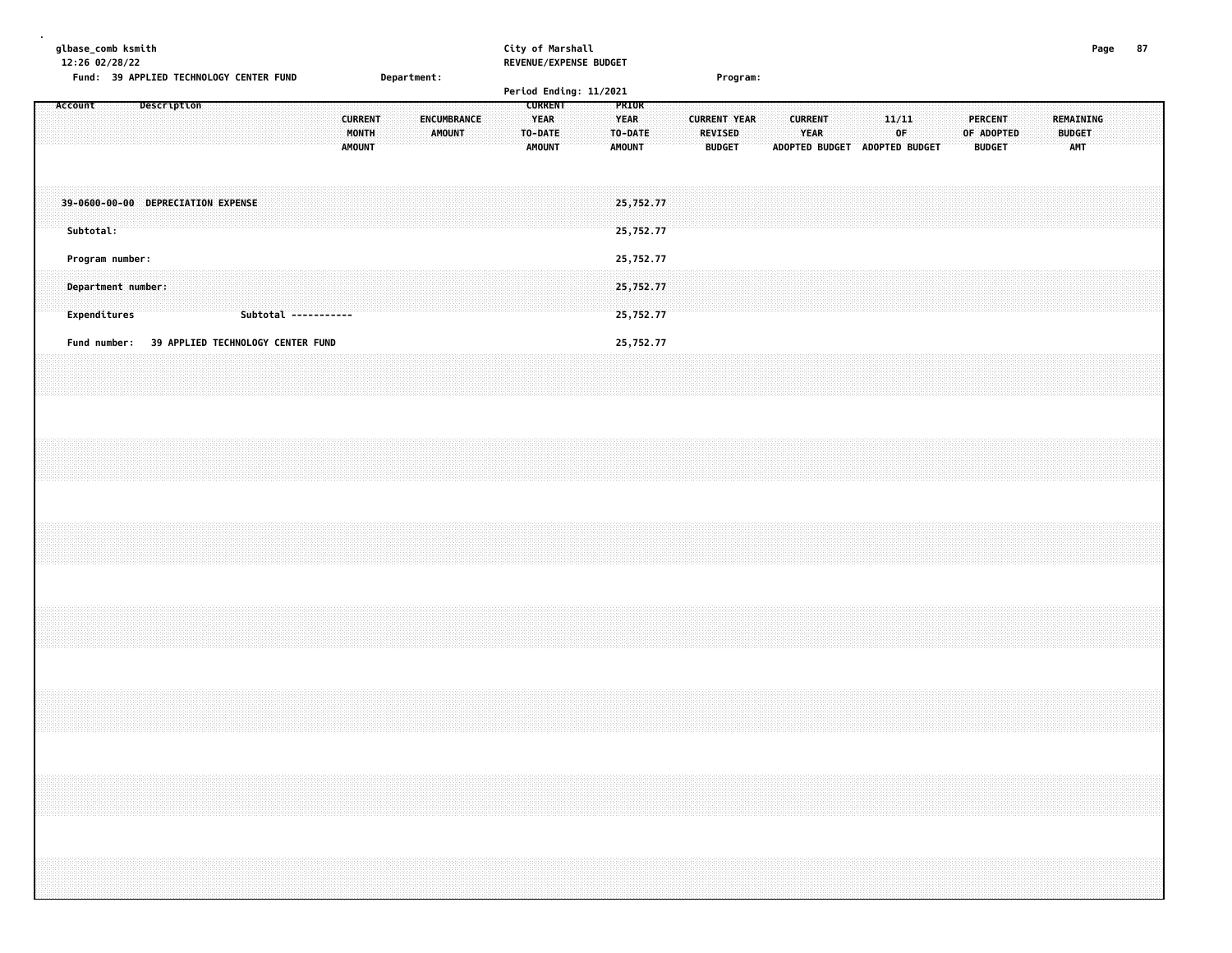| glbase_comb ksmith<br>12:26 02/28/22<br>Fund: 39 APPLIED TECHNOLOGY CENTER FUND |                                   |  |                      |  |                                          | Department: |               |             |  | City of Marshall<br>REVENUE/EXPENSE BUDGET<br>Period Ending: 11/2021 |  |                                                  |  |                | Program:                             |  |                        |  |                               |             |  |                                 |            |  |                                          | Page | 87 |  |
|---------------------------------------------------------------------------------|-----------------------------------|--|----------------------|--|------------------------------------------|-------------|---------------|-------------|--|----------------------------------------------------------------------|--|--------------------------------------------------|--|----------------|--------------------------------------|--|------------------------|--|-------------------------------|-------------|--|---------------------------------|------------|--|------------------------------------------|------|----|--|
| Account                                                                         | Description                       |  |                      |  | <b>CURRENT</b><br>MONTH<br><b>AMOUNT</b> |             | <b>AMOUNT</b> | ENCUMBRANCE |  | <b>CURRENT</b><br><b>YEAR</b><br>TO-DATE<br>AMOUNT                   |  | PRIOR<br><b>YEAR</b><br>TO-DATE<br><b>AMOUNT</b> |  | <b>REVISED</b> | <b>CURRENT YEAR</b><br><b>BUDGET</b> |  | <b>CURRENT</b><br>YEAR |  | ADOPTED BUDGET ADOPTED BUDGET | 11/11<br>OF |  | <b>PERCENT</b><br><b>BUDGET</b> | OF ADOPTED |  | <b>REMAINING</b><br><b>BUDGET</b><br>AMT |      |    |  |
| 39-0600-00-00 DEPRECIATION EXPENSE<br>Subtotal:                                 |                                   |  |                      |  |                                          |             |               |             |  |                                                                      |  | 25,752.77<br>25,752.77                           |  |                |                                      |  |                        |  |                               |             |  |                                 |            |  |                                          |      |    |  |
| Program number:                                                                 |                                   |  |                      |  |                                          |             |               |             |  |                                                                      |  | 25,752.77                                        |  |                |                                      |  |                        |  |                               |             |  |                                 |            |  |                                          |      |    |  |
| Department number:<br>Expenditures                                              |                                   |  | Subtotal ----------- |  |                                          |             |               |             |  |                                                                      |  | 25,752.77<br>25,752.77                           |  |                |                                      |  |                        |  |                               |             |  |                                 |            |  |                                          |      |    |  |
| Fund number:                                                                    | 39 APPLIED TECHNOLOGY CENTER FUND |  |                      |  |                                          |             |               |             |  |                                                                      |  | 25,752.77                                        |  |                |                                      |  |                        |  |                               |             |  |                                 |            |  |                                          |      |    |  |
|                                                                                 |                                   |  |                      |  |                                          |             |               |             |  |                                                                      |  |                                                  |  |                |                                      |  |                        |  |                               |             |  |                                 |            |  |                                          |      |    |  |
|                                                                                 |                                   |  |                      |  |                                          |             |               |             |  |                                                                      |  |                                                  |  |                |                                      |  |                        |  |                               |             |  |                                 |            |  |                                          |      |    |  |
|                                                                                 |                                   |  |                      |  |                                          |             |               |             |  |                                                                      |  |                                                  |  |                |                                      |  |                        |  |                               |             |  |                                 |            |  |                                          |      |    |  |
|                                                                                 |                                   |  |                      |  |                                          |             |               |             |  |                                                                      |  |                                                  |  |                |                                      |  |                        |  |                               |             |  |                                 |            |  |                                          |      |    |  |
|                                                                                 |                                   |  |                      |  |                                          |             |               |             |  |                                                                      |  |                                                  |  |                |                                      |  |                        |  |                               |             |  |                                 |            |  |                                          |      |    |  |
|                                                                                 |                                   |  |                      |  |                                          |             |               |             |  |                                                                      |  |                                                  |  |                |                                      |  |                        |  |                               |             |  |                                 |            |  |                                          |      |    |  |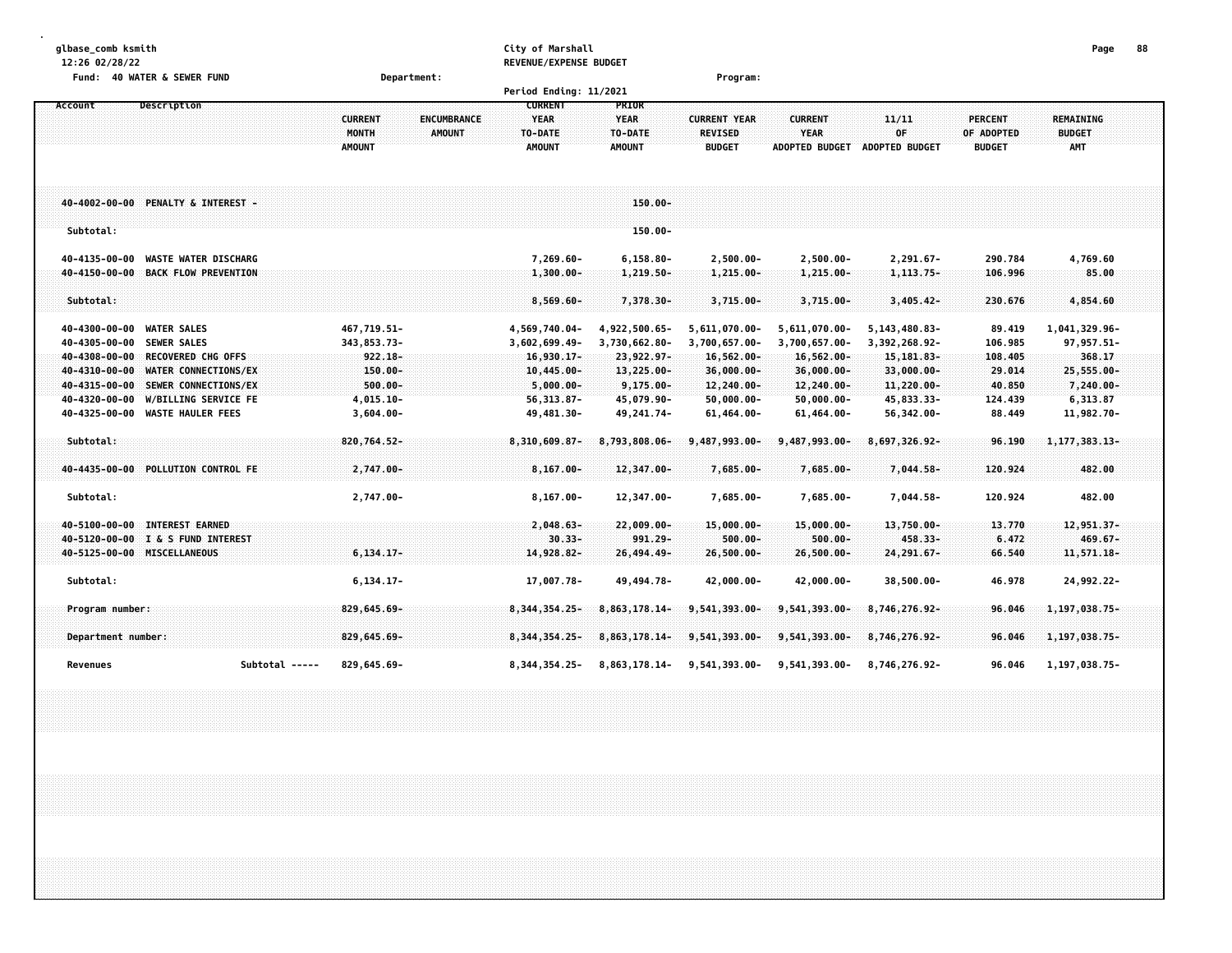| glbase comb ksmith |  |
|--------------------|--|
|--------------------|--|

# **glbase\_comb ksmith City of Marshall Page 88**

**12:26 02/28/22 REVENUE/EXPENSE BUDGET**

| <b>Fund:</b><br><b>40 WATER &amp; SEWER FUND</b>                                                                                                      | Department:                                                                     |                                                                 |                                                            | Program:                                                      |                                                               |                                                                |                                               |                                                      |  |
|-------------------------------------------------------------------------------------------------------------------------------------------------------|---------------------------------------------------------------------------------|-----------------------------------------------------------------|------------------------------------------------------------|---------------------------------------------------------------|---------------------------------------------------------------|----------------------------------------------------------------|-----------------------------------------------|------------------------------------------------------|--|
|                                                                                                                                                       |                                                                                 | Period Ending: 11/2021                                          |                                                            |                                                               |                                                               |                                                                |                                               |                                                      |  |
| <b>Description</b><br>Account                                                                                                                         | <b>CURRENT</b><br><b>ENCUMBRANCE</b><br>MONTH<br><b>AMOUNT</b><br><b>AMOUNT</b> | <b>CURRENT</b><br><b>YEAR</b><br>TO-DATE<br><b>AMOUNT</b>       | <b>PRIOR</b><br><b>YEAR</b><br>TO-DATE<br><b>AMOUNT</b>    | <b>CURRENT YEAR</b><br><b>REVISED</b><br><b>BUDGET</b>        | <b>CURRENT</b><br><b>YEAR</b><br><b>ADOPTED BUDGET</b>        | 11/11<br>0F<br><b>ADOPTED BUDGET</b>                           | <b>PERCENT</b><br>OF ADOPTED<br><b>BUDGET</b> | <b>REMAINING</b><br><b>BUDGET</b><br><b>AMT</b>      |  |
| 40-4002-00-00 PENALTY & INTEREST -<br>Subtotal:                                                                                                       |                                                                                 |                                                                 | $150.00 -$<br>$150.00 -$                                   |                                                               |                                                               |                                                                |                                               |                                                      |  |
| <b>WASTE WATER DISCHARG</b><br>40-4135-00-00<br><b>BACK FLOW PREVENTION</b><br>40-4150-00-00                                                          |                                                                                 | 7,269.60-<br>$1,300.00 -$                                       | $6, 158.80 -$<br>1,219.50-                                 | $2,500.00 -$<br>$1,215.00 -$                                  | $2,500.00 -$<br>$1,215.00 -$                                  | 2,291.67-<br>1, 113.75-                                        | 290.784<br>106.996                            | 4,769.60<br>85.00                                    |  |
| Subtotal:                                                                                                                                             |                                                                                 | $8,569.60 -$                                                    | 7,378.30-                                                  | $3,715.00 -$                                                  | $3,715.00 -$                                                  | $3,405,42-$                                                    | 230.676                                       | 4,854.60                                             |  |
| 40-4300-00-00 WATER SALES<br>40-4305-00-00 SEWER SALES<br><b>RECOVERED CHG OFFS</b><br>40-4308-00-00<br>$40 - 4310 - 00 - 00$<br>WATER CONNECTIONS/EX | 467,719.51-<br>343,853.73-<br>$922.18 -$<br>150.00-                             | 4,569,740.04-<br>3,602,699.49-<br>$16,930.17-$<br>$10,445.00 -$ | 4,922,500.65-<br>3,730,662.80-<br>23,922.97-<br>13,225.00- | 5,611,070.00-<br>3,700,657.00-<br>$16,562.00 -$<br>36,000.00- | 5,611,070.00-<br>3,700,657.00-<br>$16,562.00 -$<br>36,000.00- | 5, 143, 480.83-<br>3,392,268.92-<br>15, 181, 83-<br>33,000.00- | 89.419<br>106.985<br>108.405<br>29.014        | 1,041,329.96-<br>97, 957.51-<br>368.17<br>25,555.00- |  |
| 40-4315-00-00<br>SEWER CONNECTIONS/EX<br>40-4320-00-00<br><b>W/BILLING SERVICE FE</b><br>40-4325-00-00<br><b>WASTE HAULER FEES</b>                    | $500.00 -$<br>4,015.10-<br>$3,604.00 -$                                         | $5,000.00 -$<br>$56, 313.87 -$<br>49,481.30-                    | $9,175.00 -$<br>45,079.90-<br>49, 241. 74-                 | 12,240.00-<br>$50,000.00 -$<br>$61,464.00 -$                  | 12,240.00-<br>$50,000.00 -$<br>61,464.00-                     | 11,220.00-<br>45,833.33-<br>56,342.00-                         | 40.850<br>124.439<br>88.449                   | 7,240.00-<br>6,313.87<br>11,982.70-                  |  |
| Subtotal:                                                                                                                                             | 820,764.52-                                                                     | 8,310,609.87-                                                   | 8,793,808.06-                                              | 9,487,993.00-                                                 | 9,487,993.00-                                                 | 8,697,326.92-                                                  | 96.190                                        | 1, 177, 383. 13-                                     |  |
| 40-4435-00-00 POLLUTION CONTROL FE<br>Subtotal:                                                                                                       | 2,747.00-<br>2,747.00-                                                          | $8,167.00 -$<br>$8, 167.00 -$                                   | 12,347.00-<br>12,347.00-                                   | 7,685.00-<br>7,685.00-                                        | 7,685.00-<br>7,685.00-                                        | 7,044.58-<br>7,044.58-                                         | 120.924<br>120.924                            | 482.00<br>482.00                                     |  |
| 40-5100-00-00 INTEREST EARNED<br>40-5120-00-00 I & S FUND INTEREST<br>40-5125-00-00 MISCELLANEOUS                                                     | $6, 134, 17-$                                                                   | $2,048.63 -$<br>$30.33 -$<br>14,928.82-                         | $22,009.00 -$<br>$991.29 -$<br>26,494.49-                  | $15,000.00 -$<br>$500.00 -$<br>26,500.00-                     | $15,000.00 -$<br>$500.00 -$<br>$26,500.00 -$                  | $13,750.00 -$<br>458.33-<br>24,291.67-                         | 13.770<br>6.472<br>66.540                     | 12,951.37-<br>$469.67 -$<br>11,571.18-               |  |
| Subtotal:                                                                                                                                             | $6, 134.17 -$                                                                   | 17,007.78-                                                      | 49, 494. 78-                                               | 42,000.00-                                                    | 42,000.00-                                                    | 38,500.00-                                                     | 46.978                                        | 24,992.22-                                           |  |
| Program number:                                                                                                                                       | 829,645.69-                                                                     | 8,344,354.25-                                                   | 8,863,178.14-                                              | 9,541,393.00-                                                 | 9,541,393.00-                                                 | 8,746,276.92-                                                  | 96.046                                        | 1,197,038.75-                                        |  |
| Department number:                                                                                                                                    | 829,645.69-                                                                     | 8, 344, 354, 25-                                                | 8,863,178.14-                                              | 9,541,393.00-                                                 | 9,541,393.00-                                                 | 8,746,276.92-                                                  | 96.046                                        | 1,197,038.75-                                        |  |
| Subtotal -----<br>Revenues                                                                                                                            | 829,645.69-                                                                     | 8,344,354.25-                                                   | 8,863,178.14-                                              | 9,541,393.00-                                                 | 9,541,393.00-                                                 | 8,746,276.92-                                                  | 96.046                                        | 1,197,038.75-                                        |  |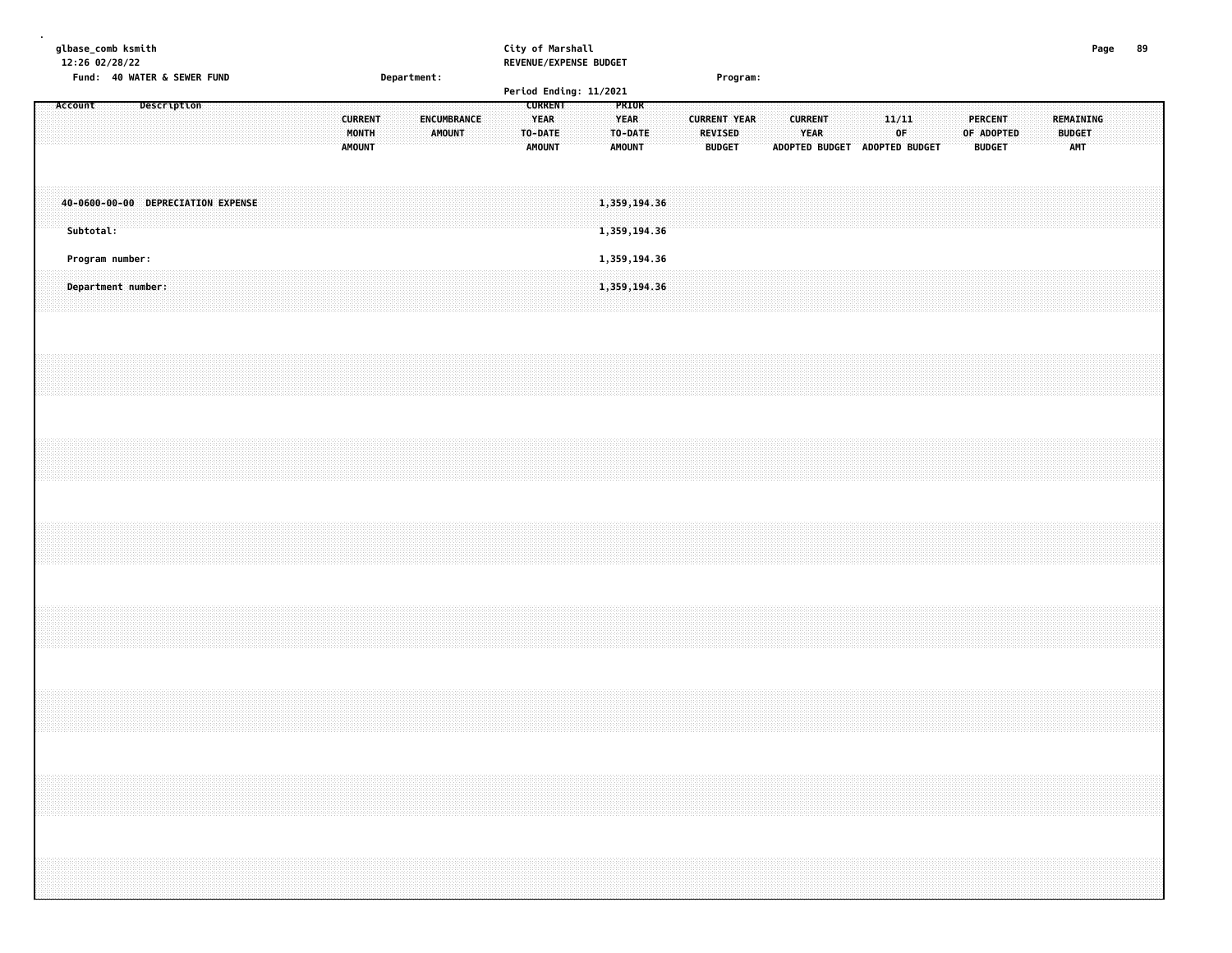|  |         | glbase_comb ksmith<br>12:26 02/28/22            |  |             |  |  |  |                                          |             |                              |  |                                         | City of Marshall<br>REVENUE/EXPENSE BUDGET |  |                              |                              |  |                                                        |          |  |                        |                               |                         |  |  |                                               |  |                                   | Page | 89 |  |
|--|---------|-------------------------------------------------|--|-------------|--|--|--|------------------------------------------|-------------|------------------------------|--|-----------------------------------------|--------------------------------------------|--|------------------------------|------------------------------|--|--------------------------------------------------------|----------|--|------------------------|-------------------------------|-------------------------|--|--|-----------------------------------------------|--|-----------------------------------|------|----|--|
|  |         | Fund: 40 WATER & SEWER FUND                     |  |             |  |  |  |                                          | Department: |                              |  |                                         | Period Ending: 11/2021                     |  |                              |                              |  |                                                        | Program: |  |                        |                               |                         |  |  |                                               |  |                                   |      |    |  |
|  | Account |                                                 |  | Description |  |  |  | <b>CURRENT</b><br>MONTH<br><b>AMOUNT</b> |             | ENCUMBRANCE<br><b>AMOUNT</b> |  | <b>YEAR</b><br>TO-DATE<br><b>AMOUNT</b> | <b>CURRENT</b>                             |  | <b>YEAR</b><br><b>AMOUNT</b> | PRIOR<br>TO-DATE             |  | <b>CURRENT YEAR</b><br><b>REVISED</b><br><b>BUDGET</b> |          |  | <b>CURRENT</b><br>YEAR | ADOPTED BUDGET ADOPTED BUDGET | 11/11<br>0 <sup>F</sup> |  |  | <b>PERCENT</b><br>OF ADOPTED<br><b>BUDGET</b> |  | REMAINING<br><b>BUDGET</b><br>AMT |      |    |  |
|  |         | 40-0600-00-00 DEPRECIATION EXPENSE<br>Subtotal: |  |             |  |  |  |                                          |             |                              |  |                                         |                                            |  |                              | 1,359,194.36<br>1,359,194.36 |  |                                                        |          |  |                        |                               |                         |  |  |                                               |  |                                   |      |    |  |
|  |         | Program number:                                 |  |             |  |  |  |                                          |             |                              |  |                                         |                                            |  |                              | 1,359,194.36                 |  |                                                        |          |  |                        |                               |                         |  |  |                                               |  |                                   |      |    |  |
|  |         | Department number:                              |  |             |  |  |  |                                          |             |                              |  |                                         |                                            |  |                              | 1,359,194.36                 |  |                                                        |          |  |                        |                               |                         |  |  |                                               |  |                                   |      |    |  |
|  |         |                                                 |  |             |  |  |  |                                          |             |                              |  |                                         |                                            |  |                              |                              |  |                                                        |          |  |                        |                               |                         |  |  |                                               |  |                                   |      |    |  |
|  |         |                                                 |  |             |  |  |  |                                          |             |                              |  |                                         |                                            |  |                              |                              |  |                                                        |          |  |                        |                               |                         |  |  |                                               |  |                                   |      |    |  |
|  |         |                                                 |  |             |  |  |  |                                          |             |                              |  |                                         |                                            |  |                              |                              |  |                                                        |          |  |                        |                               |                         |  |  |                                               |  |                                   |      |    |  |
|  |         |                                                 |  |             |  |  |  |                                          |             |                              |  |                                         |                                            |  |                              |                              |  |                                                        |          |  |                        |                               |                         |  |  |                                               |  |                                   |      |    |  |
|  |         |                                                 |  |             |  |  |  |                                          |             |                              |  |                                         |                                            |  |                              |                              |  |                                                        |          |  |                        |                               |                         |  |  |                                               |  |                                   |      |    |  |
|  |         |                                                 |  |             |  |  |  |                                          |             |                              |  |                                         |                                            |  |                              |                              |  |                                                        |          |  |                        |                               |                         |  |  |                                               |  |                                   |      |    |  |
|  |         |                                                 |  |             |  |  |  |                                          |             |                              |  |                                         |                                            |  |                              |                              |  |                                                        |          |  |                        |                               |                         |  |  |                                               |  |                                   |      |    |  |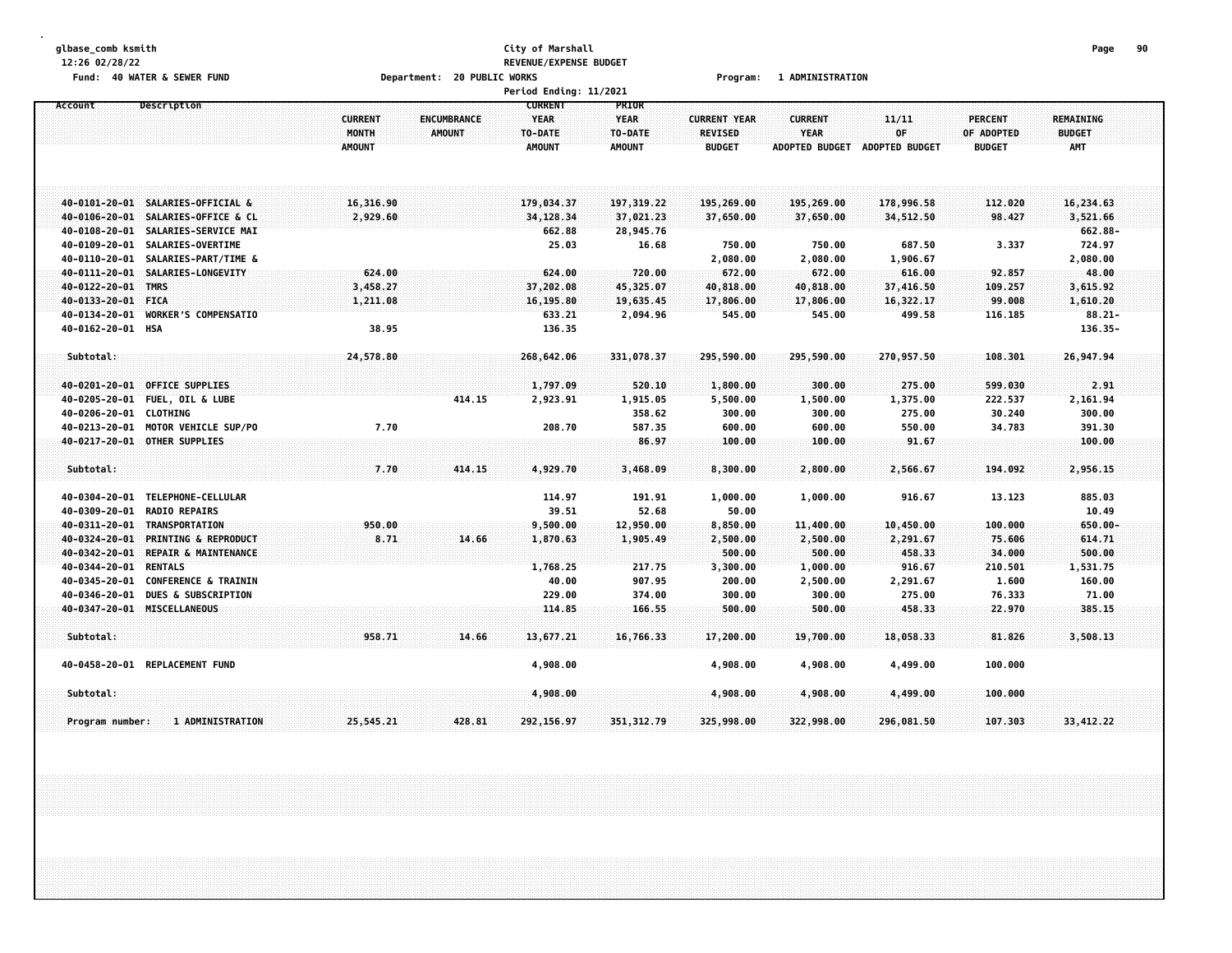### **glbase\_comb ksmith City of Marshall Page 90 12:26 02/28/22 REVENUE/EXPENSE BUDGET** Fund: 40 WATER & SEWER FUND **Department: 20 PUBLIC WORKS Film Construct Program: 1 ADMINISTRATION**

|                                                                          |                                                                                                  |                                          |                                     | <b>Period Ending: 11/2021</b>                             |                                                         |                                                        |                                                        |                                            |                                               |                                                 |  |
|--------------------------------------------------------------------------|--------------------------------------------------------------------------------------------------|------------------------------------------|-------------------------------------|-----------------------------------------------------------|---------------------------------------------------------|--------------------------------------------------------|--------------------------------------------------------|--------------------------------------------|-----------------------------------------------|-------------------------------------------------|--|
| Account                                                                  | Description                                                                                      | <b>CURRENT</b><br>MONTH<br><b>AMOUNT</b> | <b>ENCUMBRANCE</b><br><b>AMOUNT</b> | <b>CURRENT</b><br><b>YEAR</b><br>TO-DATE<br><b>AMOUNT</b> | <b>PRIOR</b><br><b>YEAR</b><br>TO-DATE<br><b>AMOUNT</b> | <b>CURRENT YEAR</b><br><b>REVISED</b><br><b>BUDGET</b> | <b>CURRENT</b><br><b>YEAR</b><br><b>ADOPTED BUDGET</b> | 11/11<br>OF<br>ADOPTED BUDGET              | <b>PERCENT</b><br>OF ADOPTED<br><b>BUDGET</b> | <b>REMAINING</b><br><b>BUDGET</b><br><b>AMT</b> |  |
| $40 - 0106 - 20 - 01$                                                    | 40-0101-20-01 SALARIES-OFFICIAL &                                                                | 16,316.90                                |                                     | 179,034.37                                                | 197, 319, 22                                            | 195,269.00                                             | 195,269.00                                             | 178,996.58                                 | 112,020                                       | 16,234.63<br>3,521.66                           |  |
| 40-0108-20-01<br>40-0109-20-01<br>40-0110-20-01                          | SALARIES-OFFICE & CL<br>SALARIES-SERVICE MAI<br>SALARIES-OVERTIME<br>SALARIES-PART/TIME &        | 2,929.60                                 |                                     | 34, 128.34<br>662.88<br>25.03                             | 37,021.23<br>28,945.76<br>16.68                         | 37,650.00<br>750.00<br>2,080.00                        | 37,650.00<br>750.00<br>2,080.00                        | 34,512.50<br>687.50<br>1,906.67            | 98.427<br>3.337                               | 662.88-<br>724.97<br>2,080.00                   |  |
| 40-0122-20-01<br>40-0133-20-01<br>40-0134-20-01                          | 40-0111-20-01 SALARIES-LONGEVITY<br><b>TMRS</b><br><b>FICA</b><br><b>WORKER'S COMPENSATIO</b>    | 624.00<br>3,458.27<br>1,211.08           |                                     | 624.00<br>37,202.08<br>16, 195.80<br>633.21               | 720.00<br>45,325.07<br>19,635.45<br>2,094.96            | 672.00<br>40,818.00<br>17,806.00<br>545.00             | 672.00<br>40,818.00<br>17,806.00<br>545.00             | 616.00<br>37,416.50<br>16,322.17<br>499.58 | 92.857<br>109.257<br>99.008<br>116.185        | 48.00<br>3,615.92<br>1,610.20<br>$88.21 -$      |  |
| 40-0162-20-01 HSA<br>Subtotal:                                           |                                                                                                  | 38.95<br>24,578.80                       |                                     | 136.35<br>268,642.06                                      | 331,078.37                                              | 295,590.00                                             | 295,590.00                                             | 270,957.50                                 | 108.301                                       | 136.35-<br>26,947.94                            |  |
| 40-0201-20-01<br>40-0205-20-01<br>40-0206-20-01<br>40-0213-20-01         | <b>OFFICE SUPPLIES</b><br><b>FUEL, OIL &amp; LUBE</b><br><b>CLOTHING</b><br>MOTOR VEHICLE SUP/PO | 7.70                                     | 414.15                              | 1,797.09<br>2,923.91<br>208.70                            | 520.10<br>1,915.05<br>358.62<br>587.35                  | 1,800.00<br>5,500.00<br>300.00<br>600.00               | 300.00<br>1,500.00<br>300.00<br>600.00                 | 275.00<br>1,375.00<br>275.00<br>550.00     | 599.030<br>222.537<br>30.240<br>34.783        | 2.91<br>2,161.94<br>300.00<br>391.30            |  |
| Subtotal:                                                                | 40-0217-20-01 OTHER SUPPLIES                                                                     | 7.70                                     | 414.15                              | 4,929.70                                                  | 86.97<br>3,468.09                                       | 100.00<br>8,300.00                                     | 100.00<br>2,800.00                                     | 91.67<br>2,566.67                          | 194.092                                       | 100.00<br>2,956.15                              |  |
| 40-0304-20-01<br>40-0309-20-01<br>40-0311-20-01                          | TELEPHONE-CELLULAR<br><b>RADIO REPAIRS</b><br>TRANSPORTATION                                     | 950.00                                   |                                     | 114.97<br>39.51<br>9,500.00                               | 191.91<br>52.68<br>12,950.00                            | 1,000.00<br>50.00<br>8,850.00                          | 1,000.00<br>11,400.00                                  | 916.67<br>10,450.00                        | 13.123<br>100.000                             | 885.03<br>10.49<br>$650.00 -$                   |  |
| 40-0324-20-01<br>40-0342-20-01<br>40-0344-20-01 RENTALS<br>40-0345-20-01 | <b>PRINTING &amp; REPRODUCT</b><br>REPAIR & MAINTENANCE<br><b>CONFERENCE &amp; TRAININ</b>       | 8.71                                     | 14.66                               | 1,870.63<br>1,768.25<br>40.00                             | 1,905.49<br>217.75<br>907.95                            | 2,500.00<br>500.00<br>3,300.00<br>200.00               | 2,500.00<br>500.00<br>1,000.00<br>2,500.00             | 2,291.67<br>458.33<br>916.67<br>2,291.67   | 75.606<br>34,000<br>210.501<br>1.600          | 614.71<br>500.00<br>1,531.75<br>160.00          |  |
| 40-0346-20-01                                                            | <b>DUES &amp; SUBSCRIPTION</b><br>40-0347-20-01 MISCELLANEOUS                                    |                                          |                                     | 229.00<br>114.85                                          | 374.00<br>166.55                                        | 300.00<br>500.00                                       | 300.00<br>500.00                                       | 275.00<br>458.33                           | 76.333<br>22.970                              | 71.00<br>385.15                                 |  |
| Subtotal:                                                                | 40-0458-20-01 REPLACEMENT FUND                                                                   | 958.71                                   | 14.66                               | 13,677.21<br>4,908.00                                     | 16,766.33                                               | 17,200.00<br>4,908.00                                  | 19,700.00<br>4,908.00                                  | 18,058.33<br>4,499.00                      | 81.826<br>100.000                             | 3,508.13                                        |  |
| Subtotal:<br>Program number:                                             | 1 ADMINISTRATION                                                                                 | 25,545.21                                | 428.81                              | 4,908.00<br>292,156.97                                    | 351, 312.79                                             | 4,908.00<br>325,998.00                                 | 4,908.00<br>322,998.00                                 | 4,499.00<br>296,081.50                     | 100.000<br>107.303                            | 33,412.22                                       |  |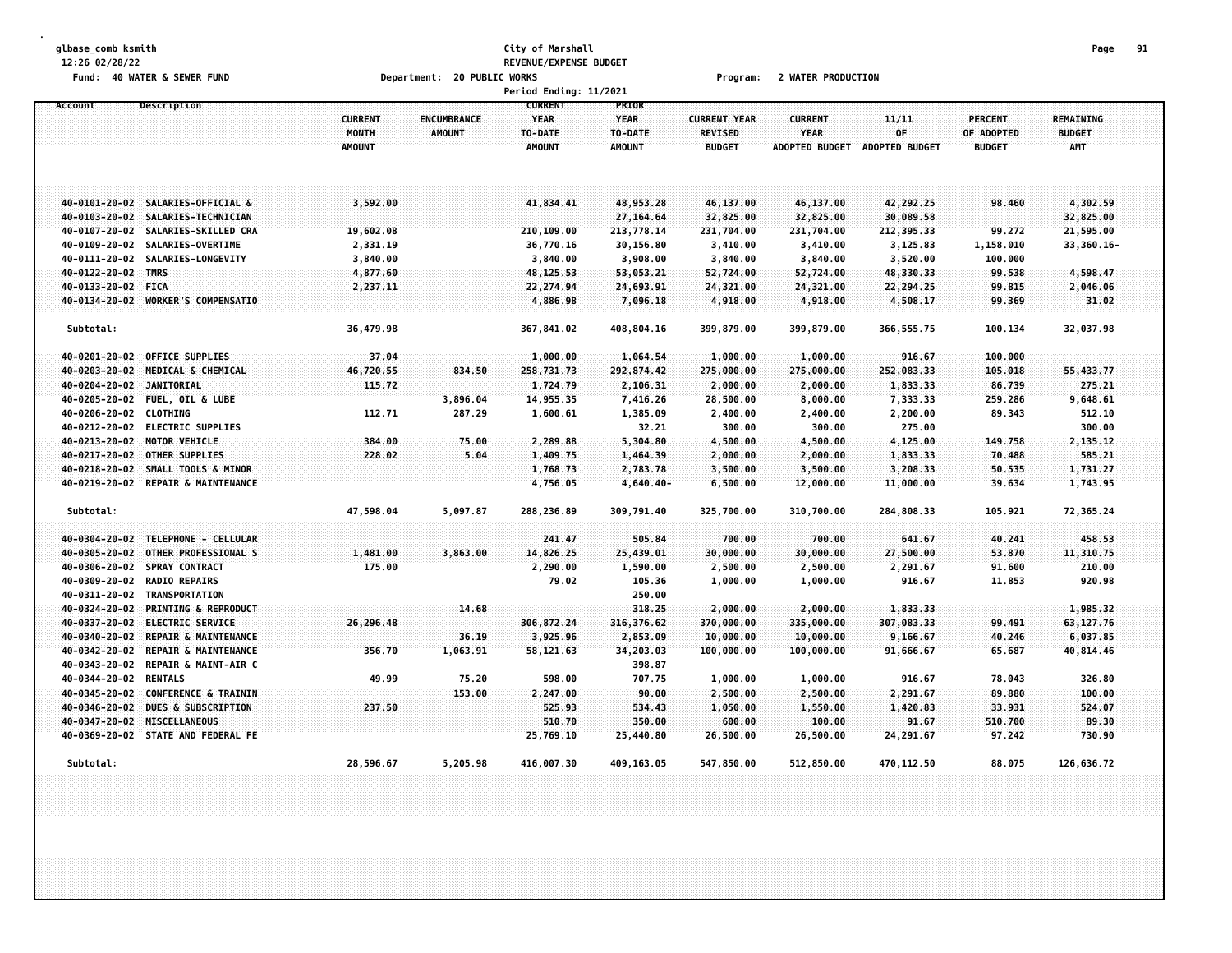# **glbase\_comb ksmith City of Marshall Page 91 12:26 02/28/22 REVENUE/EXPENSE BUDGET** Fund: 40 WATER & SEWER FUND **Department: 20 PUBLIC WORKS Film Contain Constru**ent: 20 Mater PRODUCTION

|                                                  |                                          |                                     | Period Ending: 11/2021                                    |                                                  |                                                 |                                                        |                                      |                                        |                                                 |  |
|--------------------------------------------------|------------------------------------------|-------------------------------------|-----------------------------------------------------------|--------------------------------------------------|-------------------------------------------------|--------------------------------------------------------|--------------------------------------|----------------------------------------|-------------------------------------------------|--|
| Account<br>Description                           | <b>CURRENT</b><br>MONTH<br><b>AMOUNT</b> | <b>ENCUMBRANCE</b><br><b>AMOUNT</b> | <b>CURRENT</b><br><b>YEAR</b><br>TO-DATE<br><b>AMOUNT</b> | PRIOR<br><b>YEAR</b><br>TO-DATE<br><b>AMOUNT</b> | <b>CURRENT YEAR</b><br>REVISED<br><b>BUDGET</b> | <b>CURRENT</b><br><b>YEAR</b><br><b>ADOPTED BUDGET</b> | 11/11<br>OF<br><b>ADOPTED BUDGET</b> | PERCENT<br>OF ADOPTED<br><b>BUDGET</b> | <b>REMAINING</b><br><b>BUDGET</b><br><b>AMT</b> |  |
| 40-0101-20-02 SALARIES-OFFICIAL &                | 3,592.00                                 |                                     | 41,834.41                                                 | 48,953.28                                        | 46,137.00                                       | 46,137.00                                              | 42,292.25                            | 98.460                                 | 4,302.59                                        |  |
| 40-0103-20-02<br>SALARIES-TECHNICIAN             |                                          |                                     |                                                           | 27,164.64                                        | 32,825.00                                       | 32,825.00                                              | 30,089.58                            |                                        | 32,825.00                                       |  |
| 40-0107-20-02<br>SALARIES-SKILLED CRA            | 19,602.08                                |                                     | 210,109.00                                                | 213,778.14                                       | 231,704.00                                      | 231,704.00                                             | 212,395.33                           | 99.272                                 | 21,595.00                                       |  |
| 40-0109-20-02<br>SALARIES-OVERTIME               | 2,331.19                                 |                                     | 36,770.16                                                 | 30,156.80                                        | 3,410.00                                        | 3,410.00                                               | 3,125.83                             | 1,158.010                              | 33,360.16-                                      |  |
| 40-0111-20-02<br>SALARIES-LONGEVITY              | 3,840.00                                 |                                     | 3,840.00                                                  | 3,908.00                                         | 3,840.00                                        | 3,840.00                                               | 3,520.00                             | 100.000                                |                                                 |  |
| 40-0122-20-02<br><b>TMRS</b>                     | 4,877.60                                 |                                     | 48, 125.53                                                | 53,053.21                                        | 52,724.00                                       | 52,724.00                                              | 48,330.33                            | 99.538                                 | 4,598.47                                        |  |
| 40-0133-20-02 FICA                               | 2,237.11                                 |                                     | 22, 274.94                                                | 24,693.91                                        | 24,321.00                                       | 24,321.00                                              | 22,294.25                            | 99.815                                 | 2,046.06                                        |  |
| 40-0134-20-02 WORKER'S COMPENSATIO               |                                          |                                     | 4,886.98                                                  | 7,096.18                                         | 4,918.00                                        | 4,918.00                                               | 4,508.17                             | 99.369                                 | 31.02                                           |  |
| Subtotal:                                        | 36,479.98                                |                                     | 367,841.02                                                | 408,804.16                                       | 399,879.00                                      | 399,879.00                                             | 366, 555.75                          | 100.134                                | 32,037.98                                       |  |
| 40-0201-20-02 OFFICE SUPPLIES                    | 37.04                                    |                                     | 1,000.00                                                  | 1,064.54                                         | 1,000.00                                        | 1,000.00                                               | 916.67                               | 100.000                                |                                                 |  |
| 40-0203-20-02 MEDICAL & CHEMICAL                 | 46,720.55                                | 834.50                              | 258,731.73                                                | 292,874.42                                       | 275,000.00                                      | 275,000.00                                             | 252,083.33                           | 105.018                                | 55,433.77                                       |  |
| 40-0204-20-02<br><b>JANITORIAL</b>               | 115.72                                   |                                     | 1,724.79                                                  | 2,106.31                                         | 2,000.00                                        | 2,000.00                                               | 1,833.33                             | 86.739                                 | 275.21                                          |  |
| 40-0205-20-02<br><b>FUEL, OIL &amp; LUBE</b>     |                                          | 3,896.04                            | 14,955.35                                                 | 7,416.26                                         | 28,500.00                                       | 8,000.00                                               | 7,333.33                             | 259.286                                | 9,648.61                                        |  |
| 40-0206-20-02 CLOTHING                           | 112.71                                   | 287.29                              | 1,600.61                                                  | 1,385.09                                         | 2,400.00                                        | 2,400.00                                               | 2,200.00                             | 89.343                                 | 512.10                                          |  |
| 40-0212-20-02 ELECTRIC SUPPLIES                  |                                          |                                     |                                                           | 32.21                                            | 300.00                                          | 300.00                                                 | 275.00                               |                                        | 300.00                                          |  |
| 40-0213-20-02 MOTOR VEHICLE                      | 384.00                                   | 75.00                               | 2,289.88                                                  | 5,304.80                                         | 4,500.00                                        | 4,500.00                                               | 4,125.00                             | 149.758                                | 2,135.12                                        |  |
| 40-0217-20-02 OTHER SUPPLIES                     | 228.02                                   | 5.04                                | 1,409.75                                                  | 1,464.39                                         | 2,000.00                                        | 2,000.00                                               | 1,833.33                             | 70.488                                 | 585.21                                          |  |
| 40-0218-20-02 SMALL TOOLS & MINOR                |                                          |                                     | 1,768.73                                                  | 2,783.78                                         | 3,500.00                                        | 3,500.00                                               | 3,208.33                             | 50.535                                 | 1,731.27                                        |  |
| 40-0219-20-02 REPAIR & MAINTENANCE               |                                          |                                     | 4,756.05                                                  | $4,640.40-$                                      | 6,500.00                                        | 12,000.00                                              | 11,000.00                            | 39.634                                 | 1,743.95                                        |  |
| Subtotal:                                        | 47,598.04                                | 5,097.87                            | 288,236.89                                                | 309,791.40                                       | 325,700.00                                      | 310,700.00                                             | 284,808.33                           | 105.921                                | 72,365.24                                       |  |
| 40-0304-20-02 TELEPHONE - CELLULAR               |                                          |                                     | 241.47                                                    | 505.84                                           | 700.00                                          | 700.00                                                 | 641.67                               | 40.241                                 | 458.53                                          |  |
| 40-0305-20-02<br>OTHER PROFESSIONAL S            | 1,481.00                                 | 3,863.00                            | 14,826.25                                                 | 25,439.01                                        | 30,000.00                                       | 30,000.00                                              | 27,500.00                            | 53.870                                 | 11,310.75                                       |  |
| 40-0306-20-02<br><b>SPRAY CONTRACT</b>           | 175.00                                   |                                     | 2,290.00                                                  | 1,590.00                                         | 2,500.00                                        | 2,500.00                                               | 2,291.67                             | 91.600                                 | 210.00                                          |  |
| 40-0309-20-02<br><b>RADIO REPAIRS</b>            |                                          |                                     | 79.02                                                     | 105.36                                           | 1,000.00                                        | 1,000.00                                               | 916.67                               | 11.853                                 | 920.98                                          |  |
| 40-0311-20-02<br>TRANSPORTATION                  |                                          |                                     |                                                           | 250.00                                           |                                                 |                                                        |                                      |                                        |                                                 |  |
| 40-0324-20-02<br><b>PRINTING &amp; REPRODUCT</b> |                                          | 14.68                               |                                                           | 318.25                                           | 2,000.00                                        | 2,000.00                                               | 1,833.33                             |                                        | 1,985.32                                        |  |
| 40-0337-20-02<br><b>ELECTRIC SERVICE</b>         | 26,296.48                                |                                     | 306,872.24                                                | 316,376.62                                       | 370,000.00                                      | 335,000.00                                             | 307,083.33                           | 99.491                                 | 63, 127. 76                                     |  |
| 40-0340-20-02<br><b>REPAIR &amp; MAINTENANCE</b> |                                          | 36.19                               | 3,925.96                                                  | 2,853.09                                         | 10,000.00                                       | 10,000.00                                              | 9,166.67                             | 40.246                                 | 6,037.85                                        |  |
| 40-0342-20-02<br><b>REPAIR &amp; MAINTENANCE</b> | 356.70                                   | 1,063.91                            | 58,121.63                                                 | 34,203.03                                        | 100,000.00                                      | 100,000.00                                             | 91,666.67                            | 65.687                                 | 40,814.46                                       |  |
| 40-0343-20-02<br>REPAIR & MAINT-AIR C            |                                          |                                     |                                                           | 398.87                                           |                                                 |                                                        |                                      |                                        |                                                 |  |
| 40-0344-20-02<br><b>RENTALS</b>                  | 49.99                                    | 75.20                               | 598.00                                                    | 707.75                                           | 1,000.00                                        | 1,000.00                                               | 916.67                               | 78.043                                 | 326.80                                          |  |
| <b>CONFERENCE &amp; TRAININ</b><br>40-0345-20-02 |                                          | 153.00                              | 2,247.00                                                  | 90.00                                            | 2,500.00                                        | 2,500.00                                               | 2,291.67                             | 89.880                                 | 100.00                                          |  |
| <b>DUES &amp; SUBSCRIPTION</b><br>40-0346-20-02  | 237.50                                   |                                     | 525.93                                                    | 534.43                                           | 1,050.00                                        | 1,550.00                                               | 1,420.83                             | 33.931                                 | 524.07                                          |  |
| 40-0347-20-02 MISCELLANEOUS                      |                                          |                                     | 510.70                                                    | 350.00                                           | 600.00                                          | 100.00                                                 | 91.67                                | 510.700                                | 89.30                                           |  |
| 40-0369-20-02 STATE AND FEDERAL FE               |                                          |                                     | 25,769.10                                                 | 25,440.80                                        | 26,500.00                                       | 26,500.00                                              | 24,291.67                            | 97.242                                 | 730.90                                          |  |
| Subtotal:                                        | 28,596.67                                | 5,205.98                            | 416,007.30                                                | 409, 163.05                                      | 547,850.00                                      | 512,850.00                                             | 470,112.50                           | 88.075                                 | 126,636.72                                      |  |
|                                                  |                                          |                                     |                                                           |                                                  |                                                 |                                                        |                                      |                                        |                                                 |  |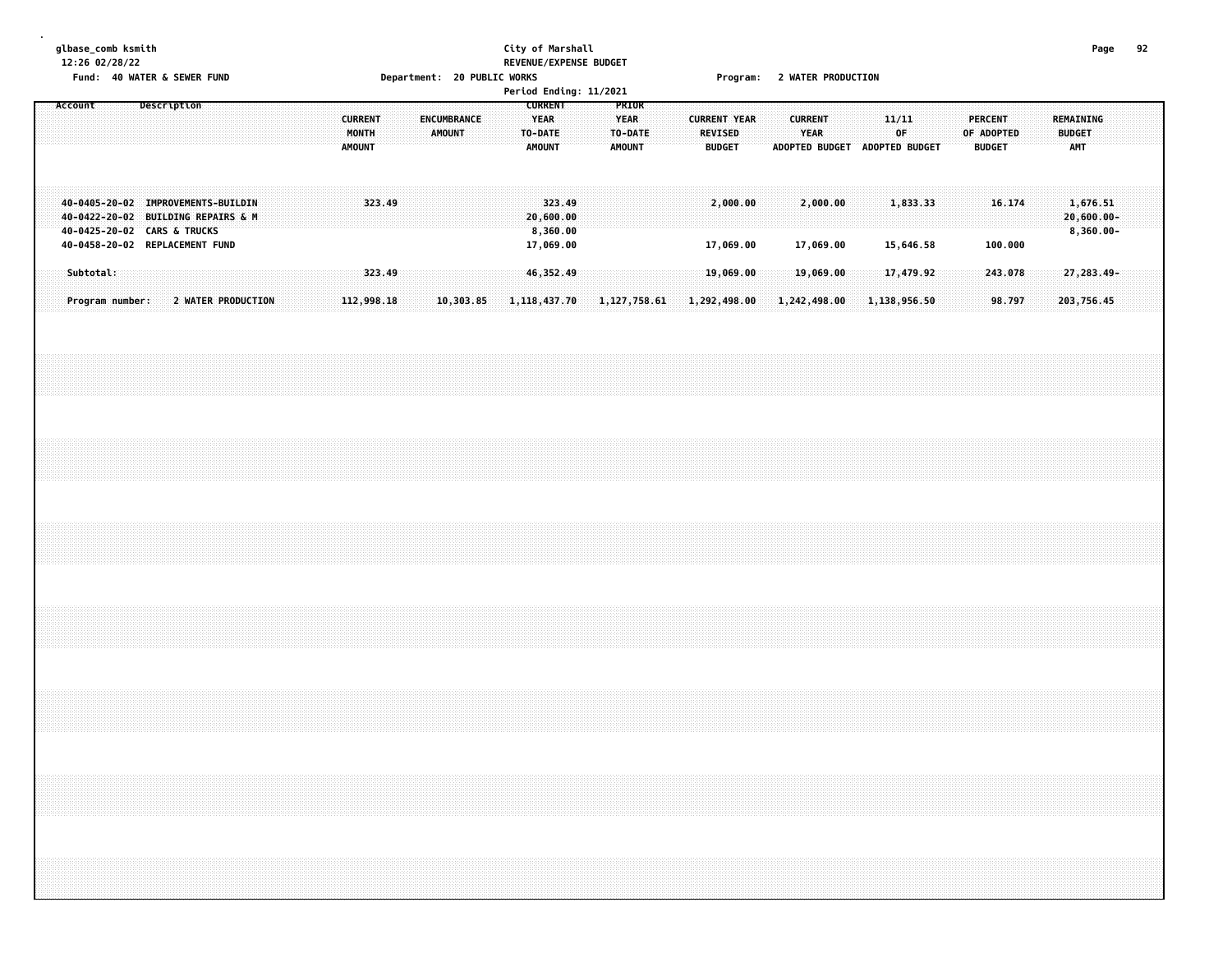# **glbase\_comb ksmith City of Marshall Page 92 12:26 02/28/22 REVENUE/EXPENSE BUDGET** Fund: 40 WATER & SEWER FUND **Department: 20 PUBLIC WORKS Film Contain Constru**ent: 20 Mater PRODUCTION

|         |           |                                                                                                                                           |             |                    |  |  |  |                                          |            |  |               |             |  |                                                           |        | Period Ending: 11/2021 |                                                  |                |                     |                                 |  |                |                        |  |                                              |  |                                               |        |               |                                           |  |  |
|---------|-----------|-------------------------------------------------------------------------------------------------------------------------------------------|-------------|--------------------|--|--|--|------------------------------------------|------------|--|---------------|-------------|--|-----------------------------------------------------------|--------|------------------------|--------------------------------------------------|----------------|---------------------|---------------------------------|--|----------------|------------------------|--|----------------------------------------------|--|-----------------------------------------------|--------|---------------|-------------------------------------------|--|--|
| Account |           |                                                                                                                                           | Description |                    |  |  |  | <b>CURRENT</b><br>MONTH<br><b>AMOUNT</b> |            |  | <b>AMOUNT</b> | ENCUMBRANCE |  | <b>CURRENT</b><br><b>YEAR</b><br>TO-DATE<br><b>AMOUNT</b> |        |                        | PRIOR<br><b>YEAR</b><br>TO-DATE<br><b>AMOUNT</b> |                | <b>CURRENT YEAR</b> | <b>REVISED</b><br><b>BUDGET</b> |  | <b>CURRENT</b> | <b>YEAR</b>            |  | 11/11<br>0F<br>ADOPTED BUDGET ADOPTED BUDGET |  | <b>PERCENT</b><br>OF ADOPTED<br><b>BUDGET</b> |        | <b>BUDGET</b> | REMAINING<br>AMT                          |  |  |
|         |           | 40-0405-20-02 IMPROVEMENTS-BUILDIN<br>40-0422-20-02 BUILDING REPAIRS & M<br>40-0425-20-02 CARS & TRUCKS<br>40-0458-20-02 REPLACEMENT FUND |             |                    |  |  |  |                                          | 323.49     |  |               |             |  | 20,600.00<br>8,360.00                                     | 323.49 |                        |                                                  |                |                     | 2,000.00                        |  |                | 2,000.00               |  | 1,833.33                                     |  |                                               | 16.174 |               | 1,676.51<br>$20,600.00 -$<br>$8,360.00 -$ |  |  |
|         | Subtotal: |                                                                                                                                           |             |                    |  |  |  |                                          | 323.49     |  |               |             |  | 17,069.00<br>46,352.49                                    |        |                        |                                                  |                |                     | 17,069.00<br>19,069.00          |  |                | 17,069.00<br>19,069.00 |  | 15,646.58<br>17,479.92                       |  | 100.000<br>243.078                            |        |               | 27,283.49-                                |  |  |
|         |           | Program number:                                                                                                                           |             | 2 WATER PRODUCTION |  |  |  |                                          | 112,998.18 |  |               | 10,303.85   |  | 1, 118, 437. 70                                           |        |                        |                                                  | 1, 127, 758.61 | 1,292,498.00        |                                 |  | 1,242,498.00   |                        |  | 1,138,956.50                                 |  |                                               | 98.797 |               | 203,756.45                                |  |  |
|         |           |                                                                                                                                           |             |                    |  |  |  |                                          |            |  |               |             |  |                                                           |        |                        |                                                  |                |                     |                                 |  |                |                        |  |                                              |  |                                               |        |               |                                           |  |  |
|         |           |                                                                                                                                           |             |                    |  |  |  |                                          |            |  |               |             |  |                                                           |        |                        |                                                  |                |                     |                                 |  |                |                        |  |                                              |  |                                               |        |               |                                           |  |  |
|         |           |                                                                                                                                           |             |                    |  |  |  |                                          |            |  |               |             |  |                                                           |        |                        |                                                  |                |                     |                                 |  |                |                        |  |                                              |  |                                               |        |               |                                           |  |  |
|         |           |                                                                                                                                           |             |                    |  |  |  |                                          |            |  |               |             |  |                                                           |        |                        |                                                  |                |                     |                                 |  |                |                        |  |                                              |  |                                               |        |               |                                           |  |  |
|         |           |                                                                                                                                           |             |                    |  |  |  |                                          |            |  |               |             |  |                                                           |        |                        |                                                  |                |                     |                                 |  |                |                        |  |                                              |  |                                               |        |               |                                           |  |  |
|         |           |                                                                                                                                           |             |                    |  |  |  |                                          |            |  |               |             |  |                                                           |        |                        |                                                  |                |                     |                                 |  |                |                        |  |                                              |  |                                               |        |               |                                           |  |  |
|         |           |                                                                                                                                           |             |                    |  |  |  |                                          |            |  |               |             |  |                                                           |        |                        |                                                  |                |                     |                                 |  |                |                        |  |                                              |  |                                               |        |               |                                           |  |  |
|         |           |                                                                                                                                           |             |                    |  |  |  |                                          |            |  |               |             |  |                                                           |        |                        |                                                  |                |                     |                                 |  |                |                        |  |                                              |  |                                               |        |               |                                           |  |  |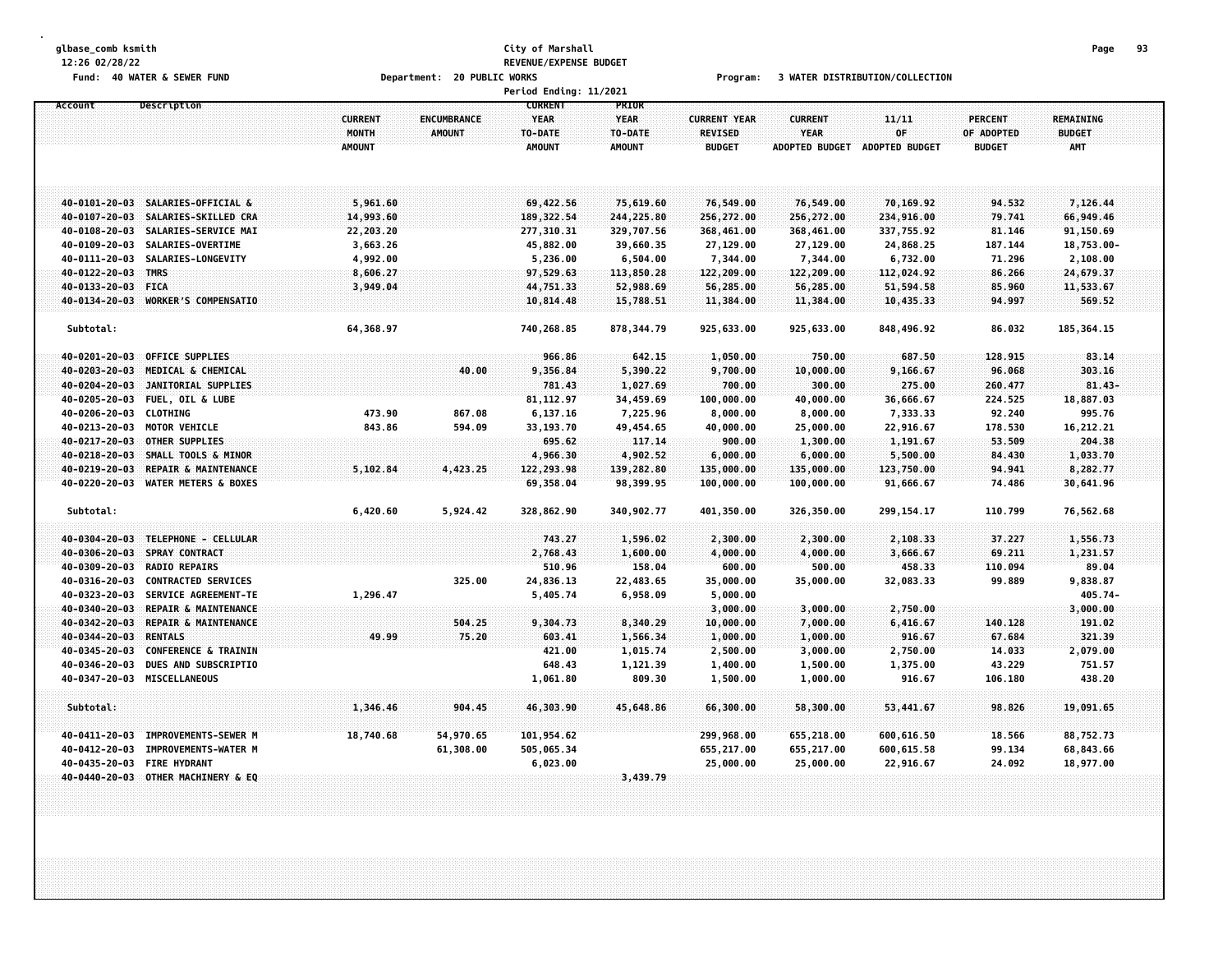# **glbase\_comb ksmith City of Marshall Page 93 12:26 02/28/22 REVENUE/EXPENSE BUDGET**

Fund: 40 WATER & SEWER FUND **Department: 20 PUBLIC WORKS** For the Second Program: 3 WATER DISTRIBUTION/COLLECTION

|                                |                                                         |                                          |                              | Period Ending: 11/2021                                    |                                                  |                                                 |                                                        |                               |                                               |                                                 |  |
|--------------------------------|---------------------------------------------------------|------------------------------------------|------------------------------|-----------------------------------------------------------|--------------------------------------------------|-------------------------------------------------|--------------------------------------------------------|-------------------------------|-----------------------------------------------|-------------------------------------------------|--|
| Account                        | Description                                             | <b>CURRENT</b><br>MONTH<br><b>AMOUNT</b> | <b>ENCUMBRANCE</b><br>AMOUNT | <b>CURRENT</b><br><b>YEAR</b><br>TO-DATE<br><b>AMOUNT</b> | PRIOR<br><b>YEAR</b><br>TO-DATE<br><b>AMOUNT</b> | <b>CURRENT YEAR</b><br>REVISED<br><b>BUDGET</b> | <b>CURRENT</b><br><b>YEAR</b><br><b>ADOPTED BUDGET</b> | 11/11<br>OF<br>ADOPTED BUDGET | <b>PERCENT</b><br>OF ADOPTED<br><b>BUDGET</b> | <b>REMAINING</b><br><b>BUDGET</b><br><b>AMT</b> |  |
|                                |                                                         |                                          |                              |                                                           |                                                  |                                                 |                                                        |                               |                                               |                                                 |  |
|                                | 40-0101-20-03 SALARIES-OFFICIAL &                       | 5,961.60                                 |                              | 69,422.56                                                 | 75,619.60                                        | 76,549.00                                       | 76,549.00                                              | 70,169.92                     | 94.532                                        | 7,126.44                                        |  |
| 40-0107-20-03                  | SALARIES-SKILLED CRA                                    | 14,993.60                                |                              | 189, 322.54                                               | 244,225.80                                       | 256,272.00                                      | 256,272.00                                             | 234,916.00                    | 79.741                                        | 66,949.46                                       |  |
| 40-0108-20-03                  | SALARIES-SERVICE MAI                                    | 22,203.20                                |                              | 277,310.31                                                | 329,707.56                                       | 368,461.00                                      | 368,461.00                                             | 337,755.92                    | 81.146                                        | 91,150.69                                       |  |
| 40-0109-20-03                  | SALARIES-OVERTIME                                       | 3,663.26                                 |                              | 45,882.00                                                 | 39,660.35                                        | 27,129.00                                       | 27,129.00                                              | 24,868.25                     | 187.144                                       | 18,753.00-                                      |  |
| 40-0111-20-03                  | SALARIES-LONGEVITY                                      | 4,992.00                                 |                              | 5,236.00                                                  | 6,504.00                                         | 7,344.00                                        | 7,344.00                                               | 6,732.00                      | 71.296                                        | 2,108.00                                        |  |
| 40-0122-20-03 TMRS             |                                                         | 8,606.27                                 |                              | 97,529.63                                                 | 113,850.28                                       | 122,209.00                                      | 122,209.00                                             | 112,024.92                    | 86.266                                        | 24,679.37                                       |  |
| 40-0133-20-03                  | <b>FICA</b>                                             | 3,949.04                                 |                              | 44,751.33                                                 | 52,988.69                                        | 56,285.00                                       | 56,285.00                                              | 51,594.58                     | 85.960                                        | 11,533.67                                       |  |
| 40-0134-20-03                  | <b>WORKER'S COMPENSATIO</b>                             |                                          |                              | 10,814.48                                                 | 15,788.51                                        | 11,384.00                                       | 11,384.00                                              | 10,435.33                     | 94.997                                        | 569.52                                          |  |
| Subtotal:                      |                                                         | 64,368.97                                |                              | 740,268.85                                                | 878, 344.79                                      | 925,633.00                                      | 925,633.00                                             | 848,496.92                    | 86.032                                        | 185, 364.15                                     |  |
| 40-0201-20-03                  | <b>OFFICE SUPPLIES</b>                                  |                                          |                              | 966.86                                                    | 642.15                                           | 1,050.00                                        | 750.00                                                 | 687.50                        | 128,915                                       | 83.14                                           |  |
| 40-0203-20-03                  | MEDICAL & CHEMICAL                                      |                                          | 40.00                        | 9,356.84                                                  | 5,390.22                                         | 9,700.00                                        | 10,000.00                                              | 9,166.67                      | 96.068                                        | 303.16                                          |  |
| 40-0204-20-03                  | JANITORIAL SUPPLIES                                     |                                          |                              | 781.43                                                    | 1,027.69                                         | 700.00                                          | 300.00                                                 | 275.00                        | 260.477                                       | $81.43 -$                                       |  |
| $40 - 0205 - 20 - 03$          | <b>FUEL, OIL &amp; LUBE</b>                             |                                          |                              | 81, 112.97                                                | 34,459.69                                        | 100,000.00                                      | 40,000.00                                              | 36,666.67                     | 224.525                                       | 18,887.03                                       |  |
| 40-0206-20-03                  | <b>CLOTHING</b>                                         | 473.90                                   | 867.08                       | 6,137.16                                                  | 7,225.96                                         | 8,000.00                                        | 8,000.00                                               | 7,333.33                      | 92.240                                        | 995.76                                          |  |
| 40-0213-20-03                  | <b>MOTOR VEHICLE</b>                                    | 843.86                                   | 594.09                       | 33,193.70                                                 | 49,454.65                                        | 40,000.00                                       | 25,000.00                                              | 22,916.67                     | 178.530                                       | 16,212.21                                       |  |
| 40-0217-20-03                  | OTHER SUPPLIES                                          |                                          |                              | 695.62                                                    | 117.14                                           | 900.00                                          | 1,300.00                                               | 1,191.67                      | 53.509                                        | 204.38                                          |  |
| $40 - 0218 - 20 - 03$          | SMALL TOOLS & MINOR                                     |                                          |                              | 4,966.30                                                  | 4,902.52                                         | 6,000.00                                        | 6,000.00                                               | 5,500.00                      | 84.430                                        | 1,033.70                                        |  |
| 40-0219-20-03                  | REPAIR & MAINTENANCE                                    | 5,102.84                                 | 4,423.25                     | 122,293.98                                                | 139,282.80                                       | 135,000.00                                      | 135,000.00                                             | 123,750.00                    | 94.941                                        | 8,282.77                                        |  |
| 40-0220-20-03                  | <b>WATER METERS &amp; BOXES</b>                         |                                          |                              | 69,358.04                                                 | 98,399.95                                        | 100,000.00                                      | 100,000.00                                             | 91,666.67                     | 74.486                                        | 30,641.96                                       |  |
| Subtotal:                      |                                                         | 6,420.60                                 | 5,924.42                     | 328,862.90                                                | 340,902.77                                       | 401,350.00                                      | 326,350.00                                             | 299, 154. 17                  | 110.799                                       | 76,562.68                                       |  |
|                                |                                                         |                                          |                              |                                                           |                                                  |                                                 |                                                        |                               |                                               |                                                 |  |
| 40-0304-20-03                  | TELEPHONE - CELLULAR                                    |                                          |                              | 743.27                                                    | 1,596.02                                         | 2,300.00                                        | 2,300.00                                               | 2,108.33                      | 37.227                                        | 1,556.73                                        |  |
| 40-0306-20-03                  | <b>SPRAY CONTRACT</b>                                   |                                          |                              | 2,768.43                                                  | 1,600.00                                         | 4,000.00                                        | 4,000.00                                               | 3,666.67                      | 69.211                                        | 1,231.57                                        |  |
| 40-0309-20-03                  | <b>RADIO REPAIRS</b>                                    |                                          |                              | 510.96                                                    | 158.04                                           | 600.00                                          | 500.00                                                 | 458.33                        | 110.094                                       | 89.04                                           |  |
| 40-0316-20-03                  | <b>CONTRACTED SERVICES</b>                              |                                          | 325.00                       | 24,836.13                                                 | 22,483.65                                        | 35,000.00                                       | 35,000.00                                              | 32,083.33                     | 99.889                                        | 9,838.87                                        |  |
| 40-0323-20-03                  | SERVICE AGREEMENT-TE                                    | 1,296.47                                 |                              | 5,405.74                                                  | 6,958.09                                         | 5,000.00                                        |                                                        |                               |                                               | 405.74-                                         |  |
| 40-0340-20-03                  | REPAIR & MAINTENANCE                                    |                                          |                              |                                                           |                                                  | 3,000.00                                        | 3,000.00                                               | 2,750.00                      |                                               | 3,000.00                                        |  |
| 40-0342-20-03                  | REPAIR & MAINTENANCE                                    |                                          | 504.25                       | 9,304.73                                                  | 8,340.29                                         | 10,000.00                                       | 7,000.00                                               | 6,416.67                      | 140.128                                       | 191.02                                          |  |
| 40-0344-20-03                  | <b>RENTALS</b>                                          | 49.99                                    | 75.20                        | 603.41                                                    | 1,566.34                                         | 1,000.00                                        | 1,000.00                                               | 916.67                        | 67.684                                        | 321.39                                          |  |
| 40-0345-20-03<br>40-0346-20-03 | <b>CONFERENCE &amp; TRAININ</b><br>DUES AND SUBSCRIPTIO |                                          |                              | 421.00                                                    | 1,015.74                                         | 2,500.00                                        | 3,000.00                                               | 2,750.00                      | 14.033                                        | 2,079.00                                        |  |
| 40-0347-20-03                  | MISCELLANEOUS                                           |                                          |                              | 648.43<br>1,061.80                                        | 1,121.39<br>809.30                               | 1,400.00<br>1,500.00                            | 1,500.00<br>1,000.00                                   | 1,375.00<br>916.67            | 43.229<br>106.180                             | 751.57<br>438.20                                |  |
|                                |                                                         |                                          |                              |                                                           |                                                  |                                                 |                                                        |                               |                                               |                                                 |  |
| Subtotal:                      |                                                         | 1,346.46                                 | 904.45                       | 46,303.90                                                 | 45,648.86                                        | 66,300.00                                       | 58,300.00                                              | 53,441.67                     | 98.826                                        | 19,091.65                                       |  |
| 40-0411-20-03                  | IMPROVEMENTS-SEWER M                                    | 18,740.68                                | 54,970.65                    | 101,954.62                                                |                                                  | 299,968.00                                      | 655,218.00                                             | 600,616.50                    | 18.566                                        | 88,752.73                                       |  |
| 40-0412-20-03                  | IMPROVEMENTS-WATER M                                    |                                          | 61,308.00                    | 505,065.34                                                |                                                  | 655,217.00                                      | 655,217.00                                             | 600, 615.58                   | 99.134                                        | 68,843.66                                       |  |
| 40-0435-20-03                  | <b>FIRE HYDRANT</b>                                     |                                          |                              | 6,023.00                                                  |                                                  | 25,000.00                                       | 25,000.00                                              | 22,916.67                     | 24.092                                        | 18,977.00                                       |  |
|                                | 40-0440-20-03 OTHER MACHINERY & EQ                      |                                          |                              |                                                           | 3,439.79                                         |                                                 |                                                        |                               |                                               |                                                 |  |
|                                |                                                         |                                          |                              |                                                           |                                                  |                                                 |                                                        |                               |                                               |                                                 |  |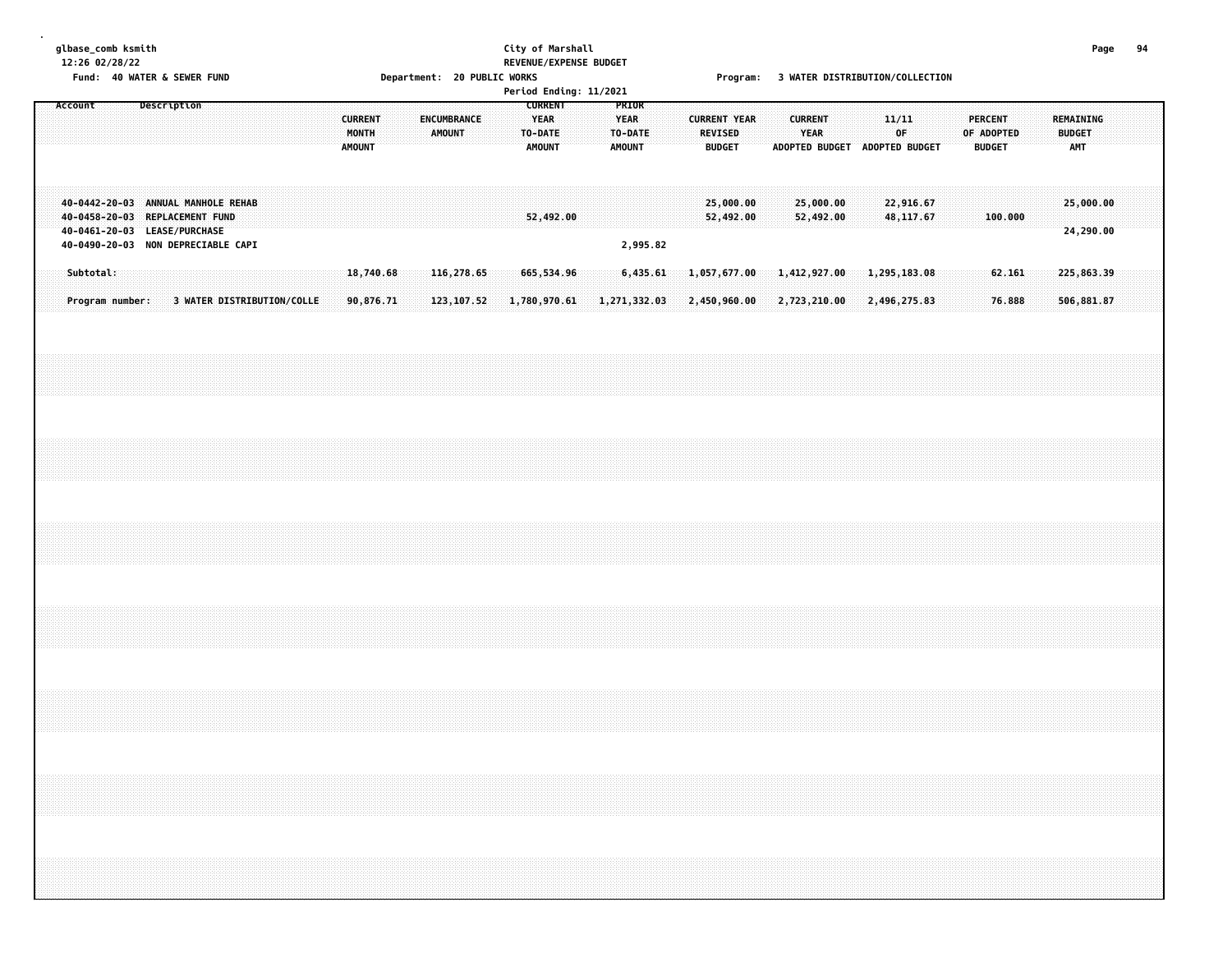# **glbase\_comb ksmith City of Marshall Page 94 12:26 02/28/22 REVENUE/EXPENSE BUDGET**

Fund: 40 WATER & SEWER FUND **Department: 20 PUBLIC WORKS** For the Second Program: 3 WATER DISTRIBUTION/COLLECTION

|         |                                                                                                                                            |  |             |  |  |                            |                                          |                        |  |                                     |  |                                                           | Period Ending: 11/2021 |                                                  |          |  |                                                        |                              |  |                               |                              |  |                                              |  |                                               |                  |  |                      |                          |  |  |
|---------|--------------------------------------------------------------------------------------------------------------------------------------------|--|-------------|--|--|----------------------------|------------------------------------------|------------------------|--|-------------------------------------|--|-----------------------------------------------------------|------------------------|--------------------------------------------------|----------|--|--------------------------------------------------------|------------------------------|--|-------------------------------|------------------------------|--|----------------------------------------------|--|-----------------------------------------------|------------------|--|----------------------|--------------------------|--|--|
| Account |                                                                                                                                            |  | Description |  |  |                            | <b>CURRENT</b><br>MONTH<br><b>AMOUNT</b> |                        |  | <b>ENCUMBRANCE</b><br><b>AMOUNT</b> |  | <b>CURRENT</b><br><b>YEAR</b><br>TO-DATE<br><b>AMOUNT</b> |                        | PRIOR<br><b>YEAR</b><br>TO-DATE<br><b>AMOUNT</b> |          |  | <b>CURRENT YEAR</b><br><b>REVISED</b><br><b>BUDGET</b> |                              |  | <b>CURRENT</b><br><b>YEAR</b> |                              |  | 11/11<br>0F<br>ADOPTED BUDGET ADOPTED BUDGET |  | <b>PERCENT</b><br>OF ADOPTED<br><b>BUDGET</b> |                  |  | <b>BUDGET</b><br>AMT | REMAINING                |  |  |
|         | 40-0442-20-03 ANNUAL MANHOLE REHAB<br>40-0458-20-03 REPLACEMENT FUND<br>40-0461-20-03 LEASE/PURCHASE<br>40-0490-20-03 NON DEPRECIABLE CAPI |  |             |  |  |                            |                                          |                        |  |                                     |  | 52,492.00                                                 |                        |                                                  | 2,995.82 |  | 25,000.00<br>52,492.00                                 |                              |  |                               | 25,000.00<br>52,492.00       |  | 22,916.67<br>48, 117.67                      |  |                                               | 100.000          |  |                      | 25,000.00<br>24,290.00   |  |  |
|         | Subtotal:<br>Program number:                                                                                                               |  |             |  |  | 3 WATER DISTRIBUTION/COLLE |                                          | 18,740.68<br>90,876.71 |  | 116,278.65<br>123, 107.52           |  | 665,534.96<br>1,780,970.61                                |                        | 1,271,332.03                                     | 6,435.61 |  |                                                        | 1,057,677.00<br>2,450,960.00 |  |                               | 1,412,927.00<br>2,723,210.00 |  | 1,295,183.08<br>2,496,275.83                 |  |                                               | 62.161<br>76.888 |  |                      | 225,863.39<br>506,881.87 |  |  |
|         |                                                                                                                                            |  |             |  |  |                            |                                          |                        |  |                                     |  |                                                           |                        |                                                  |          |  |                                                        |                              |  |                               |                              |  |                                              |  |                                               |                  |  |                      |                          |  |  |
|         |                                                                                                                                            |  |             |  |  |                            |                                          |                        |  |                                     |  |                                                           |                        |                                                  |          |  |                                                        |                              |  |                               |                              |  |                                              |  |                                               |                  |  |                      |                          |  |  |
|         |                                                                                                                                            |  |             |  |  |                            |                                          |                        |  |                                     |  |                                                           |                        |                                                  |          |  |                                                        |                              |  |                               |                              |  |                                              |  |                                               |                  |  |                      |                          |  |  |
|         |                                                                                                                                            |  |             |  |  |                            |                                          |                        |  |                                     |  |                                                           |                        |                                                  |          |  |                                                        |                              |  |                               |                              |  |                                              |  |                                               |                  |  |                      |                          |  |  |
|         |                                                                                                                                            |  |             |  |  |                            |                                          |                        |  |                                     |  |                                                           |                        |                                                  |          |  |                                                        |                              |  |                               |                              |  |                                              |  |                                               |                  |  |                      |                          |  |  |
|         |                                                                                                                                            |  |             |  |  |                            |                                          |                        |  |                                     |  |                                                           |                        |                                                  |          |  |                                                        |                              |  |                               |                              |  |                                              |  |                                               |                  |  |                      |                          |  |  |
|         |                                                                                                                                            |  |             |  |  |                            |                                          |                        |  |                                     |  |                                                           |                        |                                                  |          |  |                                                        |                              |  |                               |                              |  |                                              |  |                                               |                  |  |                      |                          |  |  |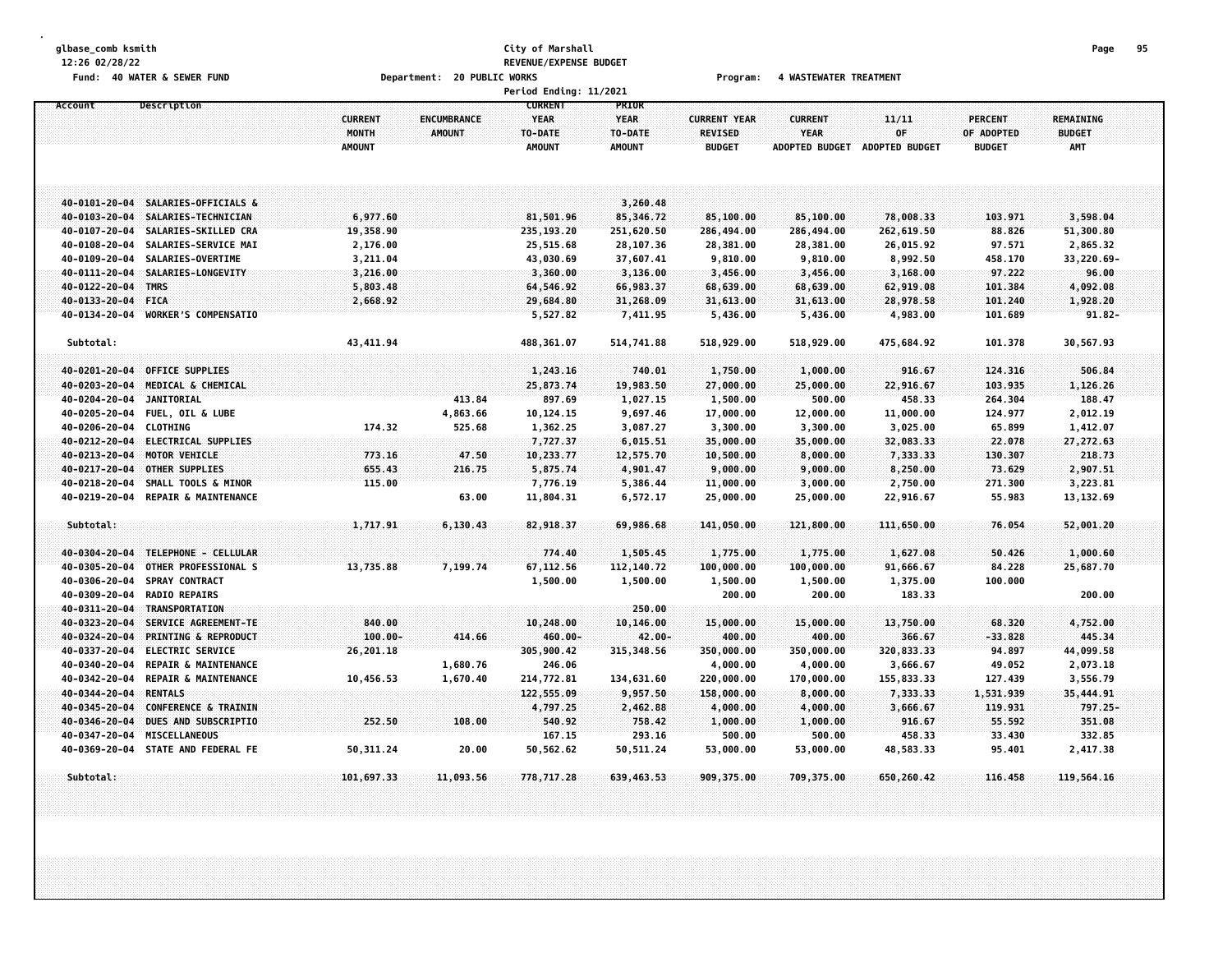# **glbase\_comb ksmith City of Marshall Page 95 12:26 02/28/22 REVENUE/EXPENSE BUDGET** Fund: 40 WATER & SEWER FUND **Department: 20 PUBLIC WORKS Film Construct Program:** 4 WASTEWATER TREATMENT

|                                        |                                              |                                          |                                     | Period Ending: 11/2021                                    |                                                  |                                                        |                                                        |                                      |                                               |                                                 |
|----------------------------------------|----------------------------------------------|------------------------------------------|-------------------------------------|-----------------------------------------------------------|--------------------------------------------------|--------------------------------------------------------|--------------------------------------------------------|--------------------------------------|-----------------------------------------------|-------------------------------------------------|
| Description<br>Account                 |                                              | <b>CURRENT</b><br>MONTH<br><b>AMOUNT</b> | <b>ENCUMBRANCE</b><br><b>AMOUNT</b> | <b>CURRENT</b><br><b>YEAR</b><br>TO-DATE<br><b>AMOUNT</b> | PRIOR<br><b>YEAR</b><br>TO-DATE<br><b>AMOUNT</b> | <b>CURRENT YEAR</b><br><b>REVISED</b><br><b>BUDGET</b> | <b>CURRENT</b><br><b>YEAR</b><br><b>ADOPTED BUDGET</b> | 11/11<br>0F<br><b>ADOPTED BUDGET</b> | <b>PERCENT</b><br>OF ADOPTED<br><b>BUDGET</b> | <b>REMAINING</b><br><b>BUDGET</b><br><b>AMT</b> |
| 40-0101-20-04                          | SALARIES-OFFICIALS &                         |                                          |                                     |                                                           | 3,260.48                                         |                                                        |                                                        |                                      |                                               |                                                 |
| 40-0103-20-04                          | SALARIES-TECHNICIAN                          | 6,977.60                                 |                                     | 81,501.96                                                 | 85,346.72                                        | 85,100.00                                              | 85,100.00                                              | 78,008.33                            | 103.971                                       | 3,598.04                                        |
| 40-0107-20-04                          | SALARIES-SKILLED CRA                         | 19,358.90                                |                                     | 235,193.20                                                | 251,620.50                                       | 286,494.00                                             | 286,494.00                                             | 262,619.50                           | 88.826                                        | 51,300.80                                       |
| 40-0108-20-04                          | SALARIES-SERVICE MAI                         | 2,176.00                                 |                                     | 25,515.68                                                 | 28,107.36                                        | 28,381.00                                              | 28,381.00                                              | 26,015.92                            | 97.571                                        | 2,865.32                                        |
| 40-0109-20-04                          | SALARIES-OVERTIME                            | 3,211.04                                 |                                     | 43,030.69                                                 | 37,607.41                                        | 9,810.00                                               | 9,810.00                                               | 8,992.50                             | 458.170                                       | 33,220.69-                                      |
| $-40 - 0111 - 20 - 04$                 | <b>SALARIES-LONGEVITY</b>                    | 3,216.00                                 |                                     | 3,360.00                                                  | 3,136.00                                         | 3,456.00                                               | 3,456.00                                               | 3,168.00                             | 97.222                                        | 96.00                                           |
| 40-0122-20-04 TMRS                     |                                              | 5,803.48                                 |                                     | 64,546.92                                                 | 66,983.37                                        | 68,639.00                                              | 68,639.00                                              | 62,919.08                            | 101.384                                       | 4,092.08                                        |
| 40-0133-20-04 FICA                     |                                              | 2,668.92                                 |                                     | 29,684.80                                                 | 31,268.09                                        | 31,613.00                                              | 31,613.00                                              | 28,978.58                            | 101.240                                       | 1,928.20                                        |
| 40-0134-20-04 WORKER'S COMPENSATIO     |                                              |                                          |                                     | 5,527.82                                                  | 7,411.95                                         | 5,436.00                                               | 5,436.00                                               | 4,983.00                             | 101.689                                       | $91.82 -$                                       |
| Subtotal:                              |                                              | 43, 411.94                               |                                     | 488,361.07                                                | 514,741.88                                       | 518,929.00                                             | 518,929.00                                             | 475,684.92                           | 101.378                                       | 30,567.93                                       |
| 40-0201-20-04                          | <b>OFFICE SUPPLIES</b>                       |                                          |                                     |                                                           |                                                  |                                                        |                                                        | 916.67                               | 124.316                                       | 506.84                                          |
| 40-0203-20-04                          | MEDICAL & CHEMICAL                           |                                          |                                     | 1,243.16                                                  | 740.01                                           | 1,750.00                                               | 1,000.00                                               |                                      |                                               |                                                 |
| 40-0204-20-04<br><b>JANITORIAL</b>     |                                              |                                          | 413.84                              | 25,873.74<br>897.69                                       | 19,983.50<br>1,027.15                            | 27,000.00<br>1,500.00                                  | 25,000.00<br>500.00                                    | 22,916.67<br>458.33                  | 103.935<br>264.304                            | 1,126.26<br>188.47                              |
| 40-0205-20-04                          | <b>FUEL, OIL &amp; LUBE</b>                  |                                          | 4,863.66                            | 10,124.15                                                 | 9,697.46                                         | 17,000.00                                              | 12,000.00                                              | 11,000.00                            | 124.977                                       | 2,012.19                                        |
| 40-0206-20-04 CLOTHING                 |                                              | 174.32                                   | 525.68                              | 1,362.25                                                  | 3,087.27                                         | 3,300.00                                               | 3,300.00                                               | 3,025.00                             | 65.899                                        | 1,412.07                                        |
| 40-0212-20-04 ELECTRICAL SUPPLIES      |                                              |                                          |                                     | 7,727.37                                                  | 6,015.51                                         | 35,000.00                                              | 35,000.00                                              | 32,083.33                            | 22.078                                        | 27,272.63                                       |
| $40 - 0213 - 20 - 04$<br>MOTOR VEHICLE |                                              | 773.16                                   | 47.50                               | 10,233.77                                                 | 12,575.70                                        | 10,500.00                                              | 8,000.00                                               | 7,333.33                             | 130.307                                       | 218.73                                          |
| 40-0217-20-04<br>OTHER SUPPLIES        |                                              | 655.43                                   | 216.75                              | 5,875.74                                                  | 4,901.47                                         | 9,000.00                                               | 9,000.00                                               | 8,250.00                             | 73.629                                        | 2,907.51                                        |
| 40-0218-20-04                          | SMALL TOOLS & MINOR                          | 115.00                                   |                                     | 7,776.19                                                  | 5,386.44                                         | 11,000.00                                              | 3,000.00                                               | 2,750.00                             | 271.300                                       | 3,223.81                                        |
| 40-0219-20-04                          | REPAIR & MAINTENANCE                         |                                          | 63.00                               | 11,804.31                                                 | 6,572.17                                         | 25,000.00                                              | 25,000.00                                              | 22,916.67                            | 55.983                                        | 13, 132.69                                      |
| Subtotal:                              |                                              | 1,717.91                                 | 6, 130.43                           | 82,918.37                                                 | 69,986.68                                        | 141,050.00                                             | 121,800.00                                             | 111,650.00                           | 76.054                                        | 52,001.20                                       |
|                                        |                                              |                                          |                                     |                                                           |                                                  |                                                        |                                                        |                                      | 50.426                                        |                                                 |
| 40-0304-20-04<br>40-0305-20-04         | TELEPHONE - CELLULAR<br>OTHER PROFESSIONAL S | 13,735.88                                | 7,199.74                            | 774.40                                                    | 1,505.45<br>112,140.72                           | 1,775.00<br>100,000.00                                 | 1,775.00<br>100,000.00                                 | 1,627.08<br>91,666.67                | 84.228                                        | 1,000.60<br>25,687.70                           |
| 40-0306-20-04<br><b>SPRAY CONTRACT</b> |                                              |                                          |                                     | 67,112.56<br>1,500.00                                     |                                                  | 1,500.00                                               | 1,500.00                                               | 1,375.00                             | 100.000                                       |                                                 |
| <b>RADIO REPAIRS</b><br>40-0309-20-04  |                                              |                                          |                                     |                                                           | 1,500.00                                         | 200.00                                                 | 200.00                                                 | 183.33                               |                                               | 200.00                                          |
| 40-0311-20-04 TRANSPORTATION           |                                              |                                          |                                     |                                                           | 250.00                                           |                                                        |                                                        |                                      |                                               |                                                 |
| 40-0323-20-04                          | SERVICE AGREEMENT-TE                         | 840.00                                   |                                     | 10,248.00                                                 | 10,146.00                                        | 15,000.00                                              | 15,000.00                                              | 13,750.00                            | 68.320                                        | 4,752.00                                        |
| 40-0324-20-04                          | <b>PRINTING &amp; REPRODUCT</b>              | $100.00 -$                               | 414.66                              | $460.00 -$                                                | $42.00 -$                                        | 400.00                                                 | 400.00                                                 | 366.67                               | $-33.828$                                     | 445.34                                          |
| 40-0337-20-04                          | <b>ELECTRIC SERVICE</b>                      | 26,201.18                                |                                     | 305,900.42                                                | 315, 348.56                                      | 350,000.00                                             | 350,000.00                                             | 320,833.33                           | 94.897                                        | 44,099.58                                       |
| 40-0340-20-04                          | <b>REPAIR &amp; MAINTENANCE</b>              |                                          | 1,680.76                            | 246.06                                                    |                                                  | 4,000.00                                               | 4,000.00                                               | 3,666.67                             | 49.052                                        | 2,073.18                                        |
| 40-0342-20-04                          | <b>REPAIR &amp; MAINTENANCE</b>              | 10,456.53                                | 1,670.40                            | 214,772.81                                                | 134,631.60                                       | 220,000.00                                             | 170,000.00                                             | 155,833.33                           | 127.439                                       | 3,556.79                                        |
| <b>RENTALS</b><br>40-0344-20-04        |                                              |                                          |                                     | 122,555.09                                                | 9,957.50                                         | 158,000.00                                             | 8,000.00                                               | 7,333.33                             | 1,531.939                                     | 35,444.91                                       |
| 40-0345-20-04                          | <b>CONFERENCE &amp; TRAININ</b>              |                                          |                                     | 4,797.25                                                  | 2,462.88                                         | 4,000.00                                               | 4,000.00                                               | 3,666.67                             | 119.931                                       | 797.25-                                         |
| 40-0346-20-04                          | DUES AND SUBSCRIPTIO                         | 252.50                                   | 108.00                              | 540.92                                                    | 758.42                                           | 1,000.00                                               | 1,000.00                                               | 916.67                               | 55.592                                        | 351.08                                          |
| MISCELLANEOUS<br>40-0347-20-04         |                                              |                                          |                                     | 167.15                                                    | 293.16                                           | 500.00                                                 | 500.00                                                 | 458.33                               | 33.430                                        | 332.85                                          |
| 40-0369-20-04 STATE AND FEDERAL FE     |                                              | 50,311.24                                | 20.00                               | 50,562.62                                                 | 50,511.24                                        | 53,000.00                                              | 53,000.00                                              | 48,583.33                            | 95.401                                        | 2,417.38                                        |
| Subtotal:                              |                                              | 101,697.33                               | 11,093.56                           | 778,717.28                                                | 639,463.53                                       | 909, 375.00                                            | 709,375.00                                             | 650,260.42                           | 116.458                                       | 119,564.16                                      |
|                                        |                                              |                                          |                                     |                                                           |                                                  |                                                        |                                                        |                                      |                                               |                                                 |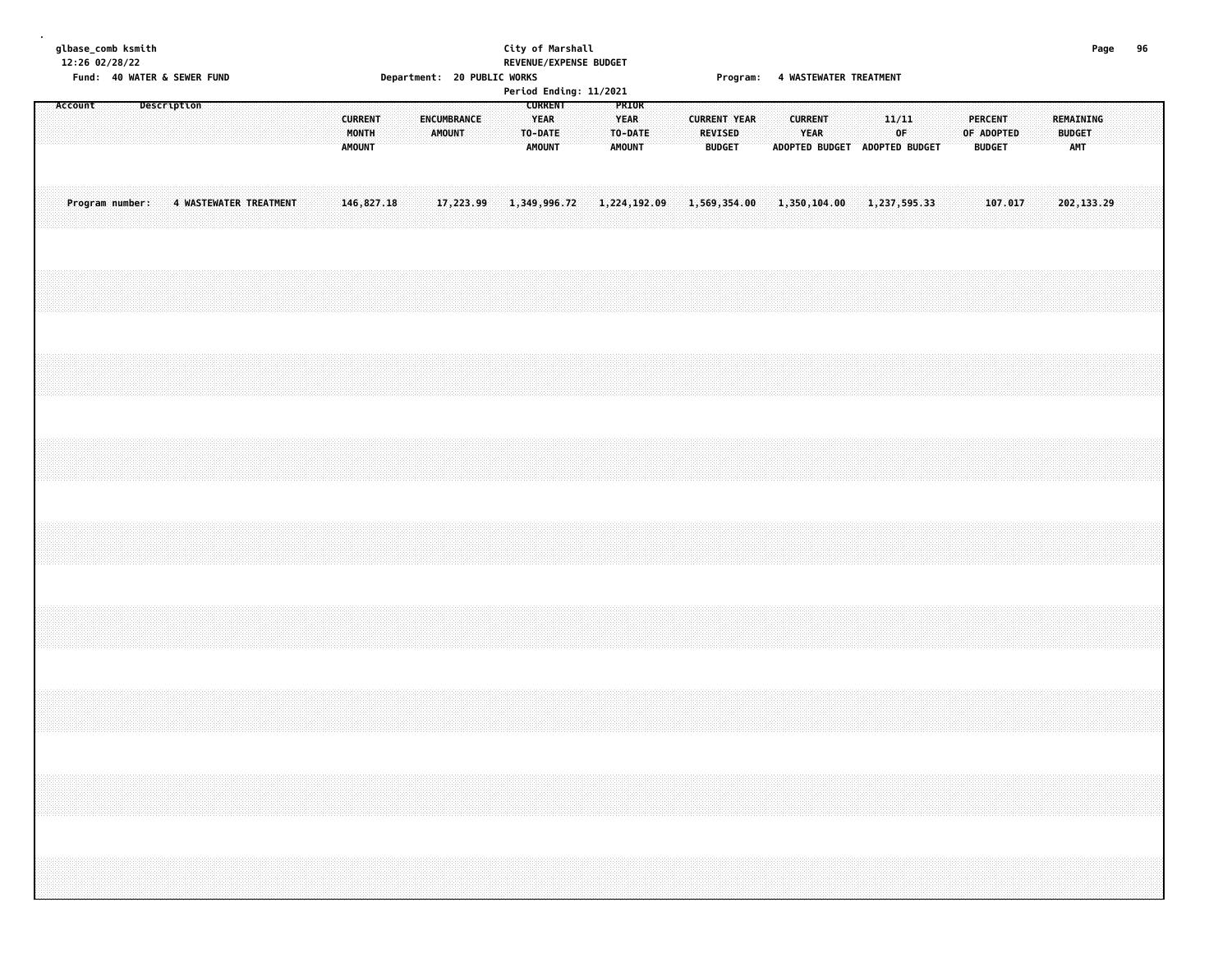| glbase_comb ksmith |  |  |
|--------------------|--|--|
| 12:26 02/28/22     |  |  |

# **glbase\_comb ksmith City of Marshall Page 96 12:26 02/28/22 REVENUE/EXPENSE BUDGET** Department: 20 PUBLIC WORKS Program: 4 WASTEWATER TREATMENT

|  |         |                 |             |  |                        |  |  |  |                                          |  |  |        |             |  |              |                                         | Period Ending: 11/2021 |                                    |  |              |                                                        | . . <b>. .</b> . <b>.</b> |  |                        |              |                               |             |  |  |                                               |         |  |                                   |             |  |  |
|--|---------|-----------------|-------------|--|------------------------|--|--|--|------------------------------------------|--|--|--------|-------------|--|--------------|-----------------------------------------|------------------------|------------------------------------|--|--------------|--------------------------------------------------------|---------------------------|--|------------------------|--------------|-------------------------------|-------------|--|--|-----------------------------------------------|---------|--|-----------------------------------|-------------|--|--|
|  | Account |                 | Description |  |                        |  |  |  | <b>CURRENT</b><br>MONTH<br><b>AMOUNT</b> |  |  | AMOUNT | ENCUMBRANCE |  | TO-DATE      | <b>CURRENT</b><br>YEAR<br><b>AMOUNT</b> |                        | PRIOR<br>YEAR<br>TO-DATE<br>AMOUNT |  |              | <b>CURRENT YEAR</b><br><b>REVISED</b><br><b>BUDGET</b> |                           |  | <b>CURRENT</b><br>YEAR |              | ADOPTED BUDGET ADOPTED BUDGET | 11/11<br>OF |  |  | <b>PERCENT</b><br>OF ADOPTED<br><b>BUDGET</b> |         |  | REMAINING<br><b>BUDGET</b><br>AMT |             |  |  |
|  |         | Program number: |             |  | 4 WASTEWATER TREATMENT |  |  |  | 146,827.18                               |  |  |        | 17,223.99   |  | 1,349,996.72 |                                         |                        | 1,224,192.09                       |  | 1,569,354.00 |                                                        |                           |  |                        | 1,350,104.00 | 1,237,595.33                  |             |  |  |                                               | 107.017 |  |                                   | 202, 133.29 |  |  |
|  |         |                 |             |  |                        |  |  |  |                                          |  |  |        |             |  |              |                                         |                        |                                    |  |              |                                                        |                           |  |                        |              |                               |             |  |  |                                               |         |  |                                   |             |  |  |
|  |         |                 |             |  |                        |  |  |  |                                          |  |  |        |             |  |              |                                         |                        |                                    |  |              |                                                        |                           |  |                        |              |                               |             |  |  |                                               |         |  |                                   |             |  |  |
|  |         |                 |             |  |                        |  |  |  |                                          |  |  |        |             |  |              |                                         |                        |                                    |  |              |                                                        |                           |  |                        |              |                               |             |  |  |                                               |         |  |                                   |             |  |  |
|  |         |                 |             |  |                        |  |  |  |                                          |  |  |        |             |  |              |                                         |                        |                                    |  |              |                                                        |                           |  |                        |              |                               |             |  |  |                                               |         |  |                                   |             |  |  |
|  |         |                 |             |  |                        |  |  |  |                                          |  |  |        |             |  |              |                                         |                        |                                    |  |              |                                                        |                           |  |                        |              |                               |             |  |  |                                               |         |  |                                   |             |  |  |
|  |         |                 |             |  |                        |  |  |  |                                          |  |  |        |             |  |              |                                         |                        |                                    |  |              |                                                        |                           |  |                        |              |                               |             |  |  |                                               |         |  |                                   |             |  |  |
|  |         |                 |             |  |                        |  |  |  |                                          |  |  |        |             |  |              |                                         |                        |                                    |  |              |                                                        |                           |  |                        |              |                               |             |  |  |                                               |         |  |                                   |             |  |  |
|  |         |                 |             |  |                        |  |  |  |                                          |  |  |        |             |  |              |                                         |                        |                                    |  |              |                                                        |                           |  |                        |              |                               |             |  |  |                                               |         |  |                                   |             |  |  |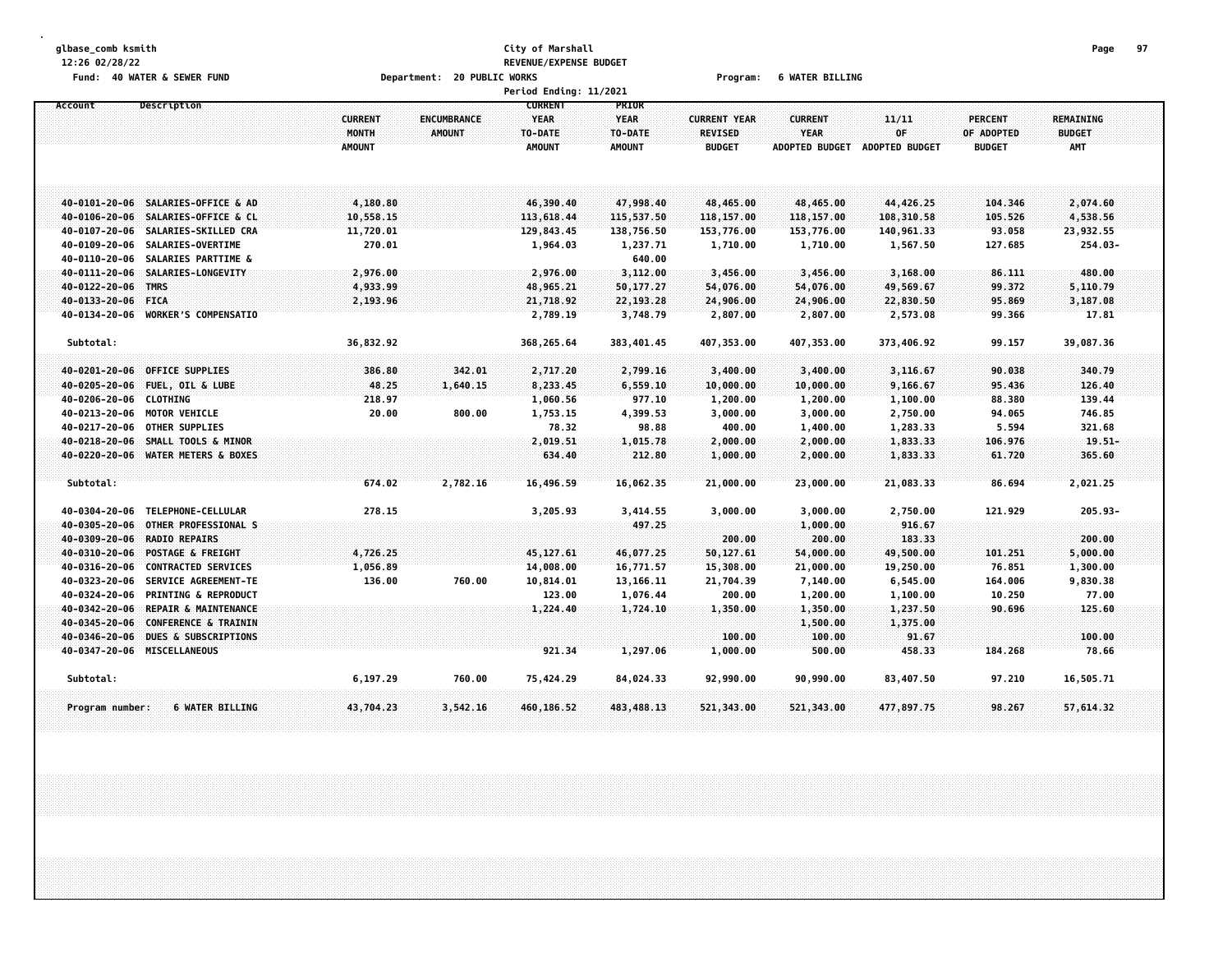### **glbase\_comb ksmith City of Marshall Page 97 12:26 02/28/22 REVENUE/EXPENSE BUDGET Fund: 40 WATER & SEWER FUND Department: 20 PUBLIC WORKS Program: 6 WATER BILLING**

|                                 |                                    |                |               | <b>Period Ending: 11/2021</b> |               |                     |                       |                       |                |                  |  |
|---------------------------------|------------------------------------|----------------|---------------|-------------------------------|---------------|---------------------|-----------------------|-----------------------|----------------|------------------|--|
| Account                         | Description                        |                |               | <b>CURRENT</b>                | <b>PRIOR</b>  |                     |                       |                       |                |                  |  |
|                                 |                                    | <b>CURRENT</b> | ENCUMBRANCE   | YEAR                          | <b>YEAR</b>   | <b>CURRENT YEAR</b> | <b>CURRENT</b>        | 11/11                 | <b>PERCENT</b> | <b>REMAINING</b> |  |
|                                 |                                    | MONTH          | <b>AMOUNT</b> | TO-DATE                       | TO-DATE       | <b>REVISED</b>      | <b>YEAR</b>           | 0F                    | OF ADOPTED     | <b>BUDGET</b>    |  |
|                                 |                                    | <b>AMOUNT</b>  |               | <b>AMOUNT</b>                 | <b>AMOUNT</b> | <b>BUDGET</b>       | <b>ADOPTED BUDGET</b> | <b>ADOPTED BUDGET</b> | <b>BUDGET</b>  | AMT              |  |
|                                 |                                    |                |               |                               |               |                     |                       |                       |                |                  |  |
|                                 |                                    |                |               |                               |               |                     |                       |                       |                |                  |  |
|                                 |                                    |                |               |                               |               |                     |                       |                       |                |                  |  |
|                                 | 40-0101-20-06 SALARIES-OFFICE & AD | 4,180.80       |               | 46,390.40                     | 47,998.40     | 48,465.00           | 48,465.00             | 44,426.25             | 104,346        | 2,074.60         |  |
|                                 | 40-0106-20-06 SALARIES-OFFICE & CL | 10,558.15      |               | 113,618.44                    | 115,537.50    | 118, 157.00         | 118,157.00            | 108,310.58            | 105.526        | 4,538.56         |  |
|                                 | 40-0107-20-06 SALARIES-SKILLED CRA | 11,720.01      |               | 129,843.45                    | 138,756.50    | 153,776.00          | 153,776.00            | 140,961.33            | 93.058         | 23,932.55        |  |
| 40-0109-20-06 SALARIES-OVERTIME |                                    | 270.01         |               | 1,964.03                      | 1,237.71      | 1,710.00            | 1,710.00              | 1,567.50              | 127.685        | 254.03-          |  |
|                                 | 40-0110-20-06 SALARIES PARTTIME &  |                |               |                               | 640.00        |                     |                       |                       |                |                  |  |
| 40-0111-20-06                   | SALARIES-LONGEVITY                 | 2,976.00       |               | 2,976.00                      | 3,112.00      | 3,456.00            | 3,456.00              | 3,168.00              | 86.111         | 480.00           |  |
| 40-0122-20-06 TMRS              |                                    | 4,933.99       |               | 48,965.21                     | 50, 177, 27   | 54,076.00           | 54,076.00             | 49,569.67             | 99.372         | 5,110.79         |  |
| 40-0133-20-06<br><b>FICA</b>    |                                    | 2,193.96       |               | 21,718.92                     | 22,193.28     | 24,906.00           | 24,906.00             | 22,830.50             | 95.869         | 3,187.08         |  |
|                                 | 40-0134-20-06 WORKER'S COMPENSATIO |                |               | 2,789.19                      | 3,748.79      | 2,807.00            | 2,807.00              | 2,573.08              | 99.366         | 17.81            |  |
| Subtotal:                       |                                    | 36,832.92      |               | 368,265.64                    | 383,401.45    | 407,353.00          | 407,353.00            | 373,406.92            | 99.157         | 39,087.36        |  |
|                                 |                                    |                |               |                               |               |                     |                       |                       |                |                  |  |
| 40-0201-20-06                   | <b>OFFICE SUPPLIES</b>             | 386.80         | 342.01        | 2,717.20                      | 2,799.16      | 3,400.00            | 3,400.00              | 3,116.67              | 90.038         | 340.79           |  |
| 40-0205-20-06                   | FUEL, OIL & LUBE                   | 48.25          | 1,640.15      | 8,233.45                      | 6,559.10      | 10,000.00           | 10,000.00             | 9,166.67              | 95.436         | 126.40           |  |
| 40-0206-20-06 CLOTHING          |                                    | 218.97         |               | 1,060.56                      | 977.10        | 1,200.00            | 1,200.00              | 1,100.00              | 88.380         | 139.44           |  |
| 40-0213-20-06 MOTOR VEHICLE     |                                    | 20.00          | 800.00        | 1,753.15                      | 4,399.53      | 3,000.00            | 3,000.00              | 2,750.00              | 94.065         | 746.85           |  |
| 40-0217-20-06                   | <b>OTHER SUPPLIES</b>              |                |               | 78.32                         | 98.88         | 400.00              | 1,400.00              | 1,283.33              | 5.594          | 321.68           |  |
|                                 | 40-0218-20-06 SMALL TOOLS & MINOR  |                |               | 2,019.51                      | 1,015.78      | 2,000.00            | 2,000.00              | 1,833.33              | 106.976        | $19.51 -$        |  |
|                                 | 40-0220-20-06 WATER METERS & BOXES |                |               | 634.40                        | 212.80        | 1,000.00            | 2,000.00              | 1,833.33              | 61.720         | 365,60           |  |
|                                 |                                    |                |               |                               |               |                     |                       |                       |                |                  |  |
| Subtotal:                       |                                    | 674.02         | 2,782.16      | 16,496.59                     | 16,062.35     | 21,000.00           | 23,000.00             | 21,083.33             | 86.694         | 2,021.25         |  |
|                                 |                                    |                |               |                               |               |                     |                       |                       |                |                  |  |
| 40-0304-20-06                   | TELEPHONE-CELLULAR                 | 278.15         |               | 3,205.93                      | 3,414.55      | 3,000.00            | 3,000.00              | 2,750.00              | 121.929        | $205.93 -$       |  |
| 40-0305-20-06                   | OTHER PROFESSIONAL S               |                |               |                               | 497.25        |                     | 1,000.00              | 916.67                |                |                  |  |
| 40-0309-20-06                   | <b>RADIO REPAIRS</b>               |                |               |                               |               | 200.00              | 200.00                | 183.33                |                | 200.00           |  |
| 40-0310-20-06                   | POSTAGE & FREIGHT                  | 4,726.25       |               | 45, 127, 61                   | 46,077.25     | 50,127.61           | 54,000.00             | 49,500.00             | 101.251        | 5,000.00         |  |
| 40-0316-20-06                   | <b>CONTRACTED SERVICES</b>         | 1,056.89       |               | 14,008.00                     | 16,771.57     | 15,308.00           | 21,000.00             | 19,250.00             | 76.851         | 1,300.00         |  |
| 40-0323-20-06                   | SERVICE AGREEMENT-TE               | 136.00         | 760.00        | 10,814.01                     | 13,166.11     | 21,704.39           | 7,140.00              | 6,545.00              | 164.006        | 9,830.38         |  |
| 40-0324-20-06                   | <b>PRINTING &amp; REPRODUCT</b>    |                |               | 123.00                        | 1,076.44      | 200.00              | 1,200.00              | 1,100.00              | 10.250         | 77.00            |  |
| 40-0342-20-06                   | REPAIR & MAINTENANCE               |                |               | 1,224.40                      | 1,724.10      | 1,350.00            | 1,350.00              | 1,237.50              | 90.696         | 125.60           |  |
| 40-0345-20-06                   | <b>CONFERENCE &amp; TRAININ</b>    |                |               |                               |               |                     | 1,500.00              | 1,375.00              |                |                  |  |
| 40-0346-20-06                   | <b>DUES &amp; SUBSCRIPTIONS</b>    |                |               |                               |               | 100.00              | 100.00                | 91.67                 |                | 100.00           |  |
| 40-0347-20-06 MISCELLANEOUS     |                                    |                |               | 921.34                        | 1,297.06      | 1,000.00            | 500.00                | 458.33                | 184.268        | 78.66            |  |
| Subtotal:                       |                                    | 6,197.29       | 760.00        | 75,424.29                     | 84,024.33     | 92,990.00           | 90,990.00             | 83,407.50             | 97.210         | 16,505.71        |  |
|                                 |                                    |                |               |                               |               |                     |                       |                       |                |                  |  |
| Program number:                 | <b>6 WATER BILLING</b>             | 43,704.23      | 3,542.16      | 460,186.52                    | 483, 488.13   | 521,343.00          | 521,343.00            | 477,897.75            | 98.267         | 57,614.32        |  |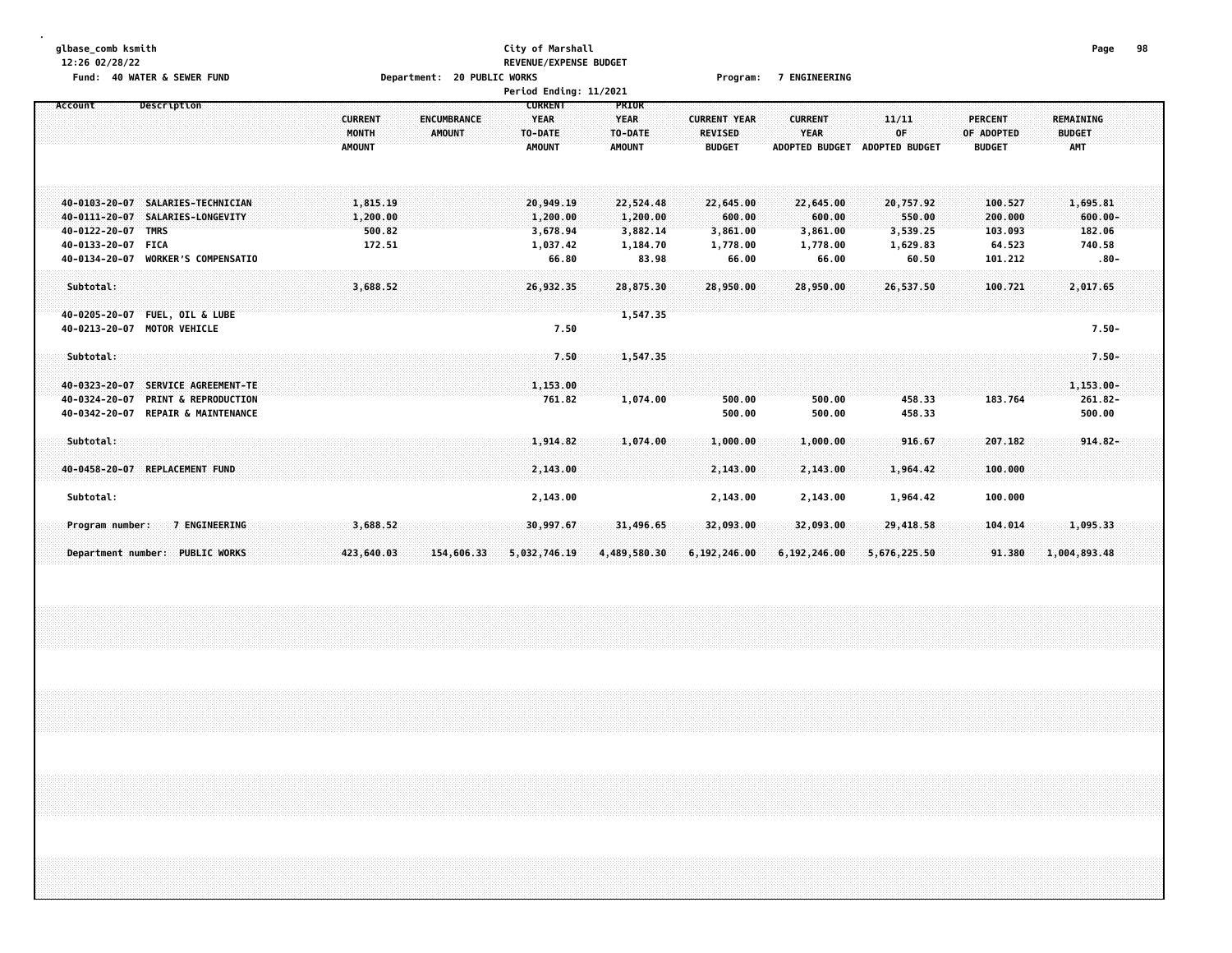| 12:26 02/28/22                                                                                                                                                                              |                                                                   | REVENUE/EXPENSE BUDGET                                    |                                                        |                                                        |                                                      |                                                      |                                                    |                                                       |  |
|---------------------------------------------------------------------------------------------------------------------------------------------------------------------------------------------|-------------------------------------------------------------------|-----------------------------------------------------------|--------------------------------------------------------|--------------------------------------------------------|------------------------------------------------------|------------------------------------------------------|----------------------------------------------------|-------------------------------------------------------|--|
| Fund: 40 WATER & SEWER FUND                                                                                                                                                                 | Department: 20 PUBLIC WORKS                                       |                                                           |                                                        | Program:                                               | <b>7 ENGINEERING</b>                                 |                                                      |                                                    |                                                       |  |
|                                                                                                                                                                                             |                                                                   | Period Ending: 11/2021                                    |                                                        |                                                        |                                                      |                                                      |                                                    |                                                       |  |
| Description<br>Account                                                                                                                                                                      | <b>CURRENT</b><br>ENCUMBRANCE<br>MONTH<br>AMOUNT<br><b>AMOUNT</b> | <b>CURRENT</b><br><b>YEAR</b><br>TO-DATE<br><b>AMOUNT</b> | PRIOR<br><b>YEAR</b><br>TO-DATE<br>AMOUNT              | <b>CURRENT YEAR</b><br><b>REVISED</b><br><b>BUDGET</b> | <b>CURRENT</b><br>YEAR<br><b>ADOPTED BUDGET</b>      | 11/11<br>OF<br><b>ADOPTED BUDGET</b>                 | <b>PERCENT</b><br>OF ADOPTED<br><b>BUDGET</b>      | <b>REMAINING</b><br><b>BUDGET</b><br><b>AMT</b>       |  |
| SALARIES-TECHNICIAN<br>40-0103-20-07<br>40-0111-20-07<br>SALARIES-LONGEVITY<br>40-0122-20-07<br><b>TMRS</b><br>40-0133-20-07<br><b>FICA</b><br>40-0134-20-07<br><b>WORKER'S COMPENSATIO</b> | 1,815.19<br>1,200.00<br>500.82<br>172.51                          | 20,949.19<br>1,200.00<br>3,678.94<br>1,037.42<br>66.80    | 22,524.48<br>1,200.00<br>3,882.14<br>1,184.70<br>83.98 | 22,645.00<br>600.00<br>3,861.00<br>1,778.00<br>66.00   | 22,645.00<br>600.00<br>3,861.00<br>1,778.00<br>66.00 | 20,757.92<br>550.00<br>3,539.25<br>1,629.83<br>60.50 | 100.527<br>200.000<br>103.093<br>64.523<br>101.212 | 1,695.81<br>$600.00 -$<br>182.06<br>740.58<br>$.80 -$ |  |
| Subtotal:<br><b>FUEL, OIL &amp; LUBE</b><br>40-0205-20-07<br>40-0213-20-07<br><b>MOTOR VEHICLE</b>                                                                                          | 3,688.52                                                          | 26,932.35<br>7.50                                         | 28,875.30<br>1,547.35                                  | 28,950.00                                              | 28,950.00                                            | 26,537.50                                            | 100.721                                            | 2,017.65<br>$7.50 -$                                  |  |
| Subtotal:<br>SERVICE AGREEMENT-TE<br>40-0323-20-07<br>40-0324-20-07<br><b>PRINT &amp; REPRODUCTION</b><br>40-0342-20-07<br><b>REPAIR &amp; MAINTENANCE</b>                                  |                                                                   | 7.50<br>1,153.00<br>761.82                                | 1,547.35<br>1,074.00                                   | 500.00<br>500.00                                       | 500.00<br>500.00                                     | 458.33<br>458.33                                     | 183.764                                            | $7.50 -$<br>$1,153.00 -$<br>$261.82 -$<br>500.00      |  |
| Subtotal:<br>REPLACEMENT FUND<br>40-0458-20-07                                                                                                                                              |                                                                   | 1,914.82<br>2,143.00                                      | 1,074.00                                               | 1,000.00<br>2,143.00                                   | 1,000.00<br>2,143.00                                 | 916.67<br>1,964.42                                   | 207.182<br>100.000                                 | $914.82 -$                                            |  |
| Subtotal:                                                                                                                                                                                   |                                                                   | 2,143.00                                                  |                                                        | 2,143.00                                               | 2,143.00                                             | 1,964.42                                             | 100.000                                            |                                                       |  |
| 7 ENGINEERING<br>Program number:                                                                                                                                                            | 3,688.52                                                          | 30,997.67                                                 | 31,496.65                                              | 32,093.00                                              | 32,093.00                                            | 29,418.58                                            | 104.014                                            | 1,095.33                                              |  |
| Department number: PUBLIC WORKS                                                                                                                                                             | 154,606.33<br>423,640.03                                          | 5,032,746.19                                              | 4,489,580.30                                           | 6,192,246.00                                           | 6,192,246.00                                         | 5,676,225.50                                         | 91.380                                             | 1,004,893.48                                          |  |

**glbase\_comb ksmith City of Marshall Page 98**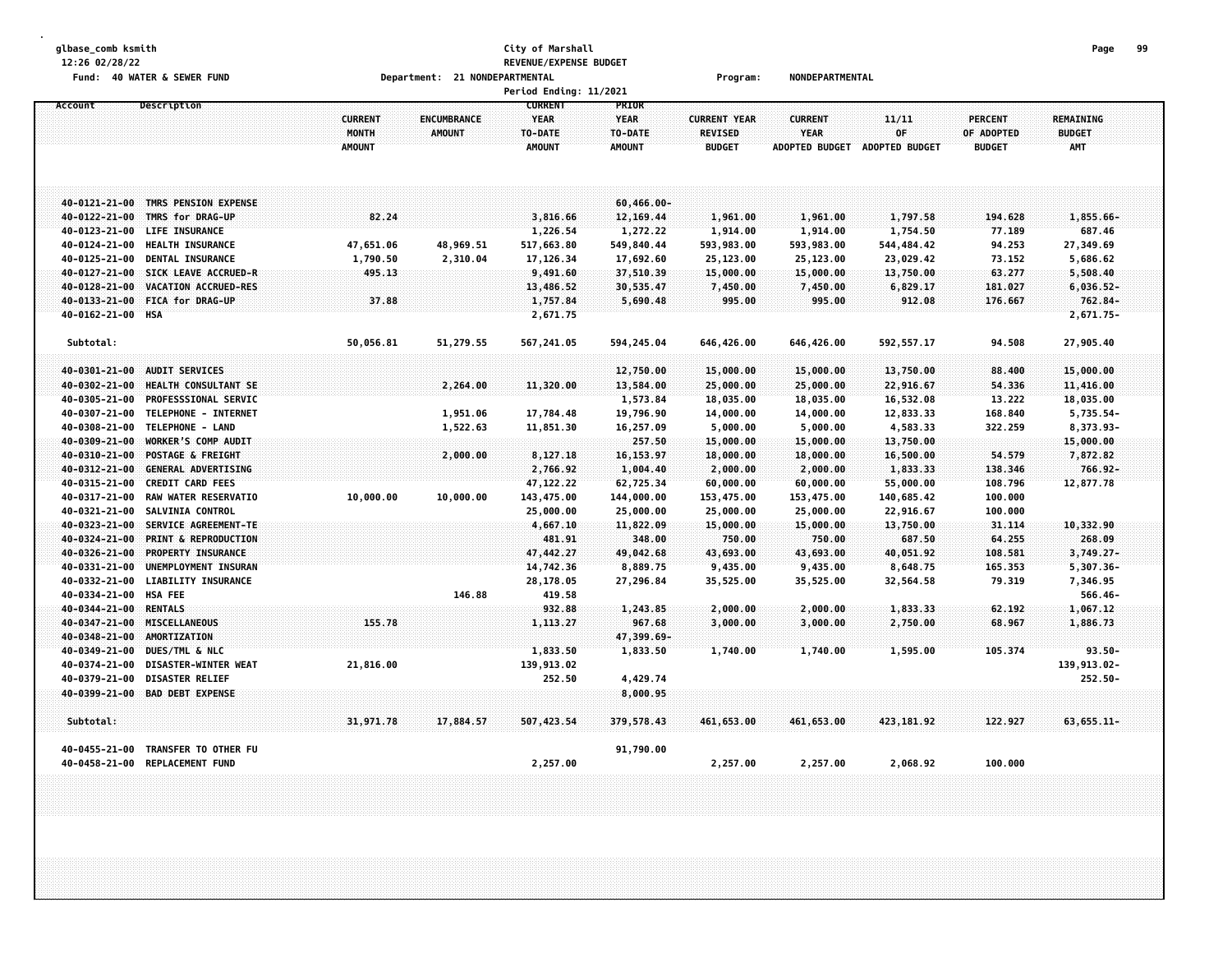## **glbase\_comb ksmith City of Marshall Page 99 12:26 02/28/22 REVENUE/EXPENSE BUDGET Fund: 40 WATER & SEWER FUND Department: 21 NONDEPARTMENTAL Program: NONDEPARTMENTAL**

|                   |                                                        |                                          |                                     | Period Ending: 11/2021                                    |                                                  |                                                        |                                                        |                                      |                                               |                                   |  |
|-------------------|--------------------------------------------------------|------------------------------------------|-------------------------------------|-----------------------------------------------------------|--------------------------------------------------|--------------------------------------------------------|--------------------------------------------------------|--------------------------------------|-----------------------------------------------|-----------------------------------|--|
| Account           | Description                                            | <b>CURRENT</b><br>MONTH<br><b>AMOUNT</b> | <b>ENCUMBRANCE</b><br><b>AMOUNT</b> | <b>CURRENT</b><br><b>YEAR</b><br>TO-DATE<br><b>AMOUNT</b> | PRIOR<br><b>YEAR</b><br>TO-DATE<br><b>AMOUNT</b> | <b>CURRENT YEAR</b><br><b>REVISED</b><br><b>BUDGET</b> | <b>CURRENT</b><br><b>YEAR</b><br><b>ADOPTED BUDGET</b> | 11/11<br>OF<br><b>ADOPTED BUDGET</b> | <b>PERCENT</b><br>OF ADOPTED<br><b>BUDGET</b> | REMAINING<br><b>BUDGET</b><br>AMT |  |
|                   | 40-0121-21-00 TMRS PENSION EXPENSE                     |                                          |                                     |                                                           | $60,466.00 -$                                    |                                                        |                                                        |                                      |                                               |                                   |  |
|                   | 40-0122-21-00 TMRS for DRAG-UP                         | 82.24                                    |                                     | 3,816.66                                                  | 12, 169.44                                       | 1,961.00                                               | 1,961.00                                               | 1,797.58                             | 194.628                                       | 1,855.66-                         |  |
| 40-0123-21-00     | LIFE INSURANCE                                         |                                          |                                     | 1,226.54                                                  | 1,272.22                                         | 1,914.00                                               | 1,914.00                                               | 1,754.50                             | 77.189                                        | 687.46                            |  |
| 40-0124-21-00     | <b>HEALTH INSURANCE</b>                                | 47,651.06                                | 48,969.51                           | 517,663.80                                                | 549,840.44                                       | 593,983.00                                             | 593,983.00                                             | 544, 484.42                          | 94.253                                        | 27,349.69                         |  |
| 40-0125-21-00     | DENTAL INSURANCE                                       | 1,790.50                                 | 2,310.04                            | 17,126.34                                                 | 17,692.60                                        | 25,123.00                                              | 25,123.00                                              | 23,029.42                            | 73.152                                        | 5,686.62                          |  |
| 40-0127-21-00     | SICK LEAVE ACCRUED-R                                   | 495.13                                   |                                     | 9,491.60                                                  | 37,510.39                                        | 15,000.00                                              | 15,000.00                                              | 13,750.00                            | 63.277                                        | 5,508.40                          |  |
| 40-0128-21-00     | VACATION ACCRUED-RES                                   |                                          |                                     | 13,486.52                                                 | 30,535.47                                        | 7,450.00                                               | 7,450.00                                               | 6,829.17                             | 181.027                                       | $6,036.52-$                       |  |
| 40-0133-21-00     | FICA for DRAG-UP                                       | 37.88                                    |                                     | 1,757.84                                                  | 5,690.48                                         | 995.00                                                 | 995.00                                                 | 912.08                               | 176.667                                       | 762.84-                           |  |
| 40-0162-21-00 HSA |                                                        |                                          |                                     | 2,671.75                                                  |                                                  |                                                        |                                                        |                                      |                                               | $2,671.75-$                       |  |
| Subtotal:         |                                                        | 50,056.81                                | 51,279.55                           | 567,241.05                                                | 594,245.04                                       | 646,426.00                                             | 646,426.00                                             | 592, 557.17                          | 94.508                                        | 27,905.40                         |  |
| 40-0301-21-00     | <b>AUDIT SERVICES</b>                                  |                                          |                                     |                                                           | 12,750.00                                        | 15,000.00                                              | 15,000.00                                              | 13,750.00                            | 88.400                                        | 15,000.00                         |  |
| 40-0302-21-00     | <b>HEALTH CONSULTANT SE</b>                            |                                          | 2,264.00                            | 11,320.00                                                 | 13,584.00                                        | 25,000.00                                              | 25,000.00                                              | 22,916.67                            | 54.336                                        | 11,416.00                         |  |
| 40-0305-21-00     | <b>PROFESSSIONAL SERVIC</b>                            |                                          |                                     |                                                           | 1,573.84                                         | 18,035.00                                              | 18,035.00                                              | 16,532.08                            | 13.222                                        | 18,035.00                         |  |
| 40-0307-21-00     | TELEPHONE - INTERNET                                   |                                          | 1,951.06                            | 17,784.48                                                 | 19,796.90                                        | 14,000.00                                              | 14,000.00                                              | 12,833.33                            | 168.840                                       | 5,735.54-                         |  |
| 40-0308-21-00     | TELEPHONE - LAND                                       |                                          | 1,522.63                            | 11,851.30                                                 | 16,257.09                                        | 5,000.00                                               | 5,000.00                                               | 4,583.33                             | 322.259                                       | 8,373.93-                         |  |
| 40-0309-21-00     | WORKER'S COMP AUDIT                                    |                                          |                                     |                                                           | 257.50                                           | 15,000.00                                              | 15,000.00                                              | 13,750.00                            |                                               | 15,000.00                         |  |
| 40-0310-21-00     | <b>POSTAGE &amp; FREIGHT</b>                           |                                          | 2,000.00                            | 8,127.18                                                  | 16,153.97                                        | 18,000.00                                              | 18,000.00                                              | 16,500.00                            | 54.579                                        | 7,872.82                          |  |
| 40-0312-21-00     | <b>GENERAL ADVERTISING</b>                             |                                          |                                     | 2,766.92                                                  | 1,004.40                                         | 2,000.00                                               | 2,000.00                                               | 1,833.33                             | 138.346                                       | $766.92 -$                        |  |
| 40-0315-21-00     | <b>CREDIT CARD FEES</b>                                |                                          |                                     | 47, 122.22                                                | 62,725.34                                        | 60,000.00                                              | 60,000.00                                              | 55,000.00                            | 108.796                                       | 12,877.78                         |  |
| 40-0317-21-00     | RAW WATER RESERVATIO                                   | 10,000.00                                | 10,000.00                           | 143,475.00                                                | 144,000.00                                       | 153,475.00                                             | 153,475.00                                             | 140,685.42                           | 100.000                                       |                                   |  |
| 40-0321-21-00     | <b>SALVINIA CONTROL</b>                                |                                          |                                     | 25,000.00                                                 | 25,000.00                                        | 25,000.00                                              | 25,000.00                                              | 22,916.67                            | 100.000                                       |                                   |  |
| 40-0323-21-00     | SERVICE AGREEMENT-TE                                   |                                          |                                     | 4,667.10                                                  | 11,822.09                                        | 15,000.00                                              | 15,000.00                                              | 13,750.00                            | 31.114                                        | 10,332.90                         |  |
| 40-0324-21-00     | PRINT & REPRODUCTION                                   |                                          |                                     | 481.91                                                    | 348.00                                           | 750.00                                                 | 750.00                                                 | 687.50                               | 64.255                                        | 268.09                            |  |
| 40-0326-21-00     | PROPERTY INSURANCE                                     |                                          |                                     | 47,442.27                                                 | 49,042.68                                        | 43,693.00                                              | 43,693.00                                              | 40,051.92                            | 108.581                                       | $3,749.27-$                       |  |
| 40-0331-21-00     | UNEMPLOYMENT INSURAN                                   |                                          |                                     | 14,742.36                                                 | 8,889.75                                         | 9,435.00                                               | 9,435.00                                               | 8,648.75                             | 165.353                                       | 5,307.36-                         |  |
| 40-0332-21-00     | <b>LIABILITY INSURANCE</b>                             |                                          |                                     | 28,178.05                                                 | 27,296.84                                        | 35,525.00                                              | 35,525.00                                              | 32,564.58                            | 79.319                                        | 7,346.95                          |  |
| 40-0334-21-00     | <b>HSA FEE</b>                                         |                                          | 146.88                              | 419.58                                                    |                                                  |                                                        |                                                        |                                      |                                               | $566.46 -$                        |  |
| 40-0344-21-00     | <b>RENTALS</b>                                         |                                          |                                     | 932.88                                                    | 1,243.85                                         | 2,000.00                                               | 2,000.00                                               | 1,833.33                             | 62.192                                        | 1,067.12                          |  |
| 40-0347-21-00     | MISCELLANEOUS                                          | 155.78                                   |                                     | 1,113.27                                                  | 967.68                                           | 3,000.00                                               | 3,000.00                                               | 2,750.00                             | 68.967                                        | 1,886.73                          |  |
| 40-0348-21-00     | <b>AMORTIZATION</b>                                    |                                          |                                     |                                                           | 47,399.69-                                       |                                                        |                                                        |                                      |                                               |                                   |  |
| 40-0349-21-00     | <b>DUES/TML &amp; NLC</b>                              |                                          |                                     | 1,833.50                                                  | 1,833.50                                         | 1,740.00                                               | 1,740.00                                               | 1,595.00                             | 105.374                                       | $93.50 -$                         |  |
| 40-0374-21-00     | DISASTER-WINTER WEAT                                   | 21,816.00                                |                                     | 139,913.02                                                |                                                  |                                                        |                                                        |                                      |                                               | 139,913.02-                       |  |
| 40-0379-21-00     | <b>DISASTER RELIEF</b>                                 |                                          |                                     | 252.50                                                    | 4,429.74                                         |                                                        |                                                        |                                      |                                               | 252.50-                           |  |
|                   | 40-0399-21-00 BAD DEBT EXPENSE                         |                                          |                                     |                                                           | 8,000.95                                         |                                                        |                                                        |                                      |                                               |                                   |  |
| Subtotal:         |                                                        | 31,971.78                                | 17,884.57                           | 507,423.54                                                | 379,578.43                                       | 461,653.00                                             | 461,653.00                                             | 423, 181.92                          | 122.927                                       | $63,655.11-$                      |  |
| 40-0455-21-00     | TRANSFER TO OTHER FU<br>40-0458-21-00 REPLACEMENT FUND |                                          |                                     | 2,257.00                                                  | 91,790.00                                        | 2,257.00                                               | 2,257.00                                               | 2,068.92                             | 100.000                                       |                                   |  |
|                   |                                                        |                                          |                                     |                                                           |                                                  |                                                        |                                                        |                                      |                                               |                                   |  |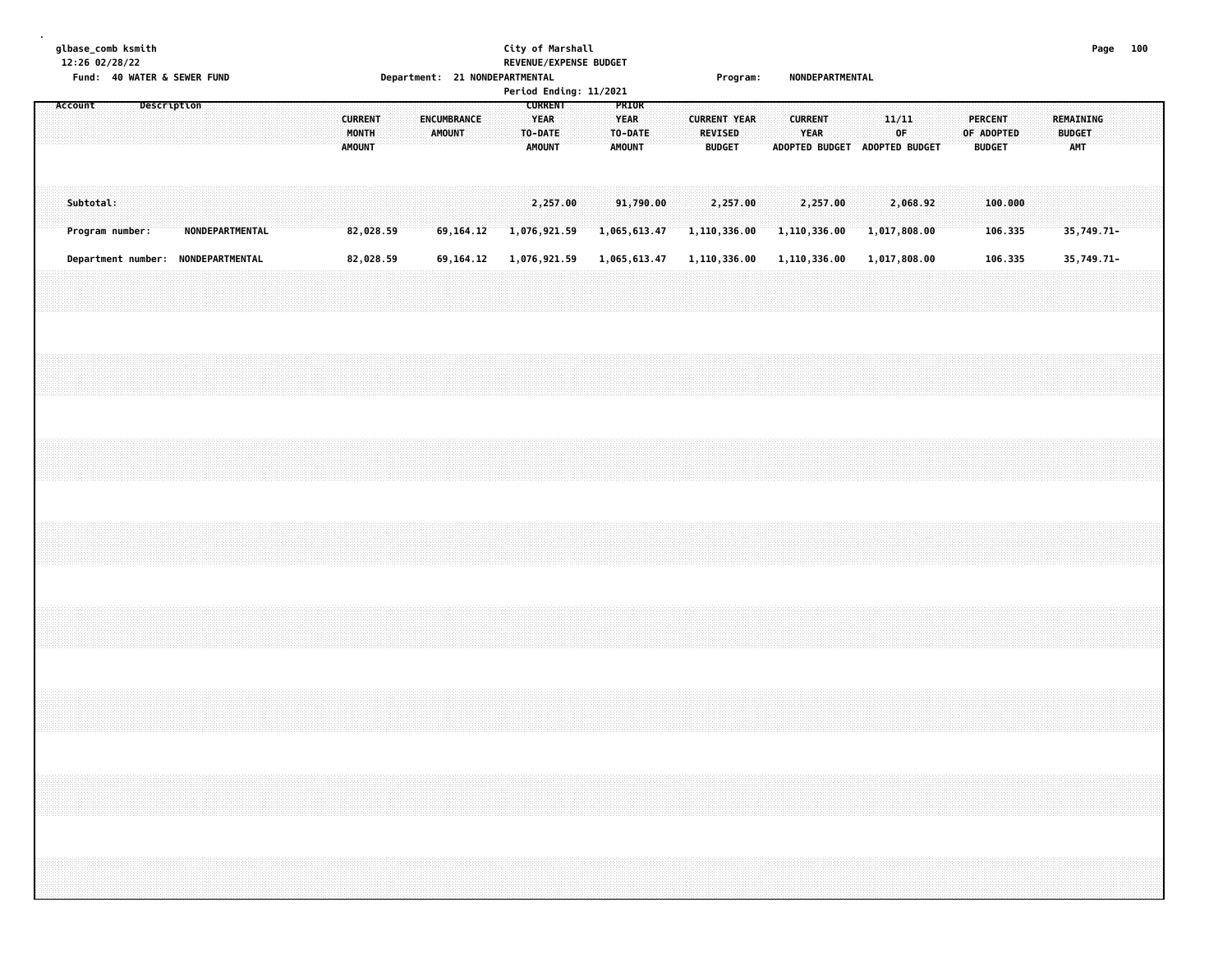# **glbase\_comb ksmith City of Marshall Page 100 12:26 02/28/22 REVENUE/EXPENSE BUDGET**

|         |           |                 |             | Fund: 40 WATER & SEWER FUND        |  |  |                                          | Department: 21 NONDEPARTMENTAL |                              |  |                                                           |                          | Period Ending: 11/2021 |                                                  |  |                     | <b>Program:</b>          |  |                | NONDEPARTMENTAL                       |  |              |          |  |                                 |                    |  |                                   |            |  |
|---------|-----------|-----------------|-------------|------------------------------------|--|--|------------------------------------------|--------------------------------|------------------------------|--|-----------------------------------------------------------|--------------------------|------------------------|--------------------------------------------------|--|---------------------|--------------------------|--|----------------|---------------------------------------|--|--------------|----------|--|---------------------------------|--------------------|--|-----------------------------------|------------|--|
| Account |           |                 | Description |                                    |  |  | <b>CURRENT</b><br>MONTH<br><b>AMOUNT</b> |                                | <b>ENCUMBRANCE</b><br>AMOUNT |  | <b>CURRENT</b><br><b>YEAR</b><br>TO-DATE<br><b>AMOUNT</b> |                          |                        | PRIOR<br><b>YEAR</b><br>TO-DATE<br><b>AMOUNT</b> |  | <b>CURRENT YEAR</b> | REVISED<br><b>BUDGET</b> |  | <b>CURRENT</b> | YEAR<br>ADOPTED BUDGET ADOPTED BUDGET |  | 11/11<br>OF  |          |  | <b>PERCENT</b><br><b>BUDGET</b> | OF ADOPTED         |  | REMAINING<br><b>BUDGET</b><br>AMT |            |  |
|         | Subtotal: | Program number: |             | <b>NONDEPARTMENTAL</b>             |  |  | 82,028.59                                |                                | 69,164.12                    |  |                                                           | 2,257.00<br>1,076,921.59 | 1,065,613.47           | 91,790.00                                        |  | 1,110,336.00        | 2,257.00                 |  |                | 2,257.00<br>1,110,336.00              |  | 1,017,808.00 | 2,068.92 |  |                                 | 100,000<br>106.335 |  |                                   | 35,749.71- |  |
|         |           |                 |             | Department number: NONDEPARTMENTAL |  |  | 82,028.59                                |                                | 69,164.12                    |  |                                                           | 1,076,921.59             | 1,065,613.47           |                                                  |  | 1,110,336.00        |                          |  |                | 1,110,336.00                          |  | 1,017,808.00 |          |  |                                 | 106.335            |  |                                   | 35,749.71- |  |
|         |           |                 |             |                                    |  |  |                                          |                                |                              |  |                                                           |                          |                        |                                                  |  |                     |                          |  |                |                                       |  |              |          |  |                                 |                    |  |                                   |            |  |
|         |           |                 |             |                                    |  |  |                                          |                                |                              |  |                                                           |                          |                        |                                                  |  |                     |                          |  |                |                                       |  |              |          |  |                                 |                    |  |                                   |            |  |
|         |           |                 |             |                                    |  |  |                                          |                                |                              |  |                                                           |                          |                        |                                                  |  |                     |                          |  |                |                                       |  |              |          |  |                                 |                    |  |                                   |            |  |
|         |           |                 |             |                                    |  |  |                                          |                                |                              |  |                                                           |                          |                        |                                                  |  |                     |                          |  |                |                                       |  |              |          |  |                                 |                    |  |                                   |            |  |
|         |           |                 |             |                                    |  |  |                                          |                                |                              |  |                                                           |                          |                        |                                                  |  |                     |                          |  |                |                                       |  |              |          |  |                                 |                    |  |                                   |            |  |
|         |           |                 |             |                                    |  |  |                                          |                                |                              |  |                                                           |                          |                        |                                                  |  |                     |                          |  |                |                                       |  |              |          |  |                                 |                    |  |                                   |            |  |
|         |           |                 |             |                                    |  |  |                                          |                                |                              |  |                                                           |                          |                        |                                                  |  |                     |                          |  |                |                                       |  |              |          |  |                                 |                    |  |                                   |            |  |
|         |           |                 |             |                                    |  |  |                                          |                                |                              |  |                                                           |                          |                        |                                                  |  |                     |                          |  |                |                                       |  |              |          |  |                                 |                    |  |                                   |            |  |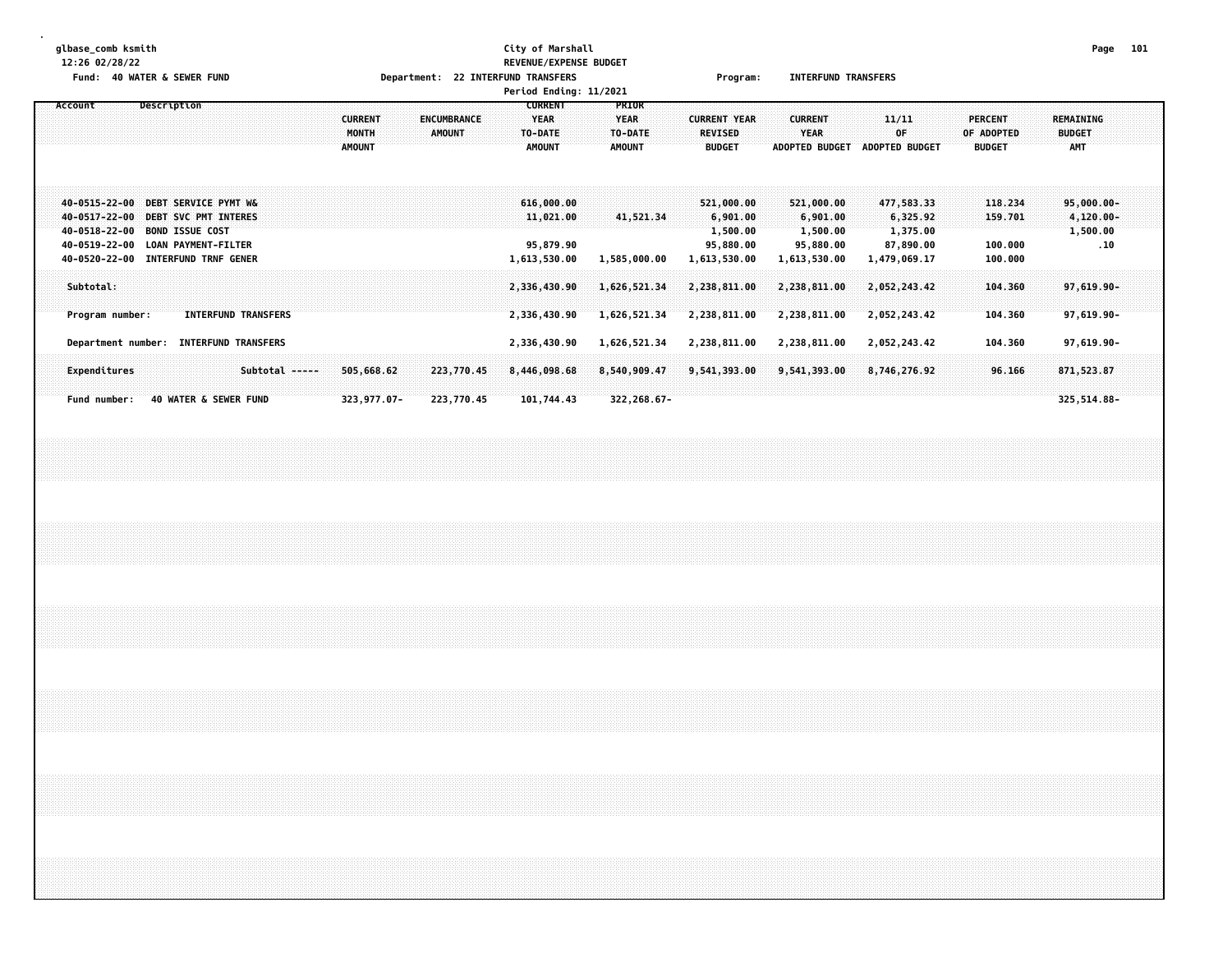# **glbase\_comb ksmith City of Marshall Page 101 12:26 02/28/22 REVENUE/EXPENSE BUDGET Fund: 40 WATER & SEWER FUND Department: 22 INTERFUND TRANSFERS Program: INTERFUND TRANSFERS Period Ending: 11/2021**

| Account |                                                                  |                    | Description                                                                                                                  |                                                     |                | <b>CURRENT</b><br>MONTH<br><b>AMOUNT</b> |                           | ENCUMBRANCE<br><b>AMOUNT</b> |  | <b>CURRENT</b><br><b>YEAR</b><br>TO-DATE<br><b>AMOUNT</b> | PRIOR<br><b>YEAR</b><br>TO-DATE<br><b>AMOUNT</b> | <b>CURRENT YEAR</b><br><b>REVISED</b><br><b>BUDGET</b>          | <b>CURRENT</b><br><b>YEAR</b><br><b>ADOPTED BUDGET</b>          | 11/11<br>0F<br><b>ADOPTED BUDGET</b>                            | PERCENT<br>OF ADOPTED<br><b>BUDGET</b>   | REMAINING<br><b>BUDGET</b><br><b>AMT</b>         |  |
|---------|------------------------------------------------------------------|--------------------|------------------------------------------------------------------------------------------------------------------------------|-----------------------------------------------------|----------------|------------------------------------------|---------------------------|------------------------------|--|-----------------------------------------------------------|--------------------------------------------------|-----------------------------------------------------------------|-----------------------------------------------------------------|-----------------------------------------------------------------|------------------------------------------|--------------------------------------------------|--|
|         | 40-0517-22-00<br>40-0518-22-00<br>40-0519-22-00<br>40-0520-22-00 | 40-0515-22-00      | DEBT SERVICE PYMT W&<br>DEBT SVC PMT INTERES<br><b>BOND ISSUE COST</b><br><b>LOAN PAYMENT-FILTER</b><br>INTERFUND TRNF GENER |                                                     |                |                                          |                           |                              |  | 616,000.00<br>11,021.00<br>95,879.90<br>1,613,530.00      | 41,521.34<br>1,585,000.00                        | 521,000.00<br>6,901.00<br>1,500.00<br>95,880.00<br>1,613,530.00 | 521,000.00<br>6,901.00<br>1,500.00<br>95,880.00<br>1,613,530.00 | 477,583.33<br>6,325.92<br>1,375.00<br>87,890.00<br>1,479,069.17 | 118.234<br>159.701<br>100.000<br>100.000 | $95,000.00 -$<br>$4,120.00 -$<br>1,500.00<br>.10 |  |
|         | Subtotal:                                                        | Program number:    |                                                                                                                              | <b>INTERFUND TRANSFERS</b>                          |                |                                          |                           |                              |  | 2,336,430.90<br>2,336,430.90                              | 1,626,521.34<br>1,626,521.34                     | 2,238,811.00<br>2,238,811.00                                    | 2,238,811.00<br>2,238,811.00                                    | 2,052,243.42<br>2,052,243.42                                    | 104.360<br>104.360                       | 97,619.90-<br>$97,619.90 -$                      |  |
|         | Expenditures<br>Fund number:                                     | Department number: |                                                                                                                              | <b>INTERFUND TRANSFERS</b><br>40 WATER & SEWER FUND | Subtotal ----- |                                          | 505.668.62<br>323.977.07- | 223,770.45<br>223,770.45     |  | 2,336,430.90<br>8,446,098.68<br>101,744.43                | 1,626,521.34<br>8,540,909.47<br>322, 268.67-     | 2,238,811.00<br>9,541,393.00                                    | 2,238,811.00<br>9,541,393.00                                    | 2,052,243.42<br>8,746,276.92                                    | 104.360<br>96.166                        | 97,619.90-<br>871,523.87<br>325, 514.88-         |  |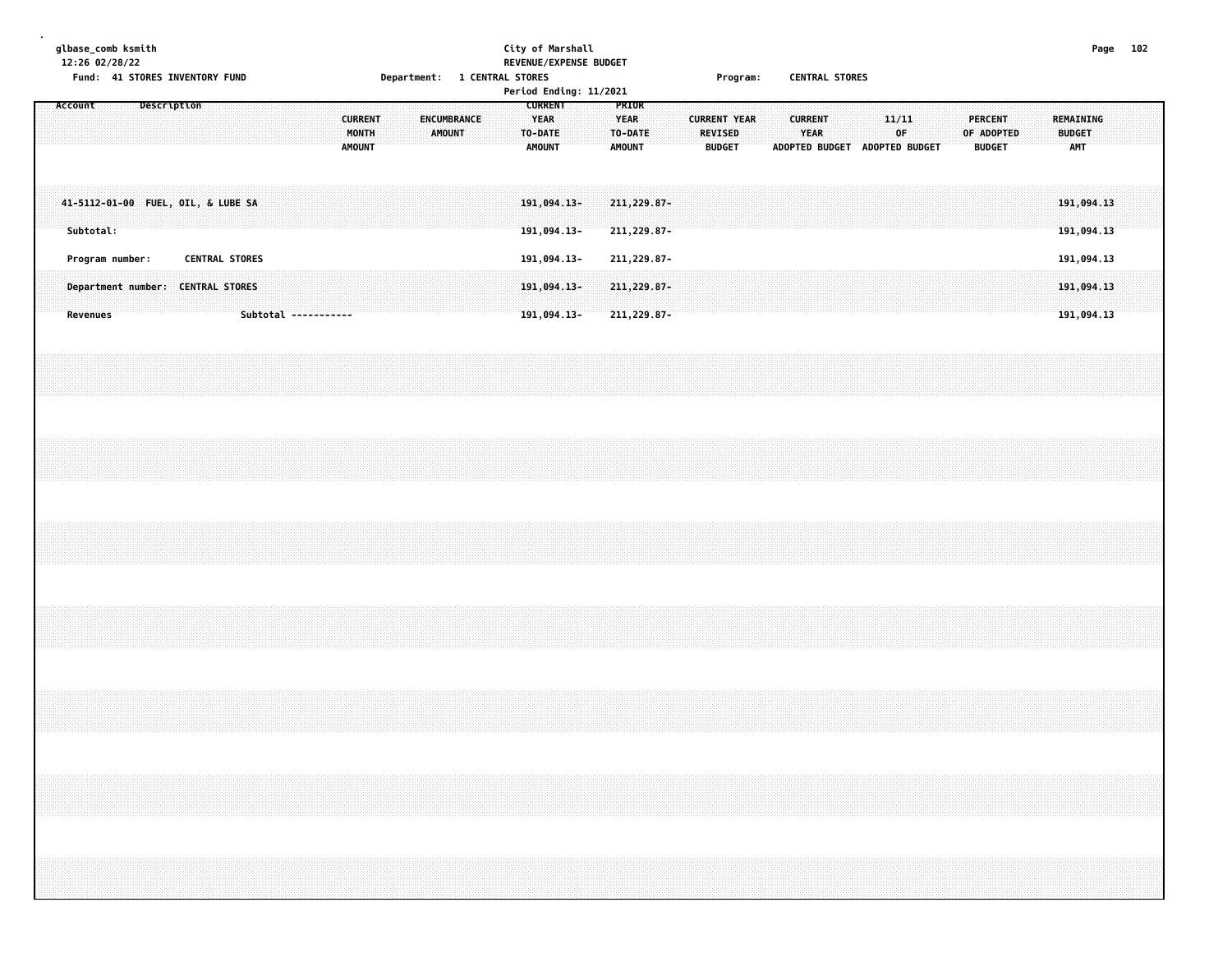| glbase_comb ksmith<br>12:26 02/28/22 | Fund: 41 STORES INVENTORY FUND | <b>Department:</b>                                 | City of Marshall<br>REVENUE/EXPENSE BUDGET<br><b>CENTRAL STORES</b> | Program:                        | <b>CENTRAL STORES</b> | Page 102                   |
|--------------------------------------|--------------------------------|----------------------------------------------------|---------------------------------------------------------------------|---------------------------------|-----------------------|----------------------------|
|                                      |                                |                                                    | Period Ending: 11/2021                                              |                                 |                       |                            |
|                                      |                                | <b>CURRENT</b><br><b>ENCUMBRANCE</b><br>MONTH<br>. | <b>CURRENT</b><br><b>PRIOR</b><br><b>YEAR</b>                       | <b>CURRENT</b><br><b>YEAR</b>   | .<br>.                | <b>RUDGET</b>              |
|                                      |                                | <b>AMOUNT</b>                                      | <b>AMOUNT</b><br>AMOUNT                                             | <b>BUDGET</b><br>ADOPTED BUDGET | <b>ADOPTED BUDGET</b> | <b>BUDGET</b><br>.<br>79 H |

| Subtotal:                                                                                                      |                   | 191,094.13-<br>211,229.87- |              | $191,094,13$ $211,229.87$ $13$                                                                                                                                                                                                |
|----------------------------------------------------------------------------------------------------------------|-------------------|----------------------------|--------------|-------------------------------------------------------------------------------------------------------------------------------------------------------------------------------------------------------------------------------|
| <b>CENTRAL STORES</b><br>rrogram number:                                                                       |                   | 211,229.87-<br>191,094.13- |              | 191.094.1                                                                                                                                                                                                                     |
| juh sebagai mengenakan mengenakan mengenakan mengenakan mengenakan mengenakan mengenakan mengenakan mengenakan | <u>191,094.13</u> | . 229.87 –                 | 211, 229.87- | рит. преправители и стандири со страници с составители на 1947, 1947, 1947, 1947, 1947, 1948, 1948, 1948, 1948, 1948, 1948, 1948, 1948, 1948, 1948, 1948, 1948, 1948, 1948, 1948, 1948, 1948, 1948, 1948, 1948, 1948, 1948, 1 |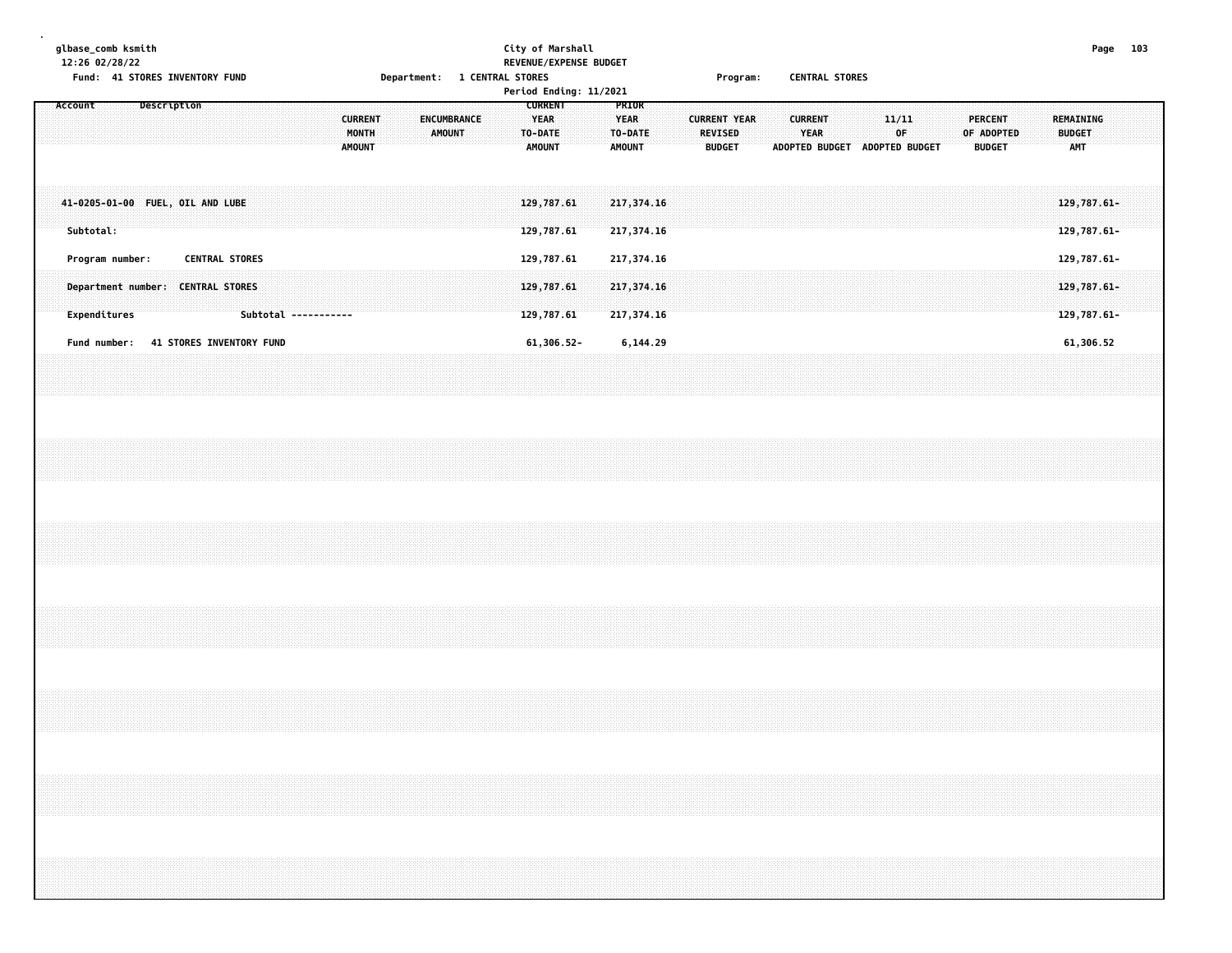## **glbase\_comb ksmith City of Marshall Page 103 12:26 02/28/22 REVENUE/EXPENSE BUDGET** Fund: 41 STORES INVENTORY FUND **Department: 1 CENTRAL STORES** Frogram: CENTRAL STORES **Period Ending: 11/2021**

|         |           |              |                                  |                                 |                       |  |  |                      |                                          |  |                       |  |  | rer coar Enachg. 11/2021                    |  |                                                   |                          |  |                                                        |  |                                                 |  |              |                |  |                                        |  |                                          |  |  |
|---------|-----------|--------------|----------------------------------|---------------------------------|-----------------------|--|--|----------------------|------------------------------------------|--|-----------------------|--|--|---------------------------------------------|--|---------------------------------------------------|--------------------------|--|--------------------------------------------------------|--|-------------------------------------------------|--|--------------|----------------|--|----------------------------------------|--|------------------------------------------|--|--|
| Account |           |              |                                  | Description                     |                       |  |  |                      | <b>CURRENT</b><br>MONTH<br><b>AMOUNT</b> |  | ENCUMBRANCE<br>AMOUNT |  |  | <b>CURRENT</b><br>YEAR<br>TO-DATE<br>AMOUNT |  | PRIOR<br><b>YEAR</b><br>TO-DATE:<br><b>AMOUNT</b> |                          |  | <b>CURRENT YEAR</b><br><b>REVISED</b><br><b>BUDGET</b> |  | <b>CURRENT</b><br><b>YEAR</b><br>ADOPTED BUDGET |  | 11/11<br>0F. | ADOPTED BUDGET |  | PERCENT<br>OF ADOPTED<br><b>BUDGET</b> |  | REMAINING<br><b>BUDGET</b><br><b>AMT</b> |  |  |
|         | Subtotal: |              | 41-0205-01-00 FUEL, OIL AND LUBE |                                 |                       |  |  |                      |                                          |  |                       |  |  | 129,787.61<br>129,787.61                    |  |                                                   | 217,374.16<br>217,374.16 |  |                                                        |  |                                                 |  |              |                |  |                                        |  | $129,787.61 -$<br>129,787.61-            |  |  |
|         |           |              | Program number:                  |                                 | <b>CENTRAL STORES</b> |  |  |                      |                                          |  |                       |  |  | 129,787.61                                  |  |                                                   | 217,374.16               |  |                                                        |  |                                                 |  |              |                |  |                                        |  | 129,787.61-                              |  |  |
|         |           |              | Department number:               |                                 | <b>CENTRAL STORES</b> |  |  |                      |                                          |  |                       |  |  | 129,787.61                                  |  |                                                   | 217,374.16               |  |                                                        |  |                                                 |  |              |                |  |                                        |  | 129,787.61-                              |  |  |
|         |           | Expenditures |                                  |                                 |                       |  |  | Subtotal ----------- |                                          |  |                       |  |  | 129,787.61                                  |  |                                                   | 217,374.16               |  |                                                        |  |                                                 |  |              |                |  |                                        |  | 129,787.61-                              |  |  |
|         |           | Fund number: |                                  | <b>41 STORES INVENTORY FUND</b> |                       |  |  |                      |                                          |  |                       |  |  | 61,306.52-                                  |  |                                                   | 6,144.29                 |  |                                                        |  |                                                 |  |              |                |  |                                        |  | 61,306.52                                |  |  |
|         |           |              |                                  |                                 |                       |  |  |                      |                                          |  |                       |  |  |                                             |  |                                                   |                          |  |                                                        |  |                                                 |  |              |                |  |                                        |  |                                          |  |  |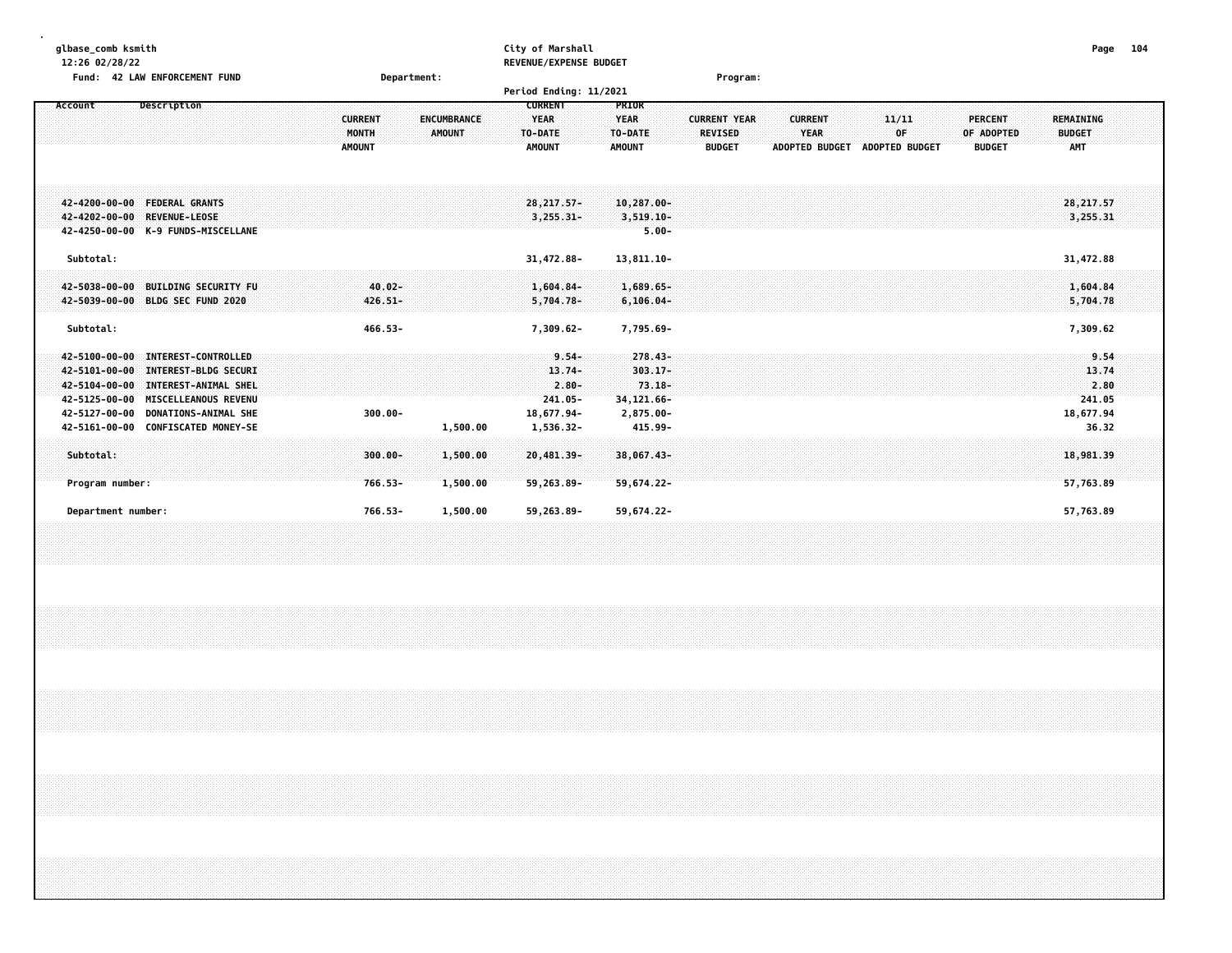| glbase comb ksmith<br>12:26 02/28/22<br>Fund: 42 LAW ENFORCEMENT FUND                                                                                                                                                                                                                               | Department:                                                                     | City of Marshall<br>REVENUE/EXPENSE BUDGET<br>Period Ending: 11/2021                                                                                      | Program:                                                                                                                                                                                                  | 104<br>Page                                           |
|-----------------------------------------------------------------------------------------------------------------------------------------------------------------------------------------------------------------------------------------------------------------------------------------------------|---------------------------------------------------------------------------------|-----------------------------------------------------------------------------------------------------------------------------------------------------------|-----------------------------------------------------------------------------------------------------------------------------------------------------------------------------------------------------------|-------------------------------------------------------|
| Account<br>Description                                                                                                                                                                                                                                                                              | <b>ENCUMBRANCE</b><br><b>CURRENT</b><br>MONTH<br><b>AMOUNT</b><br><b>AMOUNT</b> | <b>CURRENT</b><br><b>PRIOR</b><br><b>YEAR</b><br><b>YEAR</b><br>TO-DATE<br>TO-DATE<br><b>AMOUNT</b><br><b>AMOUNT</b>                                      | <b>CURRENT YEAR</b><br><b>CURRENT</b><br>11/11<br><b>PERCENT</b><br><b>YEAR</b><br><b>REVISED</b><br>OF<br>OF ADOPTED<br><b>BUDGET</b><br><b>ADOPTED BUDGET</b><br><b>ADOPTED BUDGET</b><br><b>BUDGET</b> | REMAINING<br><b>BUDGET</b><br>AMT                     |
| 42-4200-00-00 FEDERAL GRANTS<br>42-4202-00-00<br><b>REVENUE-LEOSE</b><br>42-4250-00-00 K-9 FUNDS-MISCELLANE                                                                                                                                                                                         |                                                                                 | $28, 217, 57 -$<br>$10,287.00 -$<br>$3,255.31-$<br>$3,519.10-$<br>$5.00 -$                                                                                |                                                                                                                                                                                                           | 28, 217.57<br>3,255.31                                |
| Subtotal:                                                                                                                                                                                                                                                                                           |                                                                                 | 31,472.88-<br>13,811.10-                                                                                                                                  |                                                                                                                                                                                                           | 31,472.88                                             |
| 42-5038-00-00<br><b>BUILDING SECURITY FU</b><br>42-5039-00-00 BLDG SEC FUND 2020                                                                                                                                                                                                                    | $40.02 -$<br>$426.51 -$                                                         | $1,604.84-$<br>$1,689.65-$<br>$5,704.78-$<br>$6, 106.04 -$                                                                                                |                                                                                                                                                                                                           | 1,604.84<br>5,704.78                                  |
| Subtotal:                                                                                                                                                                                                                                                                                           | 466.53-                                                                         | 7,795.69-<br>7,309.62-                                                                                                                                    |                                                                                                                                                                                                           | 7,309.62                                              |
| $42 - 5100 - 00 - 00$<br><b>INTEREST-CONTROLLED</b><br><b>INTEREST-BLDG SECURI</b><br>42-5101-00-00<br>42-5104-00-00<br><b>INTEREST-ANIMAL SHEL</b><br>42-5125-00-00<br><b>MISCELLEANOUS REVENU</b><br>42-5127-00-00<br><b>DONATIONS-ANIMAL SHE</b><br><b>CONFISCATED MONEY-SE</b><br>42-5161-00-00 | $300.00 -$<br>1,500.00                                                          | $9.54 -$<br>$278.43 -$<br>$13.74-$<br>$303.17 -$<br>$2.80 -$<br>$73.18 -$<br>$241.05 -$<br>34, 121.66-<br>18,677.94-<br>2,875.00-<br>1,536.32-<br>415.99- |                                                                                                                                                                                                           | 9.54<br>13.74<br>2.80<br>241.05<br>18,677.94<br>36.32 |
| Subtotal:<br>Program number:<br>Department number:                                                                                                                                                                                                                                                  | $300.00 -$<br>1,500.00<br>766.53-<br>1,500.00<br>766.53-<br>1,500.00            | 38,067.43-<br>20,481.39-<br>59,263.89-<br>59,674.22-<br>59,263.89-<br>59,674.22-                                                                          |                                                                                                                                                                                                           | 18,981.39<br>57,763.89<br>57,763.89                   |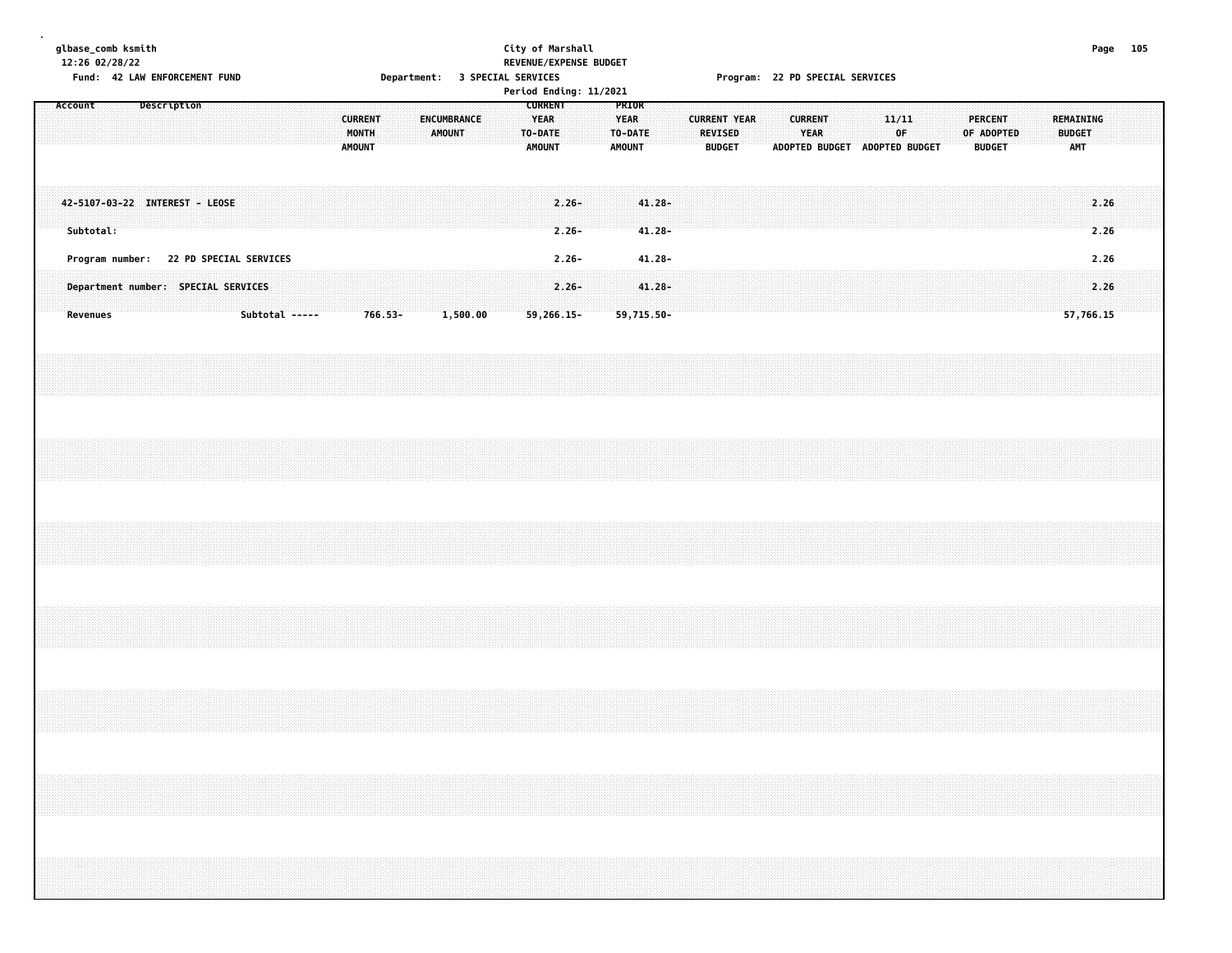|         | 12:26 02/28/22  | glbase_comb ksmith | Fund: 42 LAW ENFORCEMENT FUND  |  |                                                                                                 |  |               |                         |            |  | Department: 3 SPECIAL SERVICES |  | City of Marshall |                                                    |                      | REVENUE/EXPENSE BUDGET<br>Period Ending: 11/2021 |                                                  |                                      |  |                                 |                     |  |                               |  | Program: 22 PD SPECIAL SERVICES |             |  |                                               |  |                                          | Page 105     |  |
|---------|-----------------|--------------------|--------------------------------|--|-------------------------------------------------------------------------------------------------|--|---------------|-------------------------|------------|--|--------------------------------|--|------------------|----------------------------------------------------|----------------------|--------------------------------------------------|--------------------------------------------------|--------------------------------------|--|---------------------------------|---------------------|--|-------------------------------|--|---------------------------------|-------------|--|-----------------------------------------------|--|------------------------------------------|--------------|--|
| Account |                 |                    | Description                    |  |                                                                                                 |  | <b>AMOUNT</b> | <b>CURRENT</b><br>MONTH |            |  | ENCUMBRANCE<br><b>AMOUNT</b>   |  |                  | <b>CURRENT</b><br><b>YEAR</b><br>TO-DATE<br>AMOUNT |                      |                                                  | PRIOR<br><b>YEAR</b><br>TO-DATE<br><b>AMOUNT</b> |                                      |  | <b>REVISED</b><br><b>BUDGET</b> | <b>CURRENT YEAR</b> |  | <b>CURRENT</b><br><b>YEAR</b> |  | ADOPTED BUDGET ADOPTED BUDGET   | 11/11<br>0F |  | <b>PERCENT</b><br>OF ADOPTED<br><b>BUDGET</b> |  | REMAINING<br><b>BUDGET</b><br><b>AMT</b> |              |  |
|         | Subtotal:       |                    | 42-5107-03-22 INTEREST - LEOSE |  |                                                                                                 |  |               |                         |            |  |                                |  |                  |                                                    | $2,26-$<br>$2.26 -$  |                                                  |                                                  | $41.28 -$<br>$41.28 -$               |  |                                 |                     |  |                               |  |                                 |             |  |                                               |  |                                          | 2.26<br>2.26 |  |
|         | <b>Revenues</b> |                    |                                |  | Program number: 22 PD SPECIAL SERVICES<br>Department number: SPECIAL SERVICES<br>Subtotal ----- |  |               |                         | $766.53 -$ |  | 1,500.00                       |  |                  | 59,266.15-                                         | $2.26 -$<br>$2.26 -$ |                                                  |                                                  | $41.28 -$<br>$41.28 -$<br>59,715.50- |  |                                 |                     |  |                               |  |                                 |             |  |                                               |  | 57,766.15                                | 2.26<br>2.26 |  |
|         |                 |                    |                                |  |                                                                                                 |  |               |                         |            |  |                                |  |                  |                                                    |                      |                                                  |                                                  |                                      |  |                                 |                     |  |                               |  |                                 |             |  |                                               |  |                                          |              |  |
|         |                 |                    |                                |  |                                                                                                 |  |               |                         |            |  |                                |  |                  |                                                    |                      |                                                  |                                                  |                                      |  |                                 |                     |  |                               |  |                                 |             |  |                                               |  |                                          |              |  |
|         |                 |                    |                                |  |                                                                                                 |  |               |                         |            |  |                                |  |                  |                                                    |                      |                                                  |                                                  |                                      |  |                                 |                     |  |                               |  |                                 |             |  |                                               |  |                                          |              |  |
|         |                 |                    |                                |  |                                                                                                 |  |               |                         |            |  |                                |  |                  |                                                    |                      |                                                  |                                                  |                                      |  |                                 |                     |  |                               |  |                                 |             |  |                                               |  |                                          |              |  |
|         |                 |                    |                                |  |                                                                                                 |  |               |                         |            |  |                                |  |                  |                                                    |                      |                                                  |                                                  |                                      |  |                                 |                     |  |                               |  |                                 |             |  |                                               |  |                                          |              |  |
|         |                 |                    |                                |  |                                                                                                 |  |               |                         |            |  |                                |  |                  |                                                    |                      |                                                  |                                                  |                                      |  |                                 |                     |  |                               |  |                                 |             |  |                                               |  |                                          |              |  |
|         |                 |                    |                                |  |                                                                                                 |  |               |                         |            |  |                                |  |                  |                                                    |                      |                                                  |                                                  |                                      |  |                                 |                     |  |                               |  |                                 |             |  |                                               |  |                                          |              |  |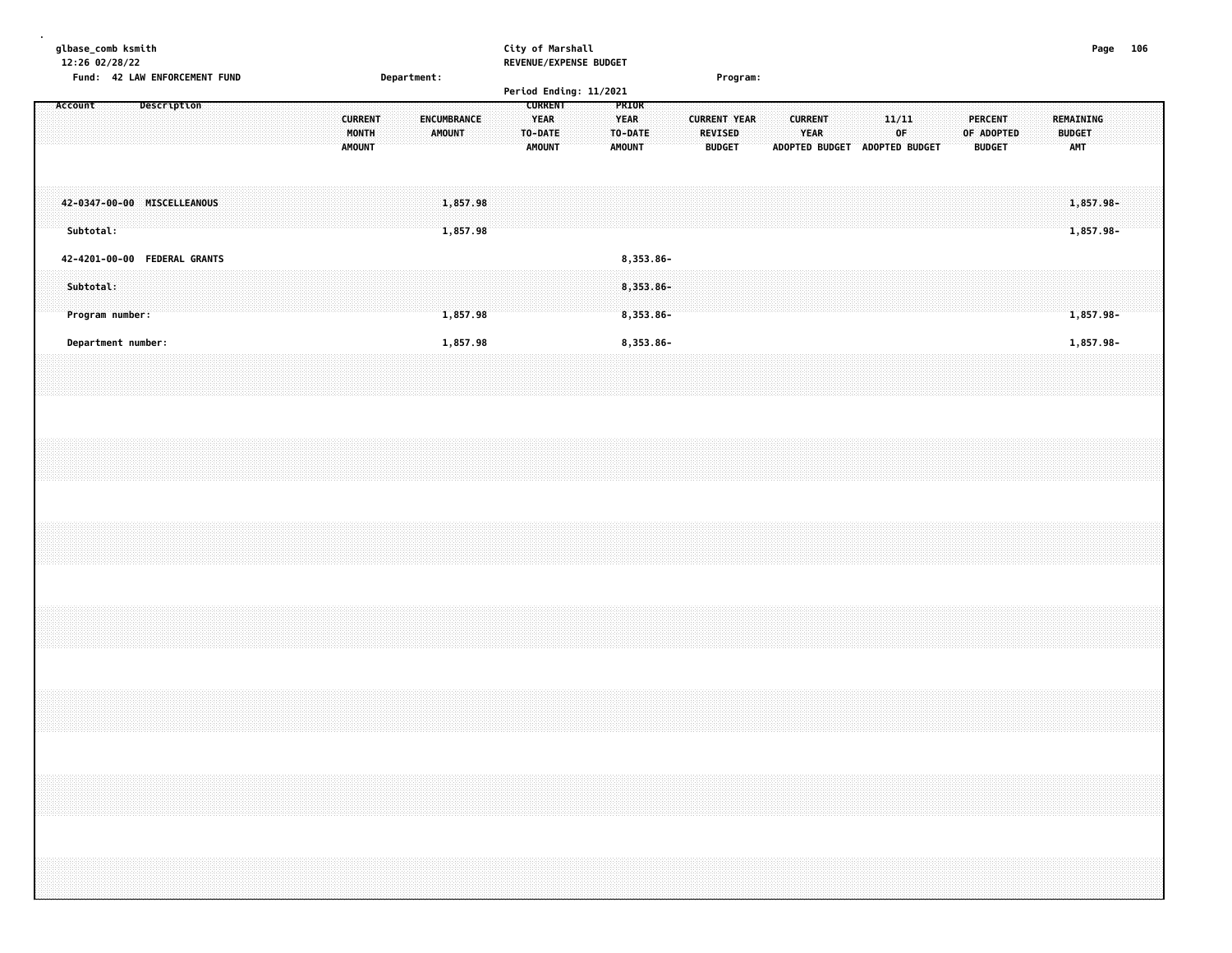| glbase_comb ksmith<br>12:26 02/28/22<br>Fund: 42 LAW ENFORCEMENT FUND |  |                    |  |  |  |                                   |  | Department: |        |                      |  |         | City of Marshall<br>REVENUE/EXPENSE BUDGET                               |  |                                                         |                                        |  |                                                        | Program: |                       |                               |  |                       |             |  |                                        |  |               |                         | Page | 106 |  |
|-----------------------------------------------------------------------|--|--------------------|--|--|--|-----------------------------------|--|-------------|--------|----------------------|--|---------|--------------------------------------------------------------------------|--|---------------------------------------------------------|----------------------------------------|--|--------------------------------------------------------|----------|-----------------------|-------------------------------|--|-----------------------|-------------|--|----------------------------------------|--|---------------|-------------------------|------|-----|--|
| Account                                                               |  | <b>Description</b> |  |  |  | <b>CURRENT</b><br>MONTH<br>AMOUNT |  |             | AMOUNT | <b>ENCUMBRANCE</b>   |  | TO-DATE | Period Ending: 11/2021<br><b>CURRENT</b><br><b>YEAR</b><br><b>AMOUNT</b> |  | <b>PRIOR</b><br><b>YEAR</b><br>TO-DATE<br><b>AMOUNT</b> |                                        |  | <b>CURRENT YEAR</b><br><b>REVISED</b><br><b>BUDGET</b> |          | <b>ADOPTED BUDGET</b> | <b>CURRENT</b><br><b>YEAR</b> |  | <b>ADOPTED BUDGET</b> | 11/11<br>OF |  | PERCENT<br>OF ADOPTED<br><b>BUDGET</b> |  | <b>BUDGET</b> | REMAINING<br><b>AMT</b> |      |     |  |
| 42-0347-00-00 MISCELLEANOUS<br>Subtotal:                              |  |                    |  |  |  |                                   |  |             |        | 1,857.98<br>1,857.98 |  |         |                                                                          |  |                                                         |                                        |  |                                                        |          |                       |                               |  |                       |             |  |                                        |  |               | 1,857.98-<br>1,857.98-  |      |     |  |
| 42-4201-00-00 FEDERAL GRANTS<br>Subtotal:<br>Program number:          |  |                    |  |  |  |                                   |  |             |        | 1,857.98             |  |         |                                                                          |  |                                                         | 8,353.86-<br>$8,353.86 -$<br>8,353.86- |  |                                                        |          |                       |                               |  |                       |             |  |                                        |  |               | 1,857.98-               |      |     |  |
| Department number:                                                    |  |                    |  |  |  |                                   |  |             |        | 1,857.98             |  |         |                                                                          |  |                                                         | 8,353.86-                              |  |                                                        |          |                       |                               |  |                       |             |  |                                        |  |               | 1,857.98-               |      |     |  |
|                                                                       |  |                    |  |  |  |                                   |  |             |        |                      |  |         |                                                                          |  |                                                         |                                        |  |                                                        |          |                       |                               |  |                       |             |  |                                        |  |               |                         |      |     |  |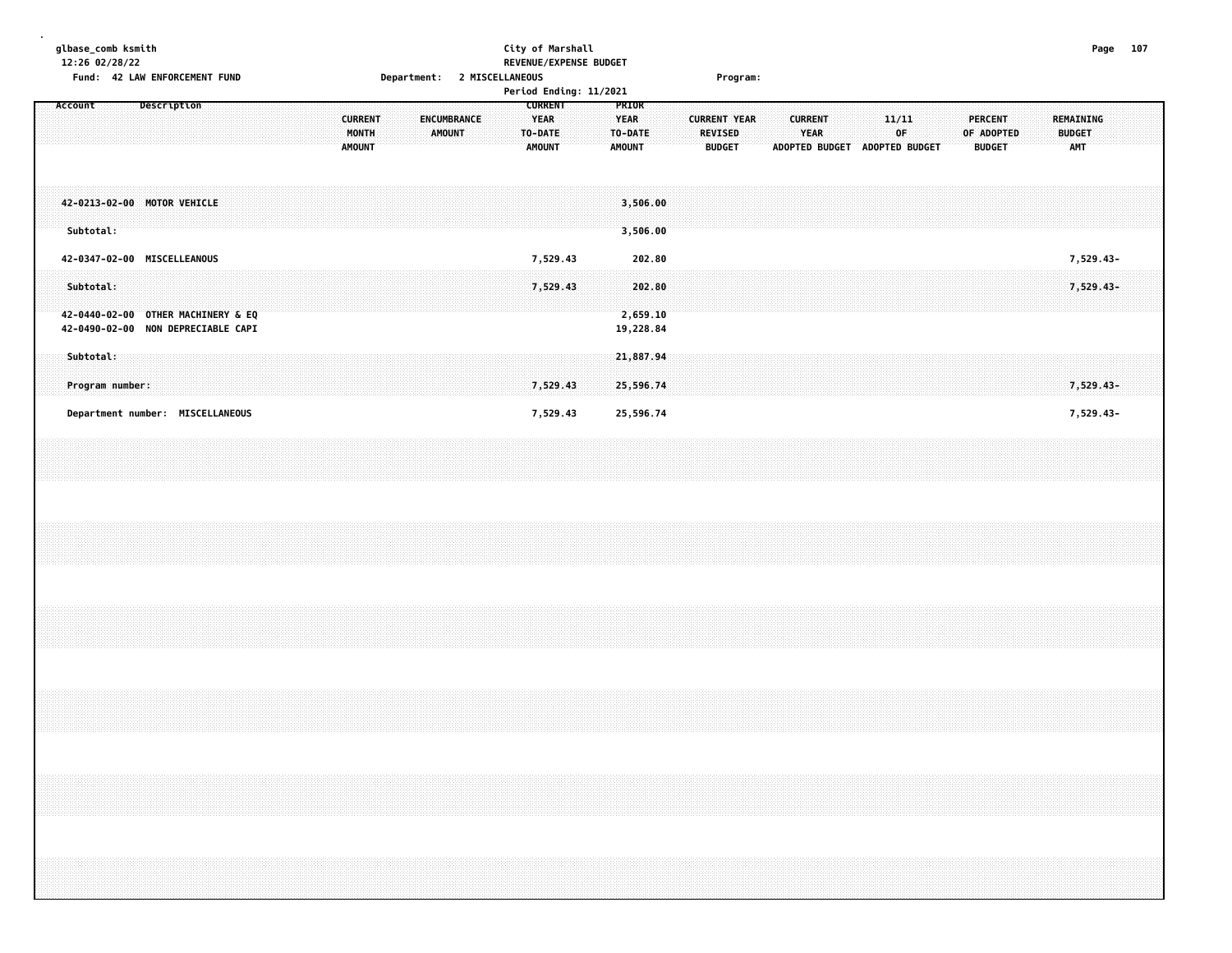|         | glbase_comb ksmith           |  |                                                                          |  |  |  |  |                                          |  |  |               |             |                             |  |                                                           | City of Marshall |                        |                                                  |                                 |  |                                 |                     |                               |                        |  |  |             |  |                                               |  |               |                  | Page 107 |  |
|---------|------------------------------|--|--------------------------------------------------------------------------|--|--|--|--|------------------------------------------|--|--|---------------|-------------|-----------------------------|--|-----------------------------------------------------------|------------------|------------------------|--------------------------------------------------|---------------------------------|--|---------------------------------|---------------------|-------------------------------|------------------------|--|--|-------------|--|-----------------------------------------------|--|---------------|------------------|----------|--|
|         | 12:26 02/28/22               |  | Fund: 42 LAW ENFORCEMENT FUND                                            |  |  |  |  |                                          |  |  |               |             | Department: 2 MISCELLANEOUS |  |                                                           |                  | REVENUE/EXPENSE BUDGET |                                                  |                                 |  |                                 | Program:            |                               |                        |  |  |             |  |                                               |  |               |                  |          |  |
|         |                              |  |                                                                          |  |  |  |  |                                          |  |  |               |             |                             |  |                                                           |                  | Period Ending: 11/2021 |                                                  |                                 |  |                                 |                     |                               |                        |  |  |             |  |                                               |  |               |                  |          |  |
| Account |                              |  | Description                                                              |  |  |  |  | <b>CURRENT</b><br>MONTH<br><b>AMOUNT</b> |  |  | <b>AMOUNT</b> | ENCUMBRANCE |                             |  | <b>CURRENT</b><br><b>YEAR</b><br>TO-DATE<br><b>AMOUNT</b> |                  |                        | PRIOR<br><b>YEAR</b><br>TO-DATE<br><b>AMOUNT</b> |                                 |  | <b>REVISED</b><br><b>BUDGET</b> | <b>CURRENT YEAR</b> | ADOPTED BUDGET ADOPTED BUDGET | <b>CURRENT</b><br>YEAR |  |  | 11/11<br>0F |  | <b>PERCENT</b><br>OF ADOPTED<br><b>BUDGET</b> |  | <b>BUDGET</b> | REMAINING<br>AMT |          |  |
|         | Subtotal:                    |  | 42-0213-02-00 MOTOR VEHICLE                                              |  |  |  |  |                                          |  |  |               |             |                             |  |                                                           |                  |                        |                                                  | 3,506.00<br>3,506.00            |  |                                 |                     |                               |                        |  |  |             |  |                                               |  |               |                  |          |  |
|         |                              |  | 42-0347-02-00 MISCELLEANOUS                                              |  |  |  |  |                                          |  |  |               |             |                             |  | 7,529.43                                                  |                  |                        |                                                  | 202.80                          |  |                                 |                     |                               |                        |  |  |             |  |                                               |  |               | 7,529.43-        |          |  |
|         | Subtotal:                    |  | 42-0440-02-00 OTHER MACHINERY & EQ<br>42-0490-02-00 NON DEPRECIABLE CAPI |  |  |  |  |                                          |  |  |               |             |                             |  | 7,529.43                                                  |                  |                        |                                                  | 202.80<br>2,659.10<br>19,228.84 |  |                                 |                     |                               |                        |  |  |             |  |                                               |  |               | 7,529.43-        |          |  |
|         | Subtotal:<br>Program number: |  |                                                                          |  |  |  |  |                                          |  |  |               |             |                             |  | 7,529.43                                                  |                  |                        |                                                  | 21,887.94<br>25,596.74          |  |                                 |                     |                               |                        |  |  |             |  |                                               |  |               | 7,529.43-        |          |  |
|         |                              |  | Department number: MISCELLANEOUS                                         |  |  |  |  |                                          |  |  |               |             |                             |  | 7,529.43                                                  |                  |                        |                                                  | 25,596.74                       |  |                                 |                     |                               |                        |  |  |             |  |                                               |  |               | 7,529.43-        |          |  |
|         |                              |  |                                                                          |  |  |  |  |                                          |  |  |               |             |                             |  |                                                           |                  |                        |                                                  |                                 |  |                                 |                     |                               |                        |  |  |             |  |                                               |  |               |                  |          |  |
|         |                              |  |                                                                          |  |  |  |  |                                          |  |  |               |             |                             |  |                                                           |                  |                        |                                                  |                                 |  |                                 |                     |                               |                        |  |  |             |  |                                               |  |               |                  |          |  |
|         |                              |  |                                                                          |  |  |  |  |                                          |  |  |               |             |                             |  |                                                           |                  |                        |                                                  |                                 |  |                                 |                     |                               |                        |  |  |             |  |                                               |  |               |                  |          |  |
|         |                              |  |                                                                          |  |  |  |  |                                          |  |  |               |             |                             |  |                                                           |                  |                        |                                                  |                                 |  |                                 |                     |                               |                        |  |  |             |  |                                               |  |               |                  |          |  |
|         |                              |  |                                                                          |  |  |  |  |                                          |  |  |               |             |                             |  |                                                           |                  |                        |                                                  |                                 |  |                                 |                     |                               |                        |  |  |             |  |                                               |  |               |                  |          |  |
|         |                              |  |                                                                          |  |  |  |  |                                          |  |  |               |             |                             |  |                                                           |                  |                        |                                                  |                                 |  |                                 |                     |                               |                        |  |  |             |  |                                               |  |               |                  |          |  |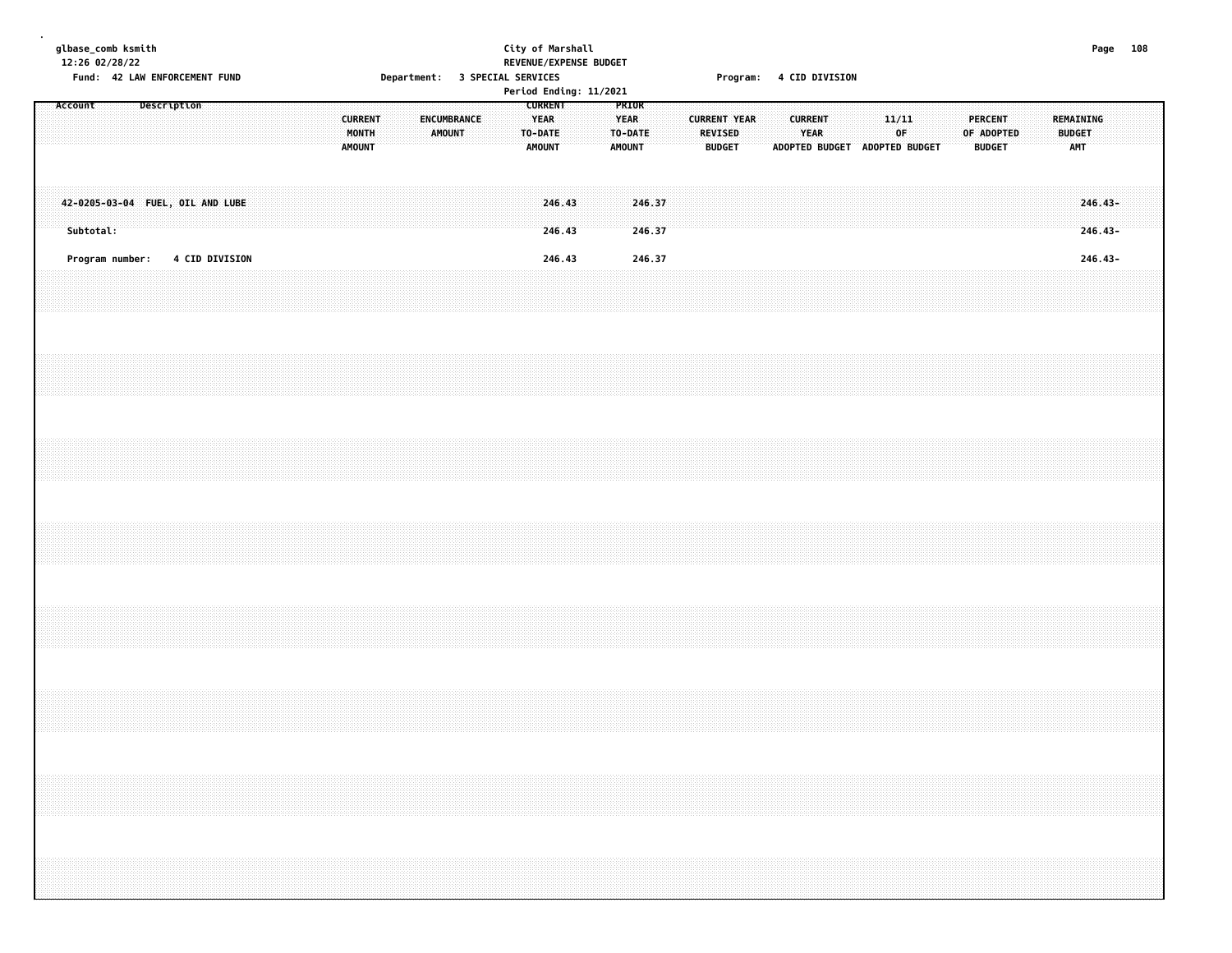|  |         |           | 12:26 02/28/22  | glbase_comb ksmith |  | Fund: 42 LAW ENFORCEMENT FUND    |  |  |  |                                          |  | Department: 3 SPECIAL SERVICES |                       |  |                                         |                  | City of Marshall | REVENUE/EXPENSE BUDGET<br>Period Ending: 11/2021 |                              |                  |  |                                                        | Program: 4 CID DIVISION |  |                        |  |                               |             |  |                                               |  |                                          |                        | Page 108 |  |
|--|---------|-----------|-----------------|--------------------|--|----------------------------------|--|--|--|------------------------------------------|--|--------------------------------|-----------------------|--|-----------------------------------------|------------------|------------------|--------------------------------------------------|------------------------------|------------------|--|--------------------------------------------------------|-------------------------|--|------------------------|--|-------------------------------|-------------|--|-----------------------------------------------|--|------------------------------------------|------------------------|----------|--|
|  | Account |           |                 | Description        |  |                                  |  |  |  | <b>CURRENT</b><br>MONTH<br><b>AMOUNT</b> |  |                                | ENCUMBRANCE<br>AMOUNT |  | <b>YEAR</b><br>TO-DATE<br><b>AMOUNT</b> | <b>CURRENT</b>   |                  |                                                  | <b>YEAR</b><br><b>AMOUNT</b> | PRIOR<br>TO-DATE |  | <b>CURRENT YEAR</b><br><b>REVISED</b><br><b>BUDGET</b> |                         |  | <b>CURRENT</b><br>YEAR |  | ADOPTED BUDGET ADOPTED BUDGET | 11/11<br>0F |  | <b>PERCENT</b><br>OF ADOPTED<br><b>BUDGET</b> |  | REMAINING<br><b>BUDGET</b><br><b>AMT</b> |                        |          |  |
|  |         | Subtotal: |                 |                    |  | 42-0205-03-04 FUEL, OIL AND LUBE |  |  |  |                                          |  |                                |                       |  |                                         | 246.43<br>246.43 |                  |                                                  |                              | 246.37<br>246.37 |  |                                                        |                         |  |                        |  |                               |             |  |                                               |  |                                          | $246.43-$<br>$246.43-$ |          |  |
|  |         |           | Program number: |                    |  | <b>4 CID DIVISION</b>            |  |  |  |                                          |  |                                |                       |  |                                         | 246.43           |                  |                                                  |                              | 246.37           |  |                                                        |                         |  |                        |  |                               |             |  |                                               |  |                                          | 246.43-                |          |  |
|  |         |           |                 |                    |  |                                  |  |  |  |                                          |  |                                |                       |  |                                         |                  |                  |                                                  |                              |                  |  |                                                        |                         |  |                        |  |                               |             |  |                                               |  |                                          |                        |          |  |
|  |         |           |                 |                    |  |                                  |  |  |  |                                          |  |                                |                       |  |                                         |                  |                  |                                                  |                              |                  |  |                                                        |                         |  |                        |  |                               |             |  |                                               |  |                                          |                        |          |  |
|  |         |           |                 |                    |  |                                  |  |  |  |                                          |  |                                |                       |  |                                         |                  |                  |                                                  |                              |                  |  |                                                        |                         |  |                        |  |                               |             |  |                                               |  |                                          |                        |          |  |
|  |         |           |                 |                    |  |                                  |  |  |  |                                          |  |                                |                       |  |                                         |                  |                  |                                                  |                              |                  |  |                                                        |                         |  |                        |  |                               |             |  |                                               |  |                                          |                        |          |  |
|  |         |           |                 |                    |  |                                  |  |  |  |                                          |  |                                |                       |  |                                         |                  |                  |                                                  |                              |                  |  |                                                        |                         |  |                        |  |                               |             |  |                                               |  |                                          |                        |          |  |
|  |         |           |                 |                    |  |                                  |  |  |  |                                          |  |                                |                       |  |                                         |                  |                  |                                                  |                              |                  |  |                                                        |                         |  |                        |  |                               |             |  |                                               |  |                                          |                        |          |  |
|  |         |           |                 |                    |  |                                  |  |  |  |                                          |  |                                |                       |  |                                         |                  |                  |                                                  |                              |                  |  |                                                        |                         |  |                        |  |                               |             |  |                                               |  |                                          |                        |          |  |
|  |         |           |                 |                    |  |                                  |  |  |  |                                          |  |                                |                       |  |                                         |                  |                  |                                                  |                              |                  |  |                                                        |                         |  |                        |  |                               |             |  |                                               |  |                                          |                        |          |  |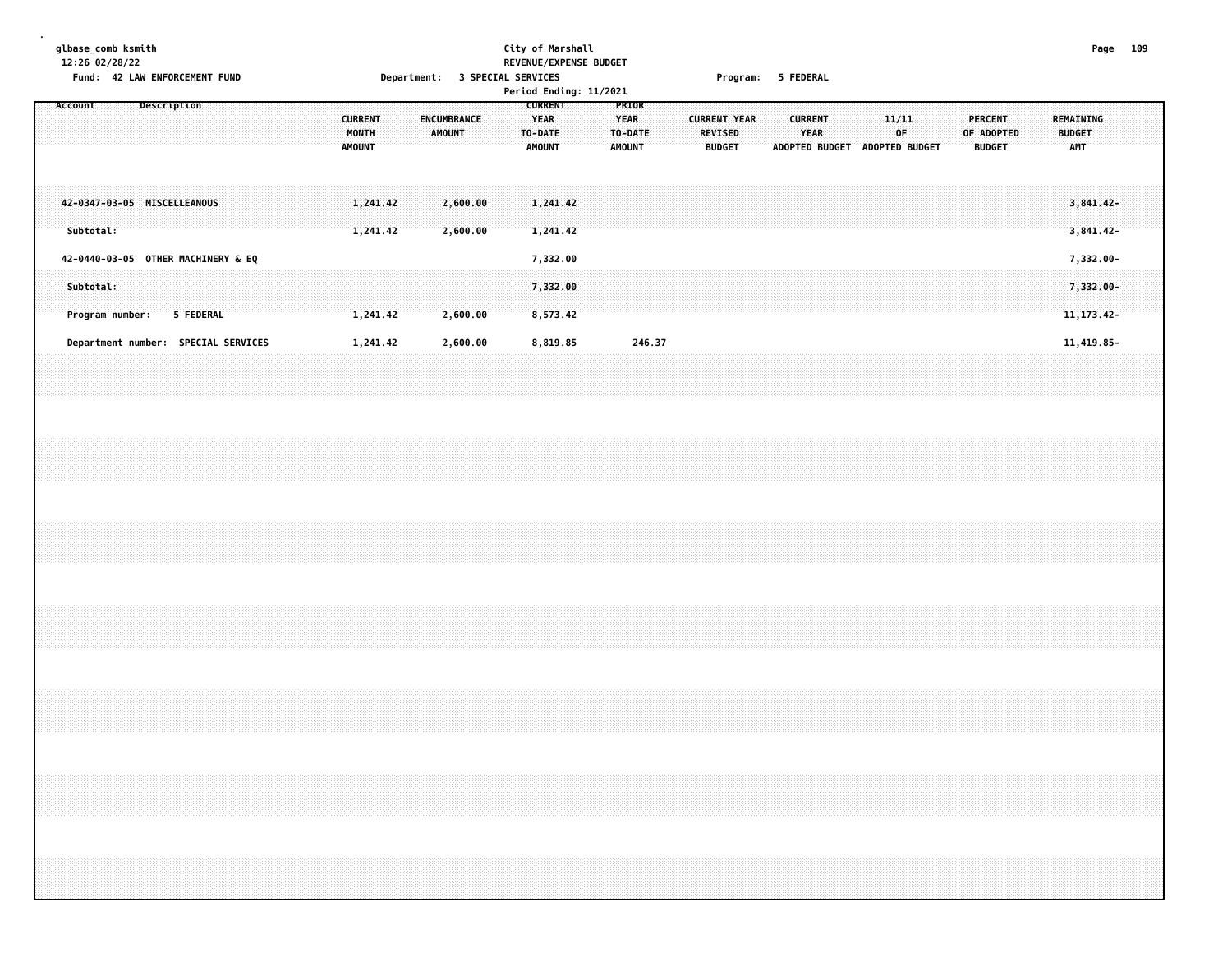### **glbase\_comb ksmith City of Marshall Page 109 12:26 02/28/22 REVENUE/EXPENSE BUDGET** Fund: 42 LAW ENFORCEMENT FUND **Department: 3 SPECIAL SERVICES CONTACT PROGRAM** Program: 5 FEDERAL

|                                          |                                     |  |                                          |                       | Period Ending: 11/2021                             |                                                  |                                                        |  |                                                        |  |                                |  |                                               |                                          |  |
|------------------------------------------|-------------------------------------|--|------------------------------------------|-----------------------|----------------------------------------------------|--------------------------------------------------|--------------------------------------------------------|--|--------------------------------------------------------|--|--------------------------------|--|-----------------------------------------------|------------------------------------------|--|
| Account                                  | Description                         |  | <b>CURRENT</b><br>MONTH<br><b>AMOUNT</b> | ENCUMBRANCE<br>AMOUNT | <b>CURRENT</b><br>YEAR<br>TO-DATE<br><b>AMOUNT</b> | PRIOR<br><b>YEAR</b><br>TO-DATE<br><b>AMOUNT</b> | <b>CURRENT YEAR</b><br><b>REVISED</b><br><b>BUDGET</b> |  | <b>CURRENT</b><br><b>YEAR</b><br><b>ADOPTED BUDGET</b> |  | 11/11<br>0F.<br>ADOPTED BUDGET |  | <b>PERCENT</b><br>OF ADOPTED<br><b>BUDGET</b> | REMAINING<br><b>BUDGET</b><br><b>AMT</b> |  |
| 42-0347-03-05 MISCELLEANOUS<br>Subtotal: |                                     |  | 1,241.42<br>1,241.42                     | 2,600.00<br>2,600.00  | 1,241.42<br>1,241.42                               |                                                  |                                                        |  |                                                        |  |                                |  |                                               | $3,841.42-$<br>$3,841.42-$               |  |
| 42-0440-03-05 OTHER MACHINERY & EQ       |                                     |  |                                          |                       | 7,332.00                                           |                                                  |                                                        |  |                                                        |  |                                |  |                                               | 7,332.00-                                |  |
| Subtotal:<br>Program number:             | 5 FEDERAL                           |  | 1,241.42                                 | 2,600.00              | 7,332.00<br>8,573.42                               |                                                  |                                                        |  |                                                        |  |                                |  |                                               | 7,332.00-<br>11, 173. 42-                |  |
|                                          | Department number: SPECIAL SERVICES |  | 1,241.42                                 | 2,600.00              | 8,819.85                                           | 246.37                                           |                                                        |  |                                                        |  |                                |  |                                               | 11,419.85-                               |  |
|                                          |                                     |  |                                          |                       |                                                    |                                                  |                                                        |  |                                                        |  |                                |  |                                               |                                          |  |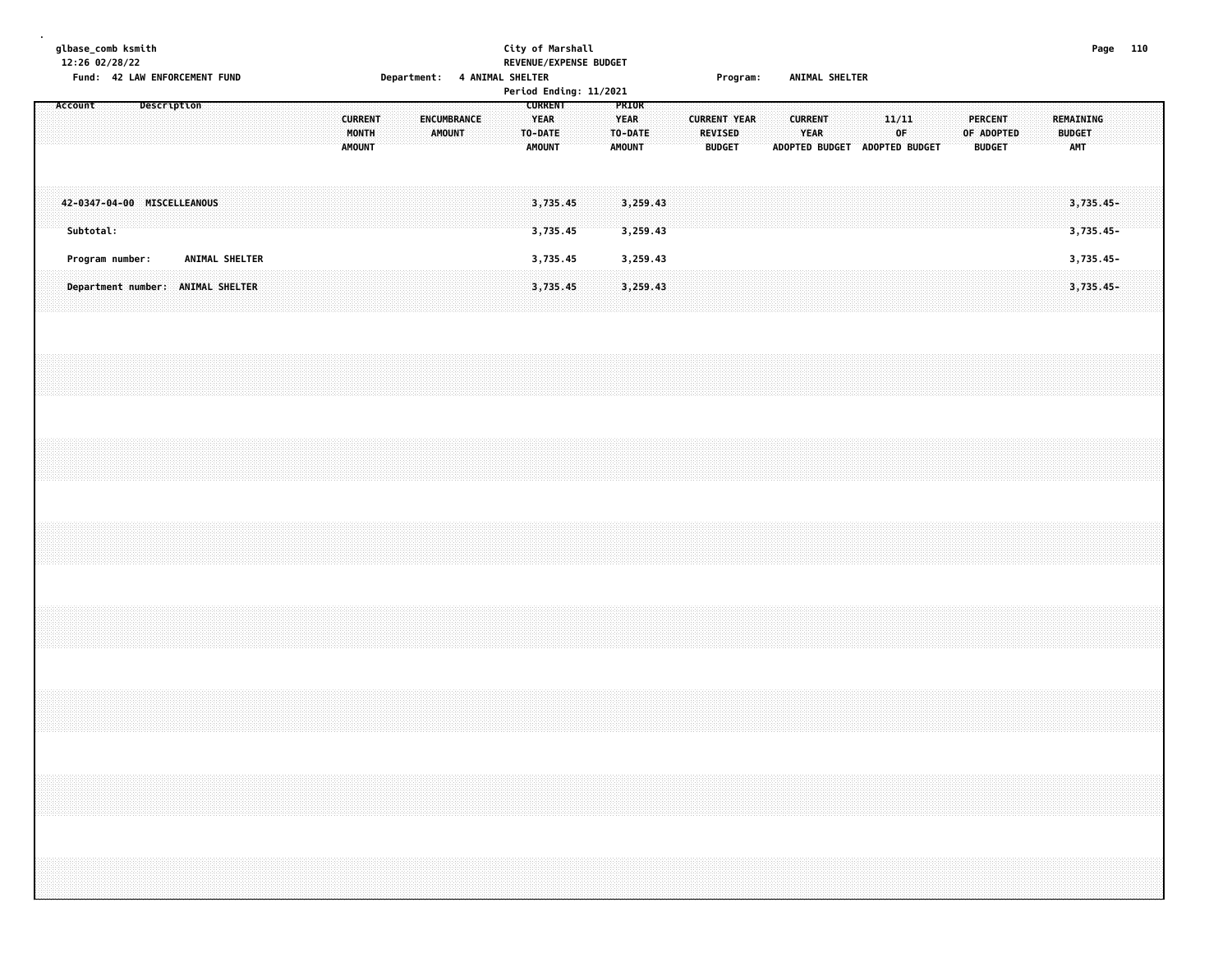| glbase_comb ksmith<br>12:26 02/28/22 |           |                 | Fund: 42 LAW ENFORCEMENT FUND     |  |                |  |  |                                          | Department: 4 ANIMAL SHELTER |                                     |  | City of Marshall<br>REVENUE/EXPENSE BUDGET |                                                           |  |                                                  |                      |  |                                 | Program:            |  | ANIMAL SHELTER         |  |                                              |  |                                               |  |                                   |                        | Page 110 |  |
|--------------------------------------|-----------|-----------------|-----------------------------------|--|----------------|--|--|------------------------------------------|------------------------------|-------------------------------------|--|--------------------------------------------|-----------------------------------------------------------|--|--------------------------------------------------|----------------------|--|---------------------------------|---------------------|--|------------------------|--|----------------------------------------------|--|-----------------------------------------------|--|-----------------------------------|------------------------|----------|--|
| Account                              |           |                 | Description                       |  |                |  |  | <b>CURRENT</b><br>MONTH<br><b>AMOUNT</b> |                              | <b>ENCUMBRANCE</b><br><b>AMOUNT</b> |  | Period Ending: 11/2021                     | <b>CURRENT</b><br><b>YEAR</b><br>TO-DATE<br><b>AMOUNT</b> |  | PRIOR<br><b>YEAR</b><br>TO-DATE<br><b>AMOUNT</b> |                      |  | <b>REVISED</b><br><b>BUDGET</b> | <b>CURRENT YEAR</b> |  | <b>CURRENT</b><br>YEAR |  | 11/11<br>0F<br>ADOPTED BUDGET ADOPTED BUDGET |  | <b>PERCENT</b><br>OF ADOPTED<br><b>BUDGET</b> |  | <b>REMAINING</b><br><b>BUDGET</b> | AMT                    |          |  |
|                                      | Subtotal: |                 | 42-0347-04-00 MISCELLEANOUS       |  |                |  |  |                                          |                              |                                     |  |                                            | 3,735.45<br>3,735.45                                      |  |                                                  | 3,259.43<br>3,259.43 |  |                                 |                     |  |                        |  |                                              |  |                                               |  |                                   | 3,735.45-<br>3,735.45- |          |  |
|                                      |           | Program number: |                                   |  | ANIMAL SHELTER |  |  |                                          |                              |                                     |  |                                            | 3,735.45                                                  |  |                                                  | 3,259.43             |  |                                 |                     |  |                        |  |                                              |  |                                               |  |                                   | 3,735.45-              |          |  |
|                                      |           |                 | Department number: ANIMAL SHELTER |  |                |  |  |                                          |                              |                                     |  |                                            | 3,735.45                                                  |  |                                                  | 3,259.43             |  |                                 |                     |  |                        |  |                                              |  |                                               |  |                                   | 3,735.45-              |          |  |
|                                      |           |                 |                                   |  |                |  |  |                                          |                              |                                     |  |                                            |                                                           |  |                                                  |                      |  |                                 |                     |  |                        |  |                                              |  |                                               |  |                                   |                        |          |  |
|                                      |           |                 |                                   |  |                |  |  |                                          |                              |                                     |  |                                            |                                                           |  |                                                  |                      |  |                                 |                     |  |                        |  |                                              |  |                                               |  |                                   |                        |          |  |
|                                      |           |                 |                                   |  |                |  |  |                                          |                              |                                     |  |                                            |                                                           |  |                                                  |                      |  |                                 |                     |  |                        |  |                                              |  |                                               |  |                                   |                        |          |  |
|                                      |           |                 |                                   |  |                |  |  |                                          |                              |                                     |  |                                            |                                                           |  |                                                  |                      |  |                                 |                     |  |                        |  |                                              |  |                                               |  |                                   |                        |          |  |
|                                      |           |                 |                                   |  |                |  |  |                                          |                              |                                     |  |                                            |                                                           |  |                                                  |                      |  |                                 |                     |  |                        |  |                                              |  |                                               |  |                                   |                        |          |  |
|                                      |           |                 |                                   |  |                |  |  |                                          |                              |                                     |  |                                            |                                                           |  |                                                  |                      |  |                                 |                     |  |                        |  |                                              |  |                                               |  |                                   |                        |          |  |
|                                      |           |                 |                                   |  |                |  |  |                                          |                              |                                     |  |                                            |                                                           |  |                                                  |                      |  |                                 |                     |  |                        |  |                                              |  |                                               |  |                                   |                        |          |  |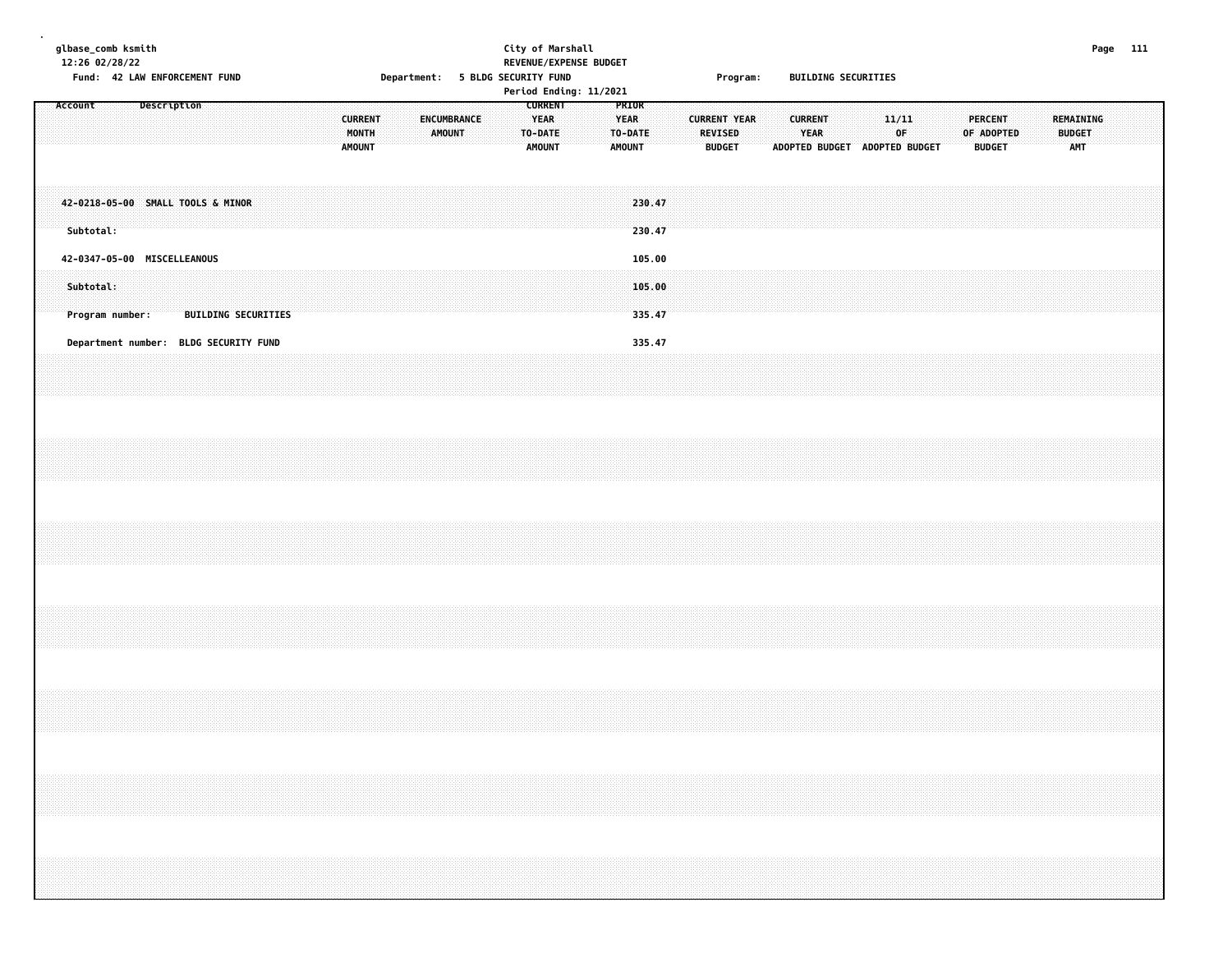|  |         | 12:26 02/28/22 | glbase_comb ksmith | Fund: 42 LAW ENFORCEMENT FUND         |  |                            |  |  |  |                                          |  |               |             |  |                              | City of Marshall<br>Department: 5 BLDG SECURITY FUND | REVENUE/EXPENSE BUDGET<br>Period Ending: 11/2021 |                                                  |                            |  |                                 | Program:            |  |                        |  | <b>BUILDING SECURITIES</b>    |             |  |  |                                               |  |                                          | Page 111 |  |
|--|---------|----------------|--------------------|---------------------------------------|--|----------------------------|--|--|--|------------------------------------------|--|---------------|-------------|--|------------------------------|------------------------------------------------------|--------------------------------------------------|--------------------------------------------------|----------------------------|--|---------------------------------|---------------------|--|------------------------|--|-------------------------------|-------------|--|--|-----------------------------------------------|--|------------------------------------------|----------|--|
|  | Account |                |                    | Description                           |  |                            |  |  |  | <b>CURRENT</b><br>MONTH<br><b>AMOUNT</b> |  | <b>AMOUNT</b> | ENCUMBRANCE |  | <b>YEAR</b><br><b>AMOUNT</b> | <b>CURRENT</b><br>TO-DATE                            |                                                  | PRIOR<br><b>YEAR</b><br>TO-DATE<br><b>AMOUNT</b> |                            |  | <b>REVISED</b><br><b>BUDGET</b> | <b>CURRENT YEAR</b> |  | <b>CURRENT</b><br>YEAR |  | ADOPTED BUDGET ADOPTED BUDGET | 11/11<br>0F |  |  | <b>PERCENT</b><br>OF ADOPTED<br><b>BUDGET</b> |  | REMAINING<br><b>BUDGET</b><br><b>AMT</b> |          |  |
|  |         | Subtotal:      |                    | 42-0218-05-00 SMALL TOOLS & MINOR     |  |                            |  |  |  |                                          |  |               |             |  |                              |                                                      |                                                  |                                                  | 230.47<br>230.47           |  |                                 |                     |  |                        |  |                               |             |  |  |                                               |  |                                          |          |  |
|  |         | Subtotal:      | Program number:    | 42-0347-05-00 MISCELLEANOUS           |  | <b>BUILDING SECURITIES</b> |  |  |  |                                          |  |               |             |  |                              |                                                      |                                                  |                                                  | 105.00<br>105.00<br>335.47 |  |                                 |                     |  |                        |  |                               |             |  |  |                                               |  |                                          |          |  |
|  |         |                |                    | Department number: BLDG SECURITY FUND |  |                            |  |  |  |                                          |  |               |             |  |                              |                                                      |                                                  |                                                  | 335.47                     |  |                                 |                     |  |                        |  |                               |             |  |  |                                               |  |                                          |          |  |
|  |         |                |                    |                                       |  |                            |  |  |  |                                          |  |               |             |  |                              |                                                      |                                                  |                                                  |                            |  |                                 |                     |  |                        |  |                               |             |  |  |                                               |  |                                          |          |  |
|  |         |                |                    |                                       |  |                            |  |  |  |                                          |  |               |             |  |                              |                                                      |                                                  |                                                  |                            |  |                                 |                     |  |                        |  |                               |             |  |  |                                               |  |                                          |          |  |
|  |         |                |                    |                                       |  |                            |  |  |  |                                          |  |               |             |  |                              |                                                      |                                                  |                                                  |                            |  |                                 |                     |  |                        |  |                               |             |  |  |                                               |  |                                          |          |  |
|  |         |                |                    |                                       |  |                            |  |  |  |                                          |  |               |             |  |                              |                                                      |                                                  |                                                  |                            |  |                                 |                     |  |                        |  |                               |             |  |  |                                               |  |                                          |          |  |
|  |         |                |                    |                                       |  |                            |  |  |  |                                          |  |               |             |  |                              |                                                      |                                                  |                                                  |                            |  |                                 |                     |  |                        |  |                               |             |  |  |                                               |  |                                          |          |  |
|  |         |                |                    |                                       |  |                            |  |  |  |                                          |  |               |             |  |                              |                                                      |                                                  |                                                  |                            |  |                                 |                     |  |                        |  |                               |             |  |  |                                               |  |                                          |          |  |
|  |         |                |                    |                                       |  |                            |  |  |  |                                          |  |               |             |  |                              |                                                      |                                                  |                                                  |                            |  |                                 |                     |  |                        |  |                               |             |  |  |                                               |  |                                          |          |  |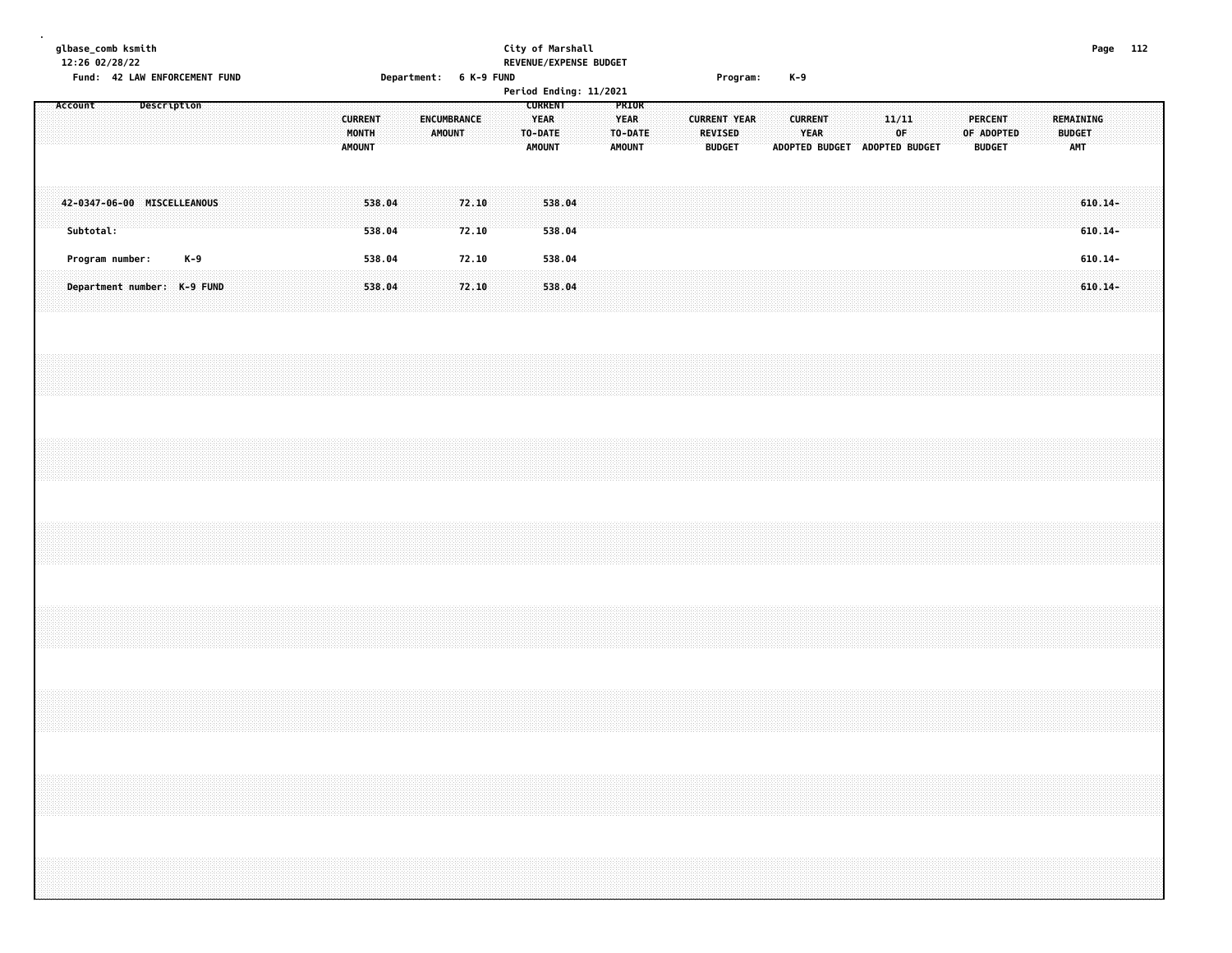**glbase\_comb ksmith City of Marshall Page 112 12:26 02/28/22 REVENUE/EXPENSE BUDGET Fund: 42 LAW ENFORCEMENT FUND Department: 6 K-9 FUND Program: K-9 Period Ending: 11/2021 Account Description CURRENT PRIOR CURRENT ENCUMBRANCE YEAR YEAR CURRENT YEAR CURRENT 11/11 PERCENT REMAINING MONTH AMOUNT TO-DATE TO-DATE REVISED YEAR OF OF ADOPTED BUDGET AMOUNT AMOUNT AMOUNT BUDGET ADOPTED BUDGET ADOPTED BUDGET BUDGET AMT 42-0347-06-00 MISCELLEANOUS 538.04 72.10 538.04 610.14- Subtotal: 538.04 72.10 538.04 610.14- Program number: K-9 538.04 72.10 538.04 610.14- Department number: K-9 FUND 538.04 72.10 538.04 610.14-**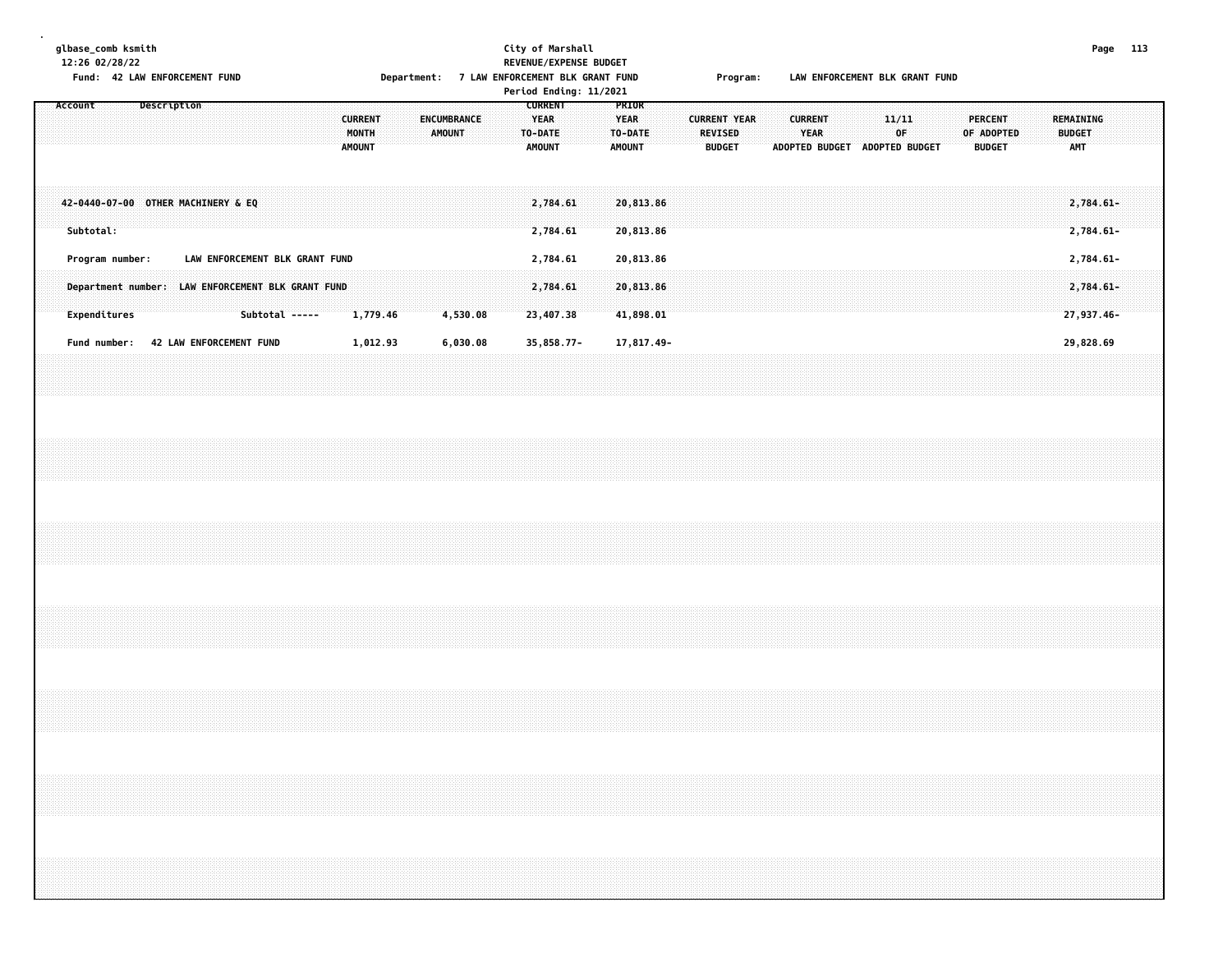**glbase\_comb ksmith City of Marshall Page 113 12:26 02/28/22 REVENUE/EXPENSE BUDGET Fund: 42 LAW ENFORCEMENT FUND Department: 7 LAW ENFORCEMENT BLK GRANT FUND Program: LAW ENFORCEMENT BLK GRANT FUND Period Ending: 11/2021 Account Description CURRENT PRIOR CURRENT ENCUMBRANCE YEAR YEAR CURRENT YEAR CURRENT 11/11 PERCENT REMAINING MONTH AMOUNT TO-DATE TO-DATE REVISED YEAR OF OF ADOPTED BUDGET AMOUNT AMOUNT AMOUNT BUDGET ADOPTED BUDGET ADOPTED BUDGET BUDGET AMT 42-0440-07-00 OTHER MACHINERY & EQ 2,784.61 20,813.86 2,784.61- Subtotal: 2,784.61 20,813.86 2,784.61- Program number: LAW ENFORCEMENT BLK GRANT FUND 2,784.61 20,813.86 2,784.61-**

**.**

 **Department number: LAW ENFORCEMENT BLK GRANT FUND 2,784.61 20,813.86 2,784.61- Expenditures Subtotal ----- 1,779.46 4,530.08 23,407.38 41,898.01 27,937.46-** Fund number: 42 LAW ENFORCEMENT FUND 1,012.93 6,030.08 35,858.77- 17,817.49- 17,817.49-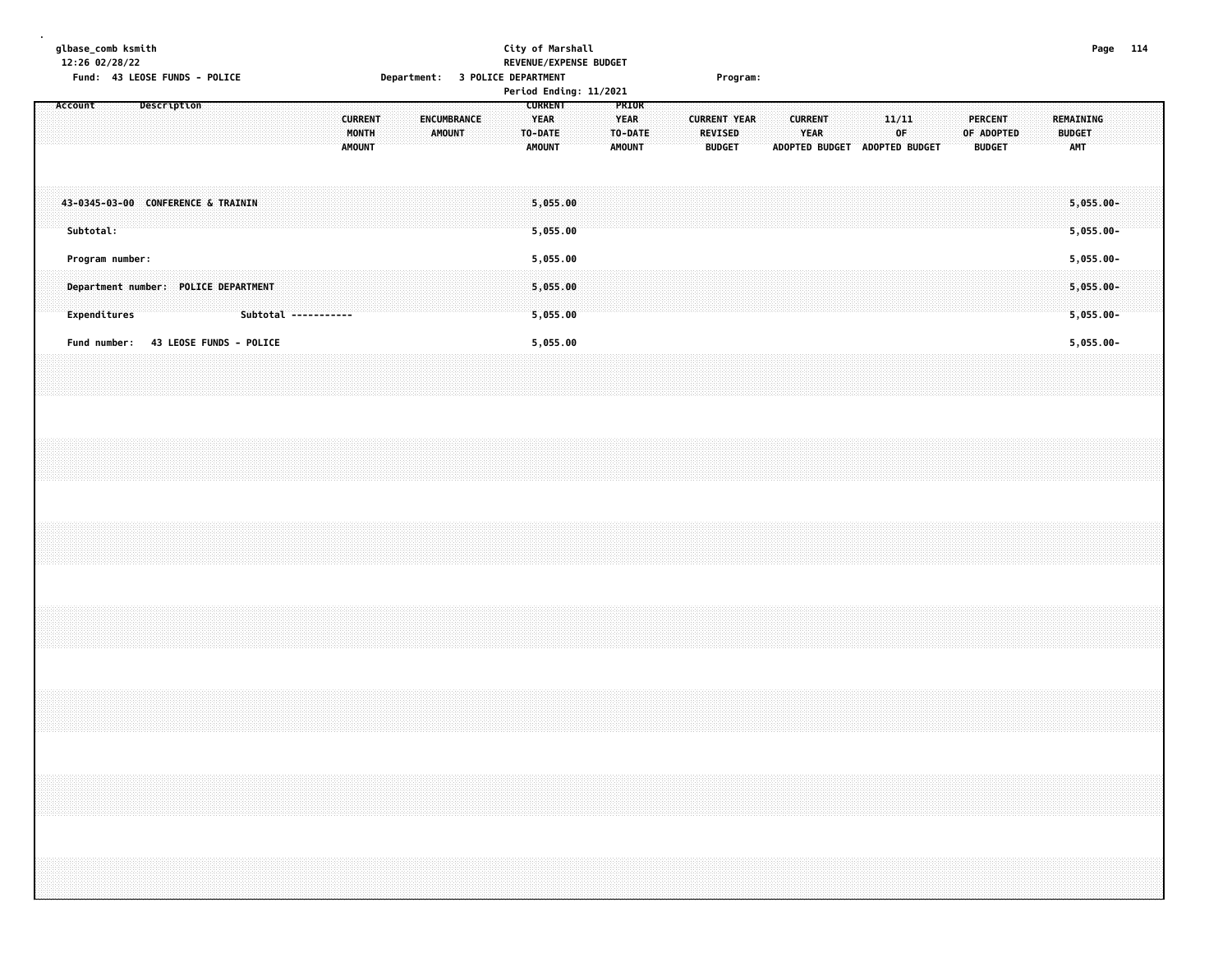**glbase\_comb ksmith City of Marshall Page 114 12:26 02/28/22 REVENUE/EXPENSE BUDGET Fund: 43 LEOSE FUNDS - POLICE Department: 3 POLICE DEPARTMENT Program: Period Ending: 11/2021 Account Description CURRENT PRIOR CURRENT ENCUMBRANCE YEAR YEAR CURRENT YEAR CURRENT 11/11 PERCENT REMAINING MONTH AMOUNT TO-DATE TO-DATE REVISED YEAR OF OF ADOPTED BUDGET AMOUNT AMOUNT AMOUNT BUDGET ADOPTED BUDGET ADOPTED BUDGET BUDGET AMT 43-0345-03-00 CONFERENCE & TRAININ 5,055.00 5,055.00- Subtotal: 5,055.00 5,055.00- Program number: 5,055.00 5,055.00- Department number: POLICE DEPARTMENT 5,055.00 5,055.00- Expenditures Subtotal ----------- 5,055.00 5,055.00- Fund number: 43 LEOSE FUNDS - POLICE 5,055.00 5,055.00-**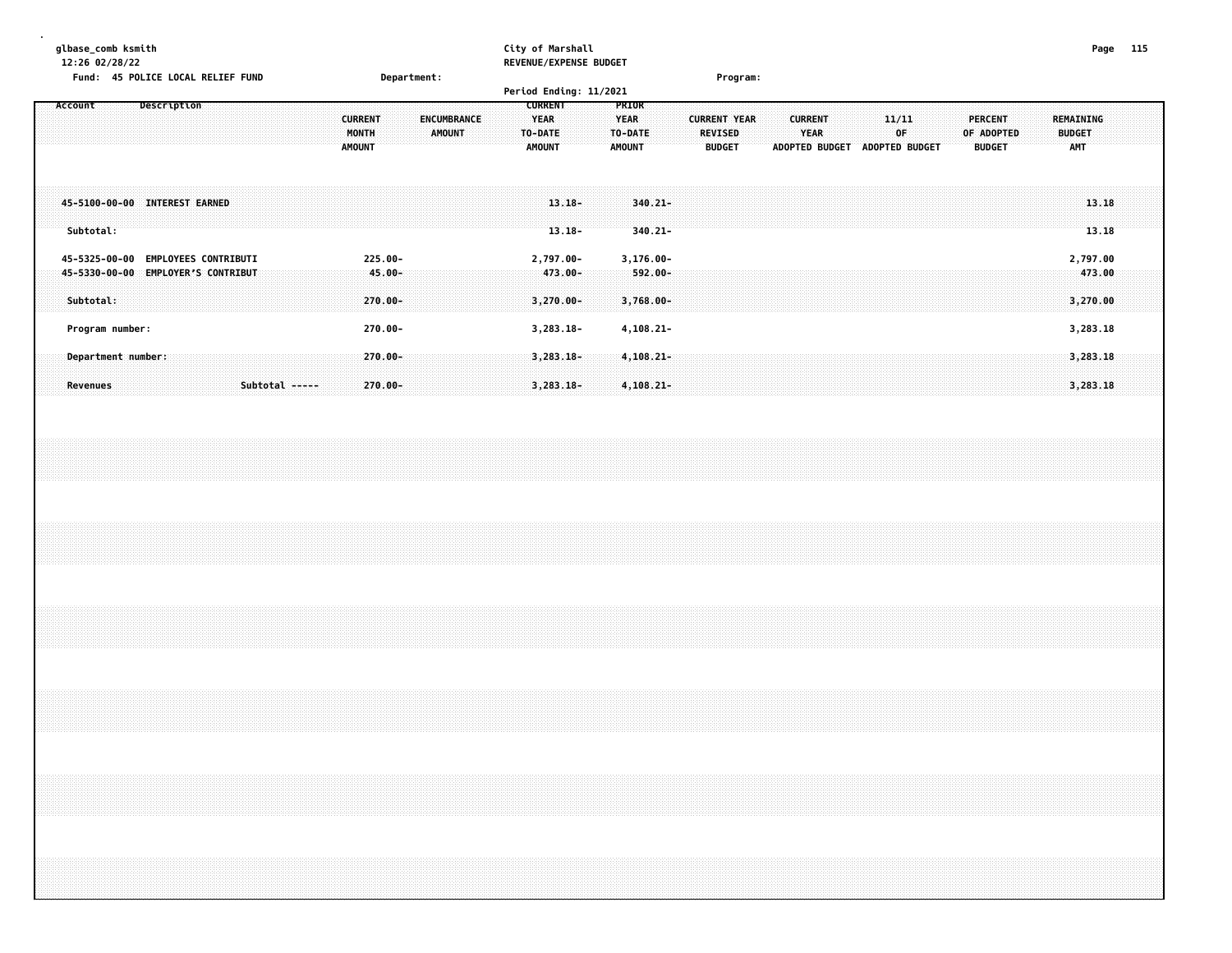| glbase comb ksmith                          |                    | City of Marshall              | Page | 115 |
|---------------------------------------------|--------------------|-------------------------------|------|-----|
| 12:26 02/28/22                              |                    | <b>REVENUE/EXPENSE BUDGET</b> |      |     |
| <b>45 POLICE LOCAL RELIEF FUND</b><br>Fund: | <b>Department:</b> | Program:                      |      |     |

|           |                    |                                    |  |                |  |               |                          |                    |        |  | Period Ending: 11/2021                                    |                             |                                                         |                               |  |                                                        |                       |                        |  |              |                |  |                                        |  |                                          |                |  |
|-----------|--------------------|------------------------------------|--|----------------|--|---------------|--------------------------|--------------------|--------|--|-----------------------------------------------------------|-----------------------------|---------------------------------------------------------|-------------------------------|--|--------------------------------------------------------|-----------------------|------------------------|--|--------------|----------------|--|----------------------------------------|--|------------------------------------------|----------------|--|
| Account   |                    | Description                        |  |                |  | <b>AMOUNT</b> | <b>CURRENT</b><br>MONTH  | <b>ENCUMBRANCE</b> | AMOUNT |  | <b>CURRENT</b><br><b>YEAR</b><br>TO-DATE<br><b>AMOUNT</b> |                             | <b>PRIOR</b><br><b>YEAR</b><br>TO-DATE<br><b>AMOUNT</b> |                               |  | <b>CURRENT YEAR</b><br><b>REVISED</b><br><b>BUDGET</b> | <b>ADOPTED BUDGET</b> | <b>CURRENT</b><br>YEAR |  | 11/11<br>∵OF | ADOPTED BUDGET |  | PERCENT<br>OF ADOPTED<br><b>BUDGET</b> |  | REMAINING<br><b>BUDGET</b><br><b>AMT</b> |                |  |
| Subtotal: |                    | 45-5100-00-00 INTEREST EARNED      |  |                |  |               |                          |                    |        |  |                                                           | $13.18 -$<br>$13.18 -$      |                                                         | $340.21 -$<br>$340.21 -$      |  |                                                        |                       |                        |  |              |                |  |                                        |  |                                          | 13.18<br>13.18 |  |
|           |                    | 45-5325-00-00 EMPLOYEES CONTRIBUTI |  |                |  |               | $225.00 -$               |                    |        |  |                                                           | 2,797.00-                   |                                                         | $3,176.00 -$                  |  |                                                        |                       |                        |  |              |                |  |                                        |  | 2,797.00                                 |                |  |
| Subtotal: |                    | 45-5330-00-00 EMPLOYER'S CONTRIBUT |  |                |  |               | $-45.00 -$<br>$270.00 -$ |                    |        |  |                                                           | $473.00 -$<br>$3,270.00 -$  |                                                         | $-592.00 -$<br>$3,768.00 -$   |  |                                                        |                       |                        |  |              |                |  |                                        |  | 3,270.00                                 | 473.00         |  |
|           | Program number:    |                                    |  |                |  |               | 270.00-                  |                    |        |  |                                                           | $3,283.18-$                 |                                                         | $4, 108.21 -$                 |  |                                                        |                       |                        |  |              |                |  |                                        |  | 3,283.18                                 |                |  |
| Revenues  | Department number: |                                    |  | Subtotal ----- |  |               | 270.00-<br>$270.00 -$    |                    |        |  |                                                           | $3,283.18-$<br>$3,283.18 -$ |                                                         | $4,108.21 -$<br>$4, 108.21 -$ |  |                                                        |                       |                        |  |              |                |  |                                        |  | 3,283.18<br>3,283.18                     |                |  |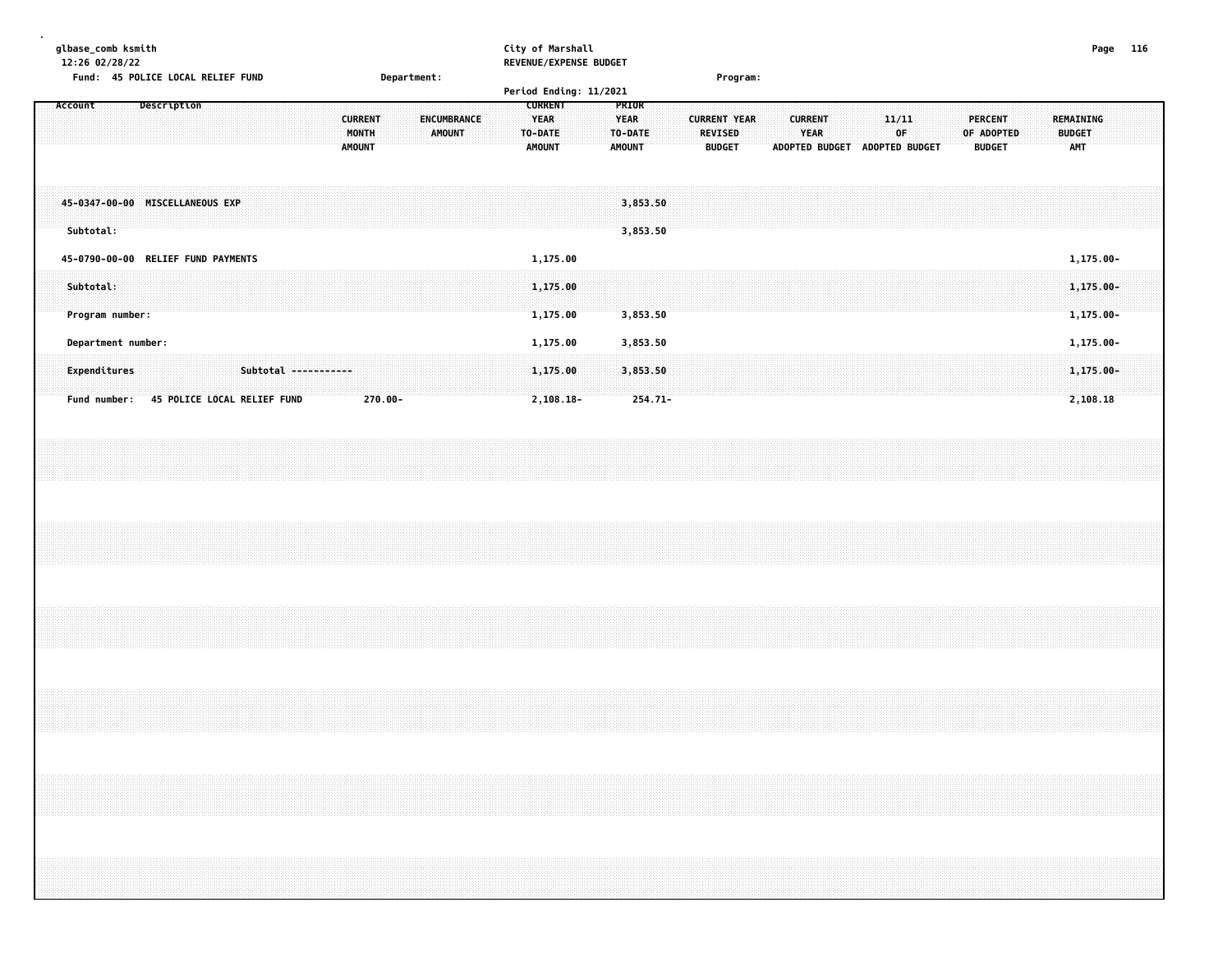| glbase_comb ksmith<br>12:26 02/28/22 |                    | City of Marshall<br>REVENUE/EXPENSE BUDGET                             |                 | 116     |
|--------------------------------------|--------------------|------------------------------------------------------------------------|-----------------|---------|
| Fund: 45 POLICE LOCAL RELIEF FUND    | <b>Department:</b> |                                                                        | <b>Program:</b> |         |
|                                      |                    | Period Ending: 11/2021                                                 |                 |         |
|                                      | <b>CURRENT</b>     | <b>CURREN</b><br>YEAR<br><b>The Second PEAR</b><br><b>CURRENT YEAR</b> |                 | PERCENT |

**MONTH AMOUNT TO-DATE TO-DATE REVISED YEAR OF OF ADOPTED BUDGET**

|  |                    |                                    |                             |  |                      |  | <b>AMOUNT</b> |  |  | <b>AMOUNT</b> |             |  | <b>AMOUNT</b> |            |  | <b>BUDGET</b> |  | ADOPTED BUDGET |  | ADOPTED BUDGET |  | <b>BUDGET</b> |  | <b>AMT</b> |               |  |
|--|--------------------|------------------------------------|-----------------------------|--|----------------------|--|---------------|--|--|---------------|-------------|--|---------------|------------|--|---------------|--|----------------|--|----------------|--|---------------|--|------------|---------------|--|
|  |                    |                                    |                             |  |                      |  |               |  |  |               |             |  |               |            |  |               |  |                |  |                |  |               |  |            |               |  |
|  |                    | 45-0347-00-00 MISCELLANEOUS EXP    |                             |  |                      |  |               |  |  |               |             |  |               | 3,853.50   |  |               |  |                |  |                |  |               |  |            |               |  |
|  | Subtotal:          |                                    |                             |  |                      |  |               |  |  |               |             |  |               | 3,853.50   |  |               |  |                |  |                |  |               |  |            |               |  |
|  |                    | 45-0790-00-00 RELIEF FUND PAYMENTS |                             |  |                      |  |               |  |  |               | 1,175.00    |  |               |            |  |               |  |                |  |                |  |               |  |            | 1,175.00-     |  |
|  | Subtotal:          |                                    |                             |  |                      |  |               |  |  |               | 1,175.00    |  |               |            |  |               |  |                |  |                |  |               |  |            | $1,175.00 -$  |  |
|  | Program number:    |                                    |                             |  |                      |  |               |  |  |               | 1,175.00    |  |               | 3,853.50   |  |               |  |                |  |                |  |               |  |            | $1,175.00 -$  |  |
|  | Department number: |                                    |                             |  |                      |  |               |  |  |               | 1,175.00    |  |               | 3,853.50   |  |               |  |                |  |                |  |               |  |            | $1, 175.00 -$ |  |
|  |                    |                                    |                             |  |                      |  |               |  |  |               |             |  |               |            |  |               |  |                |  |                |  |               |  |            |               |  |
|  | Expenditures       |                                    |                             |  | Subtotal ----------- |  |               |  |  |               | 1,175.00    |  |               | 3,853.50   |  |               |  |                |  |                |  |               |  |            | $1,175.00 -$  |  |
|  | Fund number:       |                                    | 45 POLICE LOCAL RELIEF FUND |  |                      |  | $270.00 -$    |  |  |               | $2,108.18-$ |  |               | $254.71 -$ |  |               |  |                |  |                |  |               |  |            | 2,108.18      |  |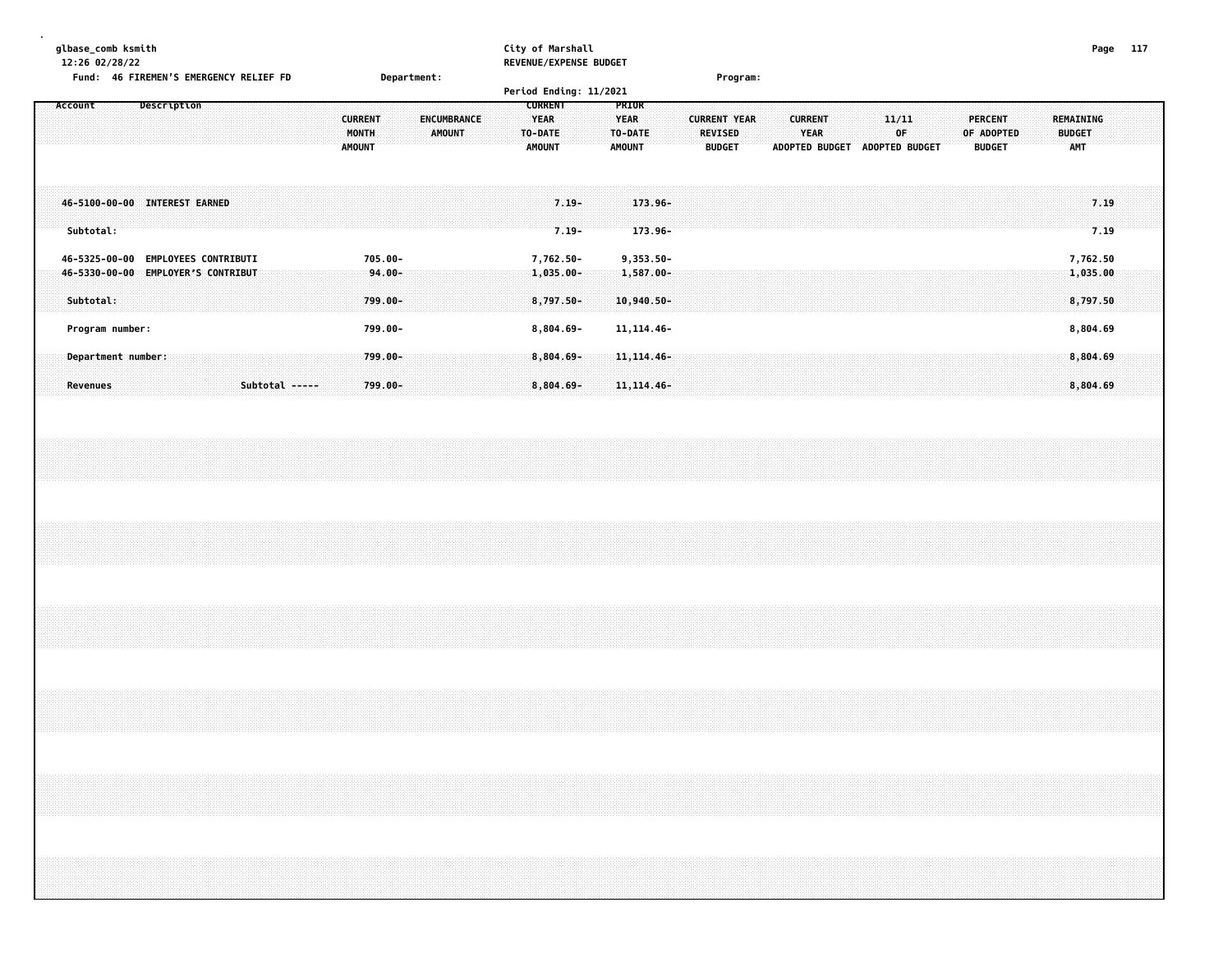| qlbase comb ksmith                     |             | City of Marshall              | Page | 117 |
|----------------------------------------|-------------|-------------------------------|------|-----|
| 12:26 02/28/22                         |             | <b>REVENUE/EXPENSE BUDGET</b> |      |     |
| Fund: 46 FIREMEN'S EMERGENCY RELIEF FD | Department: | Program:                      |      |     |

|                                                     |                                                            |                |                                          |           |                       | Period Ending: 11/2021                                     |                                                         |                                 |                     |                                                        |                |             |         |                             |                                          |  |
|-----------------------------------------------------|------------------------------------------------------------|----------------|------------------------------------------|-----------|-----------------------|------------------------------------------------------------|---------------------------------------------------------|---------------------------------|---------------------|--------------------------------------------------------|----------------|-------------|---------|-----------------------------|------------------------------------------|--|
| Account                                             | Description                                                |                | <b>CURRENT</b><br>MONTH<br><b>AMOUNT</b> |           | ENCUMBRANCE<br>AMOUNT | <b>CURRENT</b><br><b>YEAR</b><br>TO-DATE:<br><b>AMOUNT</b> | <b>PRIOR</b><br><b>YEAR</b><br>TO-DATE<br><b>AMOUNT</b> | <b>REVISED</b><br><b>BUDGET</b> | <b>CURRENT YEAR</b> | <b>CURRENT</b><br><b>YEAR</b><br><b>ADOPTED BUDGET</b> | ADOPTED BUDGET | 11/11<br>0F | PERCENT | OF ADOPTED<br><b>BUDGET</b> | REMAINING<br><b>BUDGET</b><br><b>AMT</b> |  |
| 46-5100-00-00 INTEREST EARNED<br>Subtotal:          |                                                            |                |                                          |           |                       | $7.19 -$<br>$7.19 -$                                       | $173.96 -$<br>173.96-                                   |                                 |                     |                                                        |                |             |         |                             | 7.19<br>7.19                             |  |
| 46-5325-00-00<br>$46 - 5330 - 00 - 00$<br>Subtotal: | <b>EMPLOYEES CONTRIBUTI</b><br><b>EMPLOYER'S CONTRIBUT</b> |                | 705.00-<br>799.00-                       | $94.00 -$ |                       | 7,762.50-<br>$1,035.00 -$<br>8,797.50-                     | $9,353.50 -$<br>$1,587.00 -$<br>$10,940.50 -$           |                                 |                     |                                                        |                |             |         |                             | 7,762.50<br>1,035.00<br>8,797.50         |  |
| Program number:                                     |                                                            |                | 799.00-                                  |           |                       | $8,804.69 -$                                               | $11, 114.46 -$                                          |                                 |                     |                                                        |                |             |         |                             | 8,804.69                                 |  |
| Department number:<br>Revenues                      |                                                            | Subtotal ----- | 799.00-<br>$799.00 -$                    |           |                       | 8,804.69-<br>$8,804.69 -$                                  | $11, 114, 46$ -<br>$11, 114.46 -$                       |                                 |                     |                                                        |                |             |         |                             | 8,804.69<br>8,804.69                     |  |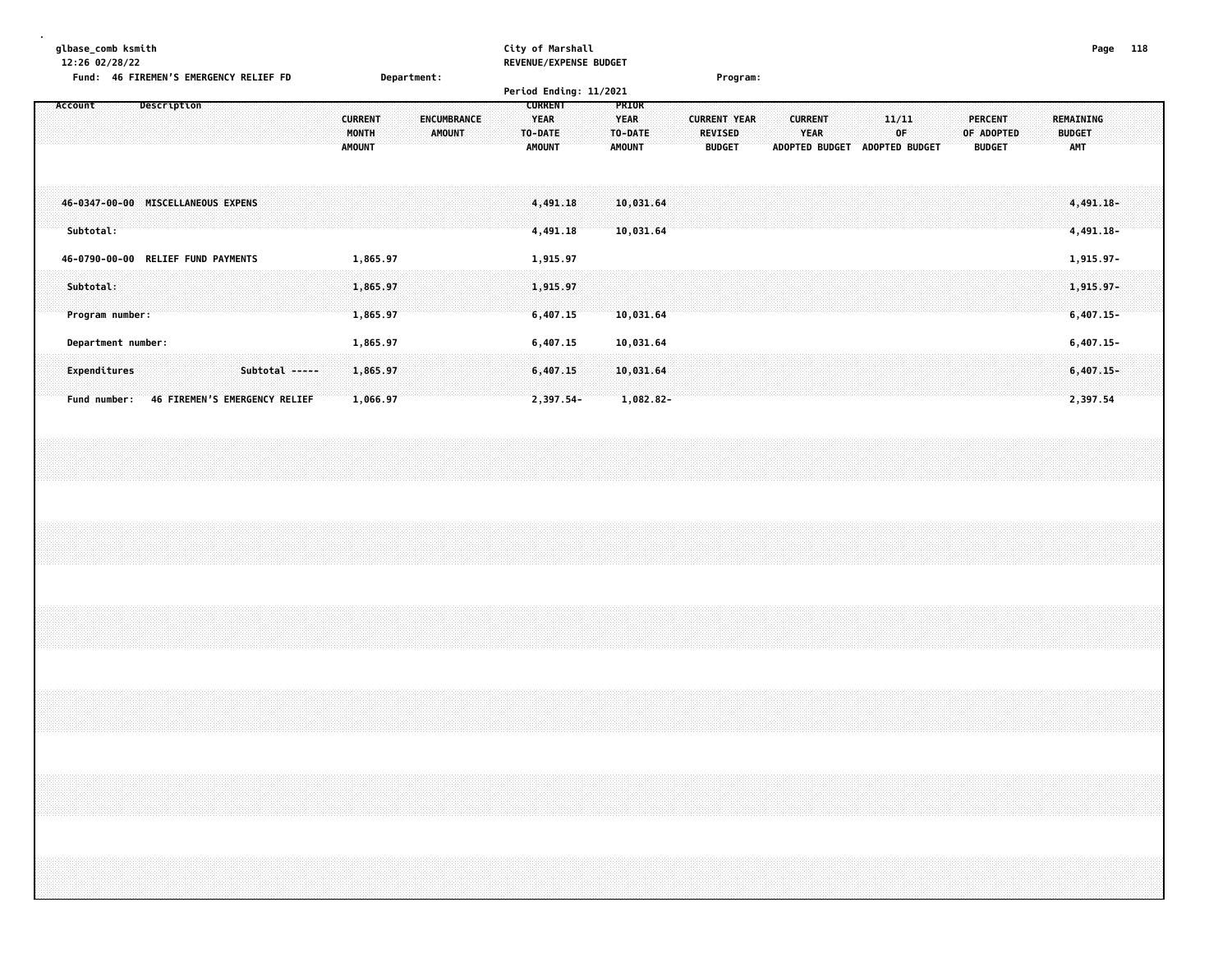| qlbase comb ksmith                        |                    | City of Marshall       | 118<br>Page |
|-------------------------------------------|--------------------|------------------------|-------------|
| 12:26 02/28/22                            |                    | REVENUE/EXPENSE BUDGET |             |
| Fund:<br>46 FIREMEN'S EMERGENCY RELIEF FD | <b>Department:</b> | Program:               |             |

|                                                                                                              |                                                                          | Period Ending: 11/2021                                                                                        |                                                                                                                  |                                                                                       |                                          |
|--------------------------------------------------------------------------------------------------------------|--------------------------------------------------------------------------|---------------------------------------------------------------------------------------------------------------|------------------------------------------------------------------------------------------------------------------|---------------------------------------------------------------------------------------|------------------------------------------|
| Description<br>Account                                                                                       | <b>CURRENT</b><br>ENCUMBRANCE<br><b>MONTH</b><br>AMOUNT<br><b>AMOUNT</b> | <b>CURRENT</b><br><b>PRIOR</b><br><b>YEAR</b><br><b>YEAR</b><br>TO-DATE<br>TO-DATE<br>AMOUNT<br><b>AMOUNT</b> | <b>CURRENT YEAR</b><br><b>CURRENT</b><br><b>YEAR</b><br><b>REVISED</b><br><b>ADOPTED BUDGET</b><br><b>BUDGET</b> | 11/11<br><b>PERCENT</b><br>0F<br>OF ADOPTED<br><b>ADOPTED BUDGET</b><br><b>BUDGET</b> | REMAINING<br><b>BUDGET</b><br><b>AMT</b> |
| 46-0347-00-00 MISCELLANEOUS EXPENS<br>Subtotal:                                                              |                                                                          | 10,031.64<br>4,491.18<br>4,491.18<br>10,031.64                                                                |                                                                                                                  |                                                                                       | 4,491.18-<br>4,491.18-                   |
| <b>RELIEF FUND PAYMENTS</b><br>46-0790-00-00<br>Subtotal:<br>Program number:                                 | 1,865.97<br>1,865.97<br>1,865.97                                         | 1,915.97<br>1,915.97<br>6,407.15<br>10,031.64                                                                 |                                                                                                                  |                                                                                       | 1,915.97-<br>$1,915.97 -$<br>$6,407.15-$ |
| Department number:<br>Subtotal -----<br>Expenditures<br><b>46 FIREMEN'S EMERGENCY RELIEF</b><br>Fund number: | 1,865.97<br>1,865.97<br>1,066.97                                         | 6,407.15<br>10,031.64<br>6,407.15<br>10,031.64<br>2,397.54-<br>$1,082.82-$                                    |                                                                                                                  |                                                                                       | $6,407.15-$<br>$6,407.15-$<br>2,397.54   |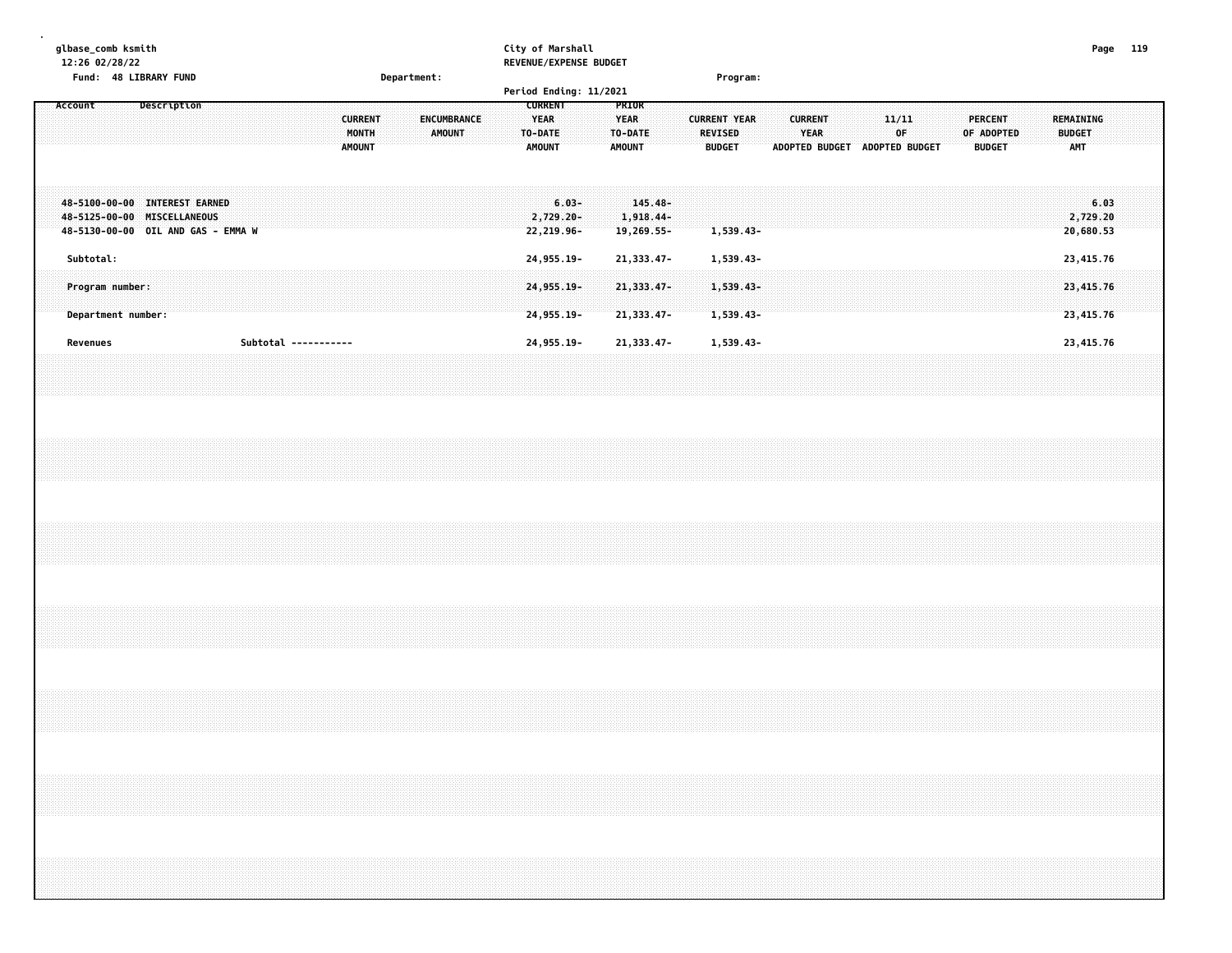|         |           | 12:26 02/28/22 | glbase_comb ksmith |                    | Fund: 48 LIBRARY FUND |                                                                                                    |  |  |                      |  |                                          | Department: |               |             |  | City of Marshall |                                         |                                     | REVENUE/EXPENSE BUDGET |                                         |                                       |  | Program:                                        |           |                               |                        |  |             |  |                                               |  |                                          | Page 119                      |  |  |
|---------|-----------|----------------|--------------------|--------------------|-----------------------|----------------------------------------------------------------------------------------------------|--|--|----------------------|--|------------------------------------------|-------------|---------------|-------------|--|------------------|-----------------------------------------|-------------------------------------|------------------------|-----------------------------------------|---------------------------------------|--|-------------------------------------------------|-----------|-------------------------------|------------------------|--|-------------|--|-----------------------------------------------|--|------------------------------------------|-------------------------------|--|--|
| Account |           |                |                    |                    | Description           |                                                                                                    |  |  |                      |  |                                          |             |               |             |  |                  | <b>CURRENT</b>                          |                                     | Period Ending: 11/2021 | PRIOR                                   |                                       |  |                                                 |           |                               |                        |  |             |  |                                               |  |                                          |                               |  |  |
|         |           |                |                    |                    |                       |                                                                                                    |  |  |                      |  | <b>CURRENT</b><br>MONTH<br><b>AMOUNT</b> |             | <b>AMOUNT</b> | ENCUMBRANCE |  |                  | <b>YEAR</b><br>TO-DATE<br><b>AMOUNT</b> |                                     |                        | <b>YEAR</b><br>TO-DATE<br><b>AMOUNT</b> |                                       |  | <b>CURRENT YEAR</b><br>REVISED<br><b>BUDGET</b> |           | ADOPTED BUDGET ADOPTED BUDGET | <b>CURRENT</b><br>YEAR |  | 11/11<br>OF |  | <b>PERCENT</b><br>OF ADOPTED<br><b>BUDGET</b> |  | REMAINING<br><b>BUDGET</b><br><b>AMT</b> |                               |  |  |
|         |           |                |                    |                    |                       | 48-5100-00-00 INTEREST EARNED<br>48-5125-00-00 MISCELLANEOUS<br>48-5130-00-00 OIL AND GAS - EMMA W |  |  |                      |  |                                          |             |               |             |  |                  |                                         | $6.03 -$<br>2,729.20-<br>22,219.96- |                        |                                         | $145.48 -$<br>1,918.44-<br>19,269.55- |  |                                                 | 1,539.43- |                               |                        |  |             |  |                                               |  |                                          | 6.03<br>2,729.20<br>20,680.53 |  |  |
|         | Subtotal: |                |                    |                    |                       |                                                                                                    |  |  |                      |  |                                          |             |               |             |  |                  |                                         | 24, 955. 19-                        |                        |                                         | 21, 333.47-                           |  |                                                 | 1,539.43- |                               |                        |  |             |  |                                               |  |                                          | 23,415.76                     |  |  |
|         |           |                | Program number:    | Department number: |                       |                                                                                                    |  |  |                      |  |                                          |             |               |             |  |                  |                                         | 24,955.19-<br>24,955.19-            |                        |                                         | 21,333.47-<br>21,333.47-              |  | 1,539.43-                                       | 1,539.43- |                               |                        |  |             |  |                                               |  |                                          | 23,415.76<br>23,415.76        |  |  |
|         | Revenues  |                |                    |                    |                       |                                                                                                    |  |  | Subtotal ----------- |  |                                          |             |               |             |  |                  |                                         | 24,955.19-                          |                        |                                         | 21, 333.47-                           |  |                                                 | 1,539.43- |                               |                        |  |             |  |                                               |  |                                          | 23,415.76                     |  |  |
|         |           |                |                    |                    |                       |                                                                                                    |  |  |                      |  |                                          |             |               |             |  |                  |                                         |                                     |                        |                                         |                                       |  |                                                 |           |                               |                        |  |             |  |                                               |  |                                          |                               |  |  |
|         |           |                |                    |                    |                       |                                                                                                    |  |  |                      |  |                                          |             |               |             |  |                  |                                         |                                     |                        |                                         |                                       |  |                                                 |           |                               |                        |  |             |  |                                               |  |                                          |                               |  |  |
|         |           |                |                    |                    |                       |                                                                                                    |  |  |                      |  |                                          |             |               |             |  |                  |                                         |                                     |                        |                                         |                                       |  |                                                 |           |                               |                        |  |             |  |                                               |  |                                          |                               |  |  |
|         |           |                |                    |                    |                       |                                                                                                    |  |  |                      |  |                                          |             |               |             |  |                  |                                         |                                     |                        |                                         |                                       |  |                                                 |           |                               |                        |  |             |  |                                               |  |                                          |                               |  |  |
|         |           |                |                    |                    |                       |                                                                                                    |  |  |                      |  |                                          |             |               |             |  |                  |                                         |                                     |                        |                                         |                                       |  |                                                 |           |                               |                        |  |             |  |                                               |  |                                          |                               |  |  |
|         |           |                |                    |                    |                       |                                                                                                    |  |  |                      |  |                                          |             |               |             |  |                  |                                         |                                     |                        |                                         |                                       |  |                                                 |           |                               |                        |  |             |  |                                               |  |                                          |                               |  |  |
|         |           |                |                    |                    |                       |                                                                                                    |  |  |                      |  |                                          |             |               |             |  |                  |                                         |                                     |                        |                                         |                                       |  |                                                 |           |                               |                        |  |             |  |                                               |  |                                          |                               |  |  |
|         |           |                |                    |                    |                       |                                                                                                    |  |  |                      |  |                                          |             |               |             |  |                  |                                         |                                     |                        |                                         |                                       |  |                                                 |           |                               |                        |  |             |  |                                               |  |                                          |                               |  |  |
|         |           |                |                    |                    |                       |                                                                                                    |  |  |                      |  |                                          |             |               |             |  |                  |                                         |                                     |                        |                                         |                                       |  |                                                 |           |                               |                        |  |             |  |                                               |  |                                          |                               |  |  |
|         |           |                |                    |                    |                       |                                                                                                    |  |  |                      |  |                                          |             |               |             |  |                  |                                         |                                     |                        |                                         |                                       |  |                                                 |           |                               |                        |  |             |  |                                               |  |                                          |                               |  |  |
|         |           |                |                    |                    |                       |                                                                                                    |  |  |                      |  |                                          |             |               |             |  |                  |                                         |                                     |                        |                                         |                                       |  |                                                 |           |                               |                        |  |             |  |                                               |  |                                          |                               |  |  |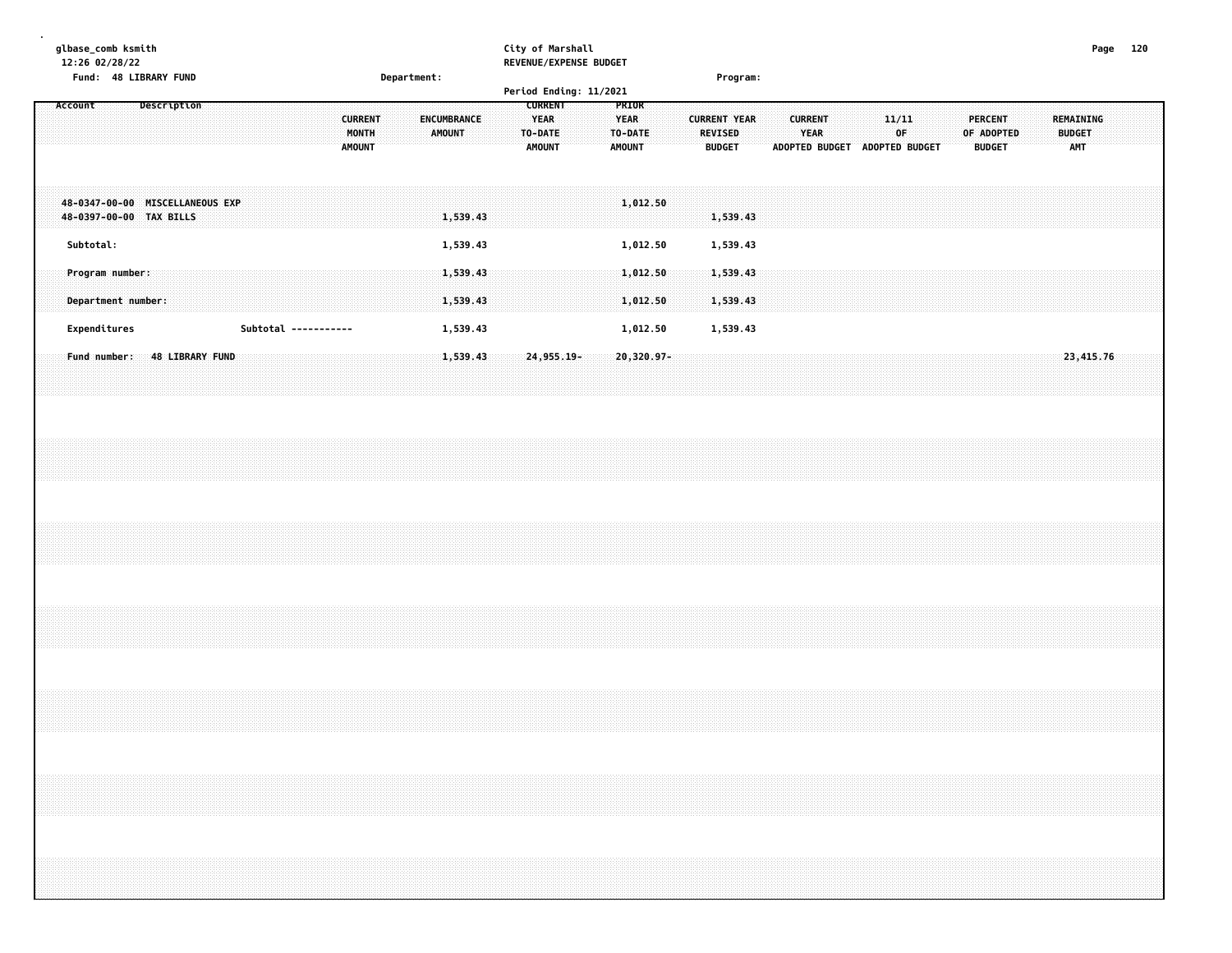| Subtotal:<br>1,539.43<br>1,539.43<br>1,012.50 | Program number:<br>1,539.43<br>1,012.50<br>1,539.43<br>1,539.43<br>1,012.50<br>1,539.43<br>Department number: | Expenditures<br>1,539.43<br>1,539.43<br>Subtotal -----------<br>1,012.50<br>24, 955, 19-<br>23,415.76<br>Fund number: 48 LIBRARY FUND<br>1,539.43<br>20,320.97- |  |  |
|-----------------------------------------------|---------------------------------------------------------------------------------------------------------------|-----------------------------------------------------------------------------------------------------------------------------------------------------------------|--|--|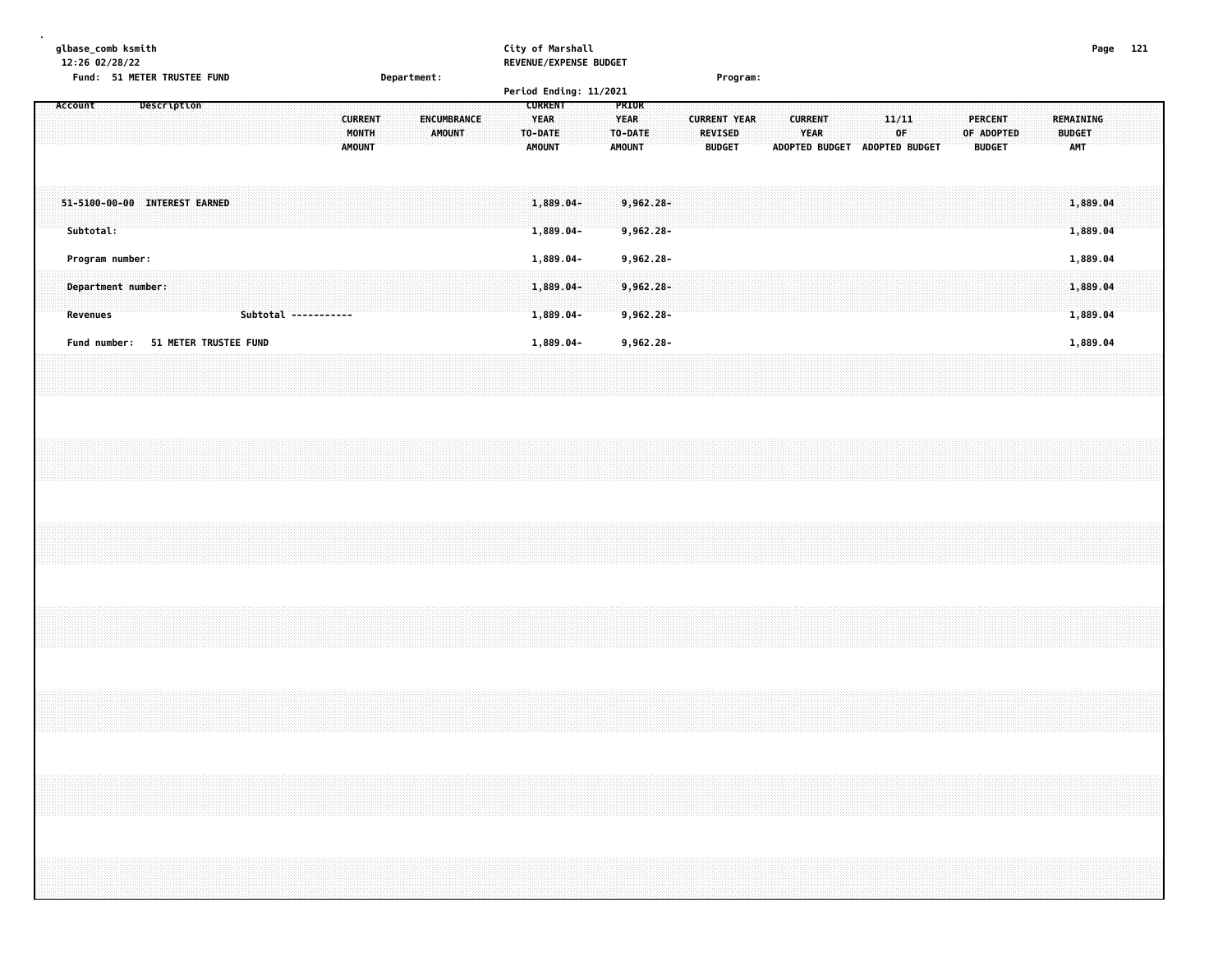|                                                          | Fund: 51 METER TRUSTEE FUND |                      | Department:                                                              | City of Marshall<br>REVENUE/EXPENSE BUDGET                                          | Program:                                                                                                   |                                                                        |                                               | Page 121                                        |
|----------------------------------------------------------|-----------------------------|----------------------|--------------------------------------------------------------------------|-------------------------------------------------------------------------------------|------------------------------------------------------------------------------------------------------------|------------------------------------------------------------------------|-----------------------------------------------|-------------------------------------------------|
| Account                                                  | Description                 |                      | <b>CURRENT</b><br>ENCUMBRANCE<br>MONTH<br><b>AMOUNT</b><br><b>AMOUNT</b> | Period Ending: 11/2021<br><b>CURRENT</b><br><b>YEAR</b><br>TO-DATE<br><b>AMOUNT</b> | PRIOR<br><b>YEAR</b><br><b>CURRENT YEAR</b><br>TO-DATE<br><b>REVISED</b><br><b>AMOUNT</b><br><b>BUDGET</b> | <b>CURRENT</b><br>11/11<br>YEAR<br>0F<br>ADOPTED BUDGET ADOPTED BUDGET | <b>PERCENT</b><br>OF ADOPTED<br><b>BUDGET</b> | <b>REMAINING</b><br><b>BUDGET</b><br><b>AMT</b> |
| 51-5100-00-00 INTEREST EARNED<br>Subtotal:               |                             |                      |                                                                          | $1,889.04 -$<br>1,889.04-                                                           | $9,962.28 -$<br>$9,962.28 -$                                                                               |                                                                        |                                               | 1,889.04<br>1,889.04                            |
| Program number:<br>Department number:<br><b>Revenues</b> |                             | Subtotal ----------- |                                                                          | 1,889.04-<br>1,889.04-<br>1,889.04-                                                 | 9,962.28-<br>$9,962.28 -$<br>$9,962.28 -$                                                                  |                                                                        |                                               | 1,889.04<br>1,889.04<br>1,889.04                |
| Fund number: 51 METER TRUSTEE FUND                       |                             |                      |                                                                          | 1,889.04-                                                                           | 9,962.28-                                                                                                  |                                                                        |                                               | 1,889.04                                        |
|                                                          |                             |                      |                                                                          |                                                                                     |                                                                                                            |                                                                        |                                               |                                                 |
|                                                          |                             |                      |                                                                          |                                                                                     |                                                                                                            |                                                                        |                                               |                                                 |
|                                                          |                             |                      |                                                                          |                                                                                     |                                                                                                            |                                                                        |                                               |                                                 |
|                                                          |                             |                      |                                                                          |                                                                                     |                                                                                                            |                                                                        |                                               |                                                 |
|                                                          |                             |                      |                                                                          |                                                                                     |                                                                                                            |                                                                        |                                               |                                                 |
|                                                          |                             |                      |                                                                          |                                                                                     |                                                                                                            |                                                                        |                                               |                                                 |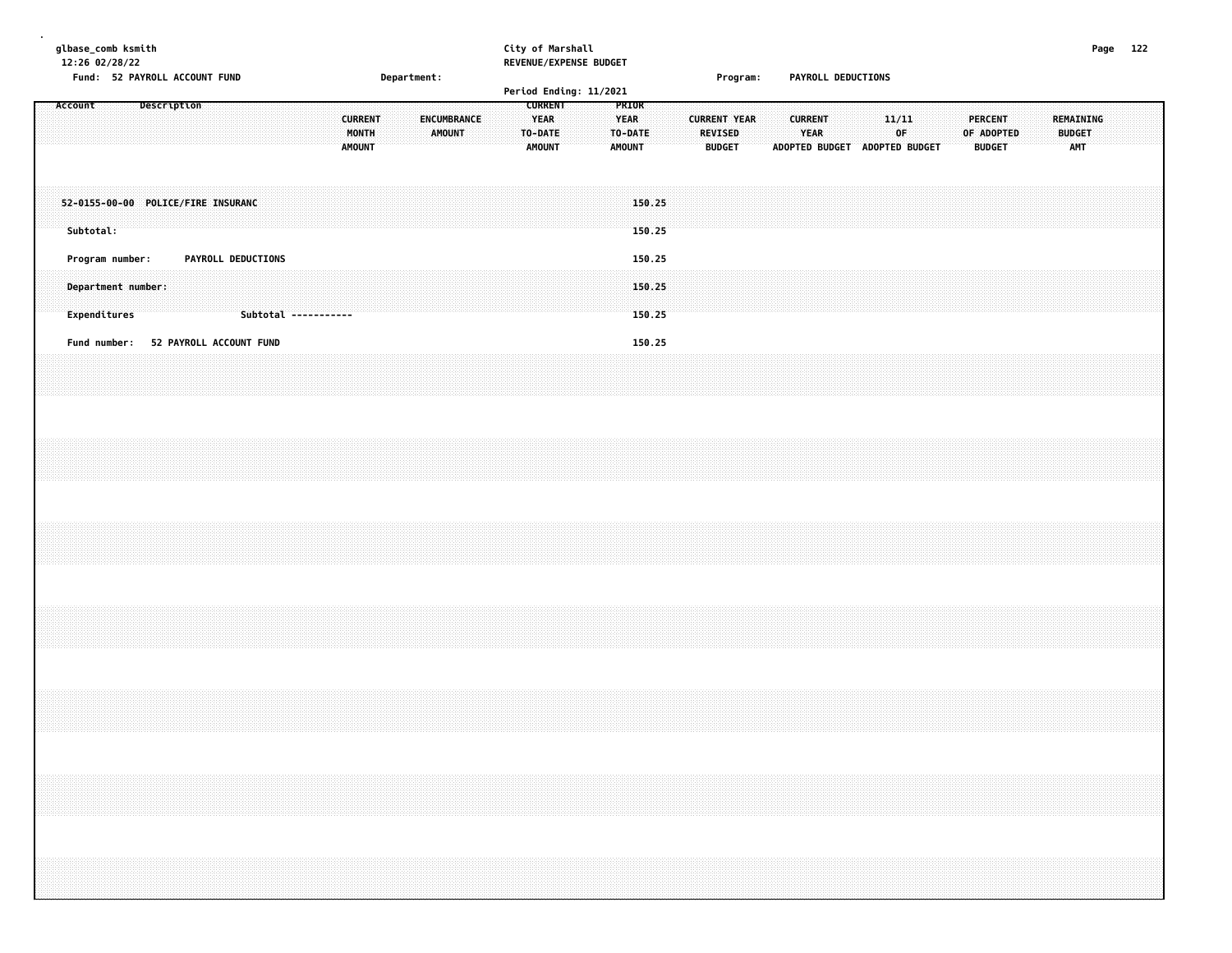|  | glbase_comb ksmith<br>12:26 02/28/22 |  |  | Fund: 52 PAYROLL ACCOUNT FUND        |  |                    |  |                      |                                          |  | Department: |             |               |  | City of Marshall<br>REVENUE/EXPENSE BUDGET<br>Period Ending: 11/2021 |  |                                                  |                  |  | Program:                                               |  |                        |  | PAYROLL DEDUCTIONS            |             |  |                                 |            |  |               |                                                                                                                                                                                                                                 | Page 122 |  |
|--|--------------------------------------|--|--|--------------------------------------|--|--------------------|--|----------------------|------------------------------------------|--|-------------|-------------|---------------|--|----------------------------------------------------------------------|--|--------------------------------------------------|------------------|--|--------------------------------------------------------|--|------------------------|--|-------------------------------|-------------|--|---------------------------------|------------|--|---------------|---------------------------------------------------------------------------------------------------------------------------------------------------------------------------------------------------------------------------------|----------|--|
|  | Account                              |  |  | Description                          |  |                    |  |                      | <b>CURRENT</b><br>MONTH<br><b>AMOUNT</b> |  |             | ENCUMBRANCE | <b>AMOUNT</b> |  | <b>CURRENT</b><br><b>YEAR</b><br>TO-DATE<br>AMOUNT                   |  | PRIOR<br><b>YEAR</b><br>TO-DATE<br><b>AMOUNT</b> |                  |  | <b>CURRENT YEAR</b><br><b>REVISED</b><br><b>BUDGET</b> |  | <b>CURRENT</b><br>YEAR |  | ADOPTED BUDGET ADOPTED BUDGET | 11/11<br>0F |  | <b>PERCENT</b><br><b>BUDGET</b> | OF ADOPTED |  | <b>BUDGET</b> | REMAINING<br><b>AMT</b>                                                                                                                                                                                                         |          |  |
|  | Subtotal:                            |  |  | 52-0155-00-00 POLICE/FIRE INSURANC   |  |                    |  |                      |                                          |  |             |             |               |  |                                                                      |  |                                                  | 150.25<br>150.25 |  |                                                        |  |                        |  |                               |             |  |                                 |            |  |               |                                                                                                                                                                                                                                 |          |  |
|  | Program number:                      |  |  |                                      |  | PAYROLL DEDUCTIONS |  |                      |                                          |  |             |             |               |  |                                                                      |  |                                                  | 150.25           |  |                                                        |  |                        |  |                               |             |  |                                 |            |  |               |                                                                                                                                                                                                                                 |          |  |
|  | Department number:<br>Expenditures   |  |  |                                      |  |                    |  | Subtotal ----------- |                                          |  |             |             |               |  |                                                                      |  |                                                  | 150.25<br>150.25 |  |                                                        |  |                        |  |                               |             |  |                                 |            |  |               |                                                                                                                                                                                                                                 |          |  |
|  |                                      |  |  | Fund number: 52 PAYROLL ACCOUNT FUND |  |                    |  |                      |                                          |  |             |             |               |  |                                                                      |  |                                                  | 150.25           |  |                                                        |  |                        |  |                               |             |  |                                 |            |  |               |                                                                                                                                                                                                                                 |          |  |
|  |                                      |  |  |                                      |  |                    |  |                      |                                          |  |             |             |               |  |                                                                      |  |                                                  |                  |  |                                                        |  |                        |  |                               |             |  |                                 |            |  |               |                                                                                                                                                                                                                                 |          |  |
|  |                                      |  |  |                                      |  |                    |  |                      |                                          |  |             |             |               |  |                                                                      |  |                                                  |                  |  |                                                        |  |                        |  |                               |             |  |                                 |            |  |               |                                                                                                                                                                                                                                 |          |  |
|  |                                      |  |  |                                      |  |                    |  |                      |                                          |  |             |             |               |  |                                                                      |  |                                                  |                  |  |                                                        |  |                        |  |                               |             |  |                                 |            |  |               |                                                                                                                                                                                                                                 |          |  |
|  |                                      |  |  |                                      |  |                    |  |                      |                                          |  |             |             |               |  |                                                                      |  |                                                  |                  |  |                                                        |  |                        |  |                               |             |  |                                 |            |  |               |                                                                                                                                                                                                                                 |          |  |
|  |                                      |  |  |                                      |  |                    |  |                      |                                          |  |             |             |               |  |                                                                      |  |                                                  |                  |  |                                                        |  |                        |  |                               |             |  |                                 |            |  |               |                                                                                                                                                                                                                                 |          |  |
|  |                                      |  |  |                                      |  |                    |  |                      |                                          |  |             |             |               |  |                                                                      |  |                                                  |                  |  |                                                        |  |                        |  |                               |             |  |                                 |            |  |               | $\sim$ . The contract of the contract of the contract of the contract of the contract of the contract of the contract of the contract of the contract of the contract of the contract of the contract of the contract of the co |          |  |
|  |                                      |  |  |                                      |  |                    |  |                      |                                          |  |             |             |               |  |                                                                      |  |                                                  |                  |  |                                                        |  |                        |  |                               |             |  |                                 |            |  |               |                                                                                                                                                                                                                                 |          |  |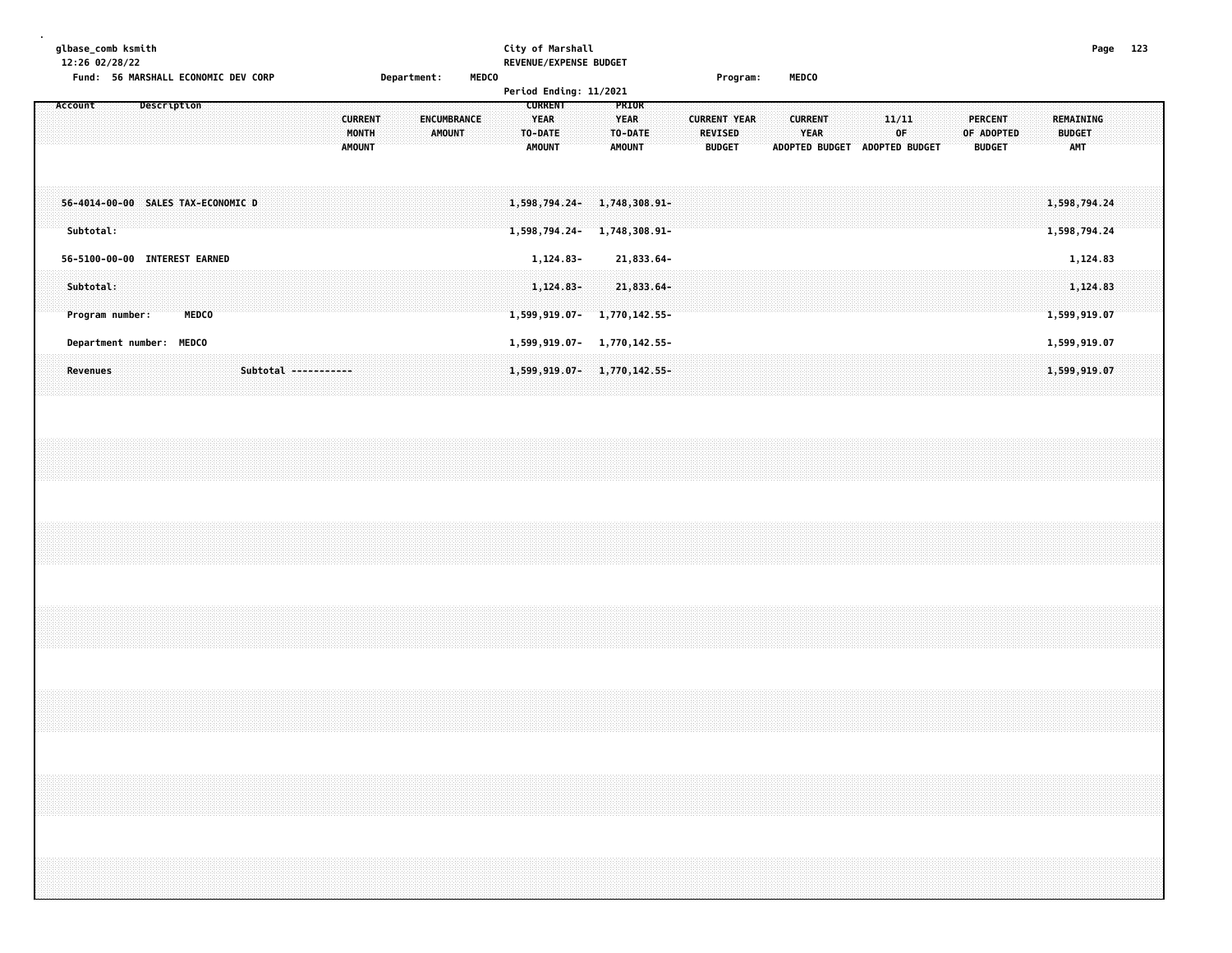| glbase_comb ksmith |  |
|--------------------|--|
|--------------------|--|

### **glbase\_comb ksmith City of Marshall Page 123 12:26 02/28/22 REVENUE/EXPENSE BUDGET**

| Page |  |
|------|--|
|      |  |

|                                                 |             | Fund: 56 MARSHALL ECONOMIC DEV CORP |                | Department: |               | <b>MEDCO</b> |                        |                                             | Program:            | <b>MEDCO</b>   |                |               |                              |          |
|-------------------------------------------------|-------------|-------------------------------------|----------------|-------------|---------------|--------------|------------------------|---------------------------------------------|---------------------|----------------|----------------|---------------|------------------------------|----------|
|                                                 |             |                                     |                |             |               |              | Period Ending: 11/2021 |                                             |                     |                |                |               |                              |          |
| Account                                         | Description |                                     |                |             |               |              | <b>CURRENT</b>         | PRIOR                                       |                     |                |                |               |                              |          |
|                                                 |             |                                     | <b>CURRENT</b> |             | ENCUMBRANCE   |              | YEAR                   | <b>YEAR</b>                                 | <b>CURRENT YEAR</b> | <b>CURRENT</b> | 11/11          | PERCENT       | <b>REMAINING</b>             |          |
|                                                 |             |                                     | <b>MONTH</b>   |             | <b>AMOUNT</b> |              | TO-DATE                | TO-DATE                                     | <b>REVISED</b>      | <b>YEAR</b>    | 0F.            | OF ADOPTED    | <b>BUDGET</b>                |          |
|                                                 |             |                                     | <b>AMOUNT</b>  |             |               |              | <b>AMOUNT</b>          | <b>AMOUNT</b>                               | <b>BUDGET</b>       | ADOPTED BUDGET | ADOPTED BUDGET | <b>BUDGET</b> | <b>AMT</b>                   |          |
| 56-4014-00-00 SALES TAX-ECONOMIC D<br>Subtotal: |             |                                     |                |             |               |              | 1,598,794.24-          | 1,598,794,24-1,748,308.91-<br>1,748,308.91- |                     |                |                |               | 1,598,794.24<br>1,598,794.24 |          |
| 56-5100-00-00 INTEREST EARNED                   |             |                                     |                |             |               |              | 1,124.83-              | 21,833.64-                                  |                     |                |                |               |                              | 1,124.83 |
| Subtotal:                                       |             |                                     |                |             |               |              |                        |                                             |                     |                |                |               |                              |          |
|                                                 |             |                                     |                |             |               |              | $1,124.83-$            | 21,833.64-                                  |                     |                |                |               |                              | 1,124.83 |
|                                                 |             |                                     |                |             |               |              |                        |                                             |                     |                |                |               |                              |          |

| Program number:          | <b>MEDCO</b> |                                                                                                                  | <b>599 919 A</b> |
|--------------------------|--------------|------------------------------------------------------------------------------------------------------------------|------------------|
| Department number: MEDCO |              | 1,599,919.07-<br>1.770.142.55-                                                                                   | 1.599.919.07     |
|                          |              | ,我们就会在这里,我们的时候,我们就会在这里,我们就会在这里,我们就会在这里,我们就会在这里,我们就会在这里,我们就会在这里,我们就会在这里,我们就会不会在这里<br>$1.599$ , $919$ , $07^\circ$ |                  |
|                          |              |                                                                                                                  |                  |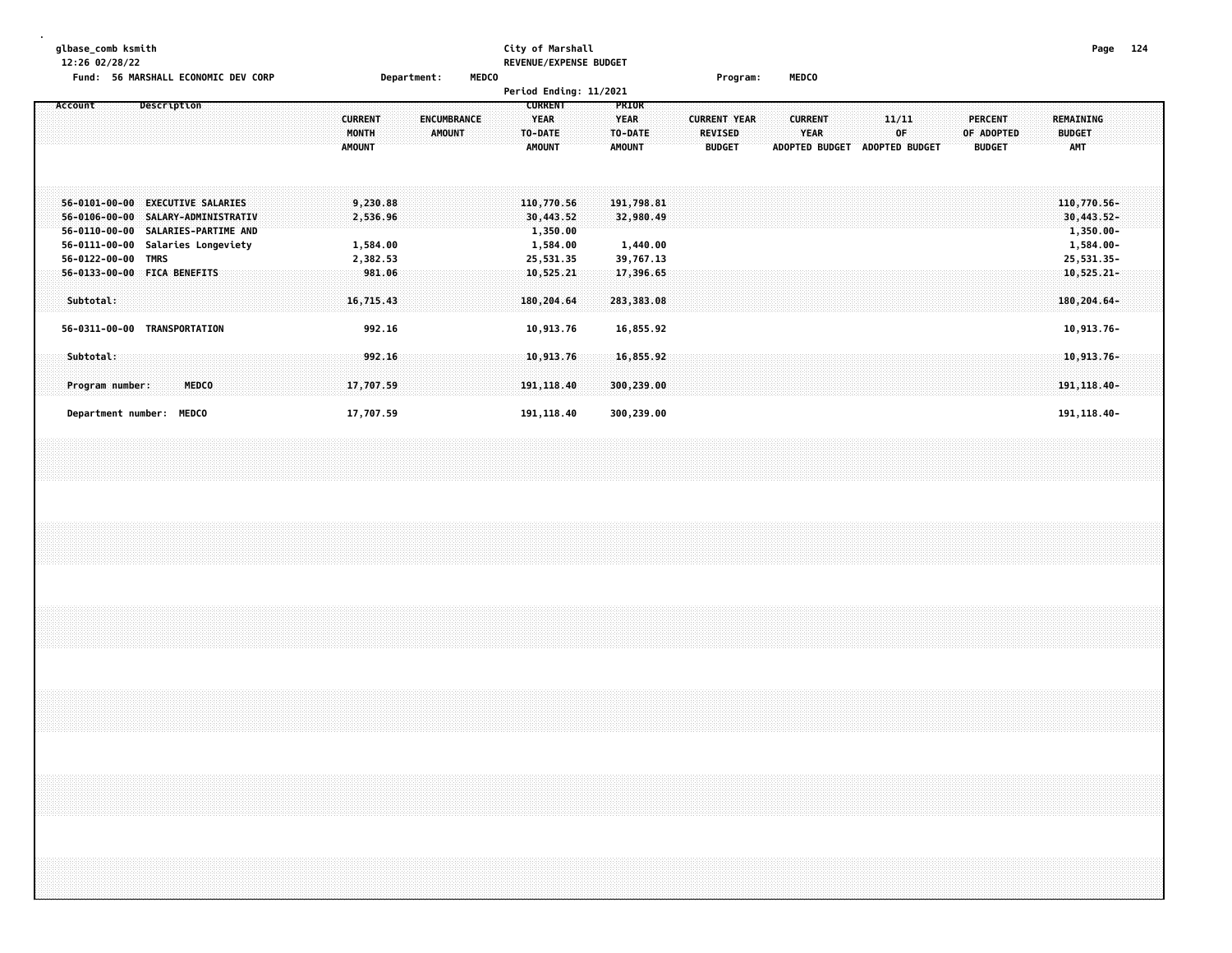| qlbase comb ksmith                             |                    | City of Marshall              |         |       | Page | 124 |
|------------------------------------------------|--------------------|-------------------------------|---------|-------|------|-----|
| 12:26 02/28/22                                 |                    | <b>REVENUE/EXPENSE BUDGET</b> |         |       |      |     |
| <b>56 MARSHALL ECONOMIC DEV CORP</b><br>Fund : | <b>Department:</b> | <b>MEDCO</b>                  | Program | MEDCO |      |     |

|                                                                                                   |                                                                                                                 |                                              |                       | Period Ending: 11/2021                                       |                                                         |                                                        |                                                        |                                      |                                                                                           |
|---------------------------------------------------------------------------------------------------|-----------------------------------------------------------------------------------------------------------------|----------------------------------------------|-----------------------|--------------------------------------------------------------|---------------------------------------------------------|--------------------------------------------------------|--------------------------------------------------------|--------------------------------------|-------------------------------------------------------------------------------------------|
| Account                                                                                           | Description                                                                                                     | <b>CURRENT</b><br>MONTH<br><b>AMOUNT</b>     | ENCUMBRANCE<br>AMOUNT | <b>CURRENT</b><br>YEAR<br>TO-DATE<br><b>AMOUNT</b>           | <b>PRIOR</b><br><b>YEAR</b><br>TO-DATE<br><b>AMOUNT</b> | <b>CURRENT YEAR</b><br><b>REVISED</b><br><b>BUDGET</b> | <b>CURRENT</b><br><b>YEAR</b><br><b>ADOPTED BUDGET</b> | 11/11<br>0F<br><b>ADOPTED BUDGET</b> | <b>PERCENT</b><br>REMAINING<br>OF ADOPTED<br><b>BUDGET</b><br><b>AMT</b><br><b>BUDGET</b> |
| $56 - 0101 - 00 - 00$<br>56-0106-00-00<br>$56 - 0110 - 00 - 00$<br>56-0111-00-00<br>56-0122-00-00 | <b>EXECUTIVE SALARIES</b><br>SALARY-ADMINISTRATIV<br>SALARIES-PARTIME AND<br>Salaries Longeviety<br><b>TMRS</b> | 9,230.88<br>2,536.96<br>1,584.00<br>2,382.53 |                       | 110,770.56<br>30,443.52<br>1,350.00<br>1,584.00<br>25,531.35 | 191,798.81<br>32,980.49<br>1,440.00<br>39,767.13        |                                                        |                                                        |                                      | 110,770.56-<br>$30,443.52 -$<br>$1,350.00 -$<br>$1,584.00 -$<br>25,531.35-                |
| Subtotal:                                                                                         | 56-0133-00-00 FICA BENEFITS                                                                                     | 981.06<br>16,715.43                          |                       | 10,525.21<br>180,204.64                                      | 17,396.65<br>283,383.08                                 |                                                        |                                                        |                                      | $10,525.21-$<br>$180, 204.64 -$                                                           |
| 56-0311-00-00                                                                                     | TRANSPORTATION                                                                                                  | 992.16                                       |                       | 10,913.76                                                    | 16,855.92                                               |                                                        |                                                        |                                      | 10,913.76-                                                                                |
| Subtotal:<br>Program number:                                                                      | MEDCO                                                                                                           | 992.16<br>17,707.59                          |                       | 10,913.76<br>191, 118.40                                     | 16,855.92<br>300,239.00                                 |                                                        |                                                        |                                      | $10,913.76 -$<br>191, 118.40-                                                             |
| Department number: MEDCO                                                                          |                                                                                                                 | 17,707.59                                    |                       | 191,118.40                                                   | 300,239.00                                              |                                                        |                                                        |                                      | 191, 118.40-                                                                              |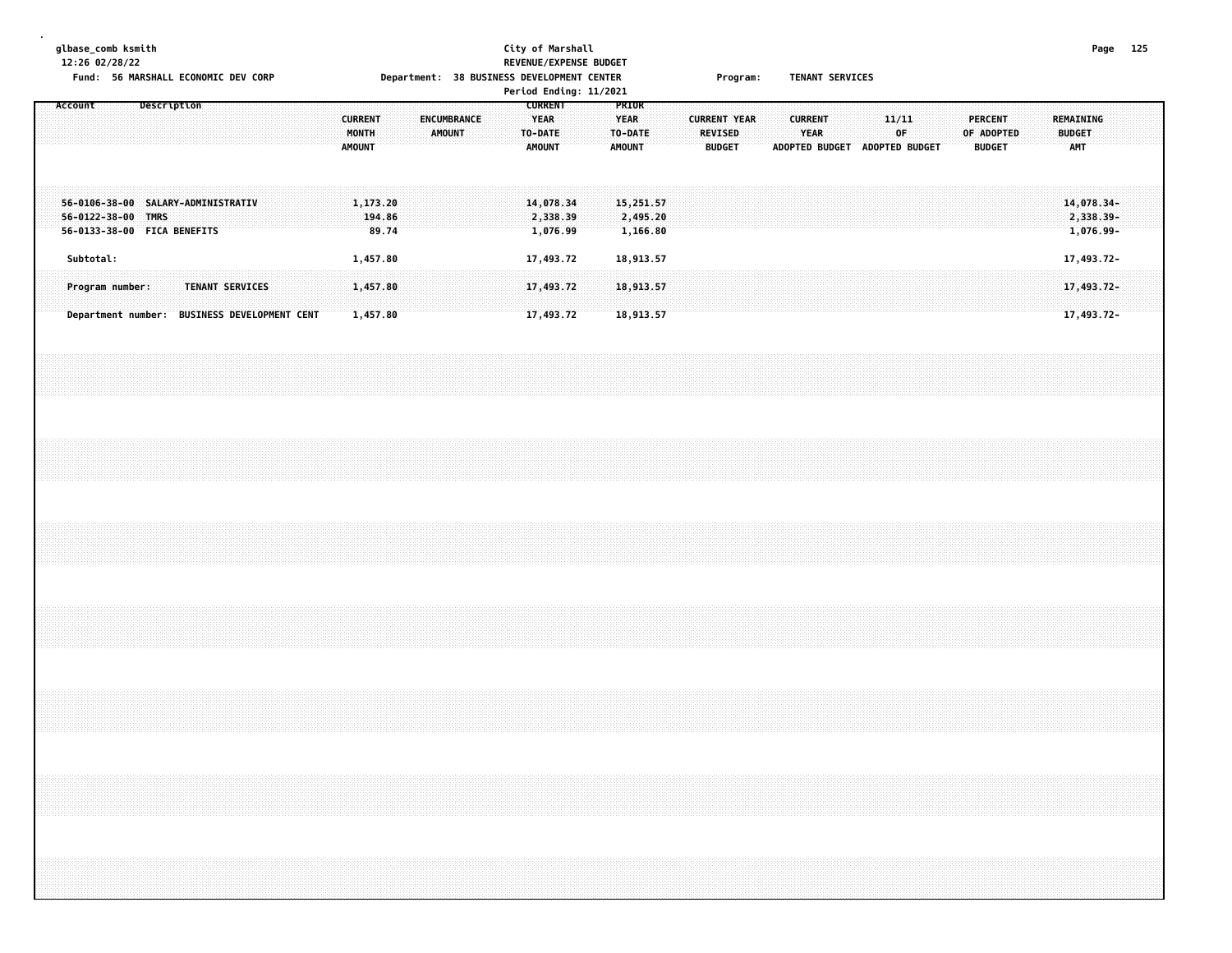|  |           | glbase_comb ksmith<br>12:26 02/28/22 |                    | Fund: 56 MARSHALL ECONOMIC DEV CORP                               |  |                                              |  |                                          |                             |  |                              |  |  |                                                           | City of Marshall<br>REVENUE/EXPENSE BUDGET<br>Department: 38 BUSINESS DEVELOPMENT CENTER<br>Period Ending: 11/2021 |  |                                                  |                                   |  |                                 | Program:            |  |                        | <b>TENANT SERVICES</b> |  |             |                               |  |                                 |                                                                                  |  |                             |                                      | Page 125 |  |
|--|-----------|--------------------------------------|--------------------|-------------------------------------------------------------------|--|----------------------------------------------|--|------------------------------------------|-----------------------------|--|------------------------------|--|--|-----------------------------------------------------------|--------------------------------------------------------------------------------------------------------------------|--|--------------------------------------------------|-----------------------------------|--|---------------------------------|---------------------|--|------------------------|------------------------|--|-------------|-------------------------------|--|---------------------------------|----------------------------------------------------------------------------------|--|-----------------------------|--------------------------------------|----------|--|
|  | Account   |                                      | Description        |                                                                   |  |                                              |  | <b>CURRENT</b><br>MONTH<br><b>AMOUNT</b> |                             |  | ENCUMBRANCE<br><b>AMOUNT</b> |  |  | <b>CURRENT</b><br><b>YEAR</b><br>TO-DATE<br><b>AMOUNT</b> |                                                                                                                    |  | PRIOR<br><b>YEAR</b><br>TO-DATE<br><b>AMOUNT</b> |                                   |  | <b>REVISED</b><br><b>BUDGET</b> | <b>CURRENT YEAR</b> |  | <b>CURRENT</b><br>YEAR |                        |  | 11/11<br>0F | ADOPTED BUDGET ADOPTED BUDGET |  | <b>PERCENT</b><br><b>BUDGET</b> | OF ADOPTED                                                                       |  | <b>BUDGET</b><br><b>AMT</b> | <b>REMAINING</b>                     |          |  |
|  |           |                                      | 56-0122-38-00 TMRS | 56-0106-38-00 SALARY-ADMINISTRATIV<br>56-0133-38-00 FICA BENEFITS |  |                                              |  |                                          | 1,173.20<br>194.86<br>89.74 |  |                              |  |  |                                                           | 14,078.34<br>2,338.39<br>1,076.99                                                                                  |  |                                                  | 15,251.57<br>2,495.20<br>1,166.80 |  |                                 |                     |  |                        |                        |  |             |                               |  |                                 |                                                                                  |  |                             | 14,078.34-<br>2,338.39-<br>1,076.99- |          |  |
|  | Subtotal: |                                      |                    |                                                                   |  |                                              |  | 1,457.80                                 |                             |  |                              |  |  |                                                           | 17,493.72                                                                                                          |  |                                                  | 18,913.57                         |  |                                 |                     |  |                        |                        |  |             |                               |  |                                 |                                                                                  |  |                             | 17,493.72-                           |          |  |
|  |           | Program number:                      |                    | TENANT SERVICES                                                   |  |                                              |  | 1,457.80                                 |                             |  |                              |  |  |                                                           | 17,493.72                                                                                                          |  |                                                  | 18,913.57                         |  |                                 |                     |  |                        |                        |  |             |                               |  |                                 |                                                                                  |  |                             | 17,493.72-                           |          |  |
|  |           |                                      |                    |                                                                   |  | Department number: BUSINESS DEVELOPMENT CENT |  |                                          | 1,457.80                    |  |                              |  |  |                                                           | 17,493.72                                                                                                          |  |                                                  | 18,913.57                         |  |                                 |                     |  |                        |                        |  |             |                               |  |                                 |                                                                                  |  |                             | 17,493.72-                           |          |  |
|  |           |                                      |                    |                                                                   |  |                                              |  |                                          |                             |  |                              |  |  |                                                           |                                                                                                                    |  |                                                  |                                   |  |                                 |                     |  |                        |                        |  |             |                               |  |                                 |                                                                                  |  |                             |                                      |          |  |
|  |           |                                      |                    |                                                                   |  |                                              |  |                                          |                             |  |                              |  |  |                                                           |                                                                                                                    |  |                                                  |                                   |  |                                 |                     |  |                        |                        |  |             |                               |  |                                 |                                                                                  |  |                             |                                      |          |  |
|  |           |                                      |                    |                                                                   |  |                                              |  |                                          |                             |  |                              |  |  |                                                           |                                                                                                                    |  |                                                  |                                   |  |                                 |                     |  |                        |                        |  |             |                               |  |                                 |                                                                                  |  |                             |                                      |          |  |
|  |           |                                      |                    |                                                                   |  |                                              |  |                                          |                             |  |                              |  |  |                                                           |                                                                                                                    |  |                                                  |                                   |  |                                 |                     |  |                        |                        |  |             |                               |  |                                 |                                                                                  |  |                             |                                      |          |  |
|  |           |                                      |                    |                                                                   |  |                                              |  |                                          |                             |  |                              |  |  |                                                           |                                                                                                                    |  |                                                  |                                   |  |                                 |                     |  |                        |                        |  |             |                               |  |                                 |                                                                                  |  |                             |                                      |          |  |
|  |           |                                      |                    |                                                                   |  |                                              |  |                                          |                             |  |                              |  |  |                                                           |                                                                                                                    |  |                                                  |                                   |  |                                 |                     |  |                        |                        |  |             |                               |  |                                 | ,我们就会在这里的时候,我们就会在这里的时候,我们就会在这里的时候,我们就会在这里的时候,我们就会在这里的时候,我们就会在这里的时候,我们就会在这里的时候,我们 |  |                             |                                      |          |  |
|  |           |                                      |                    |                                                                   |  |                                              |  |                                          |                             |  |                              |  |  |                                                           |                                                                                                                    |  |                                                  |                                   |  |                                 |                     |  |                        |                        |  |             |                               |  |                                 |                                                                                  |  |                             |                                      |          |  |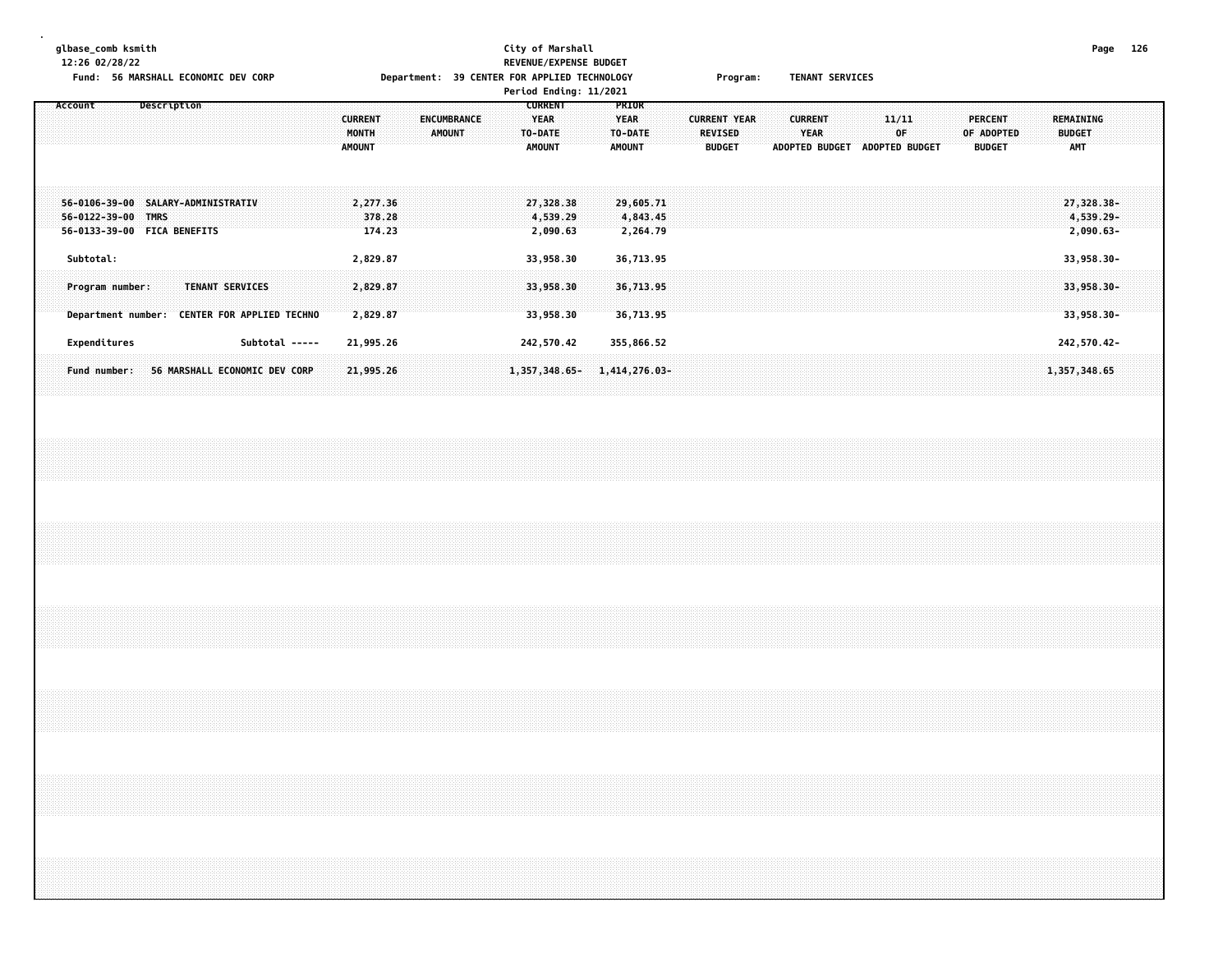**12:26 02/28/22 REVENUE/EXPENSE BUDGET**

**.**

## **glbase\_comb ksmith City of Marshall Page 126** Fund: 56 MARSHALL ECONOMIC DEV CORP **Department: 39 CENTER FOR APPLIED TECHNOLOGY** Program: TENANT SERVICES **Period Ending: 11/2021**

|                                                                                                     |                                          | <b>Period Ending: II/ZUZI</b>                                                      |                                                                                                     |                                                                                                 |                                                                                    |
|-----------------------------------------------------------------------------------------------------|------------------------------------------|------------------------------------------------------------------------------------|-----------------------------------------------------------------------------------------------------|-------------------------------------------------------------------------------------------------|------------------------------------------------------------------------------------|
| Description<br>Account                                                                              | <b>CURRENT</b><br>MONTH<br><b>AMOUNT</b> | <b>CURRENT</b><br>YEAR<br>ENCUMBRANCE<br><b>AMOUNT</b><br>TO-DATE<br><b>AMOUNT</b> | <b>PRIOR</b><br>YEAR<br><b>CURRENT YEAR</b><br><b>REVISED</b><br>TO-DATE<br>AMOUNT<br><b>BUDGET</b> | <b>CURRENT</b><br>11/11<br>0F.<br><b>YEAR</b><br><b>ADOPTED BUDGET</b><br><b>ADOPTED BUDGET</b> | PERCENT<br>REMAINING<br>OF ADOPTED<br><b>BUDGET</b><br><b>AMT</b><br><b>BUDGET</b> |
| 56-0106-39-00 SALARY-ADMINISTRATIV<br>56-0122-39-00 TMRS<br>56-0133-39-00 FICA BENEFITS             | 2,277.36<br>378.28<br>174.23             | 27,328.38<br>4,539.29<br>2,090.63                                                  | 29,605.71<br>4,843.45<br>2,264.79                                                                   |                                                                                                 | 27,328.38-<br>4,539.29-<br>$2,090.63 -$                                            |
| Subtotal:                                                                                           | 2,829.87                                 | 33,958.30                                                                          | 36,713.95                                                                                           |                                                                                                 | 33,958.30-                                                                         |
| <b>TENANT SERVICES</b><br>Program number:<br><b>CENTER FOR APPLIED TECHNO</b><br>Department number: | 2,829.87<br>2,829.87                     | 33,958.30<br>33,958.30                                                             | 36,713.95<br>36,713.95                                                                              |                                                                                                 | $33,958.30 -$<br>$33,958.30 -$                                                     |
| Expenditures                                                                                        | Subtotal -----<br>21,995.26              | 242,570.42                                                                         | 355,866.52                                                                                          |                                                                                                 | 242,570.42-                                                                        |
| 56 MARSHALL ECONOMIC DEV CORP<br>Fund number:                                                       | 21,995.26                                | $1,357,348.65-$                                                                    | 1,414,276.03-                                                                                       |                                                                                                 | 1,357,348.65                                                                       |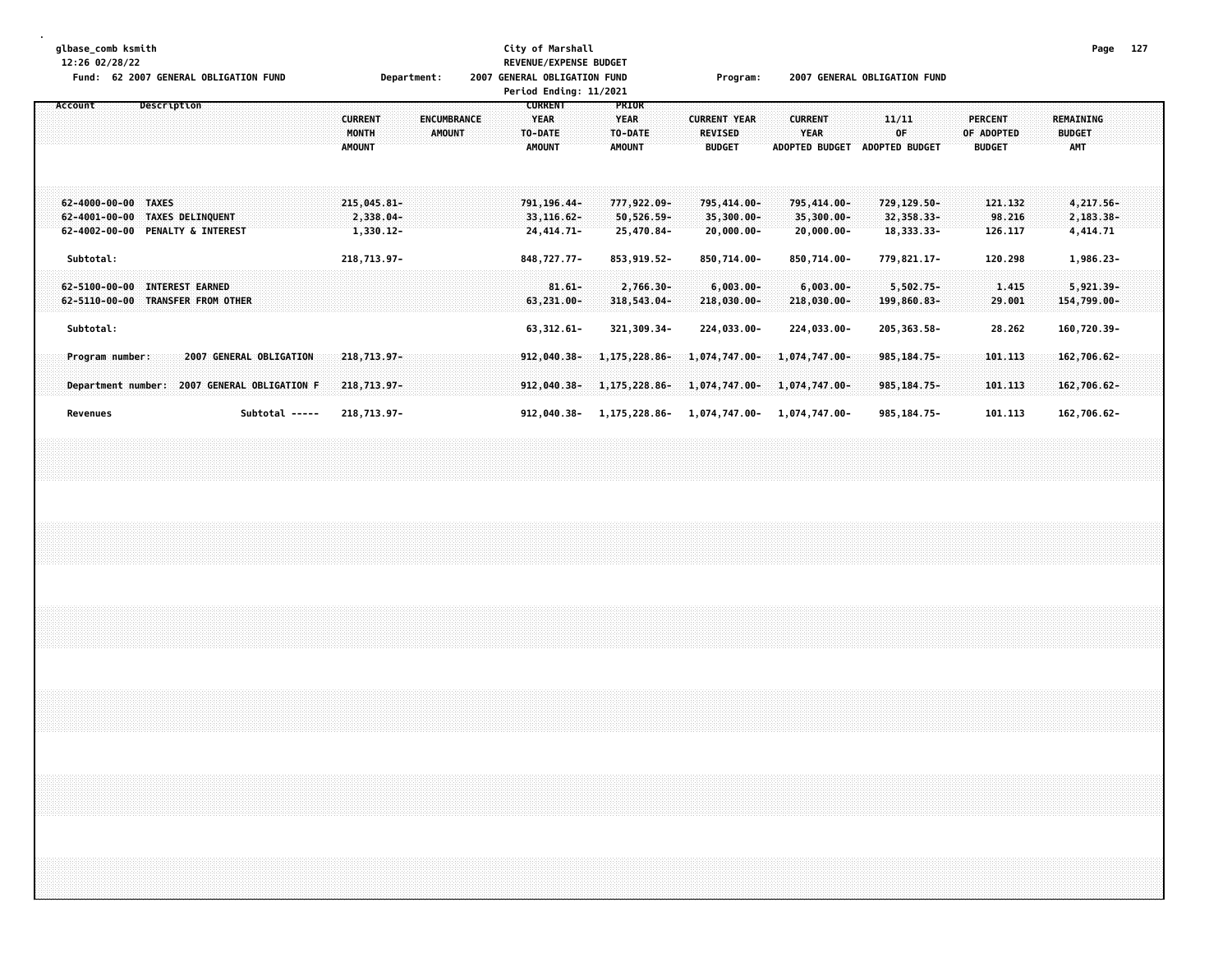| glbase_comb ksmith       | 12:26 02/28/22<br>Fund: 62 2007 GENERAL OBLIGATION FUND                                   |  |             |  |  |                         |                |               |                                             | Department: |               |                    | 2007 GENERAL OBLIGATION FUND |                                                           | City of Marshall                          | REVENUE/EXPENSE BUDGET<br>Period Ending: 11/2021 |                                                  |                                                                |  |                                       | Program:      |                             |  |                               |                                               | 2007 GENERAL OBLIGATION FUND  |             |                                              |  |                                               |                              |  |                                          | Page 127 |  |
|--------------------------|-------------------------------------------------------------------------------------------|--|-------------|--|--|-------------------------|----------------|---------------|---------------------------------------------|-------------|---------------|--------------------|------------------------------|-----------------------------------------------------------|-------------------------------------------|--------------------------------------------------|--------------------------------------------------|----------------------------------------------------------------|--|---------------------------------------|---------------|-----------------------------|--|-------------------------------|-----------------------------------------------|-------------------------------|-------------|----------------------------------------------|--|-----------------------------------------------|------------------------------|--|------------------------------------------|----------|--|
| Account                  |                                                                                           |  | Description |  |  |                         |                | <b>AMOUNT</b> | <b>CURRENT</b><br>MONTH                     |             | <b>AMOUNT</b> | <b>ENCUMBRANCE</b> |                              | <b>CURRENT</b><br><b>YEAR</b><br>TO-DATE<br><b>AMOUNT</b> |                                           |                                                  | PRIOR<br><b>YEAR</b><br>TO-DATE<br><b>AMOUNT</b> |                                                                |  | <b>CURRENT YEAR</b><br><b>REVISED</b> | <b>BUDGET</b> |                             |  | <b>CURRENT</b><br><b>YEAR</b> |                                               | ADOPTED BUDGET ADOPTED BUDGET | 11/11<br>0F |                                              |  | <b>PERCENT</b><br>OF ADOPTED<br><b>BUDGET</b> |                              |  | REMAINING<br><b>BUDGET</b><br><b>AMT</b> |          |  |
|                          | 62-4000-00-00 TAXES<br>62-4001-00-00 TAXES DELINQUENT<br>62-4002-00-00 PENALTY & INTEREST |  |             |  |  |                         |                |               | $215,045.81 -$<br>2,338.04-<br>$1,330.12 -$ |             |               |                    |                              |                                                           | 791, 196, 44-<br>33,116.62-<br>24,414.71- |                                                  |                                                  | 777,922.09-<br>$50,526.59 -$<br>25,470.84-                     |  | 795,414.00-                           |               | 35,300.00-<br>$20,000.00 -$ |  |                               | 795,414.00-<br>35,300.00-<br>$20,000.00 -$    |                               |             | 729,129.50-<br>32,358.33-<br>18, 333. 33-    |  |                                               | 121.132<br>98.216<br>126.117 |  | 4,217.56-<br>2,183.38-<br>4,414.71       |          |  |
|                          | Subtotal:<br>62-5100-00-00 INTEREST EARNED<br>62-5110-00-00 TRANSFER FROM OTHER           |  |             |  |  |                         |                |               | 218,713.97-                                 |             |               |                    |                              |                                                           | 848, 727. 77-<br>$81.61 -$<br>63,231.00-  |                                                  |                                                  | 853,919.52-<br>2,766.30-<br>318,543.04-                        |  | 850,714.00-<br>$218,030.00 -$         |               | $6,003.00 -$                |  |                               | 850,714.00-<br>$6,003.00 -$<br>$218,030.00 -$ |                               |             | 779,821.17-<br>$5,502.75-$<br>$199,860.83 -$ |  |                                               | 120.298<br>1.415<br>29.001   |  | 1,986.23-<br>$5,921.39 -$<br>154,799.00- |          |  |
|                          | Subtotal:                                                                                 |  |             |  |  |                         |                |               |                                             |             |               |                    |                              |                                                           | 63, 312.61-                               |                                                  |                                                  | 321,309.34-                                                    |  | 224,033.00-                           |               |                             |  |                               | 224,033.00-                                   |                               |             | 205, 363.58-                                 |  |                                               | 28.262                       |  | 160,720.39-                              |          |  |
|                          | Program number:<br>Department number: 2007 GENERAL OBLIGATION F                           |  |             |  |  | 2007 GENERAL OBLIGATION |                |               | 218,713.97-<br>$218,713.97 -$               |             |               |                    |                              |                                                           |                                           |                                                  |                                                  | $912,040.38 - 1,175,228.86 -$<br>$912,040.38 - 1,175,228.86 -$ |  | 1,074,747.00-<br>1,074,747.00-        |               |                             |  |                               | $1,074,747.00 -$<br>1,074,747.00-             |                               |             | 985, 184. 75-<br>985, 184. 75-               |  |                                               | 101.113<br>101.113           |  | $162,706.62 -$<br>162,706.62-            |          |  |
|                          | Revenues                                                                                  |  |             |  |  |                         | Subtotal ----- |               | 218,713.97-                                 |             |               |                    |                              |                                                           |                                           |                                                  |                                                  | 912,040.38- 1,175,228.86- 1,074,747.00-                        |  |                                       |               |                             |  |                               | 1,074,747.00-                                 |                               |             | 985, 184.75-                                 |  |                                               | 101.113                      |  | 162,706.62-                              |          |  |
|                          |                                                                                           |  |             |  |  |                         |                |               |                                             |             |               |                    |                              |                                                           |                                           |                                                  |                                                  |                                                                |  |                                       |               |                             |  |                               |                                               |                               |             |                                              |  |                                               |                              |  |                                          |          |  |
|                          |                                                                                           |  |             |  |  |                         |                |               |                                             |             |               |                    |                              |                                                           |                                           |                                                  |                                                  |                                                                |  |                                       |               |                             |  |                               |                                               |                               |             |                                              |  |                                               |                              |  |                                          |          |  |
|                          |                                                                                           |  |             |  |  |                         |                |               |                                             |             |               |                    |                              |                                                           |                                           |                                                  |                                                  |                                                                |  |                                       |               |                             |  |                               |                                               |                               |             |                                              |  |                                               |                              |  |                                          |          |  |
| ------------------------ |                                                                                           |  |             |  |  |                         |                |               |                                             |             |               |                    |                              |                                                           |                                           |                                                  |                                                  |                                                                |  |                                       |               |                             |  |                               |                                               |                               |             |                                              |  |                                               |                              |  |                                          |          |  |
|                          |                                                                                           |  |             |  |  |                         |                |               |                                             |             |               |                    |                              |                                                           |                                           |                                                  |                                                  |                                                                |  |                                       |               |                             |  |                               |                                               |                               |             |                                              |  |                                               |                              |  |                                          |          |  |
|                          |                                                                                           |  |             |  |  |                         |                |               |                                             |             |               |                    |                              |                                                           |                                           |                                                  |                                                  |                                                                |  |                                       |               |                             |  |                               |                                               |                               |             |                                              |  |                                               |                              |  |                                          |          |  |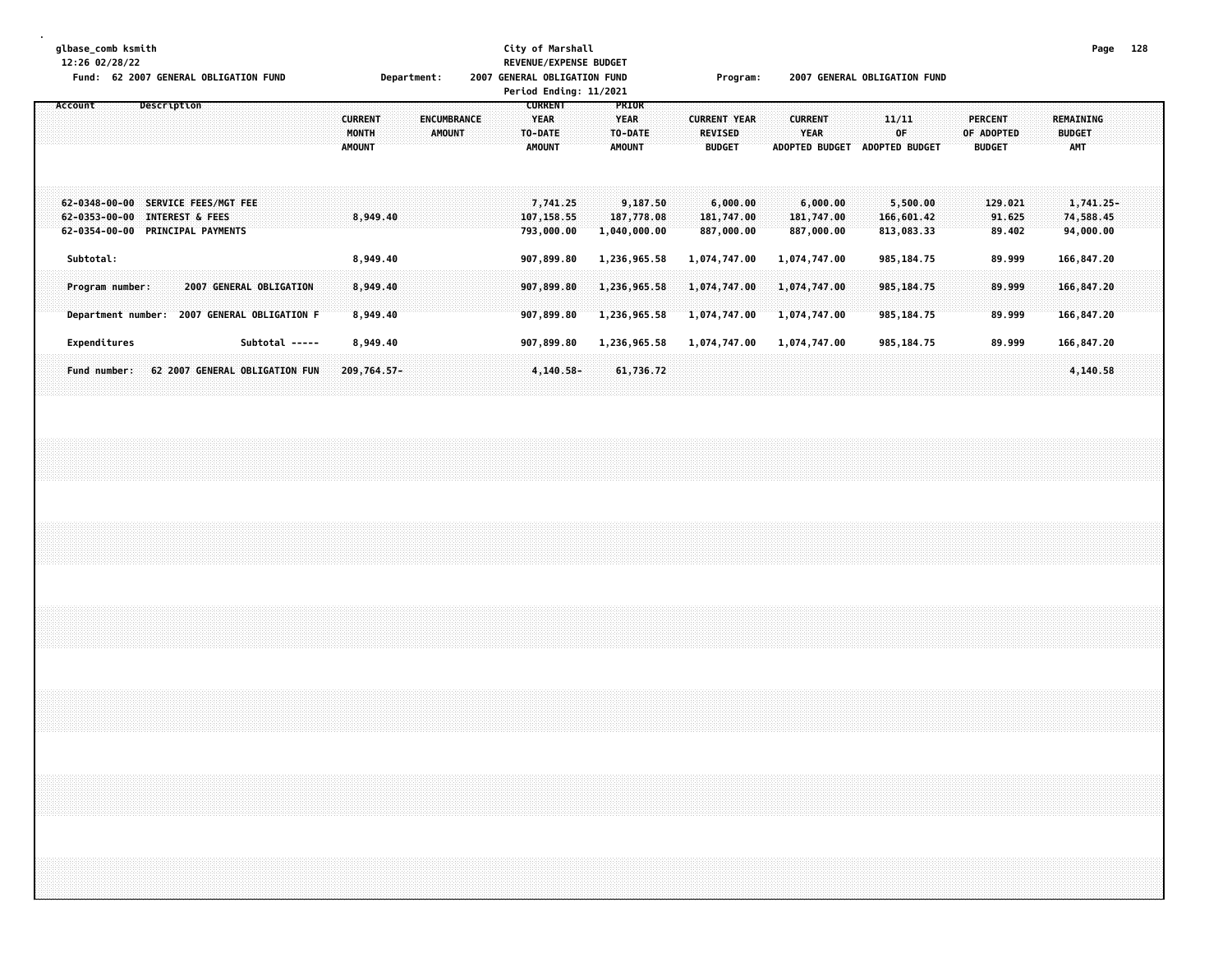| glbase_comb ksmith<br>12:26 02/28/22<br>Fund: 62 2007 GENERAL OBLIGATION FUND |                                  | Department:                          | 2007 | City of Marshall<br><b>REVENUE/EXPENSE BUDGET</b><br><b>GENERAL OBLIGATION FUND</b><br>Period Ending: 11/2021 |                             | Program:            |                       | 2007 GENERAL OBLIGATION FUND |                | Page             | 128 |
|-------------------------------------------------------------------------------|----------------------------------|--------------------------------------|------|---------------------------------------------------------------------------------------------------------------|-----------------------------|---------------------|-----------------------|------------------------------|----------------|------------------|-----|
| Account<br>Description                                                        |                                  | <b>CURRENT</b><br><b>ENCUMBRANCE</b> |      | <b>CURRENT</b><br><b>YEAR</b>                                                                                 | <b>PRIOR</b><br><b>YEAR</b> | <b>CURRENT YEAR</b> | <b>CURRENT</b>        | 11/11                        | <b>PERCENT</b> | <b>REMAINING</b> |     |
|                                                                               |                                  | <b>AMOUNT</b><br>MONTH               |      | TO-DATE                                                                                                       | TO-DATE                     | <b>REVISED</b>      | <b>YEAR</b>           | 0F                           | OF ADOPTED     | <b>BUDGET</b>    |     |
|                                                                               |                                  | <b>AMOUNT</b>                        |      | <b>AMOUNT</b>                                                                                                 | <b>AMOUNT</b>               | <b>BUDGET</b>       | <b>ADOPTED BUDGET</b> | <b>ADOPTED BUDGET</b>        | <b>BUDGET</b>  | <b>AMT</b>       |     |
|                                                                               |                                  |                                      |      |                                                                                                               |                             |                     |                       |                              |                |                  |     |
| $62 - 0348 - 00 - 00$<br><b>SERVICE FEES/MGT FEE</b>                          |                                  |                                      |      | 7,741,25                                                                                                      | 9,187.50                    | 6,000,00            | 6,000.00              | 5,500.00                     | 129.021        | 1,741.25-        |     |
| <b>INTEREST &amp; FEES</b><br>$62 - 0353 - 00 - 00$                           |                                  | 8.949.40                             |      | 107, 158.55                                                                                                   | 187,778.08                  | 181,747.00          | 181,747.00            | 166,601.42                   | 91.625         | 74,588.45        |     |
| PRINCIPAL PAYMENTS<br>$62 - 0354 - 00 - 00$                                   |                                  |                                      |      | 793,000.00                                                                                                    | 1,040,000.00                | 887,000.00          | 887,000.00            | 813,083.33                   | 89.402         | 94,000.00        |     |
| Subtotal:                                                                     |                                  | 8,949.40                             |      | 907,899.80                                                                                                    | 1,236,965.58                | 1,074,747.00        | 1,074,747.00          | 985,184.75                   | 89.999         | 166,847.20       |     |
|                                                                               | <b>2007 GENERAL OBLIGATION</b>   |                                      |      |                                                                                                               |                             |                     |                       |                              |                |                  |     |
| Program number:                                                               |                                  | 8,949.40                             |      | 907,899.80                                                                                                    | 1,236,965.58                | 1,074,747.00        | 1,074,747.00          | 985, 184.75                  | 89.999         | 166,847.20       |     |
| Department number:                                                            | <b>2007 GENERAL OBLIGATION F</b> | 8,949.40                             |      | 907,899.80                                                                                                    | 1,236,965.58                | 1,074,747.00        | 1,074,747.00          | 985, 184. 75                 | 89.999         | 166,847.20       |     |
| Expenditures                                                                  | Subtotal -----                   | 8,949.40                             |      | 907,899.80                                                                                                    | 1,236,965.58                | 1,074,747.00        | 1,074,747.00          | 985,184.75                   | 89.999         | 166,847.20       |     |
| <b>Fund number:</b>                                                           | 62 2007 GENERAL OBLIGATION FUN   | 209,764.57-                          |      | $4,140.58-$                                                                                                   | 61,736.72                   |                     |                       |                              |                | 4,140.58         |     |
|                                                                               |                                  |                                      |      |                                                                                                               |                             |                     |                       |                              |                |                  |     |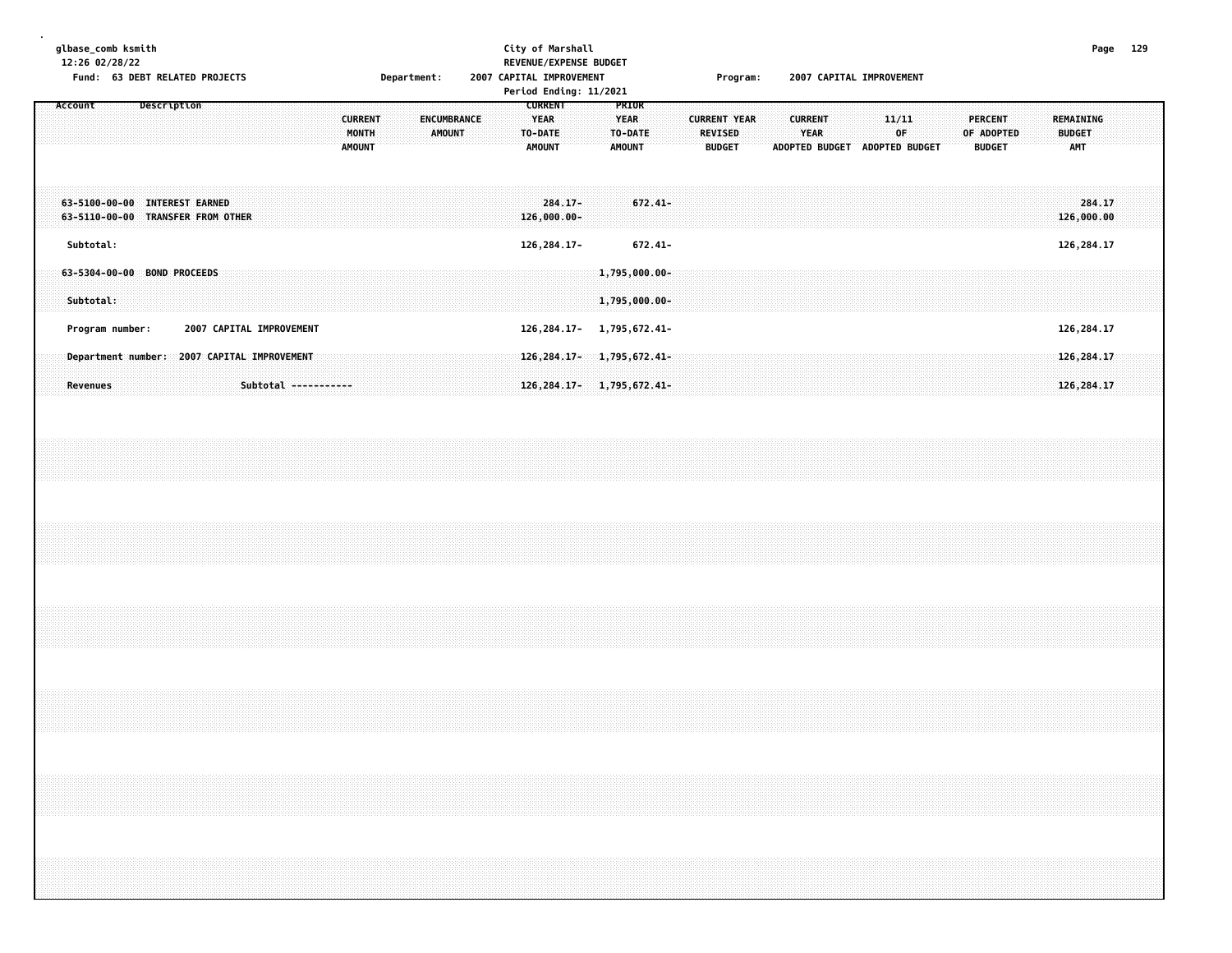| glbase_comb ksmith<br>12:26 02/28/22                               |                 |  |             | Fund: 63 DEBT RELATED PROJECTS              |  |  |                      |                                          | Department: |               |             |  | City of Marshall |                                                           |                              | REVENUE/EXPENSE BUDGET<br>2007 CAPITAL IMPROVEMENT<br>Period Ending: 11/2021 |                                                  |                                                                  |  |                                 | Program:            |  | 2007 CAPITAL IMPROVEMENT                                       |  |             |  |            |                                 |  |                                          | Page 129 |  |
|--------------------------------------------------------------------|-----------------|--|-------------|---------------------------------------------|--|--|----------------------|------------------------------------------|-------------|---------------|-------------|--|------------------|-----------------------------------------------------------|------------------------------|------------------------------------------------------------------------------|--------------------------------------------------|------------------------------------------------------------------|--|---------------------------------|---------------------|--|----------------------------------------------------------------|--|-------------|--|------------|---------------------------------|--|------------------------------------------|----------|--|
| Account                                                            |                 |  | Description |                                             |  |  |                      | <b>CURRENT</b><br>MONTH<br><b>AMOUNT</b> |             | <b>AMOUNT</b> | ENCUMBRANCE |  |                  | <b>CURRENT</b><br><b>YEAR</b><br>TO-DATE<br><b>AMOUNT</b> |                              |                                                                              | PRIOR<br><b>YEAR</b><br>TO-DATE<br><b>AMOUNT</b> |                                                                  |  | <b>REVISED</b><br><b>BUDGET</b> | <b>CURRENT YEAR</b> |  | <b>CURRENT</b><br><b>YEAR</b><br>ADOPTED BUDGET ADOPTED BUDGET |  | 11/11<br>0F |  | OF ADOPTED | <b>PERCENT</b><br><b>BUDGET</b> |  | REMAINING<br><b>BUDGET</b><br><b>AMT</b> |          |  |
| 63-5100-00-00 INTEREST EARNED<br>63-5110-00-00 TRANSFER FROM OTHER |                 |  |             |                                             |  |  |                      |                                          |             |               |             |  |                  |                                                           | $284.17 -$<br>$126,000.00 -$ |                                                                              |                                                  | $672.41 -$                                                       |  |                                 |                     |  |                                                                |  |             |  |            |                                 |  | 284.17<br>126,000.00                     |          |  |
|                                                                    | Subtotal:       |  |             |                                             |  |  |                      |                                          |             |               |             |  |                  |                                                           | 126, 284. 17-                |                                                                              |                                                  | $672.41 -$                                                       |  |                                 |                     |  |                                                                |  |             |  |            |                                 |  | 126, 284. 17                             |          |  |
| 63-5304-00-00 BOND PROCEEDS                                        | Subtotal:       |  |             |                                             |  |  |                      |                                          |             |               |             |  |                  |                                                           |                              |                                                                              |                                                  | $1,795,000.00 -$<br>1,795,000.00-                                |  |                                 |                     |  |                                                                |  |             |  |            |                                 |  |                                          |          |  |
|                                                                    | Program number: |  |             | 2007 CAPITAL IMPROVEMENT                    |  |  |                      |                                          |             |               |             |  |                  |                                                           |                              |                                                                              |                                                  | 126, 284. 17- 1, 795, 672. 41-                                   |  |                                 |                     |  |                                                                |  |             |  |            |                                 |  | 126, 284. 17                             |          |  |
|                                                                    | Revenues        |  |             | Department number: 2007 CAPITAL IMPROVEMENT |  |  | Subtotal ----------- |                                          |             |               |             |  |                  |                                                           |                              |                                                                              |                                                  | 126, 284, 17-1, 795, 672, 41-<br>126, 284. 17 - 1, 795, 672. 41- |  |                                 |                     |  |                                                                |  |             |  |            |                                 |  | 126, 284.17<br>126, 284.17               |          |  |
|                                                                    |                 |  |             |                                             |  |  |                      |                                          |             |               |             |  |                  |                                                           |                              |                                                                              |                                                  |                                                                  |  |                                 |                     |  |                                                                |  |             |  |            |                                 |  |                                          |          |  |
|                                                                    |                 |  |             |                                             |  |  |                      |                                          |             |               |             |  |                  |                                                           |                              |                                                                              |                                                  |                                                                  |  |                                 |                     |  |                                                                |  |             |  |            |                                 |  |                                          |          |  |
|                                                                    |                 |  |             |                                             |  |  |                      |                                          |             |               |             |  |                  |                                                           |                              |                                                                              |                                                  |                                                                  |  |                                 |                     |  |                                                                |  |             |  |            |                                 |  |                                          |          |  |
|                                                                    |                 |  |             |                                             |  |  |                      |                                          |             |               |             |  |                  |                                                           |                              |                                                                              |                                                  |                                                                  |  |                                 |                     |  |                                                                |  |             |  |            |                                 |  |                                          |          |  |
|                                                                    |                 |  |             |                                             |  |  |                      |                                          |             |               |             |  |                  |                                                           |                              |                                                                              |                                                  |                                                                  |  |                                 |                     |  |                                                                |  |             |  |            |                                 |  |                                          |          |  |
|                                                                    |                 |  |             |                                             |  |  |                      |                                          |             |               |             |  |                  |                                                           |                              |                                                                              |                                                  |                                                                  |  |                                 |                     |  |                                                                |  |             |  |            |                                 |  |                                          |          |  |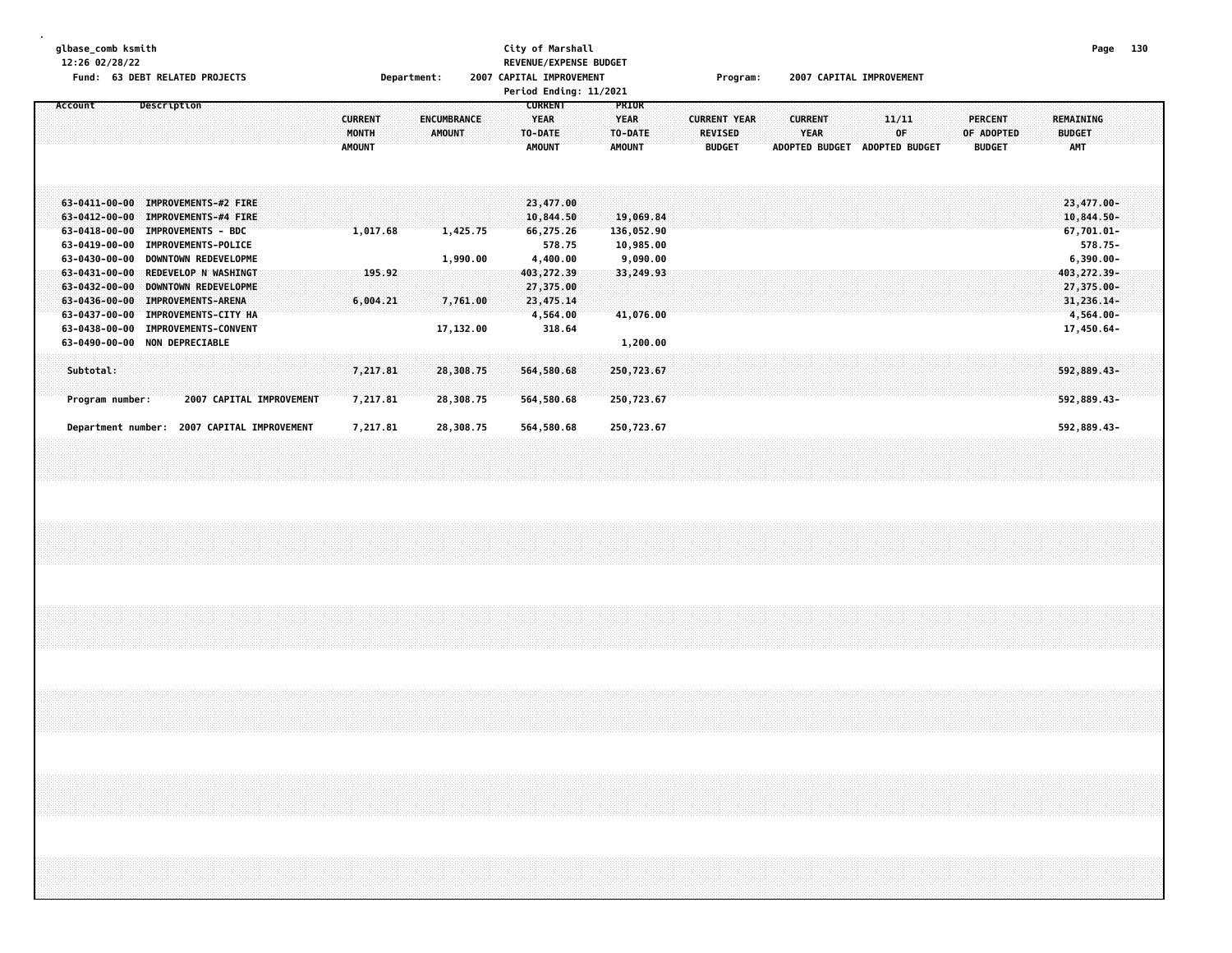| glbase_comb ksmith<br>12:26 02/28/22 | Fund: 63 DEBT RELATED PROJECTS                                                                                                                                                                                                                                                                          | Department:                                                                     | City of Marshall<br>REVENUE/EXPENSE BUDGET<br>2007 CAPITAL IMPROVEMENT<br>Period Ending: 11/2021                                                                    | Program:                                               | 2007 CAPITAL IMPROVEMENT                                               | Page<br>130                                                                                                           |  |
|--------------------------------------|---------------------------------------------------------------------------------------------------------------------------------------------------------------------------------------------------------------------------------------------------------------------------------------------------------|---------------------------------------------------------------------------------|---------------------------------------------------------------------------------------------------------------------------------------------------------------------|--------------------------------------------------------|------------------------------------------------------------------------|-----------------------------------------------------------------------------------------------------------------------|--|
| Account                              | Description                                                                                                                                                                                                                                                                                             | <b>CURRENT</b><br><b>ENCUMBRANCE</b><br>MONTH<br><b>AMOUNT</b><br><b>AMOUNT</b> | <b>CURRENT</b><br>PRIOR<br><b>YEAR</b><br><b>YEAR</b><br>TO-DATE<br>TO-DATE<br><b>AMOUNT</b><br><b>AMOUNT</b>                                                       | <b>CURRENT YEAR</b><br><b>REVISED</b><br><b>BUDGET</b> | 11/11<br><b>CURRENT</b><br>OF<br>YEAR<br>ADOPTED BUDGET ADOPTED BUDGET | <b>PERCENT</b><br>REMAINING<br><b>BUDGET</b><br>OF ADOPTED<br>AMT<br><b>BUDGET</b>                                    |  |
|                                      | 63-0411-00-00 IMPROVEMENTS-#2 FIRE<br>63-0412-00-00 IMPROVEMENTS-#4 FIRE<br>63-0418-00-00 IMPROVEMENTS - BDC<br>63-0419-00-00 IMPROVEMENTS-POLICE<br>63-0430-00-00 DOWNTOWN REDEVELOPME<br>63-0431-00-00 REDEVELOP N WASHINGT<br>63-0432-00-00 DOWNTOWN REDEVELOPME<br>63-0436-00-00 IMPROVEMENTS-ARENA | 1,017.68<br>1,425.75<br>1,990.00<br>195.92<br>6,004.21<br>7,761.00              | 23,477.00<br>19,069.84<br>10,844.50<br>66,275.26<br>136,052.90<br>578.75<br>10,985.00<br>4,400.00<br>9,090.00<br>403, 272.39<br>33,249.93<br>27,375.00<br>23,475.14 |                                                        |                                                                        | 23,477.00-<br>$10,844.50 -$<br>$67,701.01 -$<br>578.75-<br>$6,390.00 -$<br>403, 272.39-<br>27,375.00-<br>31, 236, 14- |  |
| Subtotal:<br>Program number:         | 63-0437-00-00 IMPROVEMENTS-CITY HA<br>63-0438-00-00 IMPROVEMENTS-CONVENT<br>63-0490-00-00 NON DEPRECIABLE<br>2007 CAPITAL IMPROVEMENT                                                                                                                                                                   | 17,132.00<br>7,217.81<br>28,308.75<br>7,217.81<br>28,308.75                     | 4,564.00<br>41,076.00<br>318.64<br>1,200.00<br>250,723.67<br>564,580.68<br>564,580.68<br>250,723.67                                                                 |                                                        |                                                                        | $4,564.00 -$<br>17,450.64-<br>592,889.43-<br>592,889.43-                                                              |  |
|                                      | Department number: 2007 CAPITAL IMPROVEMENT                                                                                                                                                                                                                                                             | 7,217.81<br>28,308.75                                                           | 564,580.68<br>250,723.67                                                                                                                                            |                                                        |                                                                        | 592,889.43-                                                                                                           |  |
|                                      |                                                                                                                                                                                                                                                                                                         |                                                                                 |                                                                                                                                                                     |                                                        |                                                                        |                                                                                                                       |  |
|                                      |                                                                                                                                                                                                                                                                                                         |                                                                                 |                                                                                                                                                                     |                                                        |                                                                        |                                                                                                                       |  |
|                                      |                                                                                                                                                                                                                                                                                                         |                                                                                 |                                                                                                                                                                     |                                                        |                                                                        |                                                                                                                       |  |
|                                      | ,我们就会在这里,我们就会在这里,我们就会在这里,我们就会在这里,我们就会在这里,我们就会在这里,我们就会在这里,我们就会在这里,我们就会在这里,我们就会在这里<br>第25章 我们的时候,我们就会在这里,我们就会在这里,我们就会在这里,我们就会在这里,我们就会在这里,我们就会在这里,我们就会在这里,我们就会在这里,我们就会在                                                                                                                                    |                                                                                 |                                                                                                                                                                     |                                                        |                                                                        |                                                                                                                       |  |
|                                      |                                                                                                                                                                                                                                                                                                         |                                                                                 |                                                                                                                                                                     |                                                        |                                                                        |                                                                                                                       |  |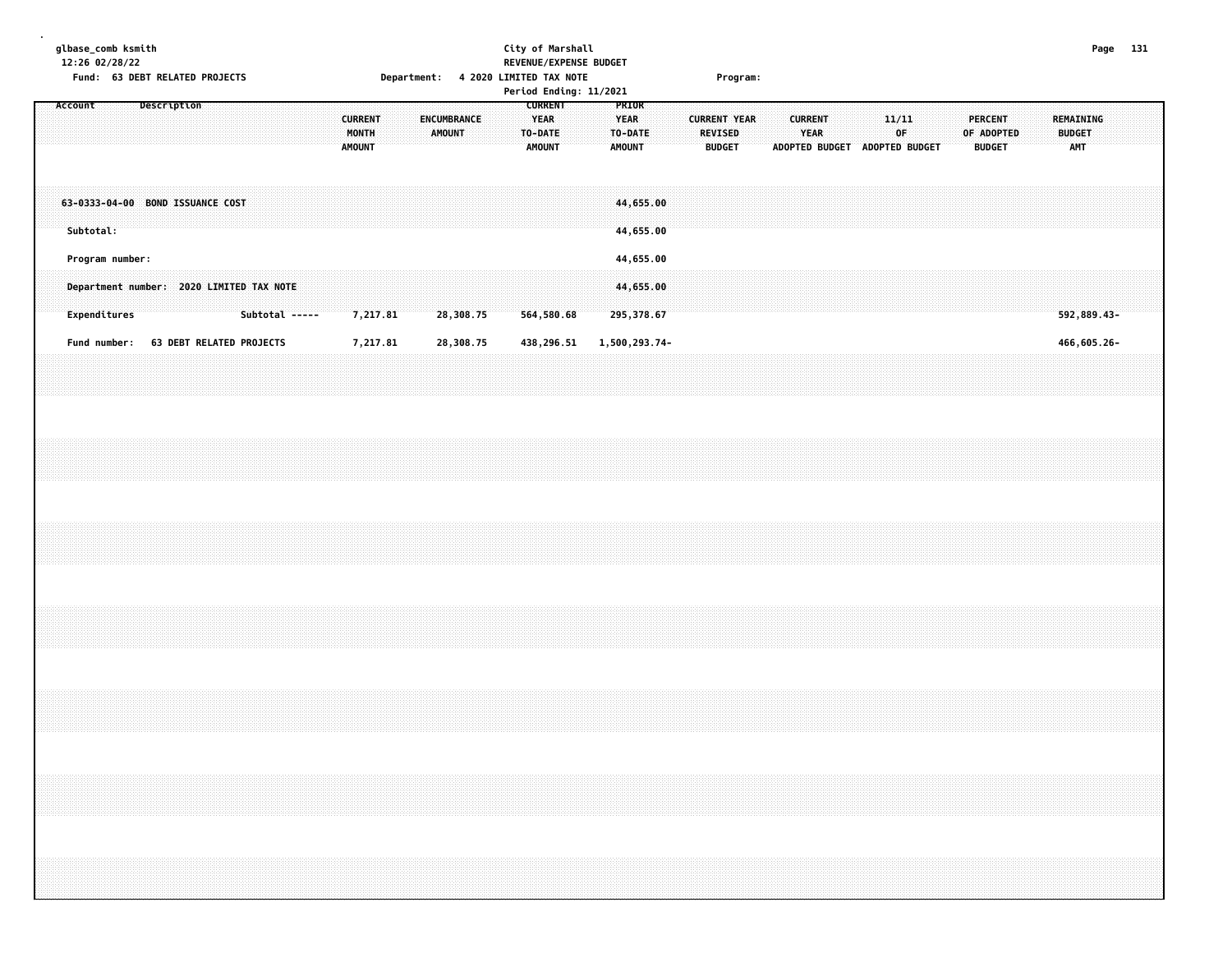| glbase_comb ksmith<br>City of Marshall<br>Page 131<br>12:26 02/28/22<br>REVENUE/EXPENSE BUDGET<br>Fund: 63 DEBT RELATED PROJECTS<br>Department: 4 2020 LIMITED TAX NOTE<br>Program:<br>Period Ending: 11/2021<br><b>CURRENT</b><br>PRIOR<br>Account<br>Description<br><b>CURRENT</b><br>ENCUMBRANCE<br><b>YEAR</b><br><b>YEAR</b><br><b>CURRENT YEAR</b><br><b>CURRENT</b><br>11/11<br><b>PERCENT</b><br>REMAINING<br>YEAR<br>0F<br>MONTH<br><b>AMOUNT</b><br>TO-DATE<br>TO-DATE<br><b>REVISED</b><br>OF ADOPTED<br><b>BUDGET</b><br><b>AMT</b><br><b>AMOUNT</b><br><b>AMOUNT</b><br><b>AMOUNT</b><br><b>BUDGET</b><br>ADOPTED BUDGET ADOPTED BUDGET<br><b>BUDGET</b><br>63-0333-04-00 BOND ISSUANCE COST<br>44,655.00<br>Subtotal:<br>44,655.00<br>Program number:<br>44,655.00<br>Department number: 2020 LIMITED TAX NOTE<br>44,655.00<br>Expenditures<br>Subtotal -----<br>7,217.81<br>28,308.75<br>564,580.68<br>295,378.67<br>592,889.43-<br>Fund number:<br>63 DEBT RELATED PROJECTS<br>7,217.81<br>28,308.75<br>438,296.51<br>1,500,293.74-<br>466,605.26-<br>,我们就会在这里的时候,我们就会在这里的时候,我们就会在这里的时候,我们就会在这里的时候,我们就会在这里的时候,我们就会在这里的时候,我们就会在这里的时候,我们 |  |  |  |  |  |  |  |
|--------------------------------------------------------------------------------------------------------------------------------------------------------------------------------------------------------------------------------------------------------------------------------------------------------------------------------------------------------------------------------------------------------------------------------------------------------------------------------------------------------------------------------------------------------------------------------------------------------------------------------------------------------------------------------------------------------------------------------------------------------------------------------------------------------------------------------------------------------------------------------------------------------------------------------------------------------------------------------------------------------------------------------------------------------------------------------------------------------------------------------------------------------|--|--|--|--|--|--|--|
|                                                                                                                                                                                                                                                                                                                                                                                                                                                                                                                                                                                                                                                                                                                                                                                                                                                                                                                                                                                                                                                                                                                                                        |  |  |  |  |  |  |  |
|                                                                                                                                                                                                                                                                                                                                                                                                                                                                                                                                                                                                                                                                                                                                                                                                                                                                                                                                                                                                                                                                                                                                                        |  |  |  |  |  |  |  |
|                                                                                                                                                                                                                                                                                                                                                                                                                                                                                                                                                                                                                                                                                                                                                                                                                                                                                                                                                                                                                                                                                                                                                        |  |  |  |  |  |  |  |
|                                                                                                                                                                                                                                                                                                                                                                                                                                                                                                                                                                                                                                                                                                                                                                                                                                                                                                                                                                                                                                                                                                                                                        |  |  |  |  |  |  |  |
|                                                                                                                                                                                                                                                                                                                                                                                                                                                                                                                                                                                                                                                                                                                                                                                                                                                                                                                                                                                                                                                                                                                                                        |  |  |  |  |  |  |  |
|                                                                                                                                                                                                                                                                                                                                                                                                                                                                                                                                                                                                                                                                                                                                                                                                                                                                                                                                                                                                                                                                                                                                                        |  |  |  |  |  |  |  |
|                                                                                                                                                                                                                                                                                                                                                                                                                                                                                                                                                                                                                                                                                                                                                                                                                                                                                                                                                                                                                                                                                                                                                        |  |  |  |  |  |  |  |
|                                                                                                                                                                                                                                                                                                                                                                                                                                                                                                                                                                                                                                                                                                                                                                                                                                                                                                                                                                                                                                                                                                                                                        |  |  |  |  |  |  |  |
|                                                                                                                                                                                                                                                                                                                                                                                                                                                                                                                                                                                                                                                                                                                                                                                                                                                                                                                                                                                                                                                                                                                                                        |  |  |  |  |  |  |  |
|                                                                                                                                                                                                                                                                                                                                                                                                                                                                                                                                                                                                                                                                                                                                                                                                                                                                                                                                                                                                                                                                                                                                                        |  |  |  |  |  |  |  |
|                                                                                                                                                                                                                                                                                                                                                                                                                                                                                                                                                                                                                                                                                                                                                                                                                                                                                                                                                                                                                                                                                                                                                        |  |  |  |  |  |  |  |
|                                                                                                                                                                                                                                                                                                                                                                                                                                                                                                                                                                                                                                                                                                                                                                                                                                                                                                                                                                                                                                                                                                                                                        |  |  |  |  |  |  |  |
|                                                                                                                                                                                                                                                                                                                                                                                                                                                                                                                                                                                                                                                                                                                                                                                                                                                                                                                                                                                                                                                                                                                                                        |  |  |  |  |  |  |  |
|                                                                                                                                                                                                                                                                                                                                                                                                                                                                                                                                                                                                                                                                                                                                                                                                                                                                                                                                                                                                                                                                                                                                                        |  |  |  |  |  |  |  |
|                                                                                                                                                                                                                                                                                                                                                                                                                                                                                                                                                                                                                                                                                                                                                                                                                                                                                                                                                                                                                                                                                                                                                        |  |  |  |  |  |  |  |
|                                                                                                                                                                                                                                                                                                                                                                                                                                                                                                                                                                                                                                                                                                                                                                                                                                                                                                                                                                                                                                                                                                                                                        |  |  |  |  |  |  |  |
|                                                                                                                                                                                                                                                                                                                                                                                                                                                                                                                                                                                                                                                                                                                                                                                                                                                                                                                                                                                                                                                                                                                                                        |  |  |  |  |  |  |  |
|                                                                                                                                                                                                                                                                                                                                                                                                                                                                                                                                                                                                                                                                                                                                                                                                                                                                                                                                                                                                                                                                                                                                                        |  |  |  |  |  |  |  |
|                                                                                                                                                                                                                                                                                                                                                                                                                                                                                                                                                                                                                                                                                                                                                                                                                                                                                                                                                                                                                                                                                                                                                        |  |  |  |  |  |  |  |
|                                                                                                                                                                                                                                                                                                                                                                                                                                                                                                                                                                                                                                                                                                                                                                                                                                                                                                                                                                                                                                                                                                                                                        |  |  |  |  |  |  |  |
|                                                                                                                                                                                                                                                                                                                                                                                                                                                                                                                                                                                                                                                                                                                                                                                                                                                                                                                                                                                                                                                                                                                                                        |  |  |  |  |  |  |  |
|                                                                                                                                                                                                                                                                                                                                                                                                                                                                                                                                                                                                                                                                                                                                                                                                                                                                                                                                                                                                                                                                                                                                                        |  |  |  |  |  |  |  |
|                                                                                                                                                                                                                                                                                                                                                                                                                                                                                                                                                                                                                                                                                                                                                                                                                                                                                                                                                                                                                                                                                                                                                        |  |  |  |  |  |  |  |
|                                                                                                                                                                                                                                                                                                                                                                                                                                                                                                                                                                                                                                                                                                                                                                                                                                                                                                                                                                                                                                                                                                                                                        |  |  |  |  |  |  |  |
|                                                                                                                                                                                                                                                                                                                                                                                                                                                                                                                                                                                                                                                                                                                                                                                                                                                                                                                                                                                                                                                                                                                                                        |  |  |  |  |  |  |  |
|                                                                                                                                                                                                                                                                                                                                                                                                                                                                                                                                                                                                                                                                                                                                                                                                                                                                                                                                                                                                                                                                                                                                                        |  |  |  |  |  |  |  |
|                                                                                                                                                                                                                                                                                                                                                                                                                                                                                                                                                                                                                                                                                                                                                                                                                                                                                                                                                                                                                                                                                                                                                        |  |  |  |  |  |  |  |
|                                                                                                                                                                                                                                                                                                                                                                                                                                                                                                                                                                                                                                                                                                                                                                                                                                                                                                                                                                                                                                                                                                                                                        |  |  |  |  |  |  |  |
|                                                                                                                                                                                                                                                                                                                                                                                                                                                                                                                                                                                                                                                                                                                                                                                                                                                                                                                                                                                                                                                                                                                                                        |  |  |  |  |  |  |  |
|                                                                                                                                                                                                                                                                                                                                                                                                                                                                                                                                                                                                                                                                                                                                                                                                                                                                                                                                                                                                                                                                                                                                                        |  |  |  |  |  |  |  |
|                                                                                                                                                                                                                                                                                                                                                                                                                                                                                                                                                                                                                                                                                                                                                                                                                                                                                                                                                                                                                                                                                                                                                        |  |  |  |  |  |  |  |
|                                                                                                                                                                                                                                                                                                                                                                                                                                                                                                                                                                                                                                                                                                                                                                                                                                                                                                                                                                                                                                                                                                                                                        |  |  |  |  |  |  |  |
|                                                                                                                                                                                                                                                                                                                                                                                                                                                                                                                                                                                                                                                                                                                                                                                                                                                                                                                                                                                                                                                                                                                                                        |  |  |  |  |  |  |  |
|                                                                                                                                                                                                                                                                                                                                                                                                                                                                                                                                                                                                                                                                                                                                                                                                                                                                                                                                                                                                                                                                                                                                                        |  |  |  |  |  |  |  |
|                                                                                                                                                                                                                                                                                                                                                                                                                                                                                                                                                                                                                                                                                                                                                                                                                                                                                                                                                                                                                                                                                                                                                        |  |  |  |  |  |  |  |
|                                                                                                                                                                                                                                                                                                                                                                                                                                                                                                                                                                                                                                                                                                                                                                                                                                                                                                                                                                                                                                                                                                                                                        |  |  |  |  |  |  |  |
|                                                                                                                                                                                                                                                                                                                                                                                                                                                                                                                                                                                                                                                                                                                                                                                                                                                                                                                                                                                                                                                                                                                                                        |  |  |  |  |  |  |  |
|                                                                                                                                                                                                                                                                                                                                                                                                                                                                                                                                                                                                                                                                                                                                                                                                                                                                                                                                                                                                                                                                                                                                                        |  |  |  |  |  |  |  |
|                                                                                                                                                                                                                                                                                                                                                                                                                                                                                                                                                                                                                                                                                                                                                                                                                                                                                                                                                                                                                                                                                                                                                        |  |  |  |  |  |  |  |
|                                                                                                                                                                                                                                                                                                                                                                                                                                                                                                                                                                                                                                                                                                                                                                                                                                                                                                                                                                                                                                                                                                                                                        |  |  |  |  |  |  |  |
|                                                                                                                                                                                                                                                                                                                                                                                                                                                                                                                                                                                                                                                                                                                                                                                                                                                                                                                                                                                                                                                                                                                                                        |  |  |  |  |  |  |  |
|                                                                                                                                                                                                                                                                                                                                                                                                                                                                                                                                                                                                                                                                                                                                                                                                                                                                                                                                                                                                                                                                                                                                                        |  |  |  |  |  |  |  |
|                                                                                                                                                                                                                                                                                                                                                                                                                                                                                                                                                                                                                                                                                                                                                                                                                                                                                                                                                                                                                                                                                                                                                        |  |  |  |  |  |  |  |
|                                                                                                                                                                                                                                                                                                                                                                                                                                                                                                                                                                                                                                                                                                                                                                                                                                                                                                                                                                                                                                                                                                                                                        |  |  |  |  |  |  |  |
|                                                                                                                                                                                                                                                                                                                                                                                                                                                                                                                                                                                                                                                                                                                                                                                                                                                                                                                                                                                                                                                                                                                                                        |  |  |  |  |  |  |  |
|                                                                                                                                                                                                                                                                                                                                                                                                                                                                                                                                                                                                                                                                                                                                                                                                                                                                                                                                                                                                                                                                                                                                                        |  |  |  |  |  |  |  |
|                                                                                                                                                                                                                                                                                                                                                                                                                                                                                                                                                                                                                                                                                                                                                                                                                                                                                                                                                                                                                                                                                                                                                        |  |  |  |  |  |  |  |
|                                                                                                                                                                                                                                                                                                                                                                                                                                                                                                                                                                                                                                                                                                                                                                                                                                                                                                                                                                                                                                                                                                                                                        |  |  |  |  |  |  |  |
|                                                                                                                                                                                                                                                                                                                                                                                                                                                                                                                                                                                                                                                                                                                                                                                                                                                                                                                                                                                                                                                                                                                                                        |  |  |  |  |  |  |  |
|                                                                                                                                                                                                                                                                                                                                                                                                                                                                                                                                                                                                                                                                                                                                                                                                                                                                                                                                                                                                                                                                                                                                                        |  |  |  |  |  |  |  |
|                                                                                                                                                                                                                                                                                                                                                                                                                                                                                                                                                                                                                                                                                                                                                                                                                                                                                                                                                                                                                                                                                                                                                        |  |  |  |  |  |  |  |
|                                                                                                                                                                                                                                                                                                                                                                                                                                                                                                                                                                                                                                                                                                                                                                                                                                                                                                                                                                                                                                                                                                                                                        |  |  |  |  |  |  |  |
|                                                                                                                                                                                                                                                                                                                                                                                                                                                                                                                                                                                                                                                                                                                                                                                                                                                                                                                                                                                                                                                                                                                                                        |  |  |  |  |  |  |  |
|                                                                                                                                                                                                                                                                                                                                                                                                                                                                                                                                                                                                                                                                                                                                                                                                                                                                                                                                                                                                                                                                                                                                                        |  |  |  |  |  |  |  |
|                                                                                                                                                                                                                                                                                                                                                                                                                                                                                                                                                                                                                                                                                                                                                                                                                                                                                                                                                                                                                                                                                                                                                        |  |  |  |  |  |  |  |
|                                                                                                                                                                                                                                                                                                                                                                                                                                                                                                                                                                                                                                                                                                                                                                                                                                                                                                                                                                                                                                                                                                                                                        |  |  |  |  |  |  |  |
|                                                                                                                                                                                                                                                                                                                                                                                                                                                                                                                                                                                                                                                                                                                                                                                                                                                                                                                                                                                                                                                                                                                                                        |  |  |  |  |  |  |  |
|                                                                                                                                                                                                                                                                                                                                                                                                                                                                                                                                                                                                                                                                                                                                                                                                                                                                                                                                                                                                                                                                                                                                                        |  |  |  |  |  |  |  |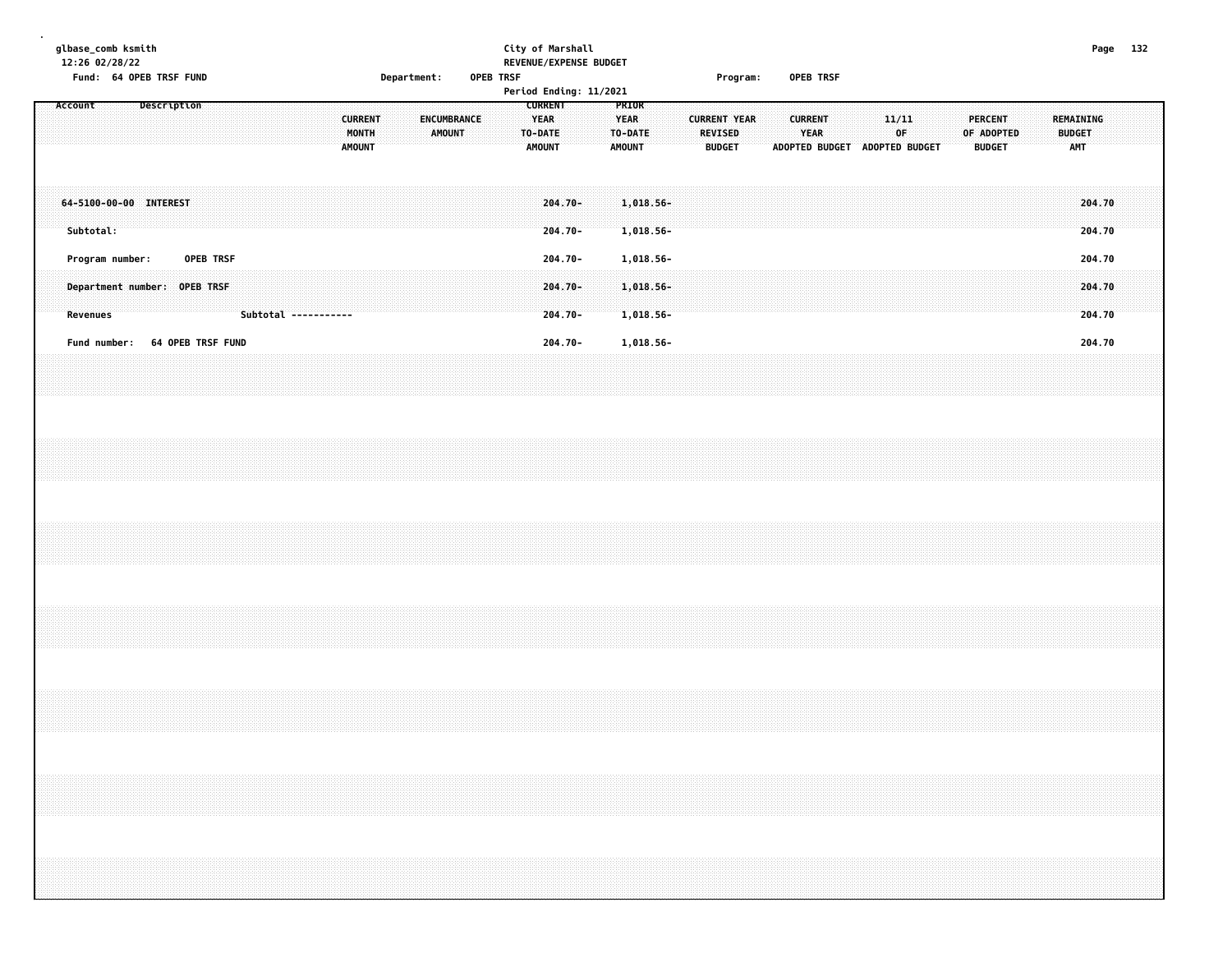|         |           | glbase_comb ksmith<br>12:26 02/28/22 |  | Fund: 64 OPEB TRSF FUND |                              |  |                      |  |                                          |  | Department: |        |             | OPEB TRSF |                                                           | City of Marshall<br>REVENUE/EXPENSE BUDGET<br>Period Ending: 11/2021 |  |                                                  |                        |  |                                 | Program:            |  |                               | OPEB TRSF |                               |             |  |                                 |            |  |                                          |                  | Page 132 |  |
|---------|-----------|--------------------------------------|--|-------------------------|------------------------------|--|----------------------|--|------------------------------------------|--|-------------|--------|-------------|-----------|-----------------------------------------------------------|----------------------------------------------------------------------|--|--------------------------------------------------|------------------------|--|---------------------------------|---------------------|--|-------------------------------|-----------|-------------------------------|-------------|--|---------------------------------|------------|--|------------------------------------------|------------------|----------|--|
| Account |           |                                      |  | Description             |                              |  |                      |  | <b>CURRENT</b><br>MONTH<br><b>AMOUNT</b> |  |             | AMOUNT | ENCUMBRANCE |           | <b>CURRENT</b><br><b>YEAR</b><br>TO-DATE<br><b>AMOUNT</b> |                                                                      |  | PRIOR<br><b>YEAR</b><br>TO-DATE<br><b>AMOUNT</b> |                        |  | <b>REVISED</b><br><b>BUDGET</b> | <b>CURRENT YEAR</b> |  | <b>CURRENT</b><br><b>YEAR</b> |           | ADOPTED BUDGET ADOPTED BUDGET | 11/11<br>0F |  | <b>PERCENT</b><br><b>BUDGET</b> | OF ADOPTED |  | <b>REMAINING</b><br><b>BUDGET</b><br>AMT |                  |          |  |
|         | Subtotal: |                                      |  | 64-5100-00-00 INTEREST  |                              |  |                      |  |                                          |  |             |        |             |           |                                                           | 204.70-<br>$204.70 -$                                                |  |                                                  | 1,018.56-<br>1,018.56- |  |                                 |                     |  |                               |           |                               |             |  |                                 |            |  |                                          | 204.70<br>204.70 |          |  |
|         |           | Program number:                      |  |                         | OPEB TRSF                    |  |                      |  |                                          |  |             |        |             |           |                                                           | 204.70-                                                              |  |                                                  | 1,018.56-              |  |                                 |                     |  |                               |           |                               |             |  |                                 |            |  |                                          | 204.70           |          |  |
|         | Revenues  |                                      |  |                         | Department number: OPEB TRSF |  | Subtotal ----------- |  |                                          |  |             |        |             |           |                                                           | 204.70-<br>$204.70 -$                                                |  |                                                  | 1,018.56-<br>1,018.56- |  |                                 |                     |  |                               |           |                               |             |  |                                 |            |  |                                          | 204.70<br>204.70 |          |  |
|         |           | Fund number:                         |  |                         | 64 OPEB TRSF FUND            |  |                      |  |                                          |  |             |        |             |           |                                                           | $204.70 -$                                                           |  |                                                  | 1,018.56-              |  |                                 |                     |  |                               |           |                               |             |  |                                 |            |  |                                          | 204.70           |          |  |
|         |           |                                      |  |                         |                              |  |                      |  |                                          |  |             |        |             |           |                                                           |                                                                      |  |                                                  |                        |  |                                 |                     |  |                               |           |                               |             |  |                                 |            |  |                                          |                  |          |  |
|         |           |                                      |  |                         |                              |  |                      |  |                                          |  |             |        |             |           |                                                           |                                                                      |  |                                                  |                        |  |                                 |                     |  |                               |           |                               |             |  |                                 |            |  |                                          |                  |          |  |
|         |           |                                      |  |                         |                              |  |                      |  |                                          |  |             |        |             |           |                                                           |                                                                      |  |                                                  |                        |  |                                 |                     |  |                               |           |                               |             |  |                                 |            |  |                                          |                  |          |  |
|         |           |                                      |  |                         |                              |  |                      |  |                                          |  |             |        |             |           |                                                           |                                                                      |  |                                                  |                        |  |                                 |                     |  |                               |           |                               |             |  |                                 |            |  |                                          |                  |          |  |
|         |           |                                      |  |                         |                              |  |                      |  |                                          |  |             |        |             |           |                                                           |                                                                      |  |                                                  |                        |  |                                 |                     |  |                               |           |                               |             |  |                                 |            |  |                                          |                  |          |  |
|         |           |                                      |  |                         |                              |  |                      |  |                                          |  |             |        |             |           |                                                           |                                                                      |  |                                                  |                        |  |                                 |                     |  |                               |           |                               |             |  |                                 |            |  |                                          |                  |          |  |
|         |           |                                      |  |                         |                              |  |                      |  |                                          |  |             |        |             |           |                                                           |                                                                      |  |                                                  |                        |  |                                 |                     |  |                               |           |                               |             |  |                                 |            |  |                                          |                  |          |  |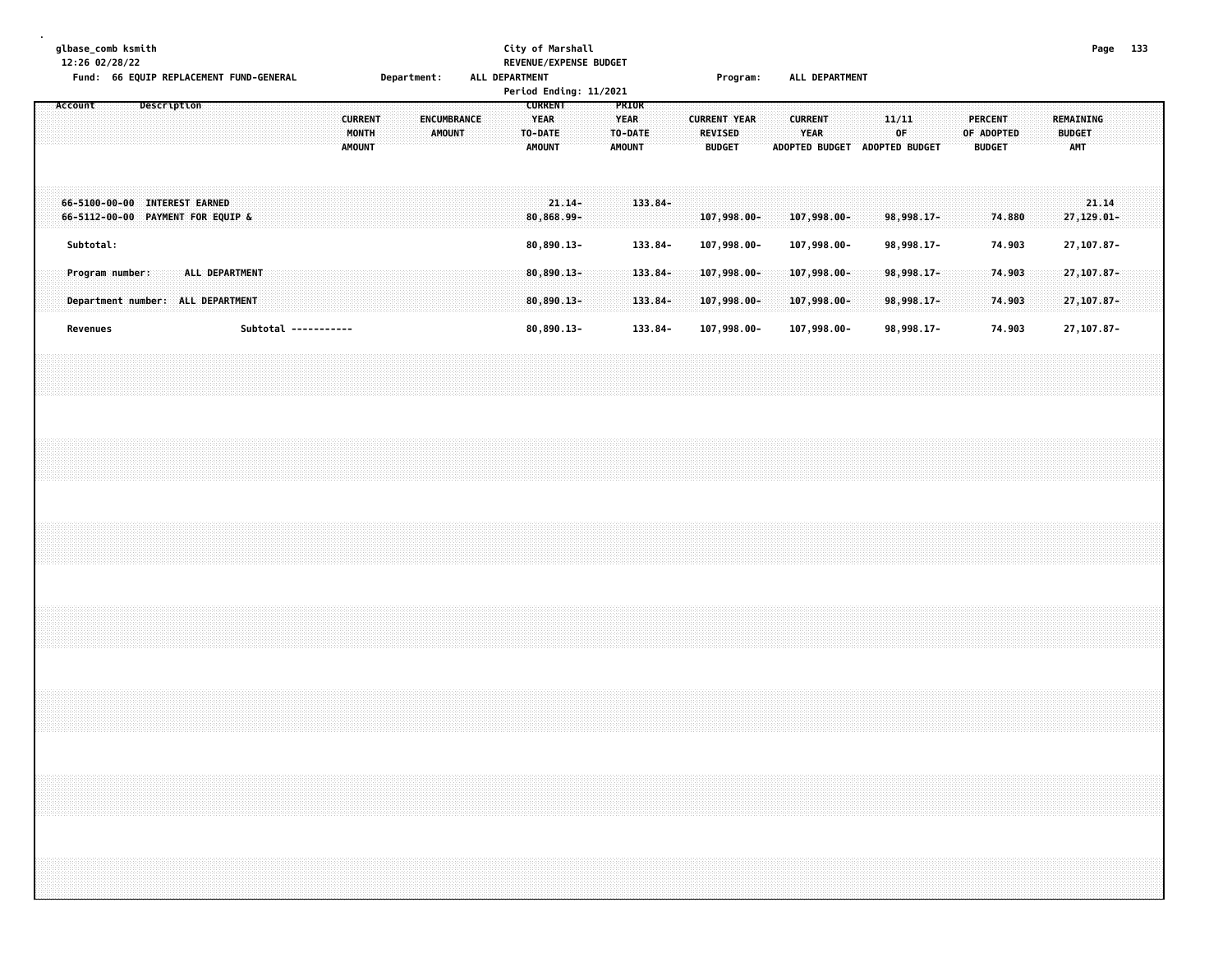|  | glbase_comb ksmith<br>12:26 02/28/22 |  | Fund: 66 EQUIP REPLACEMENT FUND-GENERAL                                                                                                                              |  |                |                      |  |  |                                          |  | Department: |               |             | ALL DEPARTMENT | City of Marshall                                          |          | REVENUE/EXPENSE BUDGET<br>Period Ending: 11/2021 |                                                  |                      |  |                                 | Program:                      |  |                            |             | ALL DEPARTMENT                |       |                            |  |                                 |                  |  |                                          |                               | Page 133 |  |
|--|--------------------------------------|--|----------------------------------------------------------------------------------------------------------------------------------------------------------------------|--|----------------|----------------------|--|--|------------------------------------------|--|-------------|---------------|-------------|----------------|-----------------------------------------------------------|----------|--------------------------------------------------|--------------------------------------------------|----------------------|--|---------------------------------|-------------------------------|--|----------------------------|-------------|-------------------------------|-------|----------------------------|--|---------------------------------|------------------|--|------------------------------------------|-------------------------------|----------|--|
|  | Account                              |  | Description                                                                                                                                                          |  |                |                      |  |  | <b>CURRENT</b><br>MONTH<br><b>AMOUNT</b> |  |             | <b>AMOUNT</b> | ENCUMBRANCE |                | <b>CURRENT</b><br><b>YEAR</b><br>TO-DATE<br><b>AMOUNT</b> |          |                                                  | PRIOR<br><b>YEAR</b><br>TO-DATE<br><b>AMOUNT</b> |                      |  | <b>REVISED</b><br><b>BUDGET</b> | <b>CURRENT YEAR</b>           |  | <b>CURRENT</b>             | <b>YEAR</b> | ADOPTED BUDGET ADOPTED BUDGET | 11/11 | OF                         |  | <b>PERCENT</b><br><b>BUDGET</b> | OF ADOPTED       |  | REMAINING<br><b>BUDGET</b><br><b>AMT</b> |                               |          |  |
|  |                                      |  | 66-5100-00-00 INTEREST EARNED<br>66-5112-00-00 PAYMENT FOR EQUIP &                                                                                                   |  |                |                      |  |  |                                          |  |             |               |             |                | 80,868.99-                                                | $21.14-$ |                                                  |                                                  | $133.84 -$           |  |                                 | 107,998.00-                   |  | 107,998.00-                |             |                               |       | 98,998.17-                 |  |                                 | 74.880           |  |                                          | 21.14<br>27,129.01-           |          |  |
|  | Subtotal:<br>Program number:         |  |                                                                                                                                                                      |  | ALL DEPARTMENT |                      |  |  |                                          |  |             |               |             |                | 80,890.13-<br>$80,890.13 -$                               |          |                                                  |                                                  | 133.84-<br>$133.84-$ |  |                                 | 107,998.00-<br>$107,998.00 -$ |  | 107,998.00-<br>107,998.00- |             |                               |       | 98,998.17-<br>98,998.17-   |  |                                 | 74.903<br>74.903 |  |                                          | 27,107.87-<br>27, 107.87-     |          |  |
|  | Revenues                             |  | Department number: ALL DEPARTMENT                                                                                                                                    |  |                | Subtotal ----------- |  |  |                                          |  |             |               |             |                | $80,890.13 -$<br>80,890.13-                               |          |                                                  |                                                  | 133.84-<br>133.84-   |  |                                 | 107,998.00-<br>107,998.00-    |  | 107,998.00-<br>107,998.00- |             |                               |       | $98,998.17-$<br>98,998.17- |  |                                 | 74.903<br>74.903 |  |                                          | $27, 107.87 -$<br>27, 107.87- |          |  |
|  |                                      |  |                                                                                                                                                                      |  |                |                      |  |  |                                          |  |             |               |             |                |                                                           |          |                                                  |                                                  |                      |  |                                 |                               |  |                            |             |                               |       |                            |  |                                 |                  |  |                                          |                               |          |  |
|  |                                      |  |                                                                                                                                                                      |  |                |                      |  |  |                                          |  |             |               |             |                |                                                           |          |                                                  |                                                  |                      |  |                                 |                               |  |                            |             |                               |       |                            |  |                                 |                  |  |                                          |                               |          |  |
|  |                                      |  |                                                                                                                                                                      |  |                |                      |  |  |                                          |  |             |               |             |                |                                                           |          |                                                  |                                                  |                      |  |                                 |                               |  |                            |             |                               |       |                            |  |                                 |                  |  |                                          |                               |          |  |
|  |                                      |  |                                                                                                                                                                      |  |                |                      |  |  |                                          |  |             |               |             |                |                                                           |          |                                                  |                                                  |                      |  |                                 |                               |  |                            |             |                               |       |                            |  |                                 |                  |  |                                          |                               |          |  |
|  |                                      |  |                                                                                                                                                                      |  |                |                      |  |  |                                          |  |             |               |             |                |                                                           |          |                                                  |                                                  |                      |  |                                 |                               |  |                            |             |                               |       |                            |  |                                 |                  |  |                                          |                               |          |  |
|  |                                      |  | ,我们就会在这里,我们就会在这里,我们就会在这里,我们就会在这里,我们就会在这里,我们就会在这里,我们就会在这里,我们就会在这里,我们就会在这里,我们就会在这里<br>第一章 一个人的话,我们就会在这里,我们就会在这里,我们就会在这里,我们就会在这里,我们就会在这里,我们就会在这里,我们就会在这里,我们就会在这里,我们就会在这 |  |                |                      |  |  |                                          |  |             |               |             |                |                                                           |          |                                                  |                                                  |                      |  |                                 |                               |  |                            |             |                               |       |                            |  |                                 |                  |  |                                          |                               |          |  |
|  |                                      |  |                                                                                                                                                                      |  |                |                      |  |  |                                          |  |             |               |             |                |                                                           |          |                                                  |                                                  |                      |  |                                 |                               |  |                            |             |                               |       |                            |  |                                 |                  |  |                                          |                               |          |  |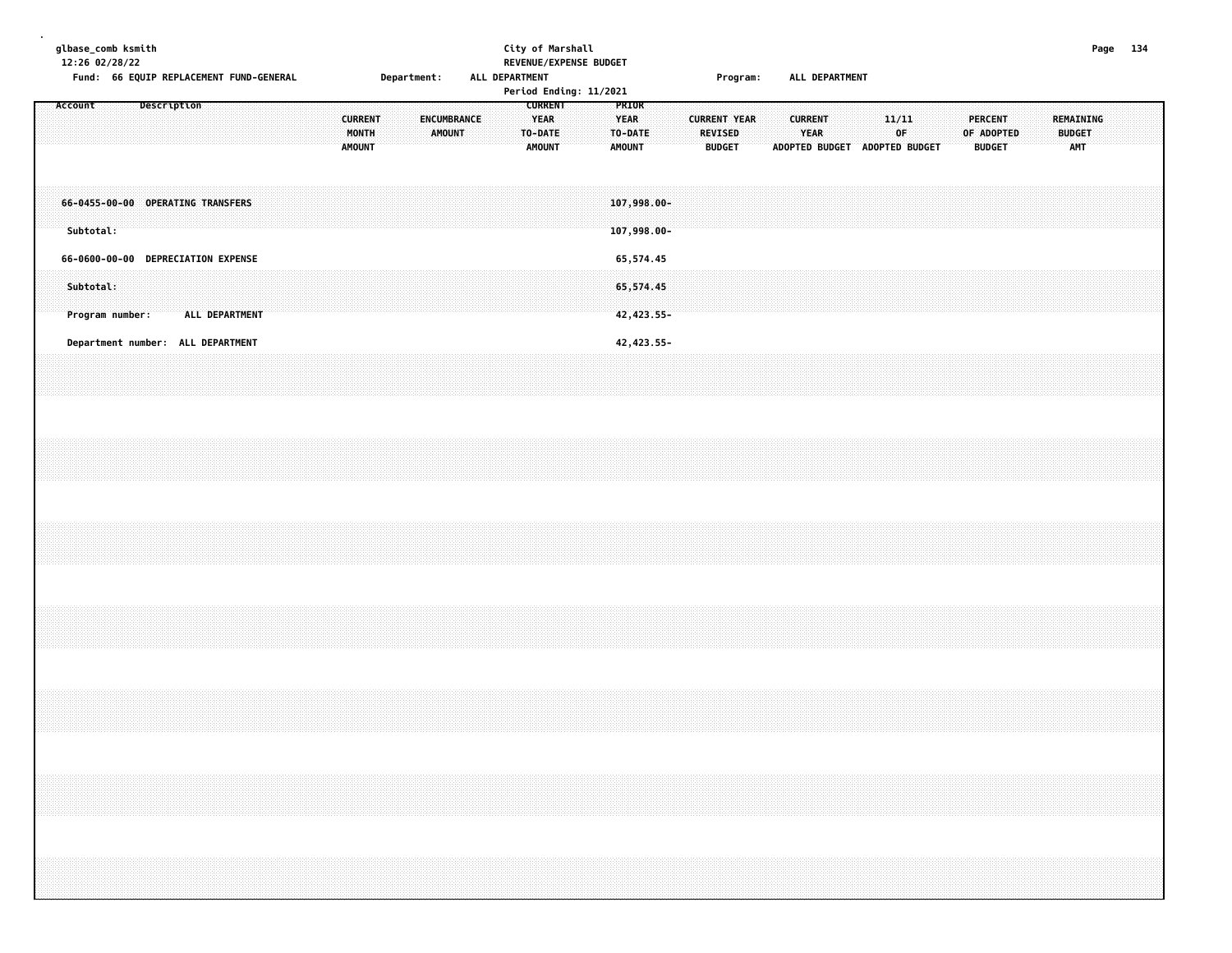| glbase_comb ksmith<br>12:26 02/28/22 |           | Fund: 66 EQUIP REPLACEMENT FUND-GENERAL               |             |                |  |  |  |                                          |  | Department: |                              | ALL DEPARTMENT |  |                                                           | City of Marshall<br>REVENUE/EXPENSE BUDGET<br>Period Ending: 11/2021 |                                       |                                       |  |                                 | Program:            |  |                               | ALL DEPARTMENT                |  |             |  |                                               |  |  |                                                 | Page 134 |  |
|--------------------------------------|-----------|-------------------------------------------------------|-------------|----------------|--|--|--|------------------------------------------|--|-------------|------------------------------|----------------|--|-----------------------------------------------------------|----------------------------------------------------------------------|---------------------------------------|---------------------------------------|--|---------------------------------|---------------------|--|-------------------------------|-------------------------------|--|-------------|--|-----------------------------------------------|--|--|-------------------------------------------------|----------|--|
| Account                              |           |                                                       | Description |                |  |  |  | <b>CURRENT</b><br>MONTH<br><b>AMOUNT</b> |  |             | ENCUMBRANCE<br><b>AMOUNT</b> |                |  | <b>CURRENT</b><br><b>YEAR</b><br>TO-DATE<br><b>AMOUNT</b> |                                                                      | PRIOR<br><b>YEAR</b><br><b>AMOUNT</b> | TO-DATE                               |  | <b>REVISED</b><br><b>BUDGET</b> | <b>CURRENT YEAR</b> |  | <b>CURRENT</b><br><b>YEAR</b> | ADOPTED BUDGET ADOPTED BUDGET |  | 11/11<br>0F |  | <b>PERCENT</b><br>OF ADOPTED<br><b>BUDGET</b> |  |  | <b>REMAINING</b><br><b>BUDGET</b><br><b>AMT</b> |          |  |
|                                      | Subtotal: | 66-0455-00-00 OPERATING TRANSFERS                     |             |                |  |  |  |                                          |  |             |                              |                |  |                                                           |                                                                      |                                       | $107,998.00 -$<br>107,998.00-         |  |                                 |                     |  |                               |                               |  |             |  |                                               |  |  |                                                 |          |  |
|                                      | Subtotal: | 66-0600-00-00 DEPRECIATION EXPENSE<br>Program number: |             | ALL DEPARTMENT |  |  |  |                                          |  |             |                              |                |  |                                                           |                                                                      |                                       | 65,574.45<br>65,574.45<br>42, 423.55- |  |                                 |                     |  |                               |                               |  |             |  |                                               |  |  |                                                 |          |  |
|                                      |           | Department number: ALL DEPARTMENT                     |             |                |  |  |  |                                          |  |             |                              |                |  |                                                           |                                                                      |                                       | 42, 423.55-                           |  |                                 |                     |  |                               |                               |  |             |  |                                               |  |  |                                                 |          |  |
|                                      |           |                                                       |             |                |  |  |  |                                          |  |             |                              |                |  |                                                           |                                                                      |                                       |                                       |  |                                 |                     |  |                               |                               |  |             |  |                                               |  |  |                                                 |          |  |
|                                      |           |                                                       |             |                |  |  |  |                                          |  |             |                              |                |  |                                                           |                                                                      |                                       |                                       |  |                                 |                     |  |                               |                               |  |             |  |                                               |  |  |                                                 |          |  |
|                                      |           |                                                       |             |                |  |  |  |                                          |  |             |                              |                |  |                                                           |                                                                      |                                       |                                       |  |                                 |                     |  |                               |                               |  |             |  |                                               |  |  |                                                 |          |  |
|                                      |           |                                                       |             |                |  |  |  |                                          |  |             |                              |                |  |                                                           |                                                                      |                                       |                                       |  |                                 |                     |  |                               |                               |  |             |  |                                               |  |  |                                                 |          |  |
|                                      |           |                                                       |             |                |  |  |  |                                          |  |             |                              |                |  |                                                           |                                                                      |                                       |                                       |  |                                 |                     |  |                               |                               |  |             |  |                                               |  |  |                                                 |          |  |
|                                      |           |                                                       |             |                |  |  |  |                                          |  |             |                              |                |  |                                                           |                                                                      |                                       |                                       |  |                                 |                     |  |                               |                               |  |             |  |                                               |  |  |                                                 |          |  |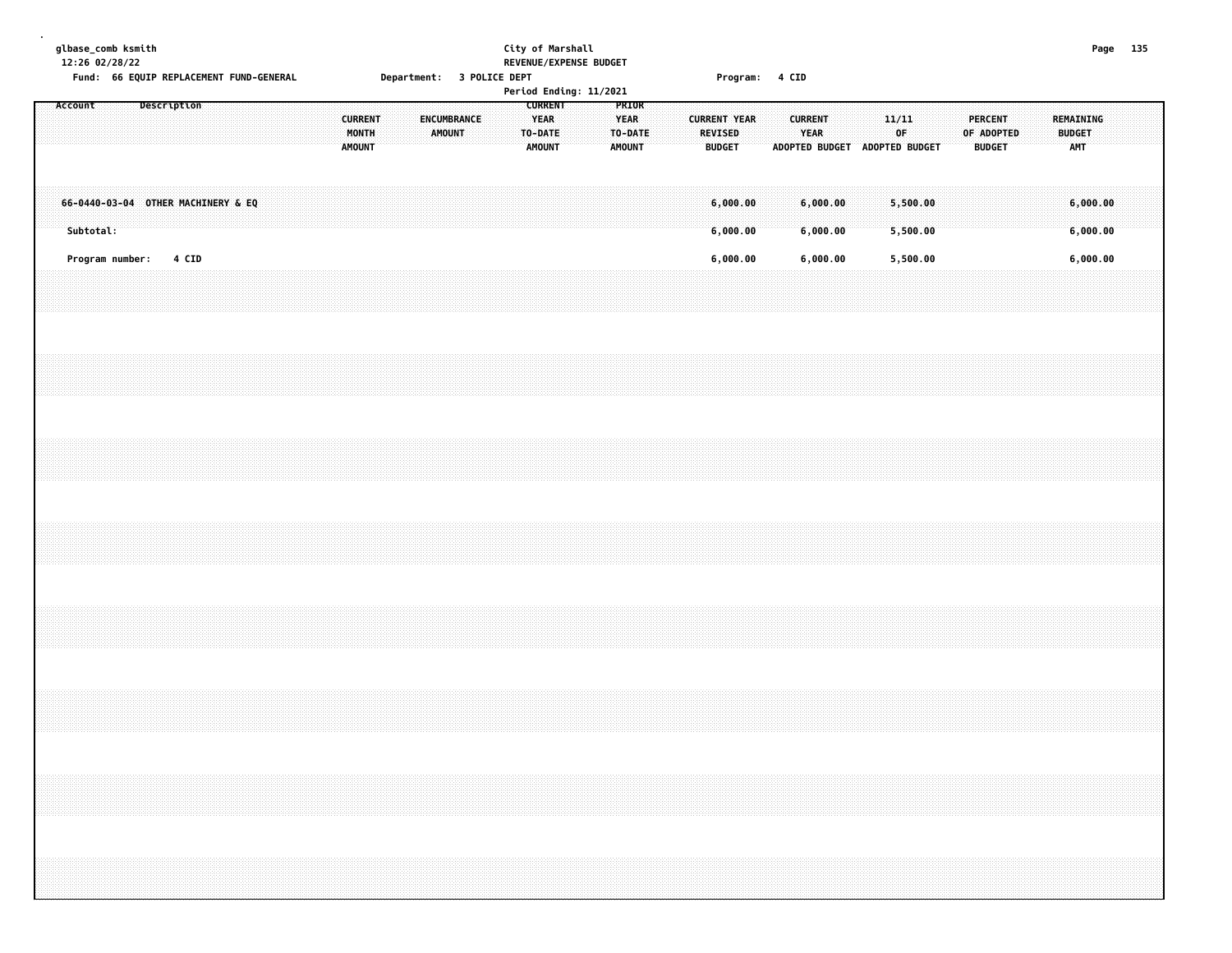|  |           | glbase_comb ksmith<br>12:26 02/28/22 |             |       | Fund: 66 EQUIP REPLACEMENT FUND-GENERAL |  |  |  |                                          | Department: 3 POLICE DEPT |             |               |  |                                                           | City of Marshall<br>REVENUE/EXPENSE BUDGET<br>Period Ending: 11/2021 |  |                                                  |  |                                                        |                      | Program: 4 CID |                               |                      |  |                                              |  |                                               |  |                                          | Page 135 |  |
|--|-----------|--------------------------------------|-------------|-------|-----------------------------------------|--|--|--|------------------------------------------|---------------------------|-------------|---------------|--|-----------------------------------------------------------|----------------------------------------------------------------------|--|--------------------------------------------------|--|--------------------------------------------------------|----------------------|----------------|-------------------------------|----------------------|--|----------------------------------------------|--|-----------------------------------------------|--|------------------------------------------|----------|--|
|  | Account   |                                      | Description |       |                                         |  |  |  | <b>CURRENT</b><br>MONTH<br><b>AMOUNT</b> |                           | ENCUMBRANCE | <b>AMOUNT</b> |  | <b>CURRENT</b><br><b>YEAR</b><br>TO-DATE<br><b>AMOUNT</b> |                                                                      |  | PRIOR<br><b>YEAR</b><br>TO-DATE<br><b>AMOUNT</b> |  | <b>CURRENT YEAR</b><br><b>REVISED</b><br><b>BUDGET</b> |                      |                | <b>CURRENT</b><br><b>YEAR</b> |                      |  | 11/11<br>OF<br>ADOPTED BUDGET ADOPTED BUDGET |  | <b>PERCENT</b><br>OF ADOPTED<br><b>BUDGET</b> |  | REMAINING<br><b>BUDGET</b><br><b>AMT</b> |          |  |
|  | Subtotal: |                                      |             |       | 66-0440-03-04 OTHER MACHINERY & EQ      |  |  |  |                                          |                           |             |               |  |                                                           |                                                                      |  |                                                  |  |                                                        | 6,000.00<br>6,000.00 |                |                               | 6,000.00<br>6,000.00 |  | 5,500.00<br>5,500.00                         |  |                                               |  | 6,000.00<br>6,000.00                     |          |  |
|  |           | Program number:                      |             | 4 CID |                                         |  |  |  |                                          |                           |             |               |  |                                                           |                                                                      |  |                                                  |  |                                                        | 6,000.00             |                |                               | 6,000.00             |  | 5,500.00                                     |  |                                               |  | 6,000.00                                 |          |  |
|  |           |                                      |             |       |                                         |  |  |  |                                          |                           |             |               |  |                                                           |                                                                      |  |                                                  |  |                                                        |                      |                |                               |                      |  |                                              |  |                                               |  |                                          |          |  |
|  |           |                                      |             |       |                                         |  |  |  |                                          |                           |             |               |  |                                                           |                                                                      |  |                                                  |  |                                                        |                      |                |                               |                      |  |                                              |  |                                               |  |                                          |          |  |
|  |           |                                      |             |       |                                         |  |  |  |                                          |                           |             |               |  |                                                           |                                                                      |  |                                                  |  |                                                        |                      |                |                               |                      |  |                                              |  |                                               |  |                                          |          |  |
|  |           |                                      |             |       |                                         |  |  |  |                                          |                           |             |               |  |                                                           |                                                                      |  |                                                  |  |                                                        |                      |                |                               |                      |  |                                              |  |                                               |  |                                          |          |  |
|  |           |                                      |             |       |                                         |  |  |  |                                          |                           |             |               |  |                                                           |                                                                      |  |                                                  |  |                                                        |                      |                |                               |                      |  |                                              |  |                                               |  |                                          |          |  |
|  |           |                                      |             |       |                                         |  |  |  |                                          |                           |             |               |  |                                                           |                                                                      |  |                                                  |  |                                                        |                      |                |                               |                      |  |                                              |  |                                               |  |                                          |          |  |
|  |           |                                      |             |       |                                         |  |  |  |                                          |                           |             |               |  |                                                           |                                                                      |  |                                                  |  |                                                        |                      |                |                               |                      |  |                                              |  |                                               |  |                                          |          |  |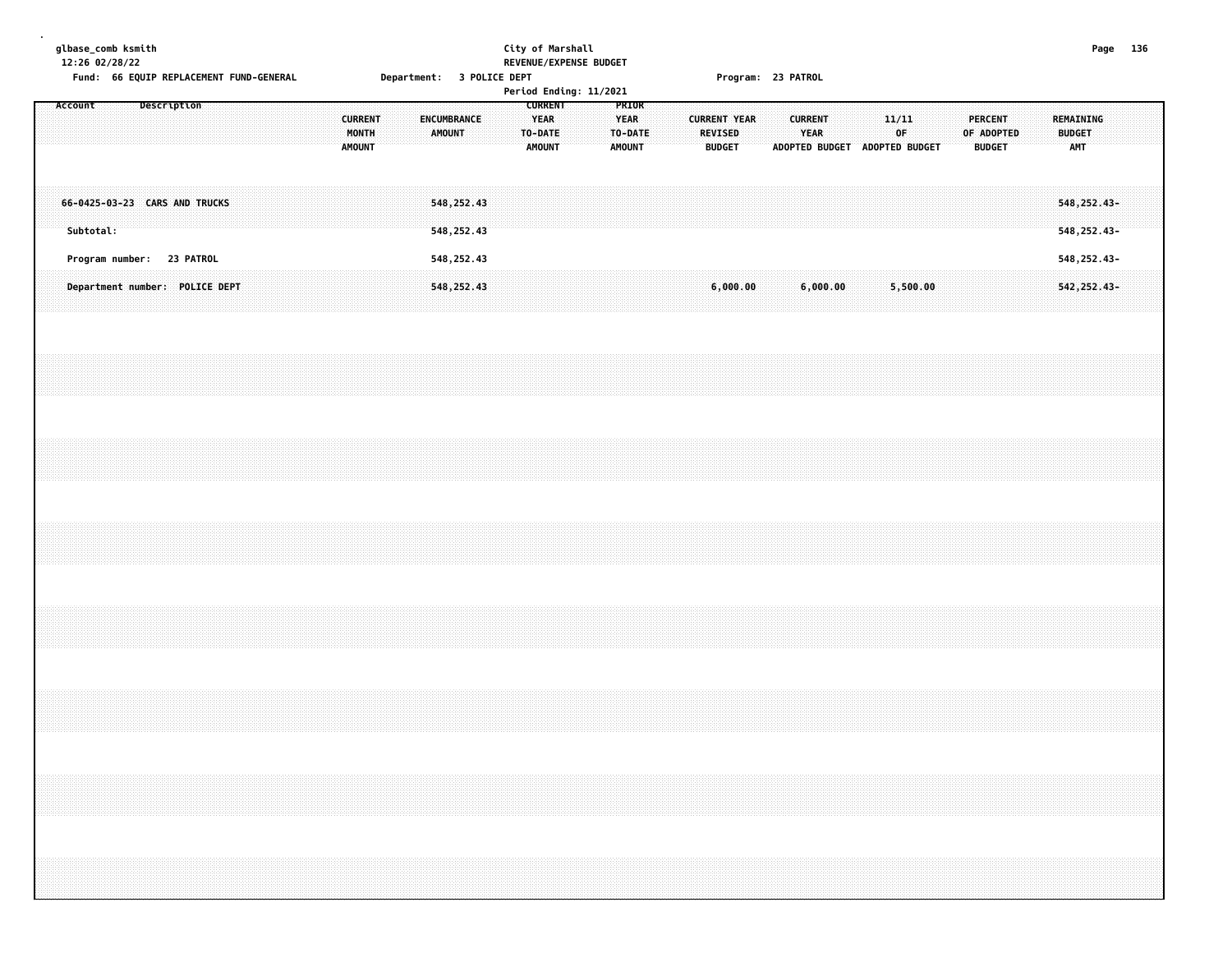|                                                                                   | City of Marshall<br>REVENUE/EXPENSE BUDGET<br>Department: 3 POLICE DEPT                                                        | Program: 23 PATROL                                                                                                                           | Page 136 |
|-----------------------------------------------------------------------------------|--------------------------------------------------------------------------------------------------------------------------------|----------------------------------------------------------------------------------------------------------------------------------------------|----------|
| Fund: 66 EQUIP REPLACEMENT FUND-GENERAL<br>Description<br><b>CURRENT</b><br>MONTH | Period Ending: 11/2021<br><b>CURRENT</b><br>PRIOR<br><b>YEAR</b><br><b>YEAR</b><br>ENCUMBRANCE<br>AMOUNT<br>TO-DATE<br>TO-DATE | <b>CURRENT</b><br>11/11<br><b>PERCENT</b><br>REMAINING<br><b>CURRENT YEAR</b><br>OF<br>YEAR<br><b>REVISED</b><br>OF ADOPTED<br><b>BUDGET</b> |          |
| <b>AMOUNT</b>                                                                     | <b>AMOUNT</b><br><b>AMOUNT</b>                                                                                                 | <b>BUDGET</b><br>ADOPTED BUDGET ADOPTED BUDGET<br><b>BUDGET</b><br>AMT                                                                       |          |
| 66-0425-03-23 CARS AND TRUCKS<br>Subtotal:                                        | 548,252.43<br>548, 252.43                                                                                                      | 548, 252.43-<br>548, 252.43-                                                                                                                 |          |
| Program number: 23 PATROL                                                         | 548,252.43                                                                                                                     | 548, 252.43-                                                                                                                                 |          |
| Department number: POLICE DEPT                                                    | 548, 252.43                                                                                                                    | 6,000.00<br>6,000.00<br>5,500.00<br>542, 252.43-                                                                                             |          |
|                                                                                   |                                                                                                                                |                                                                                                                                              |          |
|                                                                                   |                                                                                                                                |                                                                                                                                              |          |
|                                                                                   |                                                                                                                                |                                                                                                                                              |          |
|                                                                                   |                                                                                                                                |                                                                                                                                              |          |
|                                                                                   |                                                                                                                                |                                                                                                                                              |          |
|                                                                                   |                                                                                                                                |                                                                                                                                              |          |
|                                                                                   |                                                                                                                                |                                                                                                                                              |          |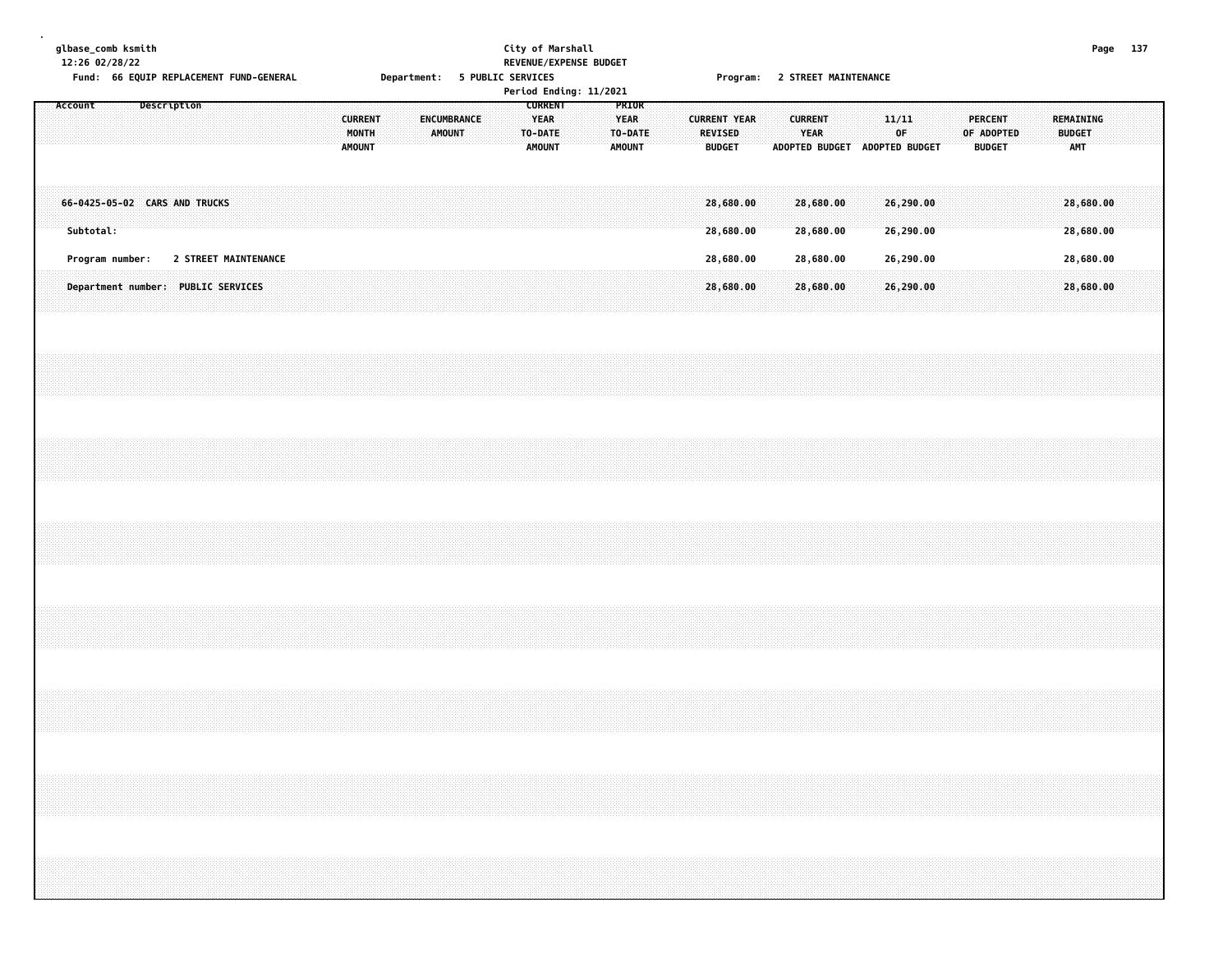|  |           |  | glbase_comb ksmith<br>12:26 02/28/22<br>Fund: 66 EQUIP REPLACEMENT FUND-GENERAL |             |                      |  |  |  |                                 |       |  |                              |  |  | City of Marshall<br>Department: 5 PUBLIC SERVICES         |  | REVENUE/EXPENSE BUDGET<br>Period Ending: 11/2021 |                              |                  |  |                                                        |  |  |                        |  | Program: 2 STREET MAINTENANCE |                        |  |                                 |                                                                                                                                                                      |  |                            |                        | Page 137 |  |
|--|-----------|--|---------------------------------------------------------------------------------|-------------|----------------------|--|--|--|---------------------------------|-------|--|------------------------------|--|--|-----------------------------------------------------------|--|--------------------------------------------------|------------------------------|------------------|--|--------------------------------------------------------|--|--|------------------------|--|-------------------------------|------------------------|--|---------------------------------|----------------------------------------------------------------------------------------------------------------------------------------------------------------------|--|----------------------------|------------------------|----------|--|
|  | Account   |  |                                                                                 | Description |                      |  |  |  | <b>CURRENT</b><br><b>AMOUNT</b> | MONTH |  | ENCUMBRANCE<br><b>AMOUNT</b> |  |  | <b>CURRENT</b><br><b>YEAR</b><br>TO-DATE<br><b>AMOUNT</b> |  |                                                  | <b>YEAR</b><br><b>AMOUNT</b> | PRIOR<br>TO-DATE |  | <b>CURRENT YEAR</b><br><b>REVISED</b><br><b>BUDGET</b> |  |  | <b>CURRENT</b><br>YEAR |  | ADOPTED BUDGET ADOPTED BUDGET | 11/11<br>OF            |  | <b>PERCENT</b><br><b>BUDGET</b> | OF ADOPTED                                                                                                                                                           |  | REMAINING<br><b>BUDGET</b> | <b>AMT</b>             |          |  |
|  | Subtotal: |  | 66-0425-05-02 CARS AND TRUCKS                                                   |             |                      |  |  |  |                                 |       |  |                              |  |  |                                                           |  |                                                  |                              |                  |  | 28,680.00<br>28,680.00                                 |  |  | 28,680.00<br>28,680.00 |  |                               | 26,290.00<br>26,290.00 |  |                                 |                                                                                                                                                                      |  |                            | 28,680.00<br>28,680.00 |          |  |
|  |           |  | Program number:                                                                 |             | 2 STREET MAINTENANCE |  |  |  |                                 |       |  |                              |  |  |                                                           |  |                                                  |                              |                  |  | 28,680.00                                              |  |  | 28,680.00              |  |                               | 26,290.00              |  |                                 |                                                                                                                                                                      |  |                            | 28,680.00              |          |  |
|  |           |  | Department number: PUBLIC SERVICES                                              |             |                      |  |  |  |                                 |       |  |                              |  |  |                                                           |  |                                                  |                              |                  |  | 28,680.00                                              |  |  | 28,680.00              |  |                               | 26,290.00              |  |                                 |                                                                                                                                                                      |  |                            | 28,680.00              |          |  |
|  |           |  |                                                                                 |             |                      |  |  |  |                                 |       |  |                              |  |  |                                                           |  |                                                  |                              |                  |  |                                                        |  |  |                        |  |                               |                        |  |                                 |                                                                                                                                                                      |  |                            |                        |          |  |
|  |           |  |                                                                                 |             |                      |  |  |  |                                 |       |  |                              |  |  |                                                           |  |                                                  |                              |                  |  |                                                        |  |  |                        |  |                               |                        |  |                                 |                                                                                                                                                                      |  |                            |                        |          |  |
|  |           |  |                                                                                 |             |                      |  |  |  |                                 |       |  |                              |  |  |                                                           |  |                                                  |                              |                  |  |                                                        |  |  |                        |  |                               |                        |  |                                 |                                                                                                                                                                      |  |                            |                        |          |  |
|  |           |  |                                                                                 |             |                      |  |  |  |                                 |       |  |                              |  |  |                                                           |  |                                                  |                              |                  |  |                                                        |  |  |                        |  |                               |                        |  |                                 |                                                                                                                                                                      |  |                            |                        |          |  |
|  |           |  |                                                                                 |             |                      |  |  |  |                                 |       |  |                              |  |  |                                                           |  |                                                  |                              |                  |  |                                                        |  |  |                        |  |                               |                        |  |                                 |                                                                                                                                                                      |  |                            |                        |          |  |
|  |           |  |                                                                                 |             |                      |  |  |  |                                 |       |  |                              |  |  |                                                           |  |                                                  |                              |                  |  |                                                        |  |  |                        |  |                               |                        |  |                                 | ,我们就会在这里,我们就会在这里,我们就会在这里,我们就会在这里,我们就会在这里,我们就会在这里,我们就会在这里,我们就会在这里,我们就会在这里,我们就会在这里<br>第155章 我们的时候,我们就会在这里,我们就会在这里,我们就会在这里,我们就会在这里,我们就会在这里,我们就会在这里,我们就会在这里,我们就会在这里,我们就会 |  |                            |                        |          |  |
|  |           |  |                                                                                 |             |                      |  |  |  |                                 |       |  |                              |  |  |                                                           |  |                                                  |                              |                  |  |                                                        |  |  |                        |  |                               |                        |  |                                 |                                                                                                                                                                      |  |                            |                        |          |  |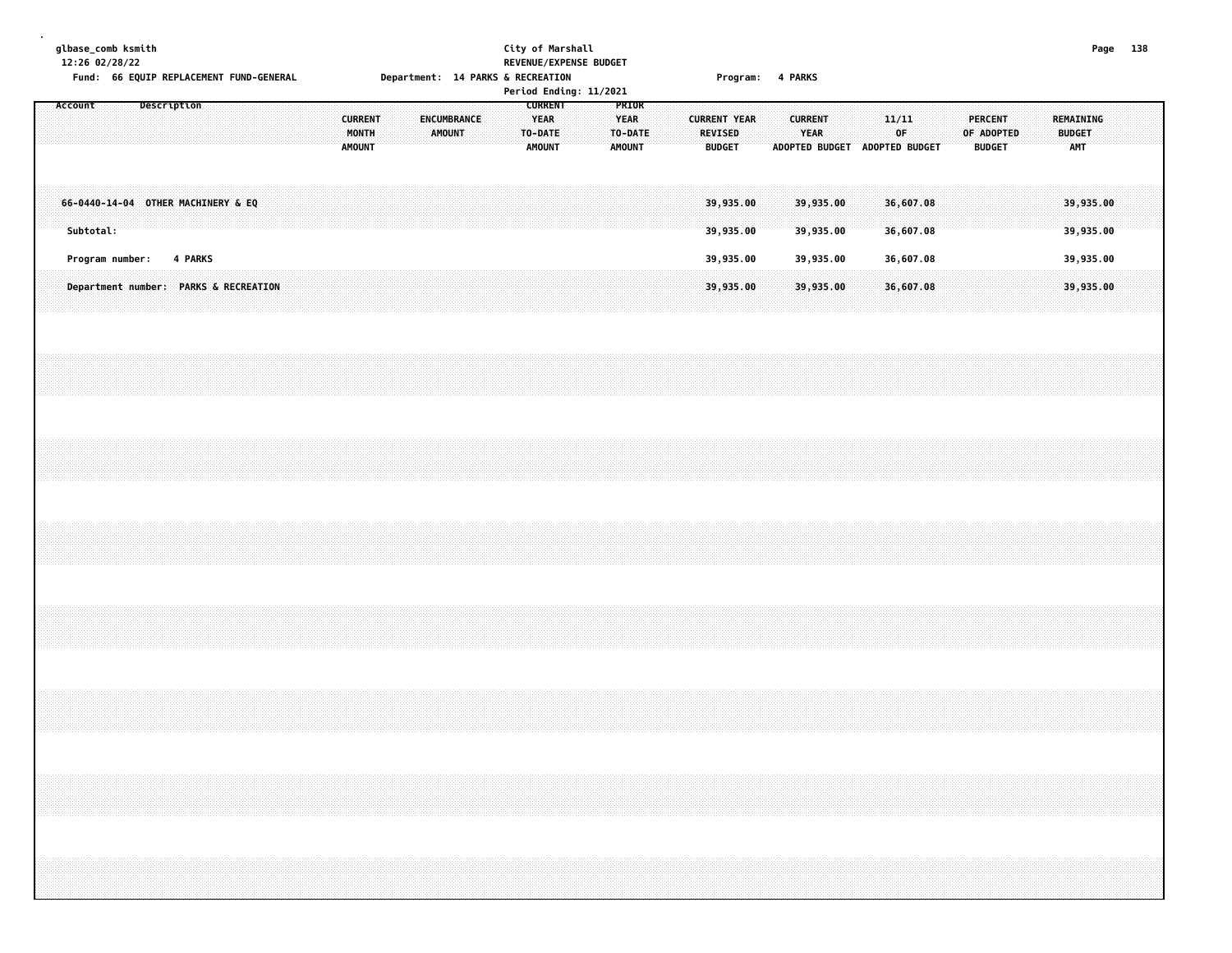| glbase_comb ksmith |           | 12:26 02/28/22                     |             |         |  | Fund: 66 EQUIP REPLACEMENT FUND-GENERAL |  |                                          |  | Department: 14 PARKS & RECREATION |               |                    |  | City of Marshall<br>REVENUE/EXPENSE BUDGET<br>Period Ending: 11/2021 |  |                                                  |  |                          | Program: 4 PARKS       |  |                        |                               |  |                        |           |  |                                                                                  |  |                            |                        | Page 138 |  |
|--------------------|-----------|------------------------------------|-------------|---------|--|-----------------------------------------|--|------------------------------------------|--|-----------------------------------|---------------|--------------------|--|----------------------------------------------------------------------|--|--------------------------------------------------|--|--------------------------|------------------------|--|------------------------|-------------------------------|--|------------------------|-----------|--|----------------------------------------------------------------------------------|--|----------------------------|------------------------|----------|--|
| Account            |           |                                    | Description |         |  |                                         |  | <b>CURRENT</b><br>MONTH<br><b>AMOUNT</b> |  |                                   | <b>AMOUNT</b> | <b>ENCUMBRANCE</b> |  | <b>CURRENT</b><br><b>YEAR</b><br>TO-DATE<br><b>AMOUNT</b>            |  | PRIOR<br><b>YEAR</b><br>TO-DATE<br><b>AMOUNT</b> |  | REVISED<br><b>BUDGET</b> | <b>CURRENT YEAR</b>    |  | <b>CURRENT</b><br>YEAR | ADOPTED BUDGET ADOPTED BUDGET |  | 11/11<br>OF            |           |  | PERCENT<br>OF ADOPTED<br><b>BUDGET</b>                                           |  | REMAINING<br><b>BUDGET</b> | AMT                    |          |  |
|                    | Subtotal: | 66-0440-14-04 OTHER MACHINERY & EQ |             |         |  |                                         |  |                                          |  |                                   |               |                    |  |                                                                      |  |                                                  |  |                          | 39,935.00<br>39,935.00 |  |                        | 39,935.00<br>39,935.00        |  | 36,607.08<br>36,607.08 |           |  |                                                                                  |  |                            | 39,935.00<br>39,935.00 |          |  |
|                    |           | Program number:                    |             | 4 PARKS |  | Department number: PARKS & RECREATION   |  |                                          |  |                                   |               |                    |  |                                                                      |  |                                                  |  |                          | 39,935.00<br>39,935.00 |  |                        | 39,935.00<br>39,935.00        |  | 36,607.08              | 36,607.08 |  |                                                                                  |  |                            | 39,935.00<br>39,935.00 |          |  |
|                    |           |                                    |             |         |  |                                         |  |                                          |  |                                   |               |                    |  |                                                                      |  |                                                  |  |                          |                        |  |                        |                               |  |                        |           |  |                                                                                  |  |                            |                        |          |  |
|                    |           |                                    |             |         |  |                                         |  |                                          |  |                                   |               |                    |  |                                                                      |  |                                                  |  |                          |                        |  |                        |                               |  |                        |           |  |                                                                                  |  |                            |                        |          |  |
|                    |           |                                    |             |         |  |                                         |  |                                          |  |                                   |               |                    |  |                                                                      |  |                                                  |  |                          |                        |  |                        |                               |  |                        |           |  |                                                                                  |  |                            |                        |          |  |
|                    |           |                                    |             |         |  |                                         |  |                                          |  |                                   |               |                    |  |                                                                      |  |                                                  |  |                          |                        |  |                        |                               |  |                        |           |  |                                                                                  |  |                            |                        |          |  |
|                    |           |                                    |             |         |  |                                         |  |                                          |  |                                   |               |                    |  |                                                                      |  |                                                  |  |                          |                        |  |                        |                               |  |                        |           |  |                                                                                  |  |                            |                        |          |  |
|                    |           |                                    |             |         |  |                                         |  |                                          |  |                                   |               |                    |  |                                                                      |  |                                                  |  |                          |                        |  |                        |                               |  |                        |           |  |                                                                                  |  |                            |                        |          |  |
|                    |           |                                    |             |         |  |                                         |  |                                          |  |                                   |               |                    |  |                                                                      |  |                                                  |  |                          |                        |  |                        |                               |  |                        |           |  | ,我们就会在这里的时候,我们就会在这里的时候,我们就会在这里的时候,我们就会在这里的时候,我们就会在这里的时候,我们就会在这里的时候,我们就会在这里的时候,我们 |  |                            |                        |          |  |
|                    |           |                                    |             |         |  |                                         |  |                                          |  |                                   |               |                    |  |                                                                      |  |                                                  |  |                          |                        |  |                        |                               |  |                        |           |  |                                                                                  |  |                            |                        |          |  |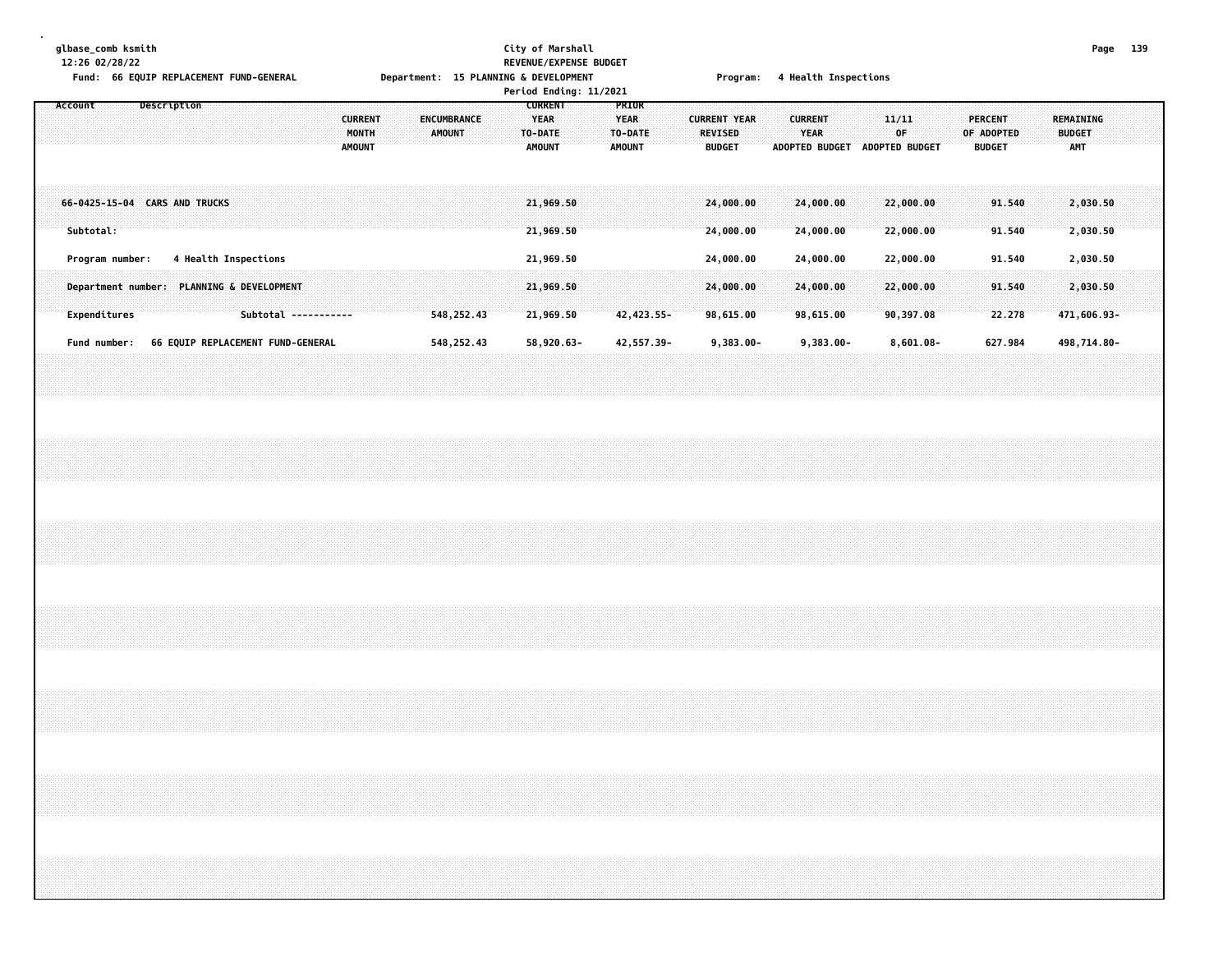# **glbase\_comb ksmith City of Marshall Page 139 12:26 02/28/22 REVENUE/EXPENSE BUDGET**

|                                            | Fund: 66 EQUIP REPLACEMENT FUND-GENERAL |                      |                                          | Department: 15 PLANNING & DEVELOPMENT | Period Ending: 11/2021                                    |                                                  | Program:                                        | 4 Health Inspections                            |                               |                                               |                                                 |
|--------------------------------------------|-----------------------------------------|----------------------|------------------------------------------|---------------------------------------|-----------------------------------------------------------|--------------------------------------------------|-------------------------------------------------|-------------------------------------------------|-------------------------------|-----------------------------------------------|-------------------------------------------------|
| Account                                    | Description                             |                      | <b>CURRENT</b><br>MONTH<br><b>AMOUNT</b> | <b>ENCUMBRANCE</b><br>AMOUNT          | <b>CURRENT</b><br><b>YEAR</b><br>TO-DATE<br><b>AMOUNT</b> | PRIOR<br><b>YEAR</b><br>TO-DATE<br><b>AMOUNT</b> | <b>CURRENT YEAR</b><br>REVISED<br><b>BUDGET</b> | <b>CURRENT</b><br><b>YEAR</b><br>ADOPTED BUDGET | 11/11<br>0F<br>ADOPTED BUDGET | <b>PERCENT</b><br>OF ADOPTED<br><b>BUDGET</b> | <b>REMAINING</b><br><b>BUDGET</b><br><b>AMT</b> |
| 66-0425-15-04 CARS AND TRUCKS<br>Subtotal: |                                         |                      |                                          |                                       | 21,969.50<br>21,969.50                                    |                                                  | 24,000.00<br>24,000.00                          | 24,000.00<br>24,000.00                          | 22,000.00<br>22,000.00        | 91.540<br>91.540                              | 2,030.50<br>2,030.50                            |
| Program number:                            | 4 Health Inspections                    |                      |                                          |                                       | 21,969.50                                                 |                                                  | 24,000.00                                       | 24,000.00                                       | 22,000.00                     | 91.540                                        | 2,030.50                                        |
| Department number: PLANNING & DEVELOPMENT  |                                         |                      |                                          |                                       | 21,969.50                                                 |                                                  | 24,000.00                                       | 24,000.00                                       | 22,000.00                     | 91.540                                        | 2,030.50                                        |
| Expenditures                               |                                         | Subtotal ----------- |                                          | 548, 252.43                           | 21,969.50                                                 | 42,423.55-                                       | 98,615.00                                       | 98,615.00                                       | 90,397.08                     | 22.278                                        | 471,606.93-                                     |
| Fund number:                               | 66 EQUIP REPLACEMENT FUND-GENERAL       |                      |                                          | 548,252.43                            | 58,920.63-                                                | 42,557.39-                                       | $9,383.00 -$                                    | $9,383.00 -$                                    | $8,601.08 -$                  | 627.984                                       | 498,714.80-                                     |
|                                            |                                         |                      |                                          |                                       |                                                           |                                                  |                                                 |                                                 |                               |                                               |                                                 |
|                                            |                                         |                      |                                          |                                       |                                                           |                                                  |                                                 |                                                 |                               |                                               |                                                 |
|                                            |                                         |                      |                                          |                                       |                                                           |                                                  |                                                 |                                                 |                               |                                               |                                                 |
|                                            |                                         |                      |                                          |                                       |                                                           |                                                  |                                                 |                                                 |                               |                                               |                                                 |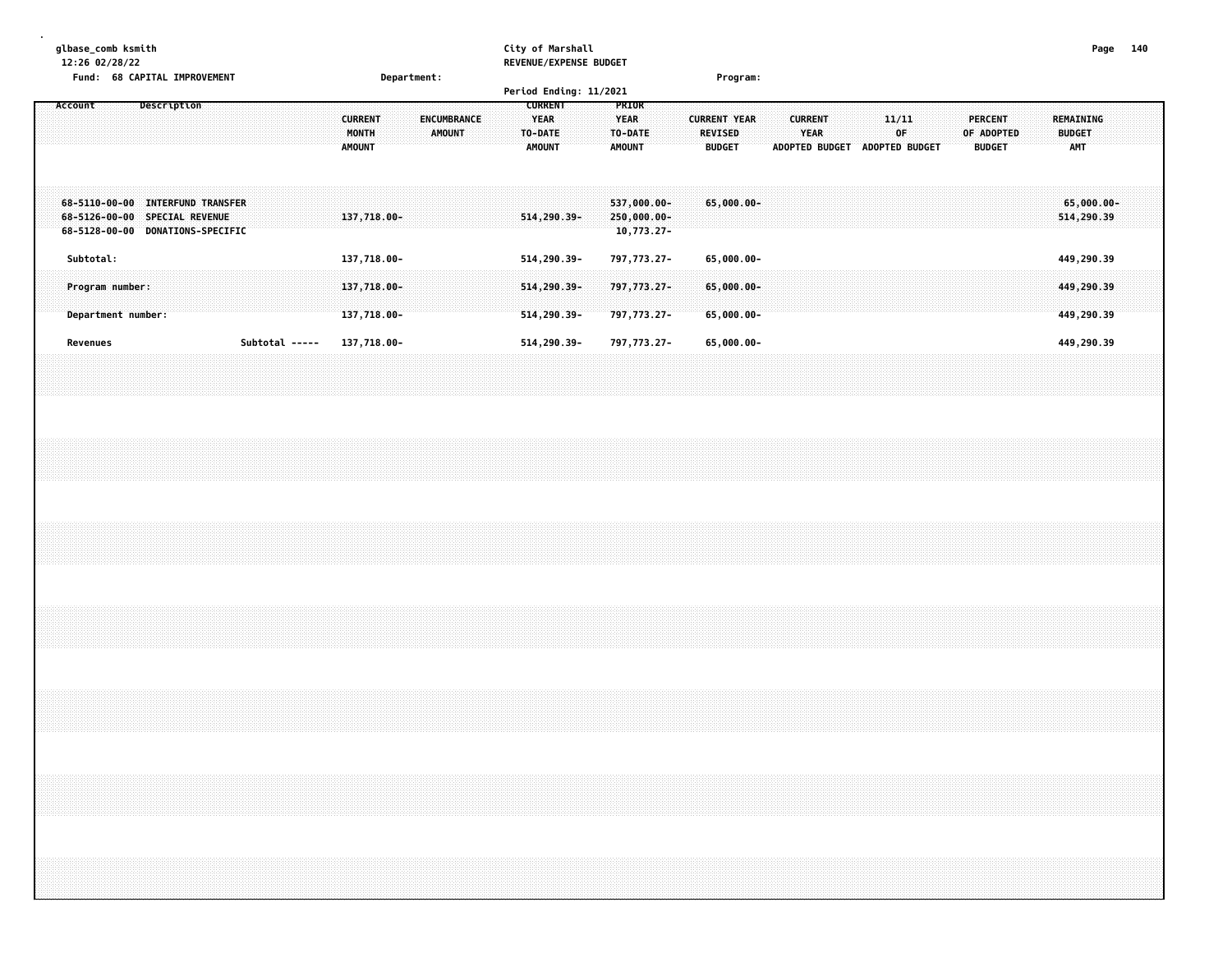| glbase_comb ksmith<br>12:26 02/28/22                            |             |                                                                                  |                |                                          |             |                              |  | City of Marshall<br>REVENUE/EXPENSE BUDGET                |                              |                                             |                                                        |  |                                                        |                       |             |                       |               |                                          | Page | 140 |
|-----------------------------------------------------------------|-------------|----------------------------------------------------------------------------------|----------------|------------------------------------------|-------------|------------------------------|--|-----------------------------------------------------------|------------------------------|---------------------------------------------|--------------------------------------------------------|--|--------------------------------------------------------|-----------------------|-------------|-----------------------|---------------|------------------------------------------|------|-----|
| <b>Fund:</b>                                                    |             | <b>68 CAPITAL IMPROVEMENT</b>                                                    |                |                                          | Department: |                              |  | Period Ending: 11/2021                                    |                              |                                             | Program:                                               |  |                                                        |                       |             |                       |               |                                          |      |     |
| Account                                                         | Description |                                                                                  |                | <b>CURRENT</b><br>MONTH<br><b>AMOUNT</b> |             | ENCUMBRANCE<br><b>AMOUNT</b> |  | <b>CURRENT</b><br><b>YEAR</b><br>TO-DATE<br><b>AMOUNT</b> | <b>YEAR</b><br><b>AMOUNT</b> | <b>PRIOR</b><br>TO-DATE                     | <b>CURRENT YEAR</b><br><b>REVISED</b><br><b>BUDGET</b> |  | <b>CURRENT</b><br><b>YEAR</b><br><b>ADOPTED BUDGET</b> | <b>ADOPTED BUDGET</b> | 11/11<br>0F | PERCENT<br>OF ADOPTED | <b>BUDGET</b> | REMAINING<br><b>BUDGET</b><br><b>AMT</b> |      |     |
| $68 - 5110 - 00 - 00$<br>$68 - 5126 - 00 - 00$<br>68-5128-00-00 |             | <b>INTERFUND TRANSFER</b><br><b>SPECIAL REVENUE</b><br><b>DONATIONS-SPECIFIC</b> |                | 137,718.00-                              |             |                              |  | $514, 290.39 -$                                           |                              | 537,000.00-<br>250,000.00-<br>$10,773.27 -$ | $65,000.00 -$                                          |  |                                                        |                       |             |                       |               | 65,000.00-<br>514,290.39                 |      |     |
| Subtotal:                                                       |             |                                                                                  |                | 137,718.00-                              |             |                              |  | 514,290.39-                                               |                              | 797,773.27-                                 | $65,000.00 -$                                          |  |                                                        |                       |             |                       |               | 449,290.39                               |      |     |
| Program number:<br>Department number:                           |             |                                                                                  |                | 137,718.00-<br>137,718.00-               |             |                              |  | 514,290.39-<br>$514, 290.39 -$                            |                              | 797,773.27-<br>797,773.27-                  | $65,000.00 -$<br>$65,000.00 -$                         |  |                                                        |                       |             |                       |               | 449,290.39<br>449,290.39                 |      |     |
| Revenues                                                        |             |                                                                                  | Subtotal ----- | 137,718.00-                              |             |                              |  | 514,290.39-                                               |                              | 797,773.27-                                 | 65,000.00-                                             |  |                                                        |                       |             |                       |               | 449,290.39                               |      |     |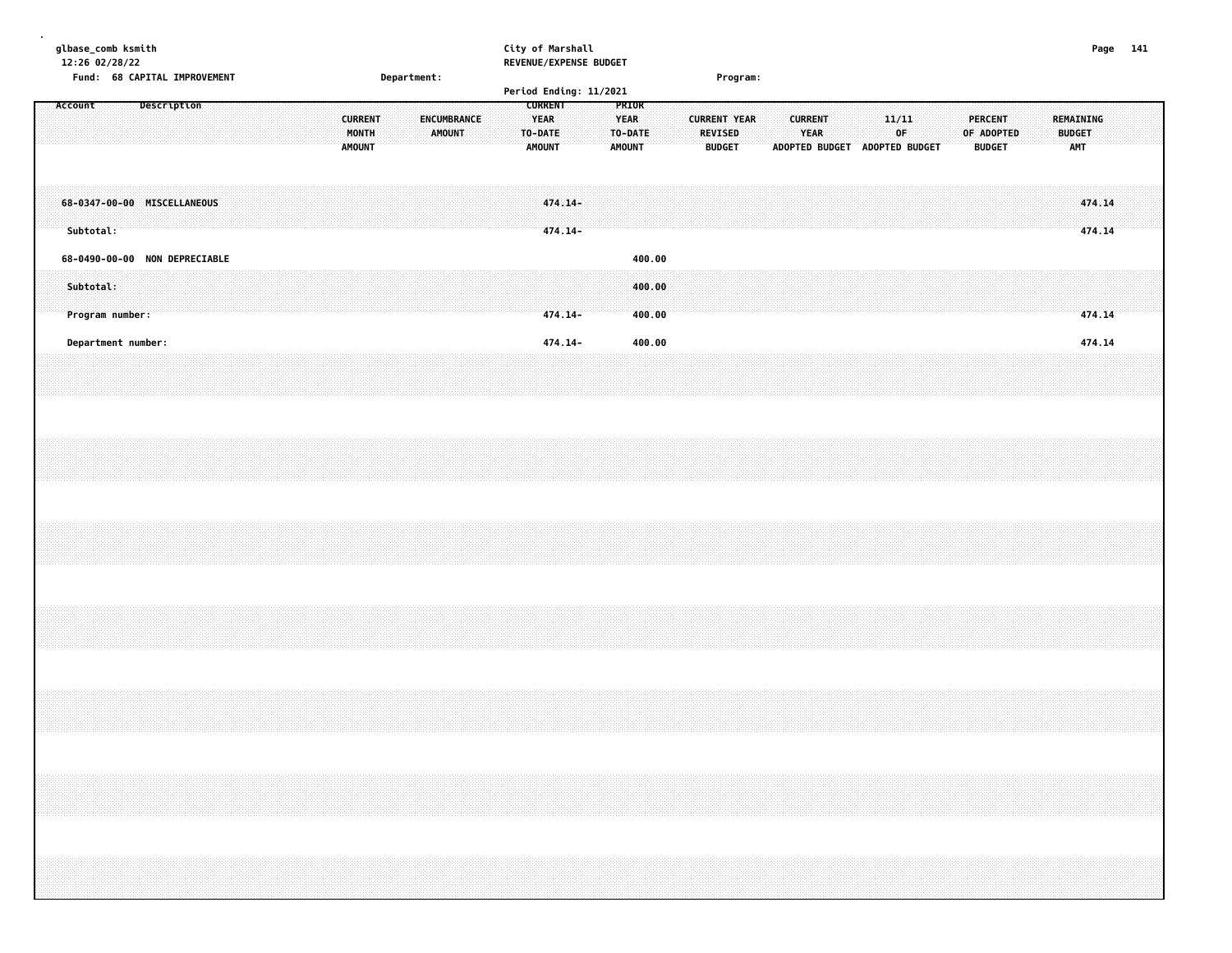| glbase_comb ksmith<br>12:26 02/28/22                          |             |                              |  |  |                                          |             |                       |  |                                                           | City of Marshall<br>REVENUE/EXPENSE BUDGET |                                                         |                            |  |                                                        |          |  |                               |                       |                         |    |  |                                               |  |                                          | Page 141 |  |
|---------------------------------------------------------------|-------------|------------------------------|--|--|------------------------------------------|-------------|-----------------------|--|-----------------------------------------------------------|--------------------------------------------|---------------------------------------------------------|----------------------------|--|--------------------------------------------------------|----------|--|-------------------------------|-----------------------|-------------------------|----|--|-----------------------------------------------|--|------------------------------------------|----------|--|
|                                                               |             | Fund: 68 CAPITAL IMPROVEMENT |  |  |                                          | Department: |                       |  |                                                           |                                            |                                                         |                            |  |                                                        | Program: |  |                               |                       |                         |    |  |                                               |  |                                          |          |  |
|                                                               |             |                              |  |  |                                          |             |                       |  |                                                           | Period Ending: 11/2021                     |                                                         |                            |  |                                                        |          |  |                               |                       |                         |    |  |                                               |  |                                          |          |  |
| Account                                                       | Description |                              |  |  | <b>CURRENT</b><br>MONTH<br><b>AMOUNT</b> |             | ENCUMBRANCE<br>AMOUNT |  | <b>CURRENT</b><br><b>YEAR</b><br>TO-DATE<br><b>AMOUNT</b> |                                            | <b>PRIOR</b><br><b>YEAR</b><br>TO-DATE<br><b>AMOUNT</b> |                            |  | <b>CURRENT YEAR</b><br><b>REVISED</b><br><b>BUDGET</b> |          |  | <b>CURRENT</b><br><b>YEAR</b> | <b>ADOPTED BUDGET</b> | 11/11<br>ADOPTED BUDGET | 0F |  | <b>PERCENT</b><br>OF ADOPTED<br><b>BUDGET</b> |  | REMAINING<br><b>BUDGET</b><br><b>AMT</b> |          |  |
| 68-0347-00-00 MISCELLANEOUS<br>Subtotal:                      |             |                              |  |  |                                          |             |                       |  |                                                           | 474.14-<br>$474.14-$                       |                                                         |                            |  |                                                        |          |  |                               |                       |                         |    |  |                                               |  | 474.14<br>474.14                         |          |  |
| 68-0490-00-00 NON DEPRECIABLE<br>Subtotal:<br>Program number: |             |                              |  |  |                                          |             |                       |  |                                                           | 474.14-                                    |                                                         | 400.00<br>400.00<br>400.00 |  |                                                        |          |  |                               |                       |                         |    |  |                                               |  | 474.14                                   |          |  |
| Department number:                                            |             |                              |  |  |                                          |             |                       |  |                                                           | 474.14-                                    |                                                         | 400.00                     |  |                                                        |          |  |                               |                       |                         |    |  |                                               |  | 474.14                                   |          |  |
|                                                               |             |                              |  |  |                                          |             |                       |  |                                                           |                                            |                                                         |                            |  |                                                        |          |  |                               |                       |                         |    |  |                                               |  |                                          |          |  |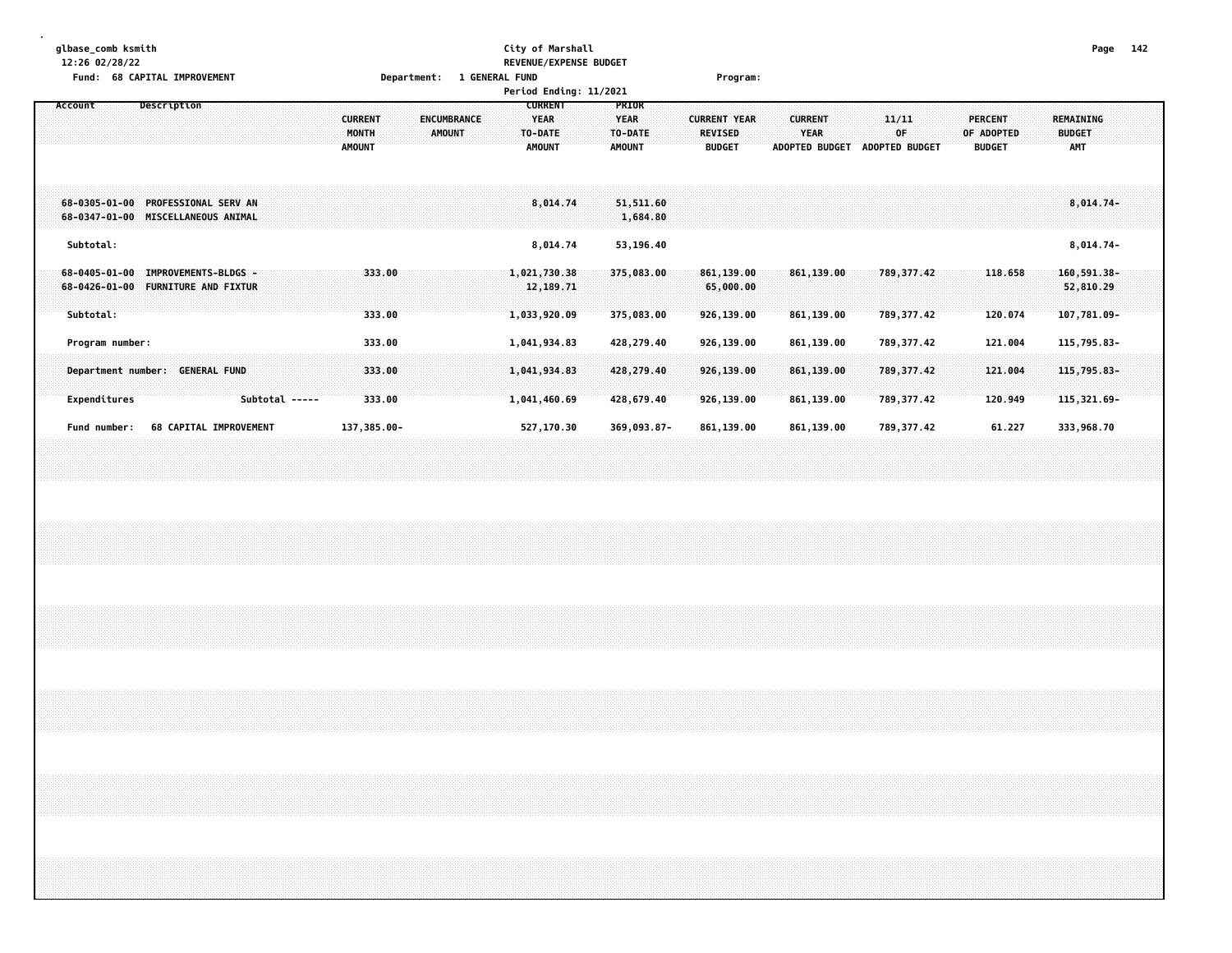|  | glbase_comb ksmith |  |
|--|--------------------|--|
|  |                    |  |

### **glbase\_comb ksmith City of Marshall Page 142 12:26 02/28/22 REVENUE/EXPENSE BUDGET Fund: 68 CAPITAL IMPROVEMENT Department: 1 GENERAL FUND Program:**

| TURNS OF CAPITAL INFROVERENT                                                                                      | Department. I GENERAL FOND<br>Period Ending: 11/2021                                             | r ı vyı allı.                                                                                                                                                        |                                                                                                                                          |
|-------------------------------------------------------------------------------------------------------------------|--------------------------------------------------------------------------------------------------|----------------------------------------------------------------------------------------------------------------------------------------------------------------------|------------------------------------------------------------------------------------------------------------------------------------------|
| Description<br>Account<br><b>CURRENT</b><br>MONTH<br><b>AMOUNT</b>                                                | <b>CURRENT</b><br><b>ENCUMBRANCE</b><br><b>YEAR</b><br><b>AMOUNT</b><br>TO-DATE<br><b>AMOUNT</b> | PRIOR<br><b>CURRENT YEAR</b><br><b>YEAR</b><br><b>CURRENT</b><br>TO-DATE<br><b>REVISED</b><br><b>YEAR</b><br><b>ADOPTED BUDGET</b><br><b>AMOUNT</b><br><b>BUDGET</b> | <b>PERCENT</b><br><b>REMAINING</b><br>11/11<br>0F<br>OF ADOPTED<br><b>BUDGET</b><br><b>ADOPTED BUDGET</b><br><b>BUDGET</b><br><b>AMT</b> |
| <b>PROFESSIONAL SERV AN</b><br>$68 - 0305 - 01 - 00$<br>MISCELLANEOUS ANIMAL<br>68-0347-01-00                     | 8,014.74                                                                                         | 51,511.60<br>1,684.80                                                                                                                                                | $8,014.74-$                                                                                                                              |
| Subtotal:                                                                                                         | 8,014.74                                                                                         | 53,196.40                                                                                                                                                            | $8,014.74-$                                                                                                                              |
| <b>IMPROVEMENTS-BLDGS -</b><br>$68 - 0405 - 01 - 00$<br>68-0426-01-00<br><b>FURNITURE AND FIXTUR</b><br>Subtotal: | 333.00<br>1,021,730.38<br>12, 189. 71<br>333.00<br>1,033,920.09                                  | 375,083.00<br>861,139.00<br>861,139.00<br>65,000.00<br>375,083.00<br>926,139.00<br>861,139.00                                                                        | $160, 591.38 -$<br>789, 377.42<br>118.658<br>52,810.29<br>789, 377, 42<br>120.074<br>107,781.09-                                         |
| Program number:                                                                                                   | 333.00<br>1,041,934.83                                                                           | 926,139.00<br>428,279.40<br>861,139.00                                                                                                                               | 789,377.42<br>121.004<br>115,795.83-                                                                                                     |
| <b>GENERAL FUND</b><br>Department number:                                                                         | 333.00<br>1,041,934.83                                                                           | 428,279.40<br>926,139.00<br>861,139.00                                                                                                                               | 789, 377.42<br>121.004<br>115,795.83-                                                                                                    |
| Expenditures<br>Subtotal -----<br><b>68 CAPITAL IMPROVEMENT</b><br>Fund number:                                   | 333.00<br>1,041,460.69<br>137,385.00-<br>527,170.30                                              | 428,679.40<br>926,139.00<br>861,139.00<br>369,093.87-<br>861,139.00<br>861,139.00                                                                                    | 789, 377.42<br>120.949<br>$115,321.69-$<br>789,377.42<br>61.227<br>333,968.70                                                            |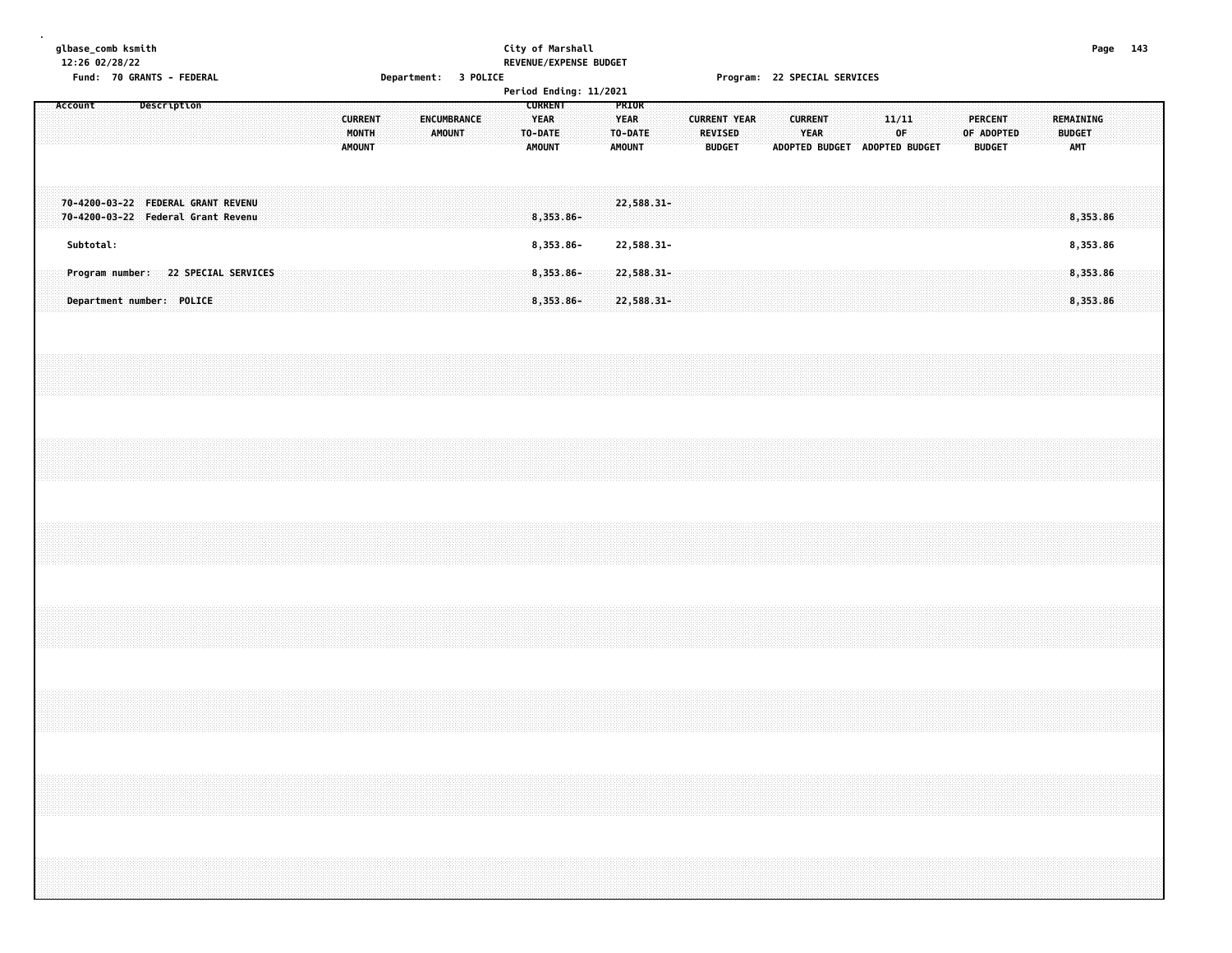| glbase_comb ksmith |  |  |
|--------------------|--|--|
| 1.3.56.02.03.03.03 |  |  |

## **glbase\_comb ksmith City of Marshall Page 143 12:26 02/28/22 REVENUE/EXPENSE BUDGET**

**Fund: 70 GRANTS - FEDERAL Department: 3 POLICE Program: 22 SPECIAL SERVICES**

|         |           |  |                                                                          |  |  |  |  |                                   |  |  |                                     |  |                                         | Period Ending: 11/2021    |  |                                                  |  |         |               |                     |  |                               |  |       |    |                               |            |                                 |  |                             |                      |                                      |  |
|---------|-----------|--|--------------------------------------------------------------------------|--|--|--|--|-----------------------------------|--|--|-------------------------------------|--|-----------------------------------------|---------------------------|--|--------------------------------------------------|--|---------|---------------|---------------------|--|-------------------------------|--|-------|----|-------------------------------|------------|---------------------------------|--|-----------------------------|----------------------|--------------------------------------|--|
| Account |           |  | Description                                                              |  |  |  |  | <b>CURRENT</b><br>MONTH<br>AMOUNT |  |  | <b>ENCUMBRANCE</b><br><b>AMOUNT</b> |  | <b>YEAR</b><br>TO-DATE<br><b>AMOUNT</b> | <b>CURRENT</b>            |  | PRIOR<br><b>YEAR</b><br>TO-DATE<br><b>AMOUNT</b> |  | REVISED | <b>BUDGET</b> | <b>CURRENT YEAR</b> |  | <b>CURRENT</b><br><b>YEAR</b> |  | 11/11 | 0F | ADOPTED BUDGET ADOPTED BUDGET | OF ADOPTED | <b>PERCENT</b><br><b>BUDGET</b> |  | <b>BUDGET</b><br><b>AMT</b> | REMAINING            |                                      |  |
|         |           |  | 70-4200-03-22 FEDERAL GRANT REVENU<br>70-4200-03-22 Federal Grant Revenu |  |  |  |  |                                   |  |  |                                     |  |                                         | 8,353.86-                 |  | 22,588.31-                                       |  |         |               |                     |  |                               |  |       |    |                               |            |                                 |  |                             | 8,353.86             |                                      |  |
|         | Subtotal: |  |                                                                          |  |  |  |  |                                   |  |  |                                     |  |                                         | 8,353.86-                 |  | 22,588.31-                                       |  |         |               |                     |  |                               |  |       |    |                               |            |                                 |  |                             | 8,353.86             |                                      |  |
|         |           |  | Program number: 22 SPECIAL SERVICES<br>Department number: POLICE         |  |  |  |  |                                   |  |  |                                     |  |                                         | $8,353.86 -$<br>8,353.86- |  | $22,588.31 -$<br>22,588.31-                      |  |         |               |                     |  |                               |  |       |    |                               |            |                                 |  |                             | 8,353.86<br>8,353.86 |                                      |  |
|         |           |  |                                                                          |  |  |  |  |                                   |  |  |                                     |  |                                         |                           |  |                                                  |  |         |               |                     |  |                               |  |       |    |                               |            |                                 |  |                             |                      |                                      |  |
|         |           |  |                                                                          |  |  |  |  |                                   |  |  |                                     |  |                                         |                           |  |                                                  |  |         |               |                     |  |                               |  |       |    |                               |            |                                 |  |                             |                      |                                      |  |
|         |           |  |                                                                          |  |  |  |  |                                   |  |  |                                     |  |                                         |                           |  |                                                  |  |         |               |                     |  |                               |  |       |    |                               |            |                                 |  |                             |                      |                                      |  |
|         |           |  |                                                                          |  |  |  |  |                                   |  |  |                                     |  |                                         |                           |  |                                                  |  |         |               |                     |  |                               |  |       |    |                               |            |                                 |  |                             |                      |                                      |  |
|         |           |  |                                                                          |  |  |  |  |                                   |  |  |                                     |  |                                         |                           |  |                                                  |  |         |               |                     |  |                               |  |       |    |                               |            |                                 |  |                             |                      |                                      |  |
|         |           |  |                                                                          |  |  |  |  |                                   |  |  |                                     |  |                                         |                           |  |                                                  |  |         |               |                     |  |                               |  |       |    |                               |            |                                 |  |                             |                      | ,,,,,,,,,,,,,,,,,,,,,,,,,,,,,,,,,,,, |  |
|         |           |  |                                                                          |  |  |  |  |                                   |  |  |                                     |  |                                         |                           |  |                                                  |  |         |               |                     |  |                               |  |       |    |                               |            |                                 |  |                             |                      |                                      |  |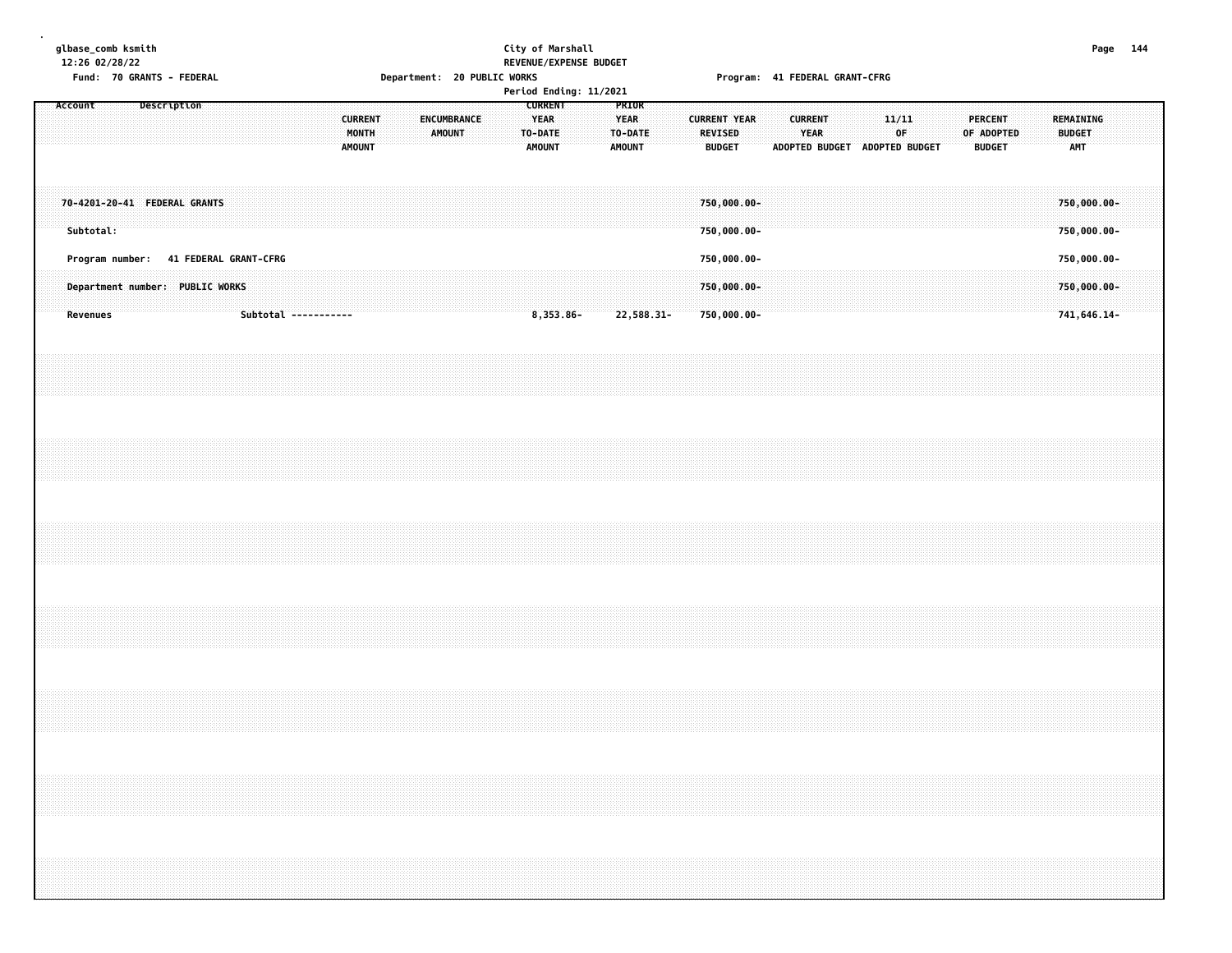| glbase comb ksmith |  |  |
|--------------------|--|--|
| 12:26 02/28/22     |  |  |

### **glbase\_comb ksmith City of Marshall Page 144 12:26 02/28/22 REVENUE/EXPENSE BUDGET** Fund: 70 GRANTS - FEDERAL CRANT-CFRG (20 PUBLIC WORKS ) For the Magnusian CRANT-CFRG (20 PUBLIC WORKS ) From the Program: 41 FEDERAL GRANT-CFRG

| Period Ending: 11/2021<br><b>CURRENT</b><br>Description<br>PRIOR<br>Account<br><b>CURRENT</b><br><b>ENCUMBRANCE</b><br><b>YEAR</b><br><b>CURRENT YEAR</b><br><b>YEAR</b><br>MONTH<br>AMOUNT<br>TO-DATE<br>TO-DATE<br>REVISED |                              |                                                                                      |  |  |  |  |  |  |  |                      |  |  |  |        |  |  |  |  |           |  |               |            |  |               |                                           |  |                               |  |                               |             |  |            |                                 |  |                                           |  |  |
|------------------------------------------------------------------------------------------------------------------------------------------------------------------------------------------------------------------------------|------------------------------|--------------------------------------------------------------------------------------|--|--|--|--|--|--|--|----------------------|--|--|--|--------|--|--|--|--|-----------|--|---------------|------------|--|---------------|-------------------------------------------|--|-------------------------------|--|-------------------------------|-------------|--|------------|---------------------------------|--|-------------------------------------------|--|--|
|                                                                                                                                                                                                                              |                              |                                                                                      |  |  |  |  |  |  |  |                      |  |  |  | AMOUNT |  |  |  |  | AMOUNT    |  | <b>AMOUNT</b> |            |  | <b>BUDGET</b> |                                           |  | <b>CURRENT</b><br><b>YEAR</b> |  | ADOPTED BUDGET ADOPTED BUDGET | 11/11<br>OF |  | OF ADOPTED | <b>PERCENT</b><br><b>BUDGET</b> |  | REMAINING<br><b>BUDGET</b><br>AMT         |  |  |
|                                                                                                                                                                                                                              | 70-4201-20-41 FEDERAL GRANTS | Subtotal:                                                                            |  |  |  |  |  |  |  |                      |  |  |  |        |  |  |  |  |           |  |               |            |  |               | 750,000.00-<br>750,000.00-                |  |                               |  |                               |             |  |            |                                 |  | 750,000.00-<br>750,000.00-                |  |  |
|                                                                                                                                                                                                                              |                              | Program number: 41 FEDERAL GRANT-CFRG<br>Department number: PUBLIC WORKS<br>Revenues |  |  |  |  |  |  |  | Subtotal ----------- |  |  |  |        |  |  |  |  | 8,353.86- |  |               | 22,588.31- |  |               | 750,000.00-<br>750,000.00-<br>750,000.00- |  |                               |  |                               |             |  |            |                                 |  | 750,000.00-<br>750,000.00-<br>741,646.14- |  |  |
|                                                                                                                                                                                                                              |                              |                                                                                      |  |  |  |  |  |  |  |                      |  |  |  |        |  |  |  |  |           |  |               |            |  |               |                                           |  |                               |  |                               |             |  |            |                                 |  |                                           |  |  |
|                                                                                                                                                                                                                              |                              |                                                                                      |  |  |  |  |  |  |  |                      |  |  |  |        |  |  |  |  |           |  |               |            |  |               |                                           |  |                               |  |                               |             |  |            |                                 |  |                                           |  |  |
|                                                                                                                                                                                                                              |                              |                                                                                      |  |  |  |  |  |  |  |                      |  |  |  |        |  |  |  |  |           |  |               |            |  |               |                                           |  |                               |  |                               |             |  |            |                                 |  |                                           |  |  |
|                                                                                                                                                                                                                              |                              |                                                                                      |  |  |  |  |  |  |  |                      |  |  |  |        |  |  |  |  |           |  |               |            |  |               |                                           |  |                               |  |                               |             |  |            |                                 |  |                                           |  |  |
|                                                                                                                                                                                                                              |                              |                                                                                      |  |  |  |  |  |  |  |                      |  |  |  |        |  |  |  |  |           |  |               |            |  |               |                                           |  |                               |  |                               |             |  |            |                                 |  |                                           |  |  |
|                                                                                                                                                                                                                              |                              |                                                                                      |  |  |  |  |  |  |  |                      |  |  |  |        |  |  |  |  |           |  |               |            |  |               |                                           |  |                               |  |                               |             |  |            |                                 |  |                                           |  |  |
|                                                                                                                                                                                                                              |                              |                                                                                      |  |  |  |  |  |  |  |                      |  |  |  |        |  |  |  |  |           |  |               |            |  |               |                                           |  |                               |  |                               |             |  |            |                                 |  |                                           |  |  |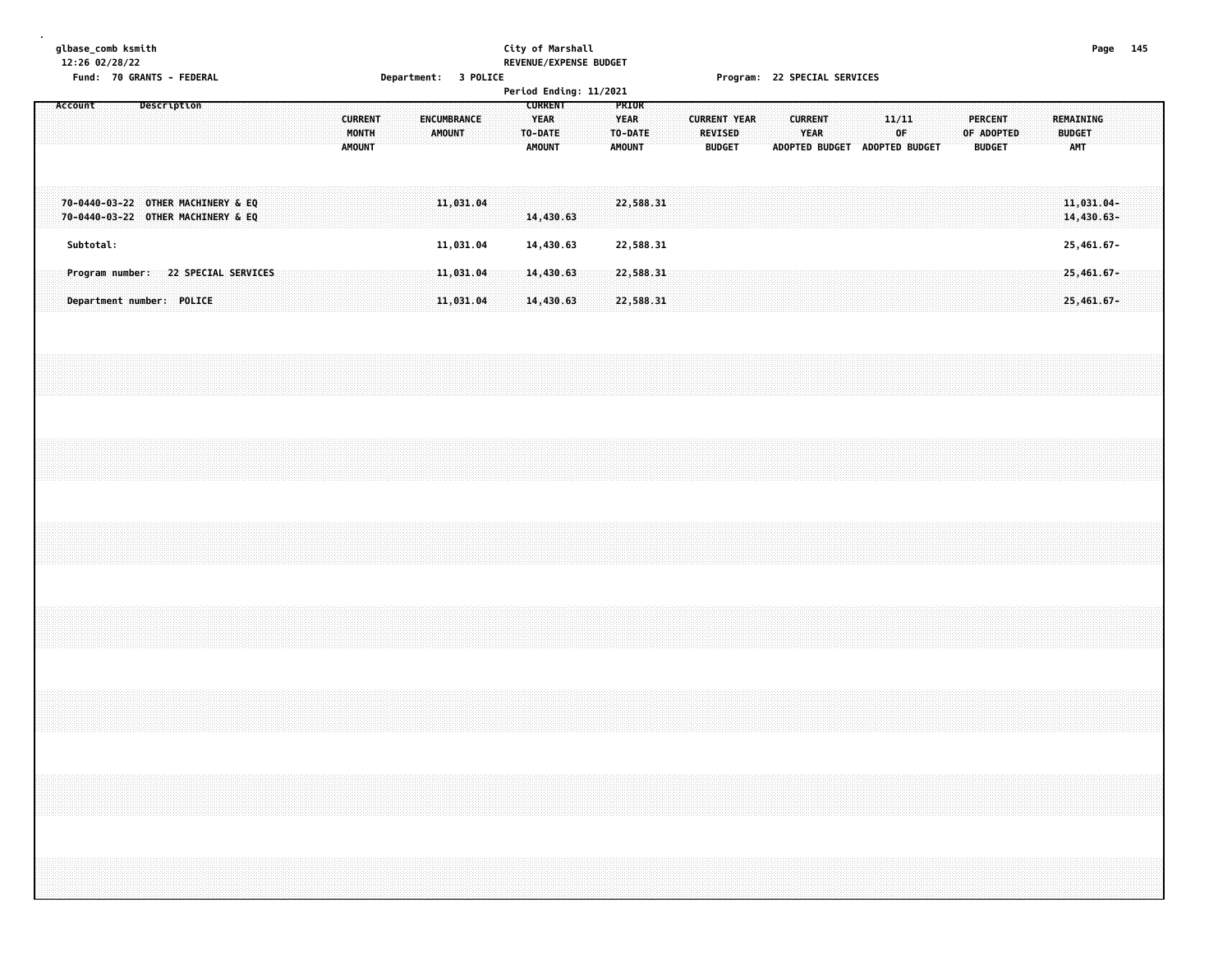## **glbase\_comb ksmith City of Marshall Page 145 12:26 02/28/22 REVENUE/EXPENSE BUDGET**

**Fund: 70 GRANTS - FEDERAL Department: 3 POLICE Program: 22 SPECIAL SERVICES**

|                                    |           |                           |  |             |                                     |  |  |                                   |  |                              |  |                                                            | Period Ending: 11/2021 |                              |                  |  |                                                 |  |                               |                               |  |             |  |                              |               |  |                                   |  |  |
|------------------------------------|-----------|---------------------------|--|-------------|-------------------------------------|--|--|-----------------------------------|--|------------------------------|--|------------------------------------------------------------|------------------------|------------------------------|------------------|--|-------------------------------------------------|--|-------------------------------|-------------------------------|--|-------------|--|------------------------------|---------------|--|-----------------------------------|--|--|
| Account                            |           |                           |  | Description |                                     |  |  | <b>CURRENT</b><br>MONTH<br>AMOUNT |  | ENCUMBRANCE<br><b>AMOUNT</b> |  | <b>CURRENT</b><br><b>YEAR</b><br>TO-DATE:<br><b>AMOUNT</b> |                        | <b>YEAR</b><br><b>AMOUNT</b> | PRIOR<br>TO-DATE |  | <b>CURRENT YEAR</b><br>REVISED<br><b>BUDGET</b> |  | ADOPTED BUDGET ADOPTED BUDGET | <b>CURRENT</b><br><b>YEAR</b> |  | 11/11<br>0F |  | <b>PERCENT</b><br>OF ADOPTED | <b>BUDGET</b> |  | REMAINING<br><b>BUDGET</b><br>AMT |  |  |
| 70-0440-03-22 OTHER MACHINERY & EQ |           |                           |  |             | 70-0440-03-22 OTHER MACHINERY & EQ  |  |  |                                   |  | 11,031.04                    |  | 14,430.63                                                  |                        |                              | 22,588.31        |  |                                                 |  |                               |                               |  |             |  |                              |               |  | 11,031.04-<br>14,430.63-          |  |  |
|                                    | Subtotal: |                           |  |             |                                     |  |  |                                   |  | 11,031.04                    |  | 14,430.63                                                  |                        |                              | 22,588.31        |  |                                                 |  |                               |                               |  |             |  |                              |               |  | 25,461.67-                        |  |  |
|                                    |           |                           |  |             | Program number: 22 SPECIAL SERVICES |  |  |                                   |  | 11,031.04                    |  | 14,430.63                                                  |                        |                              | 22,588.31        |  |                                                 |  |                               |                               |  |             |  |                              |               |  | 25,461.67-                        |  |  |
|                                    |           | Department number: POLICE |  |             |                                     |  |  |                                   |  | 11,031.04                    |  | 14,430.63                                                  |                        |                              | 22,588.31        |  |                                                 |  |                               |                               |  |             |  |                              |               |  | $25,461.67 -$                     |  |  |
|                                    |           |                           |  |             |                                     |  |  |                                   |  |                              |  |                                                            |                        |                              |                  |  |                                                 |  |                               |                               |  |             |  |                              |               |  |                                   |  |  |
|                                    |           |                           |  |             |                                     |  |  |                                   |  |                              |  |                                                            |                        |                              |                  |  |                                                 |  |                               |                               |  |             |  |                              |               |  |                                   |  |  |
|                                    |           |                           |  |             |                                     |  |  |                                   |  |                              |  |                                                            |                        |                              |                  |  |                                                 |  |                               |                               |  |             |  |                              |               |  |                                   |  |  |
|                                    |           |                           |  |             |                                     |  |  |                                   |  |                              |  |                                                            |                        |                              |                  |  |                                                 |  |                               |                               |  |             |  |                              |               |  |                                   |  |  |
|                                    |           |                           |  |             |                                     |  |  |                                   |  |                              |  |                                                            |                        |                              |                  |  |                                                 |  |                               |                               |  |             |  |                              |               |  |                                   |  |  |
|                                    |           |                           |  |             |                                     |  |  |                                   |  |                              |  |                                                            |                        |                              |                  |  |                                                 |  |                               |                               |  |             |  |                              |               |  |                                   |  |  |
|                                    |           |                           |  |             |                                     |  |  |                                   |  |                              |  |                                                            |                        |                              |                  |  |                                                 |  |                               |                               |  |             |  |                              |               |  |                                   |  |  |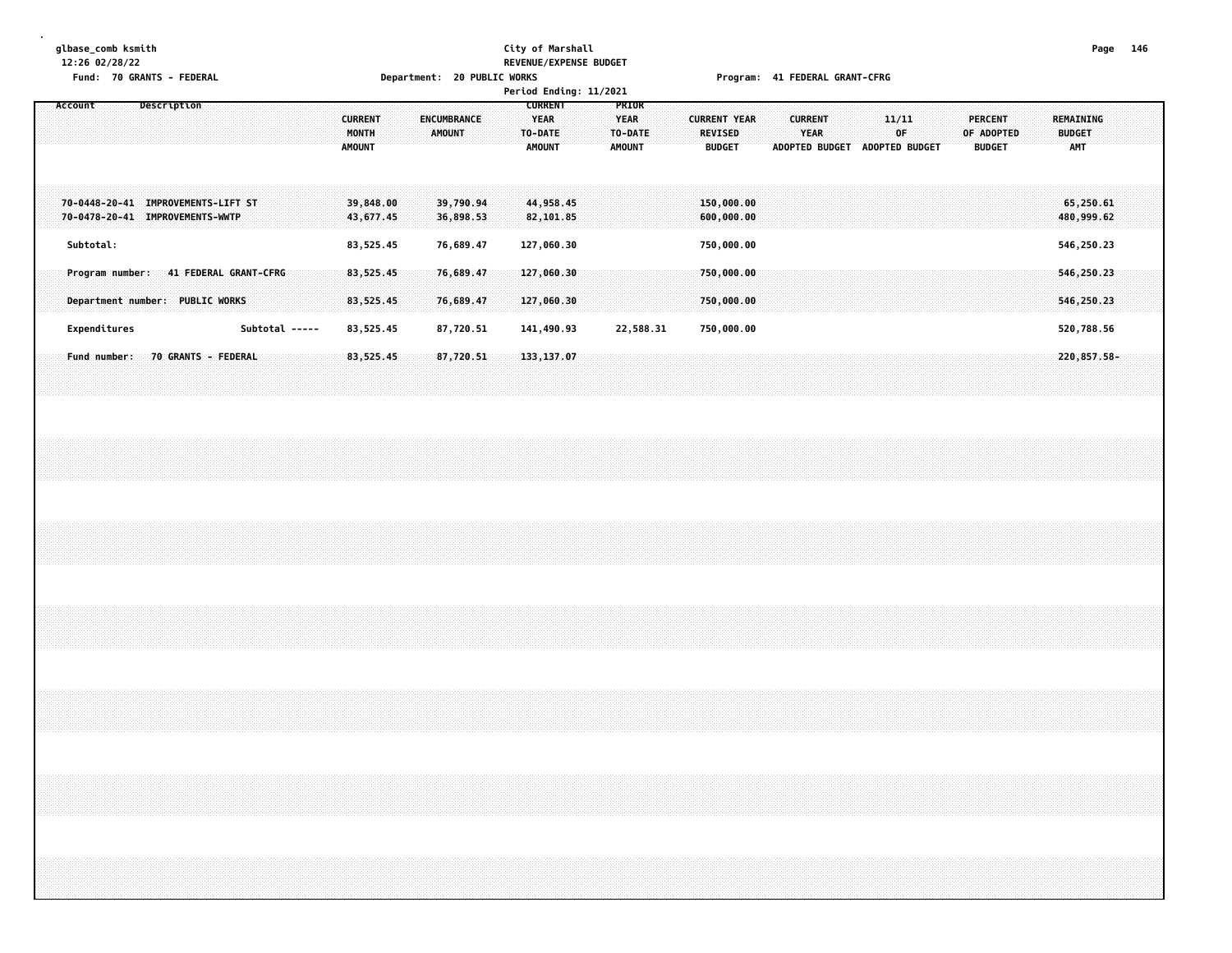## **glbase\_comb ksmith City of Marshall Page 146 12:26 02/28/22 REVENUE/EXPENSE BUDGET**

|         | Fund: 70 GRANTS - FEDERAL                                                |  |             |  |                |  |                                          |                        | Department: 20 PUBLIC WORKS |                              |                        |  |                                         | Period Ending: 11/2021   |  |                                       |           |  |                                 |                          |  |                               |  | Program: 41 FEDERAL GRANT-CFRG |             |                               |  |                                 |            |  |                             |                          |  |  |
|---------|--------------------------------------------------------------------------|--|-------------|--|----------------|--|------------------------------------------|------------------------|-----------------------------|------------------------------|------------------------|--|-----------------------------------------|--------------------------|--|---------------------------------------|-----------|--|---------------------------------|--------------------------|--|-------------------------------|--|--------------------------------|-------------|-------------------------------|--|---------------------------------|------------|--|-----------------------------|--------------------------|--|--|
| Account |                                                                          |  | Description |  |                |  | <b>CURRENT</b><br>MONTH<br><b>AMOUNT</b> |                        |                             | ENCUMBRANCE<br><b>AMOUNT</b> |                        |  | <b>YEAR</b><br>TO-DATE<br><b>AMOUNT</b> | <b>CURRENT</b>           |  | PRIOR<br><b>YEAR</b><br><b>AMOUNT</b> | TO-DATE   |  | <b>REVISED</b><br><b>BUDGET</b> | <b>CURRENT YEAR</b>      |  | <b>CURRENT</b><br><b>YEAR</b> |  |                                | 11/11<br>0F | ADOPTED BUDGET ADOPTED BUDGET |  | <b>PERCENT</b><br><b>BUDGET</b> | OF ADOPTED |  | <b>BUDGET</b><br><b>AMT</b> | <b>REMAINING</b>         |  |  |
|         | 70-0448-20-41 IMPROVEMENTS-LIFT ST<br>70-0478-20-41 IMPROVEMENTS-WWTP    |  |             |  |                |  |                                          | 39,848.00<br>43,677.45 |                             |                              | 39,790.94<br>36,898.53 |  |                                         | 44,958.45<br>82,101.85   |  |                                       |           |  |                                 | 150,000.00<br>600,000.00 |  |                               |  |                                |             |                               |  |                                 |            |  |                             | 65,250.61<br>480,999.62  |  |  |
|         | Subtotal:                                                                |  |             |  |                |  |                                          | 83,525.45              |                             |                              | 76,689.47              |  |                                         | 127,060.30               |  |                                       |           |  |                                 | 750,000.00               |  |                               |  |                                |             |                               |  |                                 |            |  |                             | 546,250.23               |  |  |
|         | Program number: 41 FEDERAL GRANT-CFRG<br>Department number: PUBLIC WORKS |  |             |  |                |  |                                          | 83,525.45<br>83,525.45 |                             |                              | 76,689.47<br>76,689.47 |  |                                         | 127,060.30<br>127,060.30 |  |                                       |           |  |                                 | 750,000.00<br>750,000.00 |  |                               |  |                                |             |                               |  |                                 |            |  |                             | 546,250.23<br>546,250.23 |  |  |
|         | Expenditures                                                             |  |             |  | Subtotal ----- |  |                                          | 83,525.45              |                             |                              | 87,720.51              |  |                                         | 141,490.93               |  |                                       | 22,588.31 |  |                                 | 750,000.00               |  |                               |  |                                |             |                               |  |                                 |            |  |                             | 520,788.56               |  |  |
|         | Fund number: 70 GRANTS - FEDERAL                                         |  |             |  |                |  |                                          | 83,525.45              |                             |                              | 87,720.51              |  |                                         | 133, 137.07              |  |                                       |           |  |                                 |                          |  |                               |  |                                |             |                               |  |                                 |            |  |                             | 220,857.58-              |  |  |
|         |                                                                          |  |             |  |                |  |                                          |                        |                             |                              |                        |  |                                         |                          |  |                                       |           |  |                                 |                          |  |                               |  |                                |             |                               |  |                                 |            |  |                             |                          |  |  |
|         |                                                                          |  |             |  |                |  |                                          |                        |                             |                              |                        |  |                                         |                          |  |                                       |           |  |                                 |                          |  |                               |  |                                |             |                               |  |                                 |            |  |                             |                          |  |  |
|         |                                                                          |  |             |  |                |  |                                          |                        |                             |                              |                        |  |                                         |                          |  |                                       |           |  |                                 |                          |  |                               |  |                                |             |                               |  |                                 |            |  |                             |                          |  |  |
|         |                                                                          |  |             |  |                |  |                                          |                        |                             |                              |                        |  |                                         |                          |  |                                       |           |  |                                 |                          |  |                               |  |                                |             |                               |  |                                 |            |  |                             |                          |  |  |
|         |                                                                          |  |             |  |                |  |                                          |                        |                             |                              |                        |  |                                         |                          |  |                                       |           |  |                                 |                          |  |                               |  |                                |             |                               |  |                                 |            |  |                             |                          |  |  |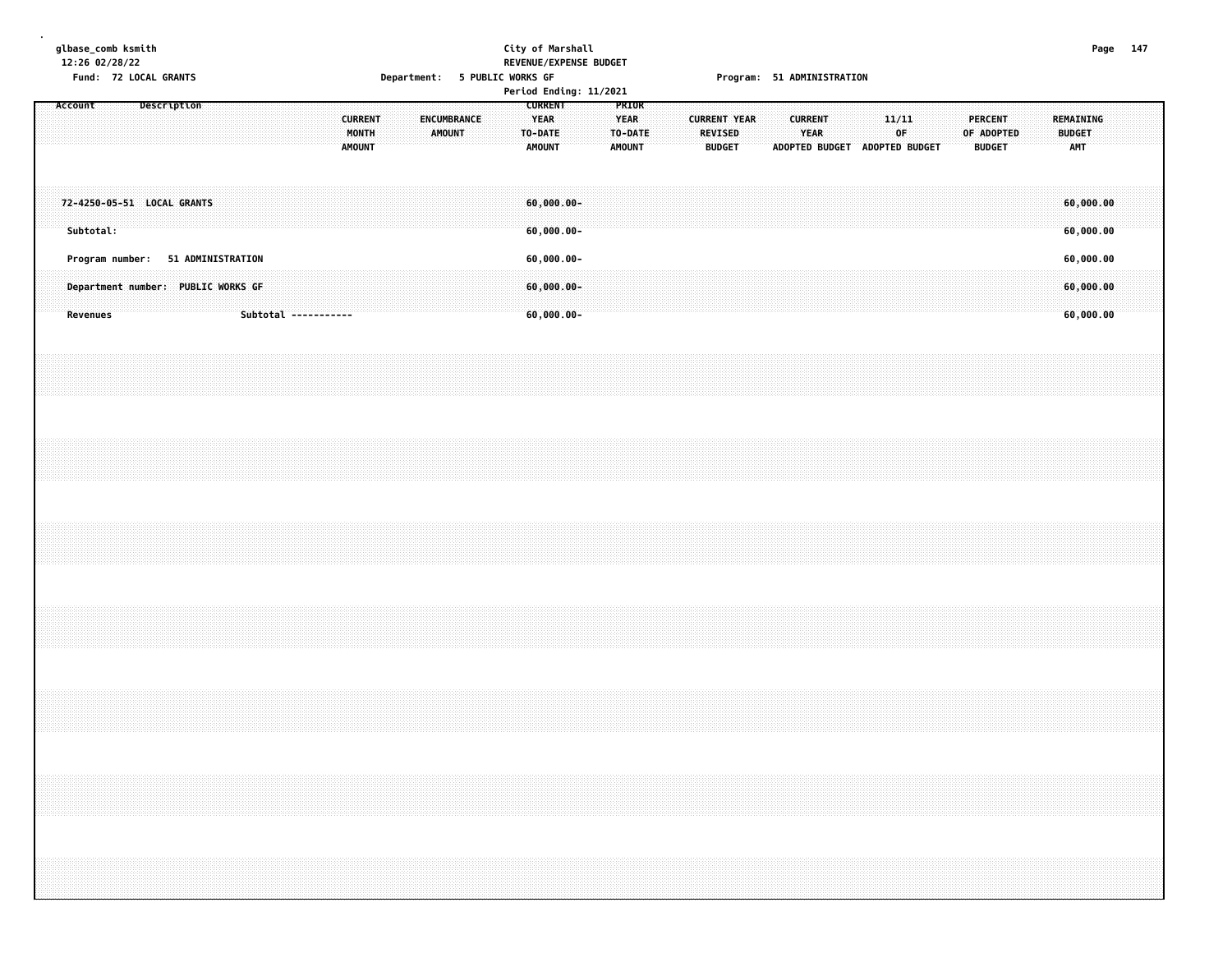| glbase comb ksmith |  |  |
|--------------------|--|--|
| 12:26 02/28/22     |  |  |

#### **glbase\_comb ksmith City of Marshall Page 147 12:26 02/28/22 REVENUE/EXPENSE BUDGET Fund: 72 LOCAL GRANTS Department: 5 PUBLIC WORKS GF Program: 51 ADMINISTRATION**

|         |           | FUIIU. IZ LUCAL UNANIJ |                                                                         |  |  |                      |                                          |  |        | Department. 3 LODETC MOUNS ALL |  |                                                           |                                                 | Period Ending: 11/2021 |                                           |  |                                                 |  |                               | LIONIGINI - 3T WILLIATSINAITOM |                               |                 |  |         |                             |  |                      |                                     |  |  |
|---------|-----------|------------------------|-------------------------------------------------------------------------|--|--|----------------------|------------------------------------------|--|--------|--------------------------------|--|-----------------------------------------------------------|-------------------------------------------------|------------------------|-------------------------------------------|--|-------------------------------------------------|--|-------------------------------|--------------------------------|-------------------------------|-----------------|--|---------|-----------------------------|--|----------------------|-------------------------------------|--|--|
| Account |           |                        | Description                                                             |  |  |                      | <b>CURRENT</b><br>MONTH<br><b>AMOUNT</b> |  | AMOUNT | ENCUMBRANCE                    |  | <b>CURRENT</b><br><b>YEAR</b><br>TO-DATE<br><b>AMOUNT</b> |                                                 |                        | PRIOR<br>YEAR<br>TO-DATE<br><b>AMOUNT</b> |  | <b>CURRENT YEAR</b><br>REVISED<br><b>BUDGET</b> |  | <b>CURRENT</b><br><b>YEAR</b> |                                | ADOPTED BUDGET ADOPTED BUDGET | $11/11\,$<br>OF |  | PERCENT | OF ADOPTED<br><b>BUDGET</b> |  | <b>BUDGET</b><br>AMT | REMAINING                           |  |  |
|         | Subtotal: |                        | 72-4250-05-51 LOCAL GRANTS                                              |  |  |                      |                                          |  |        |                                |  |                                                           | $60,000.00-$<br>$60,000.00 -$                   |                        |                                           |  |                                                 |  |                               |                                |                               |                 |  |         |                             |  |                      | 60,000.00<br>60,000.00              |  |  |
|         | Revenues  |                        | Program number: 51 ADMINISTRATION<br>Department number: PUBLIC WORKS GF |  |  | Subtotal ----------- |                                          |  |        |                                |  |                                                           | $60,000.00 -$<br>$60,000.00 -$<br>$60,000.00 -$ |                        |                                           |  |                                                 |  |                               |                                |                               |                 |  |         |                             |  |                      | 60,000.00<br>60,000.00<br>60,000.00 |  |  |
|         |           |                        |                                                                         |  |  |                      |                                          |  |        |                                |  |                                                           |                                                 |                        |                                           |  |                                                 |  |                               |                                |                               |                 |  |         |                             |  |                      |                                     |  |  |
|         |           |                        |                                                                         |  |  |                      |                                          |  |        |                                |  |                                                           |                                                 |                        |                                           |  |                                                 |  |                               |                                |                               |                 |  |         |                             |  |                      |                                     |  |  |
|         |           |                        |                                                                         |  |  |                      |                                          |  |        |                                |  |                                                           |                                                 |                        |                                           |  |                                                 |  |                               |                                |                               |                 |  |         |                             |  |                      |                                     |  |  |
|         |           |                        |                                                                         |  |  |                      |                                          |  |        |                                |  |                                                           |                                                 |                        |                                           |  |                                                 |  |                               |                                |                               |                 |  |         |                             |  |                      |                                     |  |  |
|         |           |                        |                                                                         |  |  |                      |                                          |  |        |                                |  |                                                           |                                                 |                        |                                           |  |                                                 |  |                               |                                |                               |                 |  |         |                             |  |                      |                                     |  |  |
|         |           |                        |                                                                         |  |  |                      |                                          |  |        |                                |  |                                                           |                                                 |                        |                                           |  |                                                 |  |                               |                                |                               |                 |  |         |                             |  |                      |                                     |  |  |
|         |           |                        |                                                                         |  |  |                      |                                          |  |        |                                |  |                                                           |                                                 |                        |                                           |  |                                                 |  |                               |                                |                               |                 |  |         |                             |  |                      |                                     |  |  |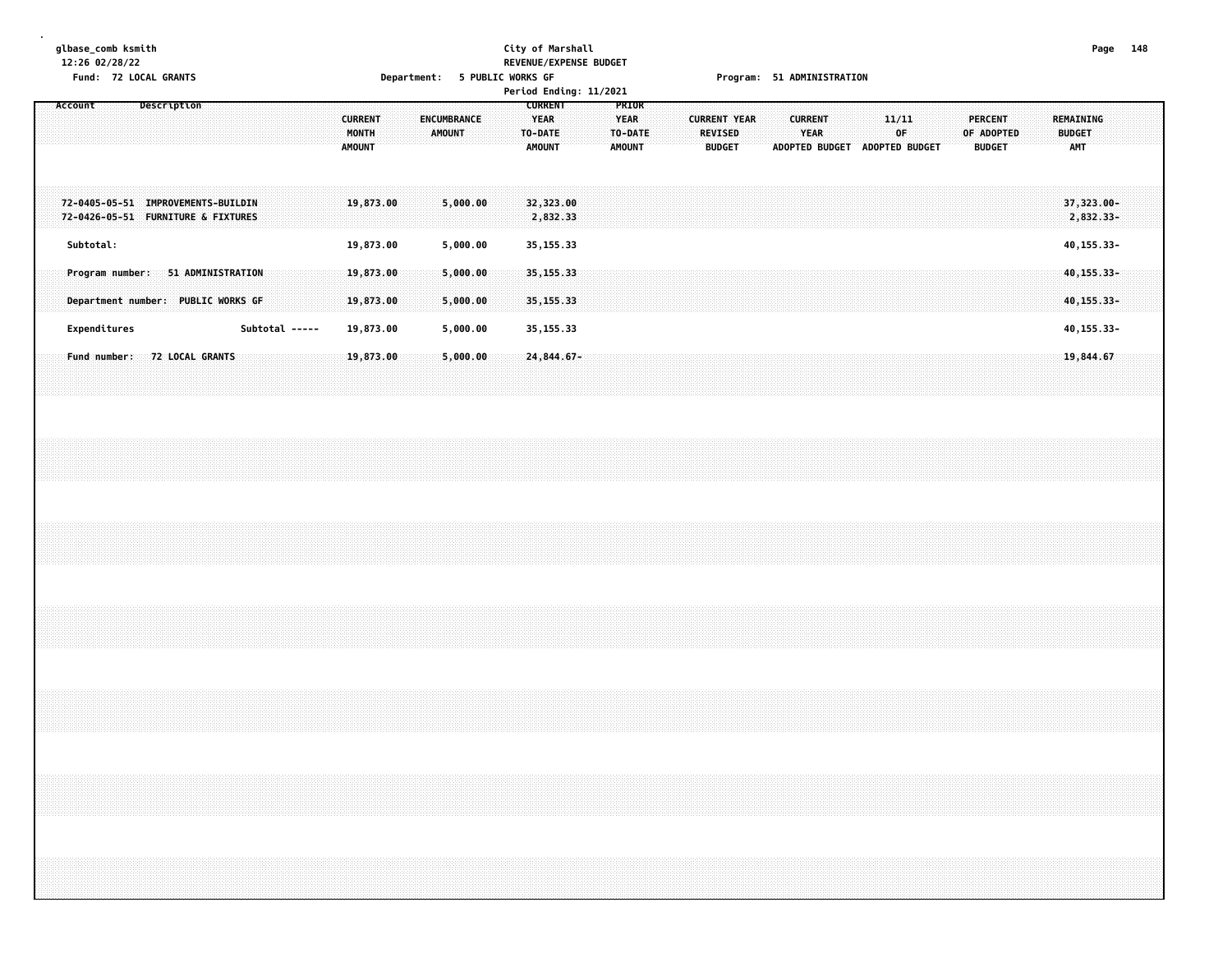# **glbase\_comb ksmith City of Marshall Page 148 12:26 02/28/22 REVENUE/EXPENSE BUDGET**

|              | Fund: 72 LOCAL GRANTS                                                    |                |                                          | Department: 5 PUBLIC WORKS GF | Period Ending: 11/2021                                    |                                                  |                                                        | Program: 51 ADMINISTRATION                              |                         |                                               |                                          |
|--------------|--------------------------------------------------------------------------|----------------|------------------------------------------|-------------------------------|-----------------------------------------------------------|--------------------------------------------------|--------------------------------------------------------|---------------------------------------------------------|-------------------------|-----------------------------------------------|------------------------------------------|
| Account      | Description                                                              |                | <b>CURRENT</b><br>MONTH<br><b>AMOUNT</b> | ENCUMBRANCE<br>AMOUNT         | <b>CURRENT</b><br><b>YEAR</b><br>TO-DATE<br><b>AMOUNT</b> | PRIOR<br><b>YEAR</b><br>TO-DATE<br><b>AMOUNT</b> | <b>CURRENT YEAR</b><br><b>REVISED</b><br><b>BUDGET</b> | <b>CURRENT</b><br>YEAR<br>ADOPTED BUDGET ADOPTED BUDGET | 11/11<br>0 <sup>F</sup> | <b>PERCENT</b><br>OF ADOPTED<br><b>BUDGET</b> | REMAINING<br><b>BUDGET</b><br><b>AMT</b> |
|              | 72-0405-05-51 IMPROVEMENTS-BUILDIN<br>72-0426-05-51 FURNITURE & FIXTURES |                | 19,873.00                                | 5,000.00                      | 32,323.00<br>2,832.33                                     |                                                  |                                                        |                                                         |                         |                                               | 37,323.00-<br>2,832.33-                  |
| Subtotal:    | Program number: 51 ADMINISTRATION                                        |                | 19,873.00<br>19,873.00                   | 5,000.00<br>5,000.00          | 35, 155. 33<br>35, 155. 33                                |                                                  |                                                        |                                                         |                         |                                               | 40, 155. 33-<br>40, 155. 33-             |
|              | Department number: PUBLIC WORKS GF                                       |                | 19,873.00                                | 5,000.00                      | 35, 155. 33                                               |                                                  |                                                        |                                                         |                         |                                               | 40, 155.33-                              |
| Expenditures |                                                                          | Subtotal ----- | 19,873.00                                | 5,000.00                      | 35, 155. 33                                               |                                                  |                                                        |                                                         |                         |                                               | 40, 155. 33-                             |
|              | Fund number: 72 LOCAL GRANTS                                             |                | 19,873.00                                | 5,000.00                      | 24, 844.67-                                               |                                                  |                                                        |                                                         |                         |                                               | 19,844.67                                |
|              |                                                                          |                |                                          |                               |                                                           |                                                  |                                                        |                                                         |                         |                                               |                                          |
|              |                                                                          |                |                                          |                               |                                                           |                                                  |                                                        |                                                         |                         |                                               |                                          |
|              |                                                                          |                |                                          |                               |                                                           |                                                  |                                                        |                                                         |                         |                                               |                                          |
|              |                                                                          |                |                                          |                               |                                                           |                                                  |                                                        |                                                         |                         |                                               |                                          |
|              |                                                                          |                |                                          |                               |                                                           |                                                  |                                                        |                                                         |                         |                                               |                                          |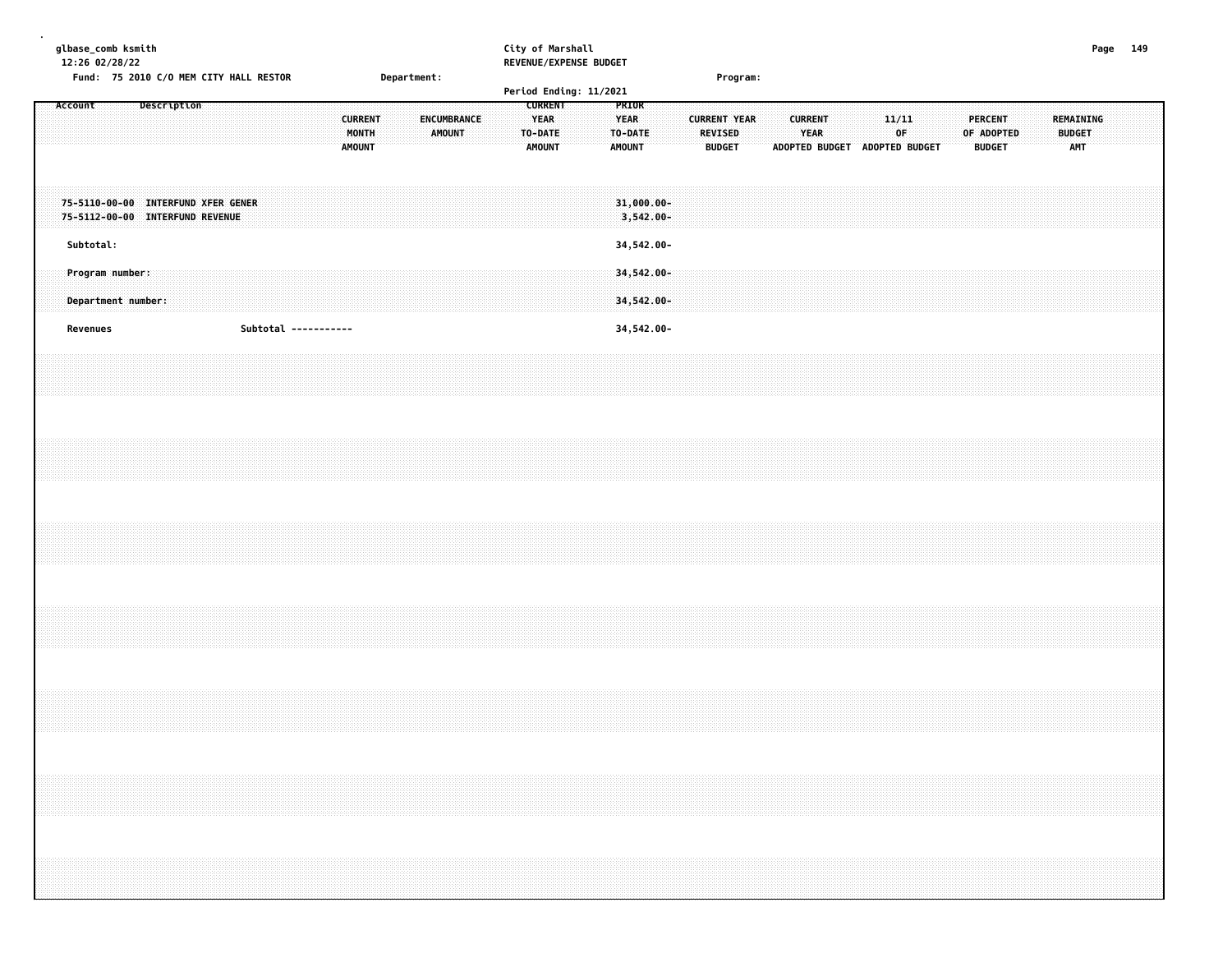|  |           | 12:26 02/28/22 | glbase_comb ksmith |                                                                       |  |  |  |                      |                                          |  |             |                                     |  |                                         | City of Marshall<br>REVENUE/EXPENSE BUDGET |  |                                         |  |                                       |               |  |                        |                               |  |             |  |                                               |  |                                   | Page 149 |  |
|--|-----------|----------------|--------------------|-----------------------------------------------------------------------|--|--|--|----------------------|------------------------------------------|--|-------------|-------------------------------------|--|-----------------------------------------|--------------------------------------------|--|-----------------------------------------|--|---------------------------------------|---------------|--|------------------------|-------------------------------|--|-------------|--|-----------------------------------------------|--|-----------------------------------|----------|--|
|  | Account   |                |                    | Fund: 75 2010 C/O MEM CITY HALL RESTOR<br>Description                 |  |  |  |                      |                                          |  | Department: |                                     |  | <b>CURRENT</b>                          | Period Ending: 11/2021                     |  | PRIOR                                   |  |                                       | Program:      |  |                        |                               |  |             |  |                                               |  |                                   |          |  |
|  |           |                |                    |                                                                       |  |  |  |                      | <b>CURRENT</b><br>MONTH<br><b>AMOUNT</b> |  |             | <b>ENCUMBRANCE</b><br><b>AMOUNT</b> |  | <b>YEAR</b><br>TO-DATE<br><b>AMOUNT</b> |                                            |  | <b>YEAR</b><br>TO-DATE<br><b>AMOUNT</b> |  | <b>CURRENT YEAR</b><br><b>REVISED</b> | <b>BUDGET</b> |  | <b>CURRENT</b><br>YEAR | ADOPTED BUDGET ADOPTED BUDGET |  | 11/11<br>0F |  | <b>PERCENT</b><br>OF ADOPTED<br><b>BUDGET</b> |  | REMAINING<br><b>BUDGET</b><br>AMT |          |  |
|  |           |                |                    | 75-5110-00-00 INTERFUND XFER GENER<br>75-5112-00-00 INTERFUND REVENUE |  |  |  |                      |                                          |  |             |                                     |  |                                         |                                            |  | 31,000.00-<br>$3,542.00 -$              |  |                                       |               |  |                        |                               |  |             |  |                                               |  |                                   |          |  |
|  | Subtotal: |                |                    |                                                                       |  |  |  |                      |                                          |  |             |                                     |  |                                         |                                            |  | 34,542.00-                              |  |                                       |               |  |                        |                               |  |             |  |                                               |  |                                   |          |  |
|  |           |                | Program number:    | Department number:                                                    |  |  |  |                      |                                          |  |             |                                     |  |                                         |                                            |  | 34,542.00-<br>34,542.00-                |  |                                       |               |  |                        |                               |  |             |  |                                               |  |                                   |          |  |
|  | Revenues  |                |                    |                                                                       |  |  |  | Subtotal ----------- |                                          |  |             |                                     |  |                                         |                                            |  | 34,542.00-                              |  |                                       |               |  |                        |                               |  |             |  |                                               |  |                                   |          |  |
|  |           |                |                    |                                                                       |  |  |  |                      |                                          |  |             |                                     |  |                                         |                                            |  |                                         |  |                                       |               |  |                        |                               |  |             |  |                                               |  |                                   |          |  |
|  |           |                |                    |                                                                       |  |  |  |                      |                                          |  |             |                                     |  |                                         |                                            |  |                                         |  |                                       |               |  |                        |                               |  |             |  |                                               |  |                                   |          |  |
|  |           |                |                    |                                                                       |  |  |  |                      |                                          |  |             |                                     |  |                                         |                                            |  |                                         |  |                                       |               |  |                        |                               |  |             |  |                                               |  |                                   |          |  |
|  |           |                |                    |                                                                       |  |  |  |                      |                                          |  |             |                                     |  |                                         |                                            |  |                                         |  |                                       |               |  |                        |                               |  |             |  |                                               |  |                                   |          |  |
|  |           |                |                    |                                                                       |  |  |  |                      |                                          |  |             |                                     |  |                                         |                                            |  |                                         |  |                                       |               |  |                        |                               |  |             |  |                                               |  |                                   |          |  |
|  |           |                |                    |                                                                       |  |  |  |                      |                                          |  |             |                                     |  |                                         |                                            |  |                                         |  |                                       |               |  |                        |                               |  |             |  |                                               |  |                                   |          |  |
|  |           |                |                    |                                                                       |  |  |  |                      |                                          |  |             |                                     |  |                                         |                                            |  |                                         |  |                                       |               |  |                        |                               |  |             |  |                                               |  |                                   |          |  |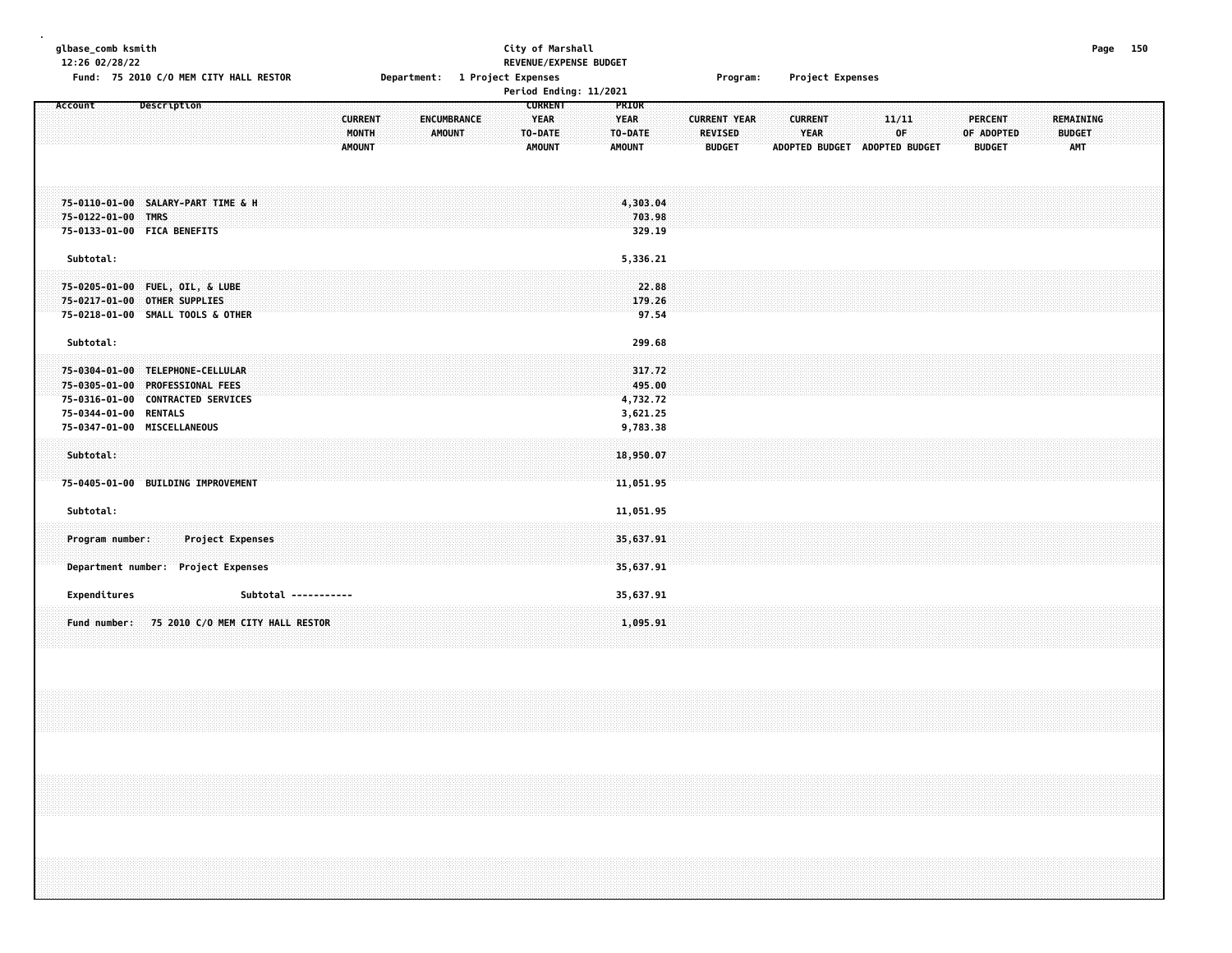| glbase_comb ksmith<br>12:26 02/28/22<br>Fund: 75 2010 C/O MEM CITY HALL RESTOR                                                                                                | Department: 1 Project Expenses                                           | City of Marshall<br>REVENUE/EXPENSE BUDGET                                                                           | Project Expenses<br>Program:                                                            |                                                                                               | Page 150                                        |
|-------------------------------------------------------------------------------------------------------------------------------------------------------------------------------|--------------------------------------------------------------------------|----------------------------------------------------------------------------------------------------------------------|-----------------------------------------------------------------------------------------|-----------------------------------------------------------------------------------------------|-------------------------------------------------|
|                                                                                                                                                                               |                                                                          | Period Ending: 11/2021                                                                                               |                                                                                         |                                                                                               |                                                 |
| Account<br>Description                                                                                                                                                        | <b>CURRENT</b><br><b>ENCUMBRANCE</b><br>MONTH<br>AMOUNT<br><b>AMOUNT</b> | <b>CURRENT</b><br><b>PRIOR</b><br><b>YEAR</b><br><b>YEAR</b><br>TO-DATE<br>TO-DATE<br><b>AMOUNT</b><br><b>AMOUNT</b> | <b>CURRENT YEAR</b><br><b>CURRENT</b><br><b>REVISED</b><br><b>YEAR</b><br><b>BUDGET</b> | 11/11<br><b>PERCENT</b><br>0F<br>OF ADOPTED<br>ADOPTED BUDGET ADOPTED BUDGET<br><b>BUDGET</b> | <b>REMAINING</b><br><b>BUDGET</b><br><b>AMT</b> |
| 75-0110-01-00 SALARY-PART TIME & H<br>75-0122-01-00 TMRS<br>75-0133-01-00 FICA BENEFITS                                                                                       |                                                                          | 4,303.04<br>703.98<br>329.19                                                                                         |                                                                                         |                                                                                               |                                                 |
| Subtotal:<br>75-0205-01-00 FUEL, OIL, & LUBE<br>75-0217-01-00 OTHER SUPPLIES<br>75-0218-01-00 SMALL TOOLS & OTHER                                                             |                                                                          | 5,336.21<br>22.88<br>179.26<br>97.54                                                                                 |                                                                                         |                                                                                               |                                                 |
| Subtotal:<br>75-0304-01-00 TELEPHONE-CELLULAR<br>75-0305-01-00 PROFESSIONAL FEES<br>75-0316-01-00 CONTRACTED SERVICES<br>75-0344-01-00 RENTALS<br>75-0347-01-00 MISCELLANEOUS |                                                                          | 299.68<br>317.72<br>495.00<br>4,732.72<br>3,621.25<br>9,783.38                                                       |                                                                                         |                                                                                               |                                                 |
| Subtotal:<br>75-0405-01-00 BUILDING IMPROVEMENT                                                                                                                               |                                                                          | 18,950.07<br>11,051.95                                                                                               |                                                                                         |                                                                                               |                                                 |
| Subtotal:<br>Program number:<br><b>Project Expenses</b><br>Department number: Project Expenses                                                                                |                                                                          | 11,051.95<br>35,637.91<br>35,637.91                                                                                  |                                                                                         |                                                                                               |                                                 |
| Expenditures<br>75 2010 C/O MEM CITY HALL RESTOR<br>Fund number:                                                                                                              | Subtotal -----------                                                     | 35,637.91<br>1,095.91                                                                                                |                                                                                         |                                                                                               |                                                 |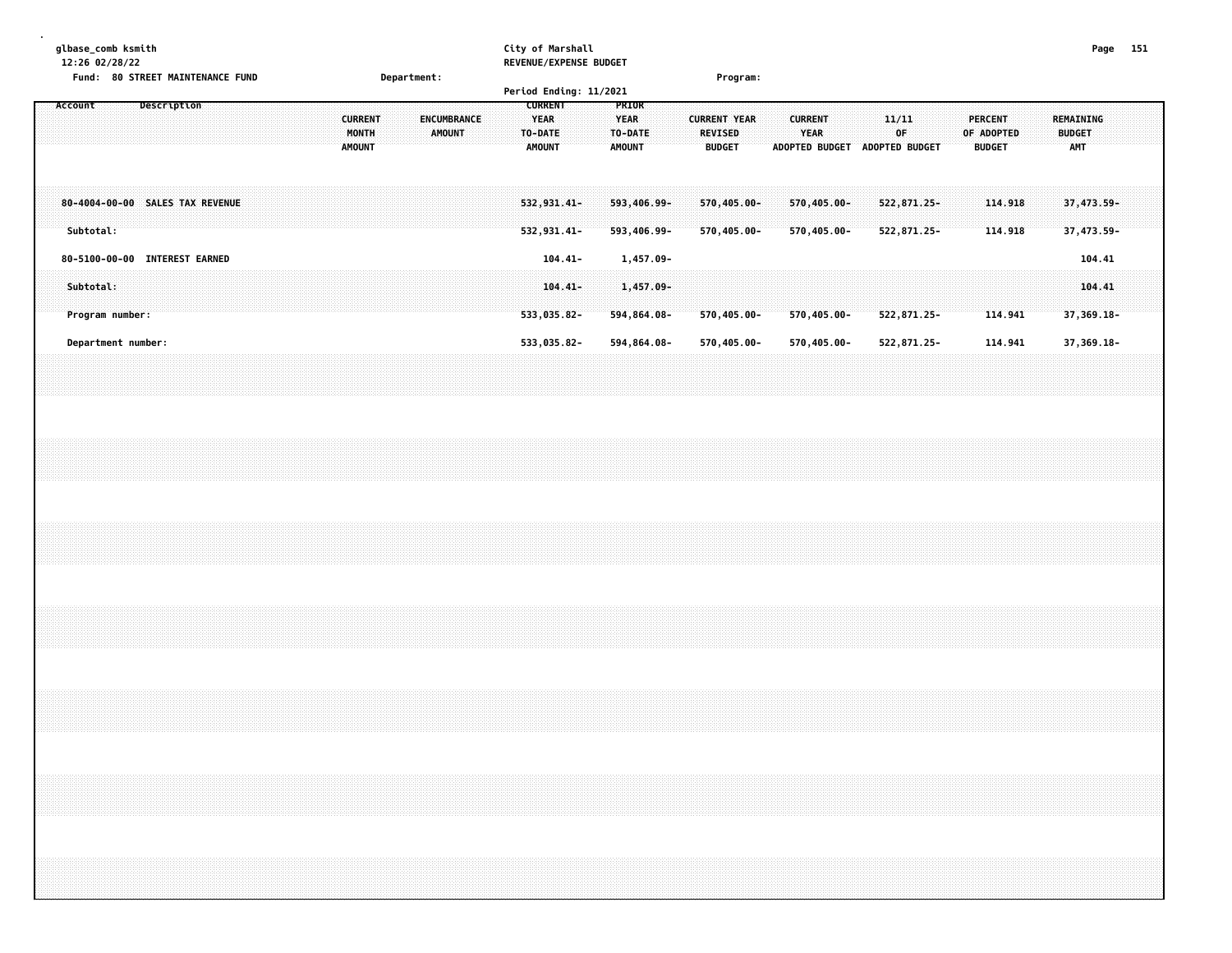| qlbase comb ksmith                         |             | City of Marshall       | Page | 151 |
|--------------------------------------------|-------------|------------------------|------|-----|
| 12:26 02/28/22                             |             | REVENUE/EXPENSE BUDGET |      |     |
| Fund:<br><b>80 STREET MAINTENANCE FUND</b> | Department: | <b>Program:</b>        |      |     |

|                                              |  |             |                        |  |  |                                          |  |                                     |  | Period Ending: 11/2021                      |            |                                           |                                                        |                            |                                                        |                                |  |                                               |                                          |                          |  |
|----------------------------------------------|--|-------------|------------------------|--|--|------------------------------------------|--|-------------------------------------|--|---------------------------------------------|------------|-------------------------------------------|--------------------------------------------------------|----------------------------|--------------------------------------------------------|--------------------------------|--|-----------------------------------------------|------------------------------------------|--------------------------|--|
| Account                                      |  | Description |                        |  |  | <b>CURRENT</b><br>MONTH<br><b>AMOUNT</b> |  | <b>ENCUMBRANCE</b><br><b>AMOUNT</b> |  | <b>CURRENT</b><br>YEAR<br>TO-DATE<br>AMOUNT |            | PRIOR<br>YEAR<br>TO-DATE<br><b>AMOUNT</b> | <b>CURRENT YEAR</b><br><b>REVISED</b><br><b>BUDGET</b> |                            | <b>CURRENT</b><br><b>YEAR</b><br><b>ADOPTED BUDGET</b> | 11/11<br>0F.<br>ADOPTED BUDGET |  | <b>PERCENT</b><br>OF ADOPTED<br><b>BUDGET</b> | REMAINING<br><b>BUDGET</b><br><b>AMT</b> |                          |  |
| 80-4004-00-00 SALES TAX REVENUE<br>Subtotal: |  |             |                        |  |  |                                          |  |                                     |  | 532,931.41-<br>532,931.41-                  |            | 593,406.99-<br>593,406.99-                |                                                        | 570,405.00-<br>570,405.00- | 570,405.00-<br>570,405.00-                             | 522,871.25-<br>522,871.25-     |  | 114.918<br>114.918                            |                                          | 37,473.59-<br>37,473.59- |  |
| 80-5100-00-00                                |  |             | <b>INTEREST EARNED</b> |  |  |                                          |  |                                     |  |                                             | $104.41 -$ | 1,457.09-                                 |                                                        |                            |                                                        |                                |  |                                               |                                          | 104.41                   |  |
| Subtotal:<br>Program number:                 |  |             |                        |  |  |                                          |  |                                     |  | 533,035.82-                                 | $104.41 -$ | 1,457.09-<br>594,864.08-                  |                                                        | $570,405.00 -$             | $570,405.00 -$                                         | 522,871.25-                    |  | 114.941                                       |                                          | 104.41<br>$37,369.18 -$  |  |
| Department number:                           |  |             |                        |  |  |                                          |  |                                     |  | 533,035.82-                                 |            | 594,864.08-                               |                                                        | 570,405.00-                | 570,405.00-                                            | 522,871.25-                    |  | 114.941                                       |                                          | 37,369.18-               |  |
|                                              |  |             |                        |  |  |                                          |  |                                     |  |                                             |            |                                           |                                                        |                            |                                                        |                                |  |                                               |                                          |                          |  |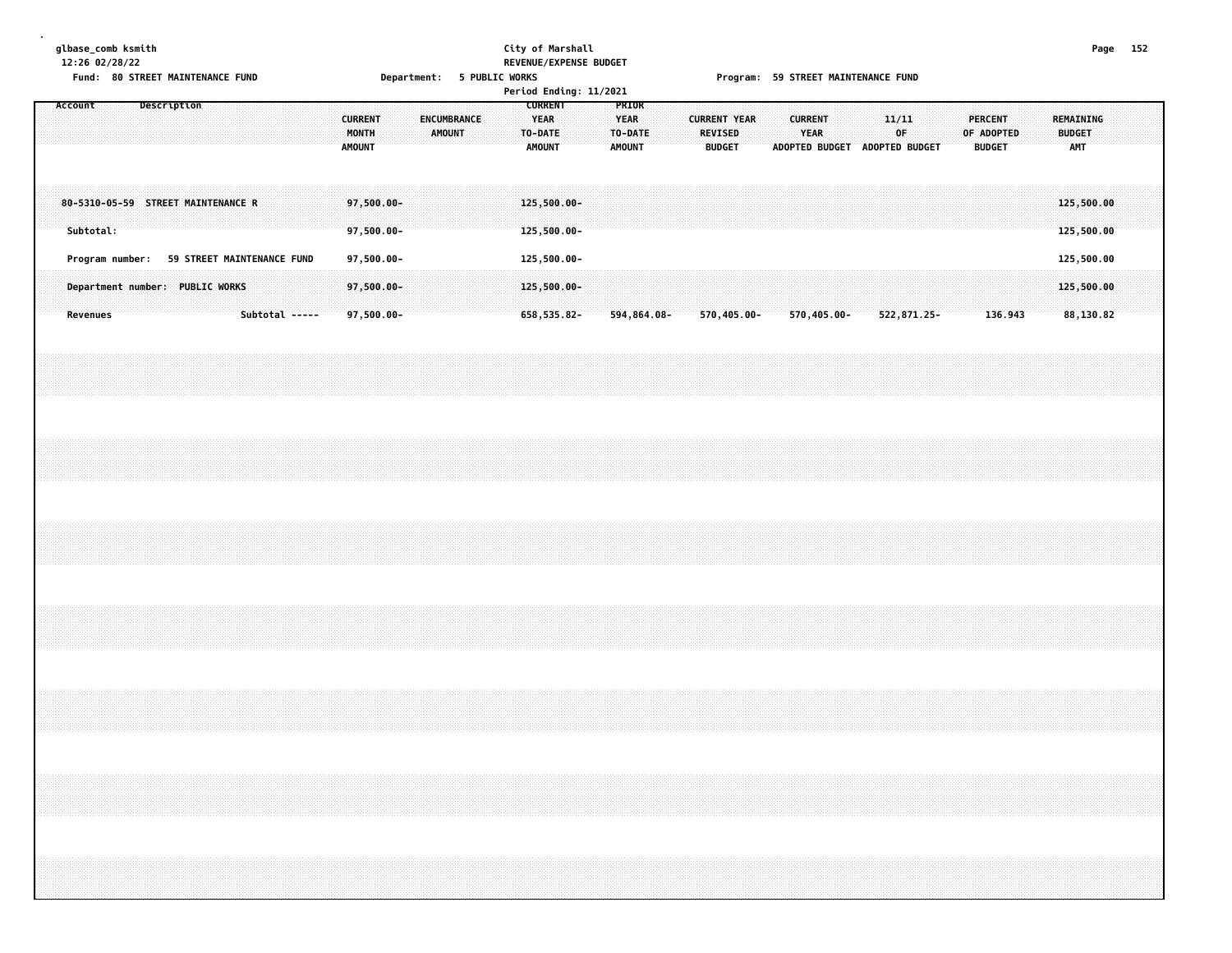|                  | glbase_comb ksmith |
|------------------|--------------------|
| $12.26$ 02/28/22 |                    |

### **glbase\_comb ksmith City of Marshall Page 152 12:26 02/28/22 REVENUE/EXPENSE BUDGET**

Fund: 80 STREET MAINTENANCE FUND **Department: 5 PUBLIC WORKS FOOT SEET ALT AND F**rogram: 59 STREET MAINTENANCE FUND

|         |           |                                    |             |                            |  |                |  |                                          |  |                       |  | Period Ending: 11/2021 |                                                    |  |                                                  |  |                                                        |             |                |             |                               |             |  |                                               |         |  |                                   |  |  |
|---------|-----------|------------------------------------|-------------|----------------------------|--|----------------|--|------------------------------------------|--|-----------------------|--|------------------------|----------------------------------------------------|--|--------------------------------------------------|--|--------------------------------------------------------|-------------|----------------|-------------|-------------------------------|-------------|--|-----------------------------------------------|---------|--|-----------------------------------|--|--|
| Account |           |                                    | Description |                            |  |                |  | <b>CURRENT</b><br>MONTH<br><b>AMOUNT</b> |  | ENCUMBRANCE<br>AMOUNT |  |                        | <b>CURRENT</b><br>YEAR<br>TO-DATE<br><b>AMOUNT</b> |  | PRIOR<br><b>YEAR</b><br>TO-DATE<br><b>AMOUNT</b> |  | <b>CURRENT YEAR</b><br><b>REVISED</b><br><b>BUDGET</b> |             | <b>CURRENT</b> | <b>YEAR</b> | ADOPTED BUDGET ADOPTED BUDGET | 11/11<br>OF |  | <b>PERCENT</b><br>OF ADOPTED<br><b>BUDGET</b> |         |  | REMAINING<br><b>BUDGET</b><br>AMT |  |  |
|         | Subtotal: | 80-5310-05-59 STREET MAINTENANCE R |             |                            |  |                |  | 97,500.00-<br>97,500.00-                 |  |                       |  |                        | 125,500.00-<br>125,500.00-                         |  |                                                  |  |                                                        |             |                |             |                               |             |  |                                               |         |  | 125,500.00<br>125,500.00          |  |  |
|         |           | Program number:                    |             | 59 STREET MAINTENANCE FUND |  |                |  | 97,500.00-                               |  |                       |  |                        | 125,500.00-                                        |  |                                                  |  |                                                        |             |                |             |                               |             |  |                                               |         |  | 125,500.00                        |  |  |
|         | Revenues  | Department number: PUBLIC WORKS    |             |                            |  | Subtotal ----- |  | 97,500.00-<br>$97,500.00 -$              |  |                       |  |                        | 125,500.00-<br>658,535.82-                         |  | 594,864.08-                                      |  |                                                        | 570,405.00- |                | 570,405.00- |                               | 522,871.25- |  |                                               | 136.943 |  | 125,500.00<br>88,130.82           |  |  |
|         |           |                                    |             |                            |  |                |  |                                          |  |                       |  |                        |                                                    |  |                                                  |  |                                                        |             |                |             |                               |             |  |                                               |         |  |                                   |  |  |
|         |           |                                    |             |                            |  |                |  |                                          |  |                       |  |                        |                                                    |  |                                                  |  |                                                        |             |                |             |                               |             |  |                                               |         |  |                                   |  |  |
|         |           |                                    |             |                            |  |                |  |                                          |  |                       |  |                        |                                                    |  |                                                  |  |                                                        |             |                |             |                               |             |  |                                               |         |  |                                   |  |  |
|         |           |                                    |             |                            |  |                |  |                                          |  |                       |  |                        |                                                    |  |                                                  |  |                                                        |             |                |             |                               |             |  |                                               |         |  |                                   |  |  |
|         |           |                                    |             |                            |  |                |  |                                          |  |                       |  |                        |                                                    |  |                                                  |  |                                                        |             |                |             |                               |             |  |                                               |         |  |                                   |  |  |
|         |           |                                    |             |                            |  |                |  |                                          |  |                       |  |                        |                                                    |  |                                                  |  |                                                        |             |                |             |                               |             |  |                                               |         |  |                                   |  |  |
|         |           |                                    |             |                            |  |                |  |                                          |  |                       |  |                        |                                                    |  |                                                  |  |                                                        |             |                |             |                               |             |  |                                               |         |  |                                   |  |  |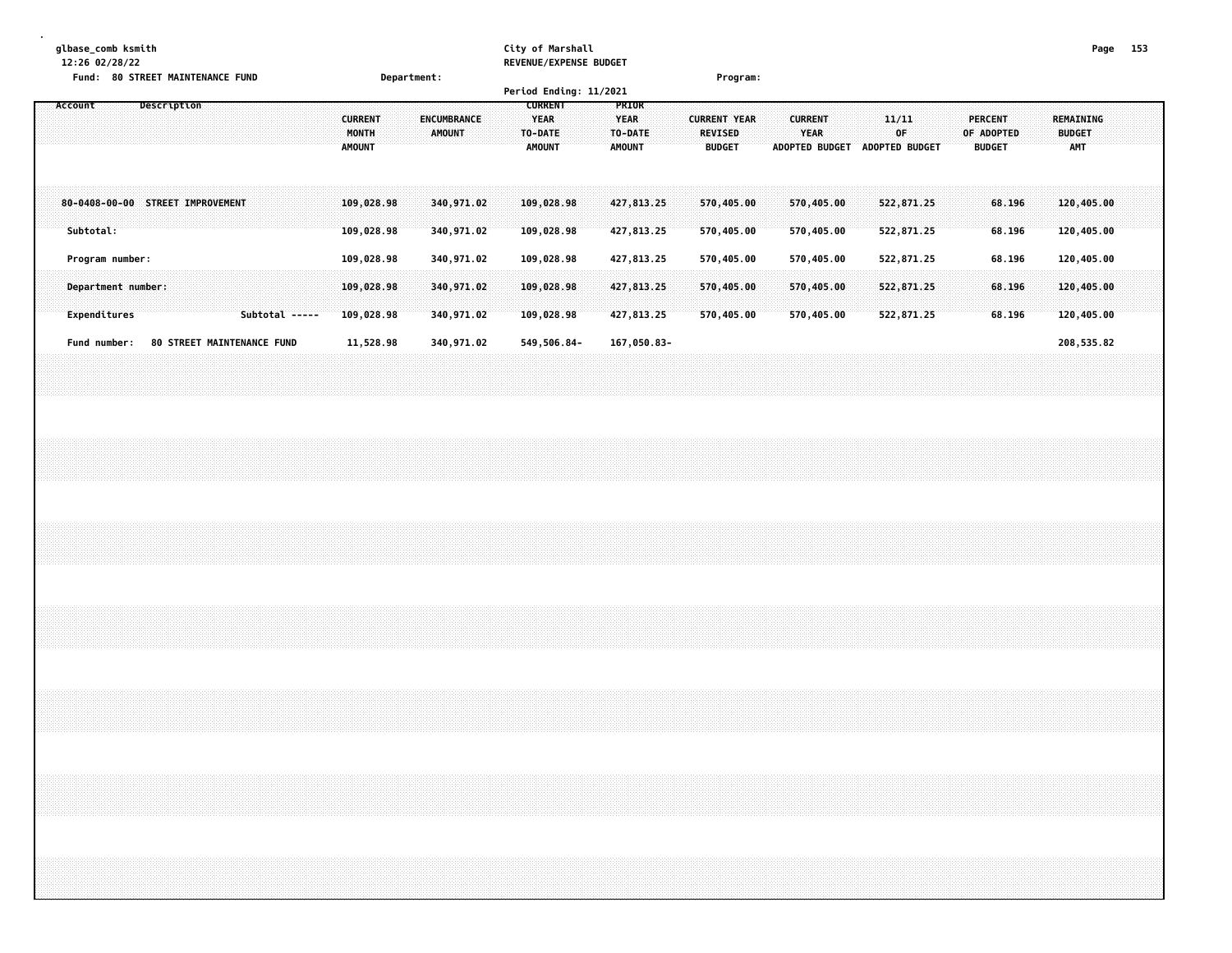#### **glbase\_comb ksmith City of Marshall Page 153 12:26 02/28/22 REVENUE/EXPENSE BUDGET**

| 12.20 02/20/22<br>Fund: 80 STREET MAINTENANCE FUND   | Department:                                                       | NEVENUE/ EAFENJE DUVUEI                                                                                | Program:                                                                         |                                              |                                                                                           |
|------------------------------------------------------|-------------------------------------------------------------------|--------------------------------------------------------------------------------------------------------|----------------------------------------------------------------------------------|----------------------------------------------|-------------------------------------------------------------------------------------------|
|                                                      |                                                                   | Period Ending: 11/2021                                                                                 |                                                                                  |                                              |                                                                                           |
| Account<br>Description                               | <b>CURRENT</b><br>ENCUMBRANCE<br>MONTH<br>AMOUNT<br><b>AMOUNT</b> | <b>CURRENT</b><br>PRIOR<br>YEAR<br><b>YEAR</b><br>TO-DATE<br>TO-DATE<br><b>AMOUNT</b><br><b>AMOUNT</b> | <b>CURRENT</b><br><b>CURRENT YEAR</b><br><b>REVISED</b><br>YEAR<br><b>BUDGET</b> | 11/11<br>OF<br>ADOPTED BUDGET ADOPTED BUDGET | REMAINING<br><b>PERCENT</b><br>OF ADOPTED<br><b>BUDGET</b><br><b>AMT</b><br><b>BUDGET</b> |
| 80-0408-00-00 STREET IMPROVEMENT                     | 109,028.98<br>340,971.02                                          | 109,028.98<br>427,813.25                                                                               | 570,405.00<br>570,405.00                                                         | 522,871.25                                   | 68.196<br>120,405.00                                                                      |
| Subtotal:                                            | 109,028.98<br>340,971.02                                          | 109,028.98<br>427,813.25                                                                               | 570,405.00<br>570,405.00                                                         | 522,871.25                                   | 120,405.00<br>68.196                                                                      |
| Program number:                                      | 109,028.98<br>340,971.02                                          | 427,813.25<br>109,028.98                                                                               | 570,405.00<br>570,405.00<br>570,405.00                                           | 522,871.25                                   | 68.196<br>120,405.00                                                                      |
| Department number:<br>Expenditures<br>Subtotal ----- | 109,028.98<br>340,971.02<br>109,028.98<br>340,971.02              | 109,028.98<br>427,813.25<br>109,028.98<br>427,813.25                                                   | 570,405.00<br>570,405.00<br>570,405.00                                           | 522,871.25<br>522,871.25                     | 120,405.00<br>68.196<br>68.196<br>120,405.00                                              |
| Fund number: 80 STREET MAINTENANCE FUND              | 340,971.02<br>11,528.98                                           | 549,506.84-<br>167,050.83-                                                                             |                                                                                  |                                              | 208,535.82                                                                                |
|                                                      |                                                                   |                                                                                                        |                                                                                  |                                              |                                                                                           |
|                                                      |                                                                   |                                                                                                        |                                                                                  |                                              |                                                                                           |
|                                                      |                                                                   |                                                                                                        |                                                                                  |                                              |                                                                                           |
|                                                      |                                                                   |                                                                                                        |                                                                                  |                                              |                                                                                           |
|                                                      |                                                                   |                                                                                                        |                                                                                  |                                              |                                                                                           |
|                                                      |                                                                   |                                                                                                        |                                                                                  |                                              |                                                                                           |
|                                                      |                                                                   |                                                                                                        |                                                                                  |                                              |                                                                                           |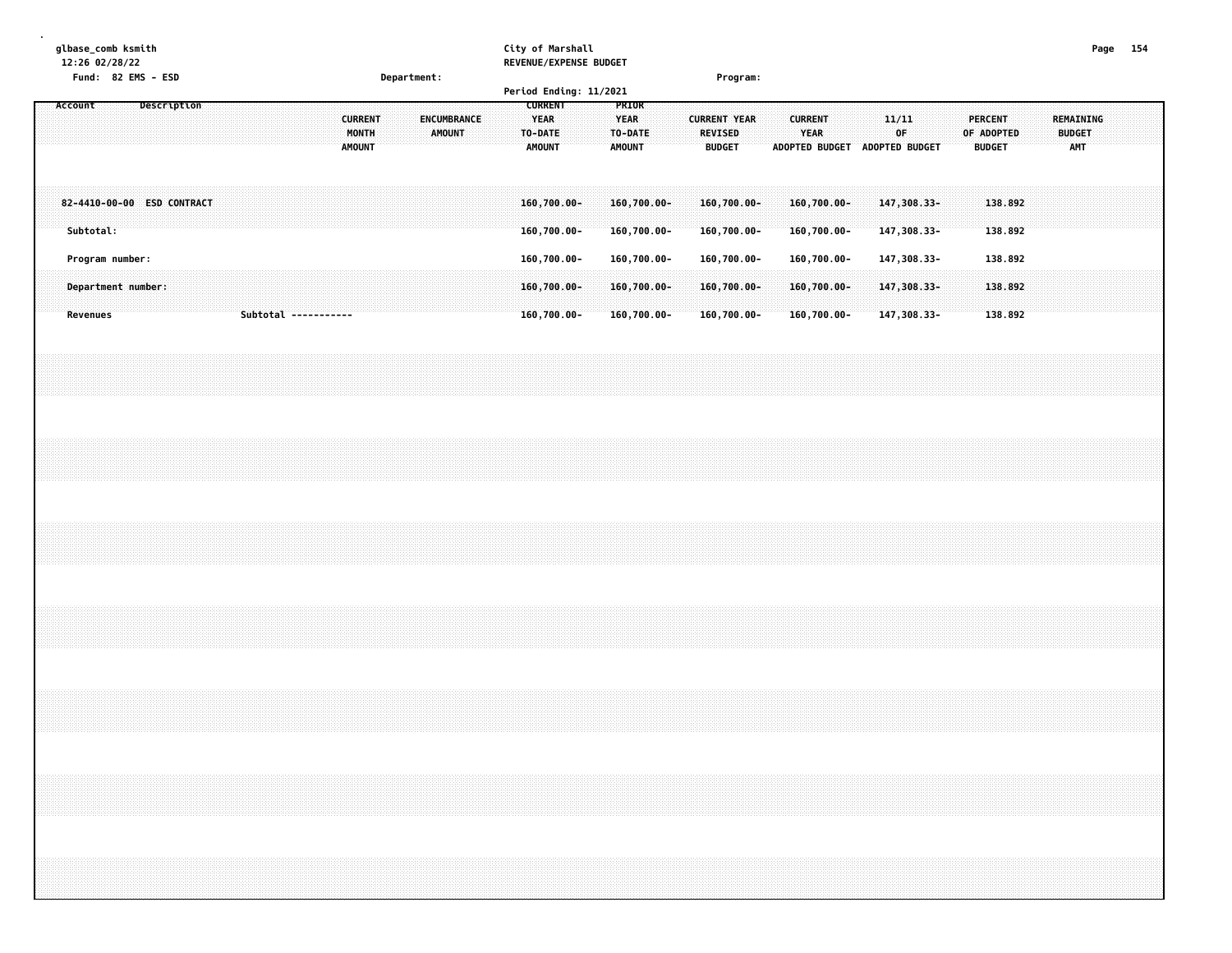| Page 154                                                             |                                                           |                                  |                 |                                       |  |  |  |  |
|----------------------------------------------------------------------|-----------------------------------------------------------|----------------------------------|-----------------|---------------------------------------|--|--|--|--|
|                                                                      | REMAINING<br><b>AMT</b>                                   |                                  |                 |                                       |  |  |  |  |
|                                                                      | <b>BUDGET</b>                                             |                                  |                 |                                       |  |  |  |  |
|                                                                      |                                                           |                                  |                 |                                       |  |  |  |  |
|                                                                      |                                                           | 138.892<br>138.892               | 138.892         | 138.892<br>138.892                    |  |  |  |  |
|                                                                      | <b>PERCENT</b><br>OF ADOPTED<br><b>BUDGET</b>             |                                  |                 |                                       |  |  |  |  |
|                                                                      |                                                           |                                  |                 |                                       |  |  |  |  |
|                                                                      |                                                           |                                  |                 |                                       |  |  |  |  |
|                                                                      | ADOPTED BUDGET ADOPTED BUDGET                             | 147,308.33-<br>147,308.33-       | 147,308.33-     | 147,308.33-<br>147,308.33-            |  |  |  |  |
|                                                                      | 11/11<br>OF                                               |                                  |                 |                                       |  |  |  |  |
|                                                                      |                                                           |                                  |                 |                                       |  |  |  |  |
|                                                                      |                                                           |                                  |                 |                                       |  |  |  |  |
|                                                                      |                                                           |                                  |                 |                                       |  |  |  |  |
|                                                                      | <b>CURRENT</b><br><b>YEAR</b>                             | 160,700.00-<br>160,700.00-       | 160,700.00-     | 160,700.00-<br>160,700.00-            |  |  |  |  |
|                                                                      |                                                           |                                  |                 |                                       |  |  |  |  |
|                                                                      |                                                           |                                  |                 |                                       |  |  |  |  |
|                                                                      |                                                           |                                  |                 |                                       |  |  |  |  |
| Program:                                                             | <b>CURRENT YEAR</b><br>REVISED<br><b>BUDGET</b>           | 160,700.00-<br>160,700.00-       | 160,700.00-     | 160,700.00-<br>160,700.00-            |  |  |  |  |
|                                                                      |                                                           |                                  |                 |                                       |  |  |  |  |
|                                                                      |                                                           |                                  |                 |                                       |  |  |  |  |
|                                                                      |                                                           |                                  |                 |                                       |  |  |  |  |
|                                                                      | PRIOR<br><b>YEAR</b><br>TO-DATE<br><b>AMOUNT</b>          | 160,700.00-<br>160,700.00-       | 160,700.00-     | $160,700.00 -$<br>160,700.00-         |  |  |  |  |
|                                                                      |                                                           |                                  |                 |                                       |  |  |  |  |
|                                                                      |                                                           |                                  |                 |                                       |  |  |  |  |
|                                                                      |                                                           |                                  |                 |                                       |  |  |  |  |
|                                                                      | <b>CURRENT</b><br><b>YEAR</b><br>TO-DATE<br><b>AMOUNT</b> | $160,700.00 -$<br>$160,700.00 -$ | 160,700.00-     | 160,700.00-<br>160,700.00-            |  |  |  |  |
| City of Marshall<br>REVENUE/EXPENSE BUDGET<br>Period Ending: 11/2021 |                                                           |                                  |                 |                                       |  |  |  |  |
|                                                                      |                                                           |                                  |                 |                                       |  |  |  |  |
|                                                                      |                                                           |                                  |                 |                                       |  |  |  |  |
|                                                                      | ENCUMBRANCE<br><b>AMOUNT</b>                              |                                  |                 |                                       |  |  |  |  |
|                                                                      |                                                           |                                  |                 |                                       |  |  |  |  |
|                                                                      |                                                           |                                  |                 |                                       |  |  |  |  |
| Department:                                                          |                                                           |                                  |                 |                                       |  |  |  |  |
|                                                                      | <b>CURRENT</b><br>MONTH                                   |                                  |                 |                                       |  |  |  |  |
|                                                                      | <b>AMOUNT</b>                                             |                                  |                 |                                       |  |  |  |  |
|                                                                      |                                                           |                                  |                 |                                       |  |  |  |  |
|                                                                      |                                                           |                                  |                 |                                       |  |  |  |  |
|                                                                      |                                                           |                                  |                 |                                       |  |  |  |  |
|                                                                      |                                                           |                                  |                 | Subtotal -----------                  |  |  |  |  |
|                                                                      |                                                           |                                  |                 |                                       |  |  |  |  |
|                                                                      |                                                           |                                  |                 |                                       |  |  |  |  |
|                                                                      |                                                           | 82-4410-00-00 ESD CONTRACT       |                 |                                       |  |  |  |  |
|                                                                      | Description                                               |                                  |                 |                                       |  |  |  |  |
|                                                                      |                                                           |                                  |                 |                                       |  |  |  |  |
|                                                                      |                                                           |                                  |                 |                                       |  |  |  |  |
|                                                                      |                                                           |                                  |                 |                                       |  |  |  |  |
| 12:26 02/28/22<br>Fund: 82 EMS - ESD                                 |                                                           | Subtotal:                        | Program number: | Department number:<br><b>Revenues</b> |  |  |  |  |
| glbase_comb ksmith                                                   | Account                                                   |                                  |                 |                                       |  |  |  |  |
|                                                                      |                                                           |                                  |                 |                                       |  |  |  |  |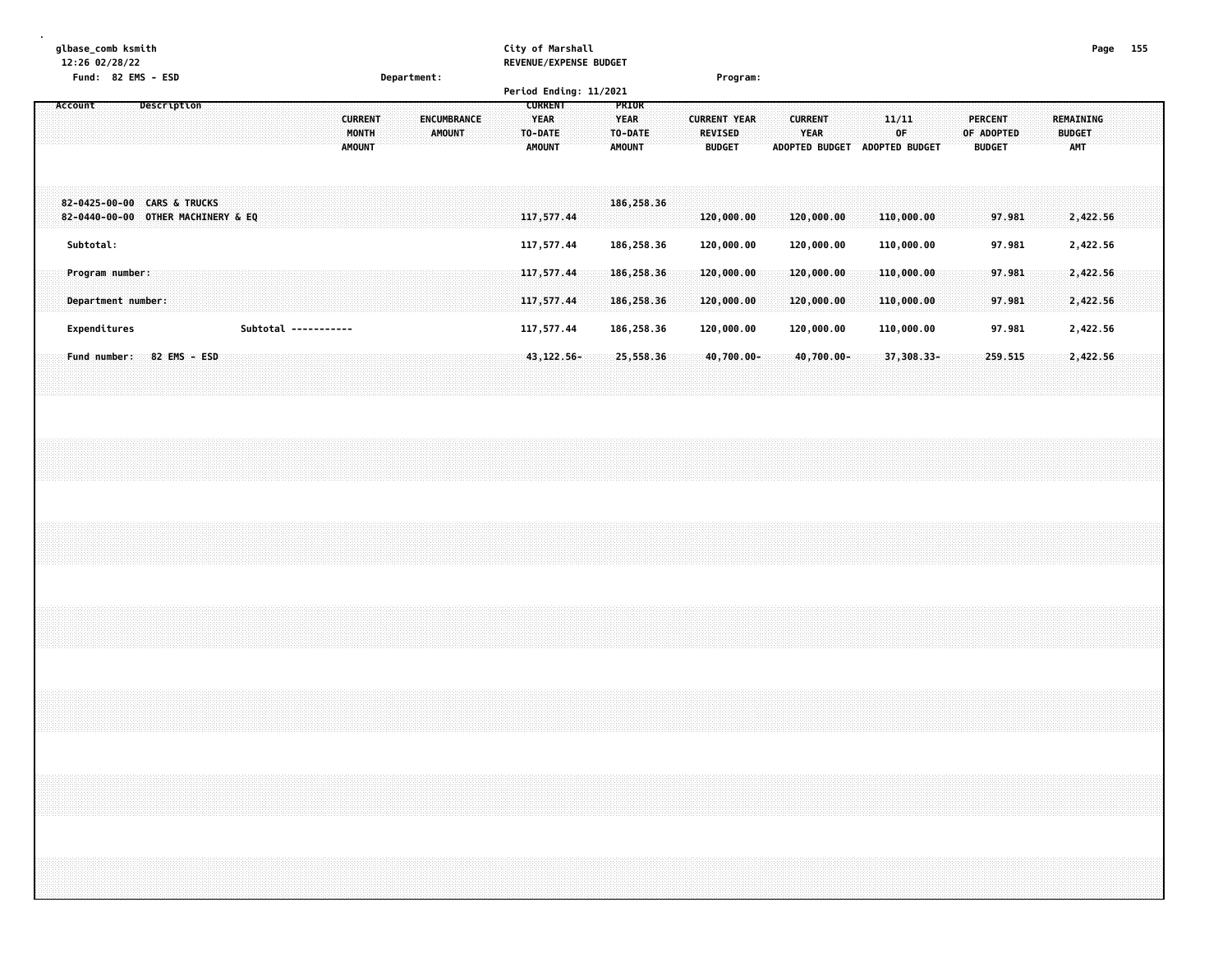| Department:                                                        |                              | City of Marshall<br>REVENUE/EXPENSE BUDGET<br>Period Ending: 11/2021 | Program:                                                                                                   |                          |                                              | Page 155                                                                           |  |
|--------------------------------------------------------------------|------------------------------|----------------------------------------------------------------------|------------------------------------------------------------------------------------------------------------|--------------------------|----------------------------------------------|------------------------------------------------------------------------------------|--|
| Description<br>Account<br><b>CURRENT</b><br>MONTH<br><b>AMOUNT</b> | ENCUMBRANCE<br><b>AMOUNT</b> | <b>CURRENT</b><br><b>YEAR</b><br>TO-DATE<br><b>AMOUNT</b>            | PRIOR<br><b>YEAR</b><br><b>CURRENT YEAR</b><br><b>REVISED</b><br>TO-DATE<br><b>AMOUNT</b><br><b>BUDGET</b> | <b>CURRENT</b><br>YEAR   | 11/11<br>0F<br>ADOPTED BUDGET ADOPTED BUDGET | <b>PERCENT</b><br>REMAINING<br><b>BUDGET</b><br>OF ADOPTED<br>AMT<br><b>BUDGET</b> |  |
| 82-0425-00-00 CARS & TRUCKS<br>82-0440-00-00 OTHER MACHINERY & EQ  |                              | 117,577.44                                                           | 186,258.36<br>120,000.00                                                                                   | 120,000.00               | 110,000.00                                   | 2,422.56<br>97.981                                                                 |  |
| Subtotal:<br>Program number:                                       |                              | 117,577.44<br>117,577.44                                             | 186,258.36<br>120,000.00<br>186,258.36<br>120,000.00                                                       | 120,000.00<br>120,000.00 | 110,000.00<br>110,000.00                     | 97.981<br>2,422.56<br>97.981<br>2,422.56                                           |  |
| Department number:                                                 |                              | 117,577.44                                                           | 186,258.36<br>120,000.00                                                                                   | 120,000.00               | 110,000.00                                   | 2,422.56<br>97.981                                                                 |  |
| Expenditures<br>Subtotal -----------                               |                              | 117,577.44                                                           | 186,258.36<br>120,000.00                                                                                   | 120,000.00               | 110,000.00                                   | 2,422.56<br>97.981                                                                 |  |
| Fund number: 82 EMS - ESD                                          |                              | 43, 122.56-                                                          | 25,558.36<br>40,700.00-                                                                                    | $40,700.00 -$            | 37,308.33-                                   | 259.515<br>2,422.56                                                                |  |
|                                                                    |                              |                                                                      |                                                                                                            |                          |                                              |                                                                                    |  |
|                                                                    |                              |                                                                      |                                                                                                            |                          |                                              |                                                                                    |  |
|                                                                    |                              |                                                                      |                                                                                                            |                          |                                              |                                                                                    |  |
|                                                                    |                              |                                                                      |                                                                                                            |                          |                                              |                                                                                    |  |
|                                                                    |                              |                                                                      |                                                                                                            |                          |                                              |                                                                                    |  |
|                                                                    |                              |                                                                      |                                                                                                            |                          |                                              |                                                                                    |  |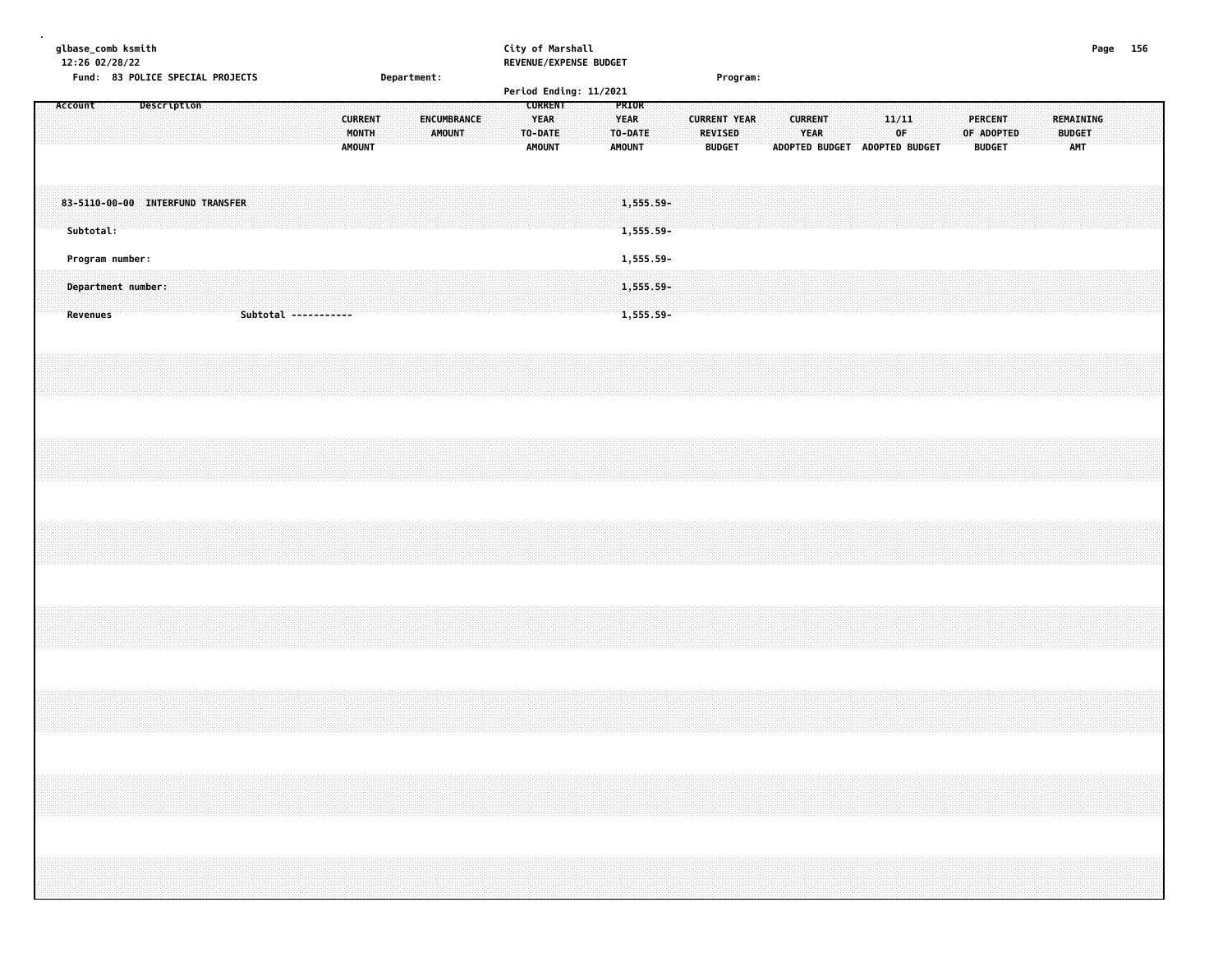|  |         | glbase_comb ksmith<br>12:26 02/28/22 |  |             |                                  |  |                      |  |  |                                          |  |             |               |             |  | City of Marshall<br>REVENUE/EXPENSE BUDGET |  |                                         |                           |  |                                                 |          |  |                        |  |             |                               |  |                                               |  |                                          | Page 156 |  |  |
|--|---------|--------------------------------------|--|-------------|----------------------------------|--|----------------------|--|--|------------------------------------------|--|-------------|---------------|-------------|--|--------------------------------------------|--|-----------------------------------------|---------------------------|--|-------------------------------------------------|----------|--|------------------------|--|-------------|-------------------------------|--|-----------------------------------------------|--|------------------------------------------|----------|--|--|
|  | Account |                                      |  | Description | Fund: 83 POLICE SPECIAL PROJECTS |  |                      |  |  |                                          |  | Department: |               |             |  | Period Ending: 11/2021<br><b>CURRENT</b>   |  | PRIOR                                   |                           |  |                                                 | Program: |  |                        |  |             |                               |  |                                               |  |                                          |          |  |  |
|  |         |                                      |  |             |                                  |  |                      |  |  | <b>CURRENT</b><br>MONTH<br><b>AMOUNT</b> |  |             | <b>AMOUNT</b> | ENCUMBRANCE |  | <b>YEAR</b><br>TO-DATE<br><b>AMOUNT</b>    |  | <b>YEAR</b><br>TO-DATE<br><b>AMOUNT</b> |                           |  | <b>CURRENT YEAR</b><br>REVISED<br><b>BUDGET</b> |          |  | <b>CURRENT</b><br>YEAR |  | 11/11<br>0F | ADOPTED BUDGET ADOPTED BUDGET |  | <b>PERCENT</b><br>OF ADOPTED<br><b>BUDGET</b> |  | <b>REMAINING</b><br><b>BUDGET</b><br>AMT |          |  |  |
|  |         | Subtotal:                            |  |             | 83-5110-00-00 INTERFUND TRANSFER |  |                      |  |  |                                          |  |             |               |             |  |                                            |  |                                         | 1,555.59-<br>1,555.59-    |  |                                                 |          |  |                        |  |             |                               |  |                                               |  |                                          |          |  |  |
|  |         | Program number:                      |  |             |                                  |  |                      |  |  |                                          |  |             |               |             |  |                                            |  |                                         | 1,555.59-                 |  |                                                 |          |  |                        |  |             |                               |  |                                               |  |                                          |          |  |  |
|  |         | Department number:<br>Revenues       |  |             |                                  |  | Subtotal ----------- |  |  |                                          |  |             |               |             |  |                                            |  |                                         | $1,555.59 -$<br>1,555.59- |  |                                                 |          |  |                        |  |             |                               |  |                                               |  |                                          |          |  |  |
|  |         |                                      |  |             |                                  |  |                      |  |  |                                          |  |             |               |             |  |                                            |  |                                         |                           |  |                                                 |          |  |                        |  |             |                               |  |                                               |  |                                          |          |  |  |
|  |         |                                      |  |             |                                  |  |                      |  |  |                                          |  |             |               |             |  |                                            |  |                                         |                           |  |                                                 |          |  |                        |  |             |                               |  |                                               |  |                                          |          |  |  |
|  |         |                                      |  |             |                                  |  |                      |  |  |                                          |  |             |               |             |  |                                            |  |                                         |                           |  |                                                 |          |  |                        |  |             |                               |  |                                               |  |                                          |          |  |  |
|  |         |                                      |  |             |                                  |  |                      |  |  |                                          |  |             |               |             |  |                                            |  |                                         |                           |  |                                                 |          |  |                        |  |             |                               |  |                                               |  |                                          |          |  |  |
|  |         |                                      |  |             |                                  |  |                      |  |  |                                          |  |             |               |             |  |                                            |  |                                         |                           |  |                                                 |          |  |                        |  |             |                               |  |                                               |  |                                          |          |  |  |
|  |         |                                      |  |             |                                  |  |                      |  |  |                                          |  |             |               |             |  |                                            |  |                                         |                           |  |                                                 |          |  |                        |  |             |                               |  |                                               |  |                                          |          |  |  |
|  |         |                                      |  |             |                                  |  |                      |  |  |                                          |  |             |               |             |  |                                            |  |                                         |                           |  |                                                 |          |  |                        |  |             |                               |  |                                               |  |                                          |          |  |  |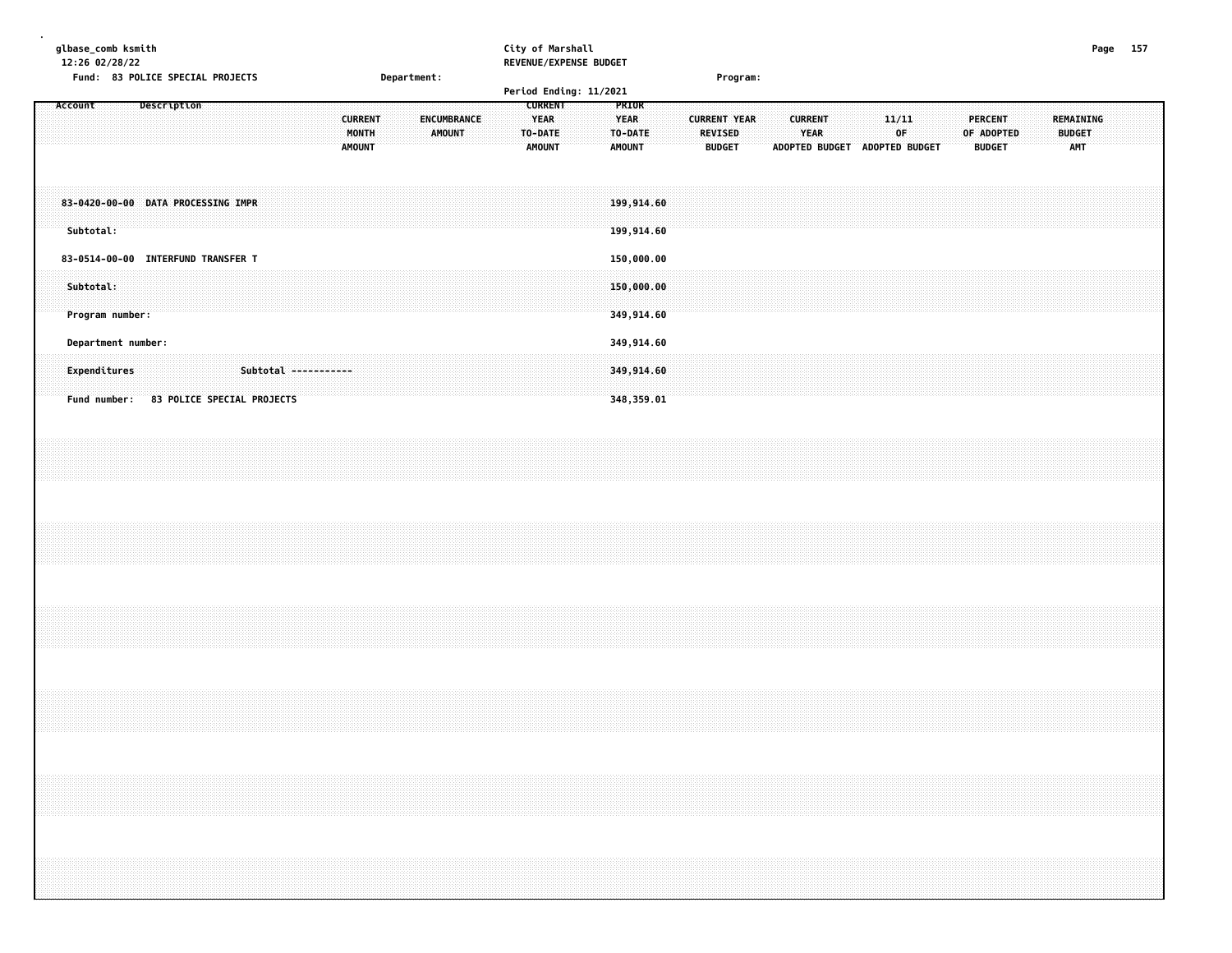| 12:26 02/28/22 | glbase_comb ksmith               |                                                                                                                         |                                            | City of Marshall<br><b>REVENUE/EXPENSE BUDGET</b> |                                                                                                                 |                                 | Page<br>157                                 |
|----------------|----------------------------------|-------------------------------------------------------------------------------------------------------------------------|--------------------------------------------|---------------------------------------------------|-----------------------------------------------------------------------------------------------------------------|---------------------------------|---------------------------------------------|
|                | Fund: 83 POLICE SPECIAL PROJECTS |                                                                                                                         | <b>Department:</b>                         |                                                   | Program:                                                                                                        |                                 |                                             |
|                |                                  |                                                                                                                         |                                            | Period Ending: 11/2021                            |                                                                                                                 |                                 |                                             |
| ACCOUNT        |                                  |                                                                                                                         |                                            | .                                                 |                                                                                                                 |                                 |                                             |
|                |                                  |                                                                                                                         |                                            |                                                   |                                                                                                                 |                                 |                                             |
|                |                                  | <b>CHRRENT</b>                                                                                                          | <b>ENCUMBRANCE</b>                         |                                                   |                                                                                                                 |                                 |                                             |
|                |                                  |                                                                                                                         |                                            |                                                   |                                                                                                                 |                                 |                                             |
|                |                                  |                                                                                                                         | AMOUNT TO-DATE<br>MANTH <b>Manufacture</b> | .<br>.                                            | <b>THE REAL PROPERTY OF STATES IN A REAL PROPERTY OF STATES IN A REAL PROPERTY OF STATES IN A REAL PROPERTY</b> |                                 |                                             |
|                |                                  |                                                                                                                         |                                            |                                                   |                                                                                                                 |                                 |                                             |
|                |                                  | A SAN DINA MANAHARATAN DI KALENDERAN DENGAN TAHUN 1992. PERANGAN PADA ANAH PERANGAN ANAH PADA ANAH PADA ANAH P<br>AMOUI | <b>AMOUNT</b>                              | <b>EXAMPLE THE AMOUNT</b><br>.                    | <b>BUDGET</b><br><b>ADOPTED BUDGET</b>                                                                          | <b>BUDGET</b><br>ADOPTED BUDGET | the company's company's company's company's |

| 83-0420-00-00 DATA PROCESSING IMPR<br>Subtotal:                    |                            |  |             |  |  |  |  |  |  | 199,914.60<br>199,914.60               |  |  |  |  |  |  |  |  |  |  |  |
|--------------------------------------------------------------------|----------------------------|--|-------------|--|--|--|--|--|--|----------------------------------------|--|--|--|--|--|--|--|--|--|--|--|
| 83-0514-00-00 INTERFUND TRANSFER T<br>Subtotal:<br>Program number: |                            |  |             |  |  |  |  |  |  | 150,000.00<br>150,000.00<br>349,914.60 |  |  |  |  |  |  |  |  |  |  |  |
| Department number:<br>Expenditures<br>Fund number:                 | 83 POLICE SPECIAL PROJECTS |  | Subtotal -- |  |  |  |  |  |  | 349,914.60<br>349,914.60<br>348,359.01 |  |  |  |  |  |  |  |  |  |  |  |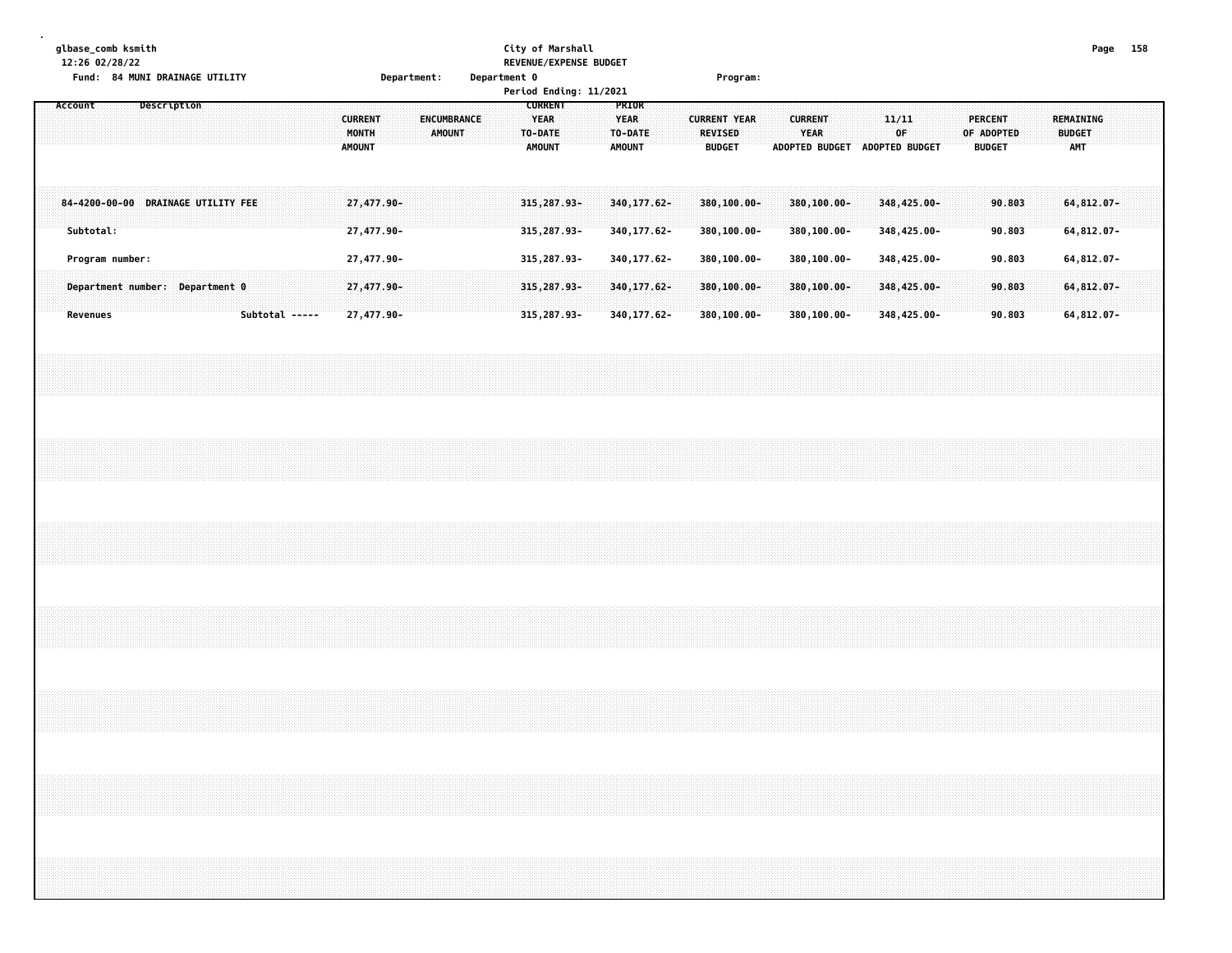|  |         |           | 12:26 02/28/22  | glbase_comb ksmith | Fund: 84 MUNI DRAINAGE UTILITY     |  |  |                |                                          |  | Department: |        |                    | Department 0 |  | City of Marshall                                          | REVENUE/EXPENSE BUDGET<br>Period Ending: 11/2021 |                                                  |                              |  |                                                 | Program: |  |                            |                               |             |                            |  |                                               |                  |  |                                          | Page 158 |  |
|--|---------|-----------|-----------------|--------------------|------------------------------------|--|--|----------------|------------------------------------------|--|-------------|--------|--------------------|--------------|--|-----------------------------------------------------------|--------------------------------------------------|--------------------------------------------------|------------------------------|--|-------------------------------------------------|----------|--|----------------------------|-------------------------------|-------------|----------------------------|--|-----------------------------------------------|------------------|--|------------------------------------------|----------|--|
|  | Account |           |                 |                    | Description                        |  |  |                | <b>CURRENT</b><br>MONTH<br><b>AMOUNT</b> |  |             | AMOUNT | <b>ENCUMBRANCE</b> |              |  | <b>CURRENT</b><br><b>YEAR</b><br>TO-DATE<br><b>AMOUNT</b> |                                                  | PRIOR<br><b>YEAR</b><br>TO-DATE<br><b>AMOUNT</b> |                              |  | <b>CURRENT YEAR</b><br>REVISED<br><b>BUDGET</b> |          |  | <b>CURRENT</b><br>YEAR     | ADOPTED BUDGET ADOPTED BUDGET | 11/11<br>0F |                            |  | <b>PERCENT</b><br>OF ADOPTED<br><b>BUDGET</b> |                  |  | REMAINING<br><b>BUDGET</b><br><b>AMT</b> |          |  |
|  |         | Subtotal: |                 |                    | 84-4200-00-00 DRAINAGE UTILITY FEE |  |  |                | 27,477.90-<br>27,477.90-                 |  |             |        |                    |              |  | 315, 287.93-<br>315, 287.93-                              |                                                  |                                                  | 340, 177.62-<br>340, 177.62- |  | 380,100.00-<br>380,100.00-                      |          |  | 380,100.00-<br>380,100.00- |                               |             | 348,425.00-<br>348,425.00- |  |                                               | 90.803<br>90.803 |  | 64, 812.07-<br>64,812.07-                |          |  |
|  |         |           | Program number: |                    |                                    |  |  |                | 27,477.90-                               |  |             |        |                    |              |  | 315, 287.93-                                              |                                                  |                                                  | 340, 177.62-                 |  | 380,100.00-                                     |          |  | 380,100.00-                |                               |             | 348,425.00-                |  |                                               | 90.803           |  | 64,812.07-                               |          |  |
|  |         | Revenues  |                 |                    | Department number: Department 0    |  |  | Subtotal ----- | 27,477.90-<br>27,477.90-                 |  |             |        |                    |              |  | 315, 287.93-<br>315, 287.93-                              |                                                  |                                                  | 340, 177.62-<br>340, 177.62- |  | 380,100.00-<br>380,100.00-                      |          |  | 380,100.00-<br>380,100.00- |                               |             | 348,425.00-<br>348,425.00- |  |                                               | 90.803<br>90.803 |  | 64, 812.07-<br>64,812.07-                |          |  |
|  |         |           |                 |                    |                                    |  |  |                |                                          |  |             |        |                    |              |  |                                                           |                                                  |                                                  |                              |  |                                                 |          |  |                            |                               |             |                            |  |                                               |                  |  |                                          |          |  |
|  |         |           |                 |                    |                                    |  |  |                |                                          |  |             |        |                    |              |  |                                                           |                                                  |                                                  |                              |  |                                                 |          |  |                            |                               |             |                            |  |                                               |                  |  |                                          |          |  |
|  |         |           |                 |                    |                                    |  |  |                |                                          |  |             |        |                    |              |  |                                                           |                                                  |                                                  |                              |  |                                                 |          |  |                            |                               |             |                            |  |                                               |                  |  |                                          |          |  |
|  |         |           |                 |                    |                                    |  |  |                |                                          |  |             |        |                    |              |  |                                                           |                                                  |                                                  |                              |  |                                                 |          |  |                            |                               |             |                            |  |                                               |                  |  |                                          |          |  |
|  |         |           |                 |                    |                                    |  |  |                |                                          |  |             |        |                    |              |  |                                                           |                                                  |                                                  |                              |  |                                                 |          |  |                            |                               |             |                            |  |                                               |                  |  |                                          |          |  |
|  |         |           |                 |                    |                                    |  |  |                |                                          |  |             |        |                    |              |  |                                                           |                                                  |                                                  |                              |  |                                                 |          |  |                            |                               |             |                            |  |                                               |                  |  |                                          |          |  |
|  |         |           |                 |                    |                                    |  |  |                |                                          |  |             |        |                    |              |  |                                                           |                                                  |                                                  |                              |  |                                                 |          |  |                            |                               |             |                            |  |                                               |                  |  |                                          |          |  |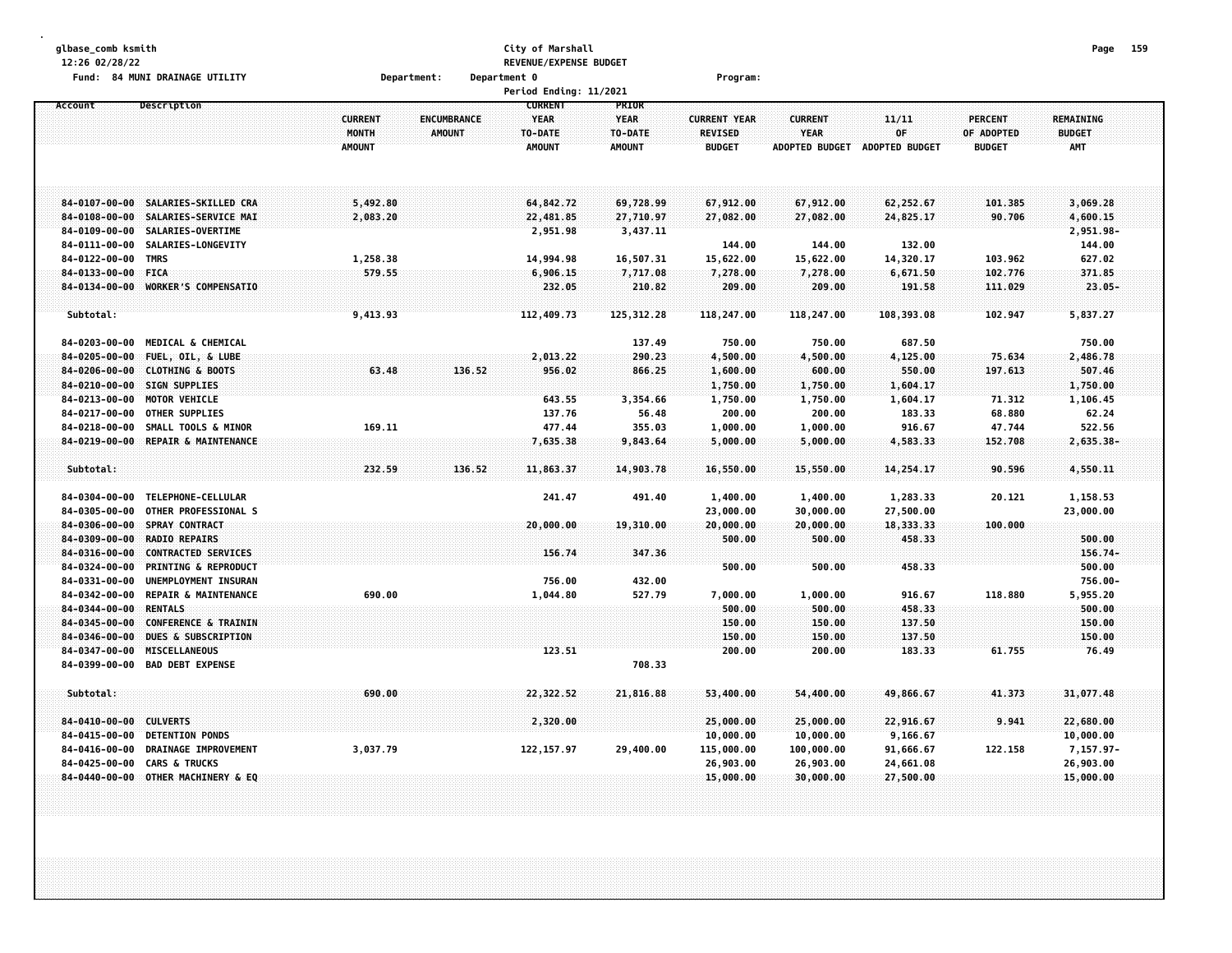| glbase_comb ksmith                                                                          |                | City of Marshall                       |                   |                         |                               |                       |                  | Page 159               |  |
|---------------------------------------------------------------------------------------------|----------------|----------------------------------------|-------------------|-------------------------|-------------------------------|-----------------------|------------------|------------------------|--|
| 12:26 02/28/22                                                                              |                | REVENUE/EXPENSE BUDGET                 |                   |                         |                               |                       |                  |                        |  |
| Fund: 84 MUNI DRAINAGE UTILITY                                                              | Department:    | Department 0<br>Period Ending: 11/2021 |                   | Program:                |                               |                       |                  |                        |  |
| Account<br>Description                                                                      |                | <b>CURRENT</b>                         | PRIOR             |                         |                               |                       |                  |                        |  |
|                                                                                             | <b>CURRENT</b> | <b>YEAR</b><br><b>ENCUMBRANCE</b>      | <b>YEAR</b>       | <b>CURRENT YEAR</b>     | <b>CURRENT</b>                | 11/11                 | <b>PERCENT</b>   | <b>REMAINING</b>       |  |
|                                                                                             | MONTH          | <b>AMOUNT</b><br>TO-DATE               | TO-DATE           | <b>REVISED</b>          | <b>YEAR</b>                   | OF                    | OF ADOPTED       | <b>BUDGET</b>          |  |
|                                                                                             | <b>AMOUNT</b>  | <b>AMOUNT</b>                          | <b>AMOUNT</b>     | <b>BUDGET</b>           | ADOPTED BUDGET ADOPTED BUDGET |                       | <b>BUDGET</b>    | <b>AMT</b>             |  |
|                                                                                             |                |                                        |                   |                         |                               |                       |                  |                        |  |
|                                                                                             |                |                                        |                   |                         |                               |                       |                  |                        |  |
|                                                                                             |                |                                        |                   |                         |                               |                       |                  |                        |  |
| 84-0107-00-00 SALARIES-SKILLED CRA                                                          | 5,492.80       | 64,842.72                              | 69,728.99         | 67,912.00               | 67,912.00                     | 62,252.67             | 101.385          | 3,069.28               |  |
| $84 - 0108 - 00 - 00$<br>SALARIES-SERVICE MAI                                               | 2,083.20       | 22,481.85                              | 27,710.97         | 27,082.00               | 27,082.00                     | 24,825.17             | 90.706           | 4,600.15               |  |
| $84 - 0109 - 00 - 00$<br>SALARIES-OVERTIME                                                  |                | 2,951.98                               | 3,437.11          |                         |                               |                       |                  | 2,951.98-              |  |
| 84-0111-00-00<br>SALARIES-LONGEVITY                                                         |                |                                        |                   | 144.00                  | 144.00                        | 132.00                |                  | 144.00                 |  |
| 84-0122-00-00<br><b>TMRS</b>                                                                | 1,258.38       | 14,994.98                              | 16,507.31         | 15,622.00               | 15,622.00                     | 14,320.17             | 103.962          | 627.02                 |  |
| 84-0133-00-00 FICA                                                                          | 579.55         | 6,906.15                               | 7,717.08          | 7,278.00                | 7,278.00                      | 6,671.50              | 102.776          | 371.85                 |  |
| 84-0134-00-00 WORKER'S COMPENSATIO                                                          |                | 232.05                                 | 210.82            | 209.00                  | 209.00                        | 191.58                | 111.029          | $23.05 -$              |  |
|                                                                                             |                |                                        |                   |                         |                               |                       |                  |                        |  |
| Subtotal:                                                                                   | 9,413.93       | 112,409.73                             | 125,312.28        | 118,247.00              | 118,247.00                    | 108,393.08            | 102.947          | 5,837.27               |  |
|                                                                                             |                |                                        |                   |                         |                               |                       |                  |                        |  |
| 84-0203-00-00<br><b>MEDICAL &amp; CHEMICAL</b>                                              |                |                                        | 137.49            | 750.00                  | 750.00                        | 687.50                |                  | 750.00                 |  |
| 84-0205-00-00<br>FUEL, OIL, & LUBE                                                          |                | 2,013.22                               | 290.23            | 4,500.00                | 4,500.00                      | 4,125.00              | 75.634           | 2,486.78               |  |
| $84 - 0206 - 00 - 00$<br><b>CLOTHING &amp; BOOTS</b>                                        | 63.48          | 136.52<br>956.02                       | 866.25            | 1,600.00                | 600.00                        | 550.00                | 197.613          | 507.46                 |  |
| 84-0210-00-00 SIGN SUPPLIES                                                                 |                |                                        |                   | 1,750.00                | 1,750.00                      | 1,604.17              |                  | 1,750.00               |  |
| $84 - 0213 - 00 - 00$<br>MOTOR VEHICLE<br>84-0217-00-00<br>OTHER SUPPLIES                   |                | 643.55                                 | 3,354.66<br>56.48 | 1,750.00                | 1,750.00                      | 1,604.17<br>183.33    | 71.312<br>68.880 | 1,106.45               |  |
| $84 - 0218 - 00 - 00$<br>SMALL TOOLS & MINOR                                                | 169.11         | 137.76<br>477.44                       | 355.03            | 200.00                  | 200.00<br>1,000.00            | 916.67                | 47.744           | 62.24<br>522.56        |  |
| $84 - 0219 - 00 - 00$<br>REPAIR & MAINTENANCE                                               |                | 7,635.38                               | 9,843.64          | 1,000.00<br>5,000.00    | 5,000.00                      | 4,583.33              | 152.708          | $2,635.38 -$           |  |
|                                                                                             |                |                                        |                   |                         |                               |                       |                  |                        |  |
| Subtotal:                                                                                   | 232.59         | 136.52<br>11,863.37                    | 14,903.78         | 16,550.00               | 15,550.00                     | 14,254.17             | 90.596           | 4,550.11               |  |
|                                                                                             |                |                                        |                   |                         |                               |                       |                  |                        |  |
| TELEPHONE-CELLULAR<br>84-0304-00-00                                                         |                | 241.47                                 | 491.40            | 1,400.00                | 1,400.00                      | 1,283.33              | 20.121           | 1,158.53               |  |
| OTHER PROFESSIONAL S<br>84-0305-00-00                                                       |                |                                        |                   | 23,000.00               | 30,000.00                     | 27,500.00             |                  | 23,000.00              |  |
| 84-0306-00-00<br>SPRAY CONTRACT                                                             |                | 20,000.00                              | 19,310.00         | 20,000.00               | 20,000.00                     | 18,333.33             | 100.000          |                        |  |
| 84-0309-00-00<br><b>RADIO REPAIRS</b>                                                       |                |                                        |                   | 500.00                  | 500.00                        | 458.33                |                  | 500.00                 |  |
| 84-0316-00-00<br><b>CONTRACTED SERVICES</b>                                                 |                | 156.74                                 | 347,36            |                         |                               |                       |                  | $156.74-$              |  |
| $84 - 0324 - 00 - 00$<br><b>PRINTING &amp; REPRODUCT</b>                                    |                |                                        |                   | 500.00                  | 500.00                        | 458.33                |                  | 500.00                 |  |
| 84-0331-00-00<br>UNEMPLOYMENT INSURAN                                                       |                | 756.00                                 | 432.00            |                         |                               |                       |                  | 756.00-                |  |
| 84-0342-00-00<br>REPAIR & MAINTENANCE                                                       | 690.00         | 1,044.80                               | 527.79            | 7,000.00                | 1,000.00                      | 916.67                | 118.880          | 5,955.20               |  |
| $84 - 0344 - 00 - 00$<br><b>RENTALS</b>                                                     |                |                                        |                   | 500.00                  | 500.00                        | 458.33                |                  | 500.00                 |  |
| 84-0345-00-00<br>CONFERENCE & TRAININ                                                       |                |                                        |                   | 150.00                  | 150.00                        | 137.50                |                  | 150.00                 |  |
| 84-0346-00-00<br><b>DUES &amp; SUBSCRIPTION</b>                                             |                |                                        |                   | 150.00                  | 150.00                        | 137.50                |                  | 150.00                 |  |
| MISCELLANEOUS<br>84-0347-00-00                                                              |                | 123.51                                 |                   | 200.00                  | 200.00                        | 183.33                | 61.755           | 76.49                  |  |
| 84-0399-00-00<br><b>BAD DEBT EXPENSE</b>                                                    |                |                                        | 708.33            |                         |                               |                       |                  |                        |  |
|                                                                                             |                |                                        |                   |                         |                               |                       |                  |                        |  |
| Subtotal:                                                                                   | 690.00         | 22,322.52                              | 21,816.88         | 53,400.00               | 54,400.00                     | 49,866.67             | 41.373           | 31,077.48              |  |
|                                                                                             |                |                                        |                   |                         |                               |                       |                  |                        |  |
| $84 - 0410 - 00 - 00$<br><b>CULVERTS</b><br>$84 - 0415 - 00 - 00$<br><b>DETENTION PONDS</b> |                | 2,320.00                               |                   | 25,000.00               | 25,000.00                     | 22,916.67             | 9.941            | 22,680.00              |  |
| DRAINAGE IMPROVEMENT<br>84-0416-00-00                                                       | 3,037.79       | 122, 157.97                            | 29,400.00         | 10,000.00<br>115,000.00 | 10,000.00<br>100,000.00       | 9,166.67<br>91,666.67 | 122.158          | 10,000.00<br>7,157.97- |  |
| 84-0425-00-00<br><b>CARS &amp; TRUCKS</b>                                                   |                |                                        |                   | 26,903.00               | 26,903.00                     | 24,661.08             |                  | 26,903.00              |  |
| 84-0440-00-00 OTHER MACHINERY & EQ                                                          |                |                                        |                   | 15,000.00               | 30,000.00                     | 27,500.00             |                  | 15,000.00              |  |
|                                                                                             |                |                                        |                   |                         |                               |                       |                  |                        |  |
|                                                                                             |                |                                        |                   |                         |                               |                       |                  |                        |  |
|                                                                                             |                |                                        |                   |                         |                               |                       |                  |                        |  |
|                                                                                             |                |                                        |                   |                         |                               |                       |                  |                        |  |
|                                                                                             |                |                                        |                   |                         |                               |                       |                  |                        |  |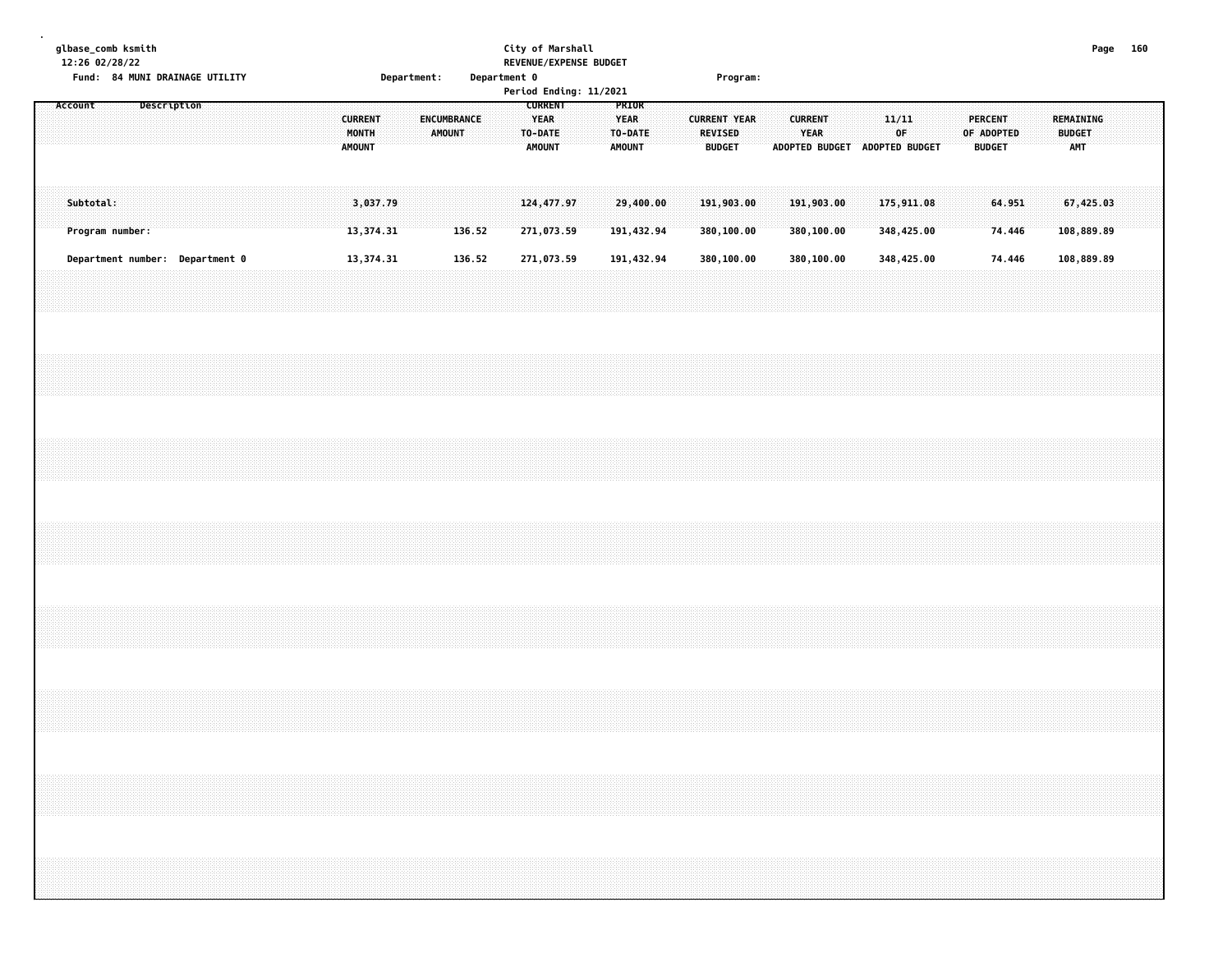| glbase_comb ksmith<br>12:26 02/28/22<br>Fund: 84 MUNI DRAINAGE UTILITY<br>Department:                                                                                                                                                                                                                                                                                                                   | City of Marshall<br>REVENUE/EXPENSE BUDGET<br>Department 0<br>Period Ending: 11/2021                          | Program:                                                                                                          |                                                                         | Page 160                                        |
|---------------------------------------------------------------------------------------------------------------------------------------------------------------------------------------------------------------------------------------------------------------------------------------------------------------------------------------------------------------------------------------------------------|---------------------------------------------------------------------------------------------------------------|-------------------------------------------------------------------------------------------------------------------|-------------------------------------------------------------------------|-------------------------------------------------|
| Account<br>Description<br><b>CURRENT</b><br>ENCUMBRANCE<br>MONTH<br><b>AMOUNT</b><br><b>AMOUNT</b>                                                                                                                                                                                                                                                                                                      | <b>CURRENT</b><br>PRIOR<br><b>YEAR</b><br><b>YEAR</b><br>TO-DATE<br>TO-DATE<br><b>AMOUNT</b><br><b>AMOUNT</b> | <b>CURRENT</b><br><b>CURRENT YEAR</b><br><b>REVISED</b><br>YEAR<br><b>BUDGET</b><br>ADOPTED BUDGET ADOPTED BUDGET | 11/11<br><b>PERCENT</b><br>$0\mathsf{F}$<br>OF ADOPTED<br><b>BUDGET</b> | <b>REMAINING</b><br><b>BUDGET</b><br><b>AMT</b> |
| Subtotal:<br>3,037.79<br>Program number:<br>13,374.31                                                                                                                                                                                                                                                                                                                                                   | 29,400,00<br>124, 477.97<br>136.52<br>271,073.59<br>191,432.94                                                | 191,903.00<br>191,903.00<br>380,100.00<br>380,100.00                                                              | 175,911.08<br>64.951<br>74.446<br>348,425.00                            | 67,425.03<br>108,889.89                         |
| Department number: Department 0<br>13,374.31                                                                                                                                                                                                                                                                                                                                                            | 136.52<br>271,073.59<br>191,432.94                                                                            | 380,100.00<br>380,100.00                                                                                          | 348,425.00<br>74.446                                                    | 108,889.89                                      |
|                                                                                                                                                                                                                                                                                                                                                                                                         |                                                                                                               |                                                                                                                   |                                                                         |                                                 |
|                                                                                                                                                                                                                                                                                                                                                                                                         |                                                                                                               |                                                                                                                   |                                                                         |                                                 |
|                                                                                                                                                                                                                                                                                                                                                                                                         |                                                                                                               |                                                                                                                   |                                                                         |                                                 |
|                                                                                                                                                                                                                                                                                                                                                                                                         |                                                                                                               |                                                                                                                   |                                                                         |                                                 |
|                                                                                                                                                                                                                                                                                                                                                                                                         |                                                                                                               |                                                                                                                   |                                                                         |                                                 |
|                                                                                                                                                                                                                                                                                                                                                                                                         |                                                                                                               |                                                                                                                   |                                                                         |                                                 |
| $\sim$ . The contract of the contract of the contract of the contract of the contract of the contract of the contract of the contract of the contract of the contract of the contract of the contract of the contract of the co<br>,我们就会在这里,我们就会在这里,我们就会在这里,我们就会在这里,我们就会在这里,我们就会在这里,我们就会在这里,我们就会在这里,我们就会在这里,我们就会在这里<br>第25章 我们的时候,我们就会在这里,我们就会在这里,我们就会在这里,我们就会在这里,我们就会在这里,我们就会在这里,我们就会在这里,我们就会在这里,我们就会在 |                                                                                                               |                                                                                                                   |                                                                         |                                                 |
|                                                                                                                                                                                                                                                                                                                                                                                                         |                                                                                                               |                                                                                                                   |                                                                         |                                                 |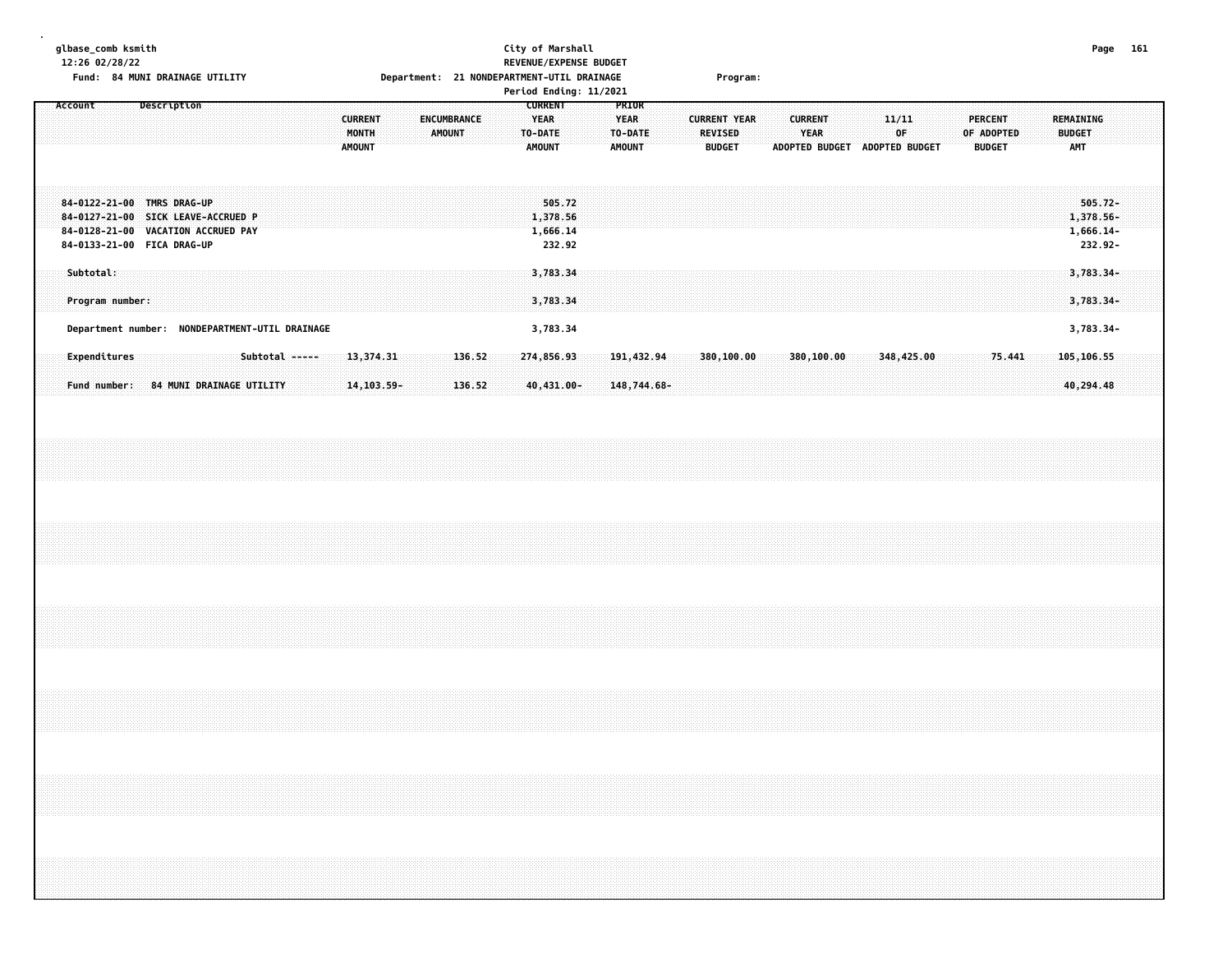#### **glbase\_comb ksmith City of Marshall Page 161 12:26 02/28/22 REVENUE/EXPENSE BUDGET Fund: 84 MUNI DRAINAGE UTILITY Department: 21 NONDEPARTMENT-UTIL DRAINAGE Program:**

|                                                                                                                                            | Period Ending: 11/2021                                                                                                                               |                                                                                                                                                          |                                                                                    |
|--------------------------------------------------------------------------------------------------------------------------------------------|------------------------------------------------------------------------------------------------------------------------------------------------------|----------------------------------------------------------------------------------------------------------------------------------------------------------|------------------------------------------------------------------------------------|
| Description<br>Account<br><b>CURRENT</b><br>MONTH<br><b>AMOUNT</b>                                                                         | <b>PRIOR</b><br><b>CURRENT</b><br><b>YEAR</b><br><b>YEAR</b><br>ENCUMBRANCE<br><b>AMOUNT</b><br>TO-DATE<br>TO-DATE<br><b>AMOUNT</b><br><b>AMOUNT</b> | <b>CURRENT YEAR</b><br><b>CURRENT</b><br>11/11<br>0F<br><b>REVISED</b><br><b>YEAR</b><br><b>ADOPTED BUDGET</b><br><b>BUDGET</b><br><b>ADOPTED BUDGET</b> | PERCENT<br>REMAINING<br>OF ADOPTED<br><b>BUDGET</b><br><b>AMT</b><br><b>BUDGET</b> |
| 84-0122-21-00 TMRS DRAG-UP<br>SICK LEAVE-ACCRUED P<br>84-0127-21-00<br>VACATION ACCRUED PAY<br>84-0128-21-00<br>84-0133-21-00 FICA DRAG-UP | 505.72<br>1,378.56<br>1,666.14<br>232.92                                                                                                             |                                                                                                                                                          | $505.72 -$<br>1,378.56-<br>$1,666.14-$<br>232.92-                                  |
| Subtotal:<br>Program number:                                                                                                               | 3,783.34<br>3,783.34                                                                                                                                 |                                                                                                                                                          | $3,783.34-$<br>$3,783.34-$                                                         |
| NONDEPARTMENT-UTIL DRAINAGE<br>Department number:                                                                                          | 3,783.34                                                                                                                                             |                                                                                                                                                          | 3,783.34-                                                                          |
| Subtotal -----<br>Expenditures<br>13,374.31<br>84 MUNI DRAINAGE UTILITY<br>14, 103.59-<br>Fund number:                                     | 136.52<br>274,856.93<br>191,432.94<br>$40,431.00 -$<br>136.52<br>$148,744.68-$                                                                       | 348,425.00<br>380,100.00<br>380,100.00                                                                                                                   | 105,106.55<br>75.441<br>40,294.48                                                  |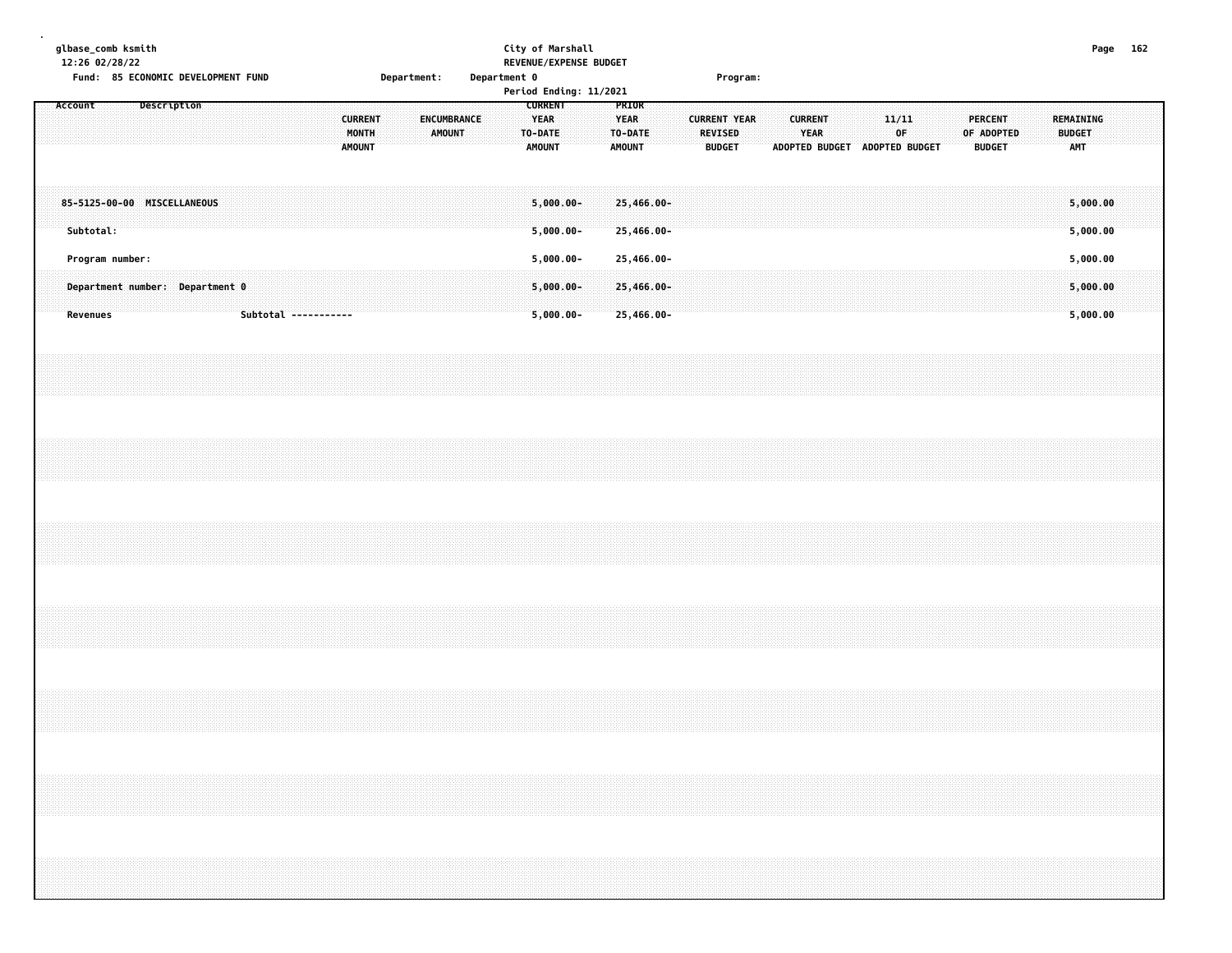| Fund: 85 ECONOMIC DEVELOPMENT FUND<br>Description                     | Department 0<br>Department:<br><b>CURRENT</b><br>ENCUMBRANCE | City of Marshall<br>REVENUE/EXPENSE BUDGET<br>Period Ending: 11/2021<br><b>CURRENT</b><br>PRIOR<br><b>YEAR</b><br><b>YEAR</b> | Program:<br>11/11<br><b>CURRENT</b><br><b>PERCENT</b><br><b>CURRENT YEAR</b>                                                                                         | Page 162<br>REMAINING            |  |
|-----------------------------------------------------------------------|--------------------------------------------------------------|-------------------------------------------------------------------------------------------------------------------------------|----------------------------------------------------------------------------------------------------------------------------------------------------------------------|----------------------------------|--|
|                                                                       | MONTH<br><b>AMOUNT</b><br><b>AMOUNT</b>                      | TO-DATE<br>TO-DATE<br><b>AMOUNT</b><br><b>AMOUNT</b>                                                                          | <b>REVISED</b><br>YEAR<br>0F<br>OF ADOPTED<br><b>BUDGET</b><br><b>BUDGET</b><br>ADOPTED BUDGET ADOPTED BUDGET                                                        | <b>BUDGET</b><br><b>AMT</b>      |  |
| 85-5125-00-00 MISCELLANEOUS<br>Subtotal:                              |                                                              | $5,000,00 -$<br>25,466.00-<br>$5,000.00 -$<br>25,466.00-                                                                      |                                                                                                                                                                      | 5,000.00<br>5,000.00             |  |
| Program number:<br>Department number: Department 0<br><b>Revenues</b> | Subtotal -----------                                         | $5,000.00 -$<br>25,466.00-<br>$5,000.00 -$<br>25,466.00-<br>$5,000.00 -$<br>25,466.00-                                        |                                                                                                                                                                      | 5,000.00<br>5,000.00<br>5,000.00 |  |
|                                                                       |                                                              |                                                                                                                               |                                                                                                                                                                      |                                  |  |
|                                                                       |                                                              |                                                                                                                               |                                                                                                                                                                      |                                  |  |
|                                                                       |                                                              |                                                                                                                               |                                                                                                                                                                      |                                  |  |
|                                                                       |                                                              |                                                                                                                               |                                                                                                                                                                      |                                  |  |
|                                                                       |                                                              |                                                                                                                               |                                                                                                                                                                      |                                  |  |
|                                                                       |                                                              |                                                                                                                               | ,我们就会在这里的时候,我们就会在这里的时候,我们就会在这里的时候,我们就会在这里的时候,我们就会在这里的时候,我们就会在这里的时候,我们就会在这里的时候,我们<br>第251章 我们的时候,我们就会在这里的时候,我们就会在这里的时候,我们就会在这里的时候,我们就会在这里的时候,我们就会在这里的时候,我们就会在这里的时候,我们 |                                  |  |
|                                                                       |                                                              |                                                                                                                               |                                                                                                                                                                      |                                  |  |